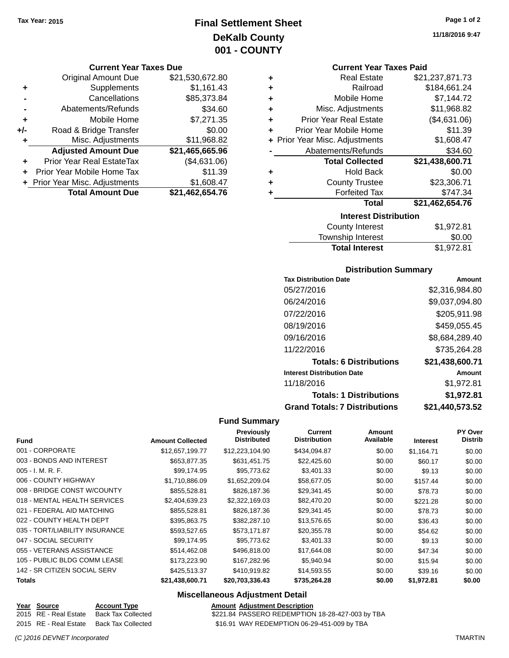## **Final Settlement Sheet Tax Year: 2015 Page 1 of 2 DeKalb County 001 - COUNTY**

#### **Current Year Taxes Due**

|     | <b>Original Amount Due</b>     | \$21,530,672.80 |
|-----|--------------------------------|-----------------|
| ٠   | Supplements                    | \$1,161.43      |
|     | Cancellations                  | \$85,373.84     |
|     | Abatements/Refunds             | \$34.60         |
| ٠   | Mobile Home                    | \$7,271.35      |
| +/- | Road & Bridge Transfer         | \$0.00          |
| ٠   | Misc. Adjustments              | \$11,968.82     |
|     | <b>Adjusted Amount Due</b>     | \$21,465,665.96 |
|     | Prior Year Real EstateTax      | (\$4,631.06)    |
|     | Prior Year Mobile Home Tax     | \$11.39         |
|     | + Prior Year Misc. Adjustments | \$1,608.47      |
|     | <b>Total Amount Due</b>        | \$21,462,654.76 |

**11/18/2016 9:47**

#### **Current Year Taxes Paid**

| ٠ | <b>Real Estate</b>             | \$21,237,871.73 |  |  |  |
|---|--------------------------------|-----------------|--|--|--|
| ٠ | Railroad                       | \$184,661.24    |  |  |  |
| ٠ | Mobile Home                    | \$7,144.72      |  |  |  |
| ٠ | Misc. Adjustments              | \$11,968.82     |  |  |  |
| ٠ | <b>Prior Year Real Estate</b>  | (\$4,631.06)    |  |  |  |
| ٠ | Prior Year Mobile Home         | \$11.39         |  |  |  |
|   | + Prior Year Misc. Adjustments | \$1,608.47      |  |  |  |
|   | Abatements/Refunds             | \$34.60         |  |  |  |
|   | <b>Total Collected</b>         | \$21,438,600.71 |  |  |  |
| ٠ | <b>Hold Back</b>               | \$0.00          |  |  |  |
| ٠ | <b>County Trustee</b>          | \$23,306.71     |  |  |  |
| ٠ | <b>Forfeited Tax</b>           | \$747.34        |  |  |  |
|   | <b>Total</b>                   | \$21,462,654.76 |  |  |  |
|   | <b>Interest Distribution</b>   |                 |  |  |  |

| County Interest       | \$1,972.81 |
|-----------------------|------------|
| Township Interest     | \$0.00     |
| <b>Total Interest</b> | \$1,972.81 |

#### **Distribution Summary**

| <b>Tax Distribution Date</b>         | Amount          |
|--------------------------------------|-----------------|
| 05/27/2016                           | \$2,316,984.80  |
| 06/24/2016                           | \$9,037,094.80  |
| 07/22/2016                           | \$205,911.98    |
| 08/19/2016                           | \$459,055.45    |
| 09/16/2016                           | \$8,684,289.40  |
| 11/22/2016                           | \$735,264.28    |
| <b>Totals: 6 Distributions</b>       | \$21,438,600.71 |
| <b>Interest Distribution Date</b>    | Amount          |
| 11/18/2016                           | \$1,972.81      |
| <b>Totals: 1 Distributions</b>       | \$1,972.81      |
| <b>Grand Totals: 7 Distributions</b> | \$21,440,573.52 |

#### **Fund Summary**

| <b>Previously</b><br>Current<br>Amount<br><b>Distribution</b><br>Available<br><b>Distrib</b><br><b>Distributed</b><br><b>Fund</b><br><b>Amount Collected</b><br><b>Interest</b><br>001 - CORPORATE<br>\$12,657,199.77<br>\$12,223,104.90<br>\$434,094.87<br>\$0.00<br>\$1.164.71<br>003 - BONDS AND INTEREST<br>\$653,877.35<br>\$631,451.75<br>\$22,425.60<br>\$0.00<br>\$60.17<br>$005 - I. M. R. F.$<br>\$99,174.95<br>\$95,773.62<br>\$3,401.33<br>\$0.00<br>\$9.13<br>006 - COUNTY HIGHWAY<br>\$1.710.886.09<br>\$1,652,209.04<br>\$58,677.05<br>\$0.00<br>\$157.44<br>008 - BRIDGE CONST W/COUNTY<br>\$855,528.81<br>\$826,187.36<br>\$29,341.45<br>\$0.00<br>\$78.73<br>018 - MENTAL HEALTH SERVICES<br>\$2,404,639.23<br>\$2,322,169.03<br>\$82,470.20<br>\$0.00<br>\$221.28<br>021 - FEDERAL AID MATCHING<br>\$855,528.81<br>\$826,187.36<br>\$29,341.45<br>\$0.00<br>\$78.73<br>022 - COUNTY HEALTH DEPT<br>\$395,863.75<br>\$382,287.10<br>\$13,576.65<br>\$0.00<br>\$36.43<br>035 - TORT/LIABILITY INSURANCE<br>\$593,527.65<br>\$573,171.87<br>\$20,355.78<br>\$0.00<br>\$54.62<br>047 - SOCIAL SECURITY<br>\$99,174.95<br>\$95,773.62<br>\$3,401.33<br>\$0.00<br>\$9.13<br>055 - VETERANS ASSISTANCE<br>\$514.462.08<br>\$496,818,00<br>\$17,644.08<br>\$0.00<br>\$47.34<br>105 - PUBLIC BLDG COMM LEASE<br>\$173,223.90<br>\$167,282.96<br>\$5,940.94<br>\$0.00<br>\$15.94<br>142 - SR CITIZEN SOCIAL SERV<br>\$425,513.37<br>\$410,919.82<br>\$14,593.55<br>\$0.00<br>\$39.16<br>\$21,438,600.71<br>\$735,264.28<br>\$1,972.81<br><b>Totals</b><br>\$20,703,336.43<br>\$0.00 |  |  |  |                |
|----------------------------------------------------------------------------------------------------------------------------------------------------------------------------------------------------------------------------------------------------------------------------------------------------------------------------------------------------------------------------------------------------------------------------------------------------------------------------------------------------------------------------------------------------------------------------------------------------------------------------------------------------------------------------------------------------------------------------------------------------------------------------------------------------------------------------------------------------------------------------------------------------------------------------------------------------------------------------------------------------------------------------------------------------------------------------------------------------------------------------------------------------------------------------------------------------------------------------------------------------------------------------------------------------------------------------------------------------------------------------------------------------------------------------------------------------------------------------------------------------------------------------------------------------------------------------------------------|--|--|--|----------------|
|                                                                                                                                                                                                                                                                                                                                                                                                                                                                                                                                                                                                                                                                                                                                                                                                                                                                                                                                                                                                                                                                                                                                                                                                                                                                                                                                                                                                                                                                                                                                                                                              |  |  |  | <b>PY Over</b> |
|                                                                                                                                                                                                                                                                                                                                                                                                                                                                                                                                                                                                                                                                                                                                                                                                                                                                                                                                                                                                                                                                                                                                                                                                                                                                                                                                                                                                                                                                                                                                                                                              |  |  |  |                |
|                                                                                                                                                                                                                                                                                                                                                                                                                                                                                                                                                                                                                                                                                                                                                                                                                                                                                                                                                                                                                                                                                                                                                                                                                                                                                                                                                                                                                                                                                                                                                                                              |  |  |  | \$0.00         |
|                                                                                                                                                                                                                                                                                                                                                                                                                                                                                                                                                                                                                                                                                                                                                                                                                                                                                                                                                                                                                                                                                                                                                                                                                                                                                                                                                                                                                                                                                                                                                                                              |  |  |  | \$0.00         |
|                                                                                                                                                                                                                                                                                                                                                                                                                                                                                                                                                                                                                                                                                                                                                                                                                                                                                                                                                                                                                                                                                                                                                                                                                                                                                                                                                                                                                                                                                                                                                                                              |  |  |  | \$0.00         |
|                                                                                                                                                                                                                                                                                                                                                                                                                                                                                                                                                                                                                                                                                                                                                                                                                                                                                                                                                                                                                                                                                                                                                                                                                                                                                                                                                                                                                                                                                                                                                                                              |  |  |  | \$0.00         |
|                                                                                                                                                                                                                                                                                                                                                                                                                                                                                                                                                                                                                                                                                                                                                                                                                                                                                                                                                                                                                                                                                                                                                                                                                                                                                                                                                                                                                                                                                                                                                                                              |  |  |  | \$0.00         |
|                                                                                                                                                                                                                                                                                                                                                                                                                                                                                                                                                                                                                                                                                                                                                                                                                                                                                                                                                                                                                                                                                                                                                                                                                                                                                                                                                                                                                                                                                                                                                                                              |  |  |  | \$0.00         |
|                                                                                                                                                                                                                                                                                                                                                                                                                                                                                                                                                                                                                                                                                                                                                                                                                                                                                                                                                                                                                                                                                                                                                                                                                                                                                                                                                                                                                                                                                                                                                                                              |  |  |  | \$0.00         |
|                                                                                                                                                                                                                                                                                                                                                                                                                                                                                                                                                                                                                                                                                                                                                                                                                                                                                                                                                                                                                                                                                                                                                                                                                                                                                                                                                                                                                                                                                                                                                                                              |  |  |  | \$0.00         |
|                                                                                                                                                                                                                                                                                                                                                                                                                                                                                                                                                                                                                                                                                                                                                                                                                                                                                                                                                                                                                                                                                                                                                                                                                                                                                                                                                                                                                                                                                                                                                                                              |  |  |  | \$0.00         |
|                                                                                                                                                                                                                                                                                                                                                                                                                                                                                                                                                                                                                                                                                                                                                                                                                                                                                                                                                                                                                                                                                                                                                                                                                                                                                                                                                                                                                                                                                                                                                                                              |  |  |  | \$0.00         |
|                                                                                                                                                                                                                                                                                                                                                                                                                                                                                                                                                                                                                                                                                                                                                                                                                                                                                                                                                                                                                                                                                                                                                                                                                                                                                                                                                                                                                                                                                                                                                                                              |  |  |  | \$0.00         |
|                                                                                                                                                                                                                                                                                                                                                                                                                                                                                                                                                                                                                                                                                                                                                                                                                                                                                                                                                                                                                                                                                                                                                                                                                                                                                                                                                                                                                                                                                                                                                                                              |  |  |  | \$0.00         |
|                                                                                                                                                                                                                                                                                                                                                                                                                                                                                                                                                                                                                                                                                                                                                                                                                                                                                                                                                                                                                                                                                                                                                                                                                                                                                                                                                                                                                                                                                                                                                                                              |  |  |  | \$0.00         |
|                                                                                                                                                                                                                                                                                                                                                                                                                                                                                                                                                                                                                                                                                                                                                                                                                                                                                                                                                                                                                                                                                                                                                                                                                                                                                                                                                                                                                                                                                                                                                                                              |  |  |  | \$0.00         |

| Year Source           | <b>Account Type</b> | <b>Amount Adjustment Description</b>             |
|-----------------------|---------------------|--------------------------------------------------|
| 2015 RE - Real Estate | Back Tax Collected  | \$221.84 PASSERO REDEMPTION 18-28-427-003 by TBA |
| 2015 RE - Real Estate | Back Tax Collected  | \$16.91 WAY REDEMPTION 06-29-451-009 by TBA      |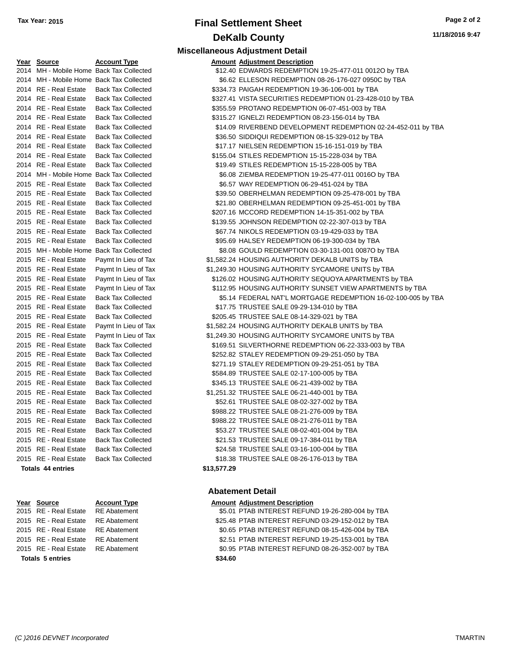# **Final Settlement Sheet Tax Year: 2015 Page 2 of 2 DeKalb County**

**11/18/2016 9:47**

| <u>Year</u> | <u>Source</u>            | <u>Account Typ</u>  |
|-------------|--------------------------|---------------------|
| 2014        | MH - Mobile Home         | Back Tax Col        |
| 2014        | MH - Mobile Home         | Back Tax Col        |
| 2014        | RE - Real Estate         | Back Tax Col        |
| 2014        | <b>RE</b> - Real Estate  | Back Tax Col        |
| 2014        | RE - Real Estate         | <b>Back Tax Col</b> |
| 2014        | <b>RE</b> - Real Estate  | Back Tax Col        |
| 2014        | RE - Real Estate         | <b>Back Tax Col</b> |
| 2014        | <b>RE</b> - Real Estate  | <b>Back Tax Col</b> |
| 2014        | <b>RE</b> - Real Estate  | <b>Back Tax Col</b> |
| 2014        | RE - Real Estate         | <b>Back Tax Col</b> |
| 2014        | RE - Real Estate         | <b>Back Tax Col</b> |
| 2014        | MH - Mobile Home         | <b>Back Tax Col</b> |
| 2015        | <b>RE</b> - Real Estate  | <b>Back Tax Col</b> |
| 2015        | RE - Real Estate         | Back Tax Col        |
| 2015        | RE - Real Estate         | <b>Back Tax Col</b> |
| 2015        | RE - Real Estate         | <b>Back Tax Col</b> |
| 2015        | <b>RE</b> - Real Estate  | Back Tax Col        |
| 2015        | RE - Real Estate         | Back Tax Col        |
| 2015        | <b>RE</b> - Real Estate  | <b>Back Tax Col</b> |
| 2015        | MH - Mobile Home         | <b>Back Tax Col</b> |
| 2015        | RE - Real Estate         | Paymt In Lier       |
| 2015        | <b>RE</b> - Real Estate  | Paymt In Lier       |
| 2015        | <b>RE</b> - Real Estate  | Paymt In Lier       |
| 2015        | RE - Real Estate         | Paymt In Lier       |
| 2015        | RE - Real Estate         | Back Tax Col        |
| 2015        | RE - Real Estate         | <b>Back Tax Col</b> |
| 2015        | RE - Real Estate         | <b>Back Tax Col</b> |
| 2015        | <b>RE</b> - Real Estate  | Paymt In Lier       |
| 2015        | <b>RE</b> - Real Estate  | Paymt In Lier       |
| 2015        | RE - Real Estate         | <b>Back Tax Col</b> |
| 2015        | RE - Real Estate         | <b>Back Tax Col</b> |
| 2015        | <b>RE</b> - Real Estate  | Back Tax Col        |
| 2015        | <b>RE</b> - Real Estate  | <b>Back Tax Col</b> |
| 2015        | <b>RE</b> - Real Estate  | <b>Back Tax Col</b> |
| 2015        | RE - Real Estate         | <b>Back Tax Col</b> |
| 2015        | RE - Real Estate         | Back Tax Col        |
| 2015        | <b>RE</b> - Real Estate  | <b>Back Tax Col</b> |
| 2015        | RE - Real Estate         | <b>Back Tax Col</b> |
| 2015        | <b>RE</b> - Real Estate  | Back Tax Col        |
| 2015        | <b>RE</b> - Real Estate  | Back Tax Col        |
| 2015        | <b>RE</b> - Real Estate  | <b>Back Tax Col</b> |
| 2015        | RE - Real Estate         | <b>Back Tax Col</b> |
|             | <b>Totals 44 entries</b> |                     |

**Totals \$34.60 5 entries**

|                                          |                     | <b>Miscellaneous Adjustment Detail</b>                |
|------------------------------------------|---------------------|-------------------------------------------------------|
| Year Source                              | <b>Account Type</b> | <b>Amount Adjustment Description</b>                  |
| 2014 MH - Mobile Home Back Tax Collected |                     | \$12.40 EDWARDS REDEMPTION 19-25-477-011 0012O by TBA |

| <b>Totals 44 entries</b>                 |                           | \$13,577.29 |                                                               |
|------------------------------------------|---------------------------|-------------|---------------------------------------------------------------|
| 2015 RE - Real Estate                    | <b>Back Tax Collected</b> |             | \$18.38 TRUSTEE SALE 08-26-176-013 by TBA                     |
| 2015 RE - Real Estate                    | <b>Back Tax Collected</b> |             | \$24.58 TRUSTEE SALE 03-16-100-004 by TBA                     |
| 2015 RE - Real Estate                    | <b>Back Tax Collected</b> |             | \$21.53 TRUSTEE SALE 09-17-384-011 by TBA                     |
| 2015 RE - Real Estate                    | <b>Back Tax Collected</b> |             | \$53.27 TRUSTEE SALE 08-02-401-004 by TBA                     |
| 2015 RE - Real Estate                    | <b>Back Tax Collected</b> |             | \$988.22 TRUSTEE SALE 08-21-276-011 by TBA                    |
| 2015 RE - Real Estate                    | <b>Back Tax Collected</b> |             | \$988.22 TRUSTEE SALE 08-21-276-009 by TBA                    |
| 2015 RE - Real Estate                    | <b>Back Tax Collected</b> |             | \$52.61 TRUSTEE SALE 08-02-327-002 by TBA                     |
| 2015 RE - Real Estate                    | <b>Back Tax Collected</b> |             | \$1,251.32 TRUSTEE SALE 06-21-440-001 by TBA                  |
| 2015 RE - Real Estate                    | <b>Back Tax Collected</b> |             | \$345.13 TRUSTEE SALE 06-21-439-002 by TBA                    |
| 2015 RE - Real Estate                    | <b>Back Tax Collected</b> |             | \$584.89 TRUSTEE SALE 02-17-100-005 by TBA                    |
| 2015 RE - Real Estate                    | <b>Back Tax Collected</b> |             | \$271.19 STALEY REDEMPTION 09-29-251-051 by TBA               |
| 2015 RE - Real Estate                    | <b>Back Tax Collected</b> |             | \$252.82 STALEY REDEMPTION 09-29-251-050 by TBA               |
| 2015 RE - Real Estate                    | <b>Back Tax Collected</b> |             | \$169.51 SILVERTHORNE REDEMPTION 06-22-333-003 by TBA         |
| 2015 RE - Real Estate                    | Paymt In Lieu of Tax      |             | \$1,249.30 HOUSING AUTHORITY SYCAMORE UNITS by TBA            |
| 2015 RE - Real Estate                    | Paymt In Lieu of Tax      |             | \$1,582.24 HOUSING AUTHORITY DEKALB UNITS by TBA              |
| 2015 RE - Real Estate                    | <b>Back Tax Collected</b> |             | \$205.45 TRUSTEE SALE 08-14-329-021 by TBA                    |
| 2015 RE - Real Estate                    | <b>Back Tax Collected</b> |             | \$17.75 TRUSTEE SALE 09-29-134-010 by TBA                     |
| 2015 RE - Real Estate                    | <b>Back Tax Collected</b> |             | \$5.14 FEDERAL NAT'L MORTGAGE REDEMPTION 16-02-100-005 by TBA |
| 2015 RE - Real Estate                    | Paymt In Lieu of Tax      |             | \$112.95 HOUSING AUTHORITY SUNSET VIEW APARTMENTS by TBA      |
| 2015 RE - Real Estate                    | Paymt In Lieu of Tax      |             | \$126.02 HOUSING AUTHORITY SEQUOYA APARTMENTS by TBA          |
| 2015 RE - Real Estate                    | Paymt In Lieu of Tax      |             | \$1,249.30 HOUSING AUTHORITY SYCAMORE UNITS by TBA            |
| 2015 RE - Real Estate                    | Paymt In Lieu of Tax      |             | \$1,582.24 HOUSING AUTHORITY DEKALB UNITS by TBA              |
| 2015 MH - Mobile Home Back Tax Collected |                           |             | \$8.08 GOULD REDEMPTION 03-30-131-001 0087O by TBA            |
| 2015 RE - Real Estate                    | <b>Back Tax Collected</b> |             | \$95.69 HALSEY REDEMPTION 06-19-300-034 by TBA                |
| 2015 RE - Real Estate                    | <b>Back Tax Collected</b> |             | \$67.74 NIKOLS REDEMPTION 03-19-429-033 by TBA                |
| 2015 RE - Real Estate                    | <b>Back Tax Collected</b> |             | \$139.55 JOHNSON REDEMPTION 02-22-307-013 by TBA              |
| 2015 RE - Real Estate                    | <b>Back Tax Collected</b> |             | \$207.16 MCCORD REDEMPTION 14-15-351-002 by TBA               |
| 2015 RE - Real Estate                    | <b>Back Tax Collected</b> |             | \$21.80 OBERHELMAN REDEMPTION 09-25-451-001 by TBA            |
| 2015 RE - Real Estate                    | <b>Back Tax Collected</b> |             | \$39.50 OBERHELMAN REDEMPTION 09-25-478-001 by TBA            |
| 2015 RE - Real Estate                    | <b>Back Tax Collected</b> |             | \$6.57 WAY REDEMPTION 06-29-451-024 by TBA                    |
| 2014 MH - Mobile Home Back Tax Collected |                           |             | \$6.08 ZIEMBA REDEMPTION 19-25-477-011 0016O by TBA           |
| 2014 RE - Real Estate                    | <b>Back Tax Collected</b> |             | \$19.49 STILES REDEMPTION 15-15-228-005 by TBA                |
| 2014 RE - Real Estate                    | <b>Back Tax Collected</b> |             | \$155.04 STILES REDEMPTION 15-15-228-034 by TBA               |
| 2014 RE - Real Estate                    | <b>Back Tax Collected</b> |             | \$17.17 NIELSEN REDEMPTION 15-16-151-019 by TBA               |
| 2014 RE - Real Estate                    | <b>Back Tax Collected</b> |             | \$36.50 SIDDIQUI REDEMPTION 08-15-329-012 by TBA              |
| 2014 RE - Real Estate                    | <b>Back Tax Collected</b> |             | \$14.09 RIVERBEND DEVELOPMENT REDEMPTION 02-24-452-011 by TBA |
| 2014 RE - Real Estate                    | <b>Back Tax Collected</b> |             | \$315.27 IGNELZI REDEMPTION 08-23-156-014 by TBA              |
| 2014 RE - Real Estate                    | <b>Back Tax Collected</b> |             | \$355.59 PROTANO REDEMPTION 06-07-451-003 by TBA              |
| 2014 RE - Real Estate                    | <b>Back Tax Collected</b> |             | \$327.41 VISTA SECURITIES REDEMPTION 01-23-428-010 by TBA     |
| 2014 RE - Real Estate                    | <b>Back Tax Collected</b> |             | \$334.73 PAIGAH REDEMPTION 19-36-106-001 by TBA               |
| 2014 MH - Mobile Home Back Tax Collected |                           |             | \$6.62 ELLESON REDEMPTION 08-26-176-027 0950C by TBA          |
| 2014 MH - MODIIE HOME BACK TAX COIIECTED |                           |             | \$12.40 EDWARDS REDEMPTION 19-25-477-011 0012O by TBA         |

#### **Abatement Detail**

#### **Year** Source **Account Type Account Account Adjustment Description**

2015 RE - Real Estate RE Abatement \$5.01 PTAB INTEREST REFUND 19-26-280-004 by TBA 2015 RE - Real Estate RE Abatement \$25.48 PTAB INTEREST REFUND 03-29-152-012 by TBA 2015 RE - Real Estate RE Abatement \$0.65 PTAB INTEREST REFUND 08-15-426-004 by TBA 2015 RE - Real Estate RE Abatement \$2.51 PTAB INTEREST REFUND 19-25-153-001 by TBA 2015 RE - Real Estate RE Abatement \$0.95 PTAB INTEREST REFUND 08-26-352-007 by TBA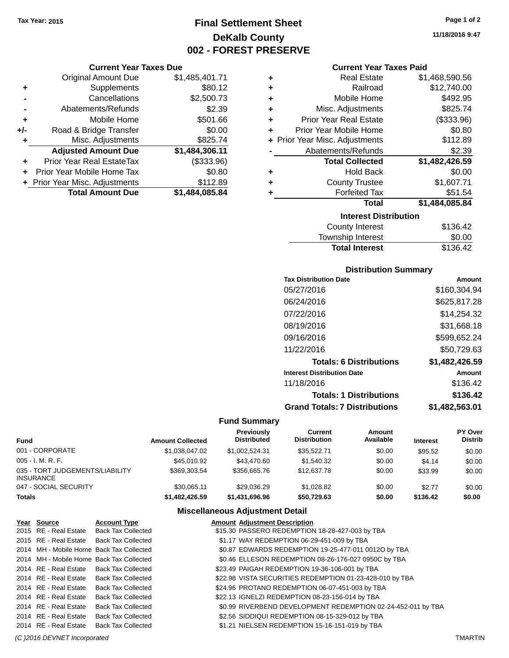## **Final Settlement Sheet Tax Year: 2015 Page 1 of 2 DeKalb County 002 - FOREST PRESERVE**

#### **Current Year Taxes Due**

|     | <b>Original Amount Due</b>       | \$1,485,401.71 |
|-----|----------------------------------|----------------|
| ٠   | Supplements                      | \$80.12        |
|     | Cancellations                    | \$2,500.73     |
|     | Abatements/Refunds               | \$2.39         |
| ٠   | Mobile Home                      | \$501.66       |
| +/- | Road & Bridge Transfer           | \$0.00         |
| ٠   | Misc. Adjustments                | \$825.74       |
|     | <b>Adjusted Amount Due</b>       | \$1,484,306.11 |
|     | <b>Prior Year Real EstateTax</b> | (\$333.96)     |
|     | Prior Year Mobile Home Tax       | \$0.80         |
|     | + Prior Year Misc. Adjustments   | \$112.89       |
|     | <b>Total Amount Due</b>          | \$1,484,085.84 |

| ٠ | <b>Real Estate</b>             | \$1,468,590.56 |
|---|--------------------------------|----------------|
| ٠ | Railroad                       | \$12,740.00    |
| ٠ | Mobile Home                    | \$492.95       |
| ٠ | Misc. Adjustments              | \$825.74       |
| ٠ | <b>Prior Year Real Estate</b>  | (\$333.96)     |
| ٠ | Prior Year Mobile Home         | \$0.80         |
|   | + Prior Year Misc. Adjustments | \$112.89       |
|   | Abatements/Refunds             | \$2.39         |
|   | <b>Total Collected</b>         | \$1,482,426.59 |
| ٠ | <b>Hold Back</b>               | \$0.00         |
| ٠ | <b>County Trustee</b>          | \$1,607.71     |
| ٠ | <b>Forfeited Tax</b>           | \$51.54        |
|   |                                |                |
|   | <b>Total</b>                   | \$1,484,085.84 |
|   | <b>Interest Distribution</b>   |                |

| <b>Total Interest</b> | \$136.42 |
|-----------------------|----------|
| Township Interest     | \$0.00   |
| County Interest       | \$136.42 |

#### **Distribution Summary**

| <b>Tax Distribution Date</b>         | Amount         |
|--------------------------------------|----------------|
| 05/27/2016                           | \$160,304.94   |
| 06/24/2016                           | \$625,817.28   |
| 07/22/2016                           | \$14.254.32    |
| 08/19/2016                           | \$31,668.18    |
| 09/16/2016                           | \$599,652.24   |
| 11/22/2016                           | \$50,729.63    |
| <b>Totals: 6 Distributions</b>       | \$1,482,426.59 |
| <b>Interest Distribution Date</b>    | Amount         |
| 11/18/2016                           | \$136.42       |
| <b>Totals: 1 Distributions</b>       | \$136.42       |
| <b>Grand Totals: 7 Distributions</b> | \$1,482,563.01 |

### **Fund Summary**

| Fund                                         | <b>Amount Collected</b> | <b>Previously</b><br><b>Distributed</b> | Current<br><b>Distribution</b> | Amount<br>Available | <b>Interest</b> | <b>PY Over</b><br><b>Distrib</b> |
|----------------------------------------------|-------------------------|-----------------------------------------|--------------------------------|---------------------|-----------------|----------------------------------|
| 001 - CORPORATE                              | \$1,038,047.02          | \$1.002.524.31                          | \$35,522.71                    | \$0.00              | \$95.52         | \$0.00                           |
| 005 - I. M. R. F.                            | \$45,010.92             | \$43,470.60                             | \$1.540.32                     | \$0.00              | \$4.14          | \$0.00                           |
| 035 - TORT JUDGEMENTS/LIABILITY<br>INSURANCE | \$369.303.54            | \$356,665,76                            | \$12,637.78                    | \$0.00              | \$33.99         | \$0.00                           |
| 047 - SOCIAL SECURITY                        | \$30.065.11             | \$29.036.29                             | \$1.028.82                     | \$0.00              | \$2.77          | \$0.00                           |
| Totals                                       | \$1,482,426.59          | \$1,431,696,96                          | \$50,729.63                    | \$0.00              | \$136.42        | \$0.00                           |

#### **Miscellaneous Adjustment Detail**

| Year Source           | <b>Account Type</b>                      | <b>Amount Adjustment Description</b>                         |
|-----------------------|------------------------------------------|--------------------------------------------------------------|
|                       | 2015 RE - Real Estate Back Tax Collected | \$15.30 PASSERO REDEMPTION 18-28-427-003 by TBA              |
|                       | 2015 RE - Real Estate Back Tax Collected | \$1.17 WAY REDEMPTION 06-29-451-009 by TBA                   |
|                       | 2014 MH - Mobile Home Back Tax Collected | \$0.87 EDWARDS REDEMPTION 19-25-477-011 0012O by TBA         |
|                       | 2014 MH - Mobile Home Back Tax Collected | \$0.46 ELLESON REDEMPTION 08-26-176-027 0950C by TBA         |
|                       | 2014 RE - Real Estate Back Tax Collected | \$23.49 PAIGAH REDEMPTION 19-36-106-001 by TBA               |
|                       | 2014 RE - Real Estate Back Tax Collected | \$22.98 VISTA SECURITIES REDEMPTION 01-23-428-010 by TBA     |
| 2014 RE - Real Estate | <b>Back Tax Collected</b>                | \$24.96 PROTANO REDEMPTION 06-07-451-003 by TBA              |
| 2014 RE - Real Estate | <b>Back Tax Collected</b>                | \$22.13 IGNELZI REDEMPTION 08-23-156-014 by TBA              |
| 2014 RE - Real Estate | <b>Back Tax Collected</b>                | \$0.99 RIVERBEND DEVELOPMENT REDEMPTION 02-24-452-011 by TBA |
| 2014 RE - Real Estate | <b>Back Tax Collected</b>                | \$2.56 SIDDIQUI REDEMPTION 08-15-329-012 by TBA              |
| 2014 RE - Real Estate | <b>Back Tax Collected</b>                | \$1.21 NIELSEN REDEMPTION 15-16-151-019 by TBA               |

**11/18/2016 9:47**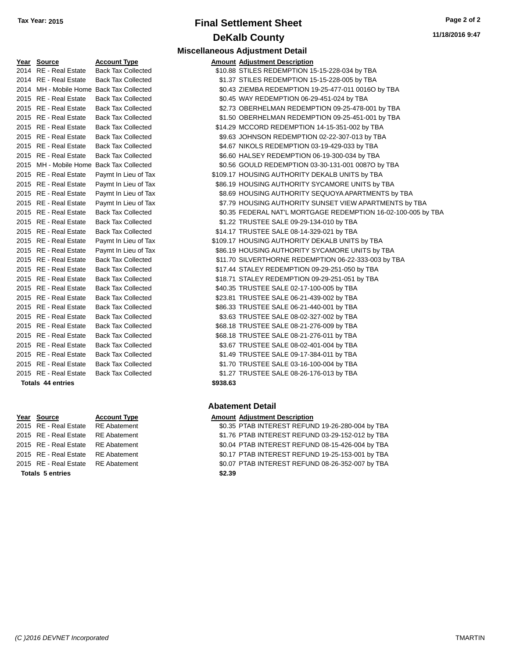## **Final Settlement Sheet Tax Year: 2015 Page 2 of 2 DeKalb County Miscellaneous Adjustment Detail**

| Year | <b>Source</b>            | <b>Account Type</b>                 | <u>Amount</u> |
|------|--------------------------|-------------------------------------|---------------|
| 2014 | RE - Real Estate         | <b>Back Tax Collected</b>           | \$10.88       |
|      | 2014 RE - Real Estate    | <b>Back Tax Collected</b>           | \$1.37        |
| 2014 |                          | MH - Mobile Home Back Tax Collected | \$0.43        |
| 2015 | <b>RE</b> - Real Estate  | <b>Back Tax Collected</b>           | \$0.45        |
| 2015 | RE - Real Estate         | <b>Back Tax Collected</b>           | \$2.73        |
| 2015 | <b>RE</b> - Real Estate  | <b>Back Tax Collected</b>           | \$1.50        |
| 2015 | <b>RE</b> - Real Estate  | <b>Back Tax Collected</b>           | \$14.29       |
| 2015 | <b>RE</b> - Real Estate  | <b>Back Tax Collected</b>           | \$9.63        |
| 2015 | <b>RE</b> - Real Estate  | <b>Back Tax Collected</b>           | \$4.67        |
| 2015 | RE - Real Estate         | <b>Back Tax Collected</b>           | \$6.60        |
| 2015 |                          | MH - Mobile Home Back Tax Collected | \$0.56        |
| 2015 | <b>RE</b> - Real Estate  | Paymt In Lieu of Tax                | \$109.17      |
| 2015 | <b>RE</b> - Real Estate  | Paymt In Lieu of Tax                | \$86.19       |
| 2015 | <b>RE</b> - Real Estate  | Paymt In Lieu of Tax                | \$8.69        |
| 2015 | RE - Real Estate         | Paymt In Lieu of Tax                | \$7.79        |
| 2015 | <b>RE</b> - Real Estate  | <b>Back Tax Collected</b>           | \$0.35        |
| 2015 | <b>RE</b> - Real Estate  | <b>Back Tax Collected</b>           | \$1.22        |
| 2015 | <b>RE</b> - Real Estate  | <b>Back Tax Collected</b>           | \$14.17       |
|      | 2015 RE - Real Estate    | Paymt In Lieu of Tax                | \$109.17      |
| 2015 | RE - Real Estate         | Paymt In Lieu of Tax                | \$86.19       |
| 2015 | RE - Real Estate         | <b>Back Tax Collected</b>           | \$11.70       |
| 2015 | RE - Real Estate         | <b>Back Tax Collected</b>           | \$17.44       |
| 2015 | RE - Real Estate         | <b>Back Tax Collected</b>           | \$18.71       |
| 2015 | <b>RE</b> - Real Estate  | <b>Back Tax Collected</b>           | \$40.35       |
| 2015 | <b>RE</b> - Real Estate  | <b>Back Tax Collected</b>           | \$23.81       |
| 2015 | <b>RE</b> - Real Estate  | <b>Back Tax Collected</b>           | \$86.33       |
| 2015 | <b>RE</b> - Real Estate  | <b>Back Tax Collected</b>           | \$3.63        |
| 2015 | <b>RE</b> - Real Estate  | <b>Back Tax Collected</b>           | \$68.18       |
| 2015 | <b>RE</b> - Real Estate  | <b>Back Tax Collected</b>           | \$68.18       |
|      | 2015 RE - Real Estate    | <b>Back Tax Collected</b>           | \$3.67        |
|      | 2015 RE - Real Estate    | <b>Back Tax Collected</b>           | \$1.49        |
| 2015 | <b>RE</b> - Real Estate  | <b>Back Tax Collected</b>           | \$1.70        |
| 2015 | <b>RE</b> - Real Estate  | <b>Back Tax Collected</b>           | \$1.27        |
|      | <b>Totals 44 entries</b> |                                     | \$938.63      |

| <b>Totals 5 entries</b>            | \$2.39 |
|------------------------------------|--------|
| 2015 RE - Real Estate RE Abatement | \$0.07 |
| 2015 RE - Real Estate RE Abatement | \$0.17 |
| 2015 RE - Real Estate RE Abatement | \$0.04 |
| 2015 RE - Real Estate RE Abatement | \$1.76 |
| 2015 RE - Real Estate RE Abatement | \$0.35 |

#### **Type Amount Adjustment Description** Collected  $$10.88$  STILES REDEMPTION 15-15-228-034 by TBA Collected  $$1.37$  STILES REDEMPTION 15-15-228-005 by TBA 2014 Collected S0.43 ZIEMBA REDEMPTION 19-25-477-011 0016O by TBA 2016 Collected **2016 REAL ESTATE SOLAS WAY REDEMPTION 06-29-451-024 by TBA** Collected **2.73 OBERHELMAN REDEMPTION 09-25-478-001 by TBA** 2016 Collected **31.50 OBERHELMAN REDEMPTION 09-25-451-001 by TBA** 20 Collected \$14.29 MCCORD REDEMPTION 14-15-351-002 by TBA Collected **39.63 JOHNSON REDEMPTION 02-22-307-013 by TBA** Collected  $$4.67$  NIKOLS REDEMPTION 03-19-429-033 by TBA 26.60 HALSEY REDEMPTION 06-19-300-034 by TBA 2016 Collected \$0.56 GOULD REDEMPTION 03-30-131-001 0087O by TBA Lieu of Tax  $$109.17$  HOUSING AUTHORITY DEKALB UNITS by TBA Lieu of Tax  $$86.19$  HOUSING AUTHORITY SYCAMORE UNITS by TBA Lieu of Tax **2016 Real Estate State State State State State State State State State In Lieu of Tax** Lieu of Tax **2016 Real Estate STATE STATE STATE STATE STATE IN LIGATE STATE IN LIGATE STATE IN LIGATE STATE IN L** 2016 Collected  $$0.35$  FEDERAL NAT'L MORTGAGE REDEMPTION 16-02-100-005 by TBA Collected **\$1.22 TRUSTEE SALE 09-29-134-010 by TBA** 2016 Collected \$14.17 TRUSTEE SALE 08-14-329-021 by TBA Lieu of Tax  $$109.17$  HOUSING AUTHORITY DEKALB UNITS by TBA Lieu of Tax  $$86.19$  HOUSING AUTHORITY SYCAMORE UNITS by TBA Collected \$11.70 SILVERTHORNE REDEMPTION 06-22-333-003 by TBA 2016 Collected  $$17.44$  STALEY REDEMPTION 09-29-251-050 by TBA 2016 Collected S18.71 STALEY REDEMPTION 09-29-251-051 by TBA 2016 Collected \$40.35 TRUSTEE SALE 02-17-100-005 by TBA Collected **2015 823.81 TRUSTEE SALE 06-21-439-002 by TBA** 2016 Collected - \$86.33 TRUSTEE SALE 06-21-440-001 by TBA 2016 Collected \$3.63 TRUSTEE SALE 08-02-327-002 by TBA 2016 Collected S68.18 TRUSTEE SALE 08-21-276-009 by TBA 2016 Collected S68.18 TRUSTEE SALE 08-21-276-011 by TBA 2016 Collected \$3.67 TRUSTEE SALE 08-02-401-004 by TBA 2016 Collected \$1.49 TRUSTEE SALE 09-17-384-011 by TBA 2016 Collected **2016 REAL ESTATE SALE 03-16-100-004 by TBA** 2016 Collected **2016 REAL ESTATE SALE 08-26-176-013 by TBA**

#### **Abatement Detail**

#### **Year Source Account Type Amount Adjustment Description**

RE Abatement **2015 REAL ESTATE INTEREST REFUND 19-26-280-004 by TBA** RE Abatement RE Abatement **2016 CHAB INTEREST REFUND 03-29-152-012 by TBA** RE Abatement RE Abatement **2015 80.04 PTAB INTEREST REFUND 08-15-426-004 by TBA** RE Abatement The S0.17 PTAB INTEREST REFUND 19-25-153-001 by TBA RE Abatement The Solo7 PTAB INTEREST REFUND 08-26-352-007 by TBA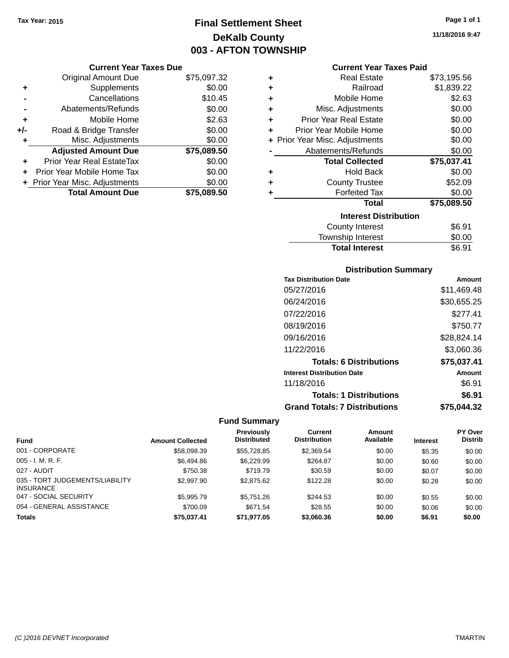## **Final Settlement Sheet Tax Year: 2015 Page 1 of 1 DeKalb County 003 - AFTON TOWNSHIP**

#### **Current Year Taxes Due**

|       | <b>Original Amount Due</b>       | \$75,097.32 |
|-------|----------------------------------|-------------|
| ٠     | Supplements                      | \$0.00      |
|       | Cancellations                    | \$10.45     |
|       | Abatements/Refunds               | \$0.00      |
| ٠     | Mobile Home                      | \$2.63      |
| $+/-$ | Road & Bridge Transfer           | \$0.00      |
| ٠     | Misc. Adjustments                | \$0.00      |
|       | <b>Adjusted Amount Due</b>       | \$75,089.50 |
| ÷     | <b>Prior Year Real EstateTax</b> | \$0.00      |
|       | Prior Year Mobile Home Tax       | \$0.00      |
|       | + Prior Year Misc. Adjustments   | \$0.00      |
|       | <b>Total Amount Due</b>          | \$75,089,50 |

#### **Current Year Taxes Paid**

| ٠ | Real Estate                    | \$73,195.56 |
|---|--------------------------------|-------------|
| ٠ | Railroad                       | \$1,839.22  |
| ٠ | Mobile Home                    | \$2.63      |
| ٠ | Misc. Adjustments              | \$0.00      |
| ٠ | Prior Year Real Estate         | \$0.00      |
| ÷ | Prior Year Mobile Home         | \$0.00      |
|   | + Prior Year Misc. Adjustments | \$0.00      |
|   | Abatements/Refunds             | \$0.00      |
|   | <b>Total Collected</b>         | \$75,037.41 |
| ٠ | <b>Hold Back</b>               | \$0.00      |
| ٠ | <b>County Trustee</b>          | \$52.09     |
| ٠ | <b>Forfeited Tax</b>           | \$0.00      |
|   | <b>Total</b>                   | \$75,089.50 |
|   | <b>Interest Distribution</b>   |             |
|   | <b>County Interest</b>         | \$6.91      |
|   | <b>Township Interest</b>       | \$0.00      |
|   | <b>Total Interest</b>          | \$6.91      |

#### **Distribution Summary**

| <b>Tax Distribution Date</b>         | Amount      |
|--------------------------------------|-------------|
| 05/27/2016                           | \$11,469.48 |
| 06/24/2016                           | \$30,655.25 |
| 07/22/2016                           | \$277.41    |
| 08/19/2016                           | \$750.77    |
| 09/16/2016                           | \$28,824.14 |
| 11/22/2016                           | \$3,060.36  |
| <b>Totals: 6 Distributions</b>       | \$75,037.41 |
| <b>Interest Distribution Date</b>    | Amount      |
| 11/18/2016                           | \$6.91      |
| <b>Totals: 1 Distributions</b>       | \$6.91      |
| <b>Grand Totals: 7 Distributions</b> | \$75.044.32 |

### **Fund Summary**

|                                                     |                         | <b>Previously</b>  | Current             | Amount    |                 | <b>PY Over</b> |
|-----------------------------------------------------|-------------------------|--------------------|---------------------|-----------|-----------------|----------------|
| <b>Fund</b>                                         | <b>Amount Collected</b> | <b>Distributed</b> | <b>Distribution</b> | Available | <b>Interest</b> | <b>Distrib</b> |
| 001 - CORPORATE                                     | \$58,098.39             | \$55.728.85        | \$2,369.54          | \$0.00    | \$5.35          | \$0.00         |
| $005 - I. M. R. F.$                                 | \$6,494.86              | \$6,229.99         | \$264.87            | \$0.00    | \$0.60          | \$0.00         |
| 027 - AUDIT                                         | \$750.38                | \$719.79           | \$30.59             | \$0.00    | \$0.07          | \$0.00         |
| 035 - TORT JUDGEMENTS/LIABILITY<br><b>INSURANCE</b> | \$2,997.90              | \$2,875.62         | \$122.28            | \$0.00    | \$0.28          | \$0.00         |
| 047 - SOCIAL SECURITY                               | \$5,995.79              | \$5.751.26         | \$244.53            | \$0.00    | \$0.55          | \$0.00         |
| 054 - GENERAL ASSISTANCE                            | \$700.09                | \$671.54           | \$28.55             | \$0.00    | \$0.06          | \$0.00         |
| <b>Totals</b>                                       | \$75.037.41             | \$71,977.05        | \$3,060.36          | \$0.00    | \$6.91          | \$0.00         |

**11/18/2016 9:47**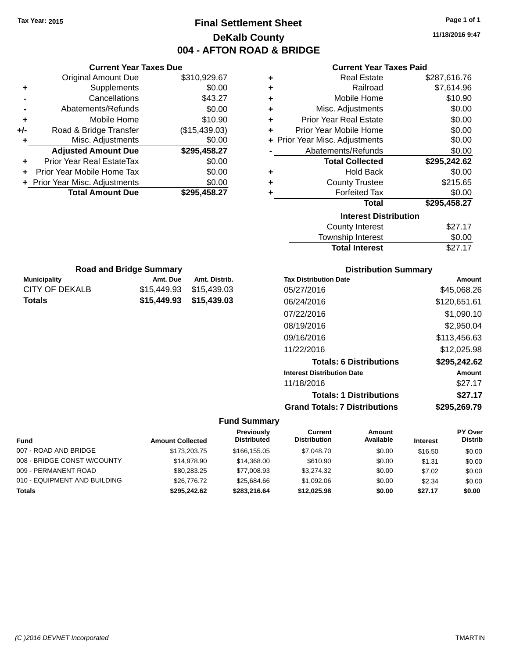## **Final Settlement Sheet Tax Year: 2015 Page 1 of 1 DeKalb County 004 - AFTON ROAD & BRIDGE**

**11/18/2016 9:47**

|       | <b>Current Year Taxes Due</b>  |               |
|-------|--------------------------------|---------------|
|       | <b>Original Amount Due</b>     | \$310,929.67  |
| ٠     | Supplements                    | \$0.00        |
|       | Cancellations                  | \$43.27       |
|       | Abatements/Refunds             | \$0.00        |
| ٠     | Mobile Home                    | \$10.90       |
| $+/-$ | Road & Bridge Transfer         | (\$15,439.03) |
| ٠     | Misc. Adjustments              | \$0.00        |
|       | <b>Adjusted Amount Due</b>     | \$295,458.27  |
| ٠     | Prior Year Real EstateTax      | \$0.00        |
|       | Prior Year Mobile Home Tax     | \$0.00        |
|       | + Prior Year Misc. Adjustments | \$0.00        |
|       | <b>Total Amount Due</b>        | \$295.458.27  |

**Municipality Municipality** Amt. Due Amt. Distrib. **Road and Bridge Summary**

CITY OF DEKALB \$15,449.93 \$15,439.03 **Totals \$15,449.93 \$15,439.03**

#### **Current Year Taxes Paid**

| ٠ | <b>Real Estate</b>             | \$287,616.76 |
|---|--------------------------------|--------------|
| ÷ | Railroad                       | \$7,614.96   |
| ÷ | Mobile Home                    | \$10.90      |
| ٠ | Misc. Adjustments              | \$0.00       |
| ÷ | <b>Prior Year Real Estate</b>  | \$0.00       |
| ٠ | Prior Year Mobile Home         | \$0.00       |
|   | + Prior Year Misc. Adjustments | \$0.00       |
|   | Abatements/Refunds             | \$0.00       |
|   | <b>Total Collected</b>         | \$295,242.62 |
| ٠ | <b>Hold Back</b>               | \$0.00       |
| ÷ | <b>County Trustee</b>          | \$215.65     |
| ٠ | <b>Forfeited Tax</b>           | \$0.00       |
|   | <b>Total</b>                   | \$295,458.27 |
|   | <b>Interest Distribution</b>   |              |
|   |                                |              |
|   | <b>County Interest</b>         | \$27.17      |

## Township Interest \$0.00 Total Interest \$27.17

| <b>Distribution Summary</b>          |              |
|--------------------------------------|--------------|
| <b>Tax Distribution Date</b>         | Amount       |
| 05/27/2016                           | \$45,068.26  |
| 06/24/2016                           | \$120,651.61 |
| 07/22/2016                           | \$1,090.10   |
| 08/19/2016                           | \$2,950.04   |
| 09/16/2016                           | \$113,456.63 |
| 11/22/2016                           | \$12,025.98  |
| <b>Totals: 6 Distributions</b>       | \$295,242.62 |
| <b>Interest Distribution Date</b>    | Amount       |
| 11/18/2016                           | \$27.17      |
| <b>Totals: 1 Distributions</b>       | \$27.17      |
| <b>Grand Totals: 7 Distributions</b> | \$295.269.79 |

| <b>Fund</b>                  | <b>Amount Collected</b> | Previously<br><b>Distributed</b> | Current<br><b>Distribution</b> | Amount<br>Available | <b>Interest</b> | <b>PY Over</b><br><b>Distrib</b> |
|------------------------------|-------------------------|----------------------------------|--------------------------------|---------------------|-----------------|----------------------------------|
| 007 - ROAD AND BRIDGE        | \$173,203.75            | \$166,155,05                     | \$7,048.70                     | \$0.00              | \$16.50         | \$0.00                           |
| 008 - BRIDGE CONST W/COUNTY  | \$14.978.90             | \$14,368,00                      | \$610.90                       | \$0.00              | \$1.31          | \$0.00                           |
| 009 - PERMANENT ROAD         | \$80.283.25             | \$77,008.93                      | \$3,274,32                     | \$0.00              | \$7.02          | \$0.00                           |
| 010 - EQUIPMENT AND BUILDING | \$26,776.72             | \$25,684,66                      | \$1,092.06                     | \$0.00              | \$2.34          | \$0.00                           |
| <b>Totals</b>                | \$295.242.62            | \$283,216.64                     | \$12,025.98                    | \$0.00              | \$27.17         | \$0.00                           |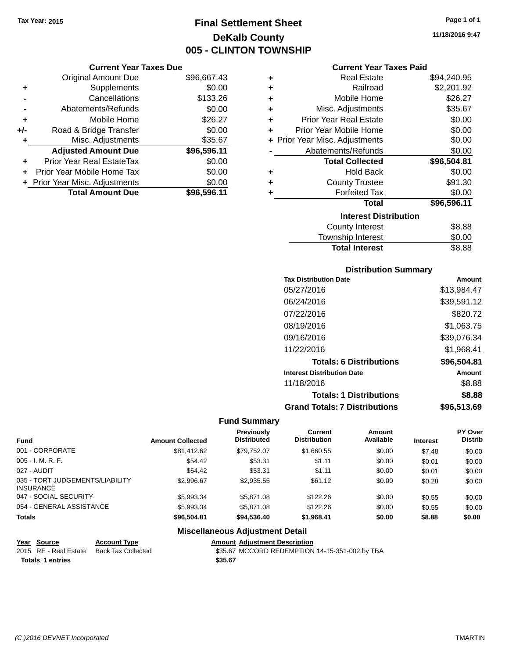## **Final Settlement Sheet Tax Year: 2015 Page 1 of 1 DeKalb County 005 - CLINTON TOWNSHIP**

**Current Year Taxes Due**

|     | <b>Original Amount Due</b>       | \$96,667.43 |
|-----|----------------------------------|-------------|
| ٠   | Supplements                      | \$0.00      |
|     | Cancellations                    | \$133.26    |
|     | Abatements/Refunds               | \$0.00      |
| ٠   | Mobile Home                      | \$26.27     |
| +/- | Road & Bridge Transfer           | \$0.00      |
| ٠   | Misc. Adjustments                | \$35.67     |
|     | <b>Adjusted Amount Due</b>       | \$96,596.11 |
| ÷   | <b>Prior Year Real EstateTax</b> | \$0.00      |
|     | Prior Year Mobile Home Tax       | \$0.00      |
|     | + Prior Year Misc. Adjustments   | \$0.00      |
|     | <b>Total Amount Due</b>          | \$96,596.11 |

| <b>Current Year Taxes Paid</b> |  |  |  |
|--------------------------------|--|--|--|
|--------------------------------|--|--|--|

| ٠ | <b>Real Estate</b>             | \$94,240.95 |
|---|--------------------------------|-------------|
| ÷ | Railroad                       | \$2,201.92  |
| ÷ | Mobile Home                    | \$26.27     |
| ÷ | Misc. Adjustments              | \$35.67     |
| ÷ | Prior Year Real Estate         | \$0.00      |
| ÷ | Prior Year Mobile Home         | \$0.00      |
|   | + Prior Year Misc. Adjustments | \$0.00      |
|   | Abatements/Refunds             | \$0.00      |
|   | <b>Total Collected</b>         | \$96,504.81 |
| ÷ | <b>Hold Back</b>               | \$0.00      |
| ÷ | <b>County Trustee</b>          | \$91.30     |
| ÷ | <b>Forfeited Tax</b>           | \$0.00      |
|   | Total                          | \$96,596.11 |
|   | <b>Interest Distribution</b>   |             |
|   | <b>County Interest</b>         | \$8.88      |
|   | <b>Township Interest</b>       | \$0.00      |
|   | <b>Total Interest</b>          | \$8.88      |

#### **Distribution Summary**

| <b>Tax Distribution Date</b>         | Amount      |
|--------------------------------------|-------------|
| 05/27/2016                           | \$13.984.47 |
| 06/24/2016                           | \$39,591.12 |
| 07/22/2016                           | \$820.72    |
| 08/19/2016                           | \$1,063.75  |
| 09/16/2016                           | \$39,076.34 |
| 11/22/2016                           | \$1,968.41  |
| <b>Totals: 6 Distributions</b>       | \$96,504.81 |
| <b>Interest Distribution Date</b>    | Amount      |
| 11/18/2016                           | \$8.88      |
| <b>Totals: 1 Distributions</b>       | \$8.88      |
| <b>Grand Totals: 7 Distributions</b> | \$96,513.69 |

### **Fund Summary**

|                                                     |                         | <b>Previously</b>  | <b>Current</b>      | Amount    |                 | PY Over        |
|-----------------------------------------------------|-------------------------|--------------------|---------------------|-----------|-----------------|----------------|
| <b>Fund</b>                                         | <b>Amount Collected</b> | <b>Distributed</b> | <b>Distribution</b> | Available | <b>Interest</b> | <b>Distrib</b> |
| 001 - CORPORATE                                     | \$81.412.62             | \$79.752.07        | \$1,660.55          | \$0.00    | \$7.48          | \$0.00         |
| $005 - I. M. R. F.$                                 | \$54.42                 | \$53.31            | \$1.11              | \$0.00    | \$0.01          | \$0.00         |
| 027 - AUDIT                                         | \$54.42                 | \$53.31            | \$1.11              | \$0.00    | \$0.01          | \$0.00         |
| 035 - TORT JUDGEMENTS/LIABILITY<br><b>INSURANCE</b> | \$2.996.67              | \$2,935.55         | \$61.12             | \$0.00    | \$0.28          | \$0.00         |
| 047 - SOCIAL SECURITY                               | \$5,993.34              | \$5.871.08         | \$122.26            | \$0.00    | \$0.55          | \$0.00         |
| 054 - GENERAL ASSISTANCE                            | \$5,993.34              | \$5.871.08         | \$122.26            | \$0.00    | \$0.55          | \$0.00         |
| <b>Totals</b>                                       | \$96,504.81             | \$94,536.40        | \$1,968.41          | \$0.00    | \$8.88          | \$0.00         |

| Year Source             | <b>Account Type</b>                      |         | <b>Amount Adiustment Description</b>           |
|-------------------------|------------------------------------------|---------|------------------------------------------------|
|                         | 2015 RE - Real Estate Back Tax Collected |         | \$35.67 MCCORD REDEMPTION 14-15-351-002 by TBA |
| <b>Totals 1 entries</b> |                                          | \$35.67 |                                                |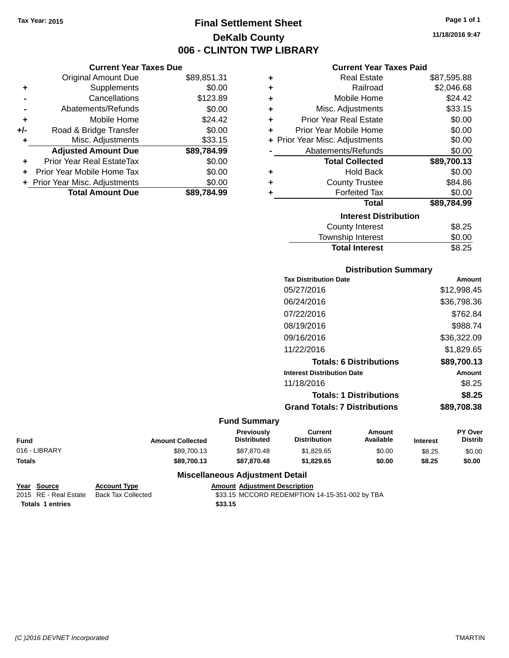## **Final Settlement Sheet Tax Year: 2015 Page 1 of 1 DeKalb County 006 - CLINTON TWP LIBRARY**

**11/18/2016 9:47**

#### **Current Year Taxes Paid**

|     | <b>Original Amount Due</b>       | \$89,851.31 | ٠ | <b>Real Estate</b>             | \$87,595.88 |
|-----|----------------------------------|-------------|---|--------------------------------|-------------|
| ٠   | Supplements                      | \$0.00      | ٠ | Railroad                       | \$2,046.68  |
|     | Cancellations                    | \$123.89    |   | Mobile Home                    | \$24.42     |
|     | Abatements/Refunds               | \$0.00      | ٠ | Misc. Adjustments              | \$33.15     |
| ٠   | Mobile Home                      | \$24.42     | ٠ | <b>Prior Year Real Estate</b>  | \$0.00      |
| +/- | Road & Bridge Transfer           | \$0.00      |   | Prior Year Mobile Home         | \$0.00      |
| ٠   | Misc. Adjustments                | \$33.15     |   | + Prior Year Misc. Adjustments | \$0.00      |
|     | <b>Adjusted Amount Due</b>       | \$89,784.99 |   | Abatements/Refunds             | \$0.00      |
| ٠   | <b>Prior Year Real EstateTax</b> | \$0.00      |   | <b>Total Collected</b>         | \$89,700.13 |
| ÷.  | Prior Year Mobile Home Tax       | \$0.00      | ٠ | <b>Hold Back</b>               | \$0.00      |
|     | + Prior Year Misc. Adjustments   | \$0.00      |   | <b>County Trustee</b>          | \$84.86     |
|     | <b>Total Amount Due</b>          | \$89,784.99 |   | <b>Forfeited Tax</b>           | \$0.00      |
|     |                                  |             |   | <b>Total</b>                   | \$89,784.99 |
|     |                                  |             |   | <b>Interest Distribution</b>   |             |
|     |                                  |             |   | <b>County Interest</b>         | \$8.25      |
|     |                                  |             |   |                                | $\cdots$    |

### $$8.25$ Township Interest \$0.00 **Total Interest** \$8.25

#### **Distribution Summary**

| <b>Tax Distribution Date</b>         | Amount      |
|--------------------------------------|-------------|
| 05/27/2016                           | \$12,998.45 |
| 06/24/2016                           | \$36,798.36 |
| 07/22/2016                           | \$762.84    |
| 08/19/2016                           | \$988.74    |
| 09/16/2016                           | \$36,322.09 |
| 11/22/2016                           | \$1.829.65  |
| <b>Totals: 6 Distributions</b>       | \$89,700.13 |
| <b>Interest Distribution Date</b>    | Amount      |
| 11/18/2016                           | \$8.25      |
| <b>Totals: 1 Distributions</b>       | \$8.25      |
| <b>Grand Totals: 7 Distributions</b> | \$89,708.38 |
|                                      |             |

#### **Fund Summary**

| <b>Fund</b>   | <b>Amount Collected</b> | <b>Previously</b><br><b>Distributed</b> | Current<br><b>Distribution</b> | Amount<br>Available | <b>Interest</b> | PY Over<br>Distrib |
|---------------|-------------------------|-----------------------------------------|--------------------------------|---------------------|-----------------|--------------------|
| 016 - LIBRARY | \$89,700.13             | \$87.870.48                             | \$1.829.65                     | \$0.00              | \$8.25          | \$0.00             |
| <b>Totals</b> | \$89,700,13             | \$87.870.48                             | \$1,829.65                     | \$0.00              | \$8.25          | \$0.00             |

#### **Miscellaneous Adjustment Detail**

**Year Source Account Type Amount Adjustment Description Totals \$33.15 1 entries**

**Current Year Taxes Due** Original Amount Due \$89,851

\$33.15 MCCORD REDEMPTION 14-15-351-002 by TBA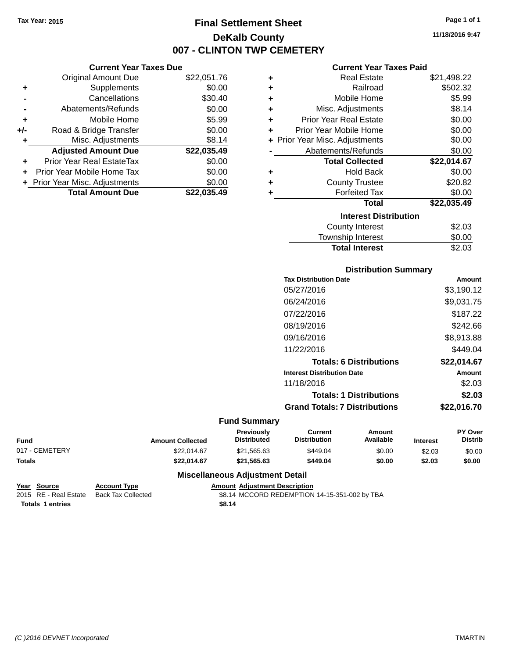## **Final Settlement Sheet Tax Year: 2015 Page 1 of 1 DeKalb County 007 - CLINTON TWP CEMETERY**

**11/18/2016 9:47**

#### **Current Year Taxes Paid**

|     | <b>Current Year Taxes Due</b>    |             |
|-----|----------------------------------|-------------|
|     | <b>Original Amount Due</b>       | \$22,051.76 |
| ٠   | Supplements                      | \$0.00      |
|     | Cancellations                    | \$30.40     |
|     | Abatements/Refunds               | \$0.00      |
| ٠   | Mobile Home                      | \$5.99      |
| +/- | Road & Bridge Transfer           | \$0.00      |
| ٠   | Misc. Adjustments                | \$8.14      |
|     | <b>Adjusted Amount Due</b>       | \$22,035.49 |
| ٠   | <b>Prior Year Real EstateTax</b> | \$0.00      |
| ÷   | Prior Year Mobile Home Tax       | \$0.00      |
|     | + Prior Year Misc. Adjustments   | \$0.00      |
|     | <b>Total Amount Due</b>          | \$22.035.49 |

| ٠ | <b>Real Estate</b>             | \$21,498.22 |
|---|--------------------------------|-------------|
| ÷ | Railroad                       | \$502.32    |
| ÷ | Mobile Home                    | \$5.99      |
| ٠ | Misc. Adjustments              | \$8.14      |
| ٠ | Prior Year Real Estate         | \$0.00      |
| ÷ | Prior Year Mobile Home         | \$0.00      |
|   | + Prior Year Misc. Adjustments | \$0.00      |
|   | Abatements/Refunds             | \$0.00      |
|   | <b>Total Collected</b>         | \$22,014.67 |
| ٠ | <b>Hold Back</b>               | \$0.00      |
| ٠ | <b>County Trustee</b>          | \$20.82     |
| ٠ | <b>Forfeited Tax</b>           | \$0.00      |
|   | <b>Total</b>                   | \$22,035.49 |
|   | <b>Interest Distribution</b>   |             |
|   | <b>County Interest</b>         | \$2.03      |
|   | <b>Township Interest</b>       | \$0.00      |
|   | <b>Total Interest</b>          | \$2.03      |

| <b>Distribution Summary</b>          |             |
|--------------------------------------|-------------|
| <b>Tax Distribution Date</b>         | Amount      |
| 05/27/2016                           | \$3,190.12  |
| 06/24/2016                           | \$9,031.75  |
| 07/22/2016                           | \$187.22    |
| 08/19/2016                           | \$242.66    |
| 09/16/2016                           | \$8,913.88  |
| 11/22/2016                           | \$449.04    |
| <b>Totals: 6 Distributions</b>       | \$22,014.67 |
| <b>Interest Distribution Date</b>    | Amount      |
| 11/18/2016                           | \$2.03      |
| <b>Totals: 1 Distributions</b>       | \$2.03      |
| <b>Grand Totals: 7 Distributions</b> | \$22,016.70 |

#### **Fund Summary**

| <b>Fund</b>    | <b>Amount Collected</b> | <b>Previously</b><br><b>Distributed</b> | Current<br><b>Distribution</b> | Amount<br>Available | <b>Interest</b> | <b>PY Over</b><br>Distrib |
|----------------|-------------------------|-----------------------------------------|--------------------------------|---------------------|-----------------|---------------------------|
| 017 - CEMETERY | \$22.014.67             | \$21.565.63                             | \$449.04                       | \$0.00              | \$2.03          | \$0.00                    |
| <b>Totals</b>  | \$22.014.67             | \$21,565.63                             | \$449.04                       | \$0.00              | \$2.03          | \$0.00                    |

#### **Miscellaneous Adjustment Detail**

| Year Source           | <b>Account Type</b> | Amount |
|-----------------------|---------------------|--------|
| 2015 RE - Real Estate | Back Tax Collected  | \$8.14 |
| Totals 1 entries      |                     | \$8.14 |

**Peart Source Account Adjustment Description** 2015 2016 Real Estate MCCORD REDEMPTION 14-15-351-002 by TBA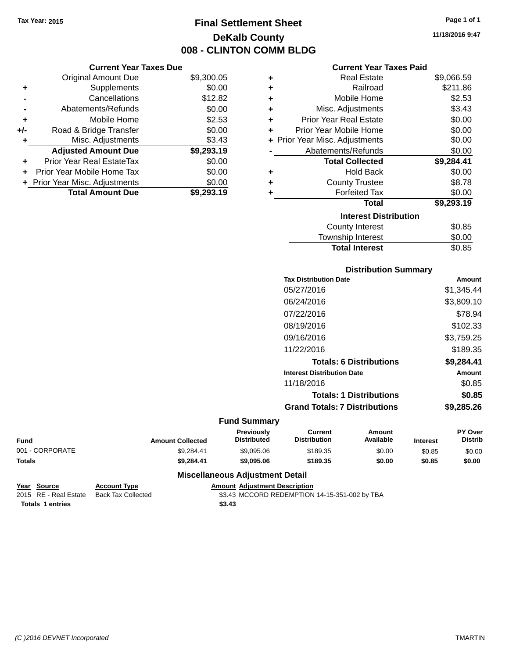## **Final Settlement Sheet Tax Year: 2015 Page 1 of 1 DeKalb County 008 - CLINTON COMM BLDG**

**11/18/2016 9:47**

#### **Current Year Taxes Paid**

|     | <b>Current Year Taxes Due</b>  |            |   |                   |
|-----|--------------------------------|------------|---|-------------------|
|     | Original Amount Due            | \$9,300.05 |   |                   |
|     | Supplements                    | \$0.00     |   |                   |
|     | Cancellations                  | \$12.82    |   |                   |
|     | Abatements/Refunds             | \$0.00     | ٠ | Misc              |
|     | Mobile Home                    | \$2.53     |   | <b>Prior Yea</b>  |
| +/- | Road & Bridge Transfer         | \$0.00     |   | <b>Prior Year</b> |
|     | Misc. Adjustments              | \$3.43     |   | + Prior Year Misc |
|     | <b>Adjusted Amount Due</b>     | \$9,293.19 |   | Abatem            |
|     | Prior Year Real EstateTax      | \$0.00     |   | To                |
|     | Prior Year Mobile Home Tax     | \$0.00     |   |                   |
|     | + Prior Year Misc. Adjustments | \$0.00     |   |                   |
|     | <b>Total Amount Due</b>        | \$9,293.19 |   |                   |
|     |                                |            |   |                   |

| ٠ | <b>Real Estate</b>             | \$9,066.59 |
|---|--------------------------------|------------|
| ٠ | Railroad                       | \$211.86   |
| ÷ | Mobile Home                    | \$2.53     |
| ٠ | Misc. Adjustments              | \$3.43     |
| ٠ | <b>Prior Year Real Estate</b>  | \$0.00     |
| ٠ | Prior Year Mobile Home         | \$0.00     |
|   | + Prior Year Misc. Adjustments | \$0.00     |
|   | Abatements/Refunds             | \$0.00     |
|   | <b>Total Collected</b>         | \$9,284.41 |
| ٠ | Hold Back                      | \$0.00     |
| ٠ | <b>County Trustee</b>          | \$8.78     |
| ٠ | <b>Forfeited Tax</b>           | \$0.00     |
|   | <b>Total</b>                   | \$9,293.19 |
|   | <b>Interest Distribution</b>   |            |
|   | County Interest                | \$0.85     |
|   | <b>Township Interest</b>       | \$0.00     |
|   | <b>Total Interest</b>          | \$0.85     |

## **Distribution Summary**

| <b>Tax Distribution Date</b>         | Amount     |
|--------------------------------------|------------|
| 05/27/2016                           | \$1,345.44 |
| 06/24/2016                           | \$3,809.10 |
| 07/22/2016                           | \$78.94    |
| 08/19/2016                           | \$102.33   |
| 09/16/2016                           | \$3,759.25 |
| 11/22/2016                           | \$189.35   |
| <b>Totals: 6 Distributions</b>       | \$9.284.41 |
| <b>Interest Distribution Date</b>    | Amount     |
| 11/18/2016                           | \$0.85     |
| <b>Totals: 1 Distributions</b>       | \$0.85     |
| <b>Grand Totals: 7 Distributions</b> | \$9,285.26 |
|                                      |            |

#### **Fund Summary**

| <b>Fund</b>     | <b>Amount Collected</b> | <b>Previously</b><br><b>Distributed</b> | Current<br><b>Distribution</b> | Amount<br>Available | <b>Interest</b> | PY Over<br>Distrib |
|-----------------|-------------------------|-----------------------------------------|--------------------------------|---------------------|-----------------|--------------------|
| 001 - CORPORATE | \$9.284.41              | \$9.095.06                              | \$189.35                       | \$0.00              | \$0.85          | \$0.00             |
| <b>Totals</b>   | \$9.284.41              | \$9,095.06                              | \$189.35                       | \$0.00              | \$0.85          | \$0.00             |

```
Year Source Account Type Amount Adjustment Description
                                    $3.43 MCCORD REDEMPTION 14-15-351-002 by TBA
Totals $3.43 1 entries
```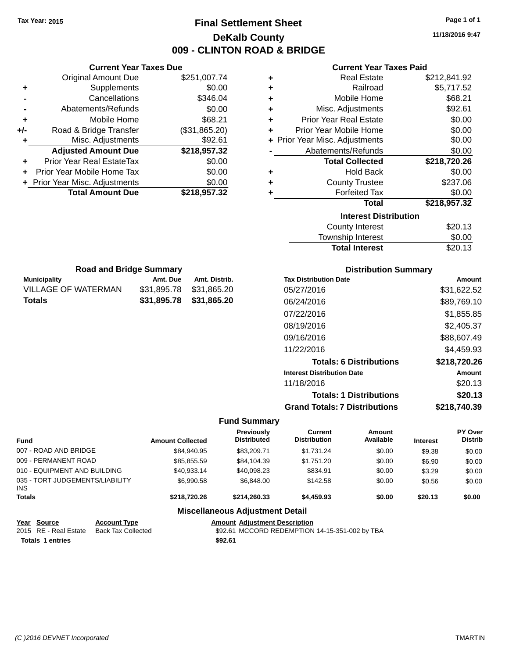## **Final Settlement Sheet Tax Year: 2015 Page 1 of 1 DeKalb County 009 - CLINTON ROAD & BRIDGE**

**11/18/2016 9:47**

#### **Current Year Taxes Paid**

|     | <b>Current Year Taxes Due</b>  |               |
|-----|--------------------------------|---------------|
|     | <b>Original Amount Due</b>     | \$251,007.74  |
| ٠   | Supplements                    | \$0.00        |
|     | Cancellations                  | \$346.04      |
|     | Abatements/Refunds             | \$0.00        |
| ٠   | Mobile Home                    | \$68.21       |
| +/- | Road & Bridge Transfer         | (\$31,865.20) |
| ٠   | Misc. Adjustments              | \$92.61       |
|     | <b>Adjusted Amount Due</b>     | \$218,957.32  |
| ٠   | Prior Year Real EstateTax      | \$0.00        |
| ٠   | Prior Year Mobile Home Tax     | \$0.00        |
|     | + Prior Year Misc. Adjustments | \$0.00        |
|     | <b>Total Amount Due</b>        | \$218,957.32  |

**Municipality Municipality** Amt. Due Amt. Distrib. **Road and Bridge Summary**

VILLAGE OF WATERMAN \$31,895.78 \$31,865.20 **Totals \$31,895.78 \$31,865.20**

| ٠ | <b>Real Estate</b>             | \$212,841.92 |
|---|--------------------------------|--------------|
| ÷ | Railroad                       | \$5,717.52   |
| ٠ | Mobile Home                    | \$68.21      |
| ٠ | Misc. Adjustments              | \$92.61      |
| ÷ | <b>Prior Year Real Estate</b>  | \$0.00       |
| ٠ | Prior Year Mobile Home         | \$0.00       |
|   | + Prior Year Misc. Adjustments | \$0.00       |
|   | Abatements/Refunds             | \$0.00       |
|   |                                |              |
|   | <b>Total Collected</b>         | \$218,720.26 |
| ٠ | <b>Hold Back</b>               | \$0.00       |
| ٠ | <b>County Trustee</b>          | \$237.06     |
| ٠ | <b>Forfeited Tax</b>           | \$0.00       |
|   | <b>Total</b>                   | \$218,957.32 |
|   | <b>Interest Distribution</b>   |              |
|   | <b>County Interest</b>         | \$20.13      |

| Township Interest     | \$0.00  |
|-----------------------|---------|
| <b>Total Interest</b> | \$20.13 |

| <b>Distribution Summary</b>          |              |
|--------------------------------------|--------------|
| <b>Tax Distribution Date</b>         | Amount       |
| 05/27/2016                           | \$31,622.52  |
| 06/24/2016                           | \$89,769.10  |
| 07/22/2016                           | \$1,855.85   |
| 08/19/2016                           | \$2,405.37   |
| 09/16/2016                           | \$88,607.49  |
| 11/22/2016                           | \$4,459.93   |
| <b>Totals: 6 Distributions</b>       | \$218,720.26 |
| <b>Interest Distribution Date</b>    | Amount       |
| 11/18/2016                           | \$20.13      |
| <b>Totals: 1 Distributions</b>       | \$20.13      |
| <b>Grand Totals: 7 Distributions</b> | \$218.740.39 |

| <b>Fund</b>                             |                           | <b>Amount Collected</b> | Previously<br><b>Distributed</b>       | <b>Current</b><br><b>Distribution</b>          | Amount<br>Available | <b>Interest</b> | <b>PY Over</b><br><b>Distrib</b> |
|-----------------------------------------|---------------------------|-------------------------|----------------------------------------|------------------------------------------------|---------------------|-----------------|----------------------------------|
| 007 - ROAD AND BRIDGE                   |                           | \$84.940.95             | \$83,209.71                            | \$1.731.24                                     | \$0.00              | \$9.38          | \$0.00                           |
| 009 - PERMANENT ROAD                    |                           | \$85,855.59             | \$84,104.39                            | \$1,751.20                                     | \$0.00              | \$6.90          | \$0.00                           |
| 010 - EQUIPMENT AND BUILDING            |                           | \$40.933.14             | \$40.098.23                            | \$834.91                                       | \$0.00              | \$3.29          | \$0.00                           |
| 035 - TORT JUDGEMENTS/LIABILITY<br>INS. |                           | \$6,990.58              | \$6,848,00                             | \$142.58                                       | \$0.00              | \$0.56          | \$0.00                           |
| <b>Totals</b>                           |                           | \$218,720.26            | \$214,260,33                           | \$4,459.93                                     | \$0.00              | \$20.13         | \$0.00                           |
|                                         |                           |                         | <b>Miscellaneous Adjustment Detail</b> |                                                |                     |                 |                                  |
| Source<br>Year                          | <b>Account Type</b>       |                         | <b>Amount Adiustment Description</b>   |                                                |                     |                 |                                  |
| 2015 RE - Real Estate                   | <b>Back Tax Collected</b> |                         |                                        | \$92.61 MCCORD REDEMPTION 14-15-351-002 by TBA |                     |                 |                                  |
| <b>Totals 1 entries</b>                 |                           |                         | \$92.61                                |                                                |                     |                 |                                  |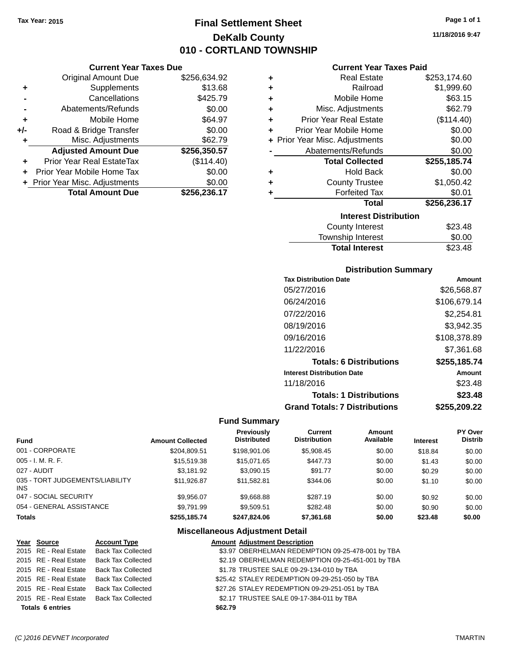## **Final Settlement Sheet Tax Year: 2015 Page 1 of 1 DeKalb County 010 - CORTLAND TOWNSHIP**

#### **Current Year Taxes Due**

|       | <b>Original Amount Due</b>       | \$256,634.92 |
|-------|----------------------------------|--------------|
| ٠     | Supplements                      | \$13.68      |
|       | Cancellations                    | \$425.79     |
|       | Abatements/Refunds               | \$0.00       |
| ٠     | Mobile Home                      | \$64.97      |
| $+/-$ | Road & Bridge Transfer           | \$0.00       |
| ٠     | Misc. Adjustments                | \$62.79      |
|       | <b>Adjusted Amount Due</b>       | \$256,350.57 |
|       | <b>Prior Year Real EstateTax</b> | (\$114.40)   |
|       | Prior Year Mobile Home Tax       | \$0.00       |
|       | + Prior Year Misc. Adjustments   | \$0.00       |
|       | <b>Total Amount Due</b>          | \$256,236.17 |

#### **Current Year Taxes Paid**

| ٠ | Real Estate                    | \$253,174.60 |
|---|--------------------------------|--------------|
| ٠ | Railroad                       | \$1,999.60   |
| ٠ | Mobile Home                    | \$63.15      |
| ٠ | Misc. Adjustments              | \$62.79      |
| ٠ | <b>Prior Year Real Estate</b>  | (\$114.40)   |
| ٠ | Prior Year Mobile Home         | \$0.00       |
|   | + Prior Year Misc. Adjustments | \$0.00       |
|   | Abatements/Refunds             | \$0.00       |
|   | <b>Total Collected</b>         | \$255,185.74 |
| ٠ | Hold Back                      | \$0.00       |
| ٠ | <b>County Trustee</b>          | \$1,050.42   |
| ٠ | <b>Forfeited Tax</b>           | \$0.01       |
|   | <b>Total</b>                   | \$256,236.17 |
|   | <b>Interest Distribution</b>   |              |
|   | <b>County Interest</b>         | \$23.48      |
|   | <b>Township Interest</b>       | \$0.00       |
|   | <b>Total Interest</b>          | \$23.48      |

#### **Distribution Summary**

| <b>Tax Distribution Date</b>         | Amount        |
|--------------------------------------|---------------|
| 05/27/2016                           | \$26,568.87   |
| 06/24/2016                           | \$106,679.14  |
| 07/22/2016                           | \$2,254.81    |
| 08/19/2016                           | \$3,942.35    |
| 09/16/2016                           | \$108,378.89  |
| 11/22/2016                           | \$7.361.68    |
| <b>Totals: 6 Distributions</b>       | \$255,185.74  |
| <b>Interest Distribution Date</b>    | <b>Amount</b> |
| 11/18/2016                           | \$23.48       |
| <b>Totals: 1 Distributions</b>       | \$23.48       |
| <b>Grand Totals: 7 Distributions</b> | \$255.209.22  |

### **Fund Summary**

| <b>Fund</b>                             | <b>Amount Collected</b> | <b>Previously</b><br><b>Distributed</b> | Current<br><b>Distribution</b> | Amount<br>Available | <b>Interest</b> | <b>PY Over</b><br><b>Distrib</b> |
|-----------------------------------------|-------------------------|-----------------------------------------|--------------------------------|---------------------|-----------------|----------------------------------|
| 001 - CORPORATE                         | \$204,809.51            | \$198,901.06                            | \$5,908.45                     | \$0.00              | \$18.84         | \$0.00                           |
| 005 - I. M. R. F.                       | \$15,519.38             | \$15,071.65                             | \$447.73                       | \$0.00              | \$1.43          | \$0.00                           |
| 027 - AUDIT                             | \$3,181.92              | \$3,090.15                              | \$91.77                        | \$0.00              | \$0.29          | \$0.00                           |
| 035 - TORT JUDGEMENTS/LIABILITY<br>INS. | \$11.926.87             | \$11,582.81                             | \$344.06                       | \$0.00              | \$1.10          | \$0.00                           |
| 047 - SOCIAL SECURITY                   | \$9,956.07              | \$9,668.88                              | \$287.19                       | \$0.00              | \$0.92          | \$0.00                           |
| 054 - GENERAL ASSISTANCE                | \$9.791.99              | \$9.509.51                              | \$282.48                       | \$0.00              | \$0.90          | \$0.00                           |
| <b>Totals</b>                           | \$255,185.74            | \$247.824.06                            | \$7,361.68                     | \$0.00              | \$23.48         | \$0.00                           |

|                         | Year Source           | <b>Account Type</b>                      |         | <b>Amount Adjustment Description</b>              |
|-------------------------|-----------------------|------------------------------------------|---------|---------------------------------------------------|
|                         | 2015 RE - Real Estate | <b>Back Tax Collected</b>                |         | \$3.97 OBERHELMAN REDEMPTION 09-25-478-001 by TBA |
|                         | 2015 RE - Real Estate | <b>Back Tax Collected</b>                |         | \$2.19 OBERHELMAN REDEMPTION 09-25-451-001 by TBA |
|                         | 2015 RE - Real Estate | <b>Back Tax Collected</b>                |         | \$1.78 TRUSTEE SALE 09-29-134-010 by TBA          |
|                         | 2015 RE - Real Estate | <b>Back Tax Collected</b>                |         | \$25.42 STALEY REDEMPTION 09-29-251-050 by TBA    |
|                         | 2015 RE - Real Estate | <b>Back Tax Collected</b>                |         | \$27.26 STALEY REDEMPTION 09-29-251-051 by TBA    |
|                         |                       | 2015 RE - Real Estate Back Tax Collected |         | \$2.17 TRUSTEE SALE 09-17-384-011 by TBA          |
| <b>Totals 6 entries</b> |                       |                                          | \$62.79 |                                                   |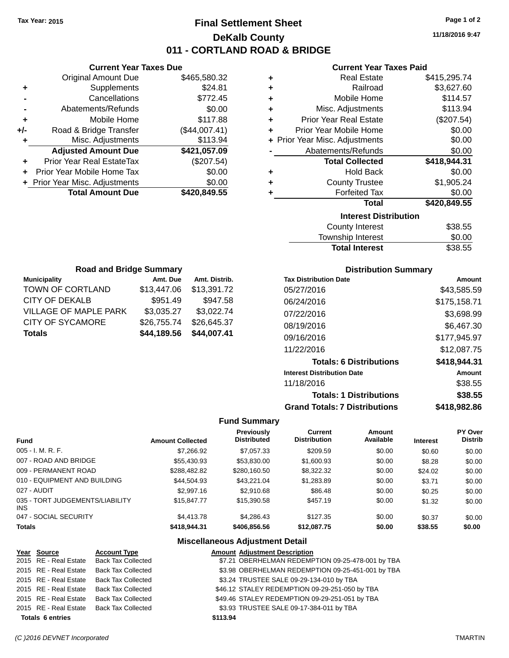## **Final Settlement Sheet Tax Year: 2015 Page 1 of 2 DeKalb County 011 - CORTLAND ROAD & BRIDGE**

**11/18/2016 9:47**

#### **Current Year Taxes Paid**

|       | <b>Current Year Taxes Due</b>  |               |  |  |  |  |
|-------|--------------------------------|---------------|--|--|--|--|
|       | Original Amount Due            | \$465,580.32  |  |  |  |  |
| ٠     | Supplements                    | \$24.81       |  |  |  |  |
|       | Cancellations                  | \$772.45      |  |  |  |  |
|       | Abatements/Refunds             | \$0.00        |  |  |  |  |
| ٠     | Mobile Home                    | \$117.88      |  |  |  |  |
| $+/-$ | Road & Bridge Transfer         | (\$44,007.41) |  |  |  |  |
| ٠     | Misc. Adjustments              | \$113.94      |  |  |  |  |
|       | <b>Adjusted Amount Due</b>     | \$421,057.09  |  |  |  |  |
| ٠     | Prior Year Real EstateTax      | (\$207.54)    |  |  |  |  |
|       | Prior Year Mobile Home Tax     | \$0.00        |  |  |  |  |
|       | + Prior Year Misc. Adjustments | \$0.00        |  |  |  |  |
|       | <b>Total Amount Due</b>        | \$420,849.55  |  |  |  |  |
|       |                                |               |  |  |  |  |

|   | <b>Real Estate</b>             | \$415,295.74 |
|---|--------------------------------|--------------|
| ÷ | Railroad                       | \$3,627.60   |
| ÷ | Mobile Home                    | \$114.57     |
| ٠ | Misc. Adjustments              | \$113.94     |
| ÷ | <b>Prior Year Real Estate</b>  | (\$207.54)   |
| ٠ | Prior Year Mobile Home         | \$0.00       |
|   | + Prior Year Misc. Adjustments | \$0.00       |
|   | Abatements/Refunds             | \$0.00       |
|   | <b>Total Collected</b>         | \$418,944.31 |
| ٠ | <b>Hold Back</b>               | \$0.00       |
| ٠ | <b>County Trustee</b>          | \$1,905.24   |
| ٠ | <b>Forfeited Tax</b>           | \$0.00       |
|   | <b>Total</b>                   | \$420,849.55 |
|   | <b>Interest Distribution</b>   |              |
|   | <b>County Interest</b>         | \$38.55      |
|   |                                |              |

| <b>Total Interest</b> | \$38.55 |
|-----------------------|---------|
| Township Interest     | \$0.00  |
| County Interest       | ააგ.ხხ  |

| <b>Road and Bridge Summary</b> |             |               |  |  |  |
|--------------------------------|-------------|---------------|--|--|--|
| <b>Municipality</b>            | Amt. Due    | Amt. Distrib. |  |  |  |
| TOWN OF CORTLAND               | \$13,447.06 | \$13,391.72   |  |  |  |
| <b>CITY OF DEKALB</b>          | \$951.49    | \$947.58      |  |  |  |
| <b>VILLAGE OF MAPLE PARK</b>   | \$3,035.27  | \$3,022.74    |  |  |  |
| <b>CITY OF SYCAMORE</b>        | \$26,755.74 | \$26,645.37   |  |  |  |
| <b>Totals</b>                  | \$44,189.56 | \$44,007.41   |  |  |  |

#### **Distribution Summary**

| <b>Tax Distribution Date</b>         | Amount       |
|--------------------------------------|--------------|
| 05/27/2016                           | \$43,585.59  |
| 06/24/2016                           | \$175,158.71 |
| 07/22/2016                           | \$3,698.99   |
| 08/19/2016                           | \$6,467.30   |
| 09/16/2016                           | \$177,945.97 |
| 11/22/2016                           | \$12,087.75  |
| <b>Totals: 6 Distributions</b>       | \$418,944.31 |
| <b>Interest Distribution Date</b>    | Amount       |
| 11/18/2016                           | \$38.55      |
| <b>Totals: 1 Distributions</b>       | \$38.55      |
| <b>Grand Totals: 7 Distributions</b> | \$418,982.86 |

#### **Fund Summary**

| <b>Fund</b>                             | <b>Amount Collected</b> | Previously<br><b>Distributed</b> | Current<br><b>Distribution</b> | Amount<br>Available | <b>Interest</b> | <b>PY Over</b><br><b>Distrib</b> |
|-----------------------------------------|-------------------------|----------------------------------|--------------------------------|---------------------|-----------------|----------------------------------|
| $005 - I. M. R. F.$                     | \$7,266.92              | \$7,057.33                       | \$209.59                       | \$0.00              | \$0.60          | \$0.00                           |
| 007 - ROAD AND BRIDGE                   | \$55,430.93             | \$53,830.00                      | \$1,600.93                     | \$0.00              | \$8.28          | \$0.00                           |
| 009 - PERMANENT ROAD                    | \$288,482.82            | \$280,160.50                     | \$8,322.32                     | \$0.00              | \$24.02         | \$0.00                           |
| 010 - EQUIPMENT AND BUILDING            | \$44.504.93             | \$43.221.04                      | \$1,283.89                     | \$0.00              | \$3.71          | \$0.00                           |
| 027 - AUDIT                             | \$2,997.16              | \$2,910.68                       | \$86.48                        | \$0.00              | \$0.25          | \$0.00                           |
| 035 - TORT JUDGEMENTS/LIABILITY<br>INS. | \$15,847.77             | \$15,390.58                      | \$457.19                       | \$0.00              | \$1.32          | \$0.00                           |
| 047 - SOCIAL SECURITY                   | \$4,413.78              | \$4.286.43                       | \$127.35                       | \$0.00              | \$0.37          | \$0.00                           |
| <b>Totals</b>                           | \$418,944.31            | \$406,856.56                     | \$12,087.75                    | \$0.00              | \$38.55         | \$0.00                           |

|                         | Year Source           | <b>Account Type</b>                      |          | <b>Amount Adjustment Description</b>              |
|-------------------------|-----------------------|------------------------------------------|----------|---------------------------------------------------|
|                         |                       | 2015 RE - Real Estate Back Tax Collected |          | \$7.21 OBERHELMAN REDEMPTION 09-25-478-001 by TBA |
|                         | 2015 RE - Real Estate | <b>Back Tax Collected</b>                |          | \$3.98 OBERHELMAN REDEMPTION 09-25-451-001 by TBA |
|                         | 2015 RE - Real Estate | Back Tax Collected                       |          | \$3.24 TRUSTEE SALE 09-29-134-010 by TBA          |
|                         | 2015 RE - Real Estate | Back Tax Collected                       |          | \$46.12 STALEY REDEMPTION 09-29-251-050 by TBA    |
|                         | 2015 RE - Real Estate | <b>Back Tax Collected</b>                |          | \$49.46 STALEY REDEMPTION 09-29-251-051 by TBA    |
|                         | 2015 RE - Real Estate | <b>Back Tax Collected</b>                |          | \$3.93 TRUSTEE SALE 09-17-384-011 by TBA          |
| <b>Totals 6 entries</b> |                       |                                          | \$113.94 |                                                   |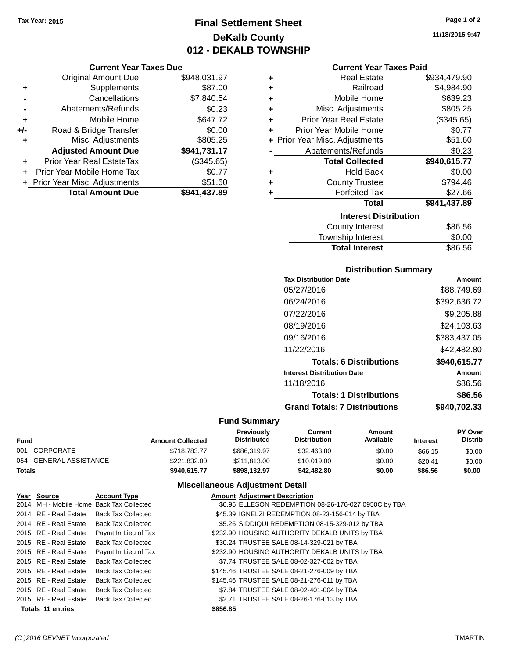## **Final Settlement Sheet Tax Year: 2015 Page 1 of 2 DeKalb County 012 - DEKALB TOWNSHIP**

**Current Year Taxes Due**

|     | <b>Original Amount Due</b>     | \$948,031.97 |
|-----|--------------------------------|--------------|
| ٠   | Supplements                    | \$87.00      |
|     | Cancellations                  | \$7,840.54   |
|     | Abatements/Refunds             | \$0.23       |
| ÷   | Mobile Home                    | \$647.72     |
| +/- | Road & Bridge Transfer         | \$0.00       |
| ٠   | Misc. Adjustments              | \$805.25     |
|     | <b>Adjusted Amount Due</b>     | \$941,731.17 |
|     | Prior Year Real EstateTax      | (\$345.65)   |
|     | Prior Year Mobile Home Tax     | \$0.77       |
|     | + Prior Year Misc. Adjustments | \$51.60      |
|     | <b>Total Amount Due</b>        | \$941,437.89 |
|     |                                |              |

| ٠ | <b>Real Estate</b>             | \$934,479.90 |
|---|--------------------------------|--------------|
| ÷ | Railroad                       | \$4,984.90   |
| ٠ | Mobile Home                    | \$639.23     |
| ÷ | Misc. Adjustments              | \$805.25     |
| ٠ | <b>Prior Year Real Estate</b>  | (\$345.65)   |
| ٠ | Prior Year Mobile Home         | \$0.77       |
|   | + Prior Year Misc. Adjustments | \$51.60      |
|   | Abatements/Refunds             | \$0.23       |
|   | <b>Total Collected</b>         | \$940,615.77 |
| ٠ | <b>Hold Back</b>               | \$0.00       |
| ٠ | <b>County Trustee</b>          | \$794.46     |
| ٠ | <b>Forfeited Tax</b>           | \$27.66      |
|   | Total                          | \$941,437.89 |
|   | <b>Interest Distribution</b>   |              |
|   | <b>County Interest</b>         | \$86.56      |
|   | <b>Township Interest</b>       | \$0.00       |
|   | <b>Total Interest</b>          | \$86.56      |

#### **Distribution Summary**

| <b>Tax Distribution Date</b>         | Amount       |
|--------------------------------------|--------------|
| 05/27/2016                           | \$88,749.69  |
| 06/24/2016                           | \$392,636.72 |
| 07/22/2016                           | \$9,205.88   |
| 08/19/2016                           | \$24,103.63  |
| 09/16/2016                           | \$383,437.05 |
| 11/22/2016                           | \$42.482.80  |
| <b>Totals: 6 Distributions</b>       | \$940,615.77 |
| <b>Interest Distribution Date</b>    | Amount       |
| 11/18/2016                           | \$86.56      |
| <b>Totals: 1 Distributions</b>       | \$86.56      |
| <b>Grand Totals: 7 Distributions</b> | \$940.702.33 |

### **Fund Summary**

| Fund                     | <b>Amount Collected</b> | <b>Previously</b><br><b>Distributed</b> | Current<br><b>Distribution</b> | Amount<br>Available | <b>Interest</b> | <b>PY Over</b><br><b>Distrib</b> |
|--------------------------|-------------------------|-----------------------------------------|--------------------------------|---------------------|-----------------|----------------------------------|
| 001 - CORPORATE          | \$718.783.77            | \$686,319.97                            | \$32,463.80                    | \$0.00              | \$66.15         | \$0.00                           |
| 054 - GENERAL ASSISTANCE | \$221.832.00            | \$211.813.00                            | \$10,019,00                    | \$0.00              | \$20.41         | \$0.00                           |
| Totals                   | \$940.615.77            | \$898.132.97                            | \$42,482.80                    | \$0.00              | \$86.56         | \$0.00                           |

| Year Source              | <b>Account Type</b>                      |          | <b>Amount Adjustment Description</b>                 |
|--------------------------|------------------------------------------|----------|------------------------------------------------------|
|                          | 2014 MH - Mobile Home Back Tax Collected |          | \$0.95 ELLESON REDEMPTION 08-26-176-027 0950C by TBA |
| 2014 RE - Real Estate    | Back Tax Collected                       |          | \$45.39 IGNELZI REDEMPTION 08-23-156-014 by TBA      |
| 2014 RE - Real Estate    | <b>Back Tax Collected</b>                |          | \$5.26 SIDDIQUI REDEMPTION 08-15-329-012 by TBA      |
| 2015 RE - Real Estate    | Paymt In Lieu of Tax                     |          | \$232.90 HOUSING AUTHORITY DEKALB UNITS by TBA       |
| 2015 RE - Real Estate    | <b>Back Tax Collected</b>                |          | \$30.24 TRUSTEE SALE 08-14-329-021 by TBA            |
| 2015 RE - Real Estate    | Paymt In Lieu of Tax                     |          | \$232.90 HOUSING AUTHORITY DEKALB UNITS by TBA       |
| 2015 RE - Real Estate    | Back Tax Collected                       |          | \$7.74 TRUSTEE SALE 08-02-327-002 by TBA             |
| 2015 RE - Real Estate    | <b>Back Tax Collected</b>                |          | \$145.46 TRUSTEE SALE 08-21-276-009 by TBA           |
| 2015 RE - Real Estate    | <b>Back Tax Collected</b>                |          | \$145.46 TRUSTEE SALE 08-21-276-011 by TBA           |
| 2015 RE - Real Estate    | <b>Back Tax Collected</b>                |          | \$7.84 TRUSTEE SALE 08-02-401-004 by TBA             |
| 2015 RE - Real Estate    | Back Tax Collected                       |          | \$2.71 TRUSTEE SALE 08-26-176-013 by TBA             |
| <b>Totals 11 entries</b> |                                          | \$856.85 |                                                      |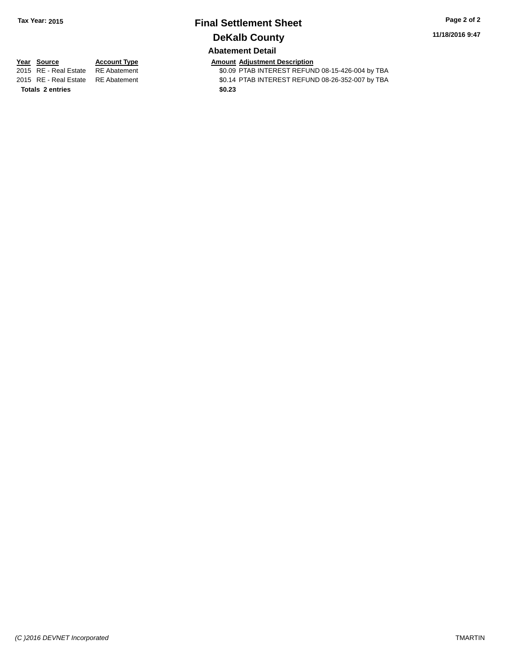# **Final Settlement Sheet Tax Year: 2015 Page 2 of 2 DeKalb County**

**11/18/2016 9:47**

## **Abatement Detail**

**Totals 2 entries** \$0.23

**Year Source Account Type Account Type Amount Adjustment Description**<br>2015 RE - Real Estate RE Abatement **Account 1998 AMOUNTEREST REFUN** \$0.09 PTAB INTEREST REFUND 08-15-426-004 by TBA 2015 RE - Real Estate RE Abatement \$0.14 PTAB INTEREST REFUND 08-26-352-007 by TBA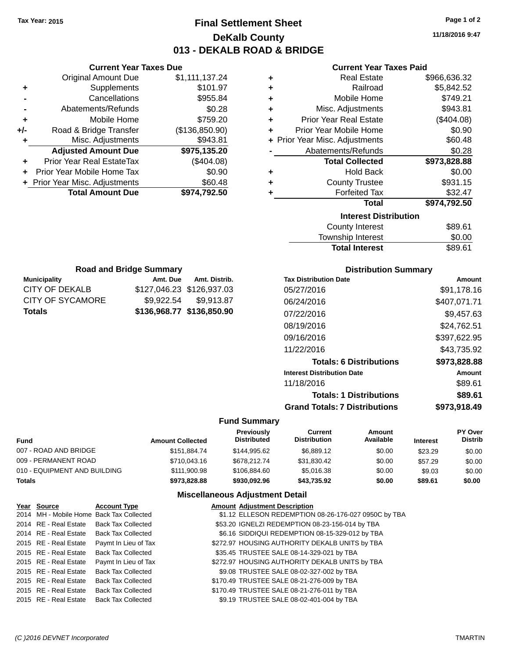**Current Year Taxes Due** Original Amount Due \$1,111,137.24

**Adjusted Amount Due \$975,135.20**

**Total Amount Due \$974,792.50**

**+** Supplements \$101.97 **-** Cancellations **\$955.84 -** Abatements/Refunds \$0.28 **+** Mobile Home \$759.20 **+/-** Road & Bridge Transfer (\$136,850.90) **+** Misc. Adjustments \$943.81

**+** Prior Year Real EstateTax (\$404.08) **+** Prior Year Mobile Home Tax \$0.90 **+** Prior Year Misc. Adjustments \$60.48

**Municipality Municipality** Amt. Due Amt. Distrib. **Road and Bridge Summary**

CITY OF DEKALB \$127,046.23 \$126,937.03 CITY OF SYCAMORE \$9,922.54 \$9,913.87 **Totals \$136,968.77 \$136,850.90**

## **Final Settlement Sheet Tax Year: 2015 Page 1 of 2 DeKalb County 013 - DEKALB ROAD & BRIDGE**

**11/18/2016 9:47**

#### **Current Year Taxes Paid**

| ٠ | <b>Real Estate</b>             | \$966,636.32 |
|---|--------------------------------|--------------|
| ٠ | Railroad                       | \$5,842.52   |
| ٠ | Mobile Home                    | \$749.21     |
| ٠ | Misc. Adjustments              | \$943.81     |
| ÷ | <b>Prior Year Real Estate</b>  | (\$404.08)   |
| ٠ | Prior Year Mobile Home         | \$0.90       |
|   | + Prior Year Misc. Adjustments | \$60.48      |
|   | Abatements/Refunds             | \$0.28       |
|   | <b>Total Collected</b>         | \$973,828.88 |
| ٠ | <b>Hold Back</b>               | \$0.00       |
| ٠ | <b>County Trustee</b>          | \$931.15     |
| ٠ | <b>Forfeited Tax</b>           | \$32.47      |
|   | <b>Total</b>                   | \$974,792.50 |
|   | <b>Interest Distribution</b>   |              |
|   | <b>County Interest</b>         | \$89.61      |
|   | Townehin Interest              | ቁስ ሰስ        |

# Township Interest  $$0.00$ Total Interest \$89.61

| <b>Distribution Summary</b>          |              |
|--------------------------------------|--------------|
| <b>Tax Distribution Date</b>         | Amount       |
| 05/27/2016                           | \$91,178.16  |
| 06/24/2016                           | \$407,071.71 |
| 07/22/2016                           | \$9,457.63   |
| 08/19/2016                           | \$24,762.51  |
| 09/16/2016                           | \$397,622.95 |
| 11/22/2016                           | \$43,735.92  |
| <b>Totals: 6 Distributions</b>       | \$973,828.88 |
| <b>Interest Distribution Date</b>    | Amount       |
| 11/18/2016                           | \$89.61      |
| <b>Totals: 1 Distributions</b>       | \$89.61      |
| <b>Grand Totals: 7 Distributions</b> | \$973.918.49 |

#### **Fund Summary**

| Fund                         | <b>Amount Collected</b> | Previously<br><b>Distributed</b> | Current<br><b>Distribution</b> | Amount<br>Available | <b>Interest</b> | <b>PY Over</b><br><b>Distrib</b> |
|------------------------------|-------------------------|----------------------------------|--------------------------------|---------------------|-----------------|----------------------------------|
| 007 - ROAD AND BRIDGE        | \$151.884.74            | \$144.995.62                     | \$6.889.12                     | \$0.00              | \$23.29         | \$0.00                           |
| 009 - PERMANENT ROAD         | \$710,043.16            | \$678,212,74                     | \$31,830.42                    | \$0.00              | \$57.29         | \$0.00                           |
| 010 - EQUIPMENT AND BUILDING | \$111.900.98            | \$106.884.60                     | \$5.016.38                     | \$0.00              | \$9.03          | \$0.00                           |
| <b>Totals</b>                | \$973.828.88            | \$930,092.96                     | \$43,735.92                    | \$0.00              | \$89.61         | \$0.00                           |

| Year Source           | <b>Account Type</b>                      | <b>Amount Adjustment Description</b>                 |
|-----------------------|------------------------------------------|------------------------------------------------------|
|                       | 2014 MH - Mobile Home Back Tax Collected | \$1.12 ELLESON REDEMPTION 08-26-176-027 0950C by TBA |
| 2014 RE - Real Estate | <b>Back Tax Collected</b>                | \$53.20 IGNELZI REDEMPTION 08-23-156-014 by TBA      |
| 2014 RE - Real Estate | <b>Back Tax Collected</b>                | \$6.16 SIDDIQUI REDEMPTION 08-15-329-012 by TBA      |
| 2015 RE - Real Estate | Paymt In Lieu of Tax                     | \$272.97 HOUSING AUTHORITY DEKALB UNITS by TBA       |
| 2015 RE - Real Estate | <b>Back Tax Collected</b>                | \$35.45 TRUSTEE SALE 08-14-329-021 by TBA            |
| 2015 RE - Real Estate | Paymt In Lieu of Tax                     | \$272.97 HOUSING AUTHORITY DEKALB UNITS by TBA       |
| 2015 RE - Real Estate | <b>Back Tax Collected</b>                | \$9.08 TRUSTEE SALE 08-02-327-002 by TBA             |
| 2015 RE - Real Estate | <b>Back Tax Collected</b>                | \$170.49 TRUSTEE SALE 08-21-276-009 by TBA           |
| 2015 RE - Real Estate | <b>Back Tax Collected</b>                | \$170.49 TRUSTEE SALE 08-21-276-011 by TBA           |
| 2015 RE - Real Estate | <b>Back Tax Collected</b>                | \$9.19 TRUSTEE SALE 08-02-401-004 by TBA             |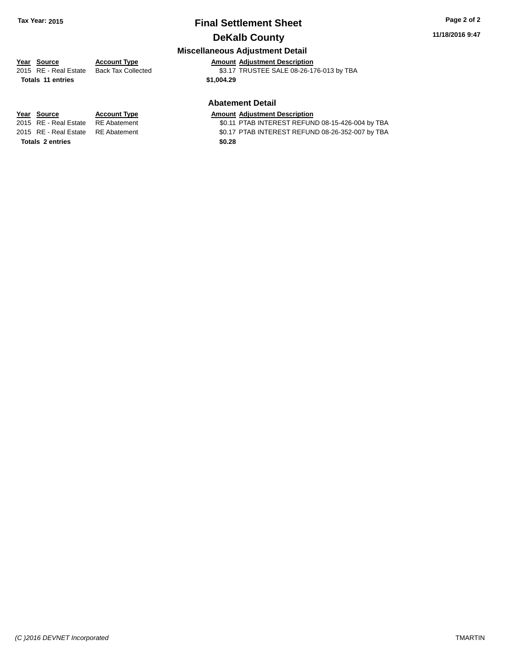## **Final Settlement Sheet Tax Year: 2015 Page 2 of 2 DeKalb County**

#### **11/18/2016 9:47**

### **Miscellaneous Adjustment Detail**

## **Year** Source **Account Type Account Adjustment Description**

2015 RE - Real Estate Back Tax Collected \$3.17 TRUSTEE SALE 08-26-176-013 by TBA

**Totals \$1,004.29 11 entries**

#### **Abatement Detail**

\$0.11 PTAB INTEREST REFUND 08-15-426-004 by TBA 2015 RE - Real Estate RE Abatement \$0.17 PTAB INTEREST REFUND 08-26-352-007 by TBA

**Year Source Account Type Amount Adjustment Description**<br>2015 RE - Real Estate RE Abatement **Amount Adjustment Description Totals \$0.28 2 entries**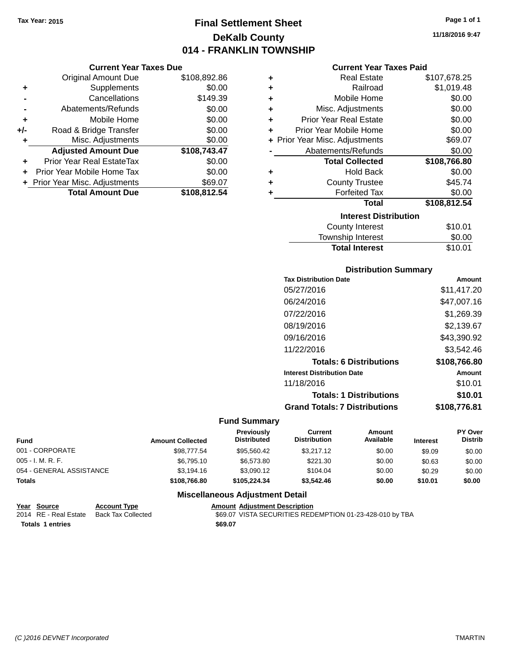## **Final Settlement Sheet Tax Year: 2015 Page 1 of 1 DeKalb County 014 - FRANKLIN TOWNSHIP**

**11/18/2016 9:47**

#### **Current Year Taxes Paid**

|     | <b>Current Year Taxes Due</b>  |              |  |  |  |
|-----|--------------------------------|--------------|--|--|--|
|     | <b>Original Amount Due</b>     | \$108,892.86 |  |  |  |
| ٠   | Supplements                    | \$0.00       |  |  |  |
|     | Cancellations                  | \$149.39     |  |  |  |
|     | Abatements/Refunds             | \$0.00       |  |  |  |
| ٠   | Mobile Home                    | \$0.00       |  |  |  |
| +/- | Road & Bridge Transfer         | \$0.00       |  |  |  |
| ٠   | Misc. Adjustments              | \$0.00       |  |  |  |
|     | <b>Adjusted Amount Due</b>     | \$108,743.47 |  |  |  |
| ٠   | Prior Year Real EstateTax      | \$0.00       |  |  |  |
| ÷   | Prior Year Mobile Home Tax     | \$0.00       |  |  |  |
|     | + Prior Year Misc. Adjustments | \$69.07      |  |  |  |
|     | <b>Total Amount Due</b>        | \$108,812.54 |  |  |  |

| ٠ | Real Estate                    | \$107,678.25 |
|---|--------------------------------|--------------|
| ÷ | Railroad                       | \$1,019.48   |
| ٠ | Mobile Home                    | \$0.00       |
| ÷ | Misc. Adjustments              | \$0.00       |
| ٠ | <b>Prior Year Real Estate</b>  | \$0.00       |
| ٠ | Prior Year Mobile Home         | \$0.00       |
|   | + Prior Year Misc. Adjustments | \$69.07      |
|   | Abatements/Refunds             | \$0.00       |
|   | <b>Total Collected</b>         | \$108,766.80 |
| ٠ | <b>Hold Back</b>               | \$0.00       |
| ٠ | <b>County Trustee</b>          | \$45.74      |
| ٠ | <b>Forfeited Tax</b>           | \$0.00       |
|   | <b>Total</b>                   | \$108,812.54 |
|   | <b>Interest Distribution</b>   |              |
|   | <b>County Interest</b>         | \$10.01      |
|   | <b>Township Interest</b>       | \$0.00       |
|   | <b>Total Interest</b>          | \$10.01      |

#### **Distribution Summary**

| <b>Tax Distribution Date</b>         | Amount       |
|--------------------------------------|--------------|
| 05/27/2016                           | \$11.417.20  |
| 06/24/2016                           | \$47,007.16  |
| 07/22/2016                           | \$1.269.39   |
| 08/19/2016                           | \$2,139.67   |
| 09/16/2016                           | \$43,390.92  |
| 11/22/2016                           | \$3,542.46   |
| <b>Totals: 6 Distributions</b>       | \$108,766.80 |
| <b>Interest Distribution Date</b>    | Amount       |
| 11/18/2016                           | \$10.01      |
| <b>Totals: 1 Distributions</b>       | \$10.01      |
| <b>Grand Totals: 7 Distributions</b> | \$108.776.81 |

### **Fund Summary**

| <b>Fund</b>              | <b>Amount Collected</b> | <b>Previously</b><br><b>Distributed</b> | Current<br><b>Distribution</b> | Amount<br>Available | <b>Interest</b> | PY Over<br><b>Distrib</b> |
|--------------------------|-------------------------|-----------------------------------------|--------------------------------|---------------------|-----------------|---------------------------|
| 001 - CORPORATE          | \$98,777.54             | \$95,560,42                             | \$3,217.12                     | \$0.00              | \$9.09          | \$0.00                    |
| $005 - I. M. R. F.$      | \$6.795.10              | \$6,573.80                              | \$221.30                       | \$0.00              | \$0.63          | \$0.00                    |
| 054 - GENERAL ASSISTANCE | \$3.194.16              | \$3,090.12                              | \$104.04                       | \$0.00              | \$0.29          | \$0.00                    |
| <b>Totals</b>            | \$108,766.80            | \$105.224.34                            | \$3,542.46                     | \$0.00              | \$10.01         | \$0.00                    |

| Year Source             | <b>Account Type</b> | <b>Amount Adiustment Description</b>                     |
|-------------------------|---------------------|----------------------------------------------------------|
| 2014 RE - Real Estate   | Back Tax Collected  | \$69.07 VISTA SECURITIES REDEMPTION 01-23-428-010 by TBA |
| <b>Totals 1 entries</b> |                     | \$69.07                                                  |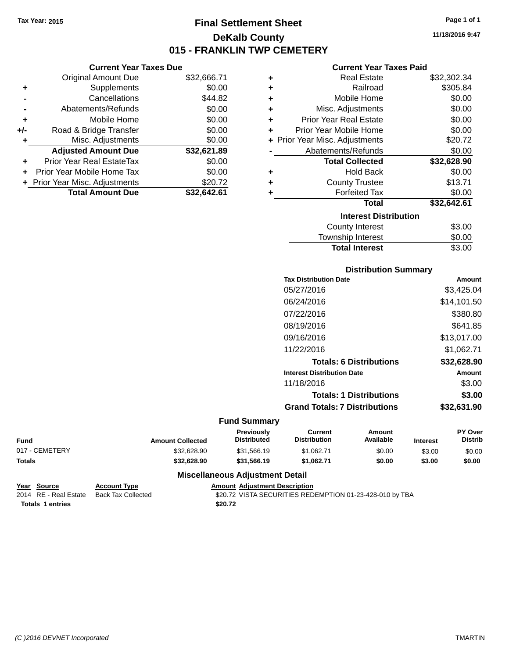**Original Amount Due** 

**Adjusted Amount Due** 

**Total Amount Due** 

**+** Supplements **-** Cancellations **-** Abatements/Refunds **+** Mobile Home **+/-** Road & Bridge Transfer **+** Misc. Adjustments

**+** Prior Year Real EstateTax \$0.00 **+** Prior Year Mobile Home Tax **+** Prior Year Misc. Adjustments

## **Final Settlement Sheet Tax Year: 2015 Page 1 of 1 DeKalb County 015 - FRANKLIN TWP CEMETERY**

**11/18/2016 9:47**

### **Current Year Taxes Paid**

| <b>Current Year Taxes Due</b> |             |   | <b>Current Year Taxes Paid</b> |             |  |
|-------------------------------|-------------|---|--------------------------------|-------------|--|
| ่<br>เl Amount Due            | \$32,666.71 | ٠ | <b>Real Estate</b>             | \$32,302.34 |  |
| Supplements                   | \$0.00      | ٠ | Railroad                       | \$305.84    |  |
| Cancellations                 | \$44.82     | ÷ | Mobile Home                    | \$0.00      |  |
| าents/Refunds                 | \$0.00      | ٠ | Misc. Adjustments              | \$0.00      |  |
| Mobile Home                   | \$0.00      | ÷ | <b>Prior Year Real Estate</b>  | \$0.00      |  |
| ridge Transfer                | \$0.00      | ÷ | Prior Year Mobile Home         | \$0.00      |  |
| . Adjustments                 | \$0.00      |   | + Prior Year Misc. Adjustments | \$20.72     |  |
| <b>Amount Due</b>             | \$32,621.89 |   | Abatements/Refunds             | \$0.00      |  |
| leal EstateTax≀               | \$0.00      |   | <b>Total Collected</b>         | \$32,628.90 |  |
| bile Home Tax                 | \$0.00      | ÷ | <b>Hold Back</b>               | \$0.00      |  |
| . Adjustments                 | \$20.72     | ÷ | <b>County Trustee</b>          | \$13.71     |  |
| <b>Amount Due</b>             | \$32,642.61 |   | <b>Forfeited Tax</b>           | \$0.00      |  |
|                               |             |   | Total                          | \$32,642.61 |  |
|                               |             |   | <b>Interest Distribution</b>   |             |  |
|                               |             |   |                                | ሖへ へへ       |  |

| <b>Interest Distribution</b> |        |
|------------------------------|--------|
| <b>County Interest</b>       | \$3.00 |
| <b>Township Interest</b>     | \$0.00 |
| <b>Total Interest</b>        | \$3.00 |

#### **Distribution Summary**

| <b>Tax Distribution Date</b>         | Amount      |
|--------------------------------------|-------------|
| 05/27/2016                           | \$3,425.04  |
| 06/24/2016                           | \$14,101.50 |
| 07/22/2016                           | \$380.80    |
| 08/19/2016                           | \$641.85    |
| 09/16/2016                           | \$13,017.00 |
| 11/22/2016                           | \$1,062.71  |
| <b>Totals: 6 Distributions</b>       | \$32,628.90 |
| <b>Interest Distribution Date</b>    | Amount      |
| 11/18/2016                           | \$3.00      |
| <b>Totals: 1 Distributions</b>       | \$3.00      |
| <b>Grand Totals: 7 Distributions</b> | \$32,631.90 |
|                                      |             |

#### **Fund Summary**

| <b>Fund</b>    | <b>Amount Collected</b> | <b>Previously</b><br><b>Distributed</b> | Current<br><b>Distribution</b> | Amount<br>Available | <b>Interest</b> | <b>PY Over</b><br><b>Distrib</b> |
|----------------|-------------------------|-----------------------------------------|--------------------------------|---------------------|-----------------|----------------------------------|
| 017 - CEMETERY | \$32.628.90             | \$31.566.19                             | \$1.062.71                     | \$0.00              | \$3.00          | \$0.00                           |
| <b>Totals</b>  | \$32.628.90             | \$31.566.19                             | \$1.062.71                     | \$0.00              | \$3.00          | \$0.00                           |

| Year Source             | <b>Account Type</b> | <b>Amount Adiustment Description</b>                     |
|-------------------------|---------------------|----------------------------------------------------------|
| 2014 RE - Real Estate   | Back Tax Collected  | \$20.72 VISTA SECURITIES REDEMPTION 01-23-428-010 by TBA |
| <b>Totals 1 entries</b> |                     | \$20.72                                                  |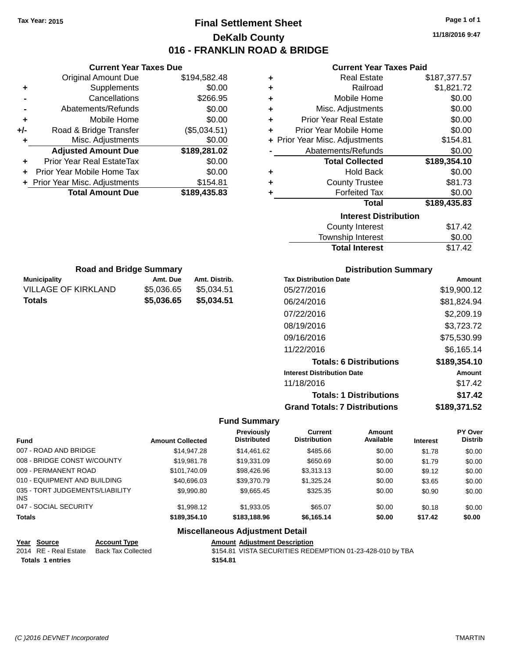## **Final Settlement Sheet Tax Year: 2015 Page 1 of 1 DeKalb County 016 - FRANKLIN ROAD & BRIDGE**

**11/18/2016 9:47**

#### **Current Year Taxes Paid**

| <b>Real Estate</b><br><b>Original Amount Due</b><br>\$194,582.48<br>\$187,377.57<br>٠<br>\$0.00<br>Railroad<br>Supplements<br>\$1,821.72<br>٠<br>Cancellations<br>Mobile Home<br>\$266.95<br>\$0.00<br>٠<br>Abatements/Refunds<br>\$0.00<br>Misc. Adjustments<br>\$0.00<br>٠<br>Mobile Home<br>\$0.00<br><b>Prior Year Real Estate</b><br>\$0.00<br>÷<br>٠<br>\$0.00<br>Road & Bridge Transfer<br>(\$5,034.51)<br>Prior Year Mobile Home<br>$+/-$<br>÷<br>\$0.00<br>+ Prior Year Misc. Adjustments<br>\$154.81<br>Misc. Adjustments<br>\$189,281.02<br>\$0.00<br><b>Adjusted Amount Due</b><br>Abatements/Refunds<br>Prior Year Real EstateTax<br><b>Total Collected</b><br>\$189,354.10<br>\$0.00<br>Prior Year Mobile Home Tax<br>\$0.00<br><b>Hold Back</b><br>\$0.00<br>٠<br>Prior Year Misc. Adjustments<br><b>County Trustee</b><br>\$81.73<br>\$154.81<br>٠<br>\$189,435.83<br><b>Total Amount Due</b><br><b>Forfeited Tax</b><br>\$0.00<br>٠<br><b>Total</b><br>\$189,435.83<br><b>Interest Distribution</b><br><b>County Interest</b><br>\$17.42<br>\$0.00<br>Township Interest<br>\$17.42<br><b>Total Interest</b><br><b>Road and Bridge Summary</b><br><b>Distribution Summary</b><br>Amt. Due<br><b>Municipality</b><br>Amt. Distrib.<br><b>Tax Distribution Date</b><br>Amount<br><b>VILLAGE OF KIRKLAND</b><br>\$5,036.65<br>\$5,034.51<br>05/27/2016<br>\$19,900.12<br>\$5,036.65<br>\$5,034.51<br><b>Totals</b><br>06/24/2016<br>\$81,824.94<br>07/22/2016<br>\$2,209.19<br>08/19/2016<br>\$3,723.72<br>09/16/2016<br>\$75,530.99<br>11/22/2016<br>\$6,165.14<br>\$189,354.10<br><b>Totals: 6 Distributions</b><br><b>Interest Distribution Date</b><br><b>Amount</b><br>11/18/2016<br>\$17.42<br><b>Totals: 1 Distributions</b><br>\$17.42<br><b>Grand Totals: 7 Distributions</b><br>\$189,371.52 | <b>Current Year Taxes Due</b> |  |  | <b>Current Year Taxes Paid</b> |  |  |
|---------------------------------------------------------------------------------------------------------------------------------------------------------------------------------------------------------------------------------------------------------------------------------------------------------------------------------------------------------------------------------------------------------------------------------------------------------------------------------------------------------------------------------------------------------------------------------------------------------------------------------------------------------------------------------------------------------------------------------------------------------------------------------------------------------------------------------------------------------------------------------------------------------------------------------------------------------------------------------------------------------------------------------------------------------------------------------------------------------------------------------------------------------------------------------------------------------------------------------------------------------------------------------------------------------------------------------------------------------------------------------------------------------------------------------------------------------------------------------------------------------------------------------------------------------------------------------------------------------------------------------------------------------------------------------------------------------------------------------------------------------------------------------------------------------------------|-------------------------------|--|--|--------------------------------|--|--|
|                                                                                                                                                                                                                                                                                                                                                                                                                                                                                                                                                                                                                                                                                                                                                                                                                                                                                                                                                                                                                                                                                                                                                                                                                                                                                                                                                                                                                                                                                                                                                                                                                                                                                                                                                                                                                     |                               |  |  |                                |  |  |
|                                                                                                                                                                                                                                                                                                                                                                                                                                                                                                                                                                                                                                                                                                                                                                                                                                                                                                                                                                                                                                                                                                                                                                                                                                                                                                                                                                                                                                                                                                                                                                                                                                                                                                                                                                                                                     |                               |  |  |                                |  |  |
|                                                                                                                                                                                                                                                                                                                                                                                                                                                                                                                                                                                                                                                                                                                                                                                                                                                                                                                                                                                                                                                                                                                                                                                                                                                                                                                                                                                                                                                                                                                                                                                                                                                                                                                                                                                                                     |                               |  |  |                                |  |  |
|                                                                                                                                                                                                                                                                                                                                                                                                                                                                                                                                                                                                                                                                                                                                                                                                                                                                                                                                                                                                                                                                                                                                                                                                                                                                                                                                                                                                                                                                                                                                                                                                                                                                                                                                                                                                                     |                               |  |  |                                |  |  |
|                                                                                                                                                                                                                                                                                                                                                                                                                                                                                                                                                                                                                                                                                                                                                                                                                                                                                                                                                                                                                                                                                                                                                                                                                                                                                                                                                                                                                                                                                                                                                                                                                                                                                                                                                                                                                     |                               |  |  |                                |  |  |
|                                                                                                                                                                                                                                                                                                                                                                                                                                                                                                                                                                                                                                                                                                                                                                                                                                                                                                                                                                                                                                                                                                                                                                                                                                                                                                                                                                                                                                                                                                                                                                                                                                                                                                                                                                                                                     |                               |  |  |                                |  |  |
|                                                                                                                                                                                                                                                                                                                                                                                                                                                                                                                                                                                                                                                                                                                                                                                                                                                                                                                                                                                                                                                                                                                                                                                                                                                                                                                                                                                                                                                                                                                                                                                                                                                                                                                                                                                                                     |                               |  |  |                                |  |  |
|                                                                                                                                                                                                                                                                                                                                                                                                                                                                                                                                                                                                                                                                                                                                                                                                                                                                                                                                                                                                                                                                                                                                                                                                                                                                                                                                                                                                                                                                                                                                                                                                                                                                                                                                                                                                                     |                               |  |  |                                |  |  |
|                                                                                                                                                                                                                                                                                                                                                                                                                                                                                                                                                                                                                                                                                                                                                                                                                                                                                                                                                                                                                                                                                                                                                                                                                                                                                                                                                                                                                                                                                                                                                                                                                                                                                                                                                                                                                     |                               |  |  |                                |  |  |
|                                                                                                                                                                                                                                                                                                                                                                                                                                                                                                                                                                                                                                                                                                                                                                                                                                                                                                                                                                                                                                                                                                                                                                                                                                                                                                                                                                                                                                                                                                                                                                                                                                                                                                                                                                                                                     |                               |  |  |                                |  |  |
|                                                                                                                                                                                                                                                                                                                                                                                                                                                                                                                                                                                                                                                                                                                                                                                                                                                                                                                                                                                                                                                                                                                                                                                                                                                                                                                                                                                                                                                                                                                                                                                                                                                                                                                                                                                                                     |                               |  |  |                                |  |  |
|                                                                                                                                                                                                                                                                                                                                                                                                                                                                                                                                                                                                                                                                                                                                                                                                                                                                                                                                                                                                                                                                                                                                                                                                                                                                                                                                                                                                                                                                                                                                                                                                                                                                                                                                                                                                                     |                               |  |  |                                |  |  |
|                                                                                                                                                                                                                                                                                                                                                                                                                                                                                                                                                                                                                                                                                                                                                                                                                                                                                                                                                                                                                                                                                                                                                                                                                                                                                                                                                                                                                                                                                                                                                                                                                                                                                                                                                                                                                     |                               |  |  |                                |  |  |
|                                                                                                                                                                                                                                                                                                                                                                                                                                                                                                                                                                                                                                                                                                                                                                                                                                                                                                                                                                                                                                                                                                                                                                                                                                                                                                                                                                                                                                                                                                                                                                                                                                                                                                                                                                                                                     |                               |  |  |                                |  |  |
|                                                                                                                                                                                                                                                                                                                                                                                                                                                                                                                                                                                                                                                                                                                                                                                                                                                                                                                                                                                                                                                                                                                                                                                                                                                                                                                                                                                                                                                                                                                                                                                                                                                                                                                                                                                                                     |                               |  |  |                                |  |  |
|                                                                                                                                                                                                                                                                                                                                                                                                                                                                                                                                                                                                                                                                                                                                                                                                                                                                                                                                                                                                                                                                                                                                                                                                                                                                                                                                                                                                                                                                                                                                                                                                                                                                                                                                                                                                                     |                               |  |  |                                |  |  |
|                                                                                                                                                                                                                                                                                                                                                                                                                                                                                                                                                                                                                                                                                                                                                                                                                                                                                                                                                                                                                                                                                                                                                                                                                                                                                                                                                                                                                                                                                                                                                                                                                                                                                                                                                                                                                     |                               |  |  |                                |  |  |
|                                                                                                                                                                                                                                                                                                                                                                                                                                                                                                                                                                                                                                                                                                                                                                                                                                                                                                                                                                                                                                                                                                                                                                                                                                                                                                                                                                                                                                                                                                                                                                                                                                                                                                                                                                                                                     |                               |  |  |                                |  |  |
|                                                                                                                                                                                                                                                                                                                                                                                                                                                                                                                                                                                                                                                                                                                                                                                                                                                                                                                                                                                                                                                                                                                                                                                                                                                                                                                                                                                                                                                                                                                                                                                                                                                                                                                                                                                                                     |                               |  |  |                                |  |  |
|                                                                                                                                                                                                                                                                                                                                                                                                                                                                                                                                                                                                                                                                                                                                                                                                                                                                                                                                                                                                                                                                                                                                                                                                                                                                                                                                                                                                                                                                                                                                                                                                                                                                                                                                                                                                                     |                               |  |  |                                |  |  |
|                                                                                                                                                                                                                                                                                                                                                                                                                                                                                                                                                                                                                                                                                                                                                                                                                                                                                                                                                                                                                                                                                                                                                                                                                                                                                                                                                                                                                                                                                                                                                                                                                                                                                                                                                                                                                     |                               |  |  |                                |  |  |
|                                                                                                                                                                                                                                                                                                                                                                                                                                                                                                                                                                                                                                                                                                                                                                                                                                                                                                                                                                                                                                                                                                                                                                                                                                                                                                                                                                                                                                                                                                                                                                                                                                                                                                                                                                                                                     |                               |  |  |                                |  |  |
|                                                                                                                                                                                                                                                                                                                                                                                                                                                                                                                                                                                                                                                                                                                                                                                                                                                                                                                                                                                                                                                                                                                                                                                                                                                                                                                                                                                                                                                                                                                                                                                                                                                                                                                                                                                                                     |                               |  |  |                                |  |  |
|                                                                                                                                                                                                                                                                                                                                                                                                                                                                                                                                                                                                                                                                                                                                                                                                                                                                                                                                                                                                                                                                                                                                                                                                                                                                                                                                                                                                                                                                                                                                                                                                                                                                                                                                                                                                                     |                               |  |  |                                |  |  |
|                                                                                                                                                                                                                                                                                                                                                                                                                                                                                                                                                                                                                                                                                                                                                                                                                                                                                                                                                                                                                                                                                                                                                                                                                                                                                                                                                                                                                                                                                                                                                                                                                                                                                                                                                                                                                     |                               |  |  |                                |  |  |
|                                                                                                                                                                                                                                                                                                                                                                                                                                                                                                                                                                                                                                                                                                                                                                                                                                                                                                                                                                                                                                                                                                                                                                                                                                                                                                                                                                                                                                                                                                                                                                                                                                                                                                                                                                                                                     |                               |  |  |                                |  |  |
|                                                                                                                                                                                                                                                                                                                                                                                                                                                                                                                                                                                                                                                                                                                                                                                                                                                                                                                                                                                                                                                                                                                                                                                                                                                                                                                                                                                                                                                                                                                                                                                                                                                                                                                                                                                                                     |                               |  |  |                                |  |  |
|                                                                                                                                                                                                                                                                                                                                                                                                                                                                                                                                                                                                                                                                                                                                                                                                                                                                                                                                                                                                                                                                                                                                                                                                                                                                                                                                                                                                                                                                                                                                                                                                                                                                                                                                                                                                                     |                               |  |  |                                |  |  |
|                                                                                                                                                                                                                                                                                                                                                                                                                                                                                                                                                                                                                                                                                                                                                                                                                                                                                                                                                                                                                                                                                                                                                                                                                                                                                                                                                                                                                                                                                                                                                                                                                                                                                                                                                                                                                     |                               |  |  |                                |  |  |
|                                                                                                                                                                                                                                                                                                                                                                                                                                                                                                                                                                                                                                                                                                                                                                                                                                                                                                                                                                                                                                                                                                                                                                                                                                                                                                                                                                                                                                                                                                                                                                                                                                                                                                                                                                                                                     |                               |  |  |                                |  |  |
| <b>Fund Summary</b>                                                                                                                                                                                                                                                                                                                                                                                                                                                                                                                                                                                                                                                                                                                                                                                                                                                                                                                                                                                                                                                                                                                                                                                                                                                                                                                                                                                                                                                                                                                                                                                                                                                                                                                                                                                                 |                               |  |  |                                |  |  |
| Previously<br>PY Over<br><b>Current</b><br>Amount                                                                                                                                                                                                                                                                                                                                                                                                                                                                                                                                                                                                                                                                                                                                                                                                                                                                                                                                                                                                                                                                                                                                                                                                                                                                                                                                                                                                                                                                                                                                                                                                                                                                                                                                                                   |                               |  |  |                                |  |  |

| <b>Fund</b>                             | <b>Amount Collected</b> | <b>Previousiv</b><br><b>Distributed</b> | Current<br><b>Distribution</b> | Amount<br>Available | <b>Interest</b> | <b>PY OVER</b><br><b>Distrib</b> |
|-----------------------------------------|-------------------------|-----------------------------------------|--------------------------------|---------------------|-----------------|----------------------------------|
| 007 - ROAD AND BRIDGE                   | \$14,947.28             | \$14,461,62                             | \$485.66                       | \$0.00              | \$1.78          | \$0.00                           |
| 008 - BRIDGE CONST W/COUNTY             | \$19,981.78             | \$19,331.09                             | \$650.69                       | \$0.00              | \$1.79          | \$0.00                           |
| 009 - PERMANENT ROAD                    | \$101.740.09            | \$98,426.96                             | \$3,313.13                     | \$0.00              | \$9.12          | \$0.00                           |
| 010 - EQUIPMENT AND BUILDING            | \$40,696.03             | \$39,370.79                             | \$1,325.24                     | \$0.00              | \$3.65          | \$0.00                           |
| 035 - TORT JUDGEMENTS/LIABILITY<br>INS. | \$9,990.80              | \$9,665.45                              | \$325.35                       | \$0.00              | \$0.90          | \$0.00                           |
| 047 - SOCIAL SECURITY                   | \$1,998.12              | \$1,933.05                              | \$65.07                        | \$0.00              | \$0.18          | \$0.00                           |
| <b>Totals</b>                           | \$189,354.10            | \$183,188.96                            | \$6,165.14                     | \$0.00              | \$17.42         | \$0.00                           |
|                                         |                         |                                         |                                |                     |                 |                                  |

| Year Source             | <b>Account Type</b> | <b>Amount Adiustment Description</b>                      |
|-------------------------|---------------------|-----------------------------------------------------------|
| 2014 RE - Real Estate   | Back Tax Collected  | \$154.81 VISTA SECURITIES REDEMPTION 01-23-428-010 by TBA |
| <b>Totals 1 entries</b> |                     | \$154.81                                                  |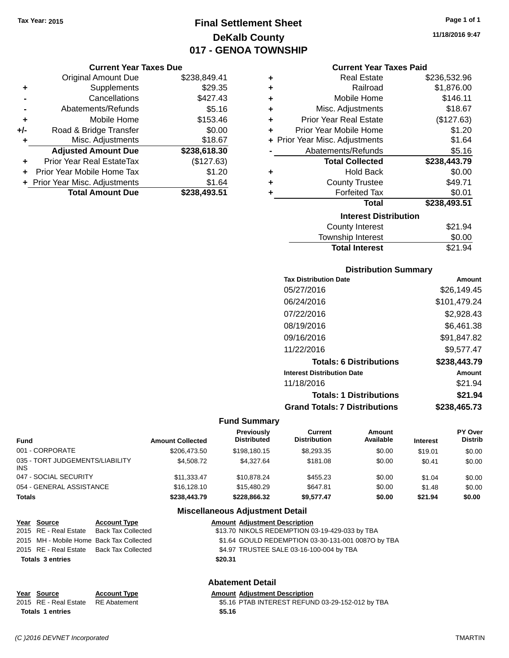## **Final Settlement Sheet Tax Year: 2015 Page 1 of 1 DeKalb County 017 - GENOA TOWNSHIP**

#### **Current Year Taxes Due**

|       | <b>Original Amount Due</b>       | \$238,849.41 |
|-------|----------------------------------|--------------|
| ٠     | Supplements                      | \$29.35      |
|       | Cancellations                    | \$427.43     |
|       | Abatements/Refunds               | \$5.16       |
| ٠     | Mobile Home                      | \$153.46     |
| $+/-$ | Road & Bridge Transfer           | \$0.00       |
| ٠     | Misc. Adjustments                | \$18.67      |
|       | <b>Adjusted Amount Due</b>       | \$238,618.30 |
|       | <b>Prior Year Real EstateTax</b> | (\$127.63)   |
|       | Prior Year Mobile Home Tax       | \$1.20       |
|       | + Prior Year Misc. Adjustments   | \$1.64       |
|       | <b>Total Amount Due</b>          | \$238,493.51 |

|           | <b>Current Year Taxes Paid</b> |              |
|-----------|--------------------------------|--------------|
| ÷         | <b>Real Estate</b>             | \$236,532.96 |
| $\ddot{}$ | Railroad                       | \$1,876.00   |
| $\ddot{}$ | Mobile Home                    | \$146.11     |
| $\ddot{}$ | Misc. Adjustments              | \$18.67      |
| ÷         | <b>Prior Year Real Estate</b>  | (\$127.63)   |
| ÷         | Prior Year Mobile Home         | \$1.20       |
|           | + Prior Year Misc. Adjustments | \$1.64       |
|           | Abatements/Refunds             | \$5.16       |
|           | <b>Total Collected</b>         | \$238,443.79 |
| ÷         | <b>Hold Back</b>               | \$0.00       |
| ÷         | <b>County Trustee</b>          | \$49.71      |
| ÷         | <b>Forfeited Tax</b>           | \$0.01       |

## **Interest Distribution**

| County Interest       | \$21.94 |
|-----------------------|---------|
| Township Interest     | \$0.00  |
| <b>Total Interest</b> | \$21.94 |

**Total \$238,493.51**

#### **Distribution Summary**

| <b>Tax Distribution Date</b>         | Amount       |
|--------------------------------------|--------------|
| 05/27/2016                           | \$26.149.45  |
| 06/24/2016                           | \$101,479.24 |
| 07/22/2016                           | \$2,928.43   |
| 08/19/2016                           | \$6,461.38   |
| 09/16/2016                           | \$91,847.82  |
| 11/22/2016                           | \$9.577.47   |
| <b>Totals: 6 Distributions</b>       | \$238,443.79 |
| <b>Interest Distribution Date</b>    | Amount       |
| 11/18/2016                           | \$21.94      |
| <b>Totals: 1 Distributions</b>       | \$21.94      |
| <b>Grand Totals: 7 Distributions</b> | \$238,465.73 |

#### **Fund Summary**

| <b>Fund</b>                            | <b>Amount Collected</b> | <b>Previously</b><br><b>Distributed</b> | Current<br><b>Distribution</b> | Amount<br>Available | <b>Interest</b> | PY Over<br><b>Distrib</b> |
|----------------------------------------|-------------------------|-----------------------------------------|--------------------------------|---------------------|-----------------|---------------------------|
| 001 - CORPORATE                        | \$206,473.50            | \$198.180.15                            | \$8,293.35                     | \$0.00              | \$19.01         | \$0.00                    |
| 035 - TORT JUDGEMENTS/LIABILITY<br>INS | \$4,508.72              | \$4.327.64                              | \$181.08                       | \$0.00              | \$0.41          | \$0.00                    |
| 047 - SOCIAL SECURITY                  | \$11.333.47             | \$10.878.24                             | \$455.23                       | \$0.00              | \$1.04          | \$0.00                    |
| 054 - GENERAL ASSISTANCE               | \$16,128,10             | \$15,480.29                             | \$647.81                       | \$0.00              | \$1.48          | \$0.00                    |
| Totals                                 | \$238,443.79            | \$228,866,32                            | \$9.577.47                     | \$0.00              | \$21.94         | \$0.00                    |

#### **Miscellaneous Adjustment Detail**

| <u>Year Source</u>      | <b>Account Type</b>                      |         | <b>Amount Adjustment Description</b>               |
|-------------------------|------------------------------------------|---------|----------------------------------------------------|
|                         | 2015 RE - Real Estate Back Tax Collected |         | \$13.70 NIKOLS REDEMPTION 03-19-429-033 by TBA     |
|                         | 2015 MH - Mobile Home Back Tax Collected |         | \$1.64 GOULD REDEMPTION 03-30-131-001 0087O by TBA |
|                         | 2015 RE - Real Estate Back Tax Collected |         | \$4.97 TRUSTEE SALE 03-16-100-004 by TBA           |
| <b>Totals 3 entries</b> |                                          | \$20.31 |                                                    |
|                         |                                          |         |                                                    |

#### **Abatement Detail**

**Year Source Account Type Amount Adjustment Description**<br>2015 RE - Real Estate RE Abatement **Amount Adjustment Description** \$5.16 PTAB INTEREST REFUND 03-29-152-012 by TBA **Totals \$5.16 1 entries**

**11/18/2016 9:47**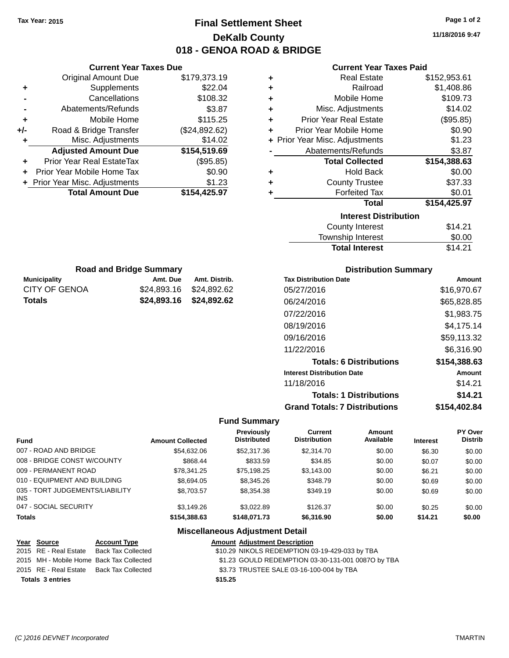## **Final Settlement Sheet Tax Year: 2015 Page 1 of 2 DeKalb County 018 - GENOA ROAD & BRIDGE**

**11/18/2016 9:47**

| <b>Current Year Taxes Paid</b> |  |  |  |
|--------------------------------|--|--|--|
|--------------------------------|--|--|--|

| ÷ | <b>Real Estate</b>             | \$152,953.61 |
|---|--------------------------------|--------------|
| ٠ | Railroad                       | \$1,408.86   |
| ٠ | Mobile Home                    | \$109.73     |
| ÷ | Misc. Adjustments              | \$14.02      |
| ٠ | <b>Prior Year Real Estate</b>  | (\$95.85)    |
| ÷ | Prior Year Mobile Home         | \$0.90       |
|   | + Prior Year Misc. Adjustments | \$1.23       |
|   | Abatements/Refunds             | \$3.87       |
|   | <b>Total Collected</b>         | \$154,388.63 |
| ٠ | Hold Back                      | \$0.00       |
| ÷ | <b>County Trustee</b>          | \$37.33      |
| ٠ | <b>Forfeited Tax</b>           | \$0.01       |
|   | <b>Total</b>                   | \$154,425.97 |
|   | <b>Interest Distribution</b>   |              |
|   | County Interest                | \$14.21      |
|   | <b>Township Interest</b>       | \$0.00       |
|   | <b>Total Interest</b>          | \$14.21      |

| <b>Road and Bridge Summary</b> |                         |               |  |
|--------------------------------|-------------------------|---------------|--|
| <b>Municipality</b>            | Amt. Due                | Amt. Distrib. |  |
| CITY OF GENOA                  | \$24,893.16 \$24,892.62 |               |  |
| <b>Totals</b>                  | \$24,893.16 \$24,892.62 |               |  |

**Current Year Taxes Due** Original Amount Due \$179,373.19

**Adjusted Amount Due \$154,519.69**

**+** Supplements \$22.04 **-** Cancellations \$108.32 **-** Abatements/Refunds \$3.87 **+** Mobile Home \$115.25 **+/-** Road & Bridge Transfer (\$24,892.62) **+** Misc. Adjustments \$14.02

**+** Prior Year Real EstateTax (\$95.85) **+** Prior Year Mobile Home Tax \$0.90 **+** Prior Year Misc. Adjustments \$1.23<br> **1.23**<br> **154,425.97** 

**Total Amount Due** 

#### **Distribution Summary**

| <b>Tax Distribution Date</b>         | Amount       |
|--------------------------------------|--------------|
| 05/27/2016                           | \$16,970.67  |
| 06/24/2016                           | \$65,828.85  |
| 07/22/2016                           | \$1,983.75   |
| 08/19/2016                           | \$4,175.14   |
| 09/16/2016                           | \$59,113.32  |
| 11/22/2016                           | \$6.316.90   |
| <b>Totals: 6 Distributions</b>       | \$154,388.63 |
| <b>Interest Distribution Date</b>    | Amount       |
| 11/18/2016                           | \$14.21      |
| <b>Totals: 1 Distributions</b>       | \$14.21      |
| <b>Grand Totals: 7 Distributions</b> | \$154.402.84 |

#### **Fund Summary**

| Fund                                    | <b>Amount Collected</b> | <b>Previously</b><br><b>Distributed</b> | Current<br><b>Distribution</b> | Amount<br>Available | <b>Interest</b> | <b>PY Over</b><br>Distrib |
|-----------------------------------------|-------------------------|-----------------------------------------|--------------------------------|---------------------|-----------------|---------------------------|
| 007 - ROAD AND BRIDGE                   | \$54,632,06             | \$52,317,36                             | \$2,314.70                     | \$0.00              | \$6.30          | \$0.00                    |
| 008 - BRIDGE CONST W/COUNTY             | \$868.44                | \$833.59                                | \$34.85                        | \$0.00              | \$0.07          | \$0.00                    |
| 009 - PERMANENT ROAD                    | \$78.341.25             | \$75.198.25                             | \$3.143.00                     | \$0.00              | \$6.21          | \$0.00                    |
| 010 - EQUIPMENT AND BUILDING            | \$8,694.05              | \$8,345,26                              | \$348.79                       | \$0.00              | \$0.69          | \$0.00                    |
| 035 - TORT JUDGEMENTS/LIABILITY<br>INS. | \$8,703.57              | \$8,354.38                              | \$349.19                       | \$0.00              | \$0.69          | \$0.00                    |
| 047 - SOCIAL SECURITY                   | \$3,149.26              | \$3.022.89                              | \$126.37                       | \$0.00              | \$0.25          | \$0.00                    |
| <b>Totals</b>                           | \$154,388,63            | \$148.071.73                            | \$6,316,90                     | \$0.00              | \$14.21         | \$0.00                    |

| <u>Year Source</u>      | <b>Account Type</b>                      | <b>Amount Adjustment Description</b>               |  |
|-------------------------|------------------------------------------|----------------------------------------------------|--|
| 2015 RE - Real Estate   | Back Tax Collected                       | \$10.29 NIKOLS REDEMPTION 03-19-429-033 by TBA     |  |
|                         | 2015 MH - Mobile Home Back Tax Collected | \$1.23 GOULD REDEMPTION 03-30-131-001 0087O by TBA |  |
| 2015 RE - Real Estate   | Back Tax Collected                       | \$3.73 TRUSTEE SALE 03-16-100-004 by TBA           |  |
| <b>Totals 3 entries</b> |                                          | \$15.25                                            |  |
|                         |                                          |                                                    |  |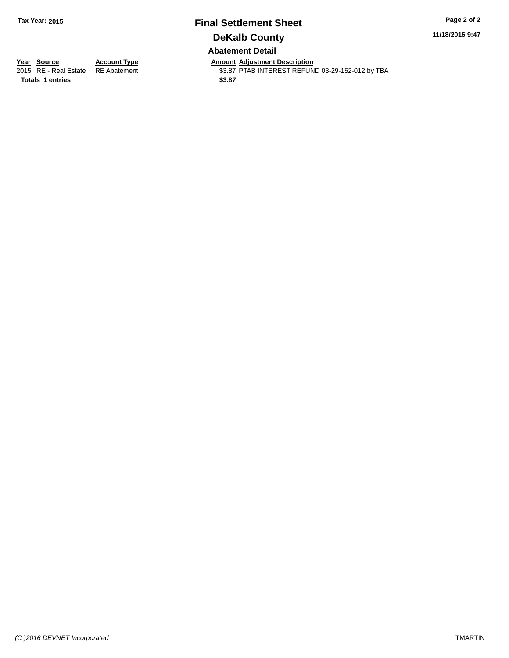## **Final Settlement Sheet Tax Year: 2015 Page 2 of 2 DeKalb County Abatement Detail**

**11/18/2016 9:47**

**Totals 1 entries** \$3.87

**Year Source Account Type Amount Adjustment Description**<br>2015 RE - Real Estate RE Abatement \$3.87 PTAB INTEREST REFUN \$3.87 PTAB INTEREST REFUND 03-29-152-012 by TBA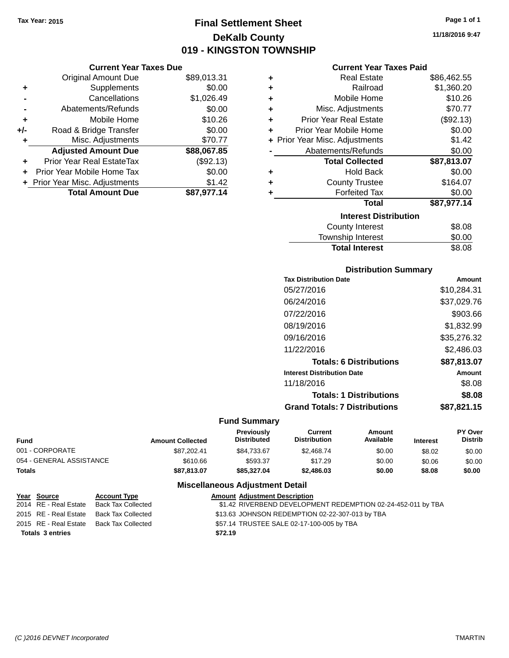## **Final Settlement Sheet Tax Year: 2015 Page 1 of 1 DeKalb County 019 - KINGSTON TOWNSHIP**

#### **Current Year Taxes Due**

|     | <b>Original Amount Due</b>       | \$89,013.31 |
|-----|----------------------------------|-------------|
| ٠   | Supplements                      | \$0.00      |
|     | Cancellations                    | \$1,026.49  |
|     | Abatements/Refunds               | \$0.00      |
| ٠   | Mobile Home                      | \$10.26     |
| +/- | Road & Bridge Transfer           | \$0.00      |
|     | Misc. Adjustments                | \$70.77     |
|     | <b>Adjusted Amount Due</b>       | \$88,067.85 |
| ÷   | <b>Prior Year Real EstateTax</b> | (\$92.13)   |
|     | Prior Year Mobile Home Tax       | \$0.00      |
|     | + Prior Year Misc. Adjustments   | \$1.42      |
|     | <b>Total Amount Due</b>          | \$87,977.14 |

|   | <b>Current Year Taxes Paid</b> |             |
|---|--------------------------------|-------------|
| ٠ | <b>Real Estate</b>             | \$86,462.55 |
| ÷ | Railroad                       | \$1,360.20  |
| ٠ | Mobile Home                    | \$10.26     |
| ٠ | Misc. Adjustments              | \$70.77     |
| ÷ | <b>Prior Year Real Estate</b>  | (\$92.13)   |
| ٠ | Prior Year Mobile Home         | \$0.00      |
|   | + Prior Year Misc. Adjustments | \$1.42      |
|   | Abatements/Refunds             | \$0.00      |
|   | <b>Total Collected</b>         | \$87,813.07 |
| ٠ | Hold Back                      | \$0.00      |
|   | <b>County Trustee</b>          | \$164.07    |
|   | <b>Forfeited Tax</b>           | \$0.00      |
|   | <b>Total</b>                   | \$87,977.14 |
|   | <b>Interest Distribution</b>   |             |
|   | County Interest                | \$8.08      |

| <b>Total Interest</b>  | \$8.08 |
|------------------------|--------|
| Township Interest      | \$0.00 |
| <b>County Interest</b> | \$8.08 |

#### **Distribution Summary**

| <b>Tax Distribution Date</b>         | Amount      |
|--------------------------------------|-------------|
| 05/27/2016                           | \$10,284.31 |
| 06/24/2016                           | \$37,029.76 |
| 07/22/2016                           | \$903.66    |
| 08/19/2016                           | \$1,832.99  |
| 09/16/2016                           | \$35,276.32 |
| 11/22/2016                           | \$2.486.03  |
| <b>Totals: 6 Distributions</b>       | \$87.813.07 |
| <b>Interest Distribution Date</b>    | Amount      |
| 11/18/2016                           | \$8.08      |
| <b>Totals: 1 Distributions</b>       | \$8.08      |
| <b>Grand Totals: 7 Distributions</b> | \$87.821.15 |
|                                      |             |

### **Fund Summary**

| Fund                     | <b>Amount Collected</b> | <b>Previously</b><br><b>Distributed</b> | Current<br><b>Distribution</b> | Amount<br>Available | <b>Interest</b> | <b>PY Over</b><br><b>Distrib</b> |
|--------------------------|-------------------------|-----------------------------------------|--------------------------------|---------------------|-----------------|----------------------------------|
| 001 - CORPORATE          | \$87.202.41             | \$84,733,67                             | \$2,468.74                     | \$0.00              | \$8.02          | \$0.00                           |
| 054 - GENERAL ASSISTANCE | \$610.66                | \$593.37                                | \$17.29                        | \$0.00              | \$0.06          | \$0.00                           |
| Totals                   | \$87,813,07             | \$85,327.04                             | \$2,486.03                     | \$0.00              | \$8.08          | \$0.00                           |

#### **Miscellaneous Adjustment Detail**

| <u>Year Source</u>    | <b>Account Type</b>                      | <b>Amount Adjustment Description</b>                         |
|-----------------------|------------------------------------------|--------------------------------------------------------------|
| 2014 RE - Real Estate | Back Tax Collected                       | \$1.42 RIVERBEND DEVELOPMENT REDEMPTION 02-24-452-011 by TBA |
| 2015 RE - Real Estate | Back Tax Collected                       | \$13.63 JOHNSON REDEMPTION 02-22-307-013 by TBA              |
|                       | 2015 RE - Real Estate Back Tax Collected | \$57.14 TRUSTEE SALE 02-17-100-005 by TBA                    |
| Totals 3 entries      |                                          | \$72.19                                                      |

**11/18/2016 9:47**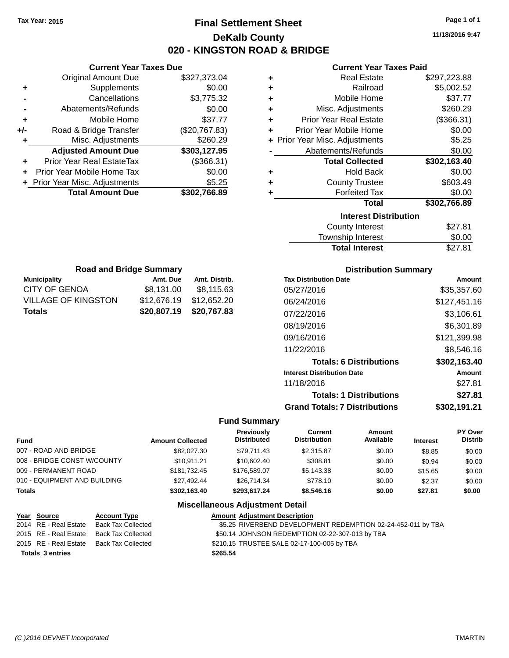**Current Year Taxes Due** Original Amount Due \$327,373.04

**Adjusted Amount Due \$303,127.95**

**Total Amount Due \$302,766.89**

**+** Supplements \$0.00 **-** Cancellations \$3,775.32 **-** Abatements/Refunds \$0.00 **+** Mobile Home \$37.77 **+/-** Road & Bridge Transfer (\$20,767.83) **+** Misc. Adjustments \$260.29

**+** Prior Year Real EstateTax (\$366.31) **+** Prior Year Mobile Home Tax \$0.00 **+** Prior Year Misc. Adjustments \$5.25

CITY OF GENOA \$8,131.00 \$8,115.63 VILLAGE OF KINGSTON \$12,676.19 \$12,652.20 **Totals \$20,807.19 \$20,767.83**

## **Final Settlement Sheet Tax Year: 2015 Page 1 of 1 DeKalb County 020 - KINGSTON ROAD & BRIDGE**

**11/18/2016 9:47**

**Total Interest** \$27.81

#### **Current Year Taxes Paid**

| ٠ | <b>Real Estate</b>             | \$297,223.88 |
|---|--------------------------------|--------------|
| ٠ | Railroad                       | \$5,002.52   |
| ٠ | Mobile Home                    | \$37.77      |
| ٠ | Misc. Adjustments              | \$260.29     |
| ÷ | <b>Prior Year Real Estate</b>  | (\$366.31)   |
| ٠ | Prior Year Mobile Home         | \$0.00       |
|   | + Prior Year Misc. Adjustments | \$5.25       |
|   | Abatements/Refunds             | \$0.00       |
|   | <b>Total Collected</b>         | \$302,163.40 |
| ٠ | <b>Hold Back</b>               | \$0.00       |
| ٠ | <b>County Trustee</b>          | \$603.49     |
| ٠ | <b>Forfeited Tax</b>           | \$0.00       |
|   | <b>Total</b>                   | \$302,766.89 |
|   | <b>Interest Distribution</b>   |              |
|   | <b>County Interest</b>         | \$27.81      |
|   | Township Interest              | \$0.00       |

|                     |                                |               | Township Interest            |
|---------------------|--------------------------------|---------------|------------------------------|
|                     |                                |               | <b>Total Interest</b>        |
|                     | <b>Road and Bridge Summary</b> |               | <b>Distribution Summary</b>  |
| <b>Municipality</b> | Amt. Due                       | Amt. Distrib. | <b>Tax Distribution Date</b> |

| <b>Tax Distribution Date</b>         | Amount       |
|--------------------------------------|--------------|
| 05/27/2016                           | \$35,357.60  |
| 06/24/2016                           | \$127,451.16 |
| 07/22/2016                           | \$3,106.61   |
| 08/19/2016                           | \$6,301.89   |
| 09/16/2016                           | \$121,399.98 |
| 11/22/2016                           | \$8,546.16   |
| <b>Totals: 6 Distributions</b>       | \$302,163.40 |
| <b>Interest Distribution Date</b>    | Amount       |
| 11/18/2016                           | \$27.81      |
| <b>Totals: 1 Distributions</b>       | \$27.81      |
| <b>Grand Totals: 7 Distributions</b> | \$302.191.21 |

| <b>Fund</b>                  |                     | <b>Amount Collected</b> | Previously<br><b>Distributed</b>       | Current<br><b>Distribution</b> | Amount<br>Available | <b>Interest</b> | <b>PY Over</b><br><b>Distrib</b> |
|------------------------------|---------------------|-------------------------|----------------------------------------|--------------------------------|---------------------|-----------------|----------------------------------|
| 007 - ROAD AND BRIDGE        |                     | \$82,027,30             | \$79.711.43                            | \$2.315.87                     | \$0.00              | \$8.85          | \$0.00                           |
| 008 - BRIDGE CONST W/COUNTY  |                     | \$10.911.21             | \$10,602.40                            | \$308.81                       | \$0.00              | \$0.94          | \$0.00                           |
| 009 - PERMANENT ROAD         |                     | \$181.732.45            | \$176,589.07                           | \$5,143.38                     | \$0.00              | \$15.65         | \$0.00                           |
| 010 - EQUIPMENT AND BUILDING |                     | \$27.492.44             | \$26,714.34                            | \$778.10                       | \$0.00              | \$2.37          | \$0.00                           |
| <b>Totals</b>                |                     | \$302,163.40            | \$293.617.24                           | \$8,546,16                     | \$0.00              | \$27.81         | \$0.00                           |
|                              |                     |                         | <b>Miscellaneous Adjustment Detail</b> |                                |                     |                 |                                  |
| Year Source                  | <b>Account Type</b> |                         | <b>Amount Adjustment Description</b>   |                                |                     |                 |                                  |

| $\frac{1}{2}$           | <b>HOODMIN</b> TYPE                      | Anivant Aujustinent Description                              |
|-------------------------|------------------------------------------|--------------------------------------------------------------|
|                         | 2014 RE - Real Estate Back Tax Collected | \$5.25 RIVERBEND DEVELOPMENT REDEMPTION 02-24-452-011 by TBA |
|                         | 2015 RE - Real Estate Back Tax Collected | \$50.14 JOHNSON REDEMPTION 02-22-307-013 by TBA              |
|                         | 2015 RE - Real Estate Back Tax Collected | \$210.15 TRUSTEE SALE 02-17-100-005 by TBA                   |
| <b>Totals 3 entries</b> |                                          | \$265.54                                                     |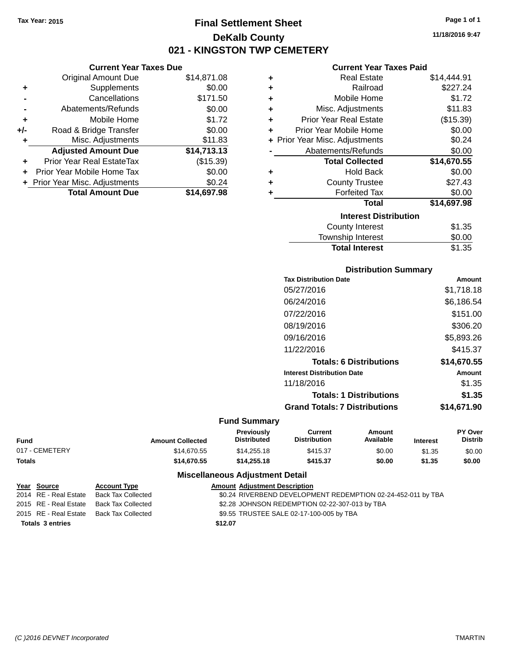**Current Year Taxes Due**

## **Final Settlement Sheet Tax Year: 2015 Page 1 of 1 DeKalb County 021 - KINGSTON TWP CEMETERY**

**11/18/2016 9:47**

#### **Current Year Taxes Paid**

|     | <b>Original Amount Due</b>       | \$14,871.08 | ٠ | <b>Real Estate</b>             | \$14,444.91 |
|-----|----------------------------------|-------------|---|--------------------------------|-------------|
| ٠   | Supplements                      | \$0.00      | ٠ | Railroad                       | \$227.24    |
|     | Cancellations                    | \$171.50    | ٠ | Mobile Home                    | \$1.72      |
|     | Abatements/Refunds               | \$0.00      | ٠ | Misc. Adjustments              | \$11.83     |
| ٠   | Mobile Home                      | \$1.72      | ٠ | <b>Prior Year Real Estate</b>  | (\$15.39)   |
| +/- | Road & Bridge Transfer           | \$0.00      |   | Prior Year Mobile Home         | \$0.00      |
|     | Misc. Adjustments                | \$11.83     |   | + Prior Year Misc. Adjustments | \$0.24      |
|     | <b>Adjusted Amount Due</b>       | \$14,713.13 |   | Abatements/Refunds             | \$0.00      |
| ÷.  | <b>Prior Year Real EstateTax</b> | (\$15.39)   |   | <b>Total Collected</b>         | \$14,670.55 |
|     | Prior Year Mobile Home Tax       | \$0.00      | ٠ | <b>Hold Back</b>               | \$0.00      |
|     | + Prior Year Misc. Adjustments   | \$0.24      | ٠ | <b>County Trustee</b>          | \$27.43     |
|     | <b>Total Amount Due</b>          | \$14,697.98 |   | <b>Forfeited Tax</b>           | \$0.00      |
|     |                                  |             |   | <b>Total</b>                   | \$14,697.98 |
|     |                                  |             |   | <b>Interest Distribution</b>   |             |
|     |                                  |             |   | <b>County Interest</b>         | \$1.35      |
|     |                                  |             |   | Township Interact              | ድስ ሰስ       |

# Township Interest \$0.00 **Total Interest** \$1.35

**Distribution Summary**

| PISUINUUVII VUIIIIIIAI Y             |             |
|--------------------------------------|-------------|
| <b>Tax Distribution Date</b>         | Amount      |
| 05/27/2016                           | \$1,718.18  |
| 06/24/2016                           | \$6,186.54  |
| 07/22/2016                           | \$151.00    |
| 08/19/2016                           | \$306.20    |
| 09/16/2016                           | \$5,893.26  |
| 11/22/2016                           | \$415.37    |
| <b>Totals: 6 Distributions</b>       | \$14,670.55 |
| <b>Interest Distribution Date</b>    | Amount      |
| 11/18/2016                           | \$1.35      |
| <b>Totals: 1 Distributions</b>       | \$1.35      |
| <b>Grand Totals: 7 Distributions</b> | \$14,671.90 |
|                                      |             |

#### **Fund Summary**

| <b>Fund</b>    | <b>Amount Collected</b> | Previously<br><b>Distributed</b> | Current<br><b>Distribution</b> | Amount<br>Available | <b>Interest</b> | <b>PY Over</b><br><b>Distrib</b> |
|----------------|-------------------------|----------------------------------|--------------------------------|---------------------|-----------------|----------------------------------|
| 017 - CEMETERY | \$14,670.55             | \$14,255,18                      | \$415.37                       | \$0.00              | \$1.35          | \$0.00                           |
| <b>Totals</b>  | \$14.670.55             | \$14,255,18                      | \$415.37                       | \$0.00              | \$1.35          | \$0.00                           |

|                         | Year Source           | <b>Account Type</b>                      | <b>Amount Adjustment Description</b>                         |
|-------------------------|-----------------------|------------------------------------------|--------------------------------------------------------------|
|                         | 2014 RE - Real Estate | Back Tax Collected                       | \$0.24 RIVERBEND DEVELOPMENT REDEMPTION 02-24-452-011 by TBA |
|                         |                       | 2015 RE - Real Estate Back Tax Collected | \$2.28 JOHNSON REDEMPTION 02-22-307-013 by TBA               |
|                         |                       | 2015 RE - Real Estate Back Tax Collected | \$9.55 TRUSTEE SALE 02-17-100-005 by TBA                     |
| <b>Totals 3 entries</b> |                       |                                          | \$12.07                                                      |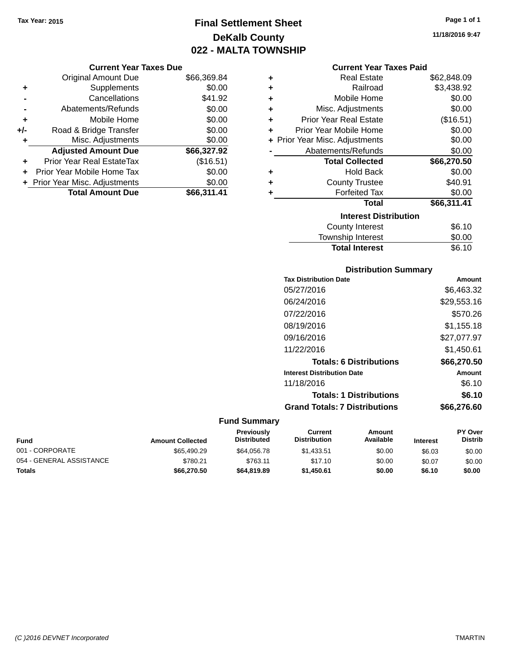## **Final Settlement Sheet Tax Year: 2015 Page 1 of 1 DeKalb County 022 - MALTA TOWNSHIP**

**11/18/2016 9:47**

#### **Current Year Taxes Paid**

|     | <b>Current Year Taxes Due</b>  |             |         |
|-----|--------------------------------|-------------|---------|
|     | <b>Original Amount Due</b>     | \$66,369.84 | ٠       |
|     | Supplements                    | \$0.00      | ٠       |
|     | Cancellations                  | \$41.92     | ٠       |
|     | Abatements/Refunds             | \$0.00      | ٠       |
|     | Mobile Home                    | \$0.00      | ٠       |
| +/- | Road & Bridge Transfer         | \$0.00      | ٠       |
|     | Misc. Adjustments              | \$0.00      | + Prior |
|     | <b>Adjusted Amount Due</b>     | \$66,327.92 |         |
|     | Prior Year Real EstateTax      | (\$16.51)   |         |
|     | Prior Year Mobile Home Tax     | \$0.00      |         |
|     | + Prior Year Misc. Adjustments | \$0.00      | ٠       |
|     | <b>Total Amount Due</b>        | \$66,311.41 |         |
|     |                                |             |         |

| ٠ | <b>Real Estate</b>             | \$62,848.09 |
|---|--------------------------------|-------------|
| ٠ | Railroad                       | \$3,438.92  |
| ٠ | Mobile Home                    | \$0.00      |
| ٠ | Misc. Adjustments              | \$0.00      |
| ٠ | Prior Year Real Estate         | (\$16.51)   |
| ٠ | Prior Year Mobile Home         | \$0.00      |
|   | + Prior Year Misc. Adjustments | \$0.00      |
|   | Abatements/Refunds             | \$0.00      |
|   | <b>Total Collected</b>         | \$66,270.50 |
| ٠ | Hold Back                      | \$0.00      |
| ٠ | <b>County Trustee</b>          | \$40.91     |
| ٠ | <b>Forfeited Tax</b>           | \$0.00      |
|   | Total                          | \$66,311.41 |
|   | <b>Interest Distribution</b>   |             |
|   | County Interest                | \$6.10      |
|   | <b>Township Interest</b>       | \$0.00      |
|   | <b>Total Interest</b>          | \$6.10      |

#### **Distribution Summary**

| <b>Tax Distribution Date</b>         | Amount      |
|--------------------------------------|-------------|
| 05/27/2016                           | \$6,463.32  |
| 06/24/2016                           | \$29,553.16 |
| 07/22/2016                           | \$570.26    |
| 08/19/2016                           | \$1,155.18  |
| 09/16/2016                           | \$27,077.97 |
| 11/22/2016                           | \$1,450.61  |
| <b>Totals: 6 Distributions</b>       | \$66,270,50 |
| <b>Interest Distribution Date</b>    | Amount      |
| 11/18/2016                           | \$6.10      |
| <b>Totals: 1 Distributions</b>       | \$6.10      |
| <b>Grand Totals: 7 Distributions</b> | \$66.276.60 |
|                                      |             |

| <b>Fund</b>              | <b>Amount Collected</b> | <b>Previously</b><br><b>Distributed</b> | Current<br><b>Distribution</b> | Amount<br>Available | <b>Interest</b> | <b>PY Over</b><br><b>Distrib</b> |
|--------------------------|-------------------------|-----------------------------------------|--------------------------------|---------------------|-----------------|----------------------------------|
| 001 - CORPORATE          | \$65,490.29             | \$64.056.78                             | \$1.433.51                     | \$0.00              | \$6.03          | \$0.00                           |
| 054 - GENERAL ASSISTANCE | \$780.21                | \$763.11                                | \$17.10                        | \$0.00              | \$0.07          | \$0.00                           |
| <b>Totals</b>            | \$66,270,50             | \$64,819.89                             | \$1.450.61                     | \$0.00              | \$6.10          | \$0.00                           |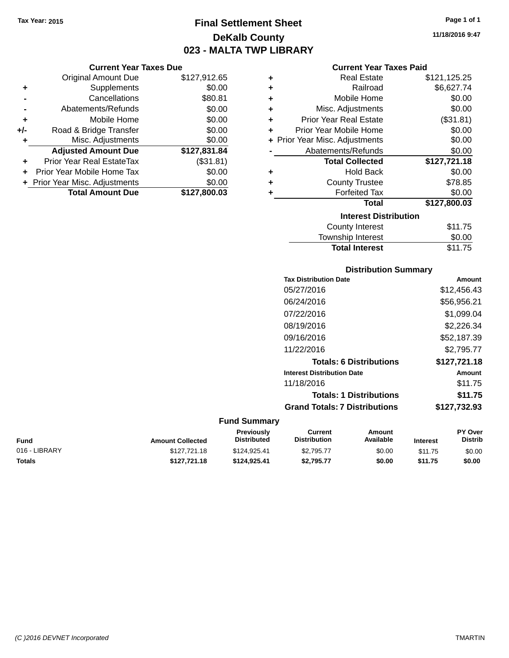## **Final Settlement Sheet Tax Year: 2015 Page 1 of 1 DeKalb County 023 - MALTA TWP LIBRARY**

**11/18/2016 9:47**

| <b>Current Year Taxes Paid</b> |  |  |  |
|--------------------------------|--|--|--|
|--------------------------------|--|--|--|

|     | <b>Current Year Taxes Due</b>  |              |      |
|-----|--------------------------------|--------------|------|
|     | <b>Original Amount Due</b>     | \$127,912.65 | ٠    |
|     | Supplements                    | \$0.00       | ٠    |
|     | Cancellations                  | \$80.81      | ٠    |
|     | Abatements/Refunds             | \$0.00       | ٠    |
|     | Mobile Home                    | \$0.00       | ٠    |
| +/- | Road & Bridge Transfer         | \$0.00       | ÷    |
|     | Misc. Adjustments              | \$0.00       | + Pr |
|     | <b>Adjusted Amount Due</b>     | \$127,831.84 |      |
|     | Prior Year Real EstateTax      | (\$31.81)    |      |
|     | Prior Year Mobile Home Tax     | \$0.00       | ٠    |
|     | + Prior Year Misc. Adjustments | \$0.00       | ٠    |
|     | <b>Total Amount Due</b>        | \$127,800.03 |      |
|     |                                |              |      |

| ٠ | <b>Real Estate</b>             | \$121,125.25 |  |  |  |  |
|---|--------------------------------|--------------|--|--|--|--|
| ٠ | Railroad                       | \$6,627.74   |  |  |  |  |
| ÷ | Mobile Home                    | \$0.00       |  |  |  |  |
| ٠ | Misc. Adjustments              | \$0.00       |  |  |  |  |
| ٠ | <b>Prior Year Real Estate</b>  | (\$31.81)    |  |  |  |  |
| ÷ | Prior Year Mobile Home         | \$0.00       |  |  |  |  |
|   | + Prior Year Misc. Adjustments | \$0.00       |  |  |  |  |
|   | Abatements/Refunds             | \$0.00       |  |  |  |  |
|   | <b>Total Collected</b>         | \$127,721.18 |  |  |  |  |
| ٠ | <b>Hold Back</b>               | \$0.00       |  |  |  |  |
| ٠ | <b>County Trustee</b>          | \$78.85      |  |  |  |  |
| ٠ | <b>Forfeited Tax</b>           | \$0.00       |  |  |  |  |
|   | Total                          | \$127,800.03 |  |  |  |  |
|   | <b>Interest Distribution</b>   |              |  |  |  |  |
|   | County Interest                | \$11.75      |  |  |  |  |
|   | <b>Township Interest</b>       | \$0.00       |  |  |  |  |
|   | <b>Total Interest</b>          | \$11.75      |  |  |  |  |

| <b>Distribution Summary</b>          |              |
|--------------------------------------|--------------|
| <b>Tax Distribution Date</b>         | Amount       |
| 05/27/2016                           | \$12,456.43  |
| 06/24/2016                           | \$56,956.21  |
| 07/22/2016                           | \$1.099.04   |
| 08/19/2016                           | \$2,226.34   |
| 09/16/2016                           | \$52,187.39  |
| 11/22/2016                           | \$2,795.77   |
| <b>Totals: 6 Distributions</b>       | \$127,721.18 |
| <b>Interest Distribution Date</b>    | Amount       |
| 11/18/2016                           | \$11.75      |
| <b>Totals: 1 Distributions</b>       | \$11.75      |
| <b>Grand Totals: 7 Distributions</b> | \$127,732.93 |

| Fund          | <b>Amount Collected</b> | <b>Previously</b><br><b>Distributed</b> | Current<br><b>Distribution</b> | Amount<br>Available | <b>Interest</b> | <b>PY Over</b><br><b>Distrib</b> |
|---------------|-------------------------|-----------------------------------------|--------------------------------|---------------------|-----------------|----------------------------------|
| 016 - LIBRARY | \$127,721.18            | \$124,925.41                            | \$2.795.77                     | \$0.00              | \$11.75         | \$0.00                           |
| Totals        | \$127.721.18            | \$124.925.41                            | \$2.795.77                     | \$0.00              | \$11.75         | \$0.00                           |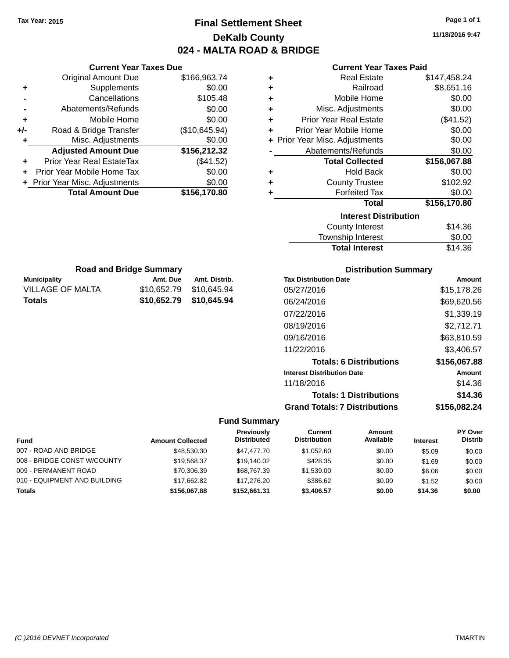## **Final Settlement Sheet Tax Year: 2015 Page 1 of 1 DeKalb County 024 - MALTA ROAD & BRIDGE**

**11/18/2016 9:47**

#### **Current Year Taxes Paid**

| ٠ | <b>Real Estate</b>             | \$147,458.24 |
|---|--------------------------------|--------------|
| ٠ | Railroad                       | \$8,651.16   |
| ٠ | Mobile Home                    | \$0.00       |
| ٠ | Misc. Adjustments              | \$0.00       |
| ٠ | <b>Prior Year Real Estate</b>  | (\$41.52)    |
| ٠ | Prior Year Mobile Home         | \$0.00       |
|   | + Prior Year Misc. Adjustments | \$0.00       |
|   | Abatements/Refunds             | \$0.00       |
|   | <b>Total Collected</b>         | \$156,067.88 |
| ٠ | <b>Hold Back</b>               | \$0.00       |
| ٠ | <b>County Trustee</b>          | \$102.92     |
| ٠ | <b>Forfeited Tax</b>           | \$0.00       |
|   | Total                          | \$156,170.80 |
|   | <b>Interest Distribution</b>   |              |
|   | <b>County Interest</b>         | \$14.36      |
|   | Township Interact              | ድስ ሰስ        |

| \$14.36 |
|---------|
| \$0.00  |
| \$14.36 |
|         |

| <b>Road and Bridge Summary</b> |                         |               |  |  |
|--------------------------------|-------------------------|---------------|--|--|
| <b>Municipality</b>            | Amt. Due                | Amt. Distrib. |  |  |
| VILLAGE OF MALTA               | \$10.652.79 \$10.645.94 |               |  |  |
| <b>Totals</b>                  | \$10,652.79 \$10,645.94 |               |  |  |

**Current Year Taxes Due** Original Amount Due \$166,963.74

**Adjusted Amount Due \$156,212.32**

**Total Amount Due \$156,170.80**

**+** Supplements \$0.00 **-** Cancellations \$105.48 **-** Abatements/Refunds \$0.00 **+** Mobile Home \$0.00 **+/-** Road & Bridge Transfer (\$10,645.94) **+** Misc. Adjustments \$0.00

**+** Prior Year Real EstateTax (\$41.52) **+** Prior Year Mobile Home Tax \$0.00 **+ Prior Year Misc. Adjustments**  $$0.00$ 

#### **Distribution Summary**

| <b>Tax Distribution Date</b>         | Amount       |
|--------------------------------------|--------------|
| 05/27/2016                           | \$15,178.26  |
| 06/24/2016                           | \$69,620.56  |
| 07/22/2016                           | \$1,339.19   |
| 08/19/2016                           | \$2,712.71   |
| 09/16/2016                           | \$63,810.59  |
| 11/22/2016                           | \$3,406.57   |
| <b>Totals: 6 Distributions</b>       | \$156,067.88 |
| <b>Interest Distribution Date</b>    | Amount       |
| 11/18/2016                           | \$14.36      |
| <b>Totals: 1 Distributions</b>       | \$14.36      |
| <b>Grand Totals: 7 Distributions</b> | \$156,082.24 |

| <b>Fund</b>                  | <b>Amount Collected</b> | Previously<br><b>Distributed</b> | Current<br><b>Distribution</b> | Amount<br>Available | <b>Interest</b> | <b>PY Over</b><br><b>Distrib</b> |
|------------------------------|-------------------------|----------------------------------|--------------------------------|---------------------|-----------------|----------------------------------|
| 007 - ROAD AND BRIDGE        | \$48,530.30             | \$47,477.70                      | \$1.052.60                     | \$0.00              | \$5.09          | \$0.00                           |
| 008 - BRIDGE CONST W/COUNTY  | \$19.568.37             | \$19.140.02                      | \$428.35                       | \$0.00              | \$1.69          | \$0.00                           |
| 009 - PERMANENT ROAD         | \$70,306.39             | \$68,767,39                      | \$1,539.00                     | \$0.00              | \$6.06          | \$0.00                           |
| 010 - EQUIPMENT AND BUILDING | \$17,662.82             | \$17.276.20                      | \$386.62                       | \$0.00              | \$1.52          | \$0.00                           |
| <b>Totals</b>                | \$156,067.88            | \$152,661.31                     | \$3,406.57                     | \$0.00              | \$14.36         | \$0.00                           |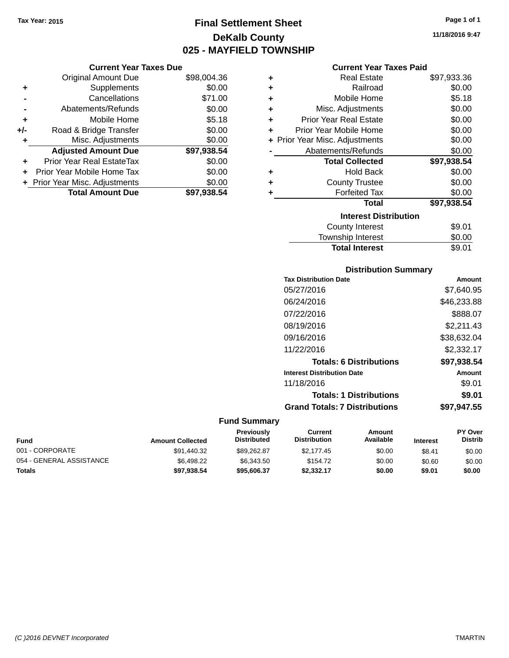## **Final Settlement Sheet Tax Year: 2015 Page 1 of 1 DeKalb County 025 - MAYFIELD TOWNSHIP**

#### **Current Year Taxes Due**

|       | <b>Original Amount Due</b>       | \$98,004.36 |
|-------|----------------------------------|-------------|
| ٠     | Supplements                      | \$0.00      |
|       | Cancellations                    | \$71.00     |
|       | Abatements/Refunds               | \$0.00      |
| ÷     | Mobile Home                      | \$5.18      |
| $+/-$ | Road & Bridge Transfer           | \$0.00      |
| ٠     | Misc. Adjustments                | \$0.00      |
|       | <b>Adjusted Amount Due</b>       | \$97,938.54 |
|       | <b>Prior Year Real EstateTax</b> | \$0.00      |
|       | Prior Year Mobile Home Tax       | \$0.00      |
|       | + Prior Year Misc. Adjustments   | \$0.00      |
|       | <b>Total Amount Due</b>          | \$97,938.54 |

#### **Current Year Taxes Paid**

| ٠ | Real Estate                    | \$97,933.36 |
|---|--------------------------------|-------------|
| ÷ | Railroad                       | \$0.00      |
| ÷ | Mobile Home                    | \$5.18      |
| ٠ | Misc. Adjustments              | \$0.00      |
| ٠ | <b>Prior Year Real Estate</b>  | \$0.00      |
| ÷ | Prior Year Mobile Home         | \$0.00      |
|   | + Prior Year Misc. Adjustments | \$0.00      |
|   | Abatements/Refunds             | \$0.00      |
|   | <b>Total Collected</b>         | \$97,938.54 |
| ٠ | <b>Hold Back</b>               | \$0.00      |
| ٠ | <b>County Trustee</b>          | \$0.00      |
|   | <b>Forfeited Tax</b>           | \$0.00      |
|   | <b>Total</b>                   | \$97,938.54 |
|   | <b>Interest Distribution</b>   |             |
|   | <b>County Interest</b>         | \$9.01      |
|   | <b>Township Interest</b>       | \$0.00      |
|   | <b>Total Interest</b>          | \$9.01      |

#### **Distribution Summary Tax Distribution Date**<br>به **Amount Date** و Tax Distribution Date

| Tax Distribution Date                | Amount      |
|--------------------------------------|-------------|
| 05/27/2016                           | \$7,640.95  |
| 06/24/2016                           | \$46,233.88 |
| 07/22/2016                           | \$888.07    |
| 08/19/2016                           | \$2,211.43  |
| 09/16/2016                           | \$38,632.04 |
| 11/22/2016                           | \$2,332.17  |
| <b>Totals: 6 Distributions</b>       | \$97,938.54 |
| <b>Interest Distribution Date</b>    | Amount      |
| 11/18/2016                           | \$9.01      |
| <b>Totals: 1 Distributions</b>       | \$9.01      |
| <b>Grand Totals: 7 Distributions</b> | \$97,947.55 |
|                                      |             |

| <b>Fund</b>              | <b>Amount Collected</b> | <b>Previously</b><br><b>Distributed</b> | Current<br><b>Distribution</b> | Amount<br>Available | <b>Interest</b> | <b>PY Over</b><br><b>Distrib</b> |
|--------------------------|-------------------------|-----------------------------------------|--------------------------------|---------------------|-----------------|----------------------------------|
| 001 - CORPORATE          | \$91.440.32             | \$89.262.87                             | \$2.177.45                     | \$0.00              | \$8.41          | \$0.00                           |
| 054 - GENERAL ASSISTANCE | \$6,498.22              | \$6,343,50                              | \$154.72                       | \$0.00              | \$0.60          | \$0.00                           |
| <b>Totals</b>            | \$97,938.54             | \$95,606,37                             | \$2.332.17                     | \$0.00              | \$9.01          | \$0.00                           |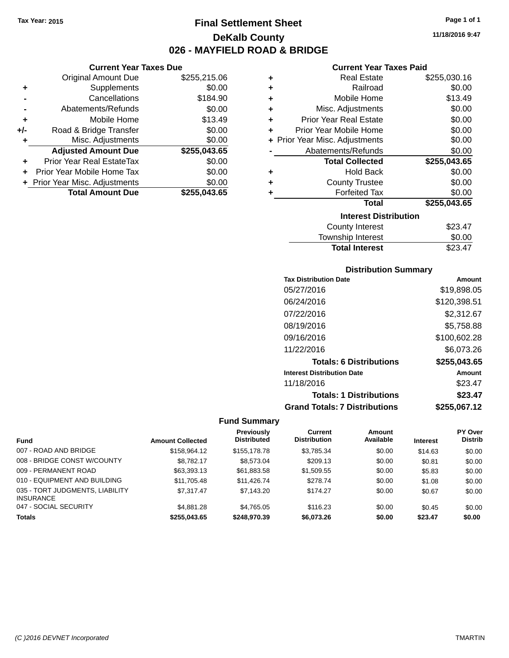**Current Year Taxes Due** Original Amount Due \$255,215.06

**Adjusted Amount Due \$255,043.65**

**Total Amount Due \$255,043.65**

**+** Supplements \$0.00 **-** Cancellations \$184.90 **-** Abatements/Refunds \$0.00 **+** Mobile Home \$13.49 **+/-** Road & Bridge Transfer \$0.00<br> **+** Misc. Adjustments \$0.00

**+** Prior Year Real EstateTax \$0.00 **+** Prior Year Mobile Home Tax \$0.00 **+ Prior Year Misc. Adjustments**  $$0.00$ 

**+** Misc. Adjustments

## **Final Settlement Sheet Tax Year: 2015 Page 1 of 1 DeKalb County 026 - MAYFIELD ROAD & BRIDGE**

**11/18/2016 9:47**

#### **Current Year Taxes Paid**

| ٠ | <b>Real Estate</b>             | \$255,030.16 |
|---|--------------------------------|--------------|
| ٠ | Railroad                       | \$0.00       |
| ٠ | Mobile Home                    | \$13.49      |
| ٠ | Misc. Adjustments              | \$0.00       |
| ٠ | <b>Prior Year Real Estate</b>  | \$0.00       |
| ÷ | Prior Year Mobile Home         | \$0.00       |
|   | + Prior Year Misc. Adjustments | \$0.00       |
|   | Abatements/Refunds             | \$0.00       |
|   | <b>Total Collected</b>         | \$255,043.65 |
| ٠ | <b>Hold Back</b>               | \$0.00       |
| ٠ | <b>County Trustee</b>          | \$0.00       |
| ٠ | <b>Forfeited Tax</b>           | \$0.00       |
|   | <b>Total</b>                   | \$255,043.65 |
|   | <b>Interest Distribution</b>   |              |
|   | <b>County Interest</b>         | \$23.47      |
|   | -                              |              |

#### Township Interest \$0.00 Total Interest \$23.47

### **Distribution Summary Tax Distribution Date Amount**

| 05/27/2016                           | \$19,898.05  |
|--------------------------------------|--------------|
| 06/24/2016                           | \$120,398.51 |
| 07/22/2016                           | \$2,312.67   |
| 08/19/2016                           | \$5,758.88   |
| 09/16/2016                           | \$100,602.28 |
| 11/22/2016                           | \$6,073.26   |
| <b>Totals: 6 Distributions</b>       | \$255,043.65 |
| <b>Interest Distribution Date</b>    | Amount       |
| 11/18/2016                           | \$23.47      |
| <b>Totals: 1 Distributions</b>       | \$23.47      |
| <b>Grand Totals: 7 Distributions</b> | \$255,067.12 |

|                                                     |                         | <b>Previously</b>  | Current             | Amount    |                 | <b>PY Over</b> |
|-----------------------------------------------------|-------------------------|--------------------|---------------------|-----------|-----------------|----------------|
| <b>Fund</b>                                         | <b>Amount Collected</b> | <b>Distributed</b> | <b>Distribution</b> | Available | <b>Interest</b> | <b>Distrib</b> |
| 007 - ROAD AND BRIDGE                               | \$158,964.12            | \$155,178.78       | \$3,785.34          | \$0.00    | \$14.63         | \$0.00         |
| 008 - BRIDGE CONST W/COUNTY                         | \$8.782.17              | \$8,573.04         | \$209.13            | \$0.00    | \$0.81          | \$0.00         |
| 009 - PERMANENT ROAD                                | \$63,393.13             | \$61,883.58        | \$1,509.55          | \$0.00    | \$5.83          | \$0.00         |
| 010 - EQUIPMENT AND BUILDING                        | \$11,705.48             | \$11.426.74        | \$278.74            | \$0.00    | \$1.08          | \$0.00         |
| 035 - TORT JUDGMENTS, LIABILITY<br><b>INSURANCE</b> | \$7.317.47              | \$7,143.20         | \$174.27            | \$0.00    | \$0.67          | \$0.00         |
| 047 - SOCIAL SECURITY                               | \$4,881.28              | \$4.765.05         | \$116.23            | \$0.00    | \$0.45          | \$0.00         |
| <b>Totals</b>                                       | \$255.043.65            | \$248.970.39       | \$6,073,26          | \$0.00    | \$23.47         | \$0.00         |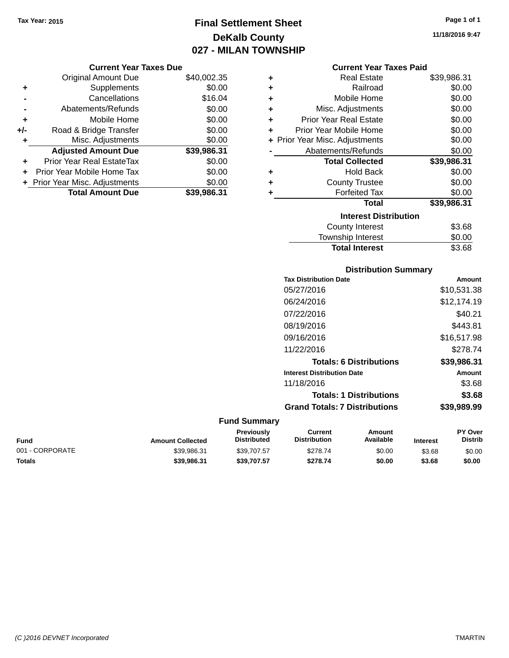## **Final Settlement Sheet Tax Year: 2015 Page 1 of 1 DeKalb County 027 - MILAN TOWNSHIP**

|     | <b>Original Amount Due</b>     | \$40,002.35 |
|-----|--------------------------------|-------------|
| ٠   | Supplements                    | \$0.00      |
|     | Cancellations                  | \$16.04     |
|     | Abatements/Refunds             | \$0.00      |
| ٠   | Mobile Home                    | \$0.00      |
| +/- | Road & Bridge Transfer         | \$0.00      |
| ٠   | Misc. Adjustments              | \$0.00      |
|     | <b>Adjusted Amount Due</b>     | \$39,986.31 |
| ÷   | Prior Year Real EstateTax      | \$0.00      |
|     | Prior Year Mobile Home Tax     | \$0.00      |
|     | + Prior Year Misc. Adjustments | \$0.00      |
|     | <b>Total Amount Due</b>        | \$39,986.31 |

| <b>Current Year Taxes Paid</b> |  |  |  |  |
|--------------------------------|--|--|--|--|
|--------------------------------|--|--|--|--|

| ٠ | Real Estate                    | \$39,986.31 |
|---|--------------------------------|-------------|
| ÷ | Railroad                       | \$0.00      |
| ٠ | Mobile Home                    | \$0.00      |
| ÷ | Misc. Adjustments              | \$0.00      |
| ٠ | Prior Year Real Estate         | \$0.00      |
| ٠ | Prior Year Mobile Home         | \$0.00      |
|   | + Prior Year Misc. Adjustments | \$0.00      |
|   | Abatements/Refunds             | \$0.00      |
|   | <b>Total Collected</b>         | \$39,986.31 |
| ٠ | Hold Back                      | \$0.00      |
| ÷ | <b>County Trustee</b>          | \$0.00      |
| ٠ | <b>Forfeited Tax</b>           | \$0.00      |
|   | Total                          | \$39,986.31 |
|   | <b>Interest Distribution</b>   |             |
|   | <b>County Interest</b>         | \$3.68      |
|   | <b>Township Interest</b>       | \$0.00      |
|   | <b>Total Interest</b>          | \$3.68      |

## **Distribution Summary Tax Distribution Date Amount** 05/27/2016 \$10,531.38 06/24/2016 \$12,174.19 07/22/2016 \$40.21 08/19/2016 \$443.81 09/16/2016 \$16,517.98 11/22/2016 \$278.74 **Totals: 6 Distributions \$39,986.31 Interest Distribution Date Amount** 11/18/2016 \$3.68 **Totals: 1 Distributions \$3.68 Grand Totals: 7 Distributions \$39,989.99**

#### **Fund Summary**

| Fund            | <b>Amount Collected</b> | Previously<br><b>Distributed</b> | Current<br><b>Distribution</b> | Amount<br>Available | <b>Interest</b> | <b>PY Over</b><br><b>Distrib</b> |
|-----------------|-------------------------|----------------------------------|--------------------------------|---------------------|-----------------|----------------------------------|
| 001 - CORPORATE | \$39.986.31             | \$39,707.57                      | \$278.74                       | \$0.00              | \$3.68          | \$0.00                           |
| Totals          | \$39,986,31             | \$39.707.57                      | \$278.74                       | \$0.00              | \$3.68          | \$0.00                           |

**11/18/2016 9:47**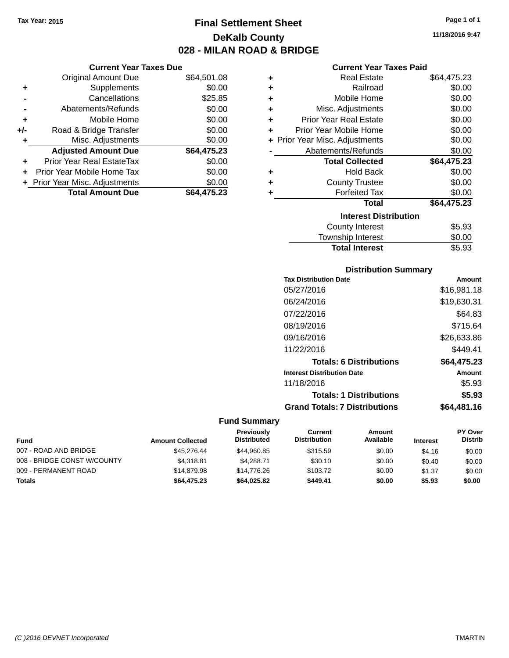## **Final Settlement Sheet Tax Year: 2015 Page 1 of 1 DeKalb County 028 - MILAN ROAD & BRIDGE**

|     | <b>Current Year Taxes Due</b>  |             |  |  |  |
|-----|--------------------------------|-------------|--|--|--|
|     | <b>Original Amount Due</b>     | \$64,501.08 |  |  |  |
| ٠   | Supplements                    | \$0.00      |  |  |  |
|     | Cancellations                  | \$25.85     |  |  |  |
|     | Abatements/Refunds             | \$0.00      |  |  |  |
| ٠   | Mobile Home                    | \$0.00      |  |  |  |
| +/- | Road & Bridge Transfer         | \$0.00      |  |  |  |
|     | Misc. Adjustments              | \$0.00      |  |  |  |
|     | <b>Adjusted Amount Due</b>     | \$64,475.23 |  |  |  |
| ٠   | Prior Year Real EstateTax      | \$0.00      |  |  |  |
|     | Prior Year Mobile Home Tax     | \$0.00      |  |  |  |
|     | + Prior Year Misc. Adjustments | \$0.00      |  |  |  |
|     | <b>Total Amount Due</b>        | \$64.475.23 |  |  |  |

|   | <b>Current Year Taxes Paid</b> |             |
|---|--------------------------------|-------------|
| ٠ | Real Estate                    | \$64,475.23 |
| ٠ | Railroad                       | \$0.00      |
| ٠ | Mobile Home                    | \$0.00      |
| ٠ | Misc. Adjustments              | \$0.00      |
| ÷ | <b>Prior Year Real Estate</b>  | \$0.00      |
| ÷ | Prior Year Mobile Home         | \$0.00      |
|   | + Prior Year Misc. Adjustments | \$0.00      |
|   | Abatements/Refunds             | \$0.00      |
|   | <b>Total Collected</b>         | \$64,475.23 |
| ٠ | Hold Back                      | \$0.00      |
| ٠ | <b>County Trustee</b>          | \$0.00      |
| ٠ | <b>Forfeited Tax</b>           | \$0.00      |
|   | Total                          | \$64,475.23 |
|   | <b>Interest Distribution</b>   |             |
|   | <b>County Interest</b>         | \$5.93      |
|   | <b>Township Interest</b>       | \$0.00      |
|   | <b>Total Interest</b>          | \$5.93      |

# **Distribution Summary**

| Amount      |
|-------------|
| \$16,981.18 |
| \$19,630.31 |
| \$64.83     |
| \$715.64    |
| \$26,633.86 |
| \$449.41    |
| \$64,475.23 |
| Amount      |
| \$5.93      |
| \$5.93      |
| \$64,481.16 |
|             |

| <b>Fund</b>                 | <b>Amount Collected</b> | <b>Previously</b><br><b>Distributed</b> | Current<br><b>Distribution</b> | Amount<br>Available | <b>Interest</b> | <b>PY Over</b><br><b>Distrib</b> |
|-----------------------------|-------------------------|-----------------------------------------|--------------------------------|---------------------|-----------------|----------------------------------|
| 007 - ROAD AND BRIDGE       | \$45,276,44             | \$44.960.85                             | \$315.59                       | \$0.00              | \$4.16          | \$0.00                           |
| 008 - BRIDGE CONST W/COUNTY | \$4.318.81              | \$4.288.71                              | \$30.10                        | \$0.00              | \$0.40          | \$0.00                           |
| 009 - PERMANENT ROAD        | \$14,879.98             | \$14,776.26                             | \$103.72                       | \$0.00              | \$1.37          | \$0.00                           |
| Totals                      | \$64,475.23             | \$64.025.82                             | \$449.41                       | \$0.00              | \$5.93          | \$0.00                           |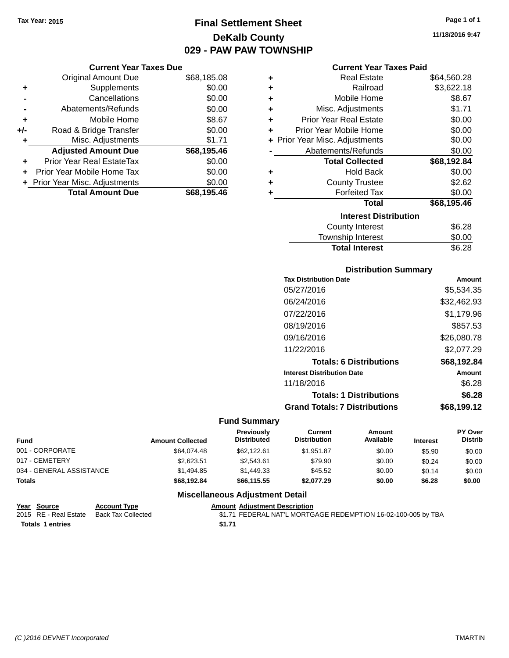## **Final Settlement Sheet Tax Year: 2015 Page 1 of 1 DeKalb County 029 - PAW PAW TOWNSHIP**

#### **Current Year Taxes Due**

|       | <b>Original Amount Due</b>       | \$68,185.08 |
|-------|----------------------------------|-------------|
| ٠     | Supplements                      | \$0.00      |
|       | Cancellations                    | \$0.00      |
|       | Abatements/Refunds               | \$0.00      |
| ÷     | Mobile Home                      | \$8.67      |
| $+/-$ | Road & Bridge Transfer           | \$0.00      |
| ٠     | Misc. Adjustments                | \$1.71      |
|       | <b>Adjusted Amount Due</b>       | \$68,195.46 |
|       | <b>Prior Year Real EstateTax</b> | \$0.00      |
|       | Prior Year Mobile Home Tax       | \$0.00      |
|       | + Prior Year Misc. Adjustments   | \$0.00      |
|       | <b>Total Amount Due</b>          | \$68,195.46 |

|   | <b>Current Year Taxes Paid</b> |             |
|---|--------------------------------|-------------|
| ÷ | <b>Real Estate</b>             | \$64,560.28 |
| ÷ | Railroad                       | \$3,622.18  |
| ÷ | Mobile Home                    | \$8.67      |
| ÷ | Misc. Adjustments              | \$1.71      |
| ÷ | Prior Year Real Estate         | \$0.00      |
| ÷ | Prior Year Mobile Home         | \$0.00      |
|   | + Prior Year Misc. Adjustments | \$0.00      |
|   | Abatements/Refunds             | \$0.00      |
|   | <b>Total Collected</b>         | \$68,192.84 |
| ÷ | Hold Back                      | \$0.00      |
| ÷ | <b>County Trustee</b>          | \$2.62      |
| ٠ | <b>Forfeited Tax</b>           | \$0.00      |
|   | Total                          | \$68,195.46 |

#### **Interest Distribution** County Interest \$6.28 Township Interest \$0.00 Total Interest \$6.28

#### **Distribution Summary**

| <b>Tax Distribution Date</b>         | Amount      |
|--------------------------------------|-------------|
| 05/27/2016                           | \$5,534.35  |
| 06/24/2016                           | \$32,462.93 |
| 07/22/2016                           | \$1,179.96  |
| 08/19/2016                           | \$857.53    |
| 09/16/2016                           | \$26,080.78 |
| 11/22/2016                           | \$2,077.29  |
| <b>Totals: 6 Distributions</b>       | \$68,192.84 |
| <b>Interest Distribution Date</b>    | Amount      |
| 11/18/2016                           | \$6.28      |
| <b>Totals: 1 Distributions</b>       | \$6.28      |
| <b>Grand Totals: 7 Distributions</b> | \$68.199.12 |

#### **Fund Summary**

| <b>Fund</b>              | <b>Amount Collected</b> | <b>Previously</b><br><b>Distributed</b> | Current<br><b>Distribution</b> | Amount<br>Available | <b>Interest</b> | <b>PY Over</b><br><b>Distrib</b> |
|--------------------------|-------------------------|-----------------------------------------|--------------------------------|---------------------|-----------------|----------------------------------|
| 001 - CORPORATE          | \$64.074.48             | \$62,122.61                             | \$1.951.87                     | \$0.00              | \$5.90          | \$0.00                           |
| 017 - CEMETERY           | \$2.623.51              | \$2.543.61                              | \$79.90                        | \$0.00              | \$0.24          | \$0.00                           |
| 034 - GENERAL ASSISTANCE | \$1.494.85              | \$1,449.33                              | \$45.52                        | \$0.00              | \$0.14          | \$0.00                           |
| <b>Totals</b>            | \$68,192.84             | \$66,115.55                             | \$2.077.29                     | \$0.00              | \$6.28          | \$0.00                           |

| Year Source             | <b>Account Type</b> | <b>Amount Adiustment Description</b>                          |
|-------------------------|---------------------|---------------------------------------------------------------|
| 2015 RE - Real Estate   | Back Tax Collected  | \$1.71 FEDERAL NAT'L MORTGAGE REDEMPTION 16-02-100-005 by TBA |
| <b>Totals 1 entries</b> |                     | \$1.71                                                        |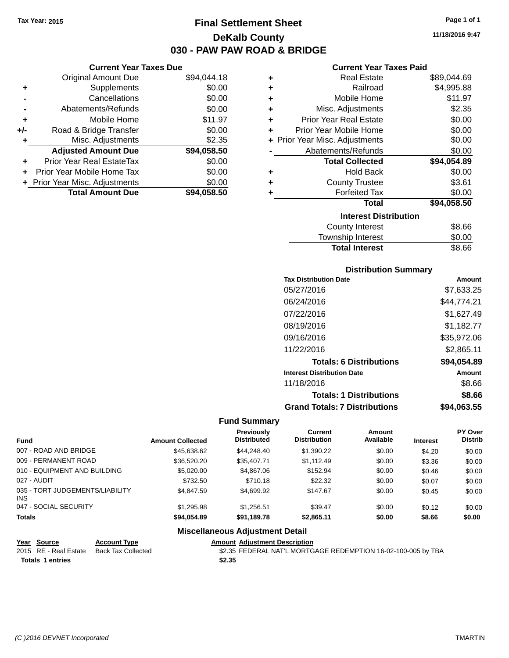## **Final Settlement Sheet Tax Year: 2015 Page 1 of 1 DeKalb County 030 - PAW PAW ROAD & BRIDGE**

**11/18/2016 9:47**

| Current Year Taxes Paid |
|-------------------------|

|     | <b>Current Year Taxes Due</b>  |             |  |  |  |  |
|-----|--------------------------------|-------------|--|--|--|--|
|     | <b>Original Amount Due</b>     | \$94,044.18 |  |  |  |  |
| ٠   | Supplements                    | \$0.00      |  |  |  |  |
|     | Cancellations                  | \$0.00      |  |  |  |  |
|     | Abatements/Refunds             | \$0.00      |  |  |  |  |
| ÷   | Mobile Home                    | \$11.97     |  |  |  |  |
| +/- | Road & Bridge Transfer         | \$0.00      |  |  |  |  |
| ٠   | Misc. Adjustments              | \$2.35      |  |  |  |  |
|     | <b>Adjusted Amount Due</b>     | \$94,058.50 |  |  |  |  |
| ÷   | Prior Year Real EstateTax      | \$0.00      |  |  |  |  |
|     | Prior Year Mobile Home Tax     | \$0.00      |  |  |  |  |
|     | + Prior Year Misc. Adjustments | \$0.00      |  |  |  |  |
|     | <b>Total Amount Due</b>        | \$94.058.50 |  |  |  |  |
|     |                                |             |  |  |  |  |

| ٠                            | <b>Real Estate</b>             | \$89,044.69 |  |  |  |  |
|------------------------------|--------------------------------|-------------|--|--|--|--|
| ٠                            | Railroad                       | \$4,995.88  |  |  |  |  |
| ٠                            | Mobile Home                    | \$11.97     |  |  |  |  |
| ٠                            | Misc. Adjustments              | \$2.35      |  |  |  |  |
| ÷                            | <b>Prior Year Real Estate</b>  | \$0.00      |  |  |  |  |
| ÷                            | Prior Year Mobile Home         | \$0.00      |  |  |  |  |
|                              | + Prior Year Misc. Adjustments | \$0.00      |  |  |  |  |
|                              | Abatements/Refunds             | \$0.00      |  |  |  |  |
|                              | <b>Total Collected</b>         | \$94,054.89 |  |  |  |  |
| ٠                            | Hold Back                      | \$0.00      |  |  |  |  |
| ٠                            | <b>County Trustee</b>          | \$3.61      |  |  |  |  |
| ٠                            | <b>Forfeited Tax</b>           | \$0.00      |  |  |  |  |
|                              | <b>Total</b>                   | \$94,058.50 |  |  |  |  |
| <b>Interest Distribution</b> |                                |             |  |  |  |  |
|                              | <b>County Interest</b>         | \$8.66      |  |  |  |  |
|                              | <b>Township Interest</b>       | \$0.00      |  |  |  |  |
|                              | <b>Total Interest</b>          | \$8.66      |  |  |  |  |

#### **Distribution Summary**

| <b>Tax Distribution Date</b>         | Amount      |
|--------------------------------------|-------------|
| 05/27/2016                           | \$7,633.25  |
| 06/24/2016                           | \$44,774.21 |
| 07/22/2016                           | \$1,627.49  |
| 08/19/2016                           | \$1,182.77  |
| 09/16/2016                           | \$35,972.06 |
| 11/22/2016                           | \$2,865.11  |
| <b>Totals: 6 Distributions</b>       | \$94,054.89 |
| <b>Interest Distribution Date</b>    | Amount      |
| 11/18/2016                           | \$8.66      |
| <b>Totals: 1 Distributions</b>       | \$8.66      |
| <b>Grand Totals: 7 Distributions</b> | \$94,063.55 |

#### **Fund Summary**

| <b>Fund</b>                                   | <b>Amount Collected</b> | <b>Previously</b><br><b>Distributed</b> | Current<br><b>Distribution</b> | Amount<br>Available | <b>Interest</b> | <b>PY Over</b><br><b>Distrib</b> |
|-----------------------------------------------|-------------------------|-----------------------------------------|--------------------------------|---------------------|-----------------|----------------------------------|
| 007 - ROAD AND BRIDGE                         | \$45,638,62             | \$44,248,40                             | \$1.390.22                     | \$0.00              | \$4.20          | \$0.00                           |
| 009 - PERMANENT ROAD                          | \$36,520.20             | \$35,407.71                             | \$1.112.49                     | \$0.00              | \$3.36          | \$0.00                           |
| 010 - EQUIPMENT AND BUILDING                  | \$5,020,00              | \$4,867.06                              | \$152.94                       | \$0.00              | \$0.46          | \$0.00                           |
| 027 - AUDIT                                   | \$732.50                | \$710.18                                | \$22.32                        | \$0.00              | \$0.07          | \$0.00                           |
| 035 - TORT JUDGEMENTS/LIABILITY<br><b>INS</b> | \$4,847.59              | \$4,699.92                              | \$147.67                       | \$0.00              | \$0.45          | \$0.00                           |
| 047 - SOCIAL SECURITY                         | \$1,295.98              | \$1.256.51                              | \$39.47                        | \$0.00              | \$0.12          | \$0.00                           |
| <b>Totals</b>                                 | \$94.054.89             | \$91,189.78                             | \$2,865.11                     | \$0.00              | \$8.66          | \$0.00                           |

#### **Miscellaneous Adjustment Detail**

**Year** Source **Account Type Account Adjustment Description Totals \$2.35 1 entries**

2015 RE - Real Estate Back Tax Collected **62.35 FEDERAL NAT'L MORTGAGE REDEMPTION 16-02-100-005 by TBA**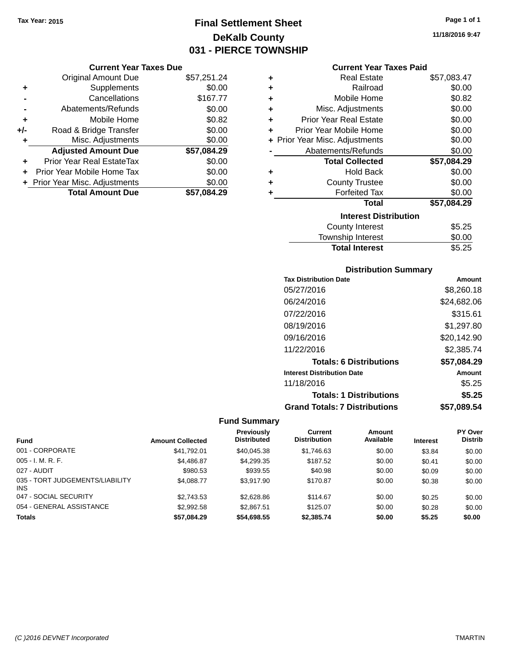## **Final Settlement Sheet Tax Year: 2015 Page 1 of 1 DeKalb County 031 - PIERCE TOWNSHIP**

#### **Current Year Taxes Due**

|       | <b>Original Amount Due</b>       | \$57,251.24 |
|-------|----------------------------------|-------------|
| ٠     | Supplements                      | \$0.00      |
|       | Cancellations                    | \$167.77    |
|       | Abatements/Refunds               | \$0.00      |
| ٠     | Mobile Home                      | \$0.82      |
| $+/-$ | Road & Bridge Transfer           | \$0.00      |
| ٠     | Misc. Adjustments                | \$0.00      |
|       | <b>Adjusted Amount Due</b>       | \$57,084.29 |
| ÷     | <b>Prior Year Real EstateTax</b> | \$0.00      |
|       | Prior Year Mobile Home Tax       | \$0.00      |
|       | + Prior Year Misc. Adjustments   | \$0.00      |
|       | <b>Total Amount Due</b>          | \$57,084.29 |

## **Current Year Taxes Paid**

| ٠ | Real Estate                      | \$57,083.47 |  |  |  |  |
|---|----------------------------------|-------------|--|--|--|--|
| ٠ | Railroad                         | \$0.00      |  |  |  |  |
| ÷ | Mobile Home                      | \$0.82      |  |  |  |  |
| ٠ | Misc. Adjustments                | \$0.00      |  |  |  |  |
| ٠ | Prior Year Real Estate           | \$0.00      |  |  |  |  |
| ٠ | Prior Year Mobile Home           | \$0.00      |  |  |  |  |
|   | + Prior Year Misc. Adjustments   | \$0.00      |  |  |  |  |
|   | Abatements/Refunds               | \$0.00      |  |  |  |  |
|   | <b>Total Collected</b>           | \$57,084.29 |  |  |  |  |
| ٠ | <b>Hold Back</b>                 | \$0.00      |  |  |  |  |
| ÷ | <b>County Trustee</b>            | \$0.00      |  |  |  |  |
| ٠ | <b>Forfeited Tax</b>             | \$0.00      |  |  |  |  |
|   | Total                            | \$57,084.29 |  |  |  |  |
|   | <b>Interest Distribution</b>     |             |  |  |  |  |
|   | \$5.25<br><b>County Interest</b> |             |  |  |  |  |
|   | <b>Township Interest</b>         | \$0.00      |  |  |  |  |
|   | <b>Total Interest</b>            | \$5.25      |  |  |  |  |

### **Distribution Summary**

| <b>Tax Distribution Date</b>         | Amount      |
|--------------------------------------|-------------|
| 05/27/2016                           | \$8,260.18  |
| 06/24/2016                           | \$24,682.06 |
| 07/22/2016                           | \$315.61    |
| 08/19/2016                           | \$1,297.80  |
| 09/16/2016                           | \$20,142.90 |
| 11/22/2016                           | \$2,385.74  |
| <b>Totals: 6 Distributions</b>       | \$57,084.29 |
| <b>Interest Distribution Date</b>    | Amount      |
| 11/18/2016                           | \$5.25      |
| <b>Totals: 1 Distributions</b>       | \$5.25      |
| <b>Grand Totals: 7 Distributions</b> | \$57.089.54 |

| <b>Fund</b>                             | <b>Amount Collected</b> | <b>Previously</b><br><b>Distributed</b> | Current<br><b>Distribution</b> | Amount<br>Available | <b>Interest</b> | <b>PY Over</b><br><b>Distrib</b> |
|-----------------------------------------|-------------------------|-----------------------------------------|--------------------------------|---------------------|-----------------|----------------------------------|
| 001 - CORPORATE                         | \$41,792.01             | \$40.045.38                             | \$1,746.63                     | \$0.00              | \$3.84          | \$0.00                           |
| $005 - I. M. R. F.$                     | \$4,486.87              | \$4,299.35                              | \$187.52                       | \$0.00              | \$0.41          | \$0.00                           |
| 027 - AUDIT                             | \$980.53                | \$939.55                                | \$40.98                        | \$0.00              | \$0.09          | \$0.00                           |
| 035 - TORT JUDGEMENTS/LIABILITY<br>INS. | \$4.088.77              | \$3.917.90                              | \$170.87                       | \$0.00              | \$0.38          | \$0.00                           |
| 047 - SOCIAL SECURITY                   | \$2.743.53              | \$2,628.86                              | \$114.67                       | \$0.00              | \$0.25          | \$0.00                           |
| 054 - GENERAL ASSISTANCE                | \$2.992.58              | \$2,867.51                              | \$125.07                       | \$0.00              | \$0.28          | \$0.00                           |
| <b>Totals</b>                           | \$57.084.29             | \$54,698.55                             | \$2,385,74                     | \$0.00              | \$5.25          | \$0.00                           |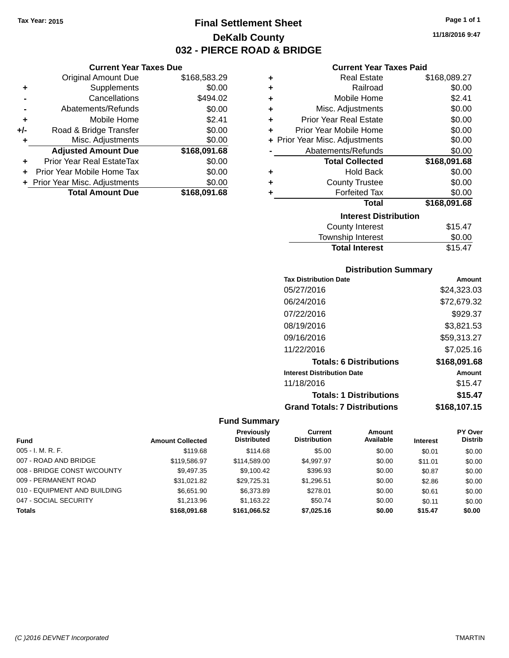**Current Year Taxes Due** Original Amount Due \$168,583.29

**Adjusted Amount Due \$168,091.68**

**Total Amount Due \$168,091.68**

**+** Supplements \$0.00 **-** Cancellations \$494.02 **-** Abatements/Refunds \$0.00 **+** Mobile Home \$2.41 **+/-** Road & Bridge Transfer \$0.00 **+** Misc. Adjustments \$0.00

**+** Prior Year Real EstateTax \$0.00 **+** Prior Year Mobile Home Tax \$0.00 **+** Prior Year Misc. Adjustments  $$0.00$ 

## **Final Settlement Sheet Tax Year: 2015 Page 1 of 1 DeKalb County 032 - PIERCE ROAD & BRIDGE**

#### **Current Year Taxes Paid**

| ٠ | <b>Real Estate</b>             | \$168,089.27 |
|---|--------------------------------|--------------|
| ٠ | Railroad                       | \$0.00       |
| ٠ | Mobile Home                    | \$2.41       |
| ٠ | Misc. Adjustments              | \$0.00       |
| ٠ | <b>Prior Year Real Estate</b>  | \$0.00       |
| ٠ | Prior Year Mobile Home         | \$0.00       |
|   | + Prior Year Misc. Adjustments | \$0.00       |
|   | Abatements/Refunds             | \$0.00       |
|   | <b>Total Collected</b>         | \$168,091.68 |
| ٠ | <b>Hold Back</b>               | \$0.00       |
| ٠ | <b>County Trustee</b>          | \$0.00       |
|   | <b>Forfeited Tax</b>           | \$0.00       |
|   | Total                          | \$168,091.68 |
|   | <b>Interest Distribution</b>   |              |
|   | <b>County Interest</b>         | \$15.47      |

## Township Interest \$0.00 Total Interest \$15.47

## **Distribution Summary Tax Distribution Date Amount** 05/27/2016 \$24,323.03 06/24/2016 \$72,679.32 07/22/2016 \$929.37 08/19/2016 \$3,821.53 09/16/2016 \$59,313.27 11/22/2016 \$7,025.16 **Totals: 6 Distributions \$168,091.68 Interest Distribution Date Amount** 11/18/2016 \$15.47 **Totals: 1 Distributions \$15.47**

## **Grand Totals: 7 Distributions \$168,107.15**

| <b>Fund</b>                  | <b>Amount Collected</b> | Previously<br><b>Distributed</b> | Current<br><b>Distribution</b> | Amount<br>Available | <b>Interest</b> | <b>PY Over</b><br><b>Distrib</b> |
|------------------------------|-------------------------|----------------------------------|--------------------------------|---------------------|-----------------|----------------------------------|
| $005 - I. M. R. F.$          | \$119.68                | \$114.68                         | \$5.00                         | \$0.00              | \$0.01          | \$0.00                           |
| 007 - ROAD AND BRIDGE        | \$119,586.97            | \$114,589,00                     | \$4.997.97                     | \$0.00              | \$11.01         | \$0.00                           |
| 008 - BRIDGE CONST W/COUNTY  | \$9,497.35              | \$9,100.42                       | \$396.93                       | \$0.00              | \$0.87          | \$0.00                           |
| 009 - PERMANENT ROAD         | \$31.021.82             | \$29.725.31                      | \$1,296.51                     | \$0.00              | \$2.86          | \$0.00                           |
| 010 - EQUIPMENT AND BUILDING | \$6,651.90              | \$6,373.89                       | \$278.01                       | \$0.00              | \$0.61          | \$0.00                           |
| 047 - SOCIAL SECURITY        | \$1,213.96              | \$1,163.22                       | \$50.74                        | \$0.00              | \$0.11          | \$0.00                           |
| <b>Totals</b>                | \$168,091.68            | \$161,066.52                     | \$7.025.16                     | \$0.00              | \$15.47         | \$0.00                           |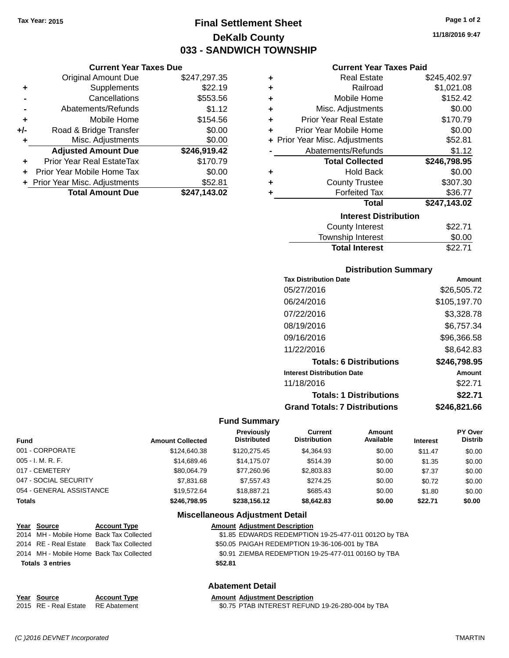## **Final Settlement Sheet Tax Year: 2015 Page 1 of 2 DeKalb County 033 - SANDWICH TOWNSHIP**

**11/18/2016 9:47**

#### **Current Year Taxes Paid**

|     | <b>Current Year Taxes Due</b>  |              |  |
|-----|--------------------------------|--------------|--|
|     | <b>Original Amount Due</b>     | \$247,297.35 |  |
| ٠   | Supplements                    | \$22.19      |  |
|     | Cancellations                  | \$553.56     |  |
|     | Abatements/Refunds             | \$1.12       |  |
| ٠   | Mobile Home                    | \$154.56     |  |
| +/- | Road & Bridge Transfer         | \$0.00       |  |
| ٠   | Misc. Adjustments              | \$0.00       |  |
|     | <b>Adjusted Amount Due</b>     | \$246,919.42 |  |
| ٠   | Prior Year Real EstateTax      | \$170.79     |  |
| ÷   | Prior Year Mobile Home Tax     | \$0.00       |  |
|     | + Prior Year Misc. Adjustments | \$52.81      |  |
|     | <b>Total Amount Due</b>        | \$247.143.02 |  |

| ٠ | <b>Real Estate</b>             | \$245,402.97 |
|---|--------------------------------|--------------|
| ÷ | Railroad                       | \$1,021.08   |
| ٠ | Mobile Home                    | \$152.42     |
| ÷ | Misc. Adjustments              | \$0.00       |
| ٠ | <b>Prior Year Real Estate</b>  | \$170.79     |
| ٠ | Prior Year Mobile Home         | \$0.00       |
|   | + Prior Year Misc. Adjustments | \$52.81      |
|   | Abatements/Refunds             | \$1.12       |
|   | <b>Total Collected</b>         | \$246,798.95 |
| ٠ | <b>Hold Back</b>               | \$0.00       |
| ٠ | <b>County Trustee</b>          | \$307.30     |
| ٠ | <b>Forfeited Tax</b>           | \$36.77      |
|   | <b>Total</b>                   | \$247,143.02 |
|   | <b>Interest Distribution</b>   |              |
|   | <b>County Interest</b>         | \$22.71      |
|   | <b>Township Interest</b>       | \$0.00       |
|   | <b>Total Interest</b>          | \$22.71      |

#### **Distribution Summary**

| <b>Tax Distribution Date</b>         | Amount       |
|--------------------------------------|--------------|
| 05/27/2016                           | \$26,505.72  |
| 06/24/2016                           | \$105,197.70 |
| 07/22/2016                           | \$3,328.78   |
| 08/19/2016                           | \$6,757.34   |
| 09/16/2016                           | \$96,366.58  |
| 11/22/2016                           | \$8,642.83   |
| <b>Totals: 6 Distributions</b>       | \$246,798.95 |
| <b>Interest Distribution Date</b>    | Amount       |
| 11/18/2016                           | \$22.71      |
| <b>Totals: 1 Distributions</b>       | \$22.71      |
| <b>Grand Totals: 7 Distributions</b> | \$246.821.66 |

#### **Fund Summary**

| <b>Fund</b>              | <b>Amount Collected</b> | <b>Previously</b><br><b>Distributed</b> | <b>Current</b><br><b>Distribution</b> | Amount<br>Available | <b>Interest</b> | PY Over<br><b>Distrib</b> |
|--------------------------|-------------------------|-----------------------------------------|---------------------------------------|---------------------|-----------------|---------------------------|
| 001 - CORPORATE          | \$124,640.38            | \$120,275.45                            | \$4,364.93                            | \$0.00              | \$11.47         | \$0.00                    |
| $005 - I. M. R. F.$      | \$14,689,46             | \$14,175,07                             | \$514.39                              | \$0.00              | \$1.35          | \$0.00                    |
| 017 - CEMETERY           | \$80.064.79             | \$77.260.96                             | \$2,803.83                            | \$0.00              | \$7.37          | \$0.00                    |
| 047 - SOCIAL SECURITY    | \$7,831,68              | \$7.557.43                              | \$274.25                              | \$0.00              | \$0.72          | \$0.00                    |
| 054 - GENERAL ASSISTANCE | \$19,572.64             | \$18,887.21                             | \$685.43                              | \$0.00              | \$1.80          | \$0.00                    |
| <b>Totals</b>            | \$246,798.95            | \$238,156.12                            | \$8,642.83                            | \$0.00              | \$22.71         | \$0.00                    |

#### **Miscellaneous Adjustment Detail**

| Year Source                              | <b>Account Type</b>                      | <b>Amount Adjustment Description</b>                 |  |
|------------------------------------------|------------------------------------------|------------------------------------------------------|--|
|                                          | 2014 MH - Mobile Home Back Tax Collected | \$1.85 EDWARDS REDEMPTION 19-25-477-011 0012O by TBA |  |
| 2014 RE - Real Estate Back Tax Collected |                                          | \$50.05 PAIGAH REDEMPTION 19-36-106-001 by TBA       |  |
|                                          | 2014 MH - Mobile Home Back Tax Collected | \$0.91 ZIEMBA REDEMPTION 19-25-477-011 0016O by TBA  |  |
| <b>Totals 3 entries</b>                  |                                          | \$52.81                                              |  |
|                                          |                                          |                                                      |  |

#### **Abatement Detail**

| Year Source                        | <b>Account Type</b> | <b>Amount Adiustment Description</b>             |
|------------------------------------|---------------------|--------------------------------------------------|
| 2015 RE - Real Estate RE Abatement |                     | \$0.75 PTAB INTEREST REFUND 19-26-280-004 by TBA |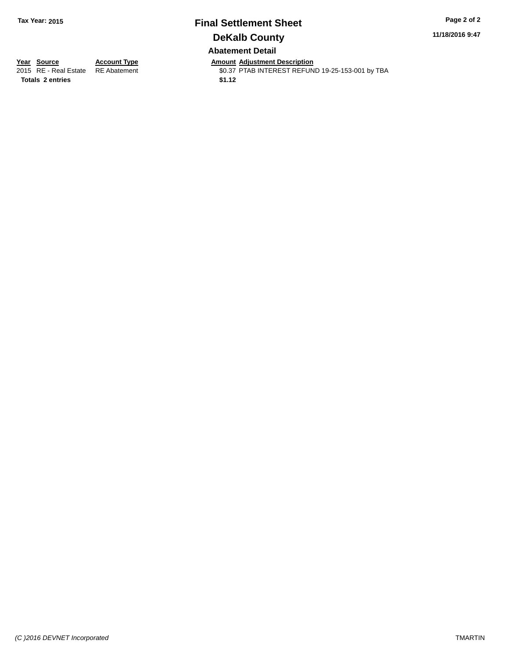## **Final Settlement Sheet Tax Year: 2015 Page 2 of 2 DeKalb County Abatement Detail**

**11/18/2016 9:47**

Totals 2 entries \$1.12

**Year Source Account Type Amount Adjustment Description** \$0.37 PTAB INTEREST REFUND 19-25-153-001 by TBA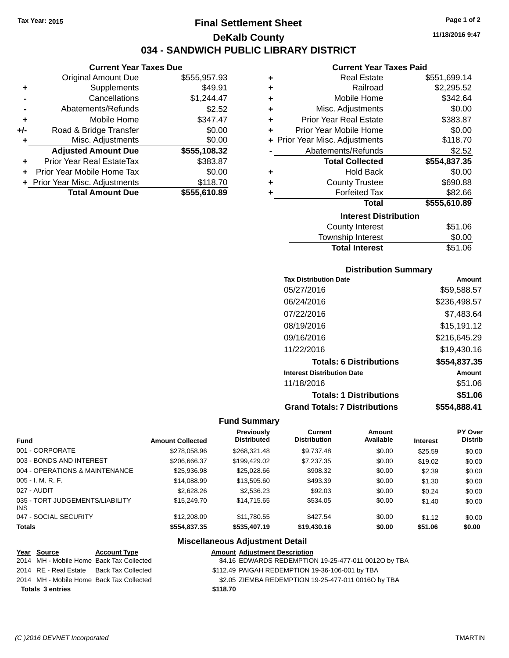## **Final Settlement Sheet Tax Year: 2015 Page 1 of 2 DeKalb County 034 - SANDWICH PUBLIC LIBRARY DISTRICT**

**11/18/2016 9:47**

#### **Current Year Taxes Paid**

| ٠ | <b>Real Estate</b>             | \$551,699.14 |
|---|--------------------------------|--------------|
| ÷ | Railroad                       | \$2,295.52   |
| ÷ | Mobile Home                    | \$342.64     |
| ÷ | Misc. Adjustments              | \$0.00       |
| ÷ | <b>Prior Year Real Estate</b>  | \$383.87     |
| ÷ | Prior Year Mobile Home         | \$0.00       |
|   | + Prior Year Misc. Adjustments | \$118.70     |
|   | Abatements/Refunds             | \$2.52       |
|   | <b>Total Collected</b>         | \$554,837.35 |
| ٠ | <b>Hold Back</b>               | \$0.00       |
| ٠ | <b>County Trustee</b>          | \$690.88     |
| ٠ | <b>Forfeited Tax</b>           | \$82.66      |
|   | <b>Total</b>                   | \$555,610.89 |
|   | <b>Interest Distribution</b>   |              |
|   | <b>County Interest</b>         | \$51.06      |
|   |                                |              |

| ______________        | -- - - - - |
|-----------------------|------------|
| Township Interest     | \$0.00     |
| <b>Total Interest</b> | \$51.06    |
|                       |            |

#### **Distribution Summary**

| <b>Tax Distribution Date</b>         | Amount       |
|--------------------------------------|--------------|
| 05/27/2016                           | \$59,588.57  |
| 06/24/2016                           | \$236,498.57 |
| 07/22/2016                           | \$7,483.64   |
| 08/19/2016                           | \$15,191.12  |
| 09/16/2016                           | \$216,645.29 |
| 11/22/2016                           | \$19,430.16  |
| <b>Totals: 6 Distributions</b>       | \$554,837.35 |
| <b>Interest Distribution Date</b>    | Amount       |
| 11/18/2016                           | \$51.06      |
| <b>Totals: 1 Distributions</b>       | \$51.06      |
| <b>Grand Totals: 7 Distributions</b> | \$554,888.41 |

#### **Fund Summary**

| <b>Fund</b>                             | <b>Amount Collected</b> | Previously<br><b>Distributed</b> | Current<br><b>Distribution</b> | Amount<br>Available | <b>Interest</b> | PY Over<br><b>Distrib</b> |
|-----------------------------------------|-------------------------|----------------------------------|--------------------------------|---------------------|-----------------|---------------------------|
| 001 - CORPORATE                         | \$278,058.96            | \$268,321,48                     | \$9,737.48                     | \$0.00              | \$25.59         | \$0.00                    |
| 003 - BONDS AND INTEREST                | \$206,666.37            | \$199,429.02                     | \$7,237.35                     | \$0.00              | \$19.02         | \$0.00                    |
| 004 - OPERATIONS & MAINTENANCE          | \$25,936.98             | \$25,028,66                      | \$908.32                       | \$0.00              | \$2.39          | \$0.00                    |
| $005 - I. M. R. F.$                     | \$14,088.99             | \$13,595.60                      | \$493.39                       | \$0.00              | \$1.30          | \$0.00                    |
| 027 - AUDIT                             | \$2,628,26              | \$2,536.23                       | \$92.03                        | \$0.00              | \$0.24          | \$0.00                    |
| 035 - TORT JUDGEMENTS/LIABILITY<br>INS. | \$15,249.70             | \$14.715.65                      | \$534.05                       | \$0.00              | \$1.40          | \$0.00                    |
| 047 - SOCIAL SECURITY                   | \$12,208.09             | \$11.780.55                      | \$427.54                       | \$0.00              | \$1.12          | \$0.00                    |
| <b>Totals</b>                           | \$554,837.35            | \$535,407.19                     | \$19,430.16                    | \$0.00              | \$51.06         | \$0.00                    |

#### **Miscellaneous Adjustment Detail**

# **Year Source Account Type Amount Adjustment Description**

\$4.16 EDWARDS REDEMPTION 19-25-477-011 0012O by TBA

- 2014 RE Real Estate Back Tax Collected \$112.49 PAIGAH REDEMPTION 19-36-106-001 by TBA
- 2014 MH Mobile Home Back Tax Collected \$2.05 ZIEMBA REDEMPTION 19-25-477-011 0016O by TBA

**Totals \$118.70 3 entries**

**Current Year Taxes Due** Original Amount Due \$555,957.93

**Adjusted Amount Due \$555,108.32**

**Total Amount Due \$555,610.89**

**+** Supplements \$49.91 **-** Cancellations \$1,244.47 **-** Abatements/Refunds \$2.52 **+** Mobile Home \$347.47 **+/-** Road & Bridge Transfer \$0.00 **+** Misc. Adjustments \$0.00

**+** Prior Year Real EstateTax \$383.87 **+** Prior Year Mobile Home Tax \$0.00 **+ Prior Year Misc. Adjustments \$118.70**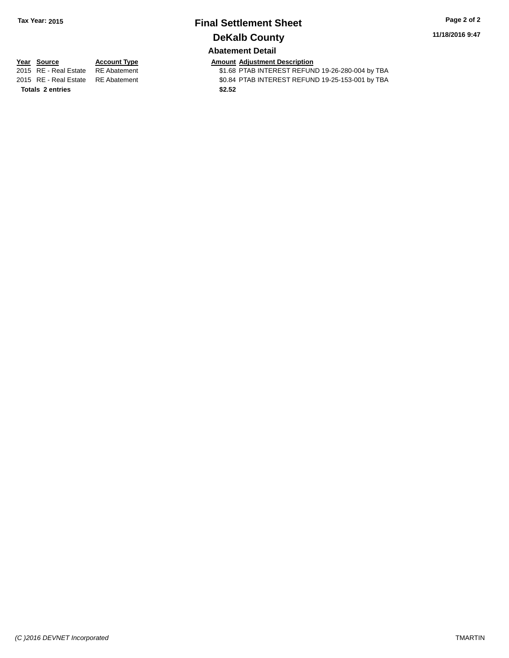# **Final Settlement Sheet Tax Year: 2015 Page 2 of 2 DeKalb County**

**11/18/2016 9:47**

## **Abatement Detail**

**Totals \$2.52 2 entries**

**Year Source Account Type Account Type Amount Adjustment Description**<br>2015 RE - Real Estate RE Abatement **Account 1** \$1.68 PTAB INTEREST REFUN \$1.68 PTAB INTEREST REFUND 19-26-280-004 by TBA 2015 RE - Real Estate RE Abatement \$0.84 PTAB INTEREST REFUND 19-25-153-001 by TBA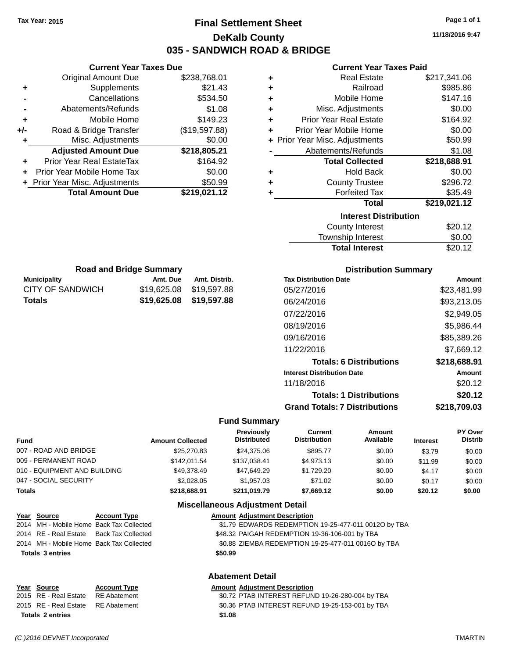**Original Amount Due** 

**Adjusted Amount Due** 

**Total Amount Due** 

**+** Supplements **-** Cancellations **-** Abatements/Refunds **+** Mobile Home **+/-** Road & Bridge Transfer **+** Misc. Adjustments

**+** Prior Year Real EstateTax **+** Prior Year Mobile Home Tax **+** Prior Year Misc. Adjustments

## **Final Settlement Sheet Tax Year: 2015 Page 1 of 1 DeKalb County 035 - SANDWICH ROAD & BRIDGE**

**11/18/2016 9:47**

## **Current Year Taxes Paid**

| <b>Current Year Taxes Due</b> |               |   | <b>Current Year Taxes Paid</b> |              |
|-------------------------------|---------------|---|--------------------------------|--------------|
| ıl Amount Due                 | \$238,768.01  | ÷ | <b>Real Estate</b>             | \$217,341.06 |
| Supplements                   | \$21.43       | ٠ | Railroad                       | \$985.86     |
| Cancellations                 | \$534.50      | ٠ | Mobile Home                    | \$147.16     |
| ents/Refunds                  | \$1.08        | ÷ | Misc. Adjustments              | \$0.00       |
| Mobile Home                   | \$149.23      | ÷ | <b>Prior Year Real Estate</b>  | \$164.92     |
| ridge Transfer                | (\$19,597.88) | ÷ | Prior Year Mobile Home         | \$0.00       |
| . Adjustments                 | \$0.00        |   | + Prior Year Misc. Adjustments | \$50.99      |
| <b>Amount Due</b>             | \$218,805.21  |   | Abatements/Refunds             | \$1.08       |
| eal EstateTax:                | \$164.92      |   | <b>Total Collected</b>         | \$218,688.91 |
| pile Home Tax                 | \$0.00        | ÷ | <b>Hold Back</b>               | \$0.00       |
| . Adjustments                 | \$50.99       | ÷ | <b>County Trustee</b>          | \$296.72     |
| <b>Amount Due</b>             | \$219,021.12  | ٠ | <b>Forfeited Tax</b>           | \$35.49      |
|                               |               |   | <b>Total</b>                   | \$219,021.12 |
|                               |               |   | <b>Interest Distribution</b>   |              |
|                               |               |   | <b>County Interest</b>         | \$20.12      |
|                               |               |   | Townshin Interest              | ደሰ ሰበ        |

| <b>Interest Distribution</b> |         |
|------------------------------|---------|
| County Interest              | \$20.12 |
| Township Interest            | \$0.00  |
| <b>Total Interest</b>        | \$20.12 |

| <b>Road and Bridge Summary</b> |                         |               |
|--------------------------------|-------------------------|---------------|
| <b>Municipality</b>            | Amt. Due                | Amt. Distrib. |
| CITY OF SANDWICH               | \$19,625.08 \$19,597.88 |               |
| Totals                         | \$19,625.08 \$19,597.88 |               |

#### **Distribution Summary**

| <b>Tax Distribution Date</b>         | Amount       |
|--------------------------------------|--------------|
| 05/27/2016                           | \$23,481.99  |
| 06/24/2016                           | \$93,213.05  |
| 07/22/2016                           | \$2,949.05   |
| 08/19/2016                           | \$5,986.44   |
| 09/16/2016                           | \$85,389.26  |
| 11/22/2016                           | \$7,669.12   |
| <b>Totals: 6 Distributions</b>       | \$218,688.91 |
| <b>Interest Distribution Date</b>    | Amount       |
| 11/18/2016                           | \$20.12      |
| <b>Totals: 1 Distributions</b>       | \$20.12      |
| <b>Grand Totals: 7 Distributions</b> | \$218.709.03 |

#### **Fund Summary**

| <b>Fund</b>                  | <b>Amount Collected</b> | Previously<br><b>Distributed</b>         | Current<br><b>Distribution</b> | Amount<br>Available | <b>Interest</b> | PY Over<br><b>Distrib</b> |
|------------------------------|-------------------------|------------------------------------------|--------------------------------|---------------------|-----------------|---------------------------|
| 007 - ROAD AND BRIDGE        | \$25,270.83             | \$24,375,06                              | \$895.77                       | \$0.00              | \$3.79          | \$0.00                    |
| 009 - PERMANENT ROAD         | \$142.011.54            | \$137.038.41                             | \$4,973.13                     | \$0.00              | \$11.99         | \$0.00                    |
| 010 - EQUIPMENT AND BUILDING | \$49.378.49             | \$47.649.29                              | \$1,729.20                     | \$0.00              | \$4.17          | \$0.00                    |
| 047 - SOCIAL SECURITY        | \$2,028,05              | \$1,957.03                               | \$71.02                        | \$0.00              | \$0.17          | \$0.00                    |
| <b>Totals</b>                | \$218,688.91            | \$211.019.79                             | \$7.669.12                     | \$0.00              | \$20.12         | \$0.00                    |
|                              |                         | <b>Miscellaneous Adjustment Detail</b>   |                                |                     |                 |                           |
| $V = -1$<br>A T.             |                         | Associated Address and Backwall and Late |                                |                     |                 |                           |

#### **Year Source Account Type Amount Adjustment Description** 2014 MH - Mobile Home Back Tax Collected \$1.79 EDWARDS REDEMPTION 19-25-477-011 0012O by TBA 2014 RE - Real Estate Back Tax Collected \$48.32 PAIGAH REDEMPTION 19-36-106-001 by TBA 2014 MH - Mobile Home Back Tax Collected \$0.88 ZIEMBA REDEMPTION 19-25-477-011 0016O by TBA **Totals \$50.99 3 entries**

# **Abatement Detail**

# **Year Source Account Type Amount Adjustment Description Totals \$1.08 2 entries**

2015 RE - Real Estate RE Abatement \$0.72 PTAB INTEREST REFUND 19-26-280-004 by TBA 2015 RE - Real Estate \$0.36 PTAB INTEREST REFUND 19-25-153-001 by TBA RE Abatement

*(C )2016 DEVNET Incorporated* TMARTIN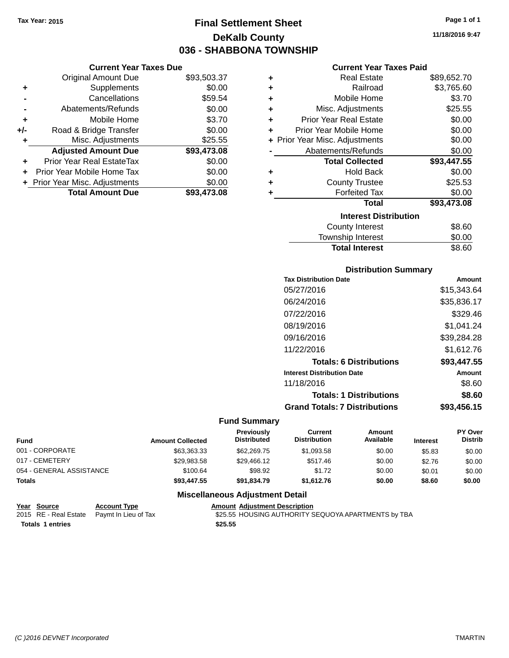**Current Year Taxes Due** Original Amount Due \$93,503.37

**Adjusted Amount Due \$93,473.08**

**Total Amount Due \$93,473.08**

**+** Supplements \$0.00 **-** Cancellations \$59.54 **-** Abatements/Refunds \$0.00 **+** Mobile Home \$3.70 **+/-** Road & Bridge Transfer \$0.00 **+** Misc. Adjustments \$25.55

**+** Prior Year Real EstateTax \$0.00 **+** Prior Year Mobile Home Tax \$0.00 **+ Prior Year Misc. Adjustments**  $$0.00$ 

## **Final Settlement Sheet Tax Year: 2015 Page 1 of 1 DeKalb County 036 - SHABBONA TOWNSHIP**

**11/18/2016 9:47**

#### **Current Year Taxes Paid**

| ٠ | <b>Real Estate</b>             | \$89,652.70 |
|---|--------------------------------|-------------|
| ٠ | Railroad                       | \$3,765.60  |
| ٠ | Mobile Home                    | \$3.70      |
| ٠ | Misc. Adjustments              | \$25.55     |
| ٠ | <b>Prior Year Real Estate</b>  | \$0.00      |
|   | Prior Year Mobile Home         | \$0.00      |
|   | + Prior Year Misc. Adjustments | \$0.00      |
|   | Abatements/Refunds             | \$0.00      |
|   | <b>Total Collected</b>         | \$93,447.55 |
| ٠ | <b>Hold Back</b>               | \$0.00      |
| ٠ | <b>County Trustee</b>          | \$25.53     |
|   | <b>Forfeited Tax</b>           | \$0.00      |
|   | Total                          | \$93,473.08 |
|   | <b>Interest Distribution</b>   |             |
|   | <b>County Interest</b>         | \$8.60      |
|   | Townshin Interest              | ፍስ ሰስ       |

| <b>Total Interest</b>  | \$8.60 |
|------------------------|--------|
| Township Interest      | \$0.00 |
| <b>County Interest</b> | \$8.60 |

#### **Distribution Summary**

| <b>Tax Distribution Date</b>         | Amount      |
|--------------------------------------|-------------|
| 05/27/2016                           | \$15,343.64 |
| 06/24/2016                           | \$35,836.17 |
| 07/22/2016                           | \$329.46    |
| 08/19/2016                           | \$1,041.24  |
| 09/16/2016                           | \$39,284.28 |
| 11/22/2016                           | \$1,612.76  |
| <b>Totals: 6 Distributions</b>       | \$93,447.55 |
| <b>Interest Distribution Date</b>    | Amount      |
| 11/18/2016                           | \$8.60      |
| <b>Totals: 1 Distributions</b>       | \$8.60      |
| <b>Grand Totals: 7 Distributions</b> | \$93,456.15 |

#### **Fund Summary**

| <b>Fund</b>              | <b>Amount Collected</b> | <b>Previously</b><br><b>Distributed</b> | Current<br><b>Distribution</b> | Amount<br>Available | <b>Interest</b> | PY Over<br><b>Distrib</b> |
|--------------------------|-------------------------|-----------------------------------------|--------------------------------|---------------------|-----------------|---------------------------|
| 001 - CORPORATE          | \$63,363.33             | \$62,269.75                             | \$1.093.58                     | \$0.00              | \$5.83          | \$0.00                    |
| 017 - CEMETERY           | \$29.983.58             | \$29.466.12                             | \$517.46                       | \$0.00              | \$2.76          | \$0.00                    |
| 054 - GENERAL ASSISTANCE | \$100.64                | \$98.92                                 | \$1.72                         | \$0.00              | \$0.01          | \$0.00                    |
| <b>Totals</b>            | \$93,447.55             | \$91.834.79                             | \$1,612.76                     | \$0.00              | \$8.60          | \$0.00                    |

| Year Source             | <b>Account Type</b>                        | <b>Amount Adiustment Description</b>                |
|-------------------------|--------------------------------------------|-----------------------------------------------------|
|                         | 2015 RE - Real Estate Paymt In Lieu of Tax | \$25.55 HOUSING AUTHORITY SEQUOYA APARTMENTS by TBA |
| <b>Totals 1 entries</b> |                                            | \$25.55                                             |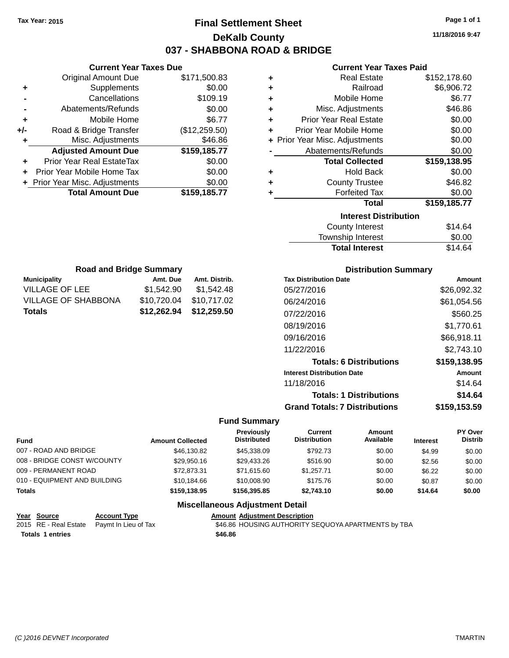## **Final Settlement Sheet Tax Year: 2015 Page 1 of 1 DeKalb County 037 - SHABBONA ROAD & BRIDGE**

**11/18/2016 9:47**

#### **Current Year Taxes Paid**

|       | <b>Current Year Taxes Due</b>  |               |
|-------|--------------------------------|---------------|
|       | <b>Original Amount Due</b>     | \$171,500.83  |
| ٠     | Supplements                    | \$0.00        |
|       | Cancellations                  | \$109.19      |
|       | Abatements/Refunds             | \$0.00        |
| ٠     | Mobile Home                    | \$6.77        |
| $+/-$ | Road & Bridge Transfer         | (\$12,259.50) |
| ÷     | Misc. Adjustments              | \$46.86       |
|       | <b>Adjusted Amount Due</b>     | \$159,185.77  |
| ÷     | Prior Year Real EstateTax      | \$0.00        |
|       | Prior Year Mobile Home Tax     | \$0.00        |
|       | + Prior Year Misc. Adjustments | \$0.00        |
|       | <b>Total Amount Due</b>        | \$159,185.77  |
|       |                                |               |

| ٠ | <b>Real Estate</b>             | \$152,178.60 |
|---|--------------------------------|--------------|
| ÷ | Railroad                       | \$6,906.72   |
| ٠ | Mobile Home                    | \$6.77       |
| ٠ | Misc. Adjustments              | \$46.86      |
| ٠ | <b>Prior Year Real Estate</b>  | \$0.00       |
| ٠ | Prior Year Mobile Home         | \$0.00       |
|   | + Prior Year Misc. Adjustments | \$0.00       |
|   | Abatements/Refunds             | \$0.00       |
|   |                                |              |
|   | <b>Total Collected</b>         | \$159,138.95 |
| ٠ | <b>Hold Back</b>               | \$0.00       |
| ٠ | <b>County Trustee</b>          | \$46.82      |
| ٠ | <b>Forfeited Tax</b>           | \$0.00       |
|   | <b>Total</b>                   | \$159,185.77 |
|   | <b>Interest Distribution</b>   |              |
|   | County Interest                | \$14.64      |

| <b>Total Interest</b> | \$14.64 |
|-----------------------|---------|
| Township Interest     | \$0.00  |
| County Interest       | \$14.64 |

| <b>Road and Bridge Summary</b> |             |               |  |  |  |
|--------------------------------|-------------|---------------|--|--|--|
| <b>Municipality</b>            | Amt. Due    | Amt. Distrib. |  |  |  |
| VILLAGE OF LEE                 | \$1,542.90  | \$1,542.48    |  |  |  |
| <b>VILLAGE OF SHABBONA</b>     | \$10,720.04 | \$10,717.02   |  |  |  |
| Totals                         | \$12,262.94 | \$12,259.50   |  |  |  |

#### **Distribution Summary**

| <b>Tax Distribution Date</b>         | Amount       |
|--------------------------------------|--------------|
| 05/27/2016                           | \$26,092.32  |
| 06/24/2016                           | \$61,054.56  |
| 07/22/2016                           | \$560.25     |
| 08/19/2016                           | \$1,770.61   |
| 09/16/2016                           | \$66,918.11  |
| 11/22/2016                           | \$2.743.10   |
| <b>Totals: 6 Distributions</b>       | \$159,138.95 |
| <b>Interest Distribution Date</b>    | Amount       |
| 11/18/2016                           | \$14.64      |
| <b>Totals: 1 Distributions</b>       | \$14.64      |
| <b>Grand Totals: 7 Distributions</b> | \$159,153.59 |

### **Fund Summary**

| <b>Fund</b>                  | <b>Amount Collected</b> | <b>Previously</b><br><b>Distributed</b> | Current<br><b>Distribution</b> | Amount<br>Available | <b>Interest</b> | <b>PY Over</b><br><b>Distrib</b> |
|------------------------------|-------------------------|-----------------------------------------|--------------------------------|---------------------|-----------------|----------------------------------|
| 007 - ROAD AND BRIDGE        | \$46,130.82             | \$45,338,09                             | \$792.73                       | \$0.00              | \$4.99          | \$0.00                           |
| 008 - BRIDGE CONST W/COUNTY  | \$29.950.16             | \$29.433.26                             | \$516.90                       | \$0.00              | \$2.56          | \$0.00                           |
| 009 - PERMANENT ROAD         | \$72,873,31             | \$71.615.60                             | \$1.257.71                     | \$0.00              | \$6.22          | \$0.00                           |
| 010 - EQUIPMENT AND BUILDING | \$10.184.66             | \$10,008.90                             | \$175.76                       | \$0.00              | \$0.87          | \$0.00                           |
| <b>Totals</b>                | \$159,138,95            | \$156,395,85                            | \$2.743.10                     | \$0.00              | \$14.64         | \$0.00                           |
|                              | ---                     |                                         |                                |                     |                 |                                  |

| Year Source             | <b>Account Type</b>                        | <b>Amount Adjustment Description</b>                |
|-------------------------|--------------------------------------------|-----------------------------------------------------|
|                         | 2015 RE - Real Estate Paymt In Lieu of Tax | \$46.86 HOUSING AUTHORITY SEQUOYA APARTMENTS by TBA |
| <b>Totals 1 entries</b> |                                            | \$46.86                                             |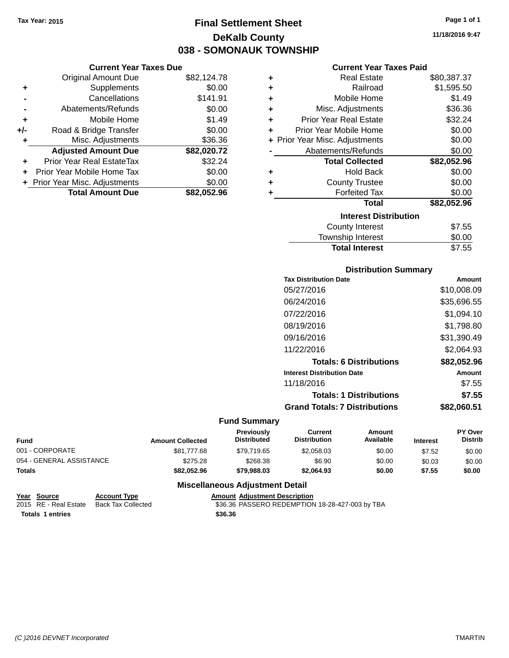**Current Year Taxes Due** Original Amount Due \$82,124.78

**Adjusted Amount Due \$82,020.72**

**Total Amount Due \$82,052.96**

**+** Supplements \$0.00 **-** Cancellations \$141.91 **-** Abatements/Refunds \$0.00 **+** Mobile Home \$1.49 **+/-** Road & Bridge Transfer \$0.00 **+** Misc. Adjustments \$36.36

**+** Prior Year Real EstateTax \$32.24 **+** Prior Year Mobile Home Tax \$0.00 **+ Prior Year Misc. Adjustments**  $$0.00$ 

## **Final Settlement Sheet Tax Year: 2015 Page 1 of 1 DeKalb County 038 - SOMONAUK TOWNSHIP**

**11/18/2016 9:47**

#### **Current Year Taxes Paid**

| ٠ | <b>Real Estate</b>             | \$80,387.37 |
|---|--------------------------------|-------------|
| ٠ | Railroad                       | \$1,595.50  |
| ÷ | Mobile Home                    | \$1.49      |
| ÷ | Misc. Adjustments              | \$36.36     |
| ÷ | <b>Prior Year Real Estate</b>  | \$32.24     |
| ÷ | Prior Year Mobile Home         | \$0.00      |
|   | + Prior Year Misc. Adjustments | \$0.00      |
|   | Abatements/Refunds             | \$0.00      |
|   | <b>Total Collected</b>         | \$82,052.96 |
| ٠ | <b>Hold Back</b>               | \$0.00      |
| ٠ | <b>County Trustee</b>          | \$0.00      |
| ٠ | <b>Forfeited Tax</b>           | \$0.00      |
|   | <b>Total</b>                   | \$82,052.96 |
|   | <b>Interest Distribution</b>   |             |
|   | <b>County Interest</b>         | \$7.55      |
|   | <b>Township Interest</b>       | \$0.00      |

## **Distribution Summary**

Total Interest \$7.55

| Amount      |
|-------------|
| \$10,008.09 |
| \$35,696.55 |
| \$1,094.10  |
| \$1,798.80  |
| \$31,390.49 |
| \$2,064.93  |
| \$82,052.96 |
| Amount      |
| \$7.55      |
| \$7.55      |
| \$82.060.51 |
|             |

#### **Fund Summary**

| <b>Fund</b>              | <b>Amount Collected</b> | <b>Previously</b><br><b>Distributed</b> | Current<br><b>Distribution</b> | Amount<br>Available | <b>Interest</b> | <b>PY Over</b><br><b>Distrib</b> |
|--------------------------|-------------------------|-----------------------------------------|--------------------------------|---------------------|-----------------|----------------------------------|
| 001 - CORPORATE          | \$81.777.68             | \$79.719.65                             | \$2,058,03                     | \$0.00              | \$7.52          | \$0.00                           |
| 054 - GENERAL ASSISTANCE | \$275.28                | \$268.38                                | \$6.90                         | \$0.00              | \$0.03          | \$0.00                           |
| <b>Totals</b>            | \$82.052.96             | \$79.988.03                             | \$2.064.93                     | \$0.00              | \$7.55          | \$0.00                           |

| Year Source             | <b>Account Type</b>                      | <b>Amount Adiustment Description</b>            |
|-------------------------|------------------------------------------|-------------------------------------------------|
|                         | 2015 RE - Real Estate Back Tax Collected | \$36.36 PASSERO REDEMPTION 18-28-427-003 by TBA |
| <b>Totals 1 entries</b> |                                          | \$36.36                                         |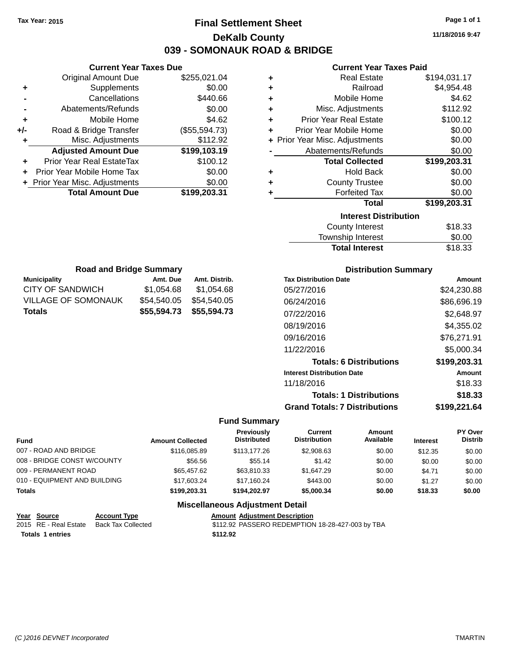## **Final Settlement Sheet Tax Year: 2015 Page 1 of 1 DeKalb County 039 - SOMONAUK ROAD & BRIDGE**

**11/18/2016 9:47**

#### **Current Year Taxes Paid**

|     | <b>Current Year Taxes Due</b>  |               |
|-----|--------------------------------|---------------|
|     | <b>Original Amount Due</b>     | \$255,021.04  |
| ٠   | Supplements                    | \$0.00        |
|     | Cancellations                  | \$440.66      |
|     | Abatements/Refunds             | \$0.00        |
| ٠   | Mobile Home                    | \$4.62        |
| +/- | Road & Bridge Transfer         | (\$55,594.73) |
| ٠   | Misc. Adjustments              | \$112.92      |
|     | <b>Adjusted Amount Due</b>     | \$199,103.19  |
| ٠   | Prior Year Real EstateTax      | \$100.12      |
| ٠   | Prior Year Mobile Home Tax     | \$0.00        |
|     | + Prior Year Misc. Adjustments | \$0.00        |
|     | <b>Total Amount Due</b>        | \$199,203.31  |
|     |                                |               |

| ٠ | <b>Real Estate</b>             | \$194,031.17 |
|---|--------------------------------|--------------|
| ٠ | Railroad                       | \$4,954.48   |
| ÷ | Mobile Home                    | \$4.62       |
| ٠ | Misc. Adjustments              | \$112.92     |
| ÷ | <b>Prior Year Real Estate</b>  | \$100.12     |
| ٠ | Prior Year Mobile Home         | \$0.00       |
|   | + Prior Year Misc. Adjustments | \$0.00       |
|   | Abatements/Refunds             | \$0.00       |
|   | <b>Total Collected</b>         | \$199,203.31 |
| ٠ | <b>Hold Back</b>               | \$0.00       |
| ٠ | <b>County Trustee</b>          | \$0.00       |
| ٠ | <b>Forfeited Tax</b>           | \$0.00       |
|   | <b>Total</b>                   | \$199,203.31 |
|   | <b>Interest Distribution</b>   |              |
|   | <b>County Interest</b>         | \$18.33      |
|   | <b>Townshin Interest</b>       | ደበ በበ        |

| <b>Total Interest</b> | \$18.33 |
|-----------------------|---------|
| Township Interest     | \$0.00  |
| County Interest       | \$18.33 |

| <b>Road and Bridge Summary</b> |             |                         |  |  |  |
|--------------------------------|-------------|-------------------------|--|--|--|
| <b>Municipality</b>            | Amt. Due    | Amt. Distrib.           |  |  |  |
| <b>CITY OF SANDWICH</b>        | \$1,054.68  | \$1,054.68              |  |  |  |
| VILLAGE OF SOMONAUK            | \$54,540.05 | \$54,540.05             |  |  |  |
| <b>Totals</b>                  |             | \$55,594.73 \$55,594.73 |  |  |  |

### **Distribution Summary**

| <b>Tax Distribution Date</b>         | Amount       |
|--------------------------------------|--------------|
| 05/27/2016                           | \$24,230.88  |
| 06/24/2016                           | \$86,696.19  |
| 07/22/2016                           | \$2,648.97   |
| 08/19/2016                           | \$4,355.02   |
| 09/16/2016                           | \$76,271.91  |
| 11/22/2016                           | \$5,000.34   |
| <b>Totals: 6 Distributions</b>       | \$199,203.31 |
| <b>Interest Distribution Date</b>    | Amount       |
| 11/18/2016                           | \$18.33      |
| <b>Totals: 1 Distributions</b>       | \$18.33      |
| <b>Grand Totals: 7 Distributions</b> | \$199.221.64 |

### **Fund Summary**

| Fund                         | <b>Amount Collected</b> | Previously<br><b>Distributed</b> | Current<br><b>Distribution</b> | Amount<br>Available | <b>Interest</b> | <b>PY Over</b><br><b>Distrib</b> |
|------------------------------|-------------------------|----------------------------------|--------------------------------|---------------------|-----------------|----------------------------------|
| 007 - ROAD AND BRIDGE        | \$116,085.89            | \$113,177,26                     | \$2,908.63                     | \$0.00              | \$12.35         | \$0.00                           |
| 008 - BRIDGE CONST W/COUNTY  | \$56.56                 | \$55.14                          | \$1.42                         | \$0.00              | \$0.00          | \$0.00                           |
| 009 - PERMANENT ROAD         | \$65,457.62             | \$63,810.33                      | \$1,647.29                     | \$0.00              | \$4.71          | \$0.00                           |
| 010 - EQUIPMENT AND BUILDING | \$17,603.24             | \$17.160.24                      | \$443.00                       | \$0.00              | \$1.27          | \$0.00                           |
| Totals                       | \$199,203,31            | \$194.202.97                     | \$5,000.34                     | \$0.00              | \$18.33         | \$0.00                           |

| Year Source             | <b>Account Type</b> | <b>Amount Adiustment Description</b>             |
|-------------------------|---------------------|--------------------------------------------------|
| 2015 RE - Real Estate   | Back Tax Collected  | \$112.92 PASSERO REDEMPTION 18-28-427-003 by TBA |
| <b>Totals 1 entries</b> |                     | \$112.92                                         |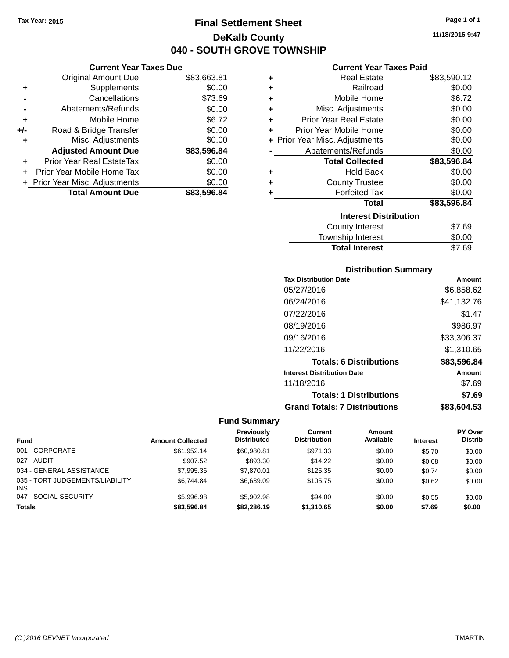**Current Year Taxes Due** Original Amount Due \$83,663.81

**Adjusted Amount Due \$83,596.84**

**Total Amount Due \$83,596.84**

**+** Supplements \$0.00 **-** Cancellations \$73.69 **-** Abatements/Refunds \$0.00 **+** Mobile Home \$6.72 **+/-** Road & Bridge Transfer \$0.00 **+** Misc. Adjustments \$0.00

**+** Prior Year Real EstateTax \$0.00 **+** Prior Year Mobile Home Tax \$0.00 **+ Prior Year Misc. Adjustments**  $$0.00$ 

## **Final Settlement Sheet Tax Year: 2015 Page 1 of 1 DeKalb County 040 - SOUTH GROVE TOWNSHIP**

**11/18/2016 9:47**

#### **Current Year Taxes Paid**

| <b>Real Estate</b>             | \$83,590.12 |
|--------------------------------|-------------|
| Railroad                       | \$0.00      |
| Mobile Home                    | \$6.72      |
| Misc. Adjustments              | \$0.00      |
| <b>Prior Year Real Estate</b>  | \$0.00      |
| Prior Year Mobile Home         | \$0.00      |
| + Prior Year Misc. Adjustments | \$0.00      |
| Abatements/Refunds             | \$0.00      |
| <b>Total Collected</b>         | \$83,596.84 |
| <b>Hold Back</b>               | \$0.00      |
| <b>County Trustee</b>          | \$0.00      |
| <b>Forfeited Tax</b>           | \$0.00      |
|                                |             |
| <b>Total</b>                   | \$83,596.84 |
| <b>Interest Distribution</b>   |             |
| <b>County Interest</b>         | \$7.69      |
|                                |             |

| <b>Total Interest</b>  | \$7.69 |
|------------------------|--------|
| Township Interest      | \$0.00 |
| <b>County Interest</b> | ৩৫.৩৬  |

| <b>Distribution Summary</b> |  |
|-----------------------------|--|
|                             |  |

| Amount      |
|-------------|
| \$6,858.62  |
| \$41,132.76 |
| \$1.47      |
| \$986.97    |
| \$33,306.37 |
| \$1,310.65  |
| \$83,596.84 |
| Amount      |
| \$7.69      |
| \$7.69      |
| \$83,604.53 |
|             |

| Fund                                          | <b>Amount Collected</b> | <b>Previously</b><br><b>Distributed</b> | Current<br><b>Distribution</b> | Amount<br>Available | <b>Interest</b> | <b>PY Over</b><br><b>Distrib</b> |
|-----------------------------------------------|-------------------------|-----------------------------------------|--------------------------------|---------------------|-----------------|----------------------------------|
| 001 - CORPORATE                               | \$61.952.14             | \$60.980.81                             | \$971.33                       | \$0.00              | \$5.70          | \$0.00                           |
| 027 - AUDIT                                   | \$907.52                | \$893.30                                | \$14.22                        | \$0.00              | \$0.08          | \$0.00                           |
| 034 - GENERAL ASSISTANCE                      | \$7,995.36              | \$7.870.01                              | \$125.35                       | \$0.00              | \$0.74          | \$0.00                           |
| 035 - TORT JUDGEMENTS/LIABILITY<br><b>INS</b> | \$6.744.84              | \$6,639.09                              | \$105.75                       | \$0.00              | \$0.62          | \$0.00                           |
| 047 - SOCIAL SECURITY                         | \$5,996.98              | \$5,902.98                              | \$94.00                        | \$0.00              | \$0.55          | \$0.00                           |
| <b>Totals</b>                                 | \$83,596.84             | \$82,286.19                             | \$1,310.65                     | \$0.00              | \$7.69          | \$0.00                           |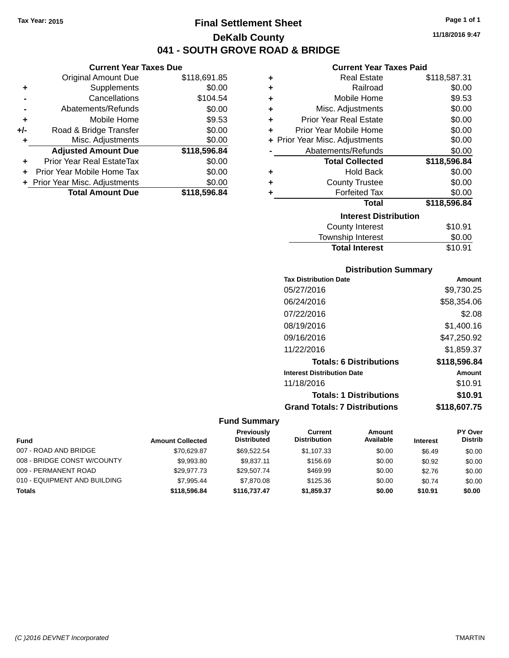**Current Year Taxes Due** Original Amount Due \$118,691.85

**Adjusted Amount Due \$118,596.84**

**Total Amount Due \$118,596.84**

**+** Supplements \$0.00 **-** Cancellations \$104.54 **-** Abatements/Refunds \$0.00 **+** Mobile Home \$9.53 **+/-** Road & Bridge Transfer \$0.00 **+** Misc. Adjustments \$0.00

**+** Prior Year Real EstateTax \$0.00 **+** Prior Year Mobile Home Tax \$0.00 **+ Prior Year Misc. Adjustments**  $$0.00$ 

## **Final Settlement Sheet Tax Year: 2015 Page 1 of 1 DeKalb County 041 - SOUTH GROVE ROAD & BRIDGE**

**11/18/2016 9:47**

#### **Current Year Taxes Paid**

| ٠ | <b>Real Estate</b>             | \$118,587.31 |
|---|--------------------------------|--------------|
| ٠ | Railroad                       | \$0.00       |
| ٠ | Mobile Home                    | \$9.53       |
| ٠ | Misc. Adjustments              | \$0.00       |
| ٠ | <b>Prior Year Real Estate</b>  | \$0.00       |
| ÷ | Prior Year Mobile Home         | \$0.00       |
|   | + Prior Year Misc. Adjustments | \$0.00       |
|   | Abatements/Refunds             | \$0.00       |
|   | <b>Total Collected</b>         | \$118,596.84 |
| ٠ | <b>Hold Back</b>               | \$0.00       |
| ٠ | <b>County Trustee</b>          | \$0.00       |
|   | <b>Forfeited Tax</b>           | \$0.00       |
|   | <b>Total</b>                   | \$118,596.84 |
|   | <b>Interest Distribution</b>   |              |
|   | County Interest                | \$10.91      |
|   |                                |              |

#### County Interest \$10.91 Township Interest \$0.00 Total Interest \$10.91

#### **Distribution Summary**

| <b>Tax Distribution Date</b>         | Amount       |
|--------------------------------------|--------------|
| 05/27/2016                           | \$9,730.25   |
| 06/24/2016                           | \$58,354.06  |
| 07/22/2016                           | \$2.08       |
| 08/19/2016                           | \$1,400.16   |
| 09/16/2016                           | \$47,250.92  |
| 11/22/2016                           | \$1,859.37   |
| <b>Totals: 6 Distributions</b>       | \$118,596.84 |
| <b>Interest Distribution Date</b>    | Amount       |
| 11/18/2016                           | \$10.91      |
| <b>Totals: 1 Distributions</b>       | \$10.91      |
| <b>Grand Totals: 7 Distributions</b> | \$118,607.75 |

| <b>Fund</b>                  | <b>Amount Collected</b> | Previously<br><b>Distributed</b> | Current<br><b>Distribution</b> | Amount<br>Available | <b>Interest</b> | <b>PY Over</b><br><b>Distrib</b> |
|------------------------------|-------------------------|----------------------------------|--------------------------------|---------------------|-----------------|----------------------------------|
| 007 - ROAD AND BRIDGE        | \$70,629.87             | \$69.522.54                      | \$1.107.33                     | \$0.00              | \$6.49          | \$0.00                           |
| 008 - BRIDGE CONST W/COUNTY  | \$9,993.80              | \$9.837.11                       | \$156.69                       | \$0.00              | \$0.92          | \$0.00                           |
| 009 - PERMANENT ROAD         | \$29.977.73             | \$29.507.74                      | \$469.99                       | \$0.00              | \$2.76          | \$0.00                           |
| 010 - EQUIPMENT AND BUILDING | \$7.995.44              | \$7,870.08                       | \$125.36                       | \$0.00              | \$0.74          | \$0.00                           |
| <b>Totals</b>                | \$118,596.84            | \$116,737.47                     | \$1,859.37                     | \$0.00              | \$10.91         | \$0.00                           |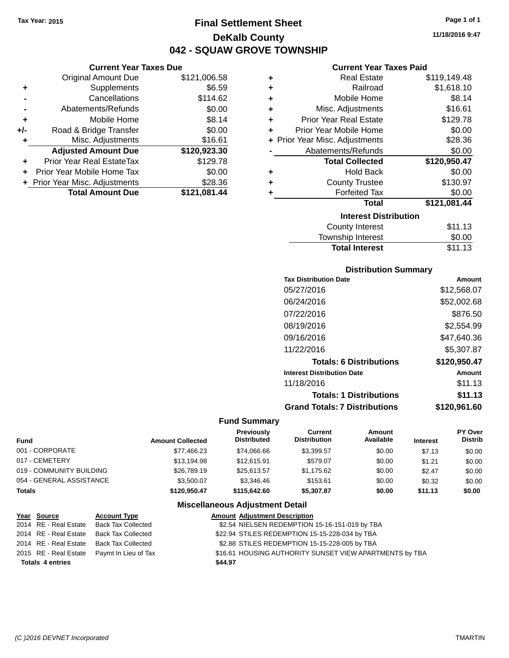**Current Year Taxes Due** Original Amount Due \$121,006.58

**Adjusted Amount Due \$120,923.30**

**Total Amount Due \$121,081.44**

**+** Supplements \$6.59 **-** Cancellations \$114.62 **-** Abatements/Refunds \$0.00 **+** Mobile Home \$8.14 **+/-** Road & Bridge Transfer \$0.00 **+** Misc. Adjustments \$16.61

**+** Prior Year Real EstateTax \$129.78 **+** Prior Year Mobile Home Tax \$0.00 **+** Prior Year Misc. Adjustments \$28.36

## **Final Settlement Sheet Tax Year: 2015 Page 1 of 1 DeKalb County 042 - SQUAW GROVE TOWNSHIP**

**11/18/2016 9:47**

#### **Current Year Taxes Paid**

| ٠ | Real Estate                    | \$119,149.48 |
|---|--------------------------------|--------------|
| ٠ | Railroad                       | \$1,618.10   |
| ÷ | Mobile Home                    | \$8.14       |
| ÷ | Misc. Adjustments              | \$16.61      |
| ÷ | <b>Prior Year Real Estate</b>  | \$129.78     |
| ٠ | Prior Year Mobile Home         | \$0.00       |
|   | + Prior Year Misc. Adjustments | \$28.36      |
|   | Abatements/Refunds             | \$0.00       |
|   | <b>Total Collected</b>         | \$120,950.47 |
| ٠ | <b>Hold Back</b>               | \$0.00       |
| ÷ | <b>County Trustee</b>          | \$130.97     |
| ÷ | <b>Forfeited Tax</b>           | \$0.00       |
|   | <b>Total</b>                   | \$121,081.44 |
|   | <b>Interest Distribution</b>   |              |
|   | <b>County Interest</b>         | \$11.13      |
|   | Townshin Interest              | ደበ በበ        |

| \$11.13 |
|---------|
| \$0.00  |
| \$11.13 |
|         |

#### **Distribution Summary**

| <b>Tax Distribution Date</b>         | Amount       |
|--------------------------------------|--------------|
| 05/27/2016                           | \$12,568.07  |
| 06/24/2016                           | \$52,002.68  |
| 07/22/2016                           | \$876.50     |
| 08/19/2016                           | \$2,554.99   |
| 09/16/2016                           | \$47,640.36  |
| 11/22/2016                           | \$5,307.87   |
| <b>Totals: 6 Distributions</b>       | \$120,950.47 |
| <b>Interest Distribution Date</b>    | Amount       |
| 11/18/2016                           | \$11.13      |
| <b>Totals: 1 Distributions</b>       | \$11.13      |
| <b>Grand Totals: 7 Distributions</b> | \$120,961.60 |

#### **Fund Summary**

| Fund                     | <b>Amount Collected</b> | Previously<br><b>Distributed</b> | Current<br><b>Distribution</b> | Amount<br>Available | <b>Interest</b> | PY Over<br><b>Distrib</b> |
|--------------------------|-------------------------|----------------------------------|--------------------------------|---------------------|-----------------|---------------------------|
| 001 - CORPORATE          | \$77,466.23             | \$74.066.66                      | \$3.399.57                     | \$0.00              | \$7.13          | \$0.00                    |
| 017 - CEMETERY           | \$13.194.98             | \$12.615.91                      | \$579.07                       | \$0.00              | \$1.21          | \$0.00                    |
| 019 - COMMUNITY BUILDING | \$26,789.19             | \$25.613.57                      | \$1.175.62                     | \$0.00              | \$2.47          | \$0.00                    |
| 054 - GENERAL ASSISTANCE | \$3,500.07              | \$3,346.46                       | \$153.61                       | \$0.00              | \$0.32          | \$0.00                    |
| Totals                   | \$120,950.47            | \$115,642,60                     | \$5,307.87                     | \$0.00              | \$11.13         | \$0.00                    |
|                          |                         | Missellensens Adjustment Detail  |                                |                     |                 |                           |

| Year Source             | <b>Account Type</b>                        |         | <b>Amount Adjustment Description</b>                    |
|-------------------------|--------------------------------------------|---------|---------------------------------------------------------|
| 2014 RE - Real Estate   | Back Tax Collected                         |         | \$2.54 NIELSEN REDEMPTION 15-16-151-019 by TBA          |
| 2014 RE - Real Estate   | Back Tax Collected                         |         | \$22.94 STILES REDEMPTION 15-15-228-034 by TBA          |
|                         | 2014 RE - Real Estate Back Tax Collected   |         | \$2.88 STILES REDEMPTION 15-15-228-005 by TBA           |
|                         | 2015 RE - Real Estate Paymt In Lieu of Tax |         | \$16.61 HOUSING AUTHORITY SUNSET VIEW APARTMENTS by TBA |
| <b>Totals 4 entries</b> |                                            | \$44.97 |                                                         |
|                         |                                            |         |                                                         |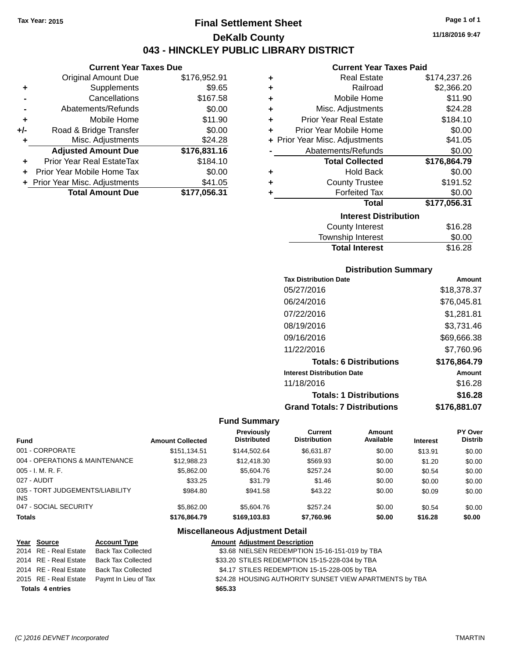**Current Year Taxes Due** Original Amount Due \$176,952.91

**Adjusted Amount Due \$176,831.16**

**Total Amount Due \$177,056.31**

**+** Supplements \$9.65 **-** Cancellations \$167.58 **-** Abatements/Refunds \$0.00 **+** Mobile Home \$11.90 **+/-** Road & Bridge Transfer \$0.00 **+** Misc. Adjustments \$24.28

**+** Prior Year Real EstateTax \$184.10 **+** Prior Year Mobile Home Tax \$0.00 **+ Prior Year Misc. Adjustments \$41.05** 

## **Final Settlement Sheet Tax Year: 2015 Page 1 of 1 DeKalb County 043 - HINCKLEY PUBLIC LIBRARY DISTRICT**

**11/18/2016 9:47**

#### **Current Year Taxes Paid**

| ٠ | <b>Real Estate</b>             | \$174,237.26 |
|---|--------------------------------|--------------|
| ٠ | Railroad                       | \$2,366.20   |
| ÷ | Mobile Home                    | \$11.90      |
| ÷ | Misc. Adjustments              | \$24.28      |
| ٠ | <b>Prior Year Real Estate</b>  | \$184.10     |
| ٠ | Prior Year Mobile Home         | \$0.00       |
|   | + Prior Year Misc. Adjustments | \$41.05      |
|   | Abatements/Refunds             | \$0.00       |
|   | <b>Total Collected</b>         | \$176,864.79 |
| ٠ | <b>Hold Back</b>               | \$0.00       |
| ٠ | <b>County Trustee</b>          | \$191.52     |
| ٠ | <b>Forfeited Tax</b>           | \$0.00       |
|   | <b>Total</b>                   | \$177,056.31 |
|   | <b>Interest Distribution</b>   |              |
|   | <b>County Interest</b>         | \$16.28      |
|   | <b>Township Interest</b>       | \$0.00       |

## **Distribution Summary**

Total Interest \$16.28

| <b>Tax Distribution Date</b>         | Amount       |
|--------------------------------------|--------------|
| 05/27/2016                           | \$18,378.37  |
| 06/24/2016                           | \$76,045.81  |
| 07/22/2016                           | \$1,281.81   |
| 08/19/2016                           | \$3,731.46   |
| 09/16/2016                           | \$69,666.38  |
| 11/22/2016                           | \$7,760.96   |
| <b>Totals: 6 Distributions</b>       | \$176,864.79 |
| <b>Interest Distribution Date</b>    | Amount       |
| 11/18/2016                           | \$16.28      |
| <b>Totals: 1 Distributions</b>       | \$16.28      |
| <b>Grand Totals: 7 Distributions</b> | \$176.881.07 |

#### **Fund Summary**

| <b>Fund</b>                             | <b>Amount Collected</b> | <b>Previously</b><br><b>Distributed</b> | Current<br><b>Distribution</b> | Amount<br>Available | <b>Interest</b> | <b>PY Over</b><br><b>Distrib</b> |
|-----------------------------------------|-------------------------|-----------------------------------------|--------------------------------|---------------------|-----------------|----------------------------------|
| 001 - CORPORATE                         | \$151,134.51            | \$144.502.64                            | \$6.631.87                     | \$0.00              | \$13.91         | \$0.00                           |
| 004 - OPERATIONS & MAINTENANCE          | \$12.988.23             | \$12,418.30                             | \$569.93                       | \$0.00              | \$1.20          | \$0.00                           |
| 005 - I. M. R. F.                       | \$5.862.00              | \$5,604.76                              | \$257.24                       | \$0.00              | \$0.54          | \$0.00                           |
| 027 - AUDIT                             | \$33.25                 | \$31.79                                 | \$1.46                         | \$0.00              | \$0.00          | \$0.00                           |
| 035 - TORT JUDGEMENTS/LIABILITY<br>INS. | \$984.80                | \$941.58                                | \$43.22                        | \$0.00              | \$0.09          | \$0.00                           |
| 047 - SOCIAL SECURITY                   | \$5,862,00              | \$5,604.76                              | \$257.24                       | \$0.00              | \$0.54          | \$0.00                           |
| <b>Totals</b>                           | \$176,864.79            | \$169,103,83                            | \$7.760.96                     | \$0.00              | \$16.28         | \$0.00                           |

| Year Source             | <b>Account Type</b>       |         | <b>Amount Adjustment Description</b>                    |
|-------------------------|---------------------------|---------|---------------------------------------------------------|
| 2014 RE - Real Estate   | <b>Back Tax Collected</b> |         | \$3.68 NIELSEN REDEMPTION 15-16-151-019 by TBA          |
| 2014 RE - Real Estate   | Back Tax Collected        |         | \$33.20 STILES REDEMPTION 15-15-228-034 by TBA          |
| 2014 RE - Real Estate   | <b>Back Tax Collected</b> |         | \$4.17 STILES REDEMPTION 15-15-228-005 by TBA           |
| 2015 RE - Real Estate   | Paymt In Lieu of Tax      |         | \$24.28 HOUSING AUTHORITY SUNSET VIEW APARTMENTS by TBA |
| <b>Totals 4 entries</b> |                           | \$65.33 |                                                         |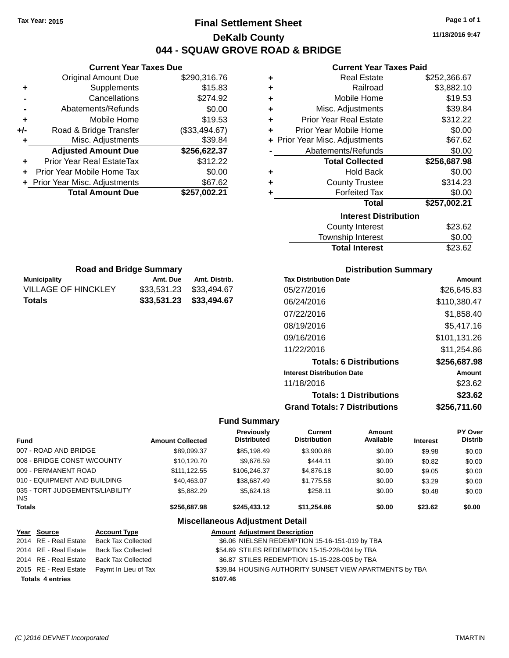## **Final Settlement Sheet Tax Year: 2015 Page 1 of 1 DeKalb County 044 - SQUAW GROVE ROAD & BRIDGE**

**11/18/2016 9:47**

#### **Current Year Taxes Paid**

|     | <b>Current Year Taxes Due</b>  |               |
|-----|--------------------------------|---------------|
|     | <b>Original Amount Due</b>     | \$290,316.76  |
| ٠   | Supplements                    | \$15.83       |
|     | Cancellations                  | \$274.92      |
|     | Abatements/Refunds             | \$0.00        |
| ٠   | Mobile Home                    | \$19.53       |
| +/- | Road & Bridge Transfer         | (\$33,494.67) |
| ٠   | Misc. Adjustments              | \$39.84       |
|     | <b>Adjusted Amount Due</b>     | \$256,622.37  |
|     | Prior Year Real EstateTax      | \$312.22      |
|     | Prior Year Mobile Home Tax     | \$0.00        |
|     | + Prior Year Misc. Adjustments | \$67.62       |
|     | <b>Total Amount Due</b>        | \$257,002.21  |
|     |                                |               |

**Municipality Municipality** Amt. Due Amt. Distrib. **Road and Bridge Summary**

VILLAGE OF HINCKLEY \$33,531.23 \$33,494.67 **Totals \$33,531.23 \$33,494.67**

| ٠ | <b>Real Estate</b>             | \$252,366.67 |
|---|--------------------------------|--------------|
| ÷ | Railroad                       | \$3,882.10   |
| ٠ | Mobile Home                    | \$19.53      |
| ÷ | Misc. Adjustments              | \$39.84      |
| ÷ | <b>Prior Year Real Estate</b>  | \$312.22     |
| ٠ | Prior Year Mobile Home         | \$0.00       |
|   | + Prior Year Misc. Adjustments | \$67.62      |
|   | Abatements/Refunds             | \$0.00       |
|   |                                |              |
|   | <b>Total Collected</b>         | \$256,687.98 |
| ٠ | <b>Hold Back</b>               | \$0.00       |
| ٠ | <b>County Trustee</b>          | \$314.23     |
| ٠ | <b>Forfeited Tax</b>           | \$0.00       |
|   | <b>Total</b>                   | \$257,002.21 |
|   | <b>Interest Distribution</b>   |              |
|   | County Interest                | \$23.62      |

| Township Interest     | \$0.00  |
|-----------------------|---------|
| <b>Total Interest</b> | \$23.62 |
|                       |         |

| <b>Distribution Summary</b>          |              |
|--------------------------------------|--------------|
| <b>Tax Distribution Date</b>         | Amount       |
| 05/27/2016                           | \$26.645.83  |
| 06/24/2016                           | \$110,380.47 |
| 07/22/2016                           | \$1,858,40   |
| 08/19/2016                           | \$5,417.16   |
| 09/16/2016                           | \$101,131.26 |
| 11/22/2016                           | \$11.254.86  |
| <b>Totals: 6 Distributions</b>       | \$256,687.98 |
| <b>Interest Distribution Date</b>    | Amount       |
| 11/18/2016                           | \$23.62      |
| <b>Totals: 1 Distributions</b>       | \$23.62      |
| <b>Grand Totals: 7 Distributions</b> | \$256,711.60 |

#### **Fund Summary**

| Fund                                    | <b>Amount Collected</b> | Previously<br><b>Distributed</b> | <b>Current</b><br><b>Distribution</b> | Amount<br>Available | <b>Interest</b> | PY Over<br><b>Distrib</b> |
|-----------------------------------------|-------------------------|----------------------------------|---------------------------------------|---------------------|-----------------|---------------------------|
| 007 - ROAD AND BRIDGE                   | \$89,099.37             | \$85,198.49                      | \$3,900.88                            | \$0.00              | \$9.98          | \$0.00                    |
| 008 - BRIDGE CONST W/COUNTY             | \$10,120.70             | \$9.676.59                       | \$444.11                              | \$0.00              | \$0.82          | \$0.00                    |
| 009 - PERMANENT ROAD                    | \$111.122.55            | \$106,246,37                     | \$4,876.18                            | \$0.00              | \$9.05          | \$0.00                    |
| 010 - EQUIPMENT AND BUILDING            | \$40.463.07             | \$38,687.49                      | \$1,775.58                            | \$0.00              | \$3.29          | \$0.00                    |
| 035 - TORT JUDGEMENTS/LIABILITY<br>INS. | \$5,882.29              | \$5.624.18                       | \$258.11                              | \$0.00              | \$0.48          | \$0.00                    |
| <b>Totals</b>                           | \$256,687.98            | \$245.433.12                     | \$11.254.86                           | \$0.00              | \$23.62         | \$0.00                    |

| Year Source             | <b>Account Type</b>                        |          | <b>Amount Adjustment Description</b>                    |
|-------------------------|--------------------------------------------|----------|---------------------------------------------------------|
| 2014 RE - Real Estate   | Back Tax Collected                         |          | \$6.06 NIELSEN REDEMPTION 15-16-151-019 by TBA          |
| 2014 RE - Real Estate   | Back Tax Collected                         |          | \$54.69 STILES REDEMPTION 15-15-228-034 by TBA          |
| 2014 RE - Real Estate   | Back Tax Collected                         |          | \$6.87 STILES REDEMPTION 15-15-228-005 by TBA           |
|                         | 2015 RE - Real Estate Paymt In Lieu of Tax |          | \$39.84 HOUSING AUTHORITY SUNSET VIEW APARTMENTS by TBA |
| <b>Totals 4 entries</b> |                                            | \$107.46 |                                                         |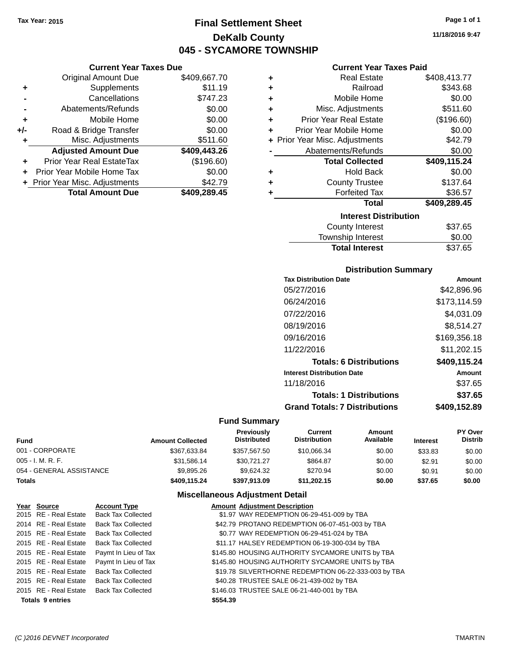## **Final Settlement Sheet Tax Year: 2015 Page 1 of 1 DeKalb County 045 - SYCAMORE TOWNSHIP**

#### **Current Year Taxes Due**

|     | <b>Original Amount Due</b>     | \$409,667.70 |
|-----|--------------------------------|--------------|
| ٠   | Supplements                    | \$11.19      |
|     | Cancellations                  | \$747.23     |
|     | Abatements/Refunds             | \$0.00       |
| ÷   | Mobile Home                    | \$0.00       |
| +/- | Road & Bridge Transfer         | \$0.00       |
| ٠   | Misc. Adjustments              | \$511.60     |
|     | <b>Adjusted Amount Due</b>     | \$409,443.26 |
| ÷   | Prior Year Real EstateTax      | (\$196.60)   |
|     | Prior Year Mobile Home Tax     | \$0.00       |
|     | + Prior Year Misc. Adjustments | \$42.79      |
|     | <b>Total Amount Due</b>        | \$409,289.45 |
|     |                                |              |

#### **Current Year Taxes Paid**

| ٠ | <b>Real Estate</b>             | \$408,413.77 |
|---|--------------------------------|--------------|
| ٠ | Railroad                       | \$343.68     |
| ٠ | Mobile Home                    | \$0.00       |
| ٠ | Misc. Adjustments              | \$511.60     |
| ٠ | <b>Prior Year Real Estate</b>  | (\$196.60)   |
| ٠ | Prior Year Mobile Home         | \$0.00       |
|   | + Prior Year Misc. Adjustments | \$42.79      |
|   | Abatements/Refunds             | \$0.00       |
|   | <b>Total Collected</b>         | \$409,115.24 |
| ٠ | <b>Hold Back</b>               | \$0.00       |
| ٠ | <b>County Trustee</b>          | \$137.64     |
| ٠ | <b>Forfeited Tax</b>           | \$36.57      |
|   | <b>Total</b>                   | \$409,289.45 |
|   | <b>Interest Distribution</b>   |              |
|   |                                |              |
|   | <b>County Interest</b>         | \$37.65      |

| <b>Total Interest</b> | \$37.65 |
|-----------------------|---------|
| Township Interest     | \$0.00  |
| County Interest       | \$37.65 |

#### **Distribution Summary**

| Amount       |
|--------------|
| \$42.896.96  |
| \$173,114.59 |
| \$4,031.09   |
| \$8,514.27   |
| \$169,356.18 |
| \$11,202.15  |
| \$409,115.24 |
| Amount       |
| \$37.65      |
| \$37.65      |
| \$409.152.89 |
|              |

### **Fund Summary**

| Fund                     | <b>Amount Collected</b> | Previously<br><b>Distributed</b> | Current<br><b>Distribution</b> | Amount<br>Available | <b>Interest</b> | <b>PY Over</b><br><b>Distrib</b> |
|--------------------------|-------------------------|----------------------------------|--------------------------------|---------------------|-----------------|----------------------------------|
| 001 - CORPORATE          | \$367.633.84            | \$357.567.50                     | \$10.066.34                    | \$0.00              | \$33.83         | \$0.00                           |
| 005 - I. M. R. F.        | \$31.586.14             | \$30.721.27                      | \$864.87                       | \$0.00              | \$2.91          | \$0.00                           |
| 054 - GENERAL ASSISTANCE | \$9,895.26              | \$9.624.32                       | \$270.94                       | \$0.00              | \$0.91          | \$0.00                           |
| Totals                   | \$409.115.24            | \$397.913.09                     | \$11,202.15                    | \$0.00              | \$37.65         | \$0.00                           |

### **Miscellaneous Adjustment Detail**

| <b>Account Type</b>                                                                                                                                                                                                                                                     |                                                   | <b>Amount Adjustment Description</b>                 |
|-------------------------------------------------------------------------------------------------------------------------------------------------------------------------------------------------------------------------------------------------------------------------|---------------------------------------------------|------------------------------------------------------|
| <b>Back Tax Collected</b>                                                                                                                                                                                                                                               |                                                   | \$1.97 WAY REDEMPTION 06-29-451-009 by TBA           |
| <b>Back Tax Collected</b>                                                                                                                                                                                                                                               |                                                   | \$42.79 PROTANO REDEMPTION 06-07-451-003 by TBA      |
| <b>Back Tax Collected</b>                                                                                                                                                                                                                                               |                                                   | \$0.77 WAY REDEMPTION 06-29-451-024 by TBA           |
| <b>Back Tax Collected</b>                                                                                                                                                                                                                                               |                                                   | \$11.17 HALSEY REDEMPTION 06-19-300-034 by TBA       |
| Paymt In Lieu of Tax                                                                                                                                                                                                                                                    |                                                   | \$145.80 HOUSING AUTHORITY SYCAMORE UNITS by TBA     |
|                                                                                                                                                                                                                                                                         |                                                   | \$145.80 HOUSING AUTHORITY SYCAMORE UNITS by TBA     |
| <b>Back Tax Collected</b>                                                                                                                                                                                                                                               |                                                   | \$19.78 SILVERTHORNE REDEMPTION 06-22-333-003 by TBA |
| <b>Back Tax Collected</b>                                                                                                                                                                                                                                               |                                                   | \$40.28 TRUSTEE SALE 06-21-439-002 by TBA            |
|                                                                                                                                                                                                                                                                         |                                                   | \$146.03 TRUSTEE SALE 06-21-440-001 by TBA           |
|                                                                                                                                                                                                                                                                         | \$554.39                                          |                                                      |
| Year Source<br>2015 RE - Real Estate<br>2014 RE - Real Estate<br>2015 RE - Real Estate<br>2015 RE - Real Estate<br>2015 RE - Real Estate<br>2015 RE - Real Estate<br>2015 RE - Real Estate<br>2015 RE - Real Estate<br>2015 RE - Real Estate<br><b>Totals 9 entries</b> | Paymt In Lieu of Tax<br><b>Back Tax Collected</b> |                                                      |

**11/18/2016 9:47**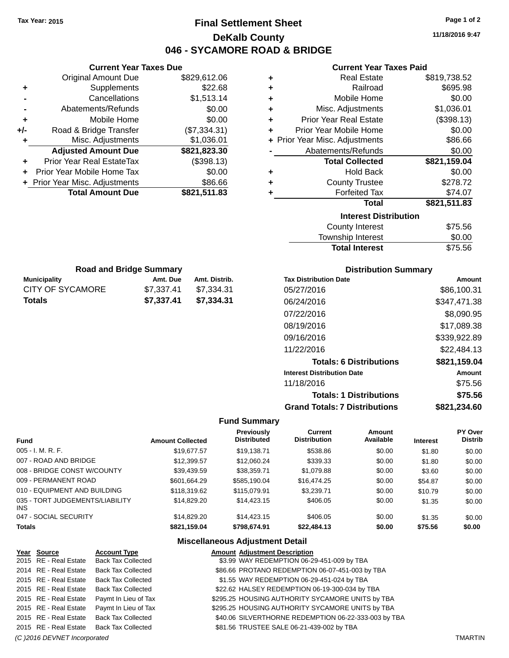## **Final Settlement Sheet Tax Year: 2015 Page 1 of 2 DeKalb County 046 - SYCAMORE ROAD & BRIDGE**

**11/18/2016 9:47**

#### **Current Year Taxes Paid**

| ٠ | <b>Real Estate</b>             | \$819,738.52 |
|---|--------------------------------|--------------|
| ٠ | Railroad                       | \$695.98     |
| ٠ | Mobile Home                    | \$0.00       |
| ÷ | Misc. Adjustments              | \$1,036.01   |
| ÷ | <b>Prior Year Real Estate</b>  | (\$398.13)   |
| ٠ | Prior Year Mobile Home         | \$0.00       |
|   | + Prior Year Misc. Adjustments | \$86.66      |
|   | Abatements/Refunds             | \$0.00       |
|   | <b>Total Collected</b>         | \$821,159.04 |
| ٠ | <b>Hold Back</b>               | \$0.00       |
| ٠ | <b>County Trustee</b>          | \$278.72     |
| ٠ | <b>Forfeited Tax</b>           | \$74.07      |
|   | Total                          | \$821,511.83 |
|   | <b>Interest Distribution</b>   |              |
|   | <b>County Interest</b>         | \$75.56      |
|   | <b>Township Interest</b>       | \$0.00       |
|   | <b>Total Interest</b>          | \$75.56      |

| <b>Road and Bridge Summary</b> |            |               |  |
|--------------------------------|------------|---------------|--|
| <b>Municipality</b>            | Amt. Due   | Amt. Distrib. |  |
| CITY OF SYCAMORE               | \$7.337.41 | \$7.334.31    |  |
| <b>Totals</b>                  | \$7.337.41 | \$7.334.31    |  |

**Current Year Taxes Due** Original Amount Due \$829,612.06

**Adjusted Amount Due \$821,823.30**

**Total Amount Due \$821,511.83**

**+** Supplements \$22.68 **-** Cancellations \$1,513.14 **-** Abatements/Refunds \$0.00 **+** Mobile Home \$0.00 **+/-** Road & Bridge Transfer (\$7,334.31) **+** Misc. Adjustments \$1,036.01

**+** Prior Year Real EstateTax (\$398.13) **+** Prior Year Mobile Home Tax \$0.00 **+** Prior Year Misc. Adjustments \$86.66

#### **Distribution Summary**

| <b>Tax Distribution Date</b>         | Amount       |
|--------------------------------------|--------------|
| 05/27/2016                           | \$86,100.31  |
| 06/24/2016                           | \$347,471.38 |
| 07/22/2016                           | \$8,090.95   |
| 08/19/2016                           | \$17,089.38  |
| 09/16/2016                           | \$339,922.89 |
| 11/22/2016                           | \$22.484.13  |
| <b>Totals: 6 Distributions</b>       | \$821,159.04 |
| <b>Interest Distribution Date</b>    | Amount       |
| 11/18/2016                           | \$75.56      |
| <b>Totals: 1 Distributions</b>       | \$75.56      |
| <b>Grand Totals: 7 Distributions</b> | \$821.234.60 |

#### **Fund Summary**

| <b>Fund</b>                             | <b>Amount Collected</b> | Previously<br><b>Distributed</b> | Current<br><b>Distribution</b> | Amount<br>Available | <b>Interest</b> | <b>PY Over</b><br><b>Distrib</b> |
|-----------------------------------------|-------------------------|----------------------------------|--------------------------------|---------------------|-----------------|----------------------------------|
| $005 - I. M. R. F.$                     | \$19,677.57             | \$19,138.71                      | \$538.86                       | \$0.00              | \$1.80          | \$0.00                           |
| 007 - ROAD AND BRIDGE                   | \$12,399.57             | \$12,060.24                      | \$339.33                       | \$0.00              | \$1.80          | \$0.00                           |
| 008 - BRIDGE CONST W/COUNTY             | \$39,439.59             | \$38,359.71                      | \$1,079.88                     | \$0.00              | \$3.60          | \$0.00                           |
| 009 - PERMANENT ROAD                    | \$601.664.29            | \$585.190.04                     | \$16,474.25                    | \$0.00              | \$54.87         | \$0.00                           |
| 010 - EQUIPMENT AND BUILDING            | \$118,319.62            | \$115,079.91                     | \$3.239.71                     | \$0.00              | \$10.79         | \$0.00                           |
| 035 - TORT JUDGEMENTS/LIABILITY<br>INS. | \$14,829,20             | \$14,423.15                      | \$406.05                       | \$0.00              | \$1.35          | \$0.00                           |
| 047 - SOCIAL SECURITY                   | \$14,829,20             | \$14,423.15                      | \$406.05                       | \$0.00              | \$1.35          | \$0.00                           |
| <b>Totals</b>                           | \$821,159.04            | \$798,674.91                     | \$22,484.13                    | \$0.00              | \$75.56         | \$0.00                           |

| Year Source           | <b>Account Type</b>                        | <b>Amount Adjustment Description</b>                 |
|-----------------------|--------------------------------------------|------------------------------------------------------|
|                       | 2015 RE - Real Estate Back Tax Collected   | \$3.99 WAY REDEMPTION 06-29-451-009 by TBA           |
| 2014 RE - Real Estate | <b>Back Tax Collected</b>                  | \$86.66 PROTANO REDEMPTION 06-07-451-003 by TBA      |
| 2015 RE - Real Estate | <b>Back Tax Collected</b>                  | \$1.55 WAY REDEMPTION 06-29-451-024 by TBA           |
|                       | 2015 RE - Real Estate Back Tax Collected   | \$22.62 HALSEY REDEMPTION 06-19-300-034 by TBA       |
|                       | 2015 RE - Real Estate Paymt In Lieu of Tax | \$295.25 HOUSING AUTHORITY SYCAMORE UNITS by TBA     |
| 2015 RE - Real Estate | Paymt In Lieu of Tax                       | \$295.25 HOUSING AUTHORITY SYCAMORE UNITS by TBA     |
|                       | 2015 RE - Real Estate Back Tax Collected   | \$40.06 SILVERTHORNE REDEMPTION 06-22-333-003 by TBA |
|                       | 2015 RE - Real Estate Back Tax Collected   | \$81.56 TRUSTEE SALE 06-21-439-002 by TBA            |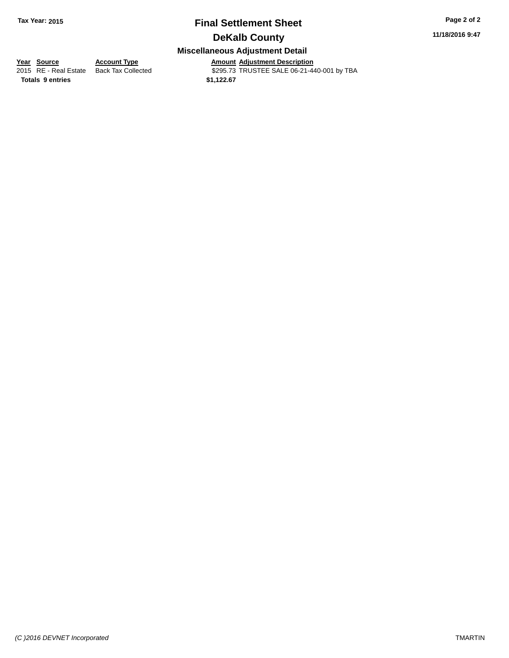# **Final Settlement Sheet Tax Year: 2015 Page 2 of 2**

**11/18/2016 9:47**

## **DeKalb County**

#### **Miscellaneous Adjustment Detail**

**<u>Year Source</u> Account Type<br>
2015 RE - Real Estate Back Tax Collected** 

**Totals \$1,122.67 9 entries**

Amount Adjustment Description<br>\$295.73 TRUSTEE SALE 06-21-440-001 by TBA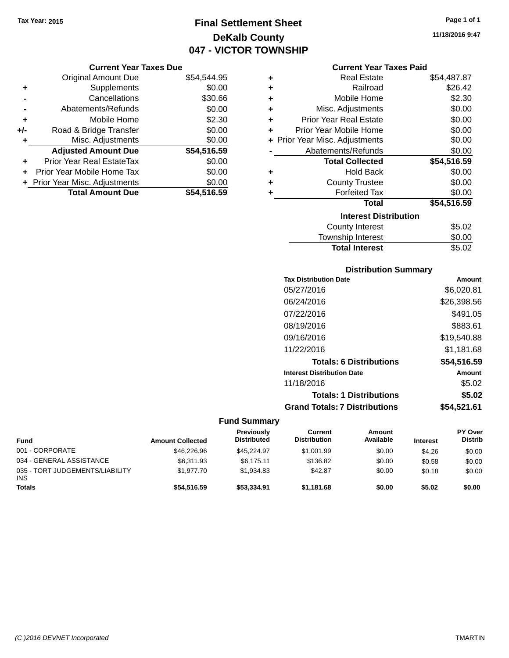## **Final Settlement Sheet Tax Year: 2015 Page 1 of 1 DeKalb County 047 - VICTOR TOWNSHIP**

#### **Current Year Taxes Due**

|       | <b>Original Amount Due</b>       | \$54,544.95 |
|-------|----------------------------------|-------------|
| ٠     | Supplements                      | \$0.00      |
|       | Cancellations                    | \$30.66     |
|       | Abatements/Refunds               | \$0.00      |
| ٠     | Mobile Home                      | \$2.30      |
| $+/-$ | Road & Bridge Transfer           | \$0.00      |
| ٠     | Misc. Adjustments                | \$0.00      |
|       | <b>Adjusted Amount Due</b>       | \$54,516.59 |
| ٠     | <b>Prior Year Real EstateTax</b> | \$0.00      |
|       | Prior Year Mobile Home Tax       | \$0.00      |
|       | + Prior Year Misc. Adjustments   | \$0.00      |
|       | <b>Total Amount Due</b>          | \$54.516.59 |

|   | <b>Current Year Taxes Paid</b> |             |
|---|--------------------------------|-------------|
| ÷ | <b>Real Estate</b>             | \$54,487.87 |
| ÷ | Railroad                       | \$26.42     |
| ÷ | Mobile Home                    | \$2.30      |
| ÷ | Misc. Adjustments              | \$0.00      |
| ÷ | <b>Prior Year Real Estate</b>  | \$0.00      |
| ÷ | Prior Year Mobile Home         | \$0.00      |
|   | + Prior Year Misc. Adjustments | \$0.00      |
|   | Abatements/Refunds             | \$0.00      |
|   | <b>Total Collected</b>         | \$54,516.59 |
| ÷ | <b>Hold Back</b>               | \$0.00      |
| ÷ | <b>County Trustee</b>          | \$0.00      |
| ٠ | <b>Forfeited Tax</b>           | \$0.00      |
|   | <b>Total</b>                   | \$54,516.59 |
|   | <b>Interest Distribution</b>   |             |
|   | County Interest                | S5 02       |

| <b>Total Interest</b> | \$5.02 |
|-----------------------|--------|
| Township Interest     | \$0.00 |
| County Interest       | \$5.02 |

#### **Distribution Summary**

| <b>Tax Distribution Date</b>         | Amount      |
|--------------------------------------|-------------|
| 05/27/2016                           | \$6,020.81  |
| 06/24/2016                           | \$26,398.56 |
| 07/22/2016                           | \$491.05    |
| 08/19/2016                           | \$883.61    |
| 09/16/2016                           | \$19,540.88 |
| 11/22/2016                           | \$1,181.68  |
| <b>Totals: 6 Distributions</b>       | \$54,516.59 |
| <b>Interest Distribution Date</b>    | Amount      |
| 11/18/2016                           | \$5.02      |
| <b>Totals: 1 Distributions</b>       | \$5.02      |
| <b>Grand Totals: 7 Distributions</b> | \$54.521.61 |

### **Fund Summary**

| Fund                                          | <b>Amount Collected</b> | Previously<br><b>Distributed</b> | Current<br><b>Distribution</b> | Amount<br>Available | <b>Interest</b> | PY Over<br><b>Distrib</b> |
|-----------------------------------------------|-------------------------|----------------------------------|--------------------------------|---------------------|-----------------|---------------------------|
| 001 - CORPORATE                               | \$46,226.96             | \$45.224.97                      | \$1,001.99                     | \$0.00              | \$4.26          | \$0.00                    |
| 034 - GENERAL ASSISTANCE                      | \$6.311.93              | \$6.175.11                       | \$136.82                       | \$0.00              | \$0.58          | \$0.00                    |
| 035 - TORT JUDGEMENTS/LIABILITY<br><b>INS</b> | \$1.977.70              | \$1.934.83                       | \$42.87                        | \$0.00              | \$0.18          | \$0.00                    |
| Totals                                        | \$54,516.59             | \$53,334.91                      | \$1.181.68                     | \$0.00              | \$5.02          | \$0.00                    |

**11/18/2016 9:47**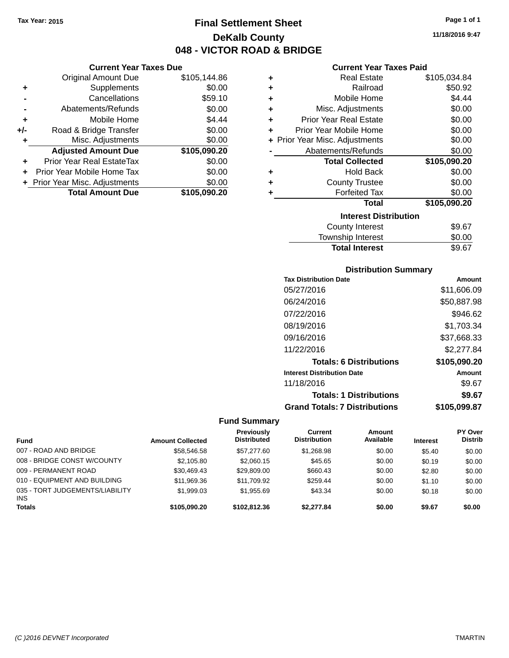## **Final Settlement Sheet Tax Year: 2015 Page 1 of 1 DeKalb County 048 - VICTOR ROAD & BRIDGE**

**11/18/2016 9:47**

#### **Current Year Taxes Paid**

|       | <b>Current Year Taxes Due</b>    |              |   | Current                    |
|-------|----------------------------------|--------------|---|----------------------------|
|       | <b>Original Amount Due</b>       | \$105,144.86 | ٠ | Real Es                    |
| ٠     | Supplements                      | \$0.00       | ÷ | Rail                       |
|       | Cancellations                    | \$59.10      | ÷ | Mobile H                   |
|       | Abatements/Refunds               | \$0.00       | ٠ | Misc. Adjustm              |
| ٠     | Mobile Home                      | \$4.44       | ÷ | Prior Year Real Es         |
| $+/-$ | Road & Bridge Transfer           | \$0.00       | ٠ | Prior Year Mobile H        |
|       | Misc. Adjustments                | \$0.00       |   | + Prior Year Misc. Adjustm |
|       | <b>Adjusted Amount Due</b>       | \$105,090.20 |   | Abatements/Ref             |
| ٠     | <b>Prior Year Real EstateTax</b> | \$0.00       |   | <b>Total Colle</b>         |
|       | Prior Year Mobile Home Tax       | \$0.00       | ٠ | Hold                       |
|       | + Prior Year Misc. Adjustments   | \$0.00       | ÷ | County Tru                 |
|       | <b>Total Amount Due</b>          | \$105,090.20 |   | Forfeited                  |
|       |                                  |              |   |                            |
|       |                                  |              |   |                            |

| ٠ | <b>Real Estate</b>             | \$105,034.84 |
|---|--------------------------------|--------------|
| ÷ | Railroad                       | \$50.92      |
| ÷ | Mobile Home                    | \$4.44       |
| ÷ | Misc. Adjustments              | \$0.00       |
| ٠ | <b>Prior Year Real Estate</b>  | \$0.00       |
| ÷ | Prior Year Mobile Home         | \$0.00       |
|   | + Prior Year Misc. Adjustments | \$0.00       |
|   | Abatements/Refunds             | \$0.00       |
|   | <b>Total Collected</b>         | \$105,090.20 |
| ٠ | <b>Hold Back</b>               | \$0.00       |
| ÷ | <b>County Trustee</b>          | \$0.00       |
|   | <b>Forfeited Tax</b>           | \$0.00       |
|   | <b>Total</b>                   | \$105,090.20 |
|   | <b>Interest Distribution</b>   |              |
|   | <b>County Interest</b>         | \$9.67       |
|   |                                |              |

| <b>Total Interest</b> | \$9.67 |
|-----------------------|--------|
| Township Interest     | \$0.00 |
| County Interest       | 99.P   |

#### **Distribution Summary**

| <b>Tax Distribution Date</b>         | Amount       |
|--------------------------------------|--------------|
| 05/27/2016                           | \$11,606.09  |
| 06/24/2016                           | \$50,887.98  |
| 07/22/2016                           | \$946.62     |
| 08/19/2016                           | \$1,703.34   |
| 09/16/2016                           | \$37,668.33  |
| 11/22/2016                           | \$2,277.84   |
| <b>Totals: 6 Distributions</b>       | \$105,090.20 |
| <b>Interest Distribution Date</b>    | Amount       |
| 11/18/2016                           | \$9.67       |
| <b>Totals: 1 Distributions</b>       | \$9.67       |
| <b>Grand Totals: 7 Distributions</b> | \$105.099.87 |

|                                         |                         | <b>Previously</b>  | Current             | Amount    |                 | <b>PY Over</b> |
|-----------------------------------------|-------------------------|--------------------|---------------------|-----------|-----------------|----------------|
| <b>Fund</b>                             | <b>Amount Collected</b> | <b>Distributed</b> | <b>Distribution</b> | Available | <b>Interest</b> | <b>Distrib</b> |
| 007 - ROAD AND BRIDGE                   | \$58,546.58             | \$57,277.60        | \$1,268.98          | \$0.00    | \$5.40          | \$0.00         |
| 008 - BRIDGE CONST W/COUNTY             | \$2.105.80              | \$2,060.15         | \$45.65             | \$0.00    | \$0.19          | \$0.00         |
| 009 - PERMANENT ROAD                    | \$30,469.43             | \$29,809.00        | \$660.43            | \$0.00    | \$2.80          | \$0.00         |
| 010 - EQUIPMENT AND BUILDING            | \$11.969.36             | \$11.709.92        | \$259.44            | \$0.00    | \$1.10          | \$0.00         |
| 035 - TORT JUDGEMENTS/LIABILITY<br>INS. | \$1.999.03              | \$1.955.69         | \$43.34             | \$0.00    | \$0.18          | \$0.00         |
| <b>Totals</b>                           | \$105,090.20            | \$102.812.36       | \$2.277.84          | \$0.00    | \$9.67          | \$0.00         |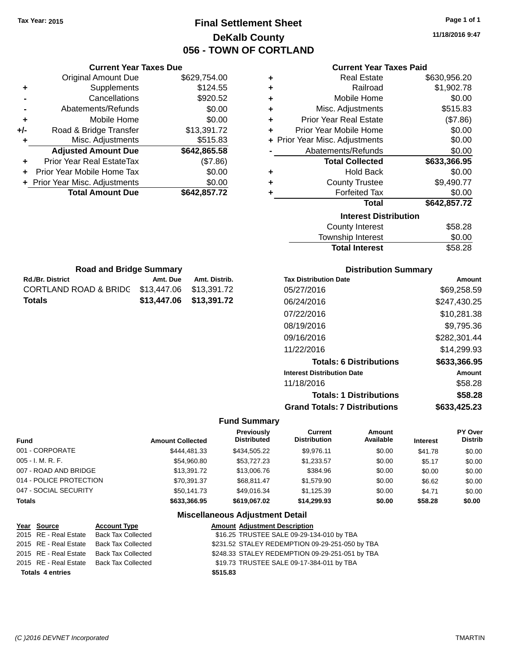## **Final Settlement Sheet Tax Year: 2015 Page 1 of 1 DeKalb County 056 - TOWN OF CORTLAND**

**11/18/2016 9:47**

|     |                                  | <b>Current Year Taxes Due</b> |               |   |                        |
|-----|----------------------------------|-------------------------------|---------------|---|------------------------|
|     | <b>Original Amount Due</b>       |                               | \$629,754.00  | ٠ |                        |
|     | Supplements                      |                               | \$124.55      | ٠ |                        |
|     | Cancellations                    |                               | \$920.52      | ٠ |                        |
|     | Abatements/Refunds               |                               | \$0.00        | ٠ | Mi:                    |
|     | Mobile Home                      |                               | \$0.00        | ٠ | Prior Y                |
| +/- | Road & Bridge Transfer           |                               | \$13,391.72   |   | Prior Yea              |
| ٠   | Misc. Adjustments                |                               | \$515.83      |   | + Prior Year Mis       |
|     | <b>Adjusted Amount Due</b>       |                               | \$642,865.58  |   | Abate                  |
|     | <b>Prior Year Real EstateTax</b> |                               | (\$7.86)      |   |                        |
| ٠   | Prior Year Mobile Home Tax       |                               | \$0.00        | ٠ |                        |
|     | Prior Year Misc. Adjustments     |                               | \$0.00        | ٠ |                        |
|     | <b>Total Amount Due</b>          |                               | \$642,857.72  |   |                        |
|     | <b>Road and Bridge Summary</b>   |                               |               |   |                        |
|     | <b>Rd./Br. District</b>          | Amt. Due                      | Amt. Distrib. |   | <b>Tax Distributi</b>  |
|     | <b>CORTLAND ROAD &amp; BRIDG</b> | \$13,447.06                   | \$13,391.72   |   | 05/27/2016             |
|     | <b>Totals</b>                    | \$13,447.06                   | \$13,391.72   |   | 06/24/2016             |
|     |                                  |                               |               |   | 07/22/2016             |
|     |                                  |                               |               |   | 08/19/2016             |
|     |                                  |                               |               |   | 09/16/2016             |
|     |                                  |                               |               |   |                        |
|     |                                  |                               |               |   | 11/22/2016             |
|     |                                  |                               |               |   | Tota                   |
|     |                                  |                               |               |   | <b>Interest Distri</b> |
|     |                                  |                               |               |   | 11/18/2016             |
|     |                                  |                               |               |   | Tota                   |

#### **Current Year Taxes Paid**

| ٠ | <b>Real Estate</b>             | \$630,956.20 |
|---|--------------------------------|--------------|
| ٠ | Railroad                       | \$1,902.78   |
| ÷ | Mobile Home                    | \$0.00       |
| ٠ | Misc. Adjustments              | \$515.83     |
| ٠ | <b>Prior Year Real Estate</b>  | (\$7.86)     |
| ÷ | Prior Year Mobile Home         | \$0.00       |
|   | + Prior Year Misc. Adjustments | \$0.00       |
|   | Abatements/Refunds             | \$0.00       |
|   |                                |              |
|   | <b>Total Collected</b>         | \$633,366.95 |
| ٠ | <b>Hold Back</b>               | \$0.00       |
| ٠ | <b>County Trustee</b>          | \$9,490.77   |
| ٠ | <b>Forfeited Tax</b>           | \$0.00       |
|   | <b>Total</b>                   | \$642,857.72 |
|   | <b>Interest Distribution</b>   |              |
|   | <b>County Interest</b>         | \$58.28      |

# Total Interest \$58.28

| <b>Distribution Summary</b>          |              |  |  |  |
|--------------------------------------|--------------|--|--|--|
| <b>Tax Distribution Date</b>         | Amount       |  |  |  |
| 05/27/2016                           | \$69,258.59  |  |  |  |
| 06/24/2016                           | \$247,430.25 |  |  |  |
| 07/22/2016                           | \$10,281.38  |  |  |  |
| 08/19/2016                           | \$9,795.36   |  |  |  |
| 09/16/2016                           | \$282,301.44 |  |  |  |
| 11/22/2016                           | \$14.299.93  |  |  |  |
| <b>Totals: 6 Distributions</b>       | \$633,366.95 |  |  |  |
| <b>Interest Distribution Date</b>    | Amount       |  |  |  |
| 11/18/2016                           | \$58.28      |  |  |  |
| <b>Totals: 1 Distributions</b>       | \$58.28      |  |  |  |
| <b>Grand Totals: 7 Distributions</b> | \$633.425.23 |  |  |  |

### **Fund Summary**

| <b>Fund</b>             | <b>Amount Collected</b> | Previously<br><b>Distributed</b> | Current<br><b>Distribution</b> | Amount<br>Available | <b>Interest</b> | <b>PY Over</b><br><b>Distrib</b> |
|-------------------------|-------------------------|----------------------------------|--------------------------------|---------------------|-----------------|----------------------------------|
| 001 - CORPORATE         | \$444.481.33            | \$434.505.22                     | \$9.976.11                     | \$0.00              | \$41.78         | \$0.00                           |
| $005 - I. M. R. F.$     | \$54,960.80             | \$53,727.23                      | \$1,233.57                     | \$0.00              | \$5.17          | \$0.00                           |
| 007 - ROAD AND BRIDGE   | \$13,391,72             | \$13,006.76                      | \$384.96                       | \$0.00              | \$0.00          | \$0.00                           |
| 014 - POLICE PROTECTION | \$70.391.37             | \$68.811.47                      | \$1.579.90                     | \$0.00              | \$6.62          | \$0.00                           |
| 047 - SOCIAL SECURITY   | \$50.141.73             | \$49.016.34                      | \$1.125.39                     | \$0.00              | \$4.71          | \$0.00                           |
| <b>Totals</b>           | \$633,366.95            | \$619,067.02                     | \$14,299.93                    | \$0.00              | \$58.28         | \$0.00                           |

|                         | Year Source | <b>Account Type</b>                      | <b>Amount Adjustment Description</b>            |
|-------------------------|-------------|------------------------------------------|-------------------------------------------------|
|                         |             | 2015 RE - Real Estate Back Tax Collected | \$16.25 TRUSTEE SALE 09-29-134-010 by TBA       |
|                         |             | 2015 RE - Real Estate Back Tax Collected | \$231.52 STALEY REDEMPTION 09-29-251-050 by TBA |
|                         |             | 2015 RE - Real Estate Back Tax Collected | \$248.33 STALEY REDEMPTION 09-29-251-051 by TBA |
|                         |             | 2015 RE - Real Estate Back Tax Collected | \$19.73 TRUSTEE SALE 09-17-384-011 by TBA       |
| <b>Totals 4 entries</b> |             |                                          | \$515.83                                        |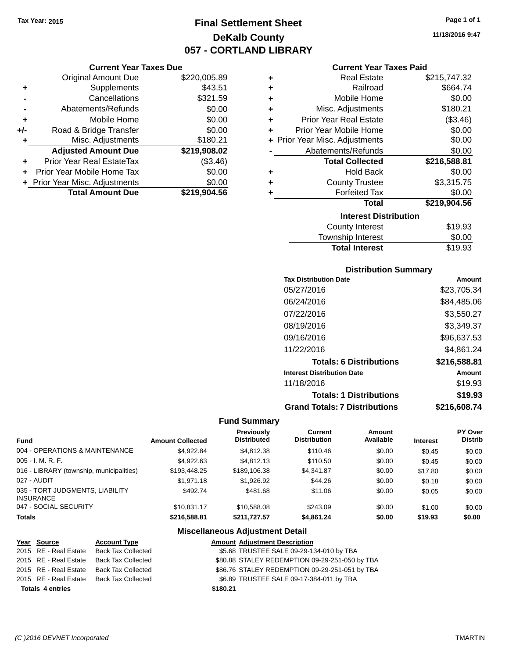## **Final Settlement Sheet Tax Year: 2015 Page 1 of 1 DeKalb County 057 - CORTLAND LIBRARY**

## **11/18/2016 9:47**

| <b>Year Taxes Due</b> |  |
|-----------------------|--|
|-----------------------|--|

|     | <b>Current Year Taxes Due</b>    |              |  |
|-----|----------------------------------|--------------|--|
|     | <b>Original Amount Due</b>       | \$220,005.89 |  |
| ٠   | Supplements                      | \$43.51      |  |
|     | Cancellations                    | \$321.59     |  |
|     | Abatements/Refunds               | \$0.00       |  |
| ٠   | Mobile Home                      | \$0.00       |  |
| +/- | Road & Bridge Transfer           | \$0.00       |  |
| ٠   | Misc. Adjustments                | \$180.21     |  |
|     | <b>Adjusted Amount Due</b>       | \$219,908.02 |  |
| ÷   | <b>Prior Year Real EstateTax</b> | (\$3.46)     |  |
|     | Prior Year Mobile Home Tax       | \$0.00       |  |
|     | + Prior Year Misc. Adjustments   | \$0.00       |  |
|     | <b>Total Amount Due</b>          | \$219.904.56 |  |

|   | <b>Current Year Taxes Paid</b> |              |
|---|--------------------------------|--------------|
| ÷ | <b>Real Estate</b>             | \$215,747.32 |
| ÷ | Railroad                       | \$664.74     |
| ٠ | Mobile Home                    | \$0.00       |
| ÷ | Misc. Adjustments              | \$180.21     |
| ٠ | <b>Prior Year Real Estate</b>  | (\$3.46)     |
| ÷ | Prior Year Mobile Home         | \$0.00       |
|   | + Prior Year Misc. Adjustments | \$0.00       |
|   | Abatements/Refunds             | \$0.00       |
|   | <b>Total Collected</b>         | \$216,588.81 |
| ٠ | Hold Back                      | \$0.00       |
| ÷ | <b>County Trustee</b>          | \$3,315.75   |
| ٠ | <b>Forfeited Tax</b>           | \$0.00       |
|   | Total                          | \$219,904.56 |

#### **Interest Distribution**

| County Interest       | \$19.93 |
|-----------------------|---------|
| Township Interest     | \$0.00  |
| <b>Total Interest</b> | \$19.93 |

#### **Distribution Summary**

| <b>Tax Distribution Date</b>         | Amount       |
|--------------------------------------|--------------|
| 05/27/2016                           | \$23,705.34  |
| 06/24/2016                           | \$84,485.06  |
| 07/22/2016                           | \$3,550.27   |
| 08/19/2016                           | \$3,349.37   |
| 09/16/2016                           | \$96,637.53  |
| 11/22/2016                           | \$4,861.24   |
| <b>Totals: 6 Distributions</b>       | \$216,588.81 |
| <b>Interest Distribution Date</b>    | Amount       |
| 11/18/2016                           | \$19.93      |
| <b>Totals: 1 Distributions</b>       | \$19.93      |
| <b>Grand Totals: 7 Distributions</b> | \$216,608.74 |

#### **Fund Summary**

| <b>Fund</b>                                         | <b>Amount Collected</b> | Previously<br><b>Distributed</b> | Current<br><b>Distribution</b> | Amount<br>Available | <b>Interest</b> | PY Over<br><b>Distrib</b> |
|-----------------------------------------------------|-------------------------|----------------------------------|--------------------------------|---------------------|-----------------|---------------------------|
| 004 - OPERATIONS & MAINTENANCE                      | \$4.922.84              | \$4,812.38                       | \$110.46                       | \$0.00              | \$0.45          | \$0.00                    |
| $005 - I. M. R. F.$                                 | \$4.922.63              | \$4,812.13                       | \$110.50                       | \$0.00              | \$0.45          | \$0.00                    |
| 016 - LIBRARY (township, municipalities)            | \$193,448.25            | \$189,106.38                     | \$4.341.87                     | \$0.00              | \$17.80         | \$0.00                    |
| 027 - AUDIT                                         | \$1,971.18              | \$1,926.92                       | \$44.26                        | \$0.00              | \$0.18          | \$0.00                    |
| 035 - TORT JUDGMENTS, LIABILITY<br><b>INSURANCE</b> | \$492.74                | \$481.68                         | \$11.06                        | \$0.00              | \$0.05          | \$0.00                    |
| 047 - SOCIAL SECURITY                               | \$10.831.17             | \$10,588,08                      | \$243.09                       | \$0.00              | \$1.00          | \$0.00                    |
| <b>Totals</b>                                       | \$216,588.81            | \$211,727.57                     | \$4,861.24                     | \$0.00              | \$19.93         | \$0.00                    |

| Year Source             | <b>Account Type</b>                      | <b>Amount Adjustment Description</b>           |
|-------------------------|------------------------------------------|------------------------------------------------|
|                         | 2015 RE - Real Estate Back Tax Collected | \$5.68 TRUSTEE SALE 09-29-134-010 by TBA       |
|                         | 2015 RE - Real Estate Back Tax Collected | \$80.88 STALEY REDEMPTION 09-29-251-050 by TBA |
|                         | 2015 RE - Real Estate Back Tax Collected | \$86.76 STALEY REDEMPTION 09-29-251-051 by TBA |
|                         | 2015 RE - Real Estate Back Tax Collected | \$6.89 TRUSTEE SALE 09-17-384-011 by TBA       |
| <b>Totals 4 entries</b> |                                          | \$180.21                                       |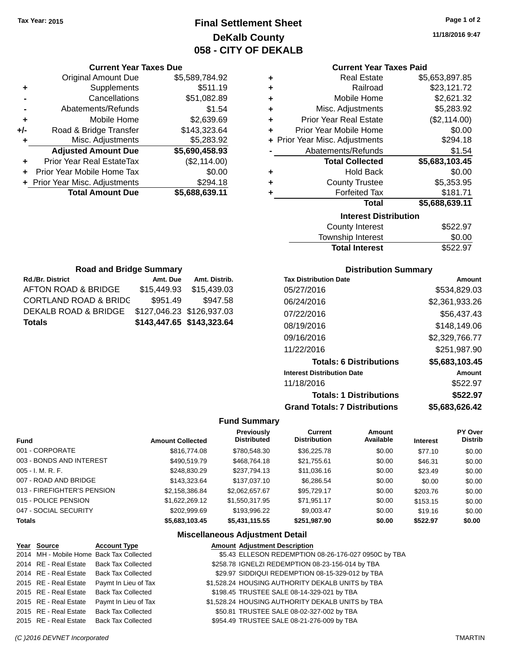## **Final Settlement Sheet Tax Year: 2015 Page 1 of 2 DeKalb County 058 - CITY OF DEKALB**

**11/18/2016 9:47**

#### **Current Year Taxes Paid**

|   | <b>Real Estate</b>             | \$5,653,897.85 |
|---|--------------------------------|----------------|
| ٠ | Railroad                       | \$23,121.72    |
| ٠ | Mobile Home                    | \$2,621.32     |
| ÷ | Misc. Adjustments              | \$5,283.92     |
| ٠ | <b>Prior Year Real Estate</b>  | (\$2,114.00)   |
| ٠ | Prior Year Mobile Home         | \$0.00         |
|   | + Prior Year Misc. Adjustments | \$294.18       |
|   | Abatements/Refunds             | \$1.54         |
|   | <b>Total Collected</b>         | \$5,683,103.45 |
| ٠ | <b>Hold Back</b>               | \$0.00         |
| ٠ | <b>County Trustee</b>          | \$5,353.95     |
| ÷ | <b>Forfeited Tax</b>           | \$181.71       |
|   | Total                          | \$5,688,639.11 |
|   | <b>Interest Distribution</b>   |                |
|   | <b>County Interest</b>         | \$522.97       |

| <b>Total Interest</b>  | \$522.97 |
|------------------------|----------|
| Township Interest      | \$0.00   |
| <b>County Interest</b> | \$522.97 |

| <b>Road and Bridge Summary</b>             |                           |               |  |  |  |
|--------------------------------------------|---------------------------|---------------|--|--|--|
| <b>Rd./Br. District</b>                    | Amt. Due                  | Amt. Distrib. |  |  |  |
| AFTON ROAD & BRIDGE                        | \$15,449.93               | \$15,439.03   |  |  |  |
| <b>CORTLAND ROAD &amp; BRIDG</b>           | \$951.49                  | \$947.58      |  |  |  |
| DEKALB ROAD & BRIDGE                       | \$127,046.23 \$126,937.03 |               |  |  |  |
| \$143,447.65 \$143,323.64<br><b>Totals</b> |                           |               |  |  |  |

**Current Year Taxes Due** Original Amount Due \$5,589,784.92

**Adjusted Amount Due \$5,690,458.93**

**Total Amount Due \$5,688,639.11**

**+** Supplements \$511.19 **-** Cancellations \$51,082.89 **-** Abatements/Refunds \$1.54 **+** Mobile Home \$2,639.69 **+/-** Road & Bridge Transfer \$143,323.64 **+** Misc. Adjustments \$5,283.92

**+** Prior Year Real EstateTax (\$2,114.00) **+** Prior Year Mobile Home Tax \$0.00 **+** Prior Year Misc. Adjustments \$294.18

#### **Distribution Summary**

| <b>Tax Distribution Date</b>         | Amount         |
|--------------------------------------|----------------|
| 05/27/2016                           | \$534.829.03   |
| 06/24/2016                           | \$2,361,933.26 |
| 07/22/2016                           | \$56,437.43    |
| 08/19/2016                           | \$148.149.06   |
| 09/16/2016                           | \$2,329,766.77 |
| 11/22/2016                           | \$251,987.90   |
| <b>Totals: 6 Distributions</b>       | \$5,683,103.45 |
| <b>Interest Distribution Date</b>    | Amount         |
| 11/18/2016                           | \$522.97       |
| <b>Totals: 1 Distributions</b>       | \$522.97       |
| <b>Grand Totals: 7 Distributions</b> | \$5.683.626.42 |

#### **Fund Summary**

| <b>Fund</b>                 | <b>Amount Collected</b> | Previously<br><b>Distributed</b> | <b>Current</b><br><b>Distribution</b> | Amount<br>Available | <b>Interest</b> | <b>PY Over</b><br><b>Distrib</b> |
|-----------------------------|-------------------------|----------------------------------|---------------------------------------|---------------------|-----------------|----------------------------------|
| 001 - CORPORATE             | \$816,774.08            | \$780,548.30                     | \$36,225.78                           | \$0.00              | \$77.10         | \$0.00                           |
| 003 - BONDS AND INTEREST    | \$490,519.79            | \$468,764.18                     | \$21,755.61                           | \$0.00              | \$46.31         | \$0.00                           |
| $005 - I. M. R. F.$         | \$248,830.29            | \$237,794.13                     | \$11,036.16                           | \$0.00              | \$23.49         | \$0.00                           |
| 007 - ROAD AND BRIDGE       | \$143,323,64            | \$137,037.10                     | \$6,286.54                            | \$0.00              | \$0.00          | \$0.00                           |
| 013 - FIREFIGHTER'S PENSION | \$2,158,386.84          | \$2,062,657.67                   | \$95,729.17                           | \$0.00              | \$203.76        | \$0.00                           |
| 015 - POLICE PENSION        | \$1,622,269.12          | \$1,550,317.95                   | \$71,951.17                           | \$0.00              | \$153.15        | \$0.00                           |
| 047 - SOCIAL SECURITY       | \$202,999.69            | \$193,996.22                     | \$9,003.47                            | \$0.00              | \$19.16         | \$0.00                           |
| <b>Totals</b>               | \$5,683,103.45          | \$5,431,115.55                   | \$251,987.90                          | \$0.00              | \$522.97        | \$0.00                           |

#### **Miscellaneous Adjustment Detail**

| Year Source           | <b>Account Type</b>                      | <b>Amount Adjustment Description</b>                 |
|-----------------------|------------------------------------------|------------------------------------------------------|
|                       | 2014 MH - Mobile Home Back Tax Collected | \$5.43 ELLESON REDEMPTION 08-26-176-027 0950C by TBA |
|                       | 2014 RE - Real Estate Back Tax Collected | \$258.78 IGNELZI REDEMPTION 08-23-156-014 by TBA     |
|                       | 2014 RE - Real Estate Back Tax Collected | \$29.97 SIDDIQUI REDEMPTION 08-15-329-012 by TBA     |
| 2015 RE - Real Estate | Paymt In Lieu of Tax                     | \$1,528.24 HOUSING AUTHORITY DEKALB UNITS by TBA     |
| 2015 RE - Real Estate | <b>Back Tax Collected</b>                | \$198.45 TRUSTEE SALE 08-14-329-021 by TBA           |
| 2015 RE - Real Estate | Paymt In Lieu of Tax                     | \$1,528.24 HOUSING AUTHORITY DEKALB UNITS by TBA     |
| 2015 RE - Real Estate | <b>Back Tax Collected</b>                | \$50.81 TRUSTEE SALE 08-02-327-002 by TBA            |
| 2015 RE - Real Estate | Back Tax Collected                       | \$954.49 TRUSTEE SALE 08-21-276-009 by TBA           |

#### *(C )2016 DEVNET Incorporated* TMARTIN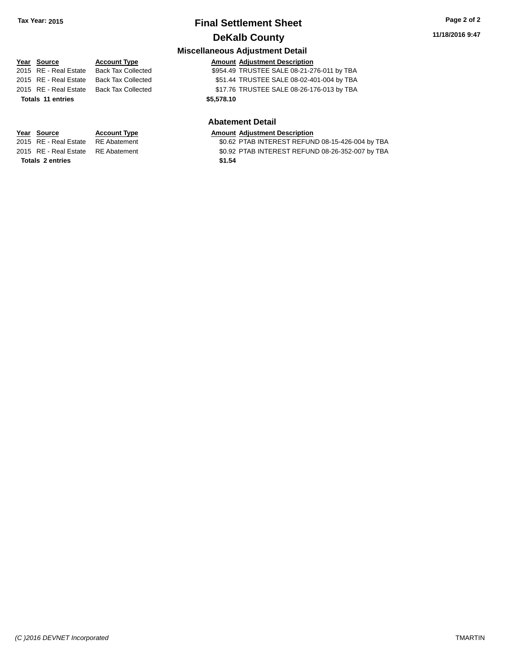## **Final Settlement Sheet Tax Year: 2015 Page 2 of 2 DeKalb County**

**Miscellaneous Adjustment Detail**

**Totals \$5,578.10 11 entries**

### **Year** Source **Account Type Account Adjustment Description** 2015 RE - Real Estate Back Tax Collected \$954.49 TRUSTEE SALE 08-21-276-011 by TBA 2015 RE - Real Estate Back Tax Collected \$51.44 TRUSTEE SALE 08-02-401-004 by TBA 2015 RE - Real Estate Back Tax Collected \$17.76 TRUSTEE SALE 08-26-176-013 by TBA

#### **Abatement Detail**

\$0.62 PTAB INTEREST REFUND 08-15-426-004 by TBA 2015 RE - Real Estate RE Abatement \$0.92 PTAB INTEREST REFUND 08-26-352-007 by TBA

# **Year Source Account Type Amount Adjustment Description**<br>2015 RE - Real Estate RE Abatement **Amount Adjustment Description Totals \$1.54 2 entries**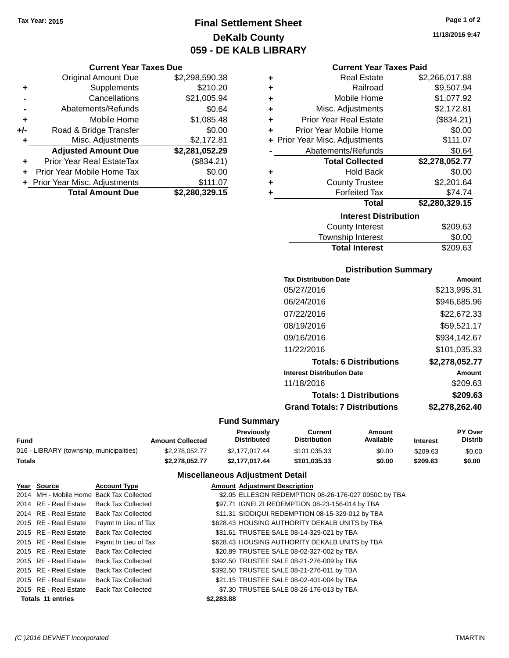## **Final Settlement Sheet Tax Year: 2015 Page 1 of 2 DeKalb County 059 - DE KALB LIBRARY**

**11/18/2016 9:47**

#### **Current Year Taxes Due**

|       | <b>Original Amount Due</b>       | \$2,298,590.38 |
|-------|----------------------------------|----------------|
| ٠     | Supplements                      | \$210.20       |
|       | Cancellations                    | \$21,005.94    |
|       | Abatements/Refunds               | \$0.64         |
| ÷     | Mobile Home                      | \$1,085.48     |
| $+/-$ | Road & Bridge Transfer           | \$0.00         |
| ٠     | Misc. Adjustments                | \$2,172.81     |
|       | <b>Adjusted Amount Due</b>       | \$2,281,052.29 |
| ٠     | <b>Prior Year Real EstateTax</b> | (\$834.21)     |
|       | Prior Year Mobile Home Tax       | \$0.00         |
|       | + Prior Year Misc. Adjustments   | \$111.07       |
|       | <b>Total Amount Due</b>          | \$2,280,329.15 |

| <b>Current Year Taxes Paid</b>       |                |  |  |
|--------------------------------------|----------------|--|--|
| <b>Real Estate</b><br>٠              | \$2,266,017.88 |  |  |
| Railroad<br>÷                        | \$9,507.94     |  |  |
| Mobile Home<br>÷                     | \$1,077.92     |  |  |
| Misc. Adjustments<br>÷               | \$2,172.81     |  |  |
| <b>Prior Year Real Estate</b><br>÷   | (\$834.21)     |  |  |
| Prior Year Mobile Home<br>٠          | \$0.00         |  |  |
| + Prior Year Misc. Adjustments       | \$111.07       |  |  |
| Abatements/Refunds                   | \$0.64         |  |  |
| <b>Total Collected</b>               | \$2,278,052.77 |  |  |
| <b>Hold Back</b><br>٠                | \$0.00         |  |  |
| <b>County Trustee</b><br>٠           | \$2,201.64     |  |  |
| \$74.74<br><b>Forfeited Tax</b><br>٠ |                |  |  |
| <b>Total</b>                         | \$2,280,329.15 |  |  |
| <b>Interest Distribution</b>         |                |  |  |
| <b>County Interest</b>               | \$209.63       |  |  |

| <b>Total Interest</b> | \$209.63 |
|-----------------------|----------|
| Township Interest     | \$0.00   |
| County Interest       | \$209.63 |

### **Distribution Summary**

| <b>Tax Distribution Date</b>         | Amount         |
|--------------------------------------|----------------|
| 05/27/2016                           | \$213,995.31   |
| 06/24/2016                           | \$946,685.96   |
| 07/22/2016                           | \$22,672,33    |
| 08/19/2016                           | \$59,521.17    |
| 09/16/2016                           | \$934,142.67   |
| 11/22/2016                           | \$101,035.33   |
| <b>Totals: 6 Distributions</b>       | \$2.278.052.77 |
| <b>Interest Distribution Date</b>    | Amount         |
| 11/18/2016                           | \$209.63       |
| <b>Totals: 1 Distributions</b>       | \$209.63       |
| <b>Grand Totals: 7 Distributions</b> | \$2,278,262.40 |
|                                      |                |

### **Fund Summary**

|                                          |                         | Previously         | Current             | Amount    |                 | <b>PY Over</b> |
|------------------------------------------|-------------------------|--------------------|---------------------|-----------|-----------------|----------------|
| Fund                                     | <b>Amount Collected</b> | <b>Distributed</b> | <b>Distribution</b> | Available | <b>Interest</b> | <b>Distrib</b> |
| 016 - LIBRARY (township, municipalities) | \$2,278,052,77          | \$2,177,017,44     | \$101.035.33        | \$0.00    | \$209.63        | \$0.00         |
| Totals                                   | \$2.278.052.77          | \$2.177.017.44     | \$101.035.33        | \$0.00    | \$209.63        | \$0.00         |

| Year Source              | <b>Account Type</b>                      |            | <b>Amount Adjustment Description</b>                 |
|--------------------------|------------------------------------------|------------|------------------------------------------------------|
|                          | 2014 MH - Mobile Home Back Tax Collected |            | \$2.05 ELLESON REDEMPTION 08-26-176-027 0950C by TBA |
| 2014 RE - Real Estate    | Back Tax Collected                       |            | \$97.71 IGNELZI REDEMPTION 08-23-156-014 by TBA      |
| 2014 RE - Real Estate    | Back Tax Collected                       |            | \$11.31 SIDDIQUI REDEMPTION 08-15-329-012 by TBA     |
| 2015 RE - Real Estate    | Paymt In Lieu of Tax                     |            | \$628.43 HOUSING AUTHORITY DEKALB UNITS by TBA       |
| 2015 RE - Real Estate    | <b>Back Tax Collected</b>                |            | \$81.61 TRUSTEE SALE 08-14-329-021 by TBA            |
| 2015 RE - Real Estate    | Paymt In Lieu of Tax                     |            | \$628.43 HOUSING AUTHORITY DEKALB UNITS by TBA       |
| 2015 RE - Real Estate    | Back Tax Collected                       |            | \$20.89 TRUSTEE SALE 08-02-327-002 by TBA            |
| 2015 RE - Real Estate    | <b>Back Tax Collected</b>                |            | \$392.50 TRUSTEE SALE 08-21-276-009 by TBA           |
| 2015 RE - Real Estate    | Back Tax Collected                       |            | \$392.50 TRUSTEE SALE 08-21-276-011 by TBA           |
| 2015 RE - Real Estate    | <b>Back Tax Collected</b>                |            | \$21.15 TRUSTEE SALE 08-02-401-004 by TBA            |
| 2015 RE - Real Estate    | <b>Back Tax Collected</b>                |            | \$7.30 TRUSTEE SALE 08-26-176-013 by TBA             |
| <b>Totals 11 entries</b> |                                          | \$2,283,88 |                                                      |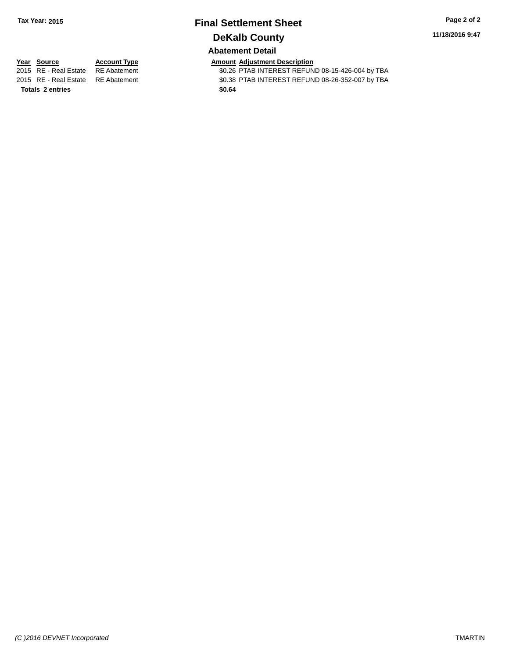# **Final Settlement Sheet Tax Year: 2015 Page 2 of 2 DeKalb County**

**11/18/2016 9:47**

### **Abatement Detail**

**Totals \$0.64 2 entries**

**Year Source Account Type Account Type Amount Adjustment Description**<br>2015 RE - Real Estate RE Abatement **Account 1998 Amount Adjustment REFUN** \$0.26 PTAB INTEREST REFUND 08-15-426-004 by TBA 2015 RE - Real Estate RE Abatement \$0.38 PTAB INTEREST REFUND 08-26-352-007 by TBA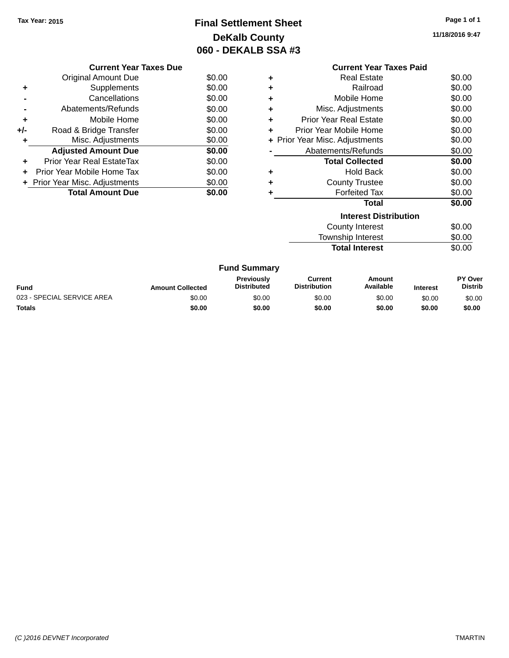## **Final Settlement Sheet Tax Year: 2015 Page 1 of 1 DeKalb County 060 - DEKALB SSA #3**

**11/18/2016 9:47**

|     | <b>Current Year Taxes Due</b>  |        |  |  |  |  |
|-----|--------------------------------|--------|--|--|--|--|
|     | <b>Original Amount Due</b>     | \$0.00 |  |  |  |  |
| ٠   | Supplements                    | \$0.00 |  |  |  |  |
|     | Cancellations                  | \$0.00 |  |  |  |  |
|     | Abatements/Refunds             | \$0.00 |  |  |  |  |
| ٠   | Mobile Home                    | \$0.00 |  |  |  |  |
| +/- | Road & Bridge Transfer         | \$0.00 |  |  |  |  |
| ٠   | Misc. Adjustments              | \$0.00 |  |  |  |  |
|     | <b>Adjusted Amount Due</b>     | \$0.00 |  |  |  |  |
|     | Prior Year Real EstateTax      | \$0.00 |  |  |  |  |
|     | Prior Year Mobile Home Tax     | \$0.00 |  |  |  |  |
|     | + Prior Year Misc. Adjustments | \$0.00 |  |  |  |  |
|     | <b>Total Amount Due</b>        | \$0.00 |  |  |  |  |
|     |                                |        |  |  |  |  |

|   | <b>Current Year Taxes Paid</b> |        |
|---|--------------------------------|--------|
| ٠ | Real Estate                    | \$0.00 |
| ٠ | Railroad                       | \$0.00 |
| ٠ | Mobile Home                    | \$0.00 |
| ٠ | Misc. Adjustments              | \$0.00 |
| ٠ | <b>Prior Year Real Estate</b>  | \$0.00 |
| ٠ | Prior Year Mobile Home         | \$0.00 |
|   | + Prior Year Misc. Adjustments | \$0.00 |
|   | Abatements/Refunds             | \$0.00 |
|   | <b>Total Collected</b>         | \$0.00 |
| ٠ | Hold Back                      | \$0.00 |
| ٠ | <b>County Trustee</b>          | \$0.00 |
|   | <b>Forfeited Tax</b>           | \$0.00 |
|   | Total                          | \$0.00 |
|   | <b>Interest Distribution</b>   |        |
|   | County Interest                | \$0.00 |
|   | <b>Township Interest</b>       | \$0.00 |

**Total Interest** \$0.00

|  | <b>Fund Summary</b> |
|--|---------------------|
|--|---------------------|

| <b>Fund</b>                | <b>Amount Collected</b> | <b>Previously</b><br><b>Distributed</b> | Current<br><b>Distribution</b> | Amount<br>Available | <b>Interest</b> | <b>PY Over</b><br><b>Distrib</b> |
|----------------------------|-------------------------|-----------------------------------------|--------------------------------|---------------------|-----------------|----------------------------------|
| 023 - SPECIAL SERVICE AREA | \$0.00                  | \$0.00                                  | \$0.00                         | \$0.00              | \$0.00          | \$0.00                           |
| Totals                     | \$0.00                  | \$0.00                                  | \$0.00                         | \$0.00              | \$0.00          | \$0.00                           |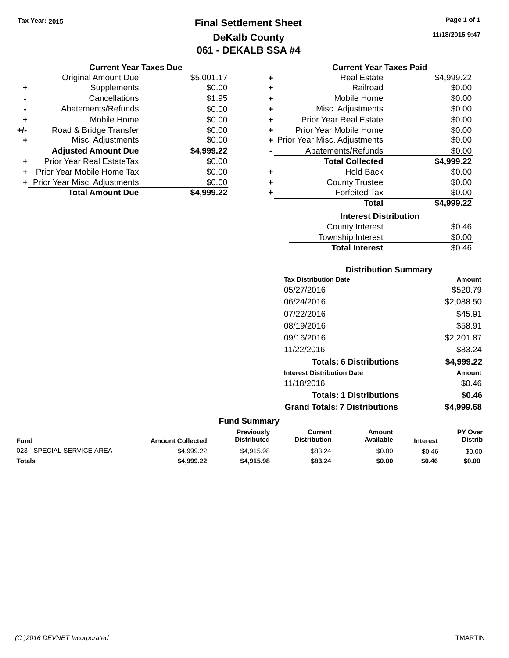## **Final Settlement Sheet Tax Year: 2015 Page 1 of 1 DeKalb County 061 - DEKALB SSA #4**

**11/18/2016 9:47**

|       | <b>Current Year Taxes Due</b>  |            |  |  |  |  |
|-------|--------------------------------|------------|--|--|--|--|
|       | <b>Original Amount Due</b>     | \$5,001.17 |  |  |  |  |
| ٠     | Supplements                    | \$0.00     |  |  |  |  |
|       | Cancellations                  | \$1.95     |  |  |  |  |
|       | Abatements/Refunds             | \$0.00     |  |  |  |  |
| ÷     | Mobile Home                    | \$0.00     |  |  |  |  |
| $+/-$ | Road & Bridge Transfer         | \$0.00     |  |  |  |  |
|       | Misc. Adjustments              | \$0.00     |  |  |  |  |
|       | <b>Adjusted Amount Due</b>     | \$4,999.22 |  |  |  |  |
| ÷     | Prior Year Real EstateTax      | \$0.00     |  |  |  |  |
| ÷     | Prior Year Mobile Home Tax     | \$0.00     |  |  |  |  |
|       | + Prior Year Misc. Adjustments | \$0.00     |  |  |  |  |
|       | <b>Total Amount Due</b>        | \$4.999.22 |  |  |  |  |

|   | <b>Current Year Taxes Paid</b> |            |
|---|--------------------------------|------------|
| ٠ | Real Estate                    | \$4,999.22 |
| ٠ | Railroad                       | \$0.00     |
| ٠ | Mobile Home                    | \$0.00     |
| ٠ | Misc. Adjustments              | \$0.00     |
| ÷ | <b>Prior Year Real Estate</b>  | \$0.00     |
| ÷ | Prior Year Mobile Home         | \$0.00     |
|   | + Prior Year Misc. Adjustments | \$0.00     |
|   | Abatements/Refunds             | \$0.00     |
|   | <b>Total Collected</b>         | \$4,999.22 |
| ٠ | <b>Hold Back</b>               | \$0.00     |
|   |                                |            |
| ÷ | <b>County Trustee</b>          | \$0.00     |
| ٠ | <b>Forfeited Tax</b>           | \$0.00     |
|   | Total                          | \$4,999.22 |
|   | <b>Interest Distribution</b>   |            |
|   | County Interest                | \$0.46     |
|   | Township Interest              | \$0.00     |

| Amount     |
|------------|
| \$520.79   |
| \$2,088.50 |
| \$45.91    |
| \$58.91    |
| \$2,201.87 |
| \$83.24    |
| \$4,999.22 |
| Amount     |
| \$0.46     |
| \$0.46     |
| \$4,999.68 |
|            |

| Fund                       | <b>Amount Collected</b> | Previously<br><b>Distributed</b> | Current<br><b>Distribution</b> | Amount<br>Available | <b>Interest</b> | <b>PY Over</b><br><b>Distrib</b> |
|----------------------------|-------------------------|----------------------------------|--------------------------------|---------------------|-----------------|----------------------------------|
| 023 - SPECIAL SERVICE AREA | \$4.999.22              | \$4.915.98                       | \$83.24                        | \$0.00              | \$0.46          | \$0.00                           |
| Totals                     | \$4.999.22              | \$4,915,98                       | \$83.24                        | \$0.00              | \$0.46          | \$0.00                           |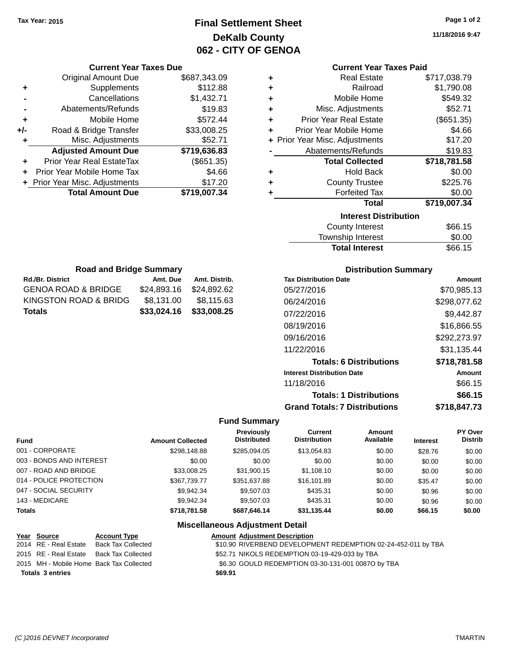## **Final Settlement Sheet Tax Year: 2015 Page 1 of 2 DeKalb County 062 - CITY OF GENOA**

**11/18/2016 9:47**

|   | <b>Current Year Taxes Paid</b> |              |  |  |  |
|---|--------------------------------|--------------|--|--|--|
| ٠ | <b>Real Estate</b>             | \$717,038.79 |  |  |  |
| ٠ | Railroad                       | \$1,790.08   |  |  |  |
| ÷ | Mobile Home                    | \$549.32     |  |  |  |
| ÷ | Misc. Adjustments              | \$52.71      |  |  |  |
| ÷ | <b>Prior Year Real Estate</b>  | (\$651.35)   |  |  |  |
| ÷ | Prior Year Mobile Home         | \$4.66       |  |  |  |
|   | + Prior Year Misc. Adjustments | \$17.20      |  |  |  |
|   | Abatements/Refunds             | \$19.83      |  |  |  |
|   | <b>Total Collected</b>         | \$718,781.58 |  |  |  |
| ٠ | <b>Hold Back</b>               | \$0.00       |  |  |  |
| ٠ | <b>County Trustee</b>          | \$225.76     |  |  |  |
| ٠ | <b>Forfeited Tax</b>           | \$0.00       |  |  |  |
|   | Total                          | \$719,007.34 |  |  |  |
|   | <b>Interest Distribution</b>   |              |  |  |  |
|   | <b>County Interest</b>         | \$66.15      |  |  |  |
|   | <b>Township Interest</b>       | \$0.00       |  |  |  |

| <b>Road and Bridge Summary</b> |             |               |
|--------------------------------|-------------|---------------|
| <b>Rd./Br. District</b>        | Amt. Due    | Amt. Distrib. |
| <b>GENOA ROAD &amp; BRIDGE</b> | \$24,893.16 | \$24,892.62   |
| KINGSTON ROAD & BRIDG          | \$8,131.00  | \$8,115.63    |
| <b>Totals</b>                  | \$33,024.16 | \$33,008.25   |

**Current Year Taxes Due** Original Amount Due \$687,343.09

**Adjusted Amount Due \$719,636.83**

**Total Amount Due \$719,007.34**

**+** Supplements \$112.88 **-** Cancellations \$1,432.71 **-** Abatements/Refunds \$19.83 **+** Mobile Home \$572.44 **+/-** Road & Bridge Transfer \$33,008.25 **+** Misc. Adjustments \$52.71

**+** Prior Year Real EstateTax (\$651.35) **+** Prior Year Mobile Home Tax \$4.66 **+ Prior Year Misc. Adjustments \$17.20** 

#### **Distribution Summary**

Total Interest \$66.15

| <b>Tax Distribution Date</b>         | Amount       |
|--------------------------------------|--------------|
| 05/27/2016                           | \$70,985.13  |
| 06/24/2016                           | \$298,077.62 |
| 07/22/2016                           | \$9,442.87   |
| 08/19/2016                           | \$16.866.55  |
| 09/16/2016                           | \$292,273.97 |
| 11/22/2016                           | \$31.135.44  |
| <b>Totals: 6 Distributions</b>       | \$718,781.58 |
| <b>Interest Distribution Date</b>    | Amount       |
| 11/18/2016                           | \$66.15      |
| <b>Totals: 1 Distributions</b>       | \$66.15      |
| <b>Grand Totals: 7 Distributions</b> | \$718.847.73 |

#### **Fund Summary**

|                          |                         | <b>Previously</b><br><b>Distributed</b> | <b>Current</b><br><b>Distribution</b> | Amount    |                 | PY Over        |
|--------------------------|-------------------------|-----------------------------------------|---------------------------------------|-----------|-----------------|----------------|
| <b>Fund</b>              | <b>Amount Collected</b> |                                         |                                       | Available | <b>Interest</b> | <b>Distrib</b> |
| 001 - CORPORATE          | \$298,148.88            | \$285.094.05                            | \$13,054.83                           | \$0.00    | \$28.76         | \$0.00         |
| 003 - BONDS AND INTEREST | \$0.00                  | \$0.00                                  | \$0.00                                | \$0.00    | \$0.00          | \$0.00         |
| 007 - ROAD AND BRIDGE    | \$33,008.25             | \$31,900.15                             | \$1,108.10                            | \$0.00    | \$0.00          | \$0.00         |
| 014 - POLICE PROTECTION  | \$367.739.77            | \$351,637.88                            | \$16,101.89                           | \$0.00    | \$35.47         | \$0.00         |
| 047 - SOCIAL SECURITY    | \$9.942.34              | \$9,507.03                              | \$435.31                              | \$0.00    | \$0.96          | \$0.00         |
| 143 - MEDICARE           | \$9.942.34              | \$9,507.03                              | \$435.31                              | \$0.00    | \$0.96          | \$0.00         |
| <b>Totals</b>            | \$718.781.58            | \$687.646.14                            | \$31,135.44                           | \$0.00    | \$66.15         | \$0.00         |

| <u>Year Source</u>      | <b>Account Type</b>                      |         | <b>Amount Adjustment Description</b>                          |
|-------------------------|------------------------------------------|---------|---------------------------------------------------------------|
| 2014 RE - Real Estate   | Back Tax Collected                       |         | \$10.90 RIVERBEND DEVELOPMENT REDEMPTION 02-24-452-011 by TBA |
|                         | 2015 RE - Real Estate Back Tax Collected |         | \$52.71 NIKOLS REDEMPTION 03-19-429-033 by TBA                |
|                         | 2015 MH - Mobile Home Back Tax Collected |         | \$6.30 GOULD REDEMPTION 03-30-131-001 0087O by TBA            |
| <b>Totals 3 entries</b> |                                          | \$69.91 |                                                               |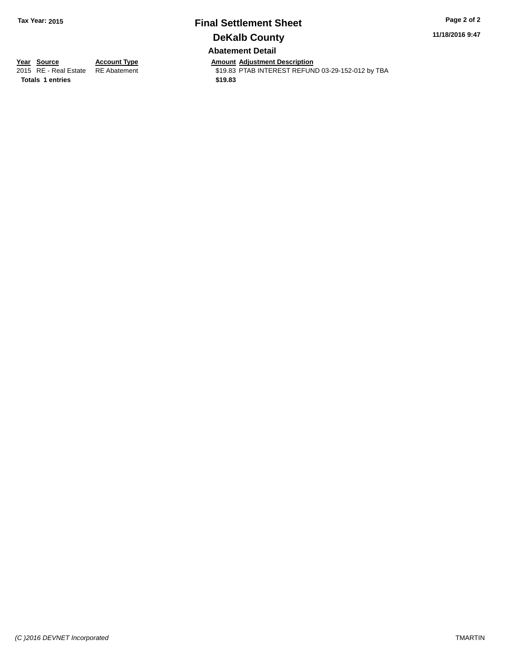## **Final Settlement Sheet Tax Year: 2015 Page 2 of 2 DeKalb County Abatement Detail**

**11/18/2016 9:47**

**Totals \$19.83 1 entries**

**Year Source Account Type And Amount Adjustment Description**<br>2015 RE - Real Estate RE Abatement **Account 1998 AMOU AS 19.83 PTAB INTEREST REFUN** \$19.83 PTAB INTEREST REFUND 03-29-152-012 by TBA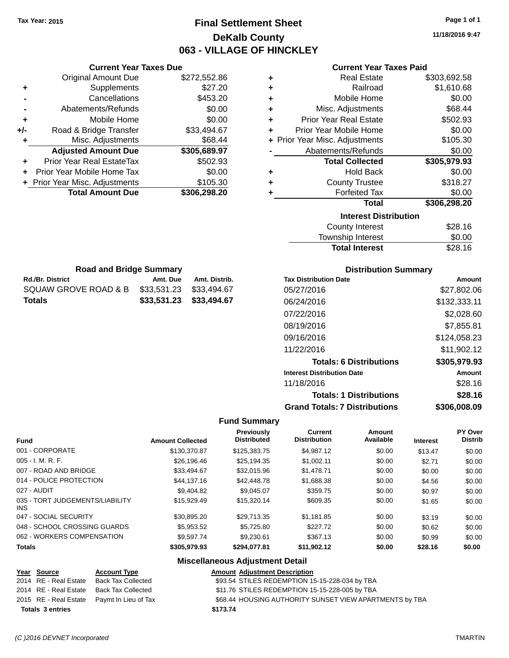**Current Year Taxes Due** Original Amount Due \$272,552.86

**Adjusted Amount Due \$305,689.97**

**Total Amount Due \$306,298.20**

**+** Supplements \$27.20 **-** Cancellations \$453.20 **-** Abatements/Refunds \$0.00 **+** Mobile Home \$0.00 **+/-** Road & Bridge Transfer \$33,494.67 **+** Misc. Adjustments \$68.44

**+** Prior Year Real EstateTax \$502.93 **+** Prior Year Mobile Home Tax \$0.00 **+ Prior Year Misc. Adjustments \$105.30** 

**Rd./Br. District Community Community Amt. Due Amt. Distrib. Road and Bridge Summary**

SQUAW GROVE ROAD & B \$33,531.23 \$33,494.67 **Totals \$33,531.23 \$33,494.67**

## **Final Settlement Sheet Tax Year: 2015 Page 1 of 1 DeKalb County 063 - VILLAGE OF HINCKLEY**

**11/18/2016 9:47**

#### **Current Year Taxes Paid**

| ٠ | <b>Real Estate</b>             | \$303,692.58 |
|---|--------------------------------|--------------|
| ٠ | Railroad                       | \$1,610.68   |
| ٠ | Mobile Home                    | \$0.00       |
| ÷ | Misc. Adjustments              | \$68.44      |
| ÷ | <b>Prior Year Real Estate</b>  | \$502.93     |
| ٠ | Prior Year Mobile Home         | \$0.00       |
|   | + Prior Year Misc. Adjustments | \$105.30     |
|   | Abatements/Refunds             | \$0.00       |
|   | <b>Total Collected</b>         | \$305,979.93 |
| ÷ | <b>Hold Back</b>               | \$0.00       |
| ÷ | <b>County Trustee</b>          | \$318.27     |
| ٠ | <b>Forfeited Tax</b>           | \$0.00       |
|   | <b>Total</b>                   | \$306,298.20 |
|   | <b>Interest Distribution</b>   |              |
|   | <b>County Interest</b>         | \$28.16      |
|   | Townshin Interest              | ፍስ ሰስ        |

| \$28.16 |
|---------|
| \$0.00  |
| \$28.16 |
|         |

| <b>Distribution Summary</b> |  |
|-----------------------------|--|
|-----------------------------|--|

| <b>Tax Distribution Date</b>         | Amount       |
|--------------------------------------|--------------|
| 05/27/2016                           | \$27.802.06  |
| 06/24/2016                           | \$132,333.11 |
| 07/22/2016                           | \$2,028.60   |
| 08/19/2016                           | \$7,855.81   |
| 09/16/2016                           | \$124,058.23 |
| 11/22/2016                           | \$11,902.12  |
| <b>Totals: 6 Distributions</b>       | \$305,979.93 |
| <b>Interest Distribution Date</b>    | Amount       |
| 11/18/2016                           | \$28.16      |
| <b>Totals: 1 Distributions</b>       | \$28.16      |
| <b>Grand Totals: 7 Distributions</b> | \$306.008.09 |

#### **Fund Summary**

| <b>Fund</b>                             | <b>Amount Collected</b> | Previously<br><b>Distributed</b> | Current<br><b>Distribution</b> | Amount<br>Available | <b>Interest</b> | PY Over<br><b>Distrib</b> |
|-----------------------------------------|-------------------------|----------------------------------|--------------------------------|---------------------|-----------------|---------------------------|
| 001 - CORPORATE                         | \$130,370.87            | \$125,383,75                     | \$4.987.12                     | \$0.00              | \$13.47         | \$0.00                    |
| $005 - I. M. R. F.$                     | \$26,196.46             | \$25,194.35                      | \$1.002.11                     | \$0.00              | \$2.71          | \$0.00                    |
| 007 - ROAD AND BRIDGE                   | \$33,494.67             | \$32,015.96                      | \$1,478.71                     | \$0.00              | \$0.00          | \$0.00                    |
| 014 - POLICE PROTECTION                 | \$44,137,16             | \$42,448.78                      | \$1,688.38                     | \$0.00              | \$4.56          | \$0.00                    |
| 027 - AUDIT                             | \$9,404.82              | \$9.045.07                       | \$359.75                       | \$0.00              | \$0.97          | \$0.00                    |
| 035 - TORT JUDGEMENTS/LIABILITY<br>INS. | \$15,929.49             | \$15,320.14                      | \$609.35                       | \$0.00              | \$1.65          | \$0.00                    |
| 047 - SOCIAL SECURITY                   | \$30.895.20             | \$29.713.35                      | \$1.181.85                     | \$0.00              | \$3.19          | \$0.00                    |
| 048 - SCHOOL CROSSING GUARDS            | \$5,953.52              | \$5.725.80                       | \$227.72                       | \$0.00              | \$0.62          | \$0.00                    |
| 062 - WORKERS COMPENSATION              | \$9.597.74              | \$9.230.61                       | \$367.13                       | \$0.00              | \$0.99          | \$0.00                    |
| <b>Totals</b>                           | \$305,979.93            | \$294.077.81                     | \$11,902.12                    | \$0.00              | \$28.16         | \$0.00                    |

|                         | Year Source           | <b>Account Type</b>                        | <b>Amount Adjustment Description</b>                    |
|-------------------------|-----------------------|--------------------------------------------|---------------------------------------------------------|
|                         | 2014 RE - Real Estate | Back Tax Collected                         | \$93.54 STILES REDEMPTION 15-15-228-034 by TBA          |
|                         | 2014 RE - Real Estate | Back Tax Collected                         | \$11.76 STILES REDEMPTION 15-15-228-005 by TBA          |
|                         |                       | 2015 RE - Real Estate Paymt In Lieu of Tax | \$68.44 HOUSING AUTHORITY SUNSET VIEW APARTMENTS by TBA |
| <b>Totals 3 entries</b> |                       |                                            | \$173.74                                                |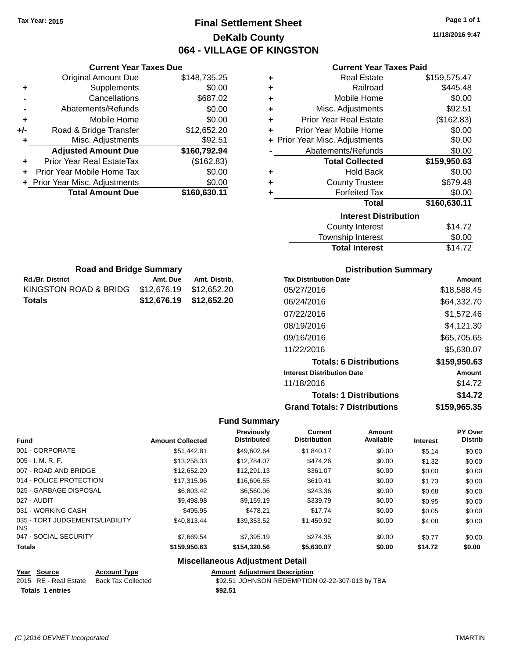## **Final Settlement Sheet Tax Year: 2015 Page 1 of 1 DeKalb County 064 - VILLAGE OF KINGSTON**

**11/18/2016 9:47**

| <b>Current Year Taxes Paid</b> |  |  |  |
|--------------------------------|--|--|--|
|--------------------------------|--|--|--|

|     | <b>Current Year Taxes Due</b>  |              |
|-----|--------------------------------|--------------|
|     | <b>Original Amount Due</b>     | \$148,735.25 |
| ٠   | Supplements                    | \$0.00       |
|     | Cancellations                  | \$687.02     |
|     | Abatements/Refunds             | \$0.00       |
| ٠   | Mobile Home                    | \$0.00       |
| +/- | Road & Bridge Transfer         | \$12,652.20  |
| ٠   | Misc. Adjustments              | \$92.51      |
|     | <b>Adjusted Amount Due</b>     | \$160,792.94 |
|     | Prior Year Real EstateTax      | (\$162.83)   |
|     | Prior Year Mobile Home Tax     | \$0.00       |
|     | + Prior Year Misc. Adjustments | \$0.00       |
|     | <b>Total Amount Due</b>        | \$160,630.11 |
|     |                                |              |

**Rd./Br. District Co. Amt. Due Amt. Distrib. Road and Bridge Summary**

KINGSTON ROAD & BRIDG \$12,676.19 \$12,652.20 **Totals \$12,676.19 \$12,652.20**

| ٠ | <b>Real Estate</b>             | \$159,575.47 |
|---|--------------------------------|--------------|
| ٠ | Railroad                       | \$445.48     |
| ٠ | Mobile Home                    | \$0.00       |
| ٠ | Misc. Adjustments              | \$92.51      |
| ٠ | <b>Prior Year Real Estate</b>  | (\$162.83)   |
| ٠ | Prior Year Mobile Home         | \$0.00       |
|   | + Prior Year Misc. Adjustments | \$0.00       |
|   | Abatements/Refunds             | \$0.00       |
|   | <b>Total Collected</b>         | \$159,950.63 |
| ٠ | Hold Back                      | \$0.00       |
| ٠ | <b>County Trustee</b>          | \$679.48     |
| ٠ | <b>Forfeited Tax</b>           | \$0.00       |
|   | <b>Total</b>                   | \$160,630.11 |
|   | <b>Interest Distribution</b>   |              |
|   | <b>County Interest</b>         | \$14.72      |
|   | <b>Township Interest</b>       | \$0.00       |
|   | <b>Total Interest</b>          | \$14.72      |

| <b>Distribution Summary</b>  |             |
|------------------------------|-------------|
| <b>Tax Distribution Date</b> | Amount      |
| 05/27/2016                   | \$18,588.45 |
| 06/24/2016                   | \$64,332.70 |
| 07/22/2016                   | \$1,572.46  |
| 08/19/2016                   | \$4,121.30  |
| 09/16/2016                   | \$65,705.65 |
| 11/22/2016                   | \$5,630.07  |

| <b>Totals: 6 Distributions</b>       | \$159,950.63  |
|--------------------------------------|---------------|
| <b>Interest Distribution Date</b>    | <b>Amount</b> |
| 11/18/2016                           | \$14.72       |
| <b>Totals: 1 Distributions</b>       | \$14.72       |
| <b>Grand Totals: 7 Distributions</b> | \$159,965.35  |

#### **Fund Summary**

| <b>Fund</b>                                   | <b>Amount Collected</b> | Previously<br><b>Distributed</b> | <b>Current</b><br><b>Distribution</b> | <b>Amount</b><br>Available | <b>Interest</b> | <b>PY Over</b><br><b>Distrib</b> |
|-----------------------------------------------|-------------------------|----------------------------------|---------------------------------------|----------------------------|-----------------|----------------------------------|
| 001 - CORPORATE                               | \$51.442.81             | \$49.602.64                      | \$1.840.17                            | \$0.00                     | \$5.14          | \$0.00                           |
| $005 - I. M. R. F.$                           | \$13,258,33             | \$12,784.07                      | \$474.26                              | \$0.00                     | \$1.32          | \$0.00                           |
| 007 - ROAD AND BRIDGE                         | \$12,652.20             | \$12,291.13                      | \$361.07                              | \$0.00                     | \$0.00          | \$0.00                           |
| 014 - POLICE PROTECTION                       | \$17,315.96             | \$16,696.55                      | \$619.41                              | \$0.00                     | \$1.73          | \$0.00                           |
| 025 - GARBAGE DISPOSAL                        | \$6,803.42              | \$6,560.06                       | \$243.36                              | \$0.00                     | \$0.68          | \$0.00                           |
| 027 - AUDIT                                   | \$9,498.98              | \$9,159.19                       | \$339.79                              | \$0.00                     | \$0.95          | \$0.00                           |
| 031 - WORKING CASH                            | \$495.95                | \$478.21                         | \$17.74                               | \$0.00                     | \$0.05          | \$0.00                           |
| 035 - TORT JUDGEMENTS/LIABILITY<br><b>INS</b> | \$40,813.44             | \$39,353.52                      | \$1,459.92                            | \$0.00                     | \$4.08          | \$0.00                           |
| 047 - SOCIAL SECURITY                         | \$7.669.54              | \$7,395.19                       | \$274.35                              | \$0.00                     | \$0.77          | \$0.00                           |
| <b>Totals</b>                                 | \$159,950.63            | \$154,320.56                     | \$5,630.07                            | \$0.00                     | \$14.72         | \$0.00                           |
|                                               | --- --                  |                                  |                                       |                            |                 |                                  |

| Year Source             | <b>Account Type</b>                      | <b>Amount Adiustment Description</b>            |  |
|-------------------------|------------------------------------------|-------------------------------------------------|--|
|                         | 2015 RE - Real Estate Back Tax Collected | \$92.51 JOHNSON REDEMPTION 02-22-307-013 by TBA |  |
| <b>Totals 1 entries</b> |                                          | \$92.51                                         |  |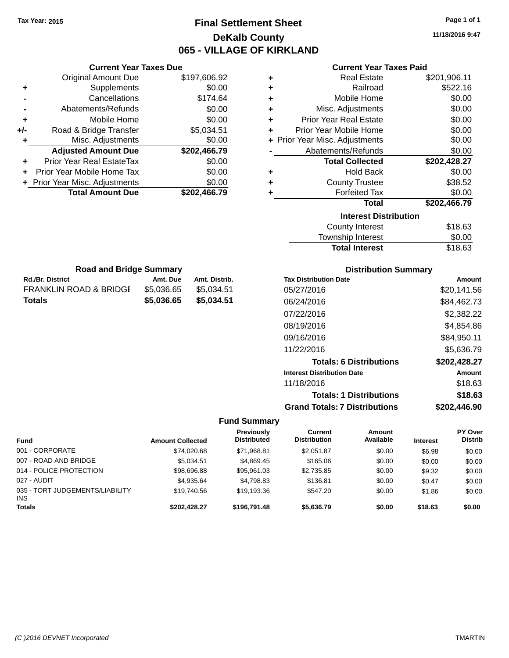## **Final Settlement Sheet Tax Year: 2015 Page 1 of 1 DeKalb County 065 - VILLAGE OF KIRKLAND**

**11/18/2016 9:47**

#### **Current Year Taxes Paid**

|     | <b>Current Year Taxes Due</b>  |              |
|-----|--------------------------------|--------------|
|     | <b>Original Amount Due</b>     | \$197,606.92 |
| ٠   | Supplements                    | \$0.00       |
|     | Cancellations                  | \$174.64     |
|     | Abatements/Refunds             | \$0.00       |
| ٠   | Mobile Home                    | \$0.00       |
| +/- | Road & Bridge Transfer         | \$5,034.51   |
| ٠   | Misc. Adjustments              | \$0.00       |
|     | <b>Adjusted Amount Due</b>     | \$202,466.79 |
|     | Prior Year Real EstateTax      | \$0.00       |
|     | Prior Year Mobile Home Tax     | \$0.00       |
|     | + Prior Year Misc. Adjustments | \$0.00       |
|     | <b>Total Amount Due</b>        | \$202,466.79 |
|     |                                |              |

**Rd./Br. District Co. Amt. Due Amt. Distrib. Road and Bridge Summary**

FRANKLIN ROAD & BRIDGE \$5,036.65 \$5,034.51 **Totals \$5,036.65 \$5,034.51**

| ٠ | <b>Real Estate</b>             | \$201,906.11 |
|---|--------------------------------|--------------|
| ÷ | Railroad                       | \$522.16     |
| ٠ | Mobile Home                    | \$0.00       |
| ÷ | Misc. Adjustments              | \$0.00       |
| ٠ | <b>Prior Year Real Estate</b>  | \$0.00       |
| ٠ | Prior Year Mobile Home         | \$0.00       |
|   | + Prior Year Misc. Adjustments | \$0.00       |
|   | Abatements/Refunds             | \$0.00       |
|   | <b>Total Collected</b>         | \$202,428.27 |
| ٠ | <b>Hold Back</b>               | \$0.00       |
| ÷ | <b>County Trustee</b>          | \$38.52      |
| ٠ | <b>Forfeited Tax</b>           | \$0.00       |
|   | <b>Total</b>                   | \$202,466.79 |
|   | <b>Interest Distribution</b>   |              |
|   | <b>County Interest</b>         | \$18.63      |
|   | Townshin Interest              | ፍስ ሰስ        |

| <b>Total Interest</b>    | \$18.63       |
|--------------------------|---------------|
| Township Interest        | \$0.00        |
| <b>COUTTLY TITIETEST</b> | <b>JIO.UJ</b> |

| <b>Distribution Summary</b>          |              |
|--------------------------------------|--------------|
| <b>Tax Distribution Date</b>         | Amount       |
| 05/27/2016                           | \$20,141.56  |
| 06/24/2016                           | \$84,462.73  |
| 07/22/2016                           | \$2,382.22   |
| 08/19/2016                           | \$4,854.86   |
| 09/16/2016                           | \$84,950.11  |
| 11/22/2016                           | \$5,636.79   |
| <b>Totals: 6 Distributions</b>       | \$202,428.27 |
| <b>Interest Distribution Date</b>    | Amount       |
| 11/18/2016                           | \$18.63      |
| <b>Totals: 1 Distributions</b>       | \$18.63      |
| <b>Grand Totals: 7 Distributions</b> | \$202.446.90 |

|                                        |                         | Previously<br><b>Distributed</b> | Current<br><b>Distribution</b> | Amount<br>Available |                 | <b>PY Over</b><br><b>Distrib</b> |
|----------------------------------------|-------------------------|----------------------------------|--------------------------------|---------------------|-----------------|----------------------------------|
| <b>Fund</b>                            | <b>Amount Collected</b> |                                  |                                |                     | <b>Interest</b> |                                  |
| 001 - CORPORATE                        | \$74.020.68             | \$71.968.81                      | \$2.051.87                     | \$0.00              | \$6.98          | \$0.00                           |
| 007 - ROAD AND BRIDGE                  | \$5.034.51              | \$4.869.45                       | \$165.06                       | \$0.00              | \$0.00          | \$0.00                           |
| 014 - POLICE PROTECTION                | \$98,696.88             | \$95,961.03                      | \$2,735.85                     | \$0.00              | \$9.32          | \$0.00                           |
| 027 - AUDIT                            | \$4.935.64              | \$4.798.83                       | \$136.81                       | \$0.00              | \$0.47          | \$0.00                           |
| 035 - TORT JUDGEMENTS/LIABILITY<br>INS | \$19,740.56             | \$19.193.36                      | \$547.20                       | \$0.00              | \$1.86          | \$0.00                           |
| <b>Totals</b>                          | \$202.428.27            | \$196,791.48                     | \$5,636.79                     | \$0.00              | \$18.63         | \$0.00                           |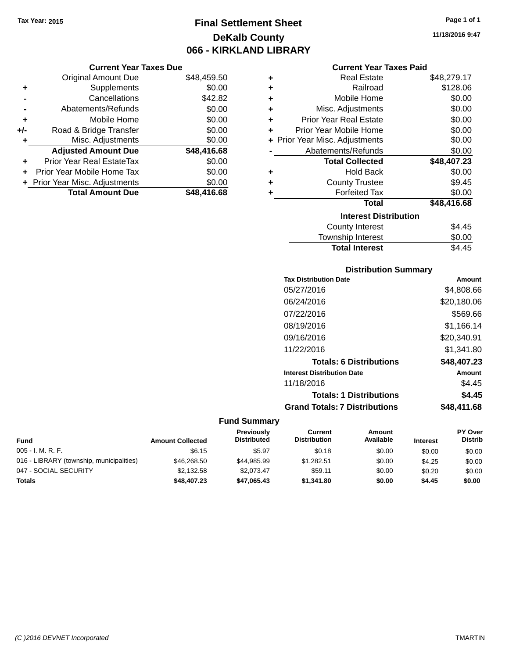## **Final Settlement Sheet Tax Year: 2015 Page 1 of 1 DeKalb County 066 - KIRKLAND LIBRARY**

#### **Current Year Taxes Due**

|       | <b>Original Amount Due</b>     | \$48,459.50 |
|-------|--------------------------------|-------------|
| ٠     | Supplements                    | \$0.00      |
|       | Cancellations                  | \$42.82     |
|       | Abatements/Refunds             | \$0.00      |
| ÷     | Mobile Home                    | \$0.00      |
| $+/-$ | Road & Bridge Transfer         | \$0.00      |
| ٠     | Misc. Adjustments              | \$0.00      |
|       | <b>Adjusted Amount Due</b>     | \$48,416.68 |
|       | Prior Year Real EstateTax      | \$0.00      |
|       | Prior Year Mobile Home Tax     | \$0.00      |
|       | + Prior Year Misc. Adjustments | \$0.00      |
|       | <b>Total Amount Due</b>        | \$48,416,68 |

#### **Current Year Taxes Paid**

| ٠ | <b>Real Estate</b>             | \$48,279.17 |
|---|--------------------------------|-------------|
| ٠ | Railroad                       | \$128.06    |
| ٠ | Mobile Home                    | \$0.00      |
| ٠ | Misc. Adjustments              | \$0.00      |
| ٠ | Prior Year Real Estate         | \$0.00      |
| ٠ | Prior Year Mobile Home         | \$0.00      |
|   | + Prior Year Misc. Adjustments | \$0.00      |
|   | Abatements/Refunds             | \$0.00      |
|   | <b>Total Collected</b>         | \$48,407.23 |
| ٠ | Hold Back                      | \$0.00      |
| ÷ | <b>County Trustee</b>          | \$9.45      |
| ٠ | <b>Forfeited Tax</b>           | \$0.00      |
|   | <b>Total</b>                   | \$48,416.68 |
|   | <b>Interest Distribution</b>   |             |
|   | County Interest                | \$4.45      |
|   | <b>Township Interest</b>       | \$0.00      |
|   | <b>Total Interest</b>          | \$4.45      |

# **Distribution Summary**

| <b>Tax Distribution Date</b>         | Amount        |
|--------------------------------------|---------------|
| 05/27/2016                           | \$4,808.66    |
| 06/24/2016                           | \$20,180.06   |
| 07/22/2016                           | \$569.66      |
| 08/19/2016                           | \$1,166.14    |
| 09/16/2016                           | \$20,340.91   |
| 11/22/2016                           | \$1,341.80    |
| <b>Totals: 6 Distributions</b>       | \$48,407.23   |
| <b>Interest Distribution Date</b>    | <b>Amount</b> |
| 11/18/2016                           | \$4.45        |
| <b>Totals: 1 Distributions</b>       | \$4.45        |
| <b>Grand Totals: 7 Distributions</b> | \$48.411.68   |

| <b>Fund</b>                              | <b>Amount Collected</b> | <b>Previously</b><br><b>Distributed</b> | Current<br><b>Distribution</b> | Amount<br>Available | <b>Interest</b> | <b>PY Over</b><br><b>Distrib</b> |
|------------------------------------------|-------------------------|-----------------------------------------|--------------------------------|---------------------|-----------------|----------------------------------|
| $005 - I. M. R. F.$                      | \$6.15                  | \$5.97                                  | \$0.18                         | \$0.00              | \$0.00          | \$0.00                           |
| 016 - LIBRARY (township, municipalities) | \$46,268,50             | \$44.985.99                             | \$1.282.51                     | \$0.00              | \$4.25          | \$0.00                           |
| 047 - SOCIAL SECURITY                    | \$2.132.58              | \$2.073.47                              | \$59.11                        | \$0.00              | \$0.20          | \$0.00                           |
| <b>Totals</b>                            | \$48,407.23             | \$47,065.43                             | \$1,341.80                     | \$0.00              | \$4.45          | \$0.00                           |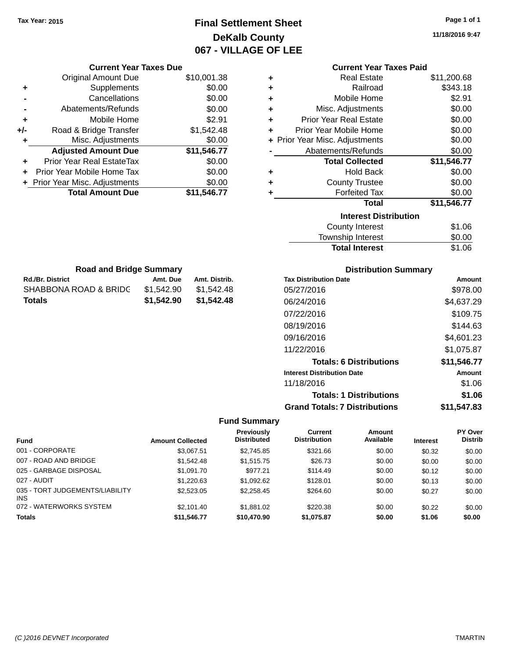## **Final Settlement Sheet Tax Year: 2015 Page 1 of 1 DeKalb County 067 - VILLAGE OF LEE**

**11/18/2016 9:47**

| <b>Current Year Taxes Due</b> |            |               |   | <b>Current Year Taxes Paid</b> |                             |
|-------------------------------|------------|---------------|---|--------------------------------|-----------------------------|
| ่<br>เl Amount Due            |            | \$10,001.38   | ÷ | <b>Real Estate</b>             | \$11,200.68                 |
| Supplements                   |            | \$0.00        | ٠ | Railroad                       | \$343.18                    |
| Cancellations                 |            | \$0.00        | ÷ | Mobile Home                    | \$2.91                      |
| ents/Refunds                  |            | \$0.00        | ÷ | Misc. Adjustments              | \$0.00                      |
| Mobile Home                   |            | \$2.91        | ÷ | <b>Prior Year Real Estate</b>  | \$0.00                      |
| ridge Transfer                |            | \$1,542.48    | ٠ | Prior Year Mobile Home         | \$0.00                      |
| . Adjustments                 |            | \$0.00        |   | + Prior Year Misc. Adjustments | \$0.00                      |
| <b>Amount Due</b>             |            | \$11,546.77   |   | Abatements/Refunds             | \$0.00                      |
| eal EstateTax                 |            | \$0.00        |   | <b>Total Collected</b>         | \$11,546.77                 |
| bile Home Tax                 |            | \$0.00        | ٠ | <b>Hold Back</b>               | \$0.00                      |
| . Adjustments                 |            | \$0.00        | ÷ | <b>County Trustee</b>          | \$0.00                      |
| <b>Amount Due</b>             |            | \$11,546.77   | ٠ | <b>Forfeited Tax</b>           | \$0.00                      |
|                               |            |               |   | <b>Total</b>                   | \$11,546.77                 |
|                               |            |               |   | <b>Interest Distribution</b>   |                             |
|                               |            |               |   | <b>County Interest</b>         | \$1.06                      |
|                               |            |               |   | Township Interest              | \$0.00                      |
|                               |            |               |   | <b>Total Interest</b>          | \$1.06                      |
| ad and Bridge Summary         |            |               |   |                                | <b>Distribution Summary</b> |
|                               | Amt. Due   | Amt. Distrib. |   | <b>Tax Distribution Date</b>   | Amo                         |
| <b>D &amp; BRIDG</b>          | \$1,542.90 | \$1,542.48    |   | 05/27/2016                     | \$978.                      |
|                               | \$1,542.90 | \$1,542.48    |   | 06/24/2016                     | \$4,637.                    |
|                               |            |               |   | 07/22/2016                     | \$109.                      |
|                               |            |               |   |                                |                             |

| <b>Road and Bridge Summary</b> |            |               |  |  |
|--------------------------------|------------|---------------|--|--|
| <b>Rd./Br. District</b>        | Amt. Due   | Amt. Distrib. |  |  |
| SHABBONA ROAD & BRIDC          | \$1,542.90 | \$1.542.48    |  |  |
| Totals                         | \$1.542.90 | \$1,542.48    |  |  |

Original Amount Due

**Adjusted Amount Due** 

**Total Amount Due** 

**+** Supplements **-** Cancellations **-** Abatements/Refunds **+** Mobile Home **+/-** Road & Bridge Transfer **+** Misc. Adjustments

**+** Prior Year Real EstateTax \$0.00 **+** Prior Year Mobile Home Tax **+** Prior Year Misc. Adjustments

| <b>Tax Distribution Date</b>         | Amount      |
|--------------------------------------|-------------|
| 05/27/2016                           | \$978.00    |
| 06/24/2016                           | \$4,637.29  |
| 07/22/2016                           | \$109.75    |
| 08/19/2016                           | \$144.63    |
| 09/16/2016                           | \$4,601.23  |
| 11/22/2016                           | \$1,075.87  |
| <b>Totals: 6 Distributions</b>       | \$11,546.77 |
| <b>Interest Distribution Date</b>    | Amount      |
| 11/18/2016                           | \$1.06      |
| <b>Totals: 1 Distributions</b>       | \$1.06      |
| <b>Grand Totals: 7 Distributions</b> | \$11.547.83 |

|                                               |                         | Previously         | Current             | <b>Amount</b> |                 | <b>PY Over</b> |
|-----------------------------------------------|-------------------------|--------------------|---------------------|---------------|-----------------|----------------|
| <b>Fund</b>                                   | <b>Amount Collected</b> | <b>Distributed</b> | <b>Distribution</b> | Available     | <b>Interest</b> | <b>Distrib</b> |
| 001 - CORPORATE                               | \$3.067.51              | \$2,745.85         | \$321.66            | \$0.00        | \$0.32          | \$0.00         |
| 007 - ROAD AND BRIDGE                         | \$1,542.48              | \$1,515.75         | \$26.73             | \$0.00        | \$0.00          | \$0.00         |
| 025 - GARBAGE DISPOSAL                        | \$1,091.70              | \$977.21           | \$114.49            | \$0.00        | \$0.12          | \$0.00         |
| 027 - AUDIT                                   | \$1,220.63              | \$1,092.62         | \$128.01            | \$0.00        | \$0.13          | \$0.00         |
| 035 - TORT JUDGEMENTS/LIABILITY<br><b>INS</b> | \$2,523,05              | \$2,258.45         | \$264.60            | \$0.00        | \$0.27          | \$0.00         |
| 072 - WATERWORKS SYSTEM                       | \$2,101.40              | \$1,881.02         | \$220.38            | \$0.00        | \$0.22          | \$0.00         |
| <b>Totals</b>                                 | \$11,546.77             | \$10,470.90        | \$1,075.87          | \$0.00        | \$1.06          | \$0.00         |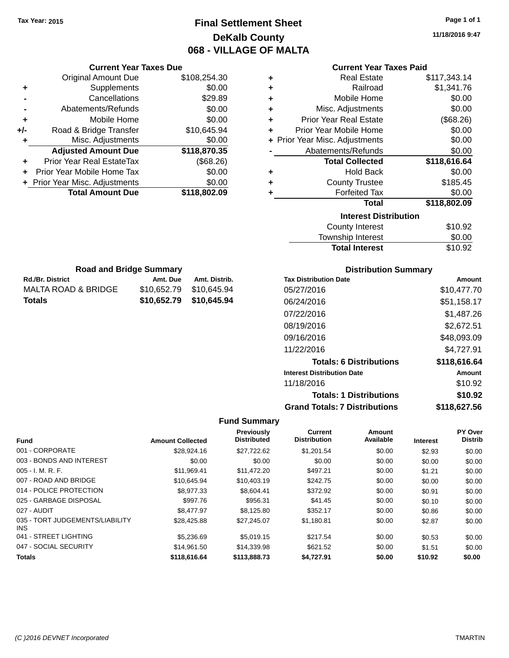## **Final Settlement Sheet Tax Year: 2015 Page 1 of 1 DeKalb County 068 - VILLAGE OF MALTA**

**11/18/2016 9:47**

|     | <b>Current Year Taxes Due</b>  |              |  |  |  |  |
|-----|--------------------------------|--------------|--|--|--|--|
|     | <b>Original Amount Due</b>     | \$108,254.30 |  |  |  |  |
| ٠   | Supplements                    | \$0.00       |  |  |  |  |
|     | Cancellations                  | \$29.89      |  |  |  |  |
|     | Abatements/Refunds             | \$0.00       |  |  |  |  |
| ٠   | Mobile Home                    | \$0.00       |  |  |  |  |
| +/- | Road & Bridge Transfer         | \$10,645.94  |  |  |  |  |
| ٠   | Misc. Adjustments              | \$0.00       |  |  |  |  |
|     | <b>Adjusted Amount Due</b>     | \$118,870.35 |  |  |  |  |
| ٠   | Prior Year Real EstateTax      | (\$68.26)    |  |  |  |  |
|     | Prior Year Mobile Home Tax     | \$0.00       |  |  |  |  |
|     | + Prior Year Misc. Adjustments | \$0.00       |  |  |  |  |
|     | <b>Total Amount Due</b>        | \$118,802.09 |  |  |  |  |
|     |                                |              |  |  |  |  |

**Rd./Br. District Co. Amt. Due Amt. Distrib. Road and Bridge Summary**

MALTA ROAD & BRIDGE \$10,652.79 \$10,645.94 **Totals \$10,652.79 \$10,645.94**

#### **Current Year Taxes Paid**

| ٠                            | <b>Real Estate</b>             | \$117,343.14 |  |  |  |
|------------------------------|--------------------------------|--------------|--|--|--|
| ÷                            | Railroad                       | \$1,341.76   |  |  |  |
| ÷                            | Mobile Home                    | \$0.00       |  |  |  |
| ÷                            | Misc. Adjustments              | \$0.00       |  |  |  |
| ÷                            | <b>Prior Year Real Estate</b>  | (\$68.26)    |  |  |  |
| ÷                            | Prior Year Mobile Home         | \$0.00       |  |  |  |
|                              | + Prior Year Misc. Adjustments | \$0.00       |  |  |  |
|                              | Abatements/Refunds             | \$0.00       |  |  |  |
|                              | <b>Total Collected</b>         | \$118,616.64 |  |  |  |
| ٠                            | <b>Hold Back</b>               | \$0.00       |  |  |  |
| $\ddot{}$                    | <b>County Trustee</b>          | \$185.45     |  |  |  |
|                              | <b>Forfeited Tax</b>           | \$0.00       |  |  |  |
|                              | <b>Total</b>                   | \$118,802.09 |  |  |  |
| <b>Interest Distribution</b> |                                |              |  |  |  |
|                              | <b>County Interest</b>         | \$10.92      |  |  |  |
|                              |                                |              |  |  |  |

| <b>Total Interest</b> | \$10.92 |
|-----------------------|---------|
| Township Interest     | \$0.00  |
| County Interest       | \$10.92 |

## **Distribution Summary**

| <b>Tax Distribution Date</b>         | Amount        |
|--------------------------------------|---------------|
| 05/27/2016                           | \$10.477.70   |
| 06/24/2016                           | \$51,158.17   |
| 07/22/2016                           | \$1,487.26    |
| 08/19/2016                           | \$2,672.51    |
| 09/16/2016                           | \$48,093.09   |
| 11/22/2016                           | \$4,727.91    |
| <b>Totals: 6 Distributions</b>       | \$118,616.64  |
| <b>Interest Distribution Date</b>    | <b>Amount</b> |
| 11/18/2016                           | \$10.92       |
| <b>Totals: 1 Distributions</b>       | \$10.92       |
| <b>Grand Totals: 7 Distributions</b> | \$118,627.56  |

|                                         |                         | <b>Previously</b><br><b>Distributed</b> | <b>Current</b><br><b>Distribution</b> | <b>Amount</b><br>Available |                 | <b>PY Over</b><br><b>Distrib</b> |
|-----------------------------------------|-------------------------|-----------------------------------------|---------------------------------------|----------------------------|-----------------|----------------------------------|
| <b>Fund</b>                             | <b>Amount Collected</b> |                                         |                                       |                            | <b>Interest</b> |                                  |
| 001 - CORPORATE                         | \$28.924.16             | \$27,722.62                             | \$1,201.54                            | \$0.00                     | \$2.93          | \$0.00                           |
| 003 - BONDS AND INTEREST                | \$0.00                  | \$0.00                                  | \$0.00                                | \$0.00                     | \$0.00          | \$0.00                           |
| $005 - I. M. R. F.$                     | \$11.969.41             | \$11.472.20                             | \$497.21                              | \$0.00                     | \$1.21          | \$0.00                           |
| 007 - ROAD AND BRIDGE                   | \$10.645.94             | \$10.403.19                             | \$242.75                              | \$0.00                     | \$0.00          | \$0.00                           |
| 014 - POLICE PROTECTION                 | \$8,977.33              | \$8.604.41                              | \$372.92                              | \$0.00                     | \$0.91          | \$0.00                           |
| 025 - GARBAGE DISPOSAL                  | \$997.76                | \$956.31                                | \$41.45                               | \$0.00                     | \$0.10          | \$0.00                           |
| 027 - AUDIT                             | \$8,477.97              | \$8.125.80                              | \$352.17                              | \$0.00                     | \$0.86          | \$0.00                           |
| 035 - TORT JUDGEMENTS/LIABILITY<br>INS. | \$28,425.88             | \$27,245.07                             | \$1,180.81                            | \$0.00                     | \$2.87          | \$0.00                           |
| 041 - STREET LIGHTING                   | \$5,236.69              | \$5.019.15                              | \$217.54                              | \$0.00                     | \$0.53          | \$0.00                           |
| 047 - SOCIAL SECURITY                   | \$14.961.50             | \$14.339.98                             | \$621.52                              | \$0.00                     | \$1.51          | \$0.00                           |
| <b>Totals</b>                           | \$118,616.64            | \$113,888.73                            | \$4,727.91                            | \$0.00                     | \$10.92         | \$0.00                           |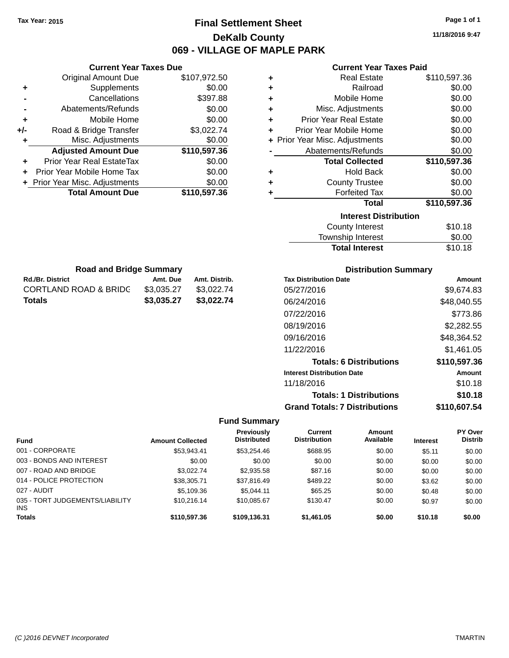### **Final Settlement Sheet Tax Year: 2015 Page 1 of 1 DeKalb County 069 - VILLAGE OF MAPLE PARK**

**11/18/2016 9:47**

| <b>Current Year Taxes Paid</b> |
|--------------------------------|
|--------------------------------|

| ٠ | <b>Real Estate</b>             | \$110,597.36 |
|---|--------------------------------|--------------|
| ٠ | Railroad                       | \$0.00       |
| ٠ | Mobile Home                    | \$0.00       |
| ÷ | Misc. Adjustments              | \$0.00       |
| ٠ | <b>Prior Year Real Estate</b>  | \$0.00       |
| ٠ | Prior Year Mobile Home         | \$0.00       |
|   | + Prior Year Misc. Adjustments | \$0.00       |
|   | Abatements/Refunds             | \$0.00       |
|   | <b>Total Collected</b>         | \$110,597.36 |
| ٠ | <b>Hold Back</b>               | \$0.00       |
| ٠ | <b>County Trustee</b>          | \$0.00       |
| ٠ | <b>Forfeited Tax</b>           | \$0.00       |
|   | <b>Total</b>                   | \$110,597.36 |
|   | <b>Interest Distribution</b>   |              |
|   | <b>County Interest</b>         | \$10.18      |
|   | <b>Township Interest</b>       | \$0.00       |

|     | <b>Current Year Taxes Due</b>    |              |
|-----|----------------------------------|--------------|
|     | <b>Original Amount Due</b>       | \$107,972.50 |
| ٠   | Supplements                      | \$0.00       |
|     | Cancellations                    | \$397.88     |
|     | Abatements/Refunds               | \$0.00       |
| ٠   | Mobile Home                      | \$0.00       |
| +/- | Road & Bridge Transfer           | \$3,022.74   |
|     | Misc. Adjustments                | \$0.00       |
|     | <b>Adjusted Amount Due</b>       | \$110,597.36 |
|     | <b>Prior Year Real EstateTax</b> | \$0.00       |
|     | Prior Year Mobile Home Tax       | \$0.00       |
|     | + Prior Year Misc. Adjustments   | \$0.00       |
|     | <b>Total Amount Due</b>          | \$110,597.36 |

| <b>Road and Bridge Summary</b>   |            |               |  |  |
|----------------------------------|------------|---------------|--|--|
| <b>Rd./Br. District</b>          | Amt. Due   | Amt. Distrib. |  |  |
| <b>CORTLAND ROAD &amp; BRIDG</b> | \$3.035.27 | \$3,022.74    |  |  |
| <b>Totals</b>                    | \$3.035.27 | \$3,022.74    |  |  |

### **Distribution Summary**

Total Interest \$10.18

| <b>Tax Distribution Date</b>         | Amount       |
|--------------------------------------|--------------|
| 05/27/2016                           | \$9.674.83   |
| 06/24/2016                           | \$48,040.55  |
| 07/22/2016                           | \$773.86     |
| 08/19/2016                           | \$2,282.55   |
| 09/16/2016                           | \$48,364.52  |
| 11/22/2016                           | \$1.461.05   |
| <b>Totals: 6 Distributions</b>       | \$110,597.36 |
| <b>Interest Distribution Date</b>    | Amount       |
| 11/18/2016                           | \$10.18      |
| <b>Totals: 1 Distributions</b>       | \$10.18      |
| <b>Grand Totals: 7 Distributions</b> | \$110,607.54 |

| <b>Fund</b>                                   | <b>Amount Collected</b> | Previously<br><b>Distributed</b> | Current<br><b>Distribution</b> | Amount<br>Available | <b>Interest</b> | <b>PY Over</b><br><b>Distrib</b> |
|-----------------------------------------------|-------------------------|----------------------------------|--------------------------------|---------------------|-----------------|----------------------------------|
| 001 - CORPORATE                               | \$53.943.41             | \$53.254.46                      | \$688.95                       | \$0.00              | \$5.11          | \$0.00                           |
| 003 - BONDS AND INTEREST                      | \$0.00                  | \$0.00                           | \$0.00                         | \$0.00              | \$0.00          | \$0.00                           |
| 007 - ROAD AND BRIDGE                         | \$3.022.74              | \$2,935.58                       | \$87.16                        | \$0.00              | \$0.00          | \$0.00                           |
| 014 - POLICE PROTECTION                       | \$38,305.71             | \$37,816.49                      | \$489.22                       | \$0.00              | \$3.62          | \$0.00                           |
| 027 - AUDIT                                   | \$5,109.36              | \$5.044.11                       | \$65.25                        | \$0.00              | \$0.48          | \$0.00                           |
| 035 - TORT JUDGEMENTS/LIABILITY<br><b>INS</b> | \$10.216.14             | \$10.085.67                      | \$130.47                       | \$0.00              | \$0.97          | \$0.00                           |
| <b>Totals</b>                                 | \$110,597.36            | \$109,136.31                     | \$1,461.05                     | \$0.00              | \$10.18         | \$0.00                           |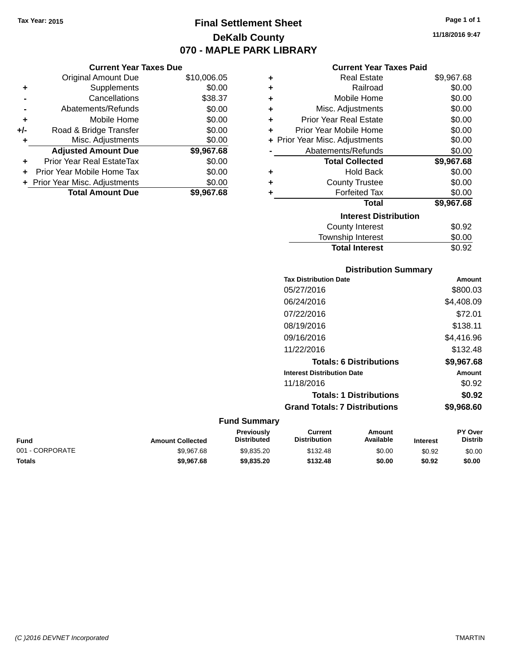### **Final Settlement Sheet Tax Year: 2015 Page 1 of 1 DeKalb County 070 - MAPLE PARK LIBRARY**

**11/18/2016 9:47**

### **Current Year Taxes Paid**

|       | <b>Current Year Taxes Due</b>  |             |   |                    |
|-------|--------------------------------|-------------|---|--------------------|
|       | <b>Original Amount Due</b>     | \$10,006.05 | ٠ |                    |
|       | Supplements                    | \$0.00      |   |                    |
|       | Cancellations                  | \$38.37     | ٠ |                    |
|       | Abatements/Refunds             | \$0.00      | ٠ | Misc.              |
|       | Mobile Home                    | \$0.00      | ٠ | <b>Prior Yea</b>   |
| $+/-$ | Road & Bridge Transfer         | \$0.00      |   | Prior Year         |
|       | Misc. Adjustments              | \$0.00      |   | + Prior Year Misc. |
|       | <b>Adjusted Amount Due</b>     | \$9,967.68  |   | Abatem             |
| ٠     | Prior Year Real EstateTax      | \$0.00      |   | Toi                |
| ÷     | Prior Year Mobile Home Tax     | \$0.00      | ٠ |                    |
|       | + Prior Year Misc. Adjustments | \$0.00      |   | C٥                 |
|       | <b>Total Amount Due</b>        | \$9,967.68  |   |                    |
|       |                                |             |   |                    |

| ٠ | <b>Real Estate</b>             | \$9,967.68 |
|---|--------------------------------|------------|
| ٠ | Railroad                       | \$0.00     |
| ٠ | Mobile Home                    | \$0.00     |
| ٠ | Misc. Adjustments              | \$0.00     |
| ٠ | <b>Prior Year Real Estate</b>  | \$0.00     |
| ٠ | Prior Year Mobile Home         | \$0.00     |
|   | + Prior Year Misc. Adjustments | \$0.00     |
|   | Abatements/Refunds             | \$0.00     |
|   | <b>Total Collected</b>         | \$9,967.68 |
| ٠ | <b>Hold Back</b>               | \$0.00     |
| ÷ | <b>County Trustee</b>          | \$0.00     |
| ٠ | <b>Forfeited Tax</b>           | \$0.00     |
|   | Total                          | \$9,967.68 |
|   | <b>Interest Distribution</b>   |            |
|   | County Interest                | \$0.92     |
|   | Township Interest              | \$0.00     |
|   | <b>Total Interest</b>          | \$0.92     |

| Amount     |
|------------|
| \$800.03   |
| \$4,408.09 |
| \$72.01    |
| \$138.11   |
| \$4,416.96 |
| \$132.48   |
| \$9,967.68 |
| Amount     |
| \$0.92     |
| \$0.92     |
| \$9,968.60 |
|            |

| Fund            | <b>Amount Collected</b> | Previously<br><b>Distributed</b> | Current<br><b>Distribution</b> | Amount<br>Available | <b>Interest</b> | <b>PY Over</b><br>Distrib |
|-----------------|-------------------------|----------------------------------|--------------------------------|---------------------|-----------------|---------------------------|
| 001 - CORPORATE | \$9.967.68              | \$9.835.20                       | \$132.48                       | \$0.00              | \$0.92          | \$0.00                    |
| Totals          | \$9,967.68              | \$9,835,20                       | \$132.48                       | \$0.00              | \$0.92          | \$0.00                    |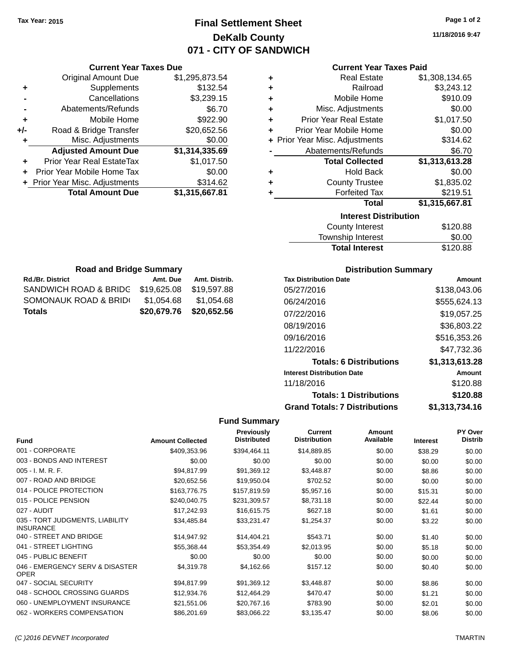### **Final Settlement Sheet Tax Year: 2015 Page 1 of 2 DeKalb County 071 - CITY OF SANDWICH**

**11/18/2016 9:47**

#### **Current Year Taxes Paid**

|     | <b>Current Year Taxes Due</b>  |                |
|-----|--------------------------------|----------------|
|     | <b>Original Amount Due</b>     | \$1,295,873.54 |
| ٠   | Supplements                    | \$132.54       |
|     | Cancellations                  | \$3,239.15     |
|     | Abatements/Refunds             | \$6.70         |
| ٠   | Mobile Home                    | \$922.90       |
| +/- | Road & Bridge Transfer         | \$20,652.56    |
| ٠   | Misc. Adjustments              | \$0.00         |
|     | <b>Adjusted Amount Due</b>     | \$1,314,335.69 |
| ٠   | Prior Year Real EstateTax      | \$1,017.50     |
|     | Prior Year Mobile Home Tax     | \$0.00         |
|     | + Prior Year Misc. Adjustments | \$314.62       |
|     | <b>Total Amount Due</b>        | \$1,315,667.81 |
|     |                                |                |

| ٠ | <b>Real Estate</b>             | \$1,308,134.65 |
|---|--------------------------------|----------------|
| ٠ | Railroad                       | \$3,243.12     |
| ٠ | Mobile Home                    | \$910.09       |
| ٠ | Misc. Adjustments              | \$0.00         |
| ٠ | <b>Prior Year Real Estate</b>  | \$1,017.50     |
| ٠ | Prior Year Mobile Home         | \$0.00         |
|   | + Prior Year Misc. Adjustments | \$314.62       |
|   | Abatements/Refunds             | \$6.70         |
|   | <b>Total Collected</b>         | \$1,313,613.28 |
| ٠ | <b>Hold Back</b>               | \$0.00         |
| ٠ | <b>County Trustee</b>          | \$1,835.02     |
| ٠ | <b>Forfeited Tax</b>           | \$219.51       |
|   | <b>Total</b>                   | \$1,315,667.81 |
|   | <b>Interest Distribution</b>   |                |
|   | <b>County Interest</b>         | \$120.88       |

| <b>Total Interest</b> | \$120.88 |
|-----------------------|----------|
| Township Interest     | \$0.00   |
| County Interest       | \$120.88 |

| <b>Road and Bridge Summary</b> |             |               |  |  |  |
|--------------------------------|-------------|---------------|--|--|--|
| <b>Rd./Br. District</b>        | Amt. Due    | Amt. Distrib. |  |  |  |
| SANDWICH ROAD & BRIDG          | \$19,625.08 | \$19,597.88   |  |  |  |
| SOMONAUK ROAD & BRID(          | \$1,054.68  | \$1,054.68    |  |  |  |
| <b>Totals</b>                  | \$20,679.76 | \$20,652.56   |  |  |  |

### **Distribution Summary**

| <b>Tax Distribution Date</b>         | Amount         |
|--------------------------------------|----------------|
| 05/27/2016                           | \$138.043.06   |
| 06/24/2016                           | \$555,624.13   |
| 07/22/2016                           | \$19,057.25    |
| 08/19/2016                           | \$36,803.22    |
| 09/16/2016                           | \$516,353.26   |
| 11/22/2016                           | \$47.732.36    |
| <b>Totals: 6 Distributions</b>       | \$1,313,613.28 |
| <b>Interest Distribution Date</b>    | Amount         |
| 11/18/2016                           | \$120.88       |
| <b>Totals: 1 Distributions</b>       | \$120.88       |
| <b>Grand Totals: 7 Distributions</b> | \$1,313,734.16 |

| <b>Fund</b>                                         | <b>Amount Collected</b> | <b>Previously</b><br><b>Distributed</b> | <b>Current</b><br><b>Distribution</b> | Amount<br>Available | <b>Interest</b> | <b>PY Over</b><br><b>Distrib</b> |
|-----------------------------------------------------|-------------------------|-----------------------------------------|---------------------------------------|---------------------|-----------------|----------------------------------|
| 001 - CORPORATE                                     | \$409,353.96            | \$394,464.11                            | \$14,889.85                           | \$0.00              | \$38.29         | \$0.00                           |
| 003 - BONDS AND INTEREST                            | \$0.00                  | \$0.00                                  | \$0.00                                | \$0.00              | \$0.00          | \$0.00                           |
| $005 - I. M. R. F.$                                 | \$94,817.99             | \$91,369.12                             | \$3,448.87                            | \$0.00              | \$8.86          | \$0.00                           |
| 007 - ROAD AND BRIDGE                               | \$20,652.56             | \$19,950.04                             | \$702.52                              | \$0.00              | \$0.00          | \$0.00                           |
| 014 - POLICE PROTECTION                             | \$163,776.75            | \$157,819.59                            | \$5,957.16                            | \$0.00              | \$15.31         | \$0.00                           |
| 015 - POLICE PENSION                                | \$240,040.75            | \$231,309.57                            | \$8,731.18                            | \$0.00              | \$22.44         | \$0.00                           |
| 027 - AUDIT                                         | \$17,242.93             | \$16,615.75                             | \$627.18                              | \$0.00              | \$1.61          | \$0.00                           |
| 035 - TORT JUDGMENTS, LIABILITY<br><b>INSURANCE</b> | \$34,485.84             | \$33,231.47                             | \$1,254.37                            | \$0.00              | \$3.22          | \$0.00                           |
| 040 - STREET AND BRIDGE                             | \$14,947.92             | \$14,404.21                             | \$543.71                              | \$0.00              | \$1.40          | \$0.00                           |
| 041 - STREET LIGHTING                               | \$55,368.44             | \$53,354.49                             | \$2,013.95                            | \$0.00              | \$5.18          | \$0.00                           |
| 045 - PUBLIC BENEFIT                                | \$0.00                  | \$0.00                                  | \$0.00                                | \$0.00              | \$0.00          | \$0.00                           |
| 046 - EMERGENCY SERV & DISASTER<br><b>OPER</b>      | \$4,319.78              | \$4,162.66                              | \$157.12                              | \$0.00              | \$0.40          | \$0.00                           |
| 047 - SOCIAL SECURITY                               | \$94,817.99             | \$91,369.12                             | \$3,448.87                            | \$0.00              | \$8.86          | \$0.00                           |
| 048 - SCHOOL CROSSING GUARDS                        | \$12,934.76             | \$12,464.29                             | \$470.47                              | \$0.00              | \$1.21          | \$0.00                           |
| 060 - UNEMPLOYMENT INSURANCE                        | \$21,551.06             | \$20,767.16                             | \$783.90                              | \$0.00              | \$2.01          | \$0.00                           |
| 062 - WORKERS COMPENSATION                          | \$86,201.69             | \$83,066.22                             | \$3,135.47                            | \$0.00              | \$8.06          | \$0.00                           |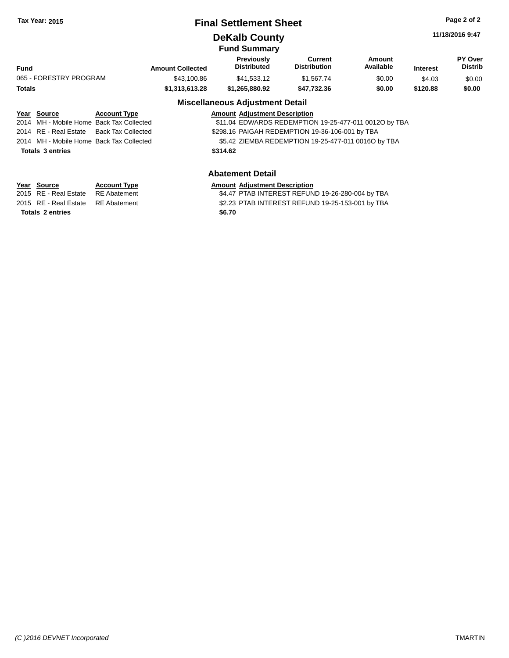### **Final Settlement Sheet Tax Year: 2015 Page 2 of 2**

### **DeKalb County**

**11/18/2016 9:47**

#### **Fund Summary Fund Interest Amount Collected Distributed PY Over Distrib Amount Available Current Distribution Previously** 065 - FORESTRY PROGRAM \$43,100.86 \$41,533.12 \$1,567.74 \$0.00 \$4.03 \$0.00 **Totals \$1,313,613.28 \$1,265,880.92 \$47,732.36 \$0.00 \$120.88 \$0.00**

#### **Miscellaneous Adjustment Detail Year Source Account Type Amount Adjustment Description** \$11.04 EDWARDS REDEMPTION 19-25-477-011 0012O by TBA 2014 RE - Real Estate Back Tax Collected \$298.16 PAIGAH REDEMPTION 19-36-106-001 by TBA 2014 MH - Mobile Home Back Tax Collected **55.42 ZIEMBA REDEMPTION 19-25-477-011 0016O by TBA**

**Totals \$314.62 3 entries**

### **Abatement Detail**

| Year Source                        | <b>Account Type</b> | <b>Amount Adiustment Description</b>             |
|------------------------------------|---------------------|--------------------------------------------------|
| 2015 RE - Real Estate RE Abatement |                     | \$4.47 PTAB INTEREST REFUND 19-26-280-004 by TBA |
| 2015 RE - Real Estate RE Abatement |                     | \$2.23 PTAB INTEREST REFUND 19-25-153-001 by TBA |
| Totals 2 entries                   |                     | \$6.70                                           |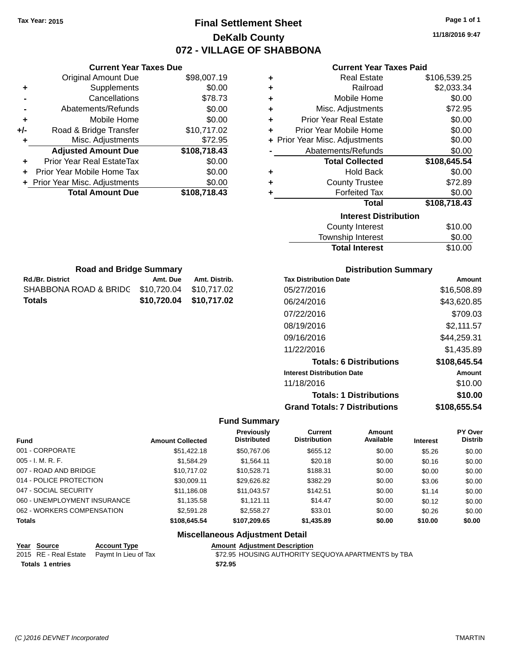### **Final Settlement Sheet Tax Year: 2015 Page 1 of 1 DeKalb County 072 - VILLAGE OF SHABBONA**

**11/18/2016 9:47**

|   | <b>Current Year Taxes Paid</b> |              |
|---|--------------------------------|--------------|
| ٠ | Real Estate                    | \$106,539.25 |
|   | D. . 11. 1                     | 0.0000       |

| Ŧ<br>NGAI ESIAIG                   | ΦΤΩΩΩΩΩΣ.ΖΩ  |
|------------------------------------|--------------|
| Railroad<br>٠                      | \$2,033.34   |
| Mobile Home<br>٠                   | \$0.00       |
| Misc. Adjustments<br>٠             | \$72.95      |
| <b>Prior Year Real Estate</b><br>٠ | \$0.00       |
| Prior Year Mobile Home<br>٠        | \$0.00       |
| + Prior Year Misc. Adjustments     | \$0.00       |
| Abatements/Refunds                 | \$0.00       |
| <b>Total Collected</b>             | \$108,645.54 |
| <b>Hold Back</b><br>٠              | \$0.00       |
| <b>County Trustee</b><br>٠         | \$72.89      |
| <b>Forfeited Tax</b><br>٠          | \$0.00       |
| <b>Total</b>                       | \$108,718.43 |
| <b>Interest Distribution</b>       |              |
| <b>County Interest</b>             | \$10.00      |
| Townehin Interest                  | ድስ ሰስ        |

| <b>Total Interest</b> | \$10.00 |
|-----------------------|---------|
| Township Interest     | \$0.00  |
| County Interest       | \$10.00 |

| <b>Road and Bridge Summary</b>                |                         |               |  |  |  |
|-----------------------------------------------|-------------------------|---------------|--|--|--|
| <b>Rd./Br. District</b>                       | Amt. Due                | Amt. Distrib. |  |  |  |
| SHABBONA ROAD & BRIDC \$10,720.04 \$10,717.02 |                         |               |  |  |  |
| Totals                                        | \$10,720.04 \$10,717.02 |               |  |  |  |

**Current Year Taxes Due** Original Amount Due \$98,007.19

**Adjusted Amount Due \$108,718.43**

**Total Amount Due \$108,718.43**

**+** Supplements \$0.00 **-** Cancellations \$78.73 **-** Abatements/Refunds \$0.00 **+** Mobile Home \$0.00 **+/-** Road & Bridge Transfer \$10,717.02 **+** Misc. Adjustments \$72.95

**+** Prior Year Real EstateTax \$0.00 **+** Prior Year Mobile Home Tax \$0.00 **+ Prior Year Misc. Adjustments**  $$0.00$ 

### **Distribution Summary**

| <b>Tax Distribution Date</b>         | Amount       |
|--------------------------------------|--------------|
| 05/27/2016                           | \$16,508.89  |
| 06/24/2016                           | \$43,620.85  |
| 07/22/2016                           | \$709.03     |
| 08/19/2016                           | \$2,111.57   |
| 09/16/2016                           | \$44,259.31  |
| 11/22/2016                           | \$1,435.89   |
| <b>Totals: 6 Distributions</b>       | \$108,645.54 |
| <b>Interest Distribution Date</b>    | Amount       |
| 11/18/2016                           | \$10.00      |
| <b>Totals: 1 Distributions</b>       | \$10.00      |
| <b>Grand Totals: 7 Distributions</b> | \$108.655.54 |

#### **Fund Summary**

| <b>Fund</b>                  | <b>Amount Collected</b> | <b>Previously</b><br><b>Distributed</b> | <b>Current</b><br><b>Distribution</b> | Amount<br>Available | <b>Interest</b> | <b>PY Over</b><br><b>Distrib</b> |
|------------------------------|-------------------------|-----------------------------------------|---------------------------------------|---------------------|-----------------|----------------------------------|
| 001 - CORPORATE              | \$51,422.18             | \$50,767.06                             | \$655.12                              | \$0.00              | \$5.26          | \$0.00                           |
| $005 - I. M. R. F.$          | \$1,584.29              | \$1.564.11                              | \$20.18                               | \$0.00              | \$0.16          | \$0.00                           |
| 007 - ROAD AND BRIDGE        | \$10,717.02             | \$10,528.71                             | \$188.31                              | \$0.00              | \$0.00          | \$0.00                           |
| 014 - POLICE PROTECTION      | \$30,009.11             | \$29,626.82                             | \$382.29                              | \$0.00              | \$3.06          | \$0.00                           |
| 047 - SOCIAL SECURITY        | \$11,186.08             | \$11,043.57                             | \$142.51                              | \$0.00              | \$1.14          | \$0.00                           |
| 060 - UNEMPLOYMENT INSURANCE | \$1,135.58              | \$1.121.11                              | \$14.47                               | \$0.00              | \$0.12          | \$0.00                           |
| 062 - WORKERS COMPENSATION   | \$2,591.28              | \$2,558,27                              | \$33.01                               | \$0.00              | \$0.26          | \$0.00                           |
| <b>Totals</b>                | \$108,645.54            | \$107,209.65                            | \$1,435.89                            | \$0.00              | \$10.00         | \$0.00                           |

### **Miscellaneous Adjustment Detail**

| Year Source             | <b>Account Type</b>                        |         | <b>Amount Adiustment Description</b>                |
|-------------------------|--------------------------------------------|---------|-----------------------------------------------------|
|                         | 2015 RE - Real Estate Paymt In Lieu of Tax |         | \$72.95 HOUSING AUTHORITY SEQUOYA APARTMENTS by TBA |
| <b>Totals 1 entries</b> |                                            | \$72.95 |                                                     |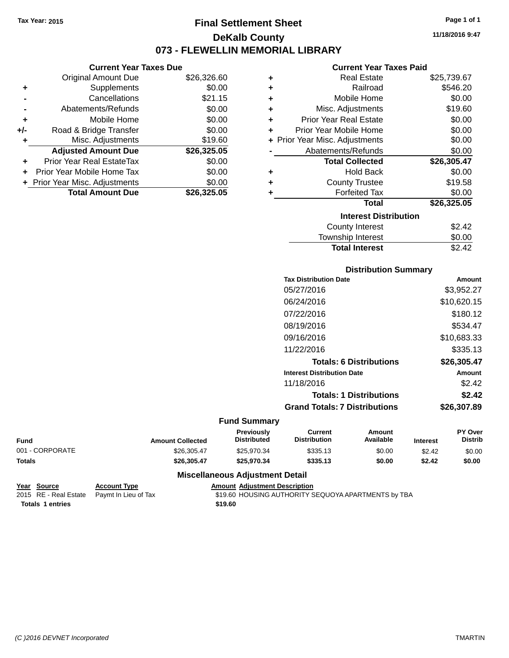**Current Year Taxes Due** Original Amount Due \$26,326.60

**Adjusted Amount Due \$26,325.05**

**Total Amount Due \$26,325.05**

**+** Supplements \$0.00 **-** Cancellations \$21.15 **-** Abatements/Refunds \$0.00 **+** Mobile Home \$0.00 **+/-** Road & Bridge Transfer \$0.00 **+** Misc. Adjustments \$19.60

**+** Prior Year Real EstateTax \$0.00 **+** Prior Year Mobile Home Tax \$0.00 **+ Prior Year Misc. Adjustments**  $$0.00$ 

### **Final Settlement Sheet Tax Year: 2015 Page 1 of 1 DeKalb County 073 - FLEWELLIN MEMORIAL LIBRARY**

**11/18/2016 9:47**

#### **Current Year Taxes Paid**

| ٠ | <b>Real Estate</b>             | \$25,739.67 |
|---|--------------------------------|-------------|
| ٠ | Railroad                       | \$546.20    |
| ٠ | Mobile Home                    | \$0.00      |
| ÷ | Misc. Adjustments              | \$19.60     |
| ٠ | <b>Prior Year Real Estate</b>  | \$0.00      |
| ÷ | Prior Year Mobile Home         | \$0.00      |
|   | + Prior Year Misc. Adjustments | \$0.00      |
|   | Abatements/Refunds             | \$0.00      |
|   | <b>Total Collected</b>         | \$26,305.47 |
| ٠ | <b>Hold Back</b>               | \$0.00      |
| ÷ | <b>County Trustee</b>          | \$19.58     |
| ÷ | <b>Forfeited Tax</b>           | \$0.00      |
|   | <b>Total</b>                   | \$26,325.05 |
|   | <b>Interest Distribution</b>   |             |
|   | <b>County Interest</b>         | \$2.42      |
|   | <b>Township Interest</b>       | \$0.00      |
|   |                                |             |

| County Interest       | \$2.42 |
|-----------------------|--------|
| Township Interest     | \$0.00 |
| <b>Total Interest</b> | \$2.42 |
|                       |        |

| <b>Distribution Summary</b> |  |
|-----------------------------|--|
|                             |  |

| <b>Tax Distribution Date</b>         | Amount      |
|--------------------------------------|-------------|
| 05/27/2016                           | \$3,952.27  |
| 06/24/2016                           | \$10,620.15 |
| 07/22/2016                           | \$180.12    |
| 08/19/2016                           | \$534.47    |
| 09/16/2016                           | \$10,683,33 |
| 11/22/2016                           | \$335.13    |
| <b>Totals: 6 Distributions</b>       | \$26,305.47 |
| <b>Interest Distribution Date</b>    | Amount      |
| 11/18/2016                           | \$2.42      |
| <b>Totals: 1 Distributions</b>       | \$2.42      |
| <b>Grand Totals: 7 Distributions</b> | \$26,307.89 |
|                                      |             |

#### **Fund Summary**

| <b>Fund</b>     | <b>Amount Collected</b> | <b>Previously</b><br>Distributed | Current<br><b>Distribution</b> | Amount<br>Available | <b>Interest</b> | <b>PY Over</b><br><b>Distrib</b> |
|-----------------|-------------------------|----------------------------------|--------------------------------|---------------------|-----------------|----------------------------------|
| 001 - CORPORATE | \$26,305.47             | \$25.970.34                      | \$335.13                       | \$0.00              | \$2.42          | \$0.00                           |
| <b>Totals</b>   | \$26,305.47             | \$25.970.34                      | \$335.13                       | \$0.00              | \$2.42          | \$0.00                           |

**Amount Adjustment Description** 

#### **Miscellaneous Adjustment Detail**

| Year Source      | <b>Account Type</b>                        | Amount  |
|------------------|--------------------------------------------|---------|
|                  | 2015 RE - Real Estate Paymt In Lieu of Tax | \$19.60 |
| Totals 1 entries |                                            | \$19.60 |

\$19.60 HOUSING AUTHORITY SEQUOYA APARTMENTS by TBA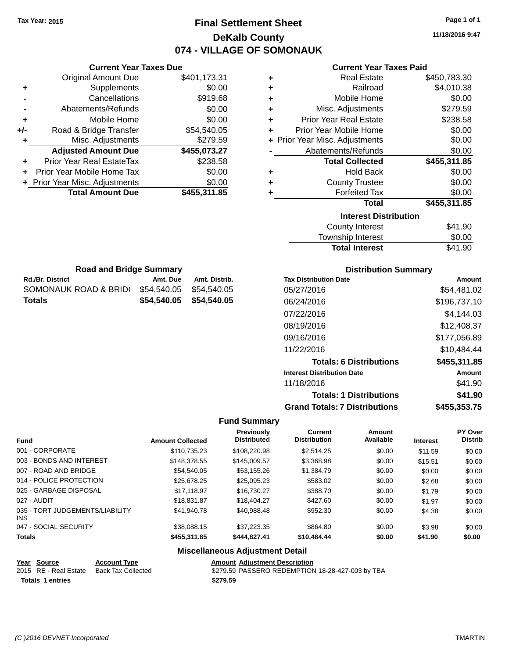### **Final Settlement Sheet Tax Year: 2015 Page 1 of 1 DeKalb County 074 - VILLAGE OF SOMONAUK**

**11/18/2016 9:47**

### **Current Year Taxes Paid**

| ٠ | <b>Real Estate</b>             | \$450,783.30 |
|---|--------------------------------|--------------|
| ٠ | Railroad                       | \$4,010.38   |
| ÷ | Mobile Home                    | \$0.00       |
| ÷ | Misc. Adjustments              | \$279.59     |
| ÷ | <b>Prior Year Real Estate</b>  | \$238.58     |
| ٠ | Prior Year Mobile Home         | \$0.00       |
|   | + Prior Year Misc. Adjustments | \$0.00       |
|   | Abatements/Refunds             | \$0.00       |
|   | <b>Total Collected</b>         | \$455,311.85 |
| ٠ | Hold Back                      | \$0.00       |
| ÷ | <b>County Trustee</b>          | \$0.00       |
| ٠ | <b>Forfeited Tax</b>           | \$0.00       |
|   | <b>Total</b>                   | \$455,311.85 |
|   | <b>Interest Distribution</b>   |              |
|   | <b>County Interest</b>         | \$41.90      |
|   | Township Interact              | ድስ ሰስ        |

| <b>Total Interest</b> | \$41.90 |
|-----------------------|---------|
| Township Interest     | \$0.00  |
| County Interest       | \$41.90 |

| <b>Road and Bridge Summary</b>    |                         |               |  |  |  |
|-----------------------------------|-------------------------|---------------|--|--|--|
| <b>Rd./Br. District</b>           | Amt. Due                | Amt. Distrib. |  |  |  |
| SOMONAUK ROAD & BRID(             | \$54,540,05 \$54,540,05 |               |  |  |  |
| \$54,540.05 \$54,540.05<br>Totals |                         |               |  |  |  |

**Current Year Taxes Due** Original Amount Due \$401,173.31

**Adjusted Amount Due \$455,073.27**

**Total Amount Due \$455,311.85**

**+** Supplements \$0.00 **-** Cancellations \$919.68 **-** Abatements/Refunds \$0.00 **+** Mobile Home \$0.00 **+/-** Road & Bridge Transfer \$54,540.05 **+** Misc. Adjustments \$279.59

**+** Prior Year Real EstateTax \$238.58 **+** Prior Year Mobile Home Tax \$0.00 **+ Prior Year Misc. Adjustments**  $$0.00$ 

### **Distribution Summary**

| <b>Tax Distribution Date</b>         | Amount       |
|--------------------------------------|--------------|
| 05/27/2016                           | \$54.481.02  |
| 06/24/2016                           | \$196,737.10 |
| 07/22/2016                           | \$4.144.03   |
| 08/19/2016                           | \$12,408.37  |
| 09/16/2016                           | \$177,056.89 |
| 11/22/2016                           | \$10.484.44  |
| <b>Totals: 6 Distributions</b>       | \$455,311.85 |
| <b>Interest Distribution Date</b>    | Amount       |
| 11/18/2016                           | \$41.90      |
| <b>Totals: 1 Distributions</b>       | \$41.90      |
| <b>Grand Totals: 7 Distributions</b> | \$455.353.75 |

#### **Fund Summary**

| <b>Fund</b>                             | <b>Amount Collected</b> | <b>Previously</b><br><b>Distributed</b> | <b>Current</b><br><b>Distribution</b> | Amount<br>Available | <b>Interest</b> | <b>PY Over</b><br><b>Distrib</b> |
|-----------------------------------------|-------------------------|-----------------------------------------|---------------------------------------|---------------------|-----------------|----------------------------------|
| 001 - CORPORATE                         | \$110.735.23            | \$108,220.98                            | \$2.514.25                            | \$0.00              | \$11.59         | \$0.00                           |
| 003 - BONDS AND INTEREST                | \$148,378.55            | \$145,009.57                            | \$3,368.98                            | \$0.00              | \$15.51         | \$0.00                           |
| 007 - ROAD AND BRIDGE                   | \$54,540.05             | \$53.155.26                             | \$1,384.79                            | \$0.00              | \$0.00          | \$0.00                           |
| 014 - POLICE PROTECTION                 | \$25,678.25             | \$25,095.23                             | \$583.02                              | \$0.00              | \$2.68          | \$0.00                           |
| 025 - GARBAGE DISPOSAL                  | \$17.118.97             | \$16,730.27                             | \$388.70                              | \$0.00              | \$1.79          | \$0.00                           |
| 027 - AUDIT                             | \$18,831.87             | \$18,404.27                             | \$427.60                              | \$0.00              | \$1.97          | \$0.00                           |
| 035 - TORT JUDGEMENTS/LIABILITY<br>INS. | \$41,940.78             | \$40.988.48                             | \$952.30                              | \$0.00              | \$4.38          | \$0.00                           |
| 047 - SOCIAL SECURITY                   | \$38,088.15             | \$37.223.35                             | \$864.80                              | \$0.00              | \$3.98          | \$0.00                           |
| <b>Totals</b>                           | \$455,311,85            | \$444.827.41                            | \$10,484,44                           | \$0.00              | \$41.90         | \$0.00                           |

### **Miscellaneous Adjustment Detail**

| Year Source | <b>Account Type</b>                      | <b>Amount Adiustment Description</b> |
|-------------|------------------------------------------|--------------------------------------|
|             | 2015 RE - Real Estate Back Tax Collected | \$279.59 PASSERO REDEMPTION          |

**Totals \$279.59 1 entries**

2015 ASSERO REDEMPTION 18-28-427-003 by TBA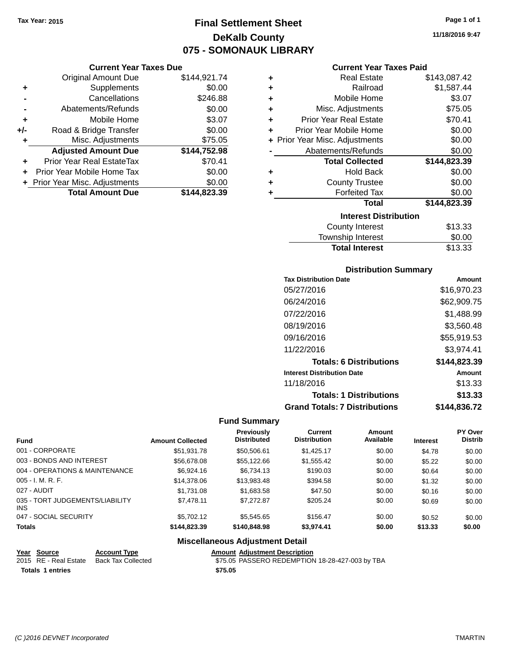### **Final Settlement Sheet Tax Year: 2015 Page 1 of 1 DeKalb County 075 - SOMONAUK LIBRARY**

#### **Current Year Taxes Due**

|       | <b>Original Amount Due</b>       | \$144,921.74 |
|-------|----------------------------------|--------------|
| ٠     | Supplements                      | \$0.00       |
|       | Cancellations                    | \$246.88     |
|       | Abatements/Refunds               | \$0.00       |
| ٠     | Mobile Home                      | \$3.07       |
| $+/-$ | Road & Bridge Transfer           | \$0.00       |
| ٠     | Misc. Adjustments                | \$75.05      |
|       | <b>Adjusted Amount Due</b>       | \$144,752.98 |
|       | <b>Prior Year Real EstateTax</b> | \$70.41      |
|       | Prior Year Mobile Home Tax       | \$0.00       |
|       | + Prior Year Misc. Adjustments   | \$0.00       |
|       | <b>Total Amount Due</b>          | \$144,823.39 |

| ٠ | <b>Real Estate</b>             | \$143,087.42 |
|---|--------------------------------|--------------|
| ÷ | Railroad                       | \$1,587.44   |
| ÷ | Mobile Home                    | \$3.07       |
| ٠ | Misc. Adjustments              | \$75.05      |
| ٠ | <b>Prior Year Real Estate</b>  | \$70.41      |
| ٠ | Prior Year Mobile Home         | \$0.00       |
|   | + Prior Year Misc. Adjustments | \$0.00       |
|   | Abatements/Refunds             | \$0.00       |
|   | <b>Total Collected</b>         | \$144,823.39 |
| ٠ | <b>Hold Back</b>               | \$0.00       |
| ٠ | <b>County Trustee</b>          | \$0.00       |
| ٠ | <b>Forfeited Tax</b>           | \$0.00       |
|   | <b>Total</b>                   | \$144,823.39 |
|   | <b>Interest Distribution</b>   |              |
|   | <b>County Interest</b>         | \$13.33      |
|   |                                | ີ ລ          |

#### Township Interest \$0.00 Total Interest \$13.33

| <b>Distribution Summary</b>          |              |
|--------------------------------------|--------------|
| <b>Tax Distribution Date</b>         | Amount       |
| 05/27/2016                           | \$16,970.23  |
| 06/24/2016                           | \$62,909.75  |
| 07/22/2016                           | \$1,488.99   |
| 08/19/2016                           | \$3,560.48   |
| 09/16/2016                           | \$55,919.53  |
| 11/22/2016                           | \$3,974.41   |
| <b>Totals: 6 Distributions</b>       | \$144,823.39 |
| <b>Interest Distribution Date</b>    | Amount       |
| 11/18/2016                           | \$13.33      |
| <b>Totals: 1 Distributions</b>       | \$13.33      |
| <b>Grand Totals: 7 Distributions</b> | \$144.836.72 |

### **Fund Summary**

| <b>Fund</b>                                   | <b>Amount Collected</b> | Previously<br><b>Distributed</b> | <b>Current</b><br><b>Distribution</b> | Amount<br>Available | <b>Interest</b> | PY Over<br><b>Distrib</b> |
|-----------------------------------------------|-------------------------|----------------------------------|---------------------------------------|---------------------|-----------------|---------------------------|
| 001 - CORPORATE                               | \$51,931.78             | \$50,506.61                      | \$1.425.17                            | \$0.00              | \$4.78          | \$0.00                    |
| 003 - BONDS AND INTEREST                      | \$56,678.08             | \$55,122.66                      | \$1,555.42                            | \$0.00              | \$5.22          | \$0.00                    |
| 004 - OPERATIONS & MAINTENANCE                | \$6,924.16              | \$6,734.13                       | \$190.03                              | \$0.00              | \$0.64          | \$0.00                    |
| $005 - I. M. R. F.$                           | \$14,378.06             | \$13,983.48                      | \$394.58                              | \$0.00              | \$1.32          | \$0.00                    |
| 027 - AUDIT                                   | \$1,731.08              | \$1,683.58                       | \$47.50                               | \$0.00              | \$0.16          | \$0.00                    |
| 035 - TORT JUDGEMENTS/LIABILITY<br><b>INS</b> | \$7,478.11              | \$7,272.87                       | \$205.24                              | \$0.00              | \$0.69          | \$0.00                    |
| 047 - SOCIAL SECURITY                         | \$5,702.12              | \$5,545,65                       | \$156.47                              | \$0.00              | \$0.52          | \$0.00                    |
| <b>Totals</b>                                 | \$144,823,39            | \$140,848,98                     | \$3.974.41                            | \$0.00              | \$13.33         | \$0.00                    |

### **Miscellaneous Adjustment Detail**

| Year Source             | <b>Account Type</b> |         | <b>Amount Adjustment Description</b>            |
|-------------------------|---------------------|---------|-------------------------------------------------|
| 2015 RE - Real Estate   | Back Tax Collected  |         | \$75.05 PASSERO REDEMPTION 18-28-427-003 by TBA |
| <b>Totals 1 entries</b> |                     | \$75.05 |                                                 |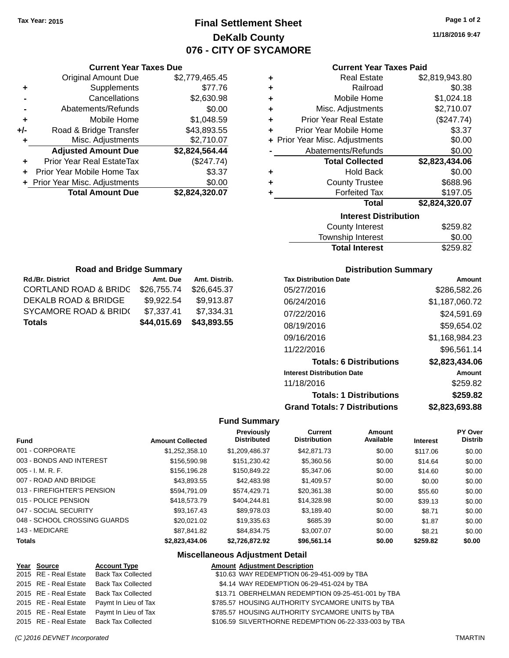### **Final Settlement Sheet Tax Year: 2015 Page 1 of 2 DeKalb County 076 - CITY OF SYCAMORE**

**11/18/2016 9:47**

|     | <b>Current Year Taxes Due</b>    |                |  |  |  |  |
|-----|----------------------------------|----------------|--|--|--|--|
|     | <b>Original Amount Due</b>       | \$2,779,465.45 |  |  |  |  |
| ٠   | Supplements                      | \$77.76        |  |  |  |  |
|     | Cancellations                    | \$2,630.98     |  |  |  |  |
|     | Abatements/Refunds               | \$0.00         |  |  |  |  |
| ٠   | Mobile Home                      | \$1,048.59     |  |  |  |  |
| +/- | Road & Bridge Transfer           | \$43,893.55    |  |  |  |  |
|     | Misc. Adjustments                | \$2,710.07     |  |  |  |  |
|     | <b>Adjusted Amount Due</b>       | \$2,824,564.44 |  |  |  |  |
| ÷   | <b>Prior Year Real EstateTax</b> | (\$247.74)     |  |  |  |  |
|     | Prior Year Mobile Home Tax       | \$3.37         |  |  |  |  |
|     | + Prior Year Misc. Adjustments   | \$0.00         |  |  |  |  |
|     | <b>Total Amount Due</b>          | \$2,824,320.07 |  |  |  |  |
|     |                                  |                |  |  |  |  |

### **Current Year Taxes Paid**

| ٠ | <b>Real Estate</b>             | \$2,819,943.80 |
|---|--------------------------------|----------------|
| ÷ | Railroad                       | \$0.38         |
| ÷ | Mobile Home                    | \$1,024.18     |
| ٠ | Misc. Adjustments              | \$2,710.07     |
| ٠ | <b>Prior Year Real Estate</b>  | (\$247.74)     |
| ٠ | Prior Year Mobile Home         | \$3.37         |
|   | + Prior Year Misc. Adjustments | \$0.00         |
|   | Abatements/Refunds             | \$0.00         |
|   | <b>Total Collected</b>         | \$2,823,434.06 |
| ٠ | <b>Hold Back</b>               | \$0.00         |
| ٠ | <b>County Trustee</b>          | \$688.96       |
| ٠ | <b>Forfeited Tax</b>           | \$197.05       |
|   | <b>Total</b>                   | \$2,824,320.07 |
|   | <b>Interest Distribution</b>   |                |
|   |                                | $\hat{z}$      |

| County Interest       | \$259.82 |
|-----------------------|----------|
| Township Interest     | \$0.00   |
| <b>Total Interest</b> | \$259.82 |

| <b>Road and Bridge Summary</b>   |             |               |  |  |  |
|----------------------------------|-------------|---------------|--|--|--|
| Rd./Br. District                 | Amt. Due    | Amt. Distrib. |  |  |  |
| <b>CORTLAND ROAD &amp; BRIDG</b> | \$26,755.74 | \$26,645.37   |  |  |  |
| <b>DEKALB ROAD &amp; BRIDGE</b>  | \$9,922.54  | \$9,913.87    |  |  |  |
| <b>SYCAMORE ROAD &amp; BRID(</b> | \$7,337.41  | \$7,334.31    |  |  |  |
| <b>Totals</b>                    | \$44,015.69 | \$43,893.55   |  |  |  |

### **Distribution Summary**

| <b>Tax Distribution Date</b>         | Amount         |
|--------------------------------------|----------------|
| 05/27/2016                           | \$286,582,26   |
| 06/24/2016                           | \$1,187,060.72 |
| 07/22/2016                           | \$24,591.69    |
| 08/19/2016                           | \$59,654.02    |
| 09/16/2016                           | \$1,168,984.23 |
| 11/22/2016                           | \$96,561.14    |
| <b>Totals: 6 Distributions</b>       | \$2,823,434.06 |
| <b>Interest Distribution Date</b>    | Amount         |
| 11/18/2016                           | \$259.82       |
| <b>Totals: 1 Distributions</b>       | \$259.82       |
| <b>Grand Totals: 7 Distributions</b> | \$2.823.693.88 |

### **Fund Summary**

| <b>Fund</b>                  | <b>Amount Collected</b> | Previously<br><b>Distributed</b> | <b>Current</b><br><b>Distribution</b> | Amount<br>Available | <b>Interest</b> | PY Over<br><b>Distrib</b> |
|------------------------------|-------------------------|----------------------------------|---------------------------------------|---------------------|-----------------|---------------------------|
| 001 - CORPORATE              | \$1.252.358.10          | \$1.209.486.37                   | \$42,871.73                           | \$0.00              | \$117.06        | \$0.00                    |
| 003 - BONDS AND INTEREST     | \$156,590.98            | \$151.230.42                     | \$5,360.56                            | \$0.00              | \$14.64         | \$0.00                    |
| $005 - I. M. R. F.$          | \$156,196.28            | \$150,849.22                     | \$5,347,06                            | \$0.00              | \$14.60         | \$0.00                    |
| 007 - ROAD AND BRIDGE        | \$43,893.55             | \$42,483.98                      | \$1.409.57                            | \$0.00              | \$0.00          | \$0.00                    |
| 013 - FIREFIGHTER'S PENSION  | \$594.791.09            | \$574,429.71                     | \$20.361.38                           | \$0.00              | \$55.60         | \$0.00                    |
| 015 - POLICE PENSION         | \$418,573.79            | \$404.244.81                     | \$14.328.98                           | \$0.00              | \$39.13         | \$0.00                    |
| 047 - SOCIAL SECURITY        | \$93.167.43             | \$89.978.03                      | \$3.189.40                            | \$0.00              | \$8.71          | \$0.00                    |
| 048 - SCHOOL CROSSING GUARDS | \$20,021,02             | \$19,335.63                      | \$685.39                              | \$0.00              | \$1.87          | \$0.00                    |
| 143 - MEDICARE               | \$87.841.82             | \$84.834.75                      | \$3,007.07                            | \$0.00              | \$8.21          | \$0.00                    |
| <b>Totals</b>                | \$2,823,434.06          | \$2.726.872.92                   | \$96.561.14                           | \$0.00              | \$259.82        | \$0.00                    |

### **Miscellaneous Adjustment Detail**

| Year Source           | <b>Account Type</b>       | <b>Amount Adjustment Description</b>                  |
|-----------------------|---------------------------|-------------------------------------------------------|
| 2015 RE - Real Estate | <b>Back Tax Collected</b> | \$10.63 WAY REDEMPTION 06-29-451-009 by TBA           |
| 2015 RE - Real Estate | <b>Back Tax Collected</b> | \$4.14 WAY REDEMPTION 06-29-451-024 by TBA            |
| 2015 RE - Real Estate | <b>Back Tax Collected</b> | \$13.71 OBERHELMAN REDEMPTION 09-25-451-001 by TBA    |
| 2015 RE - Real Estate | Paymt In Lieu of Tax      | \$785.57 HOUSING AUTHORITY SYCAMORE UNITS by TBA      |
| 2015 RE - Real Estate | Paymt In Lieu of Tax      | \$785.57 HOUSING AUTHORITY SYCAMORE UNITS by TBA      |
| 2015 RE - Real Estate | <b>Back Tax Collected</b> | \$106.59 SILVERTHORNE REDEMPTION 06-22-333-003 by TBA |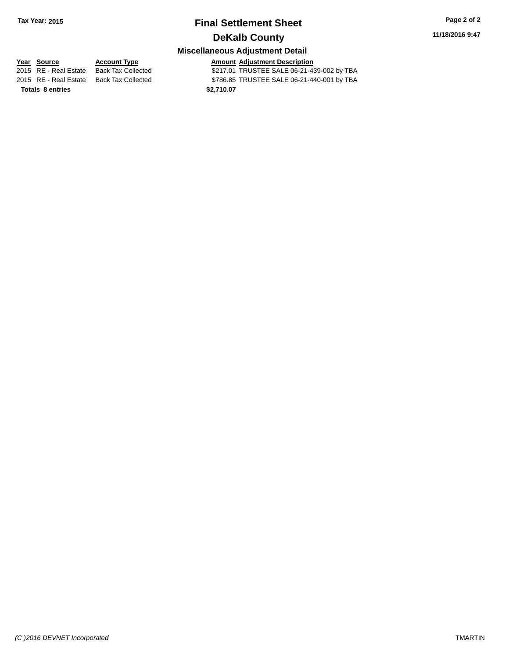### **Final Settlement Sheet Tax Year: 2015 Page 2 of 2 DeKalb County**

### **Miscellaneous Adjustment Detail**

**Totals 8 entries 82,710.07** 

**Year Source Account Type Amount Adjustment Description** \$217.01 TRUSTEE SALE 06-21-439-002 by TBA 2015 RE - Real Estate Back Tax Collected \$786.85 TRUSTEE SALE 06-21-440-001 by TBA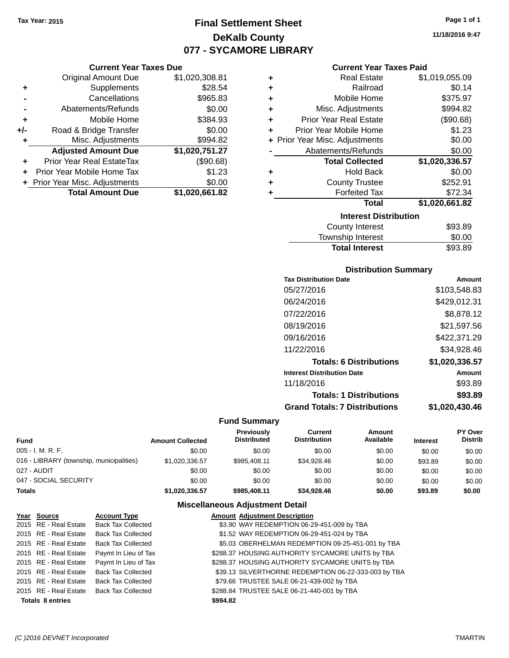**Current Year Taxes Due** Original Amount Due \$1,020,308.81

**Adjusted Amount Due \$1,020,751.27**

**Total Amount Due \$1,020,661.82**

**+** Supplements \$28.54 **-** Cancellations \$965.83 **-** Abatements/Refunds \$0.00 **+** Mobile Home \$384.93 **+/-** Road & Bridge Transfer \$0.00<br>**+** Misc. Adjustments \$994.82

**+** Prior Year Real EstateTax (\$90.68) **+** Prior Year Mobile Home Tax \$1.23 **+ Prior Year Misc. Adjustments**  $$0.00$ 

**+** Misc. Adjustments

### **Final Settlement Sheet Tax Year: 2015 Page 1 of 1 DeKalb County 077 - SYCAMORE LIBRARY**

**11/18/2016 9:47**

#### **Current Year Taxes Paid**

| ٠ | <b>Real Estate</b>             | \$1,019,055.09 |
|---|--------------------------------|----------------|
| ٠ | Railroad                       | \$0.14         |
| ÷ | Mobile Home                    | \$375.97       |
| ٠ | Misc. Adjustments              | \$994.82       |
| ÷ | <b>Prior Year Real Estate</b>  | (\$90.68)      |
| ٠ | Prior Year Mobile Home         | \$1.23         |
|   | + Prior Year Misc. Adjustments | \$0.00         |
|   | Abatements/Refunds             | \$0.00         |
|   | <b>Total Collected</b>         | \$1,020,336.57 |
| ÷ | <b>Hold Back</b>               | \$0.00         |
| ÷ | <b>County Trustee</b>          | \$252.91       |
| ٠ | <b>Forfeited Tax</b>           | \$72.34        |
|   | <b>Total</b>                   | \$1,020,661.82 |
|   | <b>Interest Distribution</b>   |                |
|   | <b>County Interest</b>         | \$93.89        |
|   |                                |                |

| <b>Total Interest</b>  | \$93.89 |
|------------------------|---------|
| Township Interest      | \$0.00  |
| <b>County Interest</b> | \$93.89 |

### **Distribution Summary**

| <b>Tax Distribution Date</b>         | Amount         |
|--------------------------------------|----------------|
| 05/27/2016                           | \$103,548.83   |
| 06/24/2016                           | \$429,012.31   |
| 07/22/2016                           | \$8,878.12     |
| 08/19/2016                           | \$21,597.56    |
| 09/16/2016                           | \$422,371.29   |
| 11/22/2016                           | \$34,928.46    |
| <b>Totals: 6 Distributions</b>       | \$1,020,336.57 |
| <b>Interest Distribution Date</b>    | Amount         |
| 11/18/2016                           | \$93.89        |
| <b>Totals: 1 Distributions</b>       | \$93.89        |
| <b>Grand Totals: 7 Distributions</b> | \$1,020,430.46 |

#### **Fund Summary**

| Fund                                     | <b>Amount Collected</b> | Previously<br><b>Distributed</b> | Current<br><b>Distribution</b> | Amount<br>Available | <b>Interest</b> | PY Over<br><b>Distrib</b> |
|------------------------------------------|-------------------------|----------------------------------|--------------------------------|---------------------|-----------------|---------------------------|
| 005 - I. M. R. F.                        | \$0.00                  | \$0.00                           | \$0.00                         | \$0.00              | \$0.00          | \$0.00                    |
| 016 - LIBRARY (township, municipalities) | \$1,020,336.57          | \$985,408.11                     | \$34,928,46                    | \$0.00              | \$93.89         | \$0.00                    |
| 027 - AUDIT                              | \$0.00                  | \$0.00                           | \$0.00                         | \$0.00              | \$0.00          | \$0.00                    |
| 047 - SOCIAL SECURITY                    | \$0.00                  | \$0.00                           | \$0.00                         | \$0.00              | \$0.00          | \$0.00                    |
| <b>Totals</b>                            | \$1.020.336.57          | \$985,408.11                     | \$34,928,46                    | \$0.00              | \$93.89         | \$0.00                    |

### **Miscellaneous Adjustment Detail**

|                         | Year Source           | <b>Account Type</b>                        |          | <b>Amount Adjustment Description</b>                 |
|-------------------------|-----------------------|--------------------------------------------|----------|------------------------------------------------------|
|                         | 2015 RE - Real Estate | <b>Back Tax Collected</b>                  |          | \$3.90 WAY REDEMPTION 06-29-451-009 by TBA           |
|                         | 2015 RE - Real Estate | Back Tax Collected                         |          | \$1.52 WAY REDEMPTION 06-29-451-024 by TBA           |
|                         | 2015 RE - Real Estate | <b>Back Tax Collected</b>                  |          | \$5.03 OBERHELMAN REDEMPTION 09-25-451-001 by TBA    |
|                         |                       | 2015 RE - Real Estate Paymt In Lieu of Tax |          | \$288.37 HOUSING AUTHORITY SYCAMORE UNITS by TBA     |
|                         |                       | 2015 RE - Real Estate Paymt In Lieu of Tax |          | \$288.37 HOUSING AUTHORITY SYCAMORE UNITS by TBA     |
|                         | 2015 RE - Real Estate | <b>Back Tax Collected</b>                  |          | \$39.13 SILVERTHORNE REDEMPTION 06-22-333-003 by TBA |
|                         | 2015 RE - Real Estate | Back Tax Collected                         |          | \$79.66 TRUSTEE SALE 06-21-439-002 by TBA            |
|                         |                       | 2015 RE - Real Estate Back Tax Collected   |          | \$288.84 TRUSTEE SALE 06-21-440-001 by TBA           |
| <b>Totals 8 entries</b> |                       |                                            | \$994.82 |                                                      |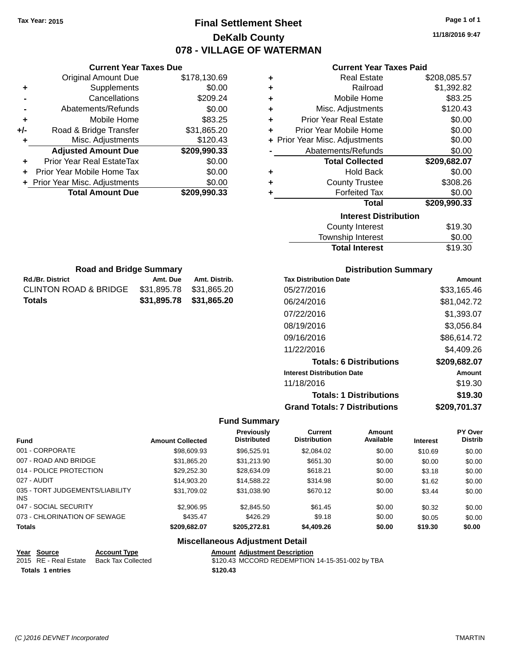### **Final Settlement Sheet Tax Year: 2015 Page 1 of 1 DeKalb County 078 - VILLAGE OF WATERMAN**

**11/18/2016 9:47**

|               |                                  | <b>Current Year Taxes Due</b> |                                        |                                  |                                      | <b>Current Year Taxes Paid</b> |                 |                |
|---------------|----------------------------------|-------------------------------|----------------------------------------|----------------------------------|--------------------------------------|--------------------------------|-----------------|----------------|
|               | <b>Original Amount Due</b>       |                               | \$178,130.69                           | ٠                                |                                      | <b>Real Estate</b>             |                 | \$208,085.57   |
| ٠             | Supplements                      |                               | \$0.00                                 | ٠                                |                                      | Railroad                       |                 | \$1,392.82     |
|               | Cancellations                    |                               | \$209.24                               | ٠                                |                                      | Mobile Home                    |                 | \$83.25        |
|               | Abatements/Refunds               |                               | \$0.00                                 | ٠                                |                                      | Misc. Adjustments              |                 | \$120.43       |
| ٠             | Mobile Home                      |                               | \$83.25                                | ٠                                | <b>Prior Year Real Estate</b>        |                                |                 | \$0.00         |
| $+/-$         | Road & Bridge Transfer           |                               | \$31,865.20                            | ٠                                | Prior Year Mobile Home               |                                |                 | \$0.00         |
| ٠             | Misc. Adjustments                |                               | \$120.43                               |                                  | + Prior Year Misc. Adjustments       |                                |                 | \$0.00         |
|               | <b>Adjusted Amount Due</b>       |                               | \$209,990.33                           |                                  | Abatements/Refunds                   |                                |                 | \$0.00         |
| ٠             | Prior Year Real EstateTax        |                               | \$0.00                                 |                                  |                                      | <b>Total Collected</b>         |                 | \$209,682.07   |
|               | Prior Year Mobile Home Tax       |                               | \$0.00                                 | ٠                                |                                      | <b>Hold Back</b>               |                 | \$0.00         |
| ÷.            | Prior Year Misc. Adjustments     |                               | \$0.00                                 | ٠                                |                                      | <b>County Trustee</b>          |                 | \$308.26       |
|               | <b>Total Amount Due</b>          |                               | \$209,990.33                           | ٠                                |                                      | <b>Forfeited Tax</b>           |                 | \$0.00         |
|               |                                  |                               |                                        |                                  |                                      | <b>Total</b>                   |                 | \$209,990.33   |
|               |                                  |                               |                                        |                                  |                                      | <b>Interest Distribution</b>   |                 |                |
|               |                                  |                               |                                        |                                  |                                      | <b>County Interest</b>         |                 | \$19.30        |
|               |                                  |                               |                                        |                                  |                                      | Township Interest              |                 | \$0.00         |
|               |                                  |                               |                                        |                                  |                                      | <b>Total Interest</b>          |                 | \$19.30        |
|               |                                  |                               |                                        |                                  |                                      |                                |                 |                |
|               | <b>Road and Bridge Summary</b>   |                               |                                        |                                  |                                      | <b>Distribution Summary</b>    |                 |                |
|               | <b>Rd./Br. District</b>          | Amt. Due                      | Amt. Distrib.                          |                                  | <b>Tax Distribution Date</b>         |                                |                 | Amount         |
|               | <b>CLINTON ROAD &amp; BRIDGE</b> | \$31,895.78                   | \$31,865.20                            |                                  | 05/27/2016                           |                                |                 | \$33,165.46    |
|               | <b>Totals</b>                    | \$31,895.78                   | \$31,865.20                            |                                  | 06/24/2016                           |                                |                 | \$81,042.72    |
|               |                                  |                               |                                        |                                  | 07/22/2016                           |                                |                 | \$1,393.07     |
|               |                                  |                               |                                        |                                  |                                      |                                |                 |                |
|               |                                  |                               |                                        |                                  | 08/19/2016                           |                                |                 | \$3,056.84     |
|               |                                  |                               |                                        |                                  | 09/16/2016                           |                                |                 | \$86,614.72    |
|               |                                  |                               |                                        |                                  | 11/22/2016                           |                                |                 | \$4,409.26     |
|               |                                  |                               |                                        |                                  |                                      | <b>Totals: 6 Distributions</b> |                 | \$209,682.07   |
|               |                                  |                               |                                        |                                  | <b>Interest Distribution Date</b>    |                                |                 | Amount         |
|               |                                  |                               |                                        |                                  | 11/18/2016                           |                                |                 | \$19.30        |
|               |                                  |                               |                                        |                                  |                                      | <b>Totals: 1 Distributions</b> |                 | \$19.30        |
|               |                                  |                               |                                        |                                  | <b>Grand Totals: 7 Distributions</b> |                                |                 | \$209,701.37   |
|               |                                  |                               |                                        | <b>Fund Summary</b>              |                                      |                                |                 |                |
|               |                                  |                               |                                        |                                  | Current                              | Amount                         |                 | <b>PY Over</b> |
| Fund          |                                  | <b>Amount Collected</b>       |                                        | Previously<br><b>Distributed</b> | <b>Distribution</b>                  | Available                      | <b>Interest</b> | Distrib        |
|               | 001 - CORPORATE                  |                               | \$98,609.93                            | \$96,525.91                      | \$2,084.02                           | \$0.00                         | \$10.69         | \$0.00         |
|               | 007 - ROAD AND BRIDGE            |                               | \$31,865.20                            | \$31,213.90                      | \$651.30                             | \$0.00                         | \$0.00          | \$0.00         |
|               | 014 - POLICE PROTECTION          |                               | \$29,252.30                            | \$28,634.09                      | \$618.21                             | \$0.00                         | \$3.18          | \$0.00         |
|               | 027 - AUDIT                      |                               | \$14,903.20                            | \$14,588.22                      | \$314.98                             | \$0.00                         | \$1.62          | \$0.00         |
| INS           | 035 - TORT JUDGEMENTS/LIABILITY  |                               | \$31,709.02                            | \$31,038.90                      | \$670.12                             | \$0.00                         | \$3.44          | \$0.00         |
|               | 047 - SOCIAL SECURITY            |                               | \$2,906.95                             | \$2,845.50                       | \$61.45                              | \$0.00                         | \$0.32          | \$0.00         |
|               | 073 - CHLORINATION OF SEWAGE     |                               | \$435.47                               | \$426.29                         | \$9.18                               | \$0.00                         | \$0.05          | \$0.00         |
| <b>Totals</b> |                                  |                               | \$209,682.07                           | \$205,272.81                     | \$4,409.26                           | \$0.00                         | \$19.30         | \$0.00         |
|               |                                  |                               | <b>Miscellaneous Adjustment Detail</b> |                                  |                                      |                                |                 |                |
|               | Voor Cource<br>Account Tung      |                               |                                        | Amount Adjustment Description    |                                      |                                |                 |                |

| rear <b>Source</b>      | ACCOUNT IVDE                             | Allioulit Agiustinent Describiton               |
|-------------------------|------------------------------------------|-------------------------------------------------|
|                         | 2015 RE - Real Estate Back Tax Collected | \$120.43 MCCORD REDEMPTION 14-15-351-002 by TBA |
| <b>Totals 1 entries</b> |                                          | \$120.43                                        |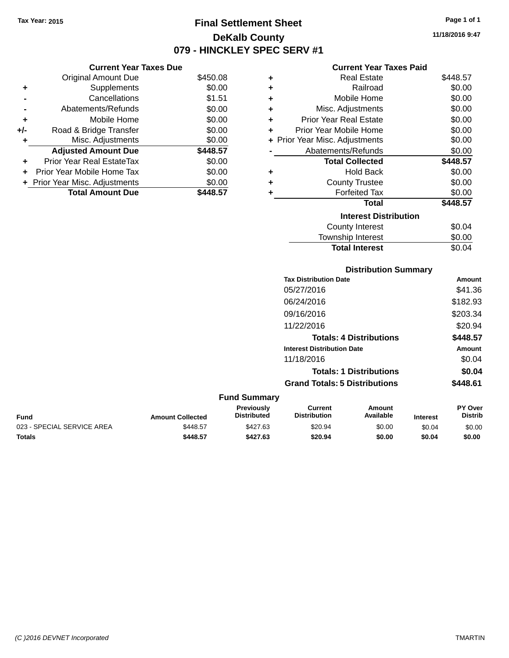### **Final Settlement Sheet Tax Year: 2015 Page 1 of 1 DeKalb County 079 - HINCKLEY SPEC SERV #1**

**11/18/2016 9:47**

#### **Current Year Taxes Paid**

|     | <b>Current Year Taxes Due</b>  |          |
|-----|--------------------------------|----------|
|     | <b>Original Amount Due</b>     | \$450.08 |
| ٠   | Supplements                    | \$0.00   |
|     | Cancellations                  | \$1.51   |
|     | Abatements/Refunds             | \$0.00   |
| ٠   | Mobile Home                    | \$0.00   |
| +/- | Road & Bridge Transfer         | \$0.00   |
| ٠   | Misc. Adjustments              | \$0.00   |
|     | <b>Adjusted Amount Due</b>     | \$448.57 |
| ٠   | Prior Year Real EstateTax      | \$0.00   |
| ÷   | Prior Year Mobile Home Tax     | \$0.00   |
|     | + Prior Year Misc. Adjustments | \$0.00   |
|     | <b>Total Amount Due</b>        | \$448.57 |

| ٠ | <b>Real Estate</b>             | \$448.57 |
|---|--------------------------------|----------|
| ٠ | Railroad                       | \$0.00   |
| ٠ | Mobile Home                    | \$0.00   |
| ٠ | Misc. Adjustments              | \$0.00   |
| ٠ | Prior Year Real Estate         | \$0.00   |
| ÷ | Prior Year Mobile Home         | \$0.00   |
|   | + Prior Year Misc. Adjustments | \$0.00   |
|   | Abatements/Refunds             | \$0.00   |
|   | <b>Total Collected</b>         | \$448.57 |
| ٠ | Hold Back                      | \$0.00   |
| ٠ | <b>County Trustee</b>          | \$0.00   |
| ٠ | <b>Forfeited Tax</b>           | \$0.00   |
|   | <b>Total</b>                   | \$448.57 |
|   | <b>Interest Distribution</b>   |          |
|   | <b>County Interest</b>         | \$0.04   |
|   | <b>Township Interest</b>       | \$0.00   |
|   | <b>Total Interest</b>          | \$0.04   |

### **Distribution Summary Tax Distribution Date Amount** 05/27/2016 \$41.36 06/24/2016 \$182.93 09/16/2016 \$203.34 11/22/2016 \$20.94 **Totals: 4 Distributions \$448.57 Interest Distribution Date Amount** 11/18/2016 \$0.04 **Totals: 1 Distributions \$0.04 Grand Totals: 5 Distributions \$448.61**

| <b>Fund Summary</b>        |                         |                                         |                                |                     |                 |                                  |
|----------------------------|-------------------------|-----------------------------------------|--------------------------------|---------------------|-----------------|----------------------------------|
| <b>Fund</b>                | <b>Amount Collected</b> | <b>Previously</b><br><b>Distributed</b> | Current<br><b>Distribution</b> | Amount<br>Available | <b>Interest</b> | <b>PY Over</b><br><b>Distrib</b> |
| 023 - SPECIAL SERVICE AREA | \$448.57                | \$427.63                                | \$20.94                        | \$0.00              | \$0.04          | \$0.00                           |
| Totals                     | \$448.57                | \$427.63                                | \$20.94                        | \$0.00              | \$0.04          | \$0.00                           |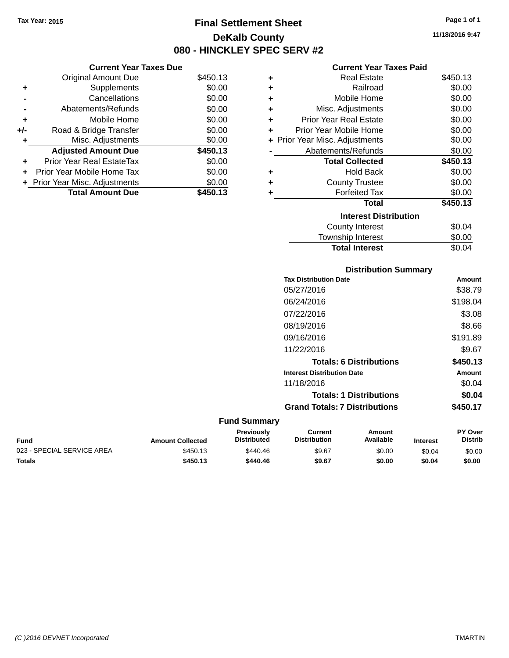### **Final Settlement Sheet Tax Year: 2015 Page 1 of 1 DeKalb County 080 - HINCKLEY SPEC SERV #2**

**11/18/2016 9:47**

#### **Current Year Taxes Paid**

|     | <b>Current Year Taxes Due</b>    |          |
|-----|----------------------------------|----------|
|     | <b>Original Amount Due</b>       | \$450.13 |
| ٠   | Supplements                      | \$0.00   |
|     | Cancellations                    | \$0.00   |
|     | Abatements/Refunds               | \$0.00   |
| ٠   | Mobile Home                      | \$0.00   |
| +/- | Road & Bridge Transfer           | \$0.00   |
| ٠   | Misc. Adjustments                | \$0.00   |
|     | <b>Adjusted Amount Due</b>       | \$450.13 |
| ٠   | <b>Prior Year Real EstateTax</b> | \$0.00   |
|     | Prior Year Mobile Home Tax       | \$0.00   |
|     | + Prior Year Misc. Adjustments   | \$0.00   |
|     | <b>Total Amount Due</b>          | \$450.13 |

| ٠ | Real Estate                    | \$450.13 |
|---|--------------------------------|----------|
| ٠ | Railroad                       | \$0.00   |
| ٠ | Mobile Home                    | \$0.00   |
| ٠ | Misc. Adjustments              | \$0.00   |
| ٠ | Prior Year Real Estate         | \$0.00   |
| ٠ | Prior Year Mobile Home         | \$0.00   |
|   | + Prior Year Misc. Adjustments | \$0.00   |
|   | Abatements/Refunds             | \$0.00   |
|   | <b>Total Collected</b>         | \$450.13 |
| ٠ | Hold Back                      | \$0.00   |
| ٠ | <b>County Trustee</b>          | \$0.00   |
| ٠ | <b>Forfeited Tax</b>           | \$0.00   |
|   | <b>Total</b>                   | \$450.13 |
|   | <b>Interest Distribution</b>   |          |
|   | <b>County Interest</b>         | \$0.04   |
|   | <b>Township Interest</b>       | \$0.00   |
|   | <b>Total Interest</b>          | \$0.04   |

## **Distribution Summary**

| <b>Tax Distribution Date</b>         | Amount   |
|--------------------------------------|----------|
| 05/27/2016                           | \$38.79  |
| 06/24/2016                           | \$198.04 |
| 07/22/2016                           | \$3.08   |
| 08/19/2016                           | \$8.66   |
| 09/16/2016                           | \$191.89 |
| 11/22/2016                           | \$9.67   |
| <b>Totals: 6 Distributions</b>       | \$450.13 |
| <b>Interest Distribution Date</b>    | Amount   |
| 11/18/2016                           | \$0.04   |
| <b>Totals: 1 Distributions</b>       | \$0.04   |
| <b>Grand Totals: 7 Distributions</b> | \$450.17 |
|                                      |          |

| Fund                       | <b>Amount Collected</b> | <b>Previously</b><br><b>Distributed</b> | Current<br><b>Distribution</b> | Amount<br>Available | <b>Interest</b> | <b>PY Over</b><br><b>Distrib</b> |
|----------------------------|-------------------------|-----------------------------------------|--------------------------------|---------------------|-----------------|----------------------------------|
| 023 - SPECIAL SERVICE AREA | \$450.13                | \$440.46                                | \$9.67                         | \$0.00              | \$0.04          | \$0.00                           |
| <b>Totals</b>              | \$450.13                | \$440.46                                | \$9.67                         | \$0.00              | \$0.04          | \$0.00                           |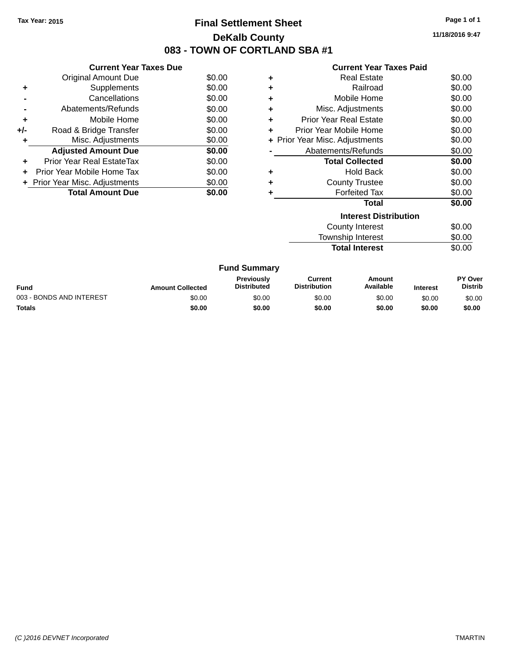### **Final Settlement Sheet Tax Year: 2015 Page 1 of 1 DeKalb County 083 - TOWN OF CORTLAND SBA #1**

**11/18/2016 9:47**

| <b>Current Year Taxes Paid</b> |  |  |  |
|--------------------------------|--|--|--|
|--------------------------------|--|--|--|

| <b>Current Year Taxes Due</b> |                                |
|-------------------------------|--------------------------------|
| <b>Original Amount Due</b>    | \$0.00                         |
| Supplements                   | \$0.00                         |
| Cancellations                 | \$0.00                         |
| Abatements/Refunds            | \$0.00                         |
| Mobile Home                   | \$0.00                         |
| Road & Bridge Transfer        | \$0.00                         |
| Misc. Adjustments             | \$0.00                         |
| <b>Adjusted Amount Due</b>    | \$0.00                         |
| Prior Year Real EstateTax     | \$0.00                         |
| Prior Year Mobile Home Tax    | \$0.00                         |
|                               | \$0.00                         |
| <b>Total Amount Due</b>       | \$0.00                         |
|                               | + Prior Year Misc. Adjustments |

| ٠ | <b>Real Estate</b>             | \$0.00 |
|---|--------------------------------|--------|
| ٠ | Railroad                       | \$0.00 |
| ٠ | Mobile Home                    | \$0.00 |
| ٠ | Misc. Adjustments              | \$0.00 |
| ٠ | <b>Prior Year Real Estate</b>  | \$0.00 |
| ٠ | Prior Year Mobile Home         | \$0.00 |
|   | + Prior Year Misc. Adjustments | \$0.00 |
|   | Abatements/Refunds             | \$0.00 |
|   | <b>Total Collected</b>         | \$0.00 |
|   | <b>Hold Back</b>               | \$0.00 |
|   | <b>County Trustee</b>          | \$0.00 |
|   | <b>Forfeited Tax</b>           | \$0.00 |
|   | Total                          | \$0.00 |
|   | <b>Interest Distribution</b>   |        |
|   | County Interest                | \$0.00 |

Township Interest \$0.00 **Total Interest** \$0.00

|                          |                         | <b>Fund Summary</b>                     |                                |                     |                 |                           |
|--------------------------|-------------------------|-----------------------------------------|--------------------------------|---------------------|-----------------|---------------------------|
| Fund                     | <b>Amount Collected</b> | <b>Previously</b><br><b>Distributed</b> | Current<br><b>Distribution</b> | Amount<br>Available | <b>Interest</b> | PY Over<br><b>Distrib</b> |
| 003 - BONDS AND INTEREST | \$0.00                  | \$0.00                                  | \$0.00                         | \$0.00              | \$0.00          | \$0.00                    |
| <b>Totals</b>            | \$0.00                  | \$0.00                                  | \$0.00                         | \$0.00              | \$0.00          | \$0.00                    |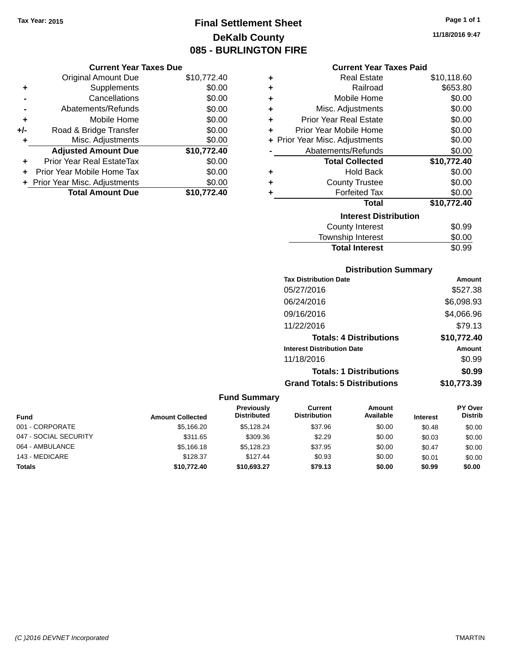**Current Year Taxes Due**

**Original Amount Due** 

**Adjusted Amount Due** 

**Total Amount Due** 

**+** Supplements **-** Cancellations **-** Abatements/Refunds **+** Mobile Home **+/-** Road & Bridge Transfer **+** Misc. Adjustments

**+** Prior Year Real EstateTax \$0.00 **+** Prior Year Mobile Home Tax **+** Prior Year Misc. Adjustments

### **Final Settlement Sheet Tax Year: 2015 Page 1 of 1 DeKalb County 085 - BURLINGTON FIRE**

**11/18/2016 9:47**

#### **Current Year Taxes Paid**

| \$10,772.40 | ٠ | <b>Real Estate</b>             | \$10,118.60 |
|-------------|---|--------------------------------|-------------|
| \$0.00      | ٠ | Railroad                       | \$653.80    |
| \$0.00      | ٠ | Mobile Home                    | \$0.00      |
| \$0.00      | ٠ | Misc. Adjustments              | \$0.00      |
| \$0.00      | ٠ | <b>Prior Year Real Estate</b>  | \$0.00      |
| \$0.00      | ٠ | Prior Year Mobile Home         | \$0.00      |
| \$0.00      |   | + Prior Year Misc. Adjustments | \$0.00      |
| \$10,772.40 |   | Abatements/Refunds             | \$0.00      |
| \$0.00      |   | <b>Total Collected</b>         | \$10,772.40 |
| \$0.00      | ٠ | <b>Hold Back</b>               | \$0.00      |
| \$0.00      | ٠ | <b>County Trustee</b>          | \$0.00      |
| \$10,772.40 | ٠ | <b>Forfeited Tax</b>           | \$0.00      |
|             |   | <b>Total</b>                   | \$10,772.40 |
|             |   | <b>Interest Distribution</b>   |             |
|             |   | <b>County Interest</b>         | \$0.99      |

### $$0.99$ Township Interest \$0.00 Total Interest \$0.99

### **Distribution Summary**

| <b>Tax Distribution Date</b>         | Amount      |
|--------------------------------------|-------------|
| 05/27/2016                           | \$527.38    |
| 06/24/2016                           | \$6,098.93  |
| 09/16/2016                           | \$4.066.96  |
| 11/22/2016                           | \$79.13     |
| <b>Totals: 4 Distributions</b>       | \$10,772.40 |
| <b>Interest Distribution Date</b>    | Amount      |
| 11/18/2016                           | \$0.99      |
| <b>Totals: 1 Distributions</b>       | \$0.99      |
| <b>Grand Totals: 5 Distributions</b> | \$10,773.39 |

| <b>Fund</b>           | <b>Amount Collected</b> | <b>Previously</b><br><b>Distributed</b> | Current<br><b>Distribution</b> | Amount<br>Available | <b>Interest</b> | <b>PY Over</b><br><b>Distrib</b> |
|-----------------------|-------------------------|-----------------------------------------|--------------------------------|---------------------|-----------------|----------------------------------|
| 001 - CORPORATE       | \$5,166.20              | \$5.128.24                              | \$37.96                        | \$0.00              | \$0.48          | \$0.00                           |
| 047 - SOCIAL SECURITY | \$311.65                | \$309.36                                | \$2.29                         | \$0.00              | \$0.03          | \$0.00                           |
| 064 - AMBULANCE       | \$5.166.18              | \$5.128.23                              | \$37.95                        | \$0.00              | \$0.47          | \$0.00                           |
| 143 - MEDICARE        | \$128.37                | \$127.44                                | \$0.93                         | \$0.00              | \$0.01          | \$0.00                           |
| Totals                | \$10,772.40             | \$10,693.27                             | \$79.13                        | \$0.00              | \$0.99          | \$0.00                           |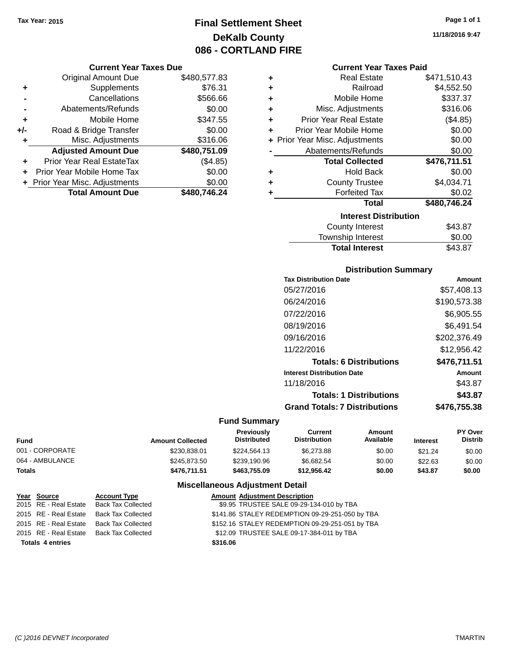### **Final Settlement Sheet Tax Year: 2015 Page 1 of 1 DeKalb County 086 - CORTLAND FIRE**

#### **Current Year Taxes Due**

|       | <b>Original Amount Due</b>       | \$480,577.83 |
|-------|----------------------------------|--------------|
| ٠     | Supplements                      | \$76.31      |
|       | Cancellations                    | \$566.66     |
|       | Abatements/Refunds               | \$0.00       |
| ٠     | Mobile Home                      | \$347.55     |
| $+/-$ | Road & Bridge Transfer           | \$0.00       |
| ٠     | Misc. Adjustments                | \$316.06     |
|       | <b>Adjusted Amount Due</b>       | \$480,751.09 |
|       | <b>Prior Year Real EstateTax</b> | (\$4.85)     |
|       | Prior Year Mobile Home Tax       | \$0.00       |
|       | + Prior Year Misc. Adjustments   | \$0.00       |
|       | <b>Total Amount Due</b>          | \$480,746.24 |

| ٠ | <b>Real Estate</b>             | \$471,510.43 |
|---|--------------------------------|--------------|
| ÷ | Railroad                       | \$4,552.50   |
| ÷ | Mobile Home                    | \$337.37     |
| ٠ | Misc. Adjustments              | \$316.06     |
| ٠ | <b>Prior Year Real Estate</b>  | (\$4.85)     |
| ÷ | Prior Year Mobile Home         | \$0.00       |
|   | + Prior Year Misc. Adjustments | \$0.00       |
|   | Abatements/Refunds             | \$0.00       |
|   | <b>Total Collected</b>         | \$476,711.51 |
| ٠ | <b>Hold Back</b>               | \$0.00       |
| ÷ | <b>County Trustee</b>          | \$4,034.71   |
| ٠ | <b>Forfeited Tax</b>           | \$0.02       |
|   | <b>Total</b>                   | \$480,746.24 |
|   | <b>Interest Distribution</b>   |              |
|   | <b>County Interest</b>         | \$43.87      |
|   |                                |              |

## Township Interest \$0.00<br>
Total Interest \$43.87 **Total Interest**

### **Distribution Summary**

| <b>Tax Distribution Date</b>         | Amount       |
|--------------------------------------|--------------|
| 05/27/2016                           | \$57,408.13  |
| 06/24/2016                           | \$190,573.38 |
| 07/22/2016                           | \$6,905.55   |
| 08/19/2016                           | \$6.491.54   |
| 09/16/2016                           | \$202,376.49 |
| 11/22/2016                           | \$12,956.42  |
| <b>Totals: 6 Distributions</b>       | \$476,711.51 |
| <b>Interest Distribution Date</b>    | Amount       |
| 11/18/2016                           | \$43.87      |
| <b>Totals: 1 Distributions</b>       | \$43.87      |
| <b>Grand Totals: 7 Distributions</b> | \$476,755.38 |
|                                      |              |

### **Fund Summary**

| Fund            | <b>Amount Collected</b> | <b>Previously</b><br><b>Distributed</b> | Current<br><b>Distribution</b> | Amount<br>Available | <b>Interest</b> | <b>PY Over</b><br><b>Distrib</b> |
|-----------------|-------------------------|-----------------------------------------|--------------------------------|---------------------|-----------------|----------------------------------|
| 001 - CORPORATE | \$230.838.01            | \$224.564.13                            | \$6,273.88                     | \$0.00              | \$21.24         | \$0.00                           |
| 064 - AMBULANCE | \$245,873,50            | \$239.190.96                            | \$6.682.54                     | \$0.00              | \$22.63         | \$0.00                           |
| <b>Totals</b>   | \$476.711.51            | \$463,755.09                            | \$12.956.42                    | \$0.00              | \$43.87         | \$0.00                           |

### **Miscellaneous Adjustment Detail**

| Year Source             | <b>Account Type</b>                      | <b>Amount Adjustment Description</b>            |
|-------------------------|------------------------------------------|-------------------------------------------------|
|                         | 2015 RE - Real Estate Back Tax Collected | \$9.95 TRUSTEE SALE 09-29-134-010 by TBA        |
|                         | 2015 RE - Real Estate Back Tax Collected | \$141.86 STALEY REDEMPTION 09-29-251-050 by TBA |
|                         | 2015 RE - Real Estate Back Tax Collected | \$152.16 STALEY REDEMPTION 09-29-251-051 by TBA |
|                         | 2015 RE - Real Estate Back Tax Collected | \$12.09 TRUSTEE SALE 09-17-384-011 by TBA       |
| <b>Totals 4 entries</b> |                                          | \$316.06                                        |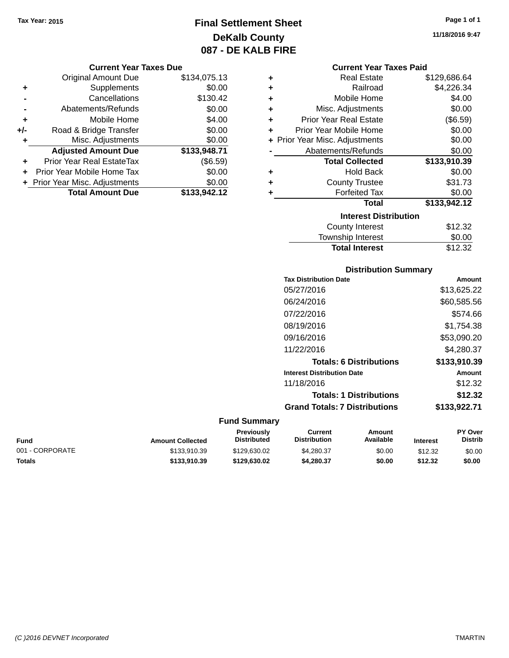### **Final Settlement Sheet Tax Year: 2015 Page 1 of 1 DeKalb County 087 - DE KALB FIRE**

#### **Current Year Taxes Due**

|       | <b>Original Amount Due</b>       | \$134,075.13 |
|-------|----------------------------------|--------------|
| ٠     | Supplements                      | \$0.00       |
|       | Cancellations                    | \$130.42     |
|       | Abatements/Refunds               | \$0.00       |
| ٠     | Mobile Home                      | \$4.00       |
| $+/-$ | Road & Bridge Transfer           | \$0.00       |
| ٠     | Misc. Adjustments                | \$0.00       |
|       | <b>Adjusted Amount Due</b>       | \$133,948.71 |
| ÷     | <b>Prior Year Real EstateTax</b> | (\$6.59)     |
|       | Prior Year Mobile Home Tax       | \$0.00       |
|       | + Prior Year Misc. Adjustments   | \$0.00       |
|       | <b>Total Amount Due</b>          | \$133.942.12 |

| ٠ | <b>Real Estate</b>             | \$129,686.64 |
|---|--------------------------------|--------------|
| ÷ | Railroad                       | \$4,226.34   |
| ÷ | Mobile Home                    | \$4.00       |
| ÷ | Misc. Adjustments              | \$0.00       |
| ÷ | <b>Prior Year Real Estate</b>  | (\$6.59)     |
| ÷ | Prior Year Mobile Home         | \$0.00       |
|   | + Prior Year Misc. Adjustments | \$0.00       |
|   | Abatements/Refunds             | \$0.00       |
|   |                                |              |
|   | <b>Total Collected</b>         | \$133,910.39 |
| ٠ | <b>Hold Back</b>               | \$0.00       |
| ÷ | <b>County Trustee</b>          | \$31.73      |
| ٠ | <b>Forfeited Tax</b>           | \$0.00       |
|   | <b>Total</b>                   | \$133,942.12 |
|   | <b>Interest Distribution</b>   |              |
|   | County Interest                | \$12.32      |

# **Distribution Summary**

**Total Interest** \$12.32

| <b>Tax Distribution Date</b>         | Amount       |
|--------------------------------------|--------------|
| 05/27/2016                           | \$13,625.22  |
| 06/24/2016                           | \$60,585.56  |
| 07/22/2016                           | \$574.66     |
| 08/19/2016                           | \$1,754.38   |
| 09/16/2016                           | \$53,090.20  |
| 11/22/2016                           | \$4,280.37   |
| <b>Totals: 6 Distributions</b>       | \$133,910.39 |
| <b>Interest Distribution Date</b>    | Amount       |
| 11/18/2016                           | \$12.32      |
| <b>Totals: 1 Distributions</b>       | \$12.32      |
| <b>Grand Totals: 7 Distributions</b> | \$133,922.71 |
|                                      |              |

### **Fund Summary**

| Fund            | <b>Amount Collected</b> | Previously<br><b>Distributed</b> | Current<br><b>Distribution</b> | Amount<br>Available | <b>Interest</b> | <b>PY Over</b><br><b>Distrib</b> |
|-----------------|-------------------------|----------------------------------|--------------------------------|---------------------|-----------------|----------------------------------|
| 001 - CORPORATE | \$133,910.39            | \$129,630.02                     | \$4,280.37                     | \$0.00              | \$12.32         | \$0.00                           |
| Totals          | \$133,910.39            | \$129,630.02                     | \$4,280,37                     | \$0.00              | \$12.32         | \$0.00                           |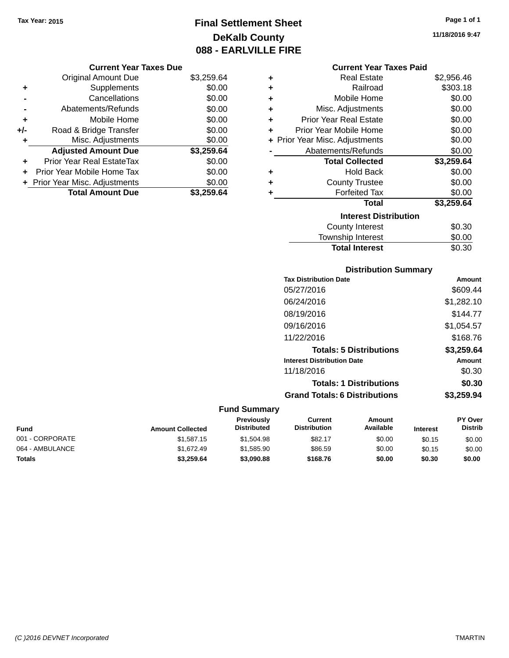### **Final Settlement Sheet Tax Year: 2015 Page 1 of 1 DeKalb County 088 - EARLVILLE FIRE**

**11/18/2016 9:47**

| <b>Current Year Taxes Due</b> |  |
|-------------------------------|--|
|-------------------------------|--|

|       | <b>Original Amount Due</b>     | \$3,259.64 |
|-------|--------------------------------|------------|
| ٠     | Supplements                    | \$0.00     |
|       | Cancellations                  | \$0.00     |
|       | Abatements/Refunds             | \$0.00     |
| ٠     | Mobile Home                    | \$0.00     |
| $+/-$ | Road & Bridge Transfer         | \$0.00     |
| ٠     | Misc. Adjustments              | \$0.00     |
|       | <b>Adjusted Amount Due</b>     | \$3,259.64 |
| ٠     | Prior Year Real EstateTax      | \$0.00     |
|       | Prior Year Mobile Home Tax     | \$0.00     |
|       | + Prior Year Misc. Adjustments | \$0.00     |
|       | <b>Total Amount Due</b>        | \$3.259.64 |

|   | <b>Current Year Taxes Paid</b> |            |
|---|--------------------------------|------------|
| ٠ | <b>Real Estate</b>             | \$2,956.46 |
| ÷ | Railroad                       | \$303.18   |
| ÷ | Mobile Home                    | \$0.00     |
| ÷ | Misc. Adjustments              | \$0.00     |
| ÷ | <b>Prior Year Real Estate</b>  | \$0.00     |
| ÷ | Prior Year Mobile Home         | \$0.00     |

|    | + Prior Year Misc. Adjustments | \$0.00     |
|----|--------------------------------|------------|
|    | Abatements/Refunds             | \$0.00     |
|    | <b>Total Collected</b>         | \$3,259.64 |
| ÷  | <b>Hold Back</b>               | \$0.00     |
| Ŧ. | <b>County Trustee</b>          | \$0.00     |
| ÷. | <b>Forfeited Tax</b>           | \$0.00     |
|    | Total                          | \$3,259.64 |
|    | <b>Interest Distribution</b>   |            |
|    | <b>County Interest</b>         | \$0.30     |
|    | <b>Township Interest</b>       | \$0.00     |

| <b>Total Interest</b> | \$0.30 |
|-----------------------|--------|
| Township Interest     | \$0.00 |
| County interest       | JU.JU  |

### **Distribution Summary**

| <b>Tax Distribution Date</b>         | <b>Amount</b> |
|--------------------------------------|---------------|
| 05/27/2016                           | \$609.44      |
| 06/24/2016                           | \$1,282.10    |
| 08/19/2016                           | \$144.77      |
| 09/16/2016                           | \$1,054.57    |
| 11/22/2016                           | \$168.76      |
| <b>Totals: 5 Distributions</b>       | \$3,259.64    |
| <b>Interest Distribution Date</b>    | <b>Amount</b> |
| 11/18/2016                           | \$0.30        |
| <b>Totals: 1 Distributions</b>       | \$0.30        |
| <b>Grand Totals: 6 Distributions</b> | \$3,259.94    |

| Fund            | <b>Amount Collected</b> | <b>Previously</b><br>Distributed | Current<br><b>Distribution</b> | Amount<br>Available | <b>Interest</b> | <b>PY Over</b><br><b>Distrib</b> |
|-----------------|-------------------------|----------------------------------|--------------------------------|---------------------|-----------------|----------------------------------|
| 001 - CORPORATE | \$1,587.15              | \$1,504.98                       | \$82.17                        | \$0.00              | \$0.15          | \$0.00                           |
| 064 - AMBULANCE | \$1.672.49              | \$1,585.90                       | \$86.59                        | \$0.00              | \$0.15          | \$0.00                           |
| <b>Totals</b>   | \$3.259.64              | \$3,090.88                       | \$168.76                       | \$0.00              | \$0.30          | \$0.00                           |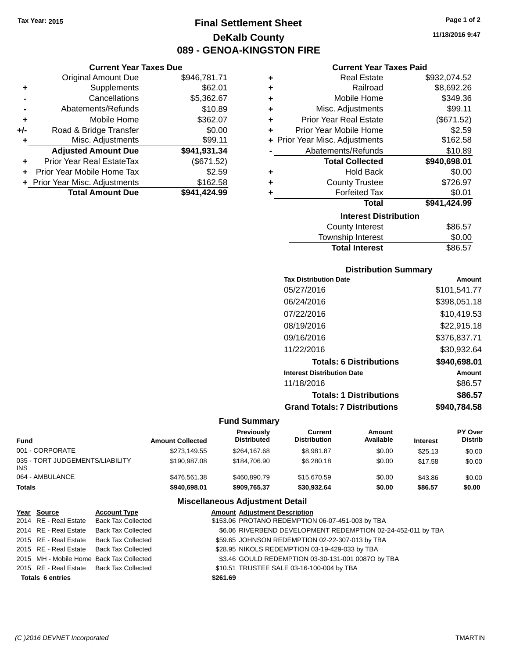**Current Year Taxes Due** Original Amount Due \$946,781.71

**Adjusted Amount Due \$941,931.34**

**Total Amount Due \$941,424.99**

**+** Supplements \$62.01 **-** Cancellations \$5,362.67 **-** Abatements/Refunds \$10.89 **+** Mobile Home \$362.07 **+/-** Road & Bridge Transfer \$0.00<br> **+** Misc. Adjustments \$99.11

**+** Prior Year Real EstateTax (\$671.52) **+** Prior Year Mobile Home Tax \$2.59 **+** Prior Year Misc. Adjustments \$162.58

**+** Misc. Adjustments

### **Final Settlement Sheet Tax Year: 2015 Page 1 of 2 DeKalb County 089 - GENOA-KINGSTON FIRE**

**11/18/2016 9:47**

### **Current Year Taxes Paid**

| ٠ | <b>Real Estate</b>             | \$932,074.52 |
|---|--------------------------------|--------------|
| ÷ | Railroad                       | \$8,692.26   |
| ÷ | Mobile Home                    | \$349.36     |
| ÷ | Misc. Adjustments              | \$99.11      |
| ÷ | <b>Prior Year Real Estate</b>  | (\$671.52)   |
| ٠ | Prior Year Mobile Home         | \$2.59       |
|   | + Prior Year Misc. Adjustments | \$162.58     |
|   | Abatements/Refunds             | \$10.89      |
|   | <b>Total Collected</b>         | \$940,698.01 |
| ٠ | <b>Hold Back</b>               | \$0.00       |
| ÷ | <b>County Trustee</b>          | \$726.97     |
|   | <b>Forfeited Tax</b>           | \$0.01       |
|   | <b>Total</b>                   | \$941,424.99 |
|   | <b>Interest Distribution</b>   |              |
|   | <b>County Interest</b>         | \$86.57      |
|   | Townehin Interest              | ፍስ ሰስ        |

| County Interest       | \$86.57 |
|-----------------------|---------|
| Township Interest     | \$0.00  |
| <b>Total Interest</b> | \$86.57 |
|                       |         |

### **Distribution Summary**

| <b>Tax Distribution Date</b>         | Amount       |
|--------------------------------------|--------------|
| 05/27/2016                           | \$101,541.77 |
| 06/24/2016                           | \$398,051.18 |
| 07/22/2016                           | \$10,419.53  |
| 08/19/2016                           | \$22,915.18  |
| 09/16/2016                           | \$376,837.71 |
| 11/22/2016                           | \$30,932.64  |
| <b>Totals: 6 Distributions</b>       | \$940,698.01 |
| <b>Interest Distribution Date</b>    | Amount       |
| 11/18/2016                           | \$86.57      |
| <b>Totals: 1 Distributions</b>       | \$86.57      |
| <b>Grand Totals: 7 Distributions</b> | \$940.784.58 |

#### **Fund Summary**

| Fund                                   | <b>Amount Collected</b> | Previously<br><b>Distributed</b> | Current<br><b>Distribution</b> | Amount<br>Available | <b>Interest</b> | PY Over<br><b>Distrib</b> |
|----------------------------------------|-------------------------|----------------------------------|--------------------------------|---------------------|-----------------|---------------------------|
| 001 - CORPORATE                        | \$273.149.55            | \$264.167.68                     | \$8.981.87                     | \$0.00              | \$25.13         | \$0.00                    |
| 035 - TORT JUDGEMENTS/LIABILITY<br>INS | \$190,987.08            | \$184,706.90                     | \$6,280.18                     | \$0.00              | \$17.58         | \$0.00                    |
| 064 - AMBULANCE                        | \$476,561,38            | \$460,890.79                     | \$15,670.59                    | \$0.00              | \$43.86         | \$0.00                    |
| Totals                                 | \$940,698.01            | \$909.765.37                     | \$30.932.64                    | \$0.00              | \$86.57         | \$0.00                    |

#### **Miscellaneous Adjustment Detail**

| Year Source             | <b>Account Type</b>                      |          | <b>Amount Adjustment Description</b>                         |
|-------------------------|------------------------------------------|----------|--------------------------------------------------------------|
| 2014 RE - Real Estate   | <b>Back Tax Collected</b>                |          | \$153.06 PROTANO REDEMPTION 06-07-451-003 by TBA             |
| 2014 RE - Real Estate   | <b>Back Tax Collected</b>                |          | \$6.06 RIVERBEND DEVELOPMENT REDEMPTION 02-24-452-011 by TBA |
|                         | 2015 RE - Real Estate Back Tax Collected |          | \$59.65 JOHNSON REDEMPTION 02-22-307-013 by TBA              |
|                         | 2015 RE - Real Estate Back Tax Collected |          | \$28.95 NIKOLS REDEMPTION 03-19-429-033 by TBA               |
|                         | 2015 MH - Mobile Home Back Tax Collected |          | \$3.46 GOULD REDEMPTION 03-30-131-001 0087O by TBA           |
|                         | 2015 RE - Real Estate Back Tax Collected |          | \$10.51 TRUSTEE SALE 03-16-100-004 by TBA                    |
| <b>Totals 6 entries</b> |                                          | \$261.69 |                                                              |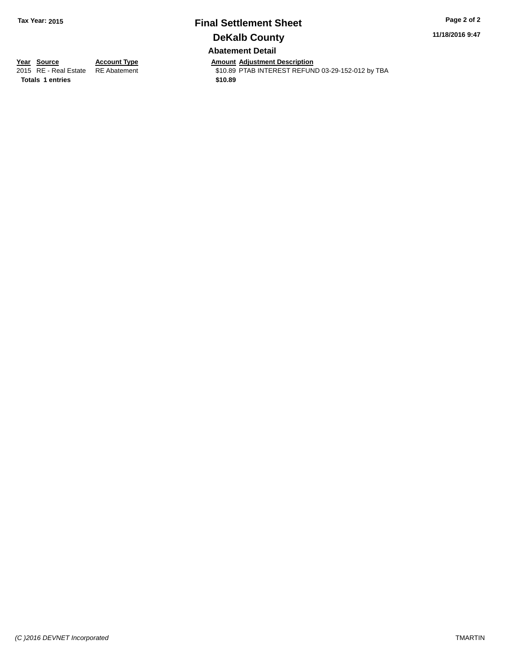### **Final Settlement Sheet Tax Year: 2015 Page 2 of 2 DeKalb County Abatement Detail**

**11/18/2016 9:47**

**Totals 1 entries** \$10.89

**Year Source Account Type And Amount Adjustment Description**<br>2015 RE - Real Estate RE Abatement **Account 1999 AMOUS** \$10.89 PTAB INTEREST REFUN \$10.89 PTAB INTEREST REFUND 03-29-152-012 by TBA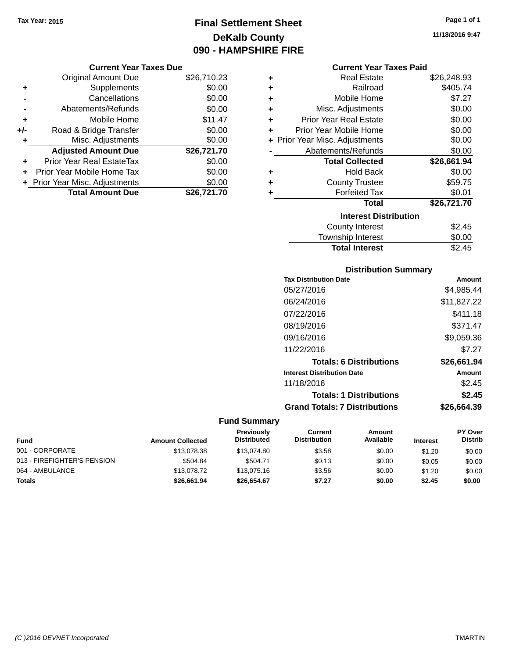### **Final Settlement Sheet Tax Year: 2015 Page 1 of 1 DeKalb County 090 - HAMPSHIRE FIRE**

**11/18/2016 9:47**

|       | <b>Original Amount Due</b>       | \$26,710.23 |
|-------|----------------------------------|-------------|
| ٠     | Supplements                      | \$0.00      |
|       | Cancellations                    | \$0.00      |
|       | Abatements/Refunds               | \$0.00      |
| ٠     | Mobile Home                      | \$11.47     |
| $+/-$ | Road & Bridge Transfer           | \$0.00      |
| ٠     | Misc. Adjustments                | \$0.00      |
|       | <b>Adjusted Amount Due</b>       | \$26,721.70 |
|       | <b>Prior Year Real EstateTax</b> | \$0.00      |
|       | Prior Year Mobile Home Tax       | \$0.00      |
|       | + Prior Year Misc. Adjustments   | \$0.00      |
|       | <b>Total Amount Due</b>          | \$26.721.70 |

|   | <b>Current Year Taxes Paid</b> |             |  |  |  |
|---|--------------------------------|-------------|--|--|--|
| ٠ | <b>Real Estate</b>             | \$26,248.93 |  |  |  |
| ٠ | Railroad                       | \$405.74    |  |  |  |
| ٠ | Mobile Home                    | \$7.27      |  |  |  |
| ٠ | Misc. Adjustments              | \$0.00      |  |  |  |
| ٠ | <b>Prior Year Real Estate</b>  | \$0.00      |  |  |  |
| ٠ | Prior Year Mobile Home         | \$0.00      |  |  |  |
|   | + Prior Year Misc. Adjustments | \$0.00      |  |  |  |
|   | Abatements/Refunds             | \$0.00      |  |  |  |
|   | <b>Total Collected</b>         | \$26,661.94 |  |  |  |
| ٠ | <b>Hold Back</b>               | \$0.00      |  |  |  |
| ٠ | <b>County Trustee</b>          | \$59.75     |  |  |  |
| ٠ | <b>Forfeited Tax</b>           | \$0.01      |  |  |  |
|   | <b>Total</b>                   | \$26,721.70 |  |  |  |
|   | <b>Interest Distribution</b>   |             |  |  |  |
|   | County Interest                | \$2.45      |  |  |  |
|   | <b>Township Interest</b>       | \$0.00      |  |  |  |
|   | <b>Total Interest</b>          | \$2.45      |  |  |  |

| <b>Distribution Summary</b>          |             |
|--------------------------------------|-------------|
| <b>Tax Distribution Date</b>         | Amount      |
| 05/27/2016                           | \$4,985.44  |
| 06/24/2016                           | \$11,827.22 |
| 07/22/2016                           | \$411.18    |
| 08/19/2016                           | \$371.47    |
| 09/16/2016                           | \$9,059.36  |
| 11/22/2016                           | \$7.27      |
| <b>Totals: 6 Distributions</b>       | \$26,661.94 |
| <b>Interest Distribution Date</b>    | Amount      |
| 11/18/2016                           | \$2.45      |
| <b>Totals: 1 Distributions</b>       | \$2.45      |
| <b>Grand Totals: 7 Distributions</b> | \$26,664.39 |

| <b>Fund</b>                 | <b>Amount Collected</b> | <b>Previously</b><br><b>Distributed</b> | Current<br><b>Distribution</b> | Amount<br>Available | <b>Interest</b> | PY Over<br><b>Distrib</b> |
|-----------------------------|-------------------------|-----------------------------------------|--------------------------------|---------------------|-----------------|---------------------------|
| 001 - CORPORATE             | \$13,078.38             | \$13,074.80                             | \$3.58                         | \$0.00              | \$1.20          | \$0.00                    |
| 013 - FIREFIGHTER'S PENSION | \$504.84                | \$504.71                                | \$0.13                         | \$0.00              | \$0.05          | \$0.00                    |
| 064 - AMBULANCE             | \$13,078.72             | \$13,075.16                             | \$3.56                         | \$0.00              | \$1.20          | \$0.00                    |
| <b>Totals</b>               | \$26,661.94             | \$26,654.67                             | \$7.27                         | \$0.00              | \$2.45          | \$0.00                    |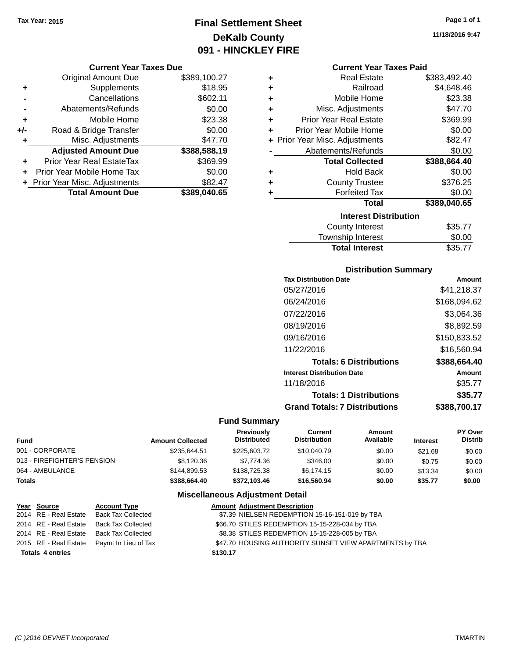### **Final Settlement Sheet Tax Year: 2015 Page 1 of 1 DeKalb County 091 - HINCKLEY FIRE**

#### **Current Year Taxes Due**

|       | <b>Original Amount Due</b>       | \$389,100.27 |
|-------|----------------------------------|--------------|
| ٠     | Supplements                      | \$18.95      |
|       | Cancellations                    | \$602.11     |
|       | Abatements/Refunds               | \$0.00       |
| ÷     | Mobile Home                      | \$23.38      |
| $+/-$ | Road & Bridge Transfer           | \$0.00       |
| ٠     | Misc. Adjustments                | \$47.70      |
|       | <b>Adjusted Amount Due</b>       | \$388,588.19 |
|       | <b>Prior Year Real EstateTax</b> | \$369.99     |
|       | Prior Year Mobile Home Tax       | \$0.00       |
|       | + Prior Year Misc. Adjustments   | \$82.47      |
|       | <b>Total Amount Due</b>          | \$389,040.65 |

| ٠ | <b>Real Estate</b>             | \$383,492.40 |
|---|--------------------------------|--------------|
| ÷ | Railroad                       | \$4,648.46   |
| ÷ | Mobile Home                    | \$23.38      |
| ÷ | Misc. Adjustments              | \$47.70      |
| ٠ | <b>Prior Year Real Estate</b>  | \$369.99     |
| ÷ | Prior Year Mobile Home         | \$0.00       |
|   | + Prior Year Misc. Adjustments | \$82.47      |
|   | Abatements/Refunds             | \$0.00       |
|   |                                |              |
|   | <b>Total Collected</b>         | \$388,664.40 |
| ٠ | <b>Hold Back</b>               | \$0.00       |
| ٠ | <b>County Trustee</b>          | \$376.25     |
| ٠ | <b>Forfeited Tax</b>           | \$0.00       |
|   | <b>Total</b>                   | \$389,040.65 |
|   | <b>Interest Distribution</b>   |              |
|   | <b>County Interest</b>         | \$35.77      |

# Total Interest \$35.77

| <b>Distribution Summary</b>          |              |
|--------------------------------------|--------------|
| <b>Tax Distribution Date</b>         | Amount       |
| 05/27/2016                           | \$41,218.37  |
| 06/24/2016                           | \$168,094.62 |
| 07/22/2016                           | \$3,064.36   |
| 08/19/2016                           | \$8,892.59   |
| 09/16/2016                           | \$150,833.52 |
| 11/22/2016                           | \$16.560.94  |
| <b>Totals: 6 Distributions</b>       | \$388,664.40 |
| <b>Interest Distribution Date</b>    | Amount       |
| 11/18/2016                           | \$35.77      |
| <b>Totals: 1 Distributions</b>       | \$35.77      |
| <b>Grand Totals: 7 Distributions</b> | \$388.700.17 |

### **Fund Summary**

| Fund                        | <b>Amount Collected</b> | <b>Previously</b><br><b>Distributed</b> | Current<br><b>Distribution</b> | Amount<br>Available | <b>Interest</b> | <b>PY Over</b><br><b>Distrib</b> |
|-----------------------------|-------------------------|-----------------------------------------|--------------------------------|---------------------|-----------------|----------------------------------|
| 001 - CORPORATE             | \$235.644.51            | \$225,603.72                            | \$10,040.79                    | \$0.00              | \$21.68         | \$0.00                           |
| 013 - FIREFIGHTER'S PENSION | \$8.120.36              | \$7,774.36                              | \$346.00                       | \$0.00              | \$0.75          | \$0.00                           |
| 064 - AMBULANCE             | \$144,899.53            | \$138,725,38                            | \$6.174.15                     | \$0.00              | \$13.34         | \$0.00                           |
| Totals                      | \$388,664.40            | \$372,103,46                            | \$16,560,94                    | \$0.00              | \$35.77         | \$0.00                           |

### **Miscellaneous Adjustment Detail**

| Year Source             | <b>Account Type</b>                        | <b>Amount Adjustment Description</b>                    |
|-------------------------|--------------------------------------------|---------------------------------------------------------|
| 2014 RE - Real Estate   | <b>Back Tax Collected</b>                  | \$7.39 NIELSEN REDEMPTION 15-16-151-019 by TBA          |
| 2014 RE - Real Estate   | Back Tax Collected                         | \$66.70 STILES REDEMPTION 15-15-228-034 by TBA          |
| 2014 RE - Real Estate   | Back Tax Collected                         | \$8.38 STILES REDEMPTION 15-15-228-005 by TBA           |
|                         | 2015 RE - Real Estate Paymt In Lieu of Tax | \$47.70 HOUSING AUTHORITY SUNSET VIEW APARTMENTS by TBA |
| <b>Totals 4 entries</b> |                                            | \$130.17                                                |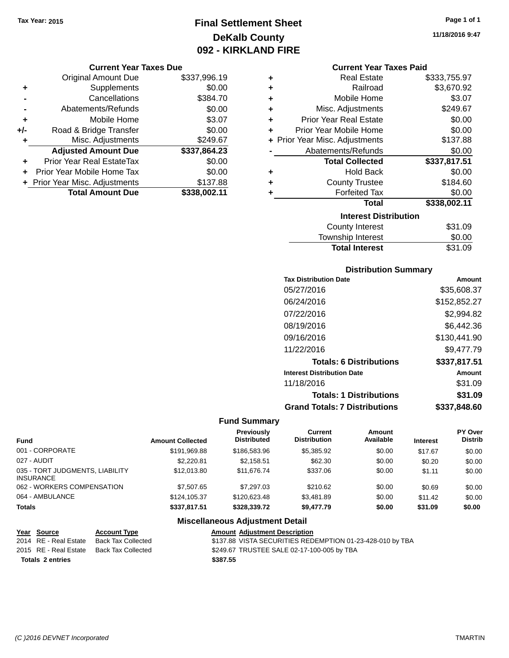### **Final Settlement Sheet Tax Year: 2015 Page 1 of 1 DeKalb County 092 - KIRKLAND FIRE**

#### **Current Year Taxes Due**

|       | <b>Original Amount Due</b>     | \$337,996.19 |
|-------|--------------------------------|--------------|
| ٠     | Supplements                    | \$0.00       |
|       | Cancellations                  | \$384.70     |
|       | Abatements/Refunds             | \$0.00       |
| ٠     | Mobile Home                    | \$3.07       |
| $+/-$ | Road & Bridge Transfer         | \$0.00       |
| ٠     | Misc. Adjustments              | \$249.67     |
|       | <b>Adjusted Amount Due</b>     | \$337,864.23 |
|       | Prior Year Real EstateTax      | \$0.00       |
|       | Prior Year Mobile Home Tax     | \$0.00       |
|       | + Prior Year Misc. Adjustments | \$137.88     |
|       | <b>Total Amount Due</b>        | \$338.002.11 |

#### **Current Year Taxes Paid**

| ٠ | <b>Real Estate</b>             | \$333,755.97 |
|---|--------------------------------|--------------|
| ÷ | Railroad                       | \$3,670.92   |
| ÷ | Mobile Home                    | \$3.07       |
| ÷ | Misc. Adjustments              | \$249.67     |
| ٠ | <b>Prior Year Real Estate</b>  | \$0.00       |
| ٠ | Prior Year Mobile Home         | \$0.00       |
|   | + Prior Year Misc. Adjustments | \$137.88     |
|   | Abatements/Refunds             | \$0.00       |
|   | <b>Total Collected</b>         | \$337,817.51 |
| ٠ | Hold Back                      | \$0.00       |
| ٠ | <b>County Trustee</b>          | \$184.60     |
| ٠ | <b>Forfeited Tax</b>           | \$0.00       |
|   | <b>Total</b>                   | \$338,002.11 |
|   | <b>Interest Distribution</b>   |              |
|   | <b>County Interest</b>         | \$31.09      |
|   | <b>Township Interest</b>       | \$0.00       |
|   | <b>Total Interest</b>          | \$31.09      |

### **Distribution Summary**

| <b>Tax Distribution Date</b>         | Amount       |
|--------------------------------------|--------------|
| 05/27/2016                           | \$35,608.37  |
| 06/24/2016                           | \$152,852.27 |
| 07/22/2016                           | \$2,994.82   |
| 08/19/2016                           | \$6,442.36   |
| 09/16/2016                           | \$130,441.90 |
| 11/22/2016                           | \$9.477.79   |
| <b>Totals: 6 Distributions</b>       | \$337,817.51 |
| <b>Interest Distribution Date</b>    | Amount       |
| 11/18/2016                           | \$31.09      |
| <b>Totals: 1 Distributions</b>       | \$31.09      |
| <b>Grand Totals: 7 Distributions</b> | \$337,848.60 |

### **Fund Summary**

| <b>Fund</b>                                         | <b>Amount Collected</b> | Previously<br><b>Distributed</b> | Current<br><b>Distribution</b> | Amount<br>Available | <b>Interest</b> | <b>PY Over</b><br><b>Distrib</b> |
|-----------------------------------------------------|-------------------------|----------------------------------|--------------------------------|---------------------|-----------------|----------------------------------|
| 001 - CORPORATE                                     | \$191,969.88            | \$186,583,96                     | \$5,385.92                     | \$0.00              | \$17.67         | \$0.00                           |
| 027 - AUDIT                                         | \$2,220.81              | \$2.158.51                       | \$62.30                        | \$0.00              | \$0.20          | \$0.00                           |
| 035 - TORT JUDGMENTS, LIABILITY<br><b>INSURANCE</b> | \$12,013.80             | \$11.676.74                      | \$337.06                       | \$0.00              | \$1.11          | \$0.00                           |
| 062 - WORKERS COMPENSATION                          | \$7,507.65              | \$7,297.03                       | \$210.62                       | \$0.00              | \$0.69          | \$0.00                           |
| 064 - AMBULANCE                                     | \$124,105.37            | \$120,623.48                     | \$3.481.89                     | \$0.00              | \$11.42         | \$0.00                           |
| <b>Totals</b>                                       | \$337,817.51            | \$328,339.72                     | \$9,477.79                     | \$0.00              | \$31.09         | \$0.00                           |

### **Miscellaneous Adjustment Detail**

| Year Source           | <b>Account Type</b> | <b>Amount Adiustment Description</b>                      |
|-----------------------|---------------------|-----------------------------------------------------------|
| 2014 RE - Real Estate | Back Tax Collected  | \$137.88 VISTA SECURITIES REDEMPTION 01-23-428-010 by TBA |
| 2015 RE - Real Estate | Back Tax Collected  | \$249.67 TRUSTEE SALE 02-17-100-005 by TBA                |
| Totals 2 entries      |                     | \$387.55                                                  |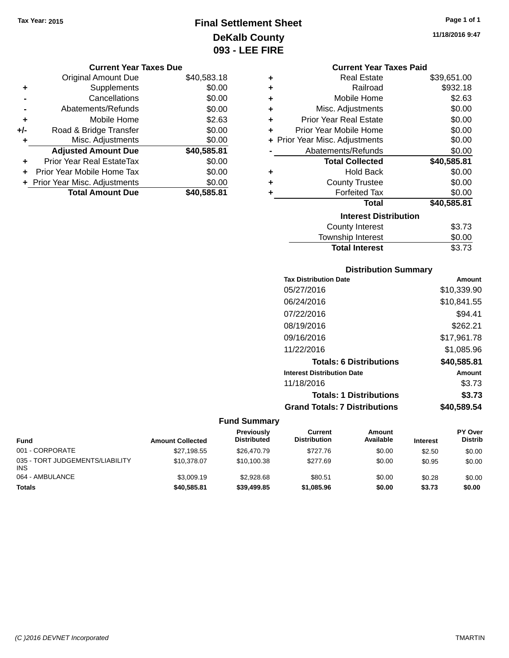### **Final Settlement Sheet Tax Year: 2015 Page 1 of 1 DeKalb County 093 - LEE FIRE**

**11/18/2016 9:47**

|  | <b>Current Year Taxes Due</b> |
|--|-------------------------------|
|--|-------------------------------|

|       | <b>Original Amount Due</b>     | \$40,583.18 |
|-------|--------------------------------|-------------|
| ٠     | Supplements                    | \$0.00      |
|       | Cancellations                  | \$0.00      |
|       | Abatements/Refunds             | \$0.00      |
| ÷     | Mobile Home                    | \$2.63      |
| $+/-$ | Road & Bridge Transfer         | \$0.00      |
| ٠     | Misc. Adjustments              | \$0.00      |
|       | <b>Adjusted Amount Due</b>     | \$40,585.81 |
| ٠     | Prior Year Real EstateTax      | \$0.00      |
|       | Prior Year Mobile Home Tax     | \$0.00      |
|       | + Prior Year Misc. Adjustments | \$0.00      |
|       | <b>Total Amount Due</b>        | \$40,585.81 |

|   | <b>Current Year Taxes Paid</b> |             |  |  |  |
|---|--------------------------------|-------------|--|--|--|
| ٠ | <b>Real Estate</b>             | \$39,651.00 |  |  |  |
| ٠ | Railroad                       | \$932.18    |  |  |  |
| ÷ | Mobile Home                    | \$2.63      |  |  |  |
| ÷ | Misc. Adjustments              | \$0.00      |  |  |  |
| ÷ | Prior Year Real Estate         | \$0.00      |  |  |  |
| ÷ | Prior Year Mobile Home         | \$0.00      |  |  |  |
|   | + Prior Year Misc. Adjustments | \$0.00      |  |  |  |
|   | Abatements/Refunds             | \$0.00      |  |  |  |
|   | <b>Total Collected</b>         | \$40,585.81 |  |  |  |
| ÷ | <b>Hold Back</b>               | \$0.00      |  |  |  |
| ٠ | <b>County Trustee</b>          | \$0.00      |  |  |  |
| ٠ | <b>Forfeited Tax</b>           | \$0.00      |  |  |  |
|   | Total                          | \$40,585.81 |  |  |  |
|   | <b>Interest Distribution</b>   |             |  |  |  |
|   | <b>County Interest</b>         | \$3.73      |  |  |  |
|   | <b>Township Interest</b>       | \$0.00      |  |  |  |
|   | <b>Total Interest</b>          | \$3.73      |  |  |  |

## **Distribution Summary**

| Amount      |
|-------------|
| \$10,339.90 |
| \$10,841.55 |
| \$94.41     |
| \$262.21    |
| \$17,961.78 |
| \$1,085.96  |
| \$40,585.81 |
| Amount      |
| \$3.73      |
| \$3.73      |
| \$40,589.54 |
|             |

| <b>Fund</b>                                   | <b>Amount Collected</b> | <b>Previously</b><br><b>Distributed</b> | Current<br><b>Distribution</b> | Amount<br>Available | <b>Interest</b> | PY Over<br><b>Distrib</b> |
|-----------------------------------------------|-------------------------|-----------------------------------------|--------------------------------|---------------------|-----------------|---------------------------|
| 001 - CORPORATE                               | \$27,198.55             | \$26,470.79                             | \$727.76                       | \$0.00              | \$2.50          | \$0.00                    |
| 035 - TORT JUDGEMENTS/LIABILITY<br><b>INS</b> | \$10.378.07             | \$10.100.38                             | \$277.69                       | \$0.00              | \$0.95          | \$0.00                    |
| 064 - AMBULANCE                               | \$3,009.19              | \$2,928.68                              | \$80.51                        | \$0.00              | \$0.28          | \$0.00                    |
| <b>Totals</b>                                 | \$40,585.81             | \$39,499.85                             | \$1,085.96                     | \$0.00              | \$3.73          | \$0.00                    |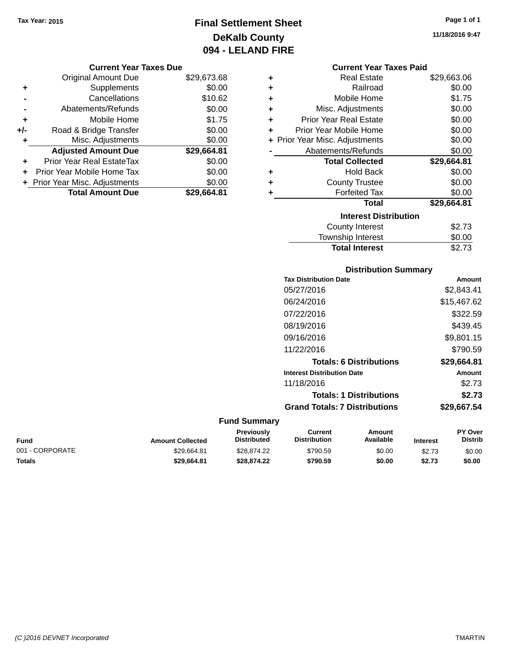### **Final Settlement Sheet Tax Year: 2015 Page 1 of 1 DeKalb County 094 - LELAND FIRE**

**11/18/2016 9:47**

#### **Current Year Taxes Due**

|     | <b>Original Amount Due</b>     | \$29,673.68 |
|-----|--------------------------------|-------------|
| ٠   | Supplements                    | \$0.00      |
|     | Cancellations                  | \$10.62     |
|     | Abatements/Refunds             | \$0.00      |
| ÷   | Mobile Home                    | \$1.75      |
| +/- | Road & Bridge Transfer         | \$0.00      |
| ٠   | Misc. Adjustments              | \$0.00      |
|     | <b>Adjusted Amount Due</b>     | \$29,664.81 |
| ÷   | Prior Year Real EstateTax      | \$0.00      |
|     | Prior Year Mobile Home Tax     | \$0.00      |
|     | + Prior Year Misc. Adjustments | \$0.00      |
|     | <b>Total Amount Due</b>        | \$29,664.81 |

|   | <b>Current Year Taxes Paid</b> |             |
|---|--------------------------------|-------------|
| ÷ | Real Estate                    | \$29,663.06 |
| ÷ | Railroad                       | \$0.00      |
| ÷ | Mobile Home                    | \$1.75      |
| ٠ | Misc. Adjustments              | \$0.00      |
| ÷ | Prior Year Real Estate         | \$0.00      |
| ÷ | Prior Year Mobile Home         | \$0.00      |
| ÷ | Prior Year Misc. Adjustments   | \$0.00      |
|   | Abatements/Refunds             | \$0.00      |
|   | <b>Total Collected</b>         | \$29,664.81 |
|   | Hold Back                      | \$0.00      |
|   | <b>County Trustee</b>          | \$0.00      |
|   | <b>Forfeited Tax</b>           | \$0.00      |
|   | Total                          | \$29.664.81 |
|   | <b>Interest Distribution</b>   |             |
|   | County Interest                | \$2.73      |
|   |                                |             |
|   | <b>Township Interest</b>       | \$0.00      |

### **Distribution Summary**

| <b>Tax Distribution Date</b>         | Amount      |
|--------------------------------------|-------------|
| 05/27/2016                           | \$2,843.41  |
| 06/24/2016                           | \$15,467.62 |
| 07/22/2016                           | \$322.59    |
| 08/19/2016                           | \$439.45    |
| 09/16/2016                           | \$9.801.15  |
| 11/22/2016                           | \$790.59    |
| <b>Totals: 6 Distributions</b>       | \$29,664.81 |
| <b>Interest Distribution Date</b>    | Amount      |
| 11/18/2016                           | \$2.73      |
| <b>Totals: 1 Distributions</b>       | \$2.73      |
| <b>Grand Totals: 7 Distributions</b> | \$29.667.54 |
|                                      |             |

| Fund            | <b>Amount Collected</b> | Previously<br><b>Distributed</b> | Current<br><b>Distribution</b> | Amount<br>Available | <b>Interest</b> | <b>PY Over</b><br><b>Distrib</b> |
|-----------------|-------------------------|----------------------------------|--------------------------------|---------------------|-----------------|----------------------------------|
| 001 - CORPORATE | \$29.664.81             | \$28.874.22                      | \$790.59                       | \$0.00              | \$2.73          | \$0.00                           |
| Totals          | \$29,664.81             | \$28.874.22                      | \$790.59                       | \$0.00              | \$2.73          | \$0.00                           |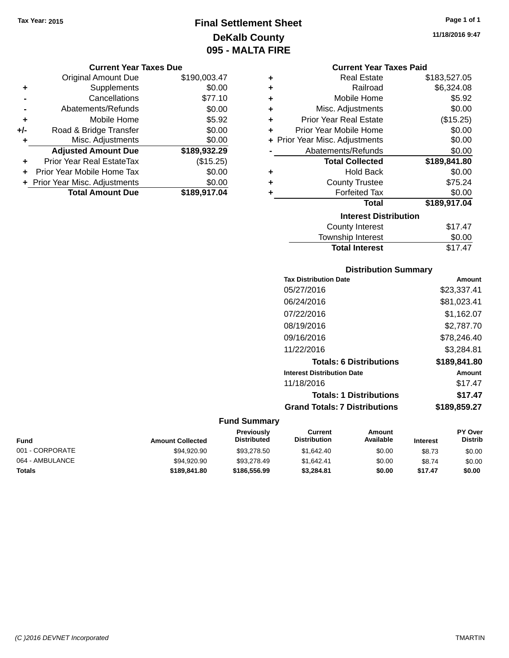### **Final Settlement Sheet Tax Year: 2015 Page 1 of 1 DeKalb County 095 - MALTA FIRE**

**11/18/2016 9:47**

| <b>Current Year Taxes Due</b> |  |  |  |
|-------------------------------|--|--|--|
|-------------------------------|--|--|--|

|       | <b>Original Amount Due</b>       | \$190,003.47 |
|-------|----------------------------------|--------------|
| ٠     | Supplements                      | \$0.00       |
|       | Cancellations                    | \$77.10      |
|       | Abatements/Refunds               | \$0.00       |
| ٠     | Mobile Home                      | \$5.92       |
| $+/-$ | Road & Bridge Transfer           | \$0.00       |
| ٠     | Misc. Adjustments                | \$0.00       |
|       | <b>Adjusted Amount Due</b>       | \$189,932.29 |
|       | <b>Prior Year Real EstateTax</b> | (\$15.25)    |
|       | Prior Year Mobile Home Tax       | \$0.00       |
|       | + Prior Year Misc. Adjustments   | \$0.00       |
|       | <b>Total Amount Due</b>          | \$189,917.04 |

| <b>Current Year Taxes Paid</b> |  |  |  |
|--------------------------------|--|--|--|
|--------------------------------|--|--|--|

| ÷ | <b>Real Estate</b>             | \$183,527.05 |
|---|--------------------------------|--------------|
| ÷ | Railroad                       | \$6,324.08   |
| ÷ | Mobile Home                    | \$5.92       |
| ٠ | Misc. Adjustments              | \$0.00       |
| ÷ | <b>Prior Year Real Estate</b>  | (\$15.25)    |
| ÷ | Prior Year Mobile Home         | \$0.00       |
|   | + Prior Year Misc. Adjustments | \$0.00       |
|   | Abatements/Refunds             | \$0.00       |
|   |                                |              |
|   | <b>Total Collected</b>         | \$189,841.80 |
| ٠ | <b>Hold Back</b>               | \$0.00       |
| ÷ | <b>County Trustee</b>          | \$75.24      |
|   | <b>Forfeited Tax</b>           | \$0.00       |
|   | <b>Total</b>                   | \$189,917.04 |
|   | <b>Interest Distribution</b>   |              |
|   | <b>County Interest</b>         | \$17.47      |

### **Distribution Summary**

**Total Interest** \$17.47

| <b>Tax Distribution Date</b>         | Amount       |
|--------------------------------------|--------------|
| 05/27/2016                           | \$23,337.41  |
| 06/24/2016                           | \$81,023.41  |
| 07/22/2016                           | \$1.162.07   |
| 08/19/2016                           | \$2,787.70   |
| 09/16/2016                           | \$78,246.40  |
| 11/22/2016                           | \$3,284.81   |
| <b>Totals: 6 Distributions</b>       | \$189,841.80 |
| <b>Interest Distribution Date</b>    | Amount       |
| 11/18/2016                           | \$17.47      |
| <b>Totals: 1 Distributions</b>       | \$17.47      |
| <b>Grand Totals: 7 Distributions</b> | \$189,859.27 |

| Fund            | <b>Amount Collected</b> | <b>Previously</b><br><b>Distributed</b> | Current<br><b>Distribution</b> | Amount<br>Available | <b>Interest</b> | <b>PY Over</b><br><b>Distrib</b> |
|-----------------|-------------------------|-----------------------------------------|--------------------------------|---------------------|-----------------|----------------------------------|
| 001 - CORPORATE | \$94.920.90             | \$93,278.50                             | \$1.642.40                     | \$0.00              | \$8.73          | \$0.00                           |
| 064 - AMBULANCE | \$94,920.90             | \$93,278.49                             | \$1.642.41                     | \$0.00              | \$8.74          | \$0.00                           |
| Totals          | \$189,841,80            | \$186,556,99                            | \$3.284.81                     | \$0.00              | \$17.47         | \$0.00                           |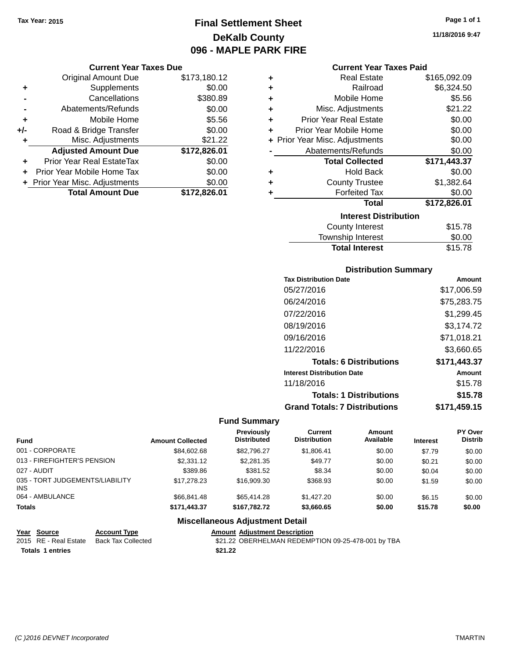### **Final Settlement Sheet Tax Year: 2015 Page 1 of 1 DeKalb County 096 - MAPLE PARK FIRE**

#### **Current Year Taxes Due**

|     | <b>Original Amount Due</b>       | \$173,180.12 |
|-----|----------------------------------|--------------|
| ٠   | Supplements                      | \$0.00       |
|     | Cancellations                    | \$380.89     |
|     | Abatements/Refunds               | \$0.00       |
| ٠   | Mobile Home                      | \$5.56       |
| +/- | Road & Bridge Transfer           | \$0.00       |
| ٠   | Misc. Adjustments                | \$21.22      |
|     | <b>Adjusted Amount Due</b>       | \$172,826.01 |
| ÷   | <b>Prior Year Real EstateTax</b> | \$0.00       |
|     | Prior Year Mobile Home Tax       | \$0.00       |
|     | + Prior Year Misc. Adjustments   | \$0.00       |
|     | <b>Total Amount Due</b>          | \$172,826.01 |

#### **Current Year Taxes Paid**

| ٠ | <b>Real Estate</b>             | \$165,092.09 |
|---|--------------------------------|--------------|
| ٠ | Railroad                       | \$6,324.50   |
| ÷ | Mobile Home                    | \$5.56       |
| ٠ | Misc. Adjustments              | \$21.22      |
| ٠ | <b>Prior Year Real Estate</b>  | \$0.00       |
| ٠ | Prior Year Mobile Home         | \$0.00       |
|   | + Prior Year Misc. Adjustments | \$0.00       |
|   | Abatements/Refunds             | \$0.00       |
|   |                                |              |
|   | <b>Total Collected</b>         | \$171,443.37 |
| ٠ | <b>Hold Back</b>               | \$0.00       |
| ٠ | <b>County Trustee</b>          | \$1,382.64   |
| ٠ | <b>Forfeited Tax</b>           | \$0.00       |
|   | <b>Total</b>                   | \$172,826.01 |
|   | <b>Interest Distribution</b>   |              |
|   | County Interest                | \$15.78      |

### **Distribution Summary**

Total Interest \$15.78

| <b>Tax Distribution Date</b>         | Amount        |
|--------------------------------------|---------------|
| 05/27/2016                           | \$17,006.59   |
| 06/24/2016                           | \$75,283.75   |
| 07/22/2016                           | \$1,299.45    |
| 08/19/2016                           | \$3.174.72    |
| 09/16/2016                           | \$71,018.21   |
| 11/22/2016                           | \$3.660.65    |
| <b>Totals: 6 Distributions</b>       | \$171,443.37  |
| <b>Interest Distribution Date</b>    | <b>Amount</b> |
| 11/18/2016                           | \$15.78       |
| <b>Totals: 1 Distributions</b>       | \$15.78       |
| <b>Grand Totals: 7 Distributions</b> | \$171,459.15  |

### **Fund Summary**

| <b>Fund</b>                             | <b>Amount Collected</b> | Previously<br><b>Distributed</b> | Current<br><b>Distribution</b> | Amount<br>Available | <b>Interest</b> | <b>PY Over</b><br>Distrib |
|-----------------------------------------|-------------------------|----------------------------------|--------------------------------|---------------------|-----------------|---------------------------|
| 001 - CORPORATE                         | \$84,602,68             | \$82.796.27                      | \$1.806.41                     | \$0.00              | \$7.79          | \$0.00                    |
| 013 - FIREFIGHTER'S PENSION             | \$2,331.12              | \$2,281.35                       | \$49.77                        | \$0.00              | \$0.21          | \$0.00                    |
| 027 - AUDIT                             | \$389.86                | \$381.52                         | \$8.34                         | \$0.00              | \$0.04          | \$0.00                    |
| 035 - TORT JUDGEMENTS/LIABILITY<br>INS. | \$17,278,23             | \$16,909.30                      | \$368.93                       | \$0.00              | \$1.59          | \$0.00                    |
| 064 - AMBULANCE                         | \$66,841.48             | \$65,414.28                      | \$1,427,20                     | \$0.00              | \$6.15          | \$0.00                    |
| <b>Totals</b>                           | \$171.443.37            | \$167.782.72                     | \$3,660.65                     | \$0.00              | \$15.78         | \$0.00                    |

### **Miscellaneous Adjustment Detail**

**Year Source Account Type Amount Adjustment Description Totals 1 entries** \$21.22

\$21.22 OBERHELMAN REDEMPTION 09-25-478-001 by TBA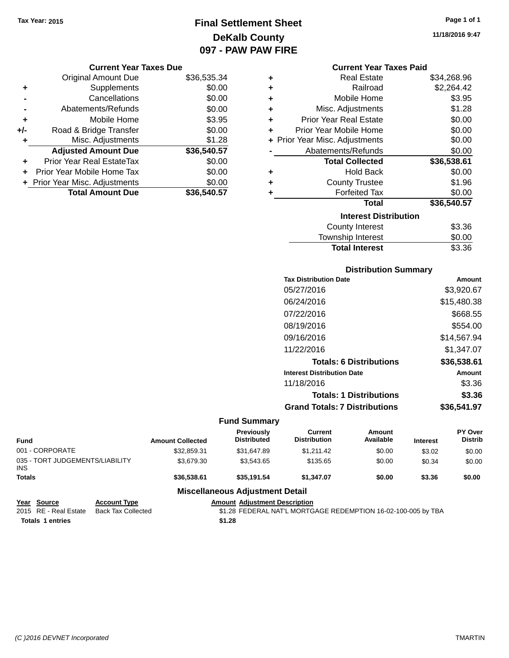### **Final Settlement Sheet Tax Year: 2015 Page 1 of 1 DeKalb County 097 - PAW PAW FIRE**

#### **Current Year Taxes Due**

|       | <b>Original Amount Due</b>       | \$36,535.34 |
|-------|----------------------------------|-------------|
| ٠     | Supplements                      | \$0.00      |
|       | Cancellations                    | \$0.00      |
|       | Abatements/Refunds               | \$0.00      |
| ÷     | Mobile Home                      | \$3.95      |
| $+/-$ | Road & Bridge Transfer           | \$0.00      |
| ٠     | Misc. Adjustments                | \$1.28      |
|       | <b>Adjusted Amount Due</b>       | \$36,540.57 |
| ÷     | <b>Prior Year Real EstateTax</b> | \$0.00      |
|       | Prior Year Mobile Home Tax       | \$0.00      |
|       | + Prior Year Misc. Adjustments   | \$0.00      |
|       | <b>Total Amount Due</b>          | \$36,540.57 |

|   | <b>Current Year Taxes Paid</b> |             |
|---|--------------------------------|-------------|
| ٠ | <b>Real Estate</b>             | \$34,268.96 |
| ÷ | Railroad                       | \$2,264.42  |
| ÷ | Mobile Home                    | \$3.95      |
| ÷ | Misc. Adjustments              | \$1.28      |
| ٠ | <b>Prior Year Real Estate</b>  | \$0.00      |
| ٠ | Prior Year Mobile Home         | \$0.00      |
|   | + Prior Year Misc. Adjustments | \$0.00      |
|   | Abatements/Refunds             | \$0.00      |
|   | <b>Total Collected</b>         | \$36,538.61 |
| ٠ | <b>Hold Back</b>               | \$0.00      |
| ٠ | <b>County Trustee</b>          | \$1.96      |
| ٠ | <b>Forfeited Tax</b>           | \$0.00      |
|   | Total                          | \$36,540.57 |
|   | <b>Interest Distribution</b>   |             |
|   | <b>County Interest</b>         | \$3.36      |

| <b>Total Interest</b>  | \$3.36 |
|------------------------|--------|
| Township Interest      | \$0.00 |
| <b>COUTTY THICLEST</b> | ⊍∪.ບບ  |

### **Distribution Summary**

| <b>Tax Distribution Date</b>         | Amount        |
|--------------------------------------|---------------|
| 05/27/2016                           | \$3,920.67    |
| 06/24/2016                           | \$15,480.38   |
| 07/22/2016                           | \$668.55      |
| 08/19/2016                           | \$554.00      |
| 09/16/2016                           | \$14,567.94   |
| 11/22/2016                           | \$1.347.07    |
| <b>Totals: 6 Distributions</b>       | \$36,538.61   |
| <b>Interest Distribution Date</b>    | <b>Amount</b> |
| 11/18/2016                           | \$3.36        |
| <b>Totals: 1 Distributions</b>       | \$3.36        |
| <b>Grand Totals: 7 Distributions</b> | \$36.541.97   |

### **Fund Summary**

÷.

| <b>Fund</b>                                   |                     | <b>Amount Collected</b> | Previously<br><b>Distributed</b>       | Current<br><b>Distribution</b> | Amount<br>Available | <b>Interest</b> | <b>PY Over</b><br><b>Distrib</b> |
|-----------------------------------------------|---------------------|-------------------------|----------------------------------------|--------------------------------|---------------------|-----------------|----------------------------------|
| 001 - CORPORATE                               |                     | \$32,859.31             | \$31.647.89                            | \$1.211.42                     | \$0.00              | \$3.02          | \$0.00                           |
| 035 - TORT JUDGEMENTS/LIABILITY<br><b>INS</b> |                     | \$3,679.30              | \$3.543.65                             | \$135.65                       | \$0.00              | \$0.34          | \$0.00                           |
| <b>Totals</b>                                 |                     | \$36,538,61             | \$35.191.54                            | \$1.347.07                     | \$0.00              | \$3.36          | \$0.00                           |
|                                               |                     |                         | <b>Miscellaneous Adjustment Detail</b> |                                |                     |                 |                                  |
| Year<br>Source                                | <b>Account Type</b> |                         | <b>Amount Adjustment Description</b>   |                                |                     |                 |                                  |

|                         | 2015 RE - Real Estate Back Tax Collected | \$1.28 FEDERAL NAT'L MORTGAGE REDEMPTION 16-02-100-005 by TBA |
|-------------------------|------------------------------------------|---------------------------------------------------------------|
| <b>Totals 1 entries</b> |                                          | \$1.28                                                        |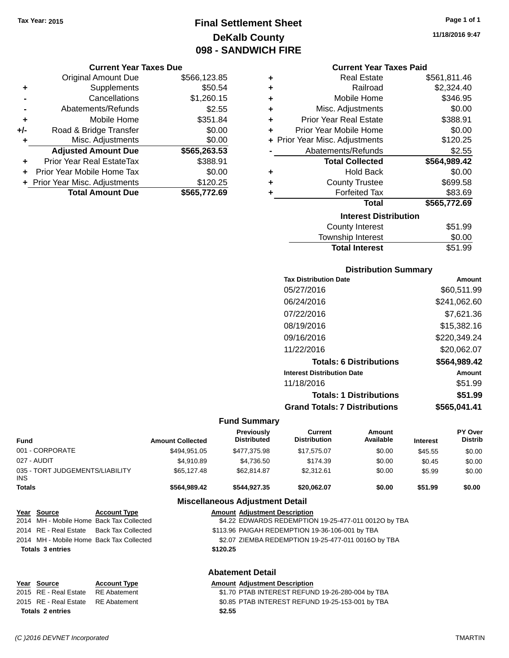### **Final Settlement Sheet Tax Year: 2015 Page 1 of 1 DeKalb County 098 - SANDWICH FIRE**

#### **Current Year Taxes Due**

|     | <b>Original Amount Due</b>       | \$566,123.85 |
|-----|----------------------------------|--------------|
| ٠   | Supplements                      | \$50.54      |
|     | Cancellations                    | \$1,260.15   |
|     | Abatements/Refunds               | \$2.55       |
| ٠   | Mobile Home                      | \$351.84     |
| +/- | Road & Bridge Transfer           | \$0.00       |
| ٠   | Misc. Adjustments                | \$0.00       |
|     | <b>Adjusted Amount Due</b>       | \$565,263.53 |
|     | <b>Prior Year Real EstateTax</b> | \$388.91     |
|     | Prior Year Mobile Home Tax       | \$0.00       |
|     | + Prior Year Misc. Adjustments   | \$120.25     |
|     | <b>Total Amount Due</b>          | \$565,772.69 |

| ٠ | <b>Real Estate</b>             | \$561,811.46 |
|---|--------------------------------|--------------|
|   |                                |              |
| ٠ | Railroad                       | \$2,324.40   |
| ٠ | Mobile Home                    | \$346.95     |
| ٠ | Misc. Adjustments              | \$0.00       |
| ÷ | <b>Prior Year Real Estate</b>  | \$388.91     |
| ÷ | Prior Year Mobile Home         | \$0.00       |
|   | + Prior Year Misc. Adjustments | \$120.25     |
|   | Abatements/Refunds             | \$2.55       |
|   |                                |              |
|   | <b>Total Collected</b>         | \$564,989.42 |
| ٠ | <b>Hold Back</b>               | \$0.00       |
| ٠ | <b>County Trustee</b>          | \$699.58     |
| ٠ | <b>Forfeited Tax</b>           | \$83.69      |
|   | <b>Total</b>                   | \$565,772.69 |
|   | <b>Interest Distribution</b>   |              |
|   | <b>County Interest</b>         | \$51.99      |

# Total Interest \$51.99

| <b>Distribution Summary</b>          |              |  |  |  |  |
|--------------------------------------|--------------|--|--|--|--|
| <b>Tax Distribution Date</b>         | Amount       |  |  |  |  |
| 05/27/2016                           | \$60,511.99  |  |  |  |  |
| 06/24/2016                           | \$241,062.60 |  |  |  |  |
| 07/22/2016                           | \$7.621.36   |  |  |  |  |
| 08/19/2016                           | \$15,382.16  |  |  |  |  |
| 09/16/2016                           | \$220,349.24 |  |  |  |  |
| 11/22/2016                           | \$20,062.07  |  |  |  |  |
| <b>Totals: 6 Distributions</b>       | \$564,989.42 |  |  |  |  |
| <b>Interest Distribution Date</b>    | Amount       |  |  |  |  |
| 11/18/2016                           | \$51.99      |  |  |  |  |
| <b>Totals: 1 Distributions</b>       | \$51.99      |  |  |  |  |
| <b>Grand Totals: 7 Distributions</b> | \$565.041.41 |  |  |  |  |

#### **Fund Summary**

| <b>Fund</b>   |                                     |                           | <b>Amount Collected</b> | Previously<br><b>Distributed</b>       | Current<br><b>Distribution</b>                       | Amount<br>Available | <b>Interest</b> | PY Over<br><b>Distrib</b> |
|---------------|-------------------------------------|---------------------------|-------------------------|----------------------------------------|------------------------------------------------------|---------------------|-----------------|---------------------------|
|               | 001 - CORPORATE                     |                           | \$494,951.05            | \$477,375.98                           | \$17,575.07                                          | \$0.00              | \$45.55         | \$0.00                    |
|               | 027 - AUDIT                         |                           | \$4,910.89              | \$4,736.50                             | \$174.39                                             | \$0.00              | \$0.45          | \$0.00                    |
| <b>INS</b>    | 035 - TORT JUDGEMENTS/LIABILITY     |                           | \$65,127.48             | \$62,814.87                            | \$2,312.61                                           | \$0.00              | \$5.99          | \$0.00                    |
| <b>Totals</b> |                                     |                           | \$564,989.42            | \$544,927.35                           | \$20,062.07                                          | \$0.00              | \$51.99         | \$0.00                    |
|               |                                     |                           |                         | <b>Miscellaneous Adjustment Detail</b> |                                                      |                     |                 |                           |
|               | Year Source                         | <b>Account Type</b>       |                         | <b>Amount Adiustment Description</b>   |                                                      |                     |                 |                           |
| 2014          | MH - Mobile Home Back Tax Collected |                           |                         |                                        | \$4.22 EDWARDS REDEMPTION 19-25-477-011 0012O by TBA |                     |                 |                           |
|               | 2014 RE - Real Estate               | <b>Back Tax Collected</b> |                         |                                        | \$113.96 PAIGAH REDEMPTION 19-36-106-001 by TBA      |                     |                 |                           |
| 2014          | MH - Mobile Home Back Tax Collected |                           |                         |                                        | \$2.07 ZIEMBA REDEMPTION 19-25-477-011 0016O by TBA  |                     |                 |                           |
|               | <b>Totals 3 entries</b>             |                           |                         | \$120.25                               |                                                      |                     |                 |                           |
|               |                                     |                           |                         | <b>Abatement Detail</b>                |                                                      |                     |                 |                           |
| Year          | <b>Source</b>                       | <b>Account Type</b>       |                         | <b>Amount Adjustment Description</b>   |                                                      |                     |                 |                           |
|               | 2015 RE - Real Estate               | <b>RE</b> Abatement       |                         |                                        | \$1.70 PTAB INTEREST REFUND 19-26-280-004 by TBA     |                     |                 |                           |

### 2015 RE - Real Estate RE Abatement S0.85 PTAB INTEREST REFUND 19-25-153-001 by TBA **Totals \$2.55 2 entries**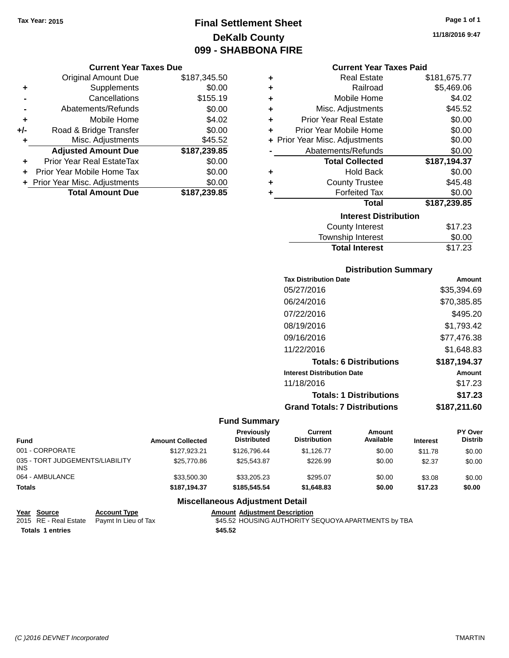### **Final Settlement Sheet Tax Year: 2015 Page 1 of 1 DeKalb County 099 - SHABBONA FIRE**

#### **Current Year Taxes Due**

|       | <b>Original Amount Due</b>       | \$187,345.50 |
|-------|----------------------------------|--------------|
| ٠     | Supplements                      | \$0.00       |
|       | Cancellations                    | \$155.19     |
|       | Abatements/Refunds               | \$0.00       |
| ٠     | Mobile Home                      | \$4.02       |
| $+/-$ | Road & Bridge Transfer           | \$0.00       |
| ٠     | Misc. Adjustments                | \$45.52      |
|       | <b>Adjusted Amount Due</b>       | \$187,239.85 |
| ٠     | <b>Prior Year Real EstateTax</b> | \$0.00       |
|       | Prior Year Mobile Home Tax       | \$0.00       |
|       | + Prior Year Misc. Adjustments   | \$0.00       |
|       | <b>Total Amount Due</b>          | \$187,239.85 |

| ٠ | <b>Real Estate</b>             | \$181,675.77 |
|---|--------------------------------|--------------|
| ٠ | Railroad                       | \$5,469.06   |
| ÷ | Mobile Home                    | \$4.02       |
| ٠ | Misc. Adjustments              | \$45.52      |
| ÷ | <b>Prior Year Real Estate</b>  | \$0.00       |
| ÷ | Prior Year Mobile Home         | \$0.00       |
|   | + Prior Year Misc. Adjustments | \$0.00       |
|   | Abatements/Refunds             | \$0.00       |
|   |                                |              |
|   | <b>Total Collected</b>         | \$187,194.37 |
| ٠ | <b>Hold Back</b>               | \$0.00       |
| ٠ | <b>County Trustee</b>          | \$45.48      |
| ٠ | <b>Forfeited Tax</b>           | \$0.00       |
|   | <b>Total</b>                   | \$187,239.85 |
|   | <b>Interest Distribution</b>   |              |
|   | <b>County Interest</b>         | \$17.23      |

### **Distribution Summary**

**Total Interest** \$17.23

| <b>Tax Distribution Date</b>         | Amount       |
|--------------------------------------|--------------|
| 05/27/2016                           | \$35,394.69  |
| 06/24/2016                           | \$70,385.85  |
| 07/22/2016                           | \$495.20     |
| 08/19/2016                           | \$1,793.42   |
| 09/16/2016                           | \$77.476.38  |
| 11/22/2016                           | \$1,648.83   |
| <b>Totals: 6 Distributions</b>       | \$187,194.37 |
| <b>Interest Distribution Date</b>    | Amount       |
| 11/18/2016                           | \$17.23      |
| <b>Totals: 1 Distributions</b>       | \$17.23      |
| <b>Grand Totals: 7 Distributions</b> | \$187.211.60 |

### **Fund Summary**

| <b>Fund</b>                             | <b>Amount Collected</b> | <b>Previously</b><br><b>Distributed</b> | Current<br><b>Distribution</b> | Amount<br>Available | <b>Interest</b> | PY Over<br><b>Distrib</b> |
|-----------------------------------------|-------------------------|-----------------------------------------|--------------------------------|---------------------|-----------------|---------------------------|
| 001 - CORPORATE                         | \$127.923.21            | \$126,796.44                            | \$1.126.77                     | \$0.00              | \$11.78         | \$0.00                    |
| 035 - TORT JUDGEMENTS/LIABILITY<br>INS. | \$25,770.86             | \$25.543.87                             | \$226.99                       | \$0.00              | \$2.37          | \$0.00                    |
| 064 - AMBULANCE                         | \$33,500.30             | \$33,205.23                             | \$295.07                       | \$0.00              | \$3.08          | \$0.00                    |
| <b>Totals</b>                           | \$187.194.37            | \$185,545,54                            | \$1.648.83                     | \$0.00              | \$17.23         | \$0.00                    |

### **Miscellaneous Adjustment Detail**

| Year Source             | <b>Account Type</b>                        | <b>Amount Adiustment Description</b>                |
|-------------------------|--------------------------------------------|-----------------------------------------------------|
|                         | 2015 RE - Real Estate Paymt In Lieu of Tax | \$45.52 HOUSING AUTHORITY SEQUOYA APARTMENTS by TBA |
| <b>Totals 1 entries</b> |                                            | \$45.52                                             |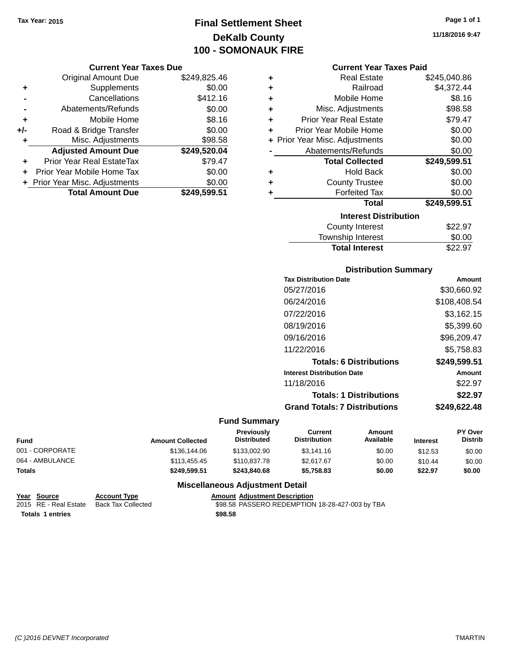### **Final Settlement Sheet Tax Year: 2015 Page 1 of 1 DeKalb County 100 - SOMONAUK FIRE**

#### **Current Year Taxes Due**

|       | <b>Original Amount Due</b>       | \$249,825.46 |
|-------|----------------------------------|--------------|
| ٠     | Supplements                      | \$0.00       |
|       | Cancellations                    | \$412.16     |
|       | Abatements/Refunds               | \$0.00       |
| ٠     | Mobile Home                      | \$8.16       |
| $+/-$ | Road & Bridge Transfer           | \$0.00       |
| ٠     | Misc. Adjustments                | \$98.58      |
|       | <b>Adjusted Amount Due</b>       | \$249,520.04 |
|       | <b>Prior Year Real EstateTax</b> | \$79.47      |
|       | Prior Year Mobile Home Tax       | \$0.00       |
|       | + Prior Year Misc. Adjustments   | \$0.00       |
|       | <b>Total Amount Due</b>          | \$249,599.51 |

#### **Current Year Taxes Paid**

| ٠ | Real Estate                    | \$245,040.86 |
|---|--------------------------------|--------------|
| ٠ | Railroad                       | \$4,372.44   |
| ٠ | Mobile Home                    | \$8.16       |
| ٠ | Misc. Adjustments              | \$98.58      |
| ٠ | <b>Prior Year Real Estate</b>  | \$79.47      |
| ٠ | Prior Year Mobile Home         | \$0.00       |
|   | + Prior Year Misc. Adjustments | \$0.00       |
|   | Abatements/Refunds             | \$0.00       |
|   | <b>Total Collected</b>         | \$249,599.51 |
| ٠ | Hold Back                      | \$0.00       |
| ٠ | <b>County Trustee</b>          | \$0.00       |
| ٠ | <b>Forfeited Tax</b>           | \$0.00       |
|   | <b>Total</b>                   | \$249,599.51 |
|   | <b>Interest Distribution</b>   |              |
|   | County Interest                | \$22.97      |
|   | <b>Township Interest</b>       | \$0.00       |
|   | <b>Total Interest</b>          | \$22.97      |

### **Distribution Summary**

| <b>Tax Distribution Date</b>         | Amount       |
|--------------------------------------|--------------|
| 05/27/2016                           | \$30,660.92  |
| 06/24/2016                           | \$108,408.54 |
| 07/22/2016                           | \$3,162.15   |
| 08/19/2016                           | \$5,399.60   |
| 09/16/2016                           | \$96,209.47  |
| 11/22/2016                           | \$5.758.83   |
| <b>Totals: 6 Distributions</b>       | \$249,599.51 |
| <b>Interest Distribution Date</b>    | Amount       |
| 11/18/2016                           | \$22.97      |
| <b>Totals: 1 Distributions</b>       | \$22.97      |
| <b>Grand Totals: 7 Distributions</b> | \$249.622.48 |

### **Fund Summary**

| Fund            | <b>Amount Collected</b> | <b>Previously</b><br><b>Distributed</b> | Current<br><b>Distribution</b> | Amount<br>Available | <b>Interest</b> | <b>PY Over</b><br><b>Distrib</b> |
|-----------------|-------------------------|-----------------------------------------|--------------------------------|---------------------|-----------------|----------------------------------|
| 001 - CORPORATE | \$136,144.06            | \$133,002.90                            | \$3.141.16                     | \$0.00              | \$12.53         | \$0.00                           |
| 064 - AMBULANCE | \$113,455,45            | \$110,837.78                            | \$2.617.67                     | \$0.00              | \$10.44         | \$0.00                           |
| Totals          | \$249.599.51            | \$243,840,68                            | \$5.758.83                     | \$0.00              | \$22.97         | \$0.00                           |

### **Miscellaneous Adjustment Detail**

| Year Source             | <b>Account Type</b> |         | <b>Amount Adiustment Description</b>            |
|-------------------------|---------------------|---------|-------------------------------------------------|
| 2015 RE - Real Estate   | Back Tax Collected  |         | \$98.58 PASSERO REDEMPTION 18-28-427-003 by TBA |
| <b>Totals 1 entries</b> |                     | \$98.58 |                                                 |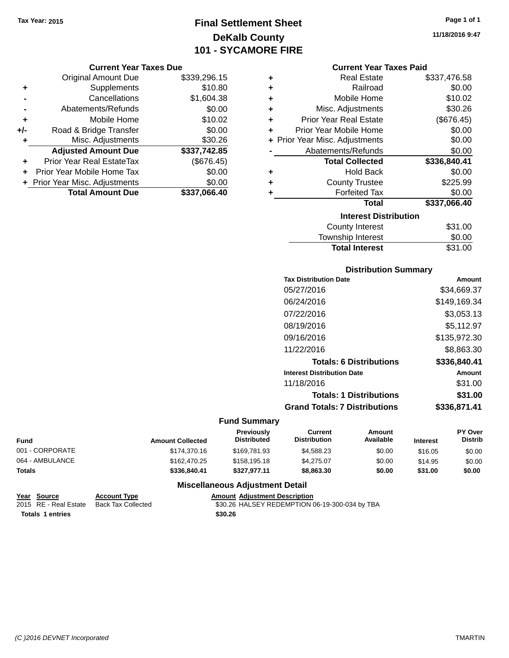### **Final Settlement Sheet Tax Year: 2015 Page 1 of 1 DeKalb County 101 - SYCAMORE FIRE**

#### **Current Year Taxes Due**

|       | <b>Original Amount Due</b>       | \$339,296.15 |
|-------|----------------------------------|--------------|
| ٠     | Supplements                      | \$10.80      |
|       | Cancellations                    | \$1,604.38   |
|       | Abatements/Refunds               | \$0.00       |
| ÷     | Mobile Home                      | \$10.02      |
| $+/-$ | Road & Bridge Transfer           | \$0.00       |
| ٠     | Misc. Adjustments                | \$30.26      |
|       | <b>Adjusted Amount Due</b>       | \$337,742.85 |
|       | <b>Prior Year Real EstateTax</b> | (\$676.45)   |
|       | Prior Year Mobile Home Tax       | \$0.00       |
|       | + Prior Year Misc. Adjustments   | \$0.00       |
|       | <b>Total Amount Due</b>          | \$337.066.40 |

**11/18/2016 9:47**

#### **Current Year Taxes Paid**

| ٠ | <b>Real Estate</b>             | \$337,476.58 |
|---|--------------------------------|--------------|
| ٠ | Railroad                       | \$0.00       |
| ٠ | Mobile Home                    | \$10.02      |
| ٠ | Misc. Adjustments              | \$30.26      |
| ٠ | <b>Prior Year Real Estate</b>  | (\$676.45)   |
| ÷ | Prior Year Mobile Home         | \$0.00       |
|   | + Prior Year Misc. Adjustments | \$0.00       |
|   | Abatements/Refunds             | \$0.00       |
|   | <b>Total Collected</b>         | \$336,840.41 |
| ٠ | <b>Hold Back</b>               | \$0.00       |
| ٠ | <b>County Trustee</b>          | \$225.99     |
| ٠ | <b>Forfeited Tax</b>           | \$0.00       |
|   | <b>Total</b>                   | \$337,066.40 |
|   | <b>Interest Distribution</b>   |              |
|   | <b>County Interest</b>         | \$31.00      |
|   |                                |              |

| <b>Total Interest</b>  | \$31.00 |
|------------------------|---------|
| Township Interest      | \$0.00  |
| <b>COUTTY THICLEST</b> | OU.IUU  |

### **Distribution Summary**

| <b>Tax Distribution Date</b>         | Amount       |
|--------------------------------------|--------------|
| 05/27/2016                           | \$34,669.37  |
| 06/24/2016                           | \$149,169.34 |
| 07/22/2016                           | \$3,053.13   |
| 08/19/2016                           | \$5,112.97   |
| 09/16/2016                           | \$135,972.30 |
| 11/22/2016                           | \$8,863,30   |
| <b>Totals: 6 Distributions</b>       | \$336,840.41 |
| <b>Interest Distribution Date</b>    | Amount       |
| 11/18/2016                           | \$31.00      |
| <b>Totals: 1 Distributions</b>       | \$31.00      |
| <b>Grand Totals: 7 Distributions</b> | \$336.871.41 |
|                                      |              |

### **Fund Summary**

| Fund            | <b>Amount Collected</b> | <b>Previously</b><br><b>Distributed</b> | Current<br><b>Distribution</b> | Amount<br>Available | <b>Interest</b> | <b>PY Over</b><br><b>Distrib</b> |
|-----------------|-------------------------|-----------------------------------------|--------------------------------|---------------------|-----------------|----------------------------------|
| 001 - CORPORATE | \$174,370.16            | \$169.781.93                            | \$4.588.23                     | \$0.00              | \$16.05         | \$0.00                           |
| 064 - AMBULANCE | \$162,470.25            | \$158,195.18                            | \$4.275.07                     | \$0.00              | \$14.95         | \$0.00                           |
| Totals          | \$336,840,41            | \$327.977.11                            | \$8,863,30                     | \$0.00              | \$31.00         | \$0.00                           |

### **Miscellaneous Adjustment Detail**

|                         | Year Source           | <b>Account Type</b> | <b>Amount Adiustment Description</b>           |
|-------------------------|-----------------------|---------------------|------------------------------------------------|
|                         | 2015 RE - Real Estate | Back Tax Collected  | \$30.26 HALSEY REDEMPTION 06-19-300-034 by TBA |
| <b>Totals 1 entries</b> |                       |                     | \$30.26                                        |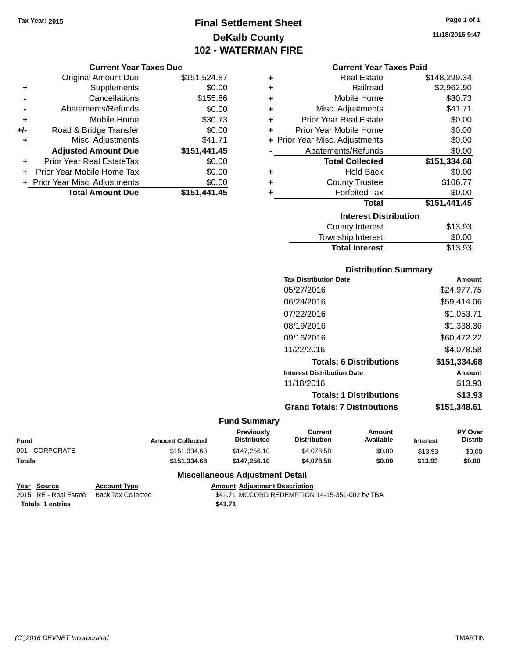### **Final Settlement Sheet Tax Year: 2015 Page 1 of 1 DeKalb County 102 - WATERMAN FIRE**

#### **Current Year Taxes Due**

|       | <b>Original Amount Due</b>       | \$151,524.87 |
|-------|----------------------------------|--------------|
| ٠     | Supplements                      | \$0.00       |
|       | Cancellations                    | \$155.86     |
|       | Abatements/Refunds               | \$0.00       |
| ٠     | Mobile Home                      | \$30.73      |
| $+/-$ | Road & Bridge Transfer           | \$0.00       |
| ٠     | Misc. Adjustments                | \$41.71      |
|       | <b>Adjusted Amount Due</b>       | \$151,441.45 |
| ÷     | <b>Prior Year Real EstateTax</b> | \$0.00       |
|       | Prior Year Mobile Home Tax       | \$0.00       |
|       | + Prior Year Misc. Adjustments   | \$0.00       |
|       | <b>Total Amount Due</b>          | \$151,441.45 |

| ÷ | <b>Real Estate</b>             | \$148,299.34 |
|---|--------------------------------|--------------|
| ÷ | Railroad                       | \$2,962.90   |
| ÷ | Mobile Home                    | \$30.73      |
| ٠ | Misc. Adjustments              | \$41.71      |
| ٠ | <b>Prior Year Real Estate</b>  | \$0.00       |
| ÷ | Prior Year Mobile Home         | \$0.00       |
|   | + Prior Year Misc. Adjustments | \$0.00       |
|   | Abatements/Refunds             | \$0.00       |
|   | <b>Total Collected</b>         | \$151,334.68 |
| ٠ | <b>Hold Back</b>               | \$0.00       |
| ٠ | <b>County Trustee</b>          | \$106.77     |
| ٠ | <b>Forfeited Tax</b>           | \$0.00       |
|   |                                |              |
|   | <b>Total</b>                   | \$151,441.45 |
|   | <b>Interest Distribution</b>   |              |
|   | <b>County Interest</b>         | \$13.93      |

# **Distribution Summary**

Total Interest \$13.93

| <b>PIJUIDUUJUI JUILIILUI Y</b>       |               |
|--------------------------------------|---------------|
| <b>Tax Distribution Date</b>         | Amount        |
| 05/27/2016                           | \$24,977.75   |
| 06/24/2016                           | \$59.414.06   |
| 07/22/2016                           | \$1,053.71    |
| 08/19/2016                           | \$1,338.36    |
| 09/16/2016                           | \$60,472.22   |
| 11/22/2016                           | \$4,078.58    |
| <b>Totals: 6 Distributions</b>       | \$151,334.68  |
| <b>Interest Distribution Date</b>    | <b>Amount</b> |
| 11/18/2016                           | \$13.93       |
| <b>Totals: 1 Distributions</b>       | \$13.93       |
| <b>Grand Totals: 7 Distributions</b> | \$151,348.61  |
|                                      |               |

#### **Fund Summary**

| Fund            | <b>Amount Collected</b> | <b>Previously</b><br><b>Distributed</b> | Current<br><b>Distribution</b> | Amount<br>Available | <b>Interest</b> | <b>PY Over</b><br><b>Distrib</b> |
|-----------------|-------------------------|-----------------------------------------|--------------------------------|---------------------|-----------------|----------------------------------|
| 001 - CORPORATE | \$151.334.68            | \$147,256.10                            | \$4.078.58                     | \$0.00              | \$13.93         | \$0.00                           |
| Totals          | \$151.334.68            | \$147.256.10                            | \$4,078.58                     | \$0.00              | \$13.93         | \$0.00                           |

### **Miscellaneous Adjustment Detail**

```
Year Source Account Type Amount Adjustment Description<br>2015 RE - Real Estate Back Tax Collected $41.71 MCCORD REDEMPTION
 Totals 1 entries $41.71
```
 $$41.71$  MCCORD REDEMPTION 14-15-351-002 by TBA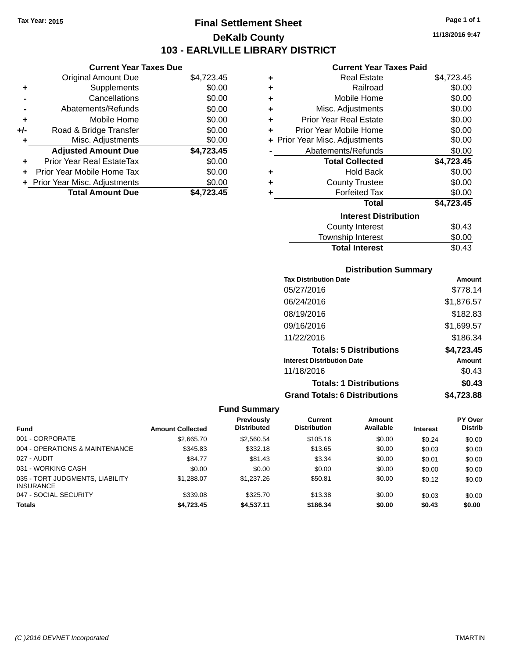### **Final Settlement Sheet Tax Year: 2015 Page 1 of 1 DeKalb County 103 - EARLVILLE LIBRARY DISTRICT**

**11/18/2016 9:47**

### **Current Year Taxes Paid**

|     | <b>Current Year Taxes Due</b>  |            |
|-----|--------------------------------|------------|
|     | <b>Original Amount Due</b>     | \$4,723.45 |
|     | Supplements                    | \$0.00     |
|     | Cancellations                  | \$0.00     |
|     | Abatements/Refunds             | \$0.00     |
| ٠   | Mobile Home                    | \$0.00     |
| +/- | Road & Bridge Transfer         | \$0.00     |
|     | Misc. Adjustments              | \$0.00     |
|     | <b>Adjusted Amount Due</b>     | \$4,723.45 |
|     | Prior Year Real EstateTax      | \$0.00     |
|     | Prior Year Mobile Home Tax     | \$0.00     |
|     | + Prior Year Misc. Adjustments | \$0.00     |
|     | <b>Total Amount Due</b>        | '23.45     |

| ٠ | <b>Real Estate</b>             | \$4,723.45 |
|---|--------------------------------|------------|
| ٠ | Railroad                       | \$0.00     |
| ٠ | Mobile Home                    | \$0.00     |
| ٠ | Misc. Adjustments              | \$0.00     |
| ٠ | Prior Year Real Estate         | \$0.00     |
| ٠ | Prior Year Mobile Home         | \$0.00     |
|   | + Prior Year Misc. Adjustments | \$0.00     |
|   | Abatements/Refunds             | \$0.00     |
|   | <b>Total Collected</b>         | \$4,723.45 |
| ٠ | <b>Hold Back</b>               | \$0.00     |
| ٠ | <b>County Trustee</b>          | \$0.00     |
| ٠ | <b>Forfeited Tax</b>           | \$0.00     |
|   | <b>Total</b>                   | \$4,723.45 |
|   | <b>Interest Distribution</b>   |            |
|   | <b>County Interest</b>         | \$0.43     |
|   | <b>Township Interest</b>       | \$0.00     |
|   | <b>Total Interest</b>          | \$0.43     |

### **Distribution Summary**

| <b>Tax Distribution Date</b>         | Amount     |
|--------------------------------------|------------|
| 05/27/2016                           | \$778.14   |
| 06/24/2016                           | \$1,876.57 |
| 08/19/2016                           | \$182.83   |
| 09/16/2016                           | \$1,699.57 |
| 11/22/2016                           | \$186.34   |
| <b>Totals: 5 Distributions</b>       | \$4,723.45 |
| <b>Interest Distribution Date</b>    | Amount     |
| 11/18/2016                           | \$0.43     |
| <b>Totals: 1 Distributions</b>       | \$0.43     |
| <b>Grand Totals: 6 Distributions</b> | \$4.723.88 |

|                                                     |                         | Previously         | Current             | Amount    |                 | <b>PY Over</b> |
|-----------------------------------------------------|-------------------------|--------------------|---------------------|-----------|-----------------|----------------|
| <b>Fund</b>                                         | <b>Amount Collected</b> | <b>Distributed</b> | <b>Distribution</b> | Available | <b>Interest</b> | <b>Distrib</b> |
| 001 - CORPORATE                                     | \$2,665.70              | \$2,560.54         | \$105.16            | \$0.00    | \$0.24          | \$0.00         |
| 004 - OPERATIONS & MAINTENANCE                      | \$345.83                | \$332.18           | \$13.65             | \$0.00    | \$0.03          | \$0.00         |
| 027 - AUDIT                                         | \$84.77                 | \$81.43            | \$3.34              | \$0.00    | \$0.01          | \$0.00         |
| 031 - WORKING CASH                                  | \$0.00                  | \$0.00             | \$0.00              | \$0.00    | \$0.00          | \$0.00         |
| 035 - TORT JUDGMENTS, LIABILITY<br><b>INSURANCE</b> | \$1,288.07              | \$1,237.26         | \$50.81             | \$0.00    | \$0.12          | \$0.00         |
| 047 - SOCIAL SECURITY                               | \$339.08                | \$325.70           | \$13.38             | \$0.00    | \$0.03          | \$0.00         |
| <b>Totals</b>                                       | \$4.723.45              | \$4,537.11         | \$186.34            | \$0.00    | \$0.43          | \$0.00         |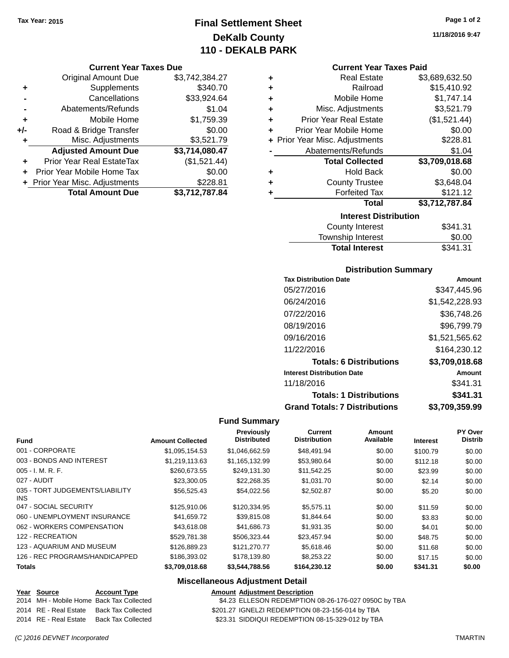### **Final Settlement Sheet Tax Year: 2015 Page 1 of 2 DeKalb County 110 - DEKALB PARK**

#### **Current Year Taxes Due**

|       | <b>Original Amount Due</b>       | \$3,742,384.27 |
|-------|----------------------------------|----------------|
| ٠     | Supplements                      | \$340.70       |
|       | Cancellations                    | \$33,924.64    |
|       | Abatements/Refunds               | \$1.04         |
| ÷     | Mobile Home                      | \$1,759.39     |
| $+/-$ | Road & Bridge Transfer           | \$0.00         |
| ٠     | Misc. Adjustments                | \$3,521.79     |
|       | <b>Adjusted Amount Due</b>       | \$3,714,080.47 |
| ٠     | <b>Prior Year Real EstateTax</b> | (\$1,521.44)   |
|       | Prior Year Mobile Home Tax       | \$0.00         |
|       | + Prior Year Misc. Adjustments   | \$228.81       |
|       | <b>Total Amount Due</b>          | \$3,712,787.84 |

| ٠ | <b>Real Estate</b>                            | \$3,689,632.50 |  |  |  |
|---|-----------------------------------------------|----------------|--|--|--|
| ٠ | Railroad                                      | \$15,410.92    |  |  |  |
| ٠ | Mobile Home                                   | \$1,747.14     |  |  |  |
| ٠ | Misc. Adjustments                             | \$3,521.79     |  |  |  |
| ٠ | (\$1,521.44)<br><b>Prior Year Real Estate</b> |                |  |  |  |
| ٠ | Prior Year Mobile Home                        | \$0.00         |  |  |  |
|   | + Prior Year Misc. Adjustments                | \$228.81       |  |  |  |
|   | Abatements/Refunds                            | \$1.04         |  |  |  |
|   | <b>Total Collected</b>                        | \$3,709,018.68 |  |  |  |
| ٠ | <b>Hold Back</b>                              | \$0.00         |  |  |  |
| ٠ | <b>County Trustee</b>                         | \$3,648.04     |  |  |  |
| ٠ | <b>Forfeited Tax</b>                          | \$121.12       |  |  |  |
|   | <b>Total</b>                                  | \$3,712,787.84 |  |  |  |
|   | <b>Interest Distribution</b>                  |                |  |  |  |
|   | <b>County Interest</b>                        | \$341.31       |  |  |  |

| <b>Total Interest</b>  | \$341.31 |
|------------------------|----------|
| Township Interest      | \$0.00   |
| <b>County Interest</b> | \$341.31 |

### **Distribution Summary**

| <b>Tax Distribution Date</b>         | Amount         |
|--------------------------------------|----------------|
| 05/27/2016                           | \$347.445.96   |
| 06/24/2016                           | \$1,542,228.93 |
| 07/22/2016                           | \$36.748.26    |
| 08/19/2016                           | \$96,799.79    |
| 09/16/2016                           | \$1,521,565.62 |
| 11/22/2016                           | \$164,230.12   |
| <b>Totals: 6 Distributions</b>       | \$3,709,018.68 |
| <b>Interest Distribution Date</b>    | Amount         |
| 11/18/2016                           | \$341.31       |
| <b>Totals: 1 Distributions</b>       | \$341.31       |
| <b>Grand Totals: 7 Distributions</b> | \$3,709,359.99 |

### **Fund Summary**

| <b>Fund</b>                             | <b>Amount Collected</b> | Previously<br><b>Distributed</b> | Current<br><b>Distribution</b> | Amount<br>Available | <b>Interest</b> | PY Over<br><b>Distrib</b> |
|-----------------------------------------|-------------------------|----------------------------------|--------------------------------|---------------------|-----------------|---------------------------|
| 001 - CORPORATE                         | \$1,095,154.53          | \$1,046,662.59                   | \$48,491.94                    | \$0.00              | \$100.79        | \$0.00                    |
| 003 - BONDS AND INTEREST                | \$1,219,113.63          | \$1,165,132.99                   | \$53,980.64                    | \$0.00              | \$112.18        | \$0.00                    |
| 005 - I. M. R. F.                       | \$260,673.55            | \$249.131.30                     | \$11,542.25                    | \$0.00              | \$23.99         | \$0.00                    |
| 027 - AUDIT                             | \$23,300.05             | \$22,268.35                      | \$1,031.70                     | \$0.00              | \$2.14          | \$0.00                    |
| 035 - TORT JUDGEMENTS/LIABILITY<br>INS. | \$56,525.43             | \$54,022.56                      | \$2,502.87                     | \$0.00              | \$5.20          | \$0.00                    |
| 047 - SOCIAL SECURITY                   | \$125,910.06            | \$120,334.95                     | \$5,575.11                     | \$0.00              | \$11.59         | \$0.00                    |
| 060 - UNEMPLOYMENT INSURANCE            | \$41.659.72             | \$39,815,08                      | \$1,844.64                     | \$0.00              | \$3.83          | \$0.00                    |
| 062 - WORKERS COMPENSATION              | \$43,618,08             | \$41,686,73                      | \$1,931.35                     | \$0.00              | \$4.01          | \$0.00                    |
| 122 - RECREATION                        | \$529.781.38            | \$506.323.44                     | \$23,457.94                    | \$0.00              | \$48.75         | \$0.00                    |
| 123 - AQUARIUM AND MUSEUM               | \$126,889.23            | \$121,270.77                     | \$5,618.46                     | \$0.00              | \$11.68         | \$0.00                    |
| 126 - REC PROGRAMS/HANDICAPPED          | \$186,393.02            | \$178,139.80                     | \$8,253.22                     | \$0.00              | \$17.15         | \$0.00                    |
| <b>Totals</b>                           | \$3,709,018.68          | \$3,544,788.56                   | \$164,230.12                   | \$0.00              | \$341.31        | \$0.00                    |

### **Miscellaneous Adjustment Detail**

| Year Source | <b>Account Type</b>                      |
|-------------|------------------------------------------|
|             | 2014 MH - Mobile Home Back Tax Collected |
|             | 2014 RE - Real Estate Back Tax Collected |
|             | 2014 RE - Real Estate Back Tax Collected |

**Amount Adjustment Description** \$4.23 ELLESON REDEMPTION 08-26-176-027 0950C by TBA

\$201.27 IGNELZI REDEMPTION 08-23-156-014 by TBA

\$23.31 SIDDIQUI REDEMPTION 08-15-329-012 by TBA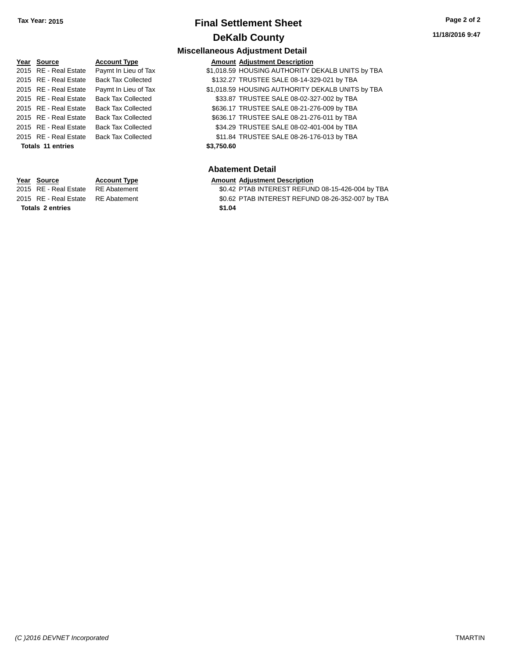**11/18/2016 9:47**

#### **Miscellaneous Adjustment Detail**

| Year Source              | <b>Account Type</b>       | <b>Amount Adjustment Description</b>             |  |
|--------------------------|---------------------------|--------------------------------------------------|--|
| 2015 RE - Real Estate    | Paymt In Lieu of Tax      | \$1,018.59 HOUSING AUTHORITY DEKALB UNITS by TBA |  |
| 2015 RE - Real Estate    | <b>Back Tax Collected</b> | \$132.27 TRUSTEE SALE 08-14-329-021 by TBA       |  |
| 2015 RE - Real Estate    | Paymt In Lieu of Tax      | \$1,018.59 HOUSING AUTHORITY DEKALB UNITS by TBA |  |
| 2015 RE - Real Estate    | <b>Back Tax Collected</b> | \$33.87 TRUSTEE SALE 08-02-327-002 by TBA        |  |
| 2015 RE - Real Estate    | <b>Back Tax Collected</b> | \$636.17 TRUSTEE SALE 08-21-276-009 by TBA       |  |
| 2015 RE - Real Estate    | <b>Back Tax Collected</b> | \$636.17 TRUSTEE SALE 08-21-276-011 by TBA       |  |
| 2015 RE - Real Estate    | <b>Back Tax Collected</b> | \$34.29 TRUSTEE SALE 08-02-401-004 by TBA        |  |
| 2015 RE - Real Estate    | <b>Back Tax Collected</b> | \$11.84 TRUSTEE SALE 08-26-176-013 by TBA        |  |
| <b>Totals 11 entries</b> |                           | \$3,750.60                                       |  |

#### **Abatement Detail**

# **Year Source Account Type Account Type Amount Adjustment Description**<br>2015 RE - Real Estate RE Abatement **Account 1998 Account Adjustment Adjustment Adjustment Aggle 2016**

\$0.42 PTAB INTEREST REFUND 08-15-426-004 by TBA 2015 RE - Real Estate RE Abatement \$0.62 PTAB INTEREST REFUND 08-26-352-007 by TBA

**Totals \$1.04 2 entries**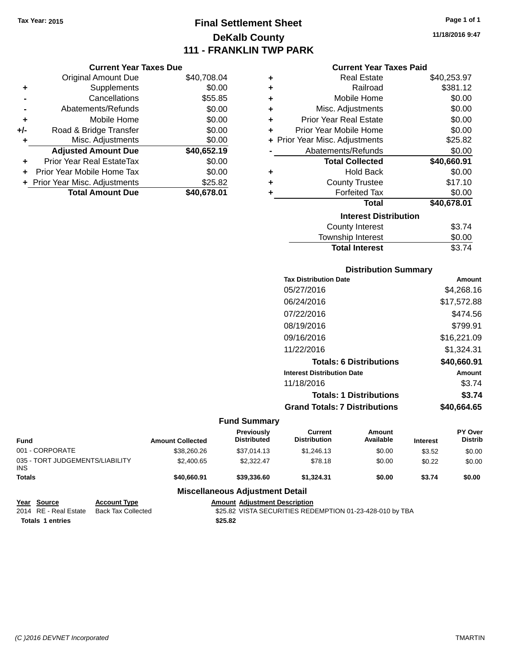# **Final Settlement Sheet Tax Year: 2015 Page 1 of 1 DeKalb County 111 - FRANKLIN TWP PARK**

|     | <b>Current Year Taxes Due</b>    |             |
|-----|----------------------------------|-------------|
|     | <b>Original Amount Due</b>       | \$40,708.04 |
| ٠   | Supplements                      | \$0.00      |
|     | Cancellations                    | \$55.85     |
| -   | Abatements/Refunds               | \$0.00      |
| ٠   | Mobile Home                      | \$0.00      |
| +/- | Road & Bridge Transfer           | \$0.00      |
| ٠   | Misc. Adjustments                | \$0.00      |
|     | <b>Adjusted Amount Due</b>       | \$40,652.19 |
| ٠   | <b>Prior Year Real EstateTax</b> | \$0.00      |
|     | Prior Year Mobile Home Tax       | \$0.00      |
|     | + Prior Year Misc. Adjustments   | \$25.82     |
|     | <b>Total Amount Due</b>          | \$40,678.01 |

|   | <b>Current Year Taxes Paid</b> |             |  |  |  |  |
|---|--------------------------------|-------------|--|--|--|--|
| ٠ | Real Estate                    | \$40,253.97 |  |  |  |  |
| ÷ | Railroad                       | \$381.12    |  |  |  |  |
| ÷ | Mobile Home                    | \$0.00      |  |  |  |  |
| ٠ | Misc. Adjustments              | \$0.00      |  |  |  |  |
| ÷ | <b>Prior Year Real Estate</b>  | \$0.00      |  |  |  |  |
| ÷ | Prior Year Mobile Home         | \$0.00      |  |  |  |  |
|   | + Prior Year Misc. Adjustments | \$25.82     |  |  |  |  |
|   | Abatements/Refunds             | \$0.00      |  |  |  |  |
|   | <b>Total Collected</b>         | \$40,660.91 |  |  |  |  |
| ٠ | <b>Hold Back</b>               | \$0.00      |  |  |  |  |
| ٠ | <b>County Trustee</b>          | \$17.10     |  |  |  |  |
| ٠ | <b>Forfeited Tax</b>           | \$0.00      |  |  |  |  |
|   | Total                          | \$40,678.01 |  |  |  |  |
|   | <b>Interest Distribution</b>   |             |  |  |  |  |
|   | <b>County Interest</b>         | \$3.74      |  |  |  |  |
|   | <b>Township Interest</b>       | \$0.00      |  |  |  |  |
|   | <b>Total Interest</b>          | \$3.74      |  |  |  |  |

## **Distribution Summary Tax Distribution Date Amount** 05/27/2016 \$4,268.16 06/24/2016 \$17,572.88 07/22/2016 \$474.56 08/19/2016 \$799.91 09/16/2016 \$16,221.09 11/22/2016 \$1,324.31 **Totals: 6 Distributions \$40,660.91 Interest Distribution Date Amount** 11/18/2016 \$3.74 **Totals: 1 Distributions \$3.74 Grand Totals: 7 Distributions \$40,664.65**

| <b>Fund</b>                                   |                       | <b>Amount Collected</b> | Previously<br><b>Distributed</b>       | Current<br><b>Distribution</b> | Amount<br>Available | <b>Interest</b> | <b>PY Over</b><br><b>Distrib</b> |
|-----------------------------------------------|-----------------------|-------------------------|----------------------------------------|--------------------------------|---------------------|-----------------|----------------------------------|
| 001 - CORPORATE                               |                       | \$38,260,26             | \$37.014.13                            | \$1,246.13                     | \$0.00              | \$3.52          | \$0.00                           |
| 035 - TORT JUDGEMENTS/LIABILITY<br><b>INS</b> |                       | \$2,400.65              | \$2.322.47                             | \$78.18                        | \$0.00              | \$0.22          | \$0.00                           |
| <b>Totals</b>                                 |                       | \$40,660.91             | \$39,336,60                            | \$1.324.31                     | \$0.00              | \$3.74          | \$0.00                           |
|                                               |                       |                         | <b>Miscellaneous Adjustment Detail</b> |                                |                     |                 |                                  |
| $V_{\text{max}}$ $R_{\text{max}}$             | A - - - - - - + T.  - |                         | Approved Adventured Benediction        |                                |                     |                 |                                  |

| Year Source             | <b>Account Type</b> | <b>Amount Adiustment Description</b>                     |
|-------------------------|---------------------|----------------------------------------------------------|
| 2014 RE - Real Estate   | Back Tax Collected  | \$25.82 VISTA SECURITIES REDEMPTION 01-23-428-010 by TBA |
| <b>Totals 1 entries</b> |                     | \$25.82                                                  |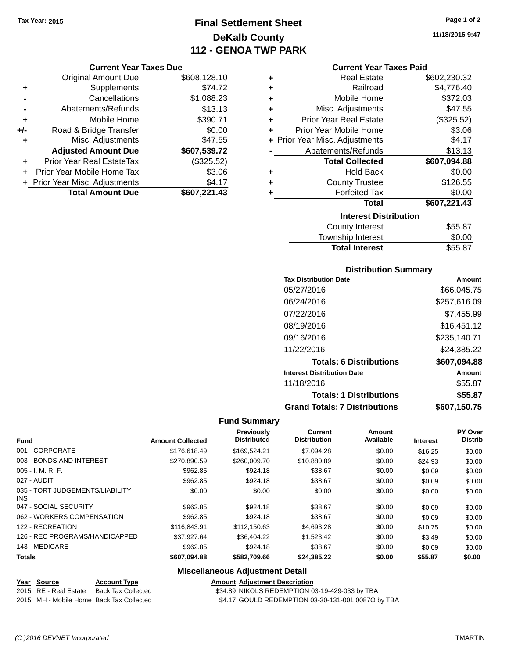# **Final Settlement Sheet Tax Year: 2015 Page 1 of 2 DeKalb County 112 - GENOA TWP PARK**

#### **Current Year Taxes Due**

|     | <b>Original Amount Due</b>       | \$608,128.10 |
|-----|----------------------------------|--------------|
| ٠   | Supplements                      | \$74.72      |
|     | Cancellations                    | \$1,088.23   |
|     | Abatements/Refunds               | \$13.13      |
| ÷   | Mobile Home                      | \$390.71     |
| +/- | Road & Bridge Transfer           | \$0.00       |
| ۰   | Misc. Adjustments                | \$47.55      |
|     | <b>Adjusted Amount Due</b>       | \$607,539.72 |
|     | <b>Prior Year Real EstateTax</b> | (\$325.52)   |
|     | Prior Year Mobile Home Tax       | \$3.06       |
|     | + Prior Year Misc. Adjustments   | \$4.17       |
|     | <b>Total Amount Due</b>          | \$607,221.43 |

| ٠ | <b>Real Estate</b>             | \$602,230.32 |
|---|--------------------------------|--------------|
| ٠ | Railroad                       | \$4,776.40   |
| ÷ | Mobile Home                    | \$372.03     |
| ٠ | Misc. Adjustments              | \$47.55      |
| ٠ | <b>Prior Year Real Estate</b>  | (\$325.52)   |
| ٠ | Prior Year Mobile Home         | \$3.06       |
|   | + Prior Year Misc. Adjustments | \$4.17       |
|   | Abatements/Refunds             | \$13.13      |
|   |                                |              |
|   | <b>Total Collected</b>         | \$607,094.88 |
| ٠ | <b>Hold Back</b>               | \$0.00       |
| ÷ | <b>County Trustee</b>          | \$126.55     |
| ٠ | <b>Forfeited Tax</b>           | \$0.00       |
|   | <b>Total</b>                   | \$607,221.43 |
|   | <b>Interest Distribution</b>   |              |
|   | <b>County Interest</b>         | \$55.87      |

#### **Distribution Summary**

Total Interest \$55.87

| <b>Tax Distribution Date</b>         | Amount       |
|--------------------------------------|--------------|
| 05/27/2016                           | \$66,045.75  |
| 06/24/2016                           | \$257,616.09 |
| 07/22/2016                           | \$7.455.99   |
| 08/19/2016                           | \$16,451.12  |
| 09/16/2016                           | \$235,140.71 |
| 11/22/2016                           | \$24,385.22  |
| <b>Totals: 6 Distributions</b>       | \$607,094.88 |
| <b>Interest Distribution Date</b>    | Amount       |
| 11/18/2016                           | \$55.87      |
| <b>Totals: 1 Distributions</b>       | \$55.87      |
| <b>Grand Totals: 7 Distributions</b> | \$607.150.75 |

#### **Fund Summary**

| <b>Fund</b>                             | <b>Amount Collected</b> | Previously<br><b>Distributed</b> | Current<br><b>Distribution</b> | Amount<br>Available | <b>Interest</b> | <b>PY Over</b><br><b>Distrib</b> |
|-----------------------------------------|-------------------------|----------------------------------|--------------------------------|---------------------|-----------------|----------------------------------|
| 001 - CORPORATE                         | \$176,618.49            | \$169.524.21                     | \$7.094.28                     | \$0.00              | \$16.25         | \$0.00                           |
| 003 - BONDS AND INTEREST                | \$270.890.59            | \$260,009.70                     | \$10,880.89                    | \$0.00              | \$24.93         | \$0.00                           |
| $005 - I. M. R. F.$                     | \$962.85                | \$924.18                         | \$38.67                        | \$0.00              | \$0.09          | \$0.00                           |
| 027 - AUDIT                             | \$962.85                | \$924.18                         | \$38.67                        | \$0.00              | \$0.09          | \$0.00                           |
| 035 - TORT JUDGEMENTS/LIABILITY<br>INS. | \$0.00                  | \$0.00                           | \$0.00                         | \$0.00              | \$0.00          | \$0.00                           |
| 047 - SOCIAL SECURITY                   | \$962.85                | \$924.18                         | \$38.67                        | \$0.00              | \$0.09          | \$0.00                           |
| 062 - WORKERS COMPENSATION              | \$962.85                | \$924.18                         | \$38.67                        | \$0.00              | \$0.09          | \$0.00                           |
| 122 - RECREATION                        | \$116,843.91            | \$112,150.63                     | \$4.693.28                     | \$0.00              | \$10.75         | \$0.00                           |
| 126 - REC PROGRAMS/HANDICAPPED          | \$37.927.64             | \$36,404.22                      | \$1.523.42                     | \$0.00              | \$3.49          | \$0.00                           |
| 143 - MEDICARE                          | \$962.85                | \$924.18                         | \$38.67                        | \$0.00              | \$0.09          | \$0.00                           |
| <b>Totals</b>                           | \$607.094.88            | \$582,709.66                     | \$24,385.22                    | \$0.00              | \$55.87         | \$0.00                           |

#### **Miscellaneous Adjustment Detail**

| Year Source           | <b>Account Type</b>                      | <b>Amount Adjustment Description</b>               |
|-----------------------|------------------------------------------|----------------------------------------------------|
| 2015 RE - Real Estate | Back Tax Collected                       | \$34.89 NIKOLS REDEMPTION 03-19-429-033 by TBA     |
|                       | 2015 MH - Mobile Home Back Tax Collected | \$4.17 GOULD REDEMPTION 03-30-131-001 0087O by TBA |

**Amount Adjustment Description** 

**11/18/2016 9:47**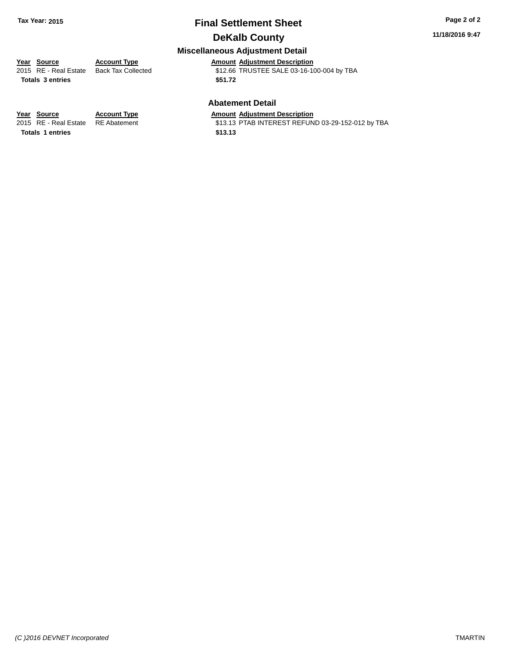#### **11/18/2016 9:47**

## **Miscellaneous Adjustment Detail**

**Year Source Account Type Amount Adjustment Description** \$12.66 TRUSTEE SALE 03-16-100-004 by TBA **Totals \$51.72 3 entries**

#### **Abatement Detail**

\$13.13 PTAB INTEREST REFUND 03-29-152-012 by TBA

**Year Source Account Type Amount Adjustment Description**<br>2015 RE - Real Estate RE Abatement **Amount Adjustment Description Totals \$13.13 1 entries**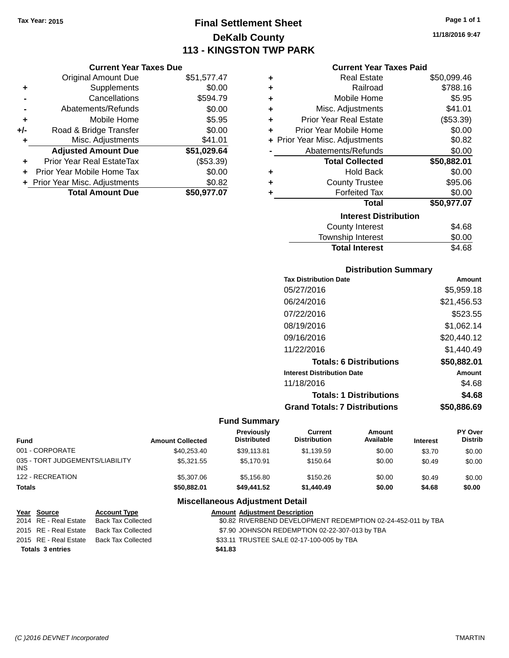**Current Year Taxes Due** Original Amount Due \$51,577.47

**Adjusted Amount Due \$51,029.64**

**Total Amount Due \$50,977.07**

**+** Supplements \$0.00 **-** Cancellations \$594.79 **-** Abatements/Refunds \$0.00 **+** Mobile Home \$5.95 **+/-** Road & Bridge Transfer \$0.00 **+** Misc. Adjustments \$41.01

**+** Prior Year Real EstateTax (\$53.39) **+** Prior Year Mobile Home Tax \$0.00 **+** Prior Year Misc. Adjustments  $$0.82$ 

# **Final Settlement Sheet Tax Year: 2015 Page 1 of 1 DeKalb County 113 - KINGSTON TWP PARK**

**11/18/2016 9:47**

#### **Current Year Taxes Paid**

| ÷ | <b>Real Estate</b>             | \$50,099.46 |
|---|--------------------------------|-------------|
| ٠ | Railroad                       | \$788.16    |
| ٠ | Mobile Home                    | \$5.95      |
| ٠ | Misc. Adjustments              | \$41.01     |
| ٠ | <b>Prior Year Real Estate</b>  | (\$53.39)   |
| ٠ | Prior Year Mobile Home         | \$0.00      |
|   | + Prior Year Misc. Adjustments | \$0.82      |
|   | Abatements/Refunds             | \$0.00      |
|   | <b>Total Collected</b>         | \$50,882.01 |
| ٠ | Hold Back                      | \$0.00      |
| ٠ | <b>County Trustee</b>          | \$95.06     |
| ÷ | <b>Forfeited Tax</b>           | \$0.00      |
|   | Total                          | \$50,977.07 |
|   | <b>Interest Distribution</b>   |             |
|   | County Interest                | \$4.68      |
|   | Township Interest              | \$0.00      |
|   | <b>Total Interest</b>          | \$4.68      |

| <b>Tax Distribution Date</b>         | Amount      |
|--------------------------------------|-------------|
| 05/27/2016                           | \$5,959.18  |
| 06/24/2016                           | \$21,456.53 |
| 07/22/2016                           | \$523.55    |
| 08/19/2016                           | \$1,062.14  |
| 09/16/2016                           | \$20,440.12 |
| 11/22/2016                           | \$1,440.49  |
| <b>Totals: 6 Distributions</b>       | \$50,882.01 |
| <b>Interest Distribution Date</b>    | Amount      |
| 11/18/2016                           | \$4.68      |
| <b>Totals: 1 Distributions</b>       | \$4.68      |
| <b>Grand Totals: 7 Distributions</b> | \$50.886.69 |

#### **Fund Summary**

| Fund                                    | <b>Amount Collected</b> | <b>Previously</b><br><b>Distributed</b> | Current<br><b>Distribution</b> | Amount<br>Available | <b>Interest</b> | <b>PY Over</b><br><b>Distrib</b> |
|-----------------------------------------|-------------------------|-----------------------------------------|--------------------------------|---------------------|-----------------|----------------------------------|
| 001 - CORPORATE                         | \$40.253.40             | \$39.113.81                             | \$1.139.59                     | \$0.00              | \$3.70          | \$0.00                           |
| 035 - TORT JUDGEMENTS/LIABILITY<br>INS. | \$5,321.55              | \$5.170.91                              | \$150.64                       | \$0.00              | \$0.49          | \$0.00                           |
| 122 - RECREATION                        | \$5,307.06              | \$5.156.80                              | \$150.26                       | \$0.00              | \$0.49          | \$0.00                           |
| Totals                                  | \$50,882,01             | \$49,441.52                             | \$1,440.49                     | \$0.00              | \$4.68          | \$0.00                           |

| Year Source             | <b>Account Type</b> | <b>Amount Adjustment Description</b>                         |
|-------------------------|---------------------|--------------------------------------------------------------|
| 2014 RE - Real Estate   | Back Tax Collected  | \$0.82 RIVERBEND DEVELOPMENT REDEMPTION 02-24-452-011 by TBA |
| 2015 RE - Real Estate   | Back Tax Collected  | \$7.90 JOHNSON REDEMPTION 02-22-307-013 by TBA               |
| 2015 RE - Real Estate   | Back Tax Collected  | \$33.11 TRUSTEE SALE 02-17-100-005 by TBA                    |
| <b>Totals 3 entries</b> |                     | \$41.83                                                      |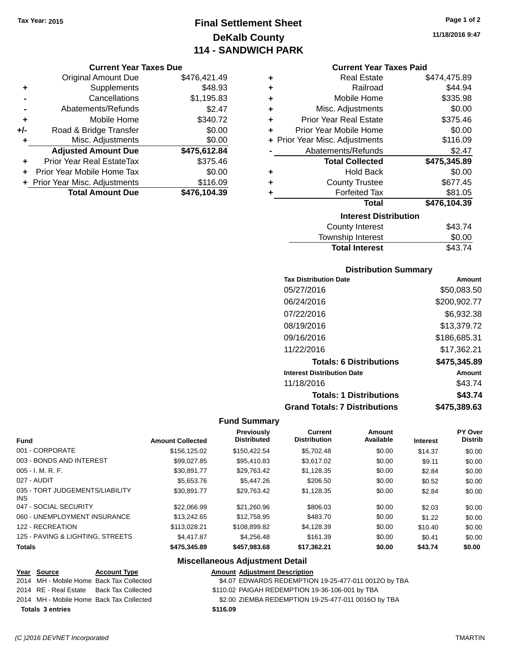# **Final Settlement Sheet Tax Year: 2015 Page 1 of 2 DeKalb County 114 - SANDWICH PARK**

#### **Current Year Taxes Due**

|       | <b>Original Amount Due</b>       | \$476,421.49 |
|-------|----------------------------------|--------------|
| ٠     | Supplements                      | \$48.93      |
|       | Cancellations                    | \$1,195.83   |
|       | Abatements/Refunds               | \$2.47       |
| ٠     | Mobile Home                      | \$340.72     |
| $+/-$ | Road & Bridge Transfer           | \$0.00       |
| ٠     | Misc. Adjustments                | \$0.00       |
|       | <b>Adjusted Amount Due</b>       | \$475,612.84 |
|       | <b>Prior Year Real EstateTax</b> | \$375.46     |
|       | Prior Year Mobile Home Tax       | \$0.00       |
|       | + Prior Year Misc. Adjustments   | \$116.09     |
|       | <b>Total Amount Due</b>          | \$476,104.39 |

| ٠ | <b>Real Estate</b>             | \$474,475.89 |
|---|--------------------------------|--------------|
| ٠ | Railroad                       | \$44.94      |
| ٠ | Mobile Home                    | \$335.98     |
| ٠ | Misc. Adjustments              | \$0.00       |
| ٠ | <b>Prior Year Real Estate</b>  | \$375.46     |
| ٠ | Prior Year Mobile Home         | \$0.00       |
|   | + Prior Year Misc. Adjustments | \$116.09     |
|   | Abatements/Refunds             | \$2.47       |
|   | <b>Total Collected</b>         | \$475,345.89 |
| ٠ | <b>Hold Back</b>               | \$0.00       |
| ٠ | <b>County Trustee</b>          | \$677.45     |
| ٠ | <b>Forfeited Tax</b>           | \$81.05      |
|   | <b>Total</b>                   | \$476,104.39 |
|   | <b>Interest Distribution</b>   |              |
|   | <b>County Interest</b>         | \$43.74      |
|   | <b>Township Interest</b>       | \$0.00       |

# Township Interest  $$0.00$ Total Interest \$43.74

## **Distribution Summary**

| <b>Tax Distribution Date</b>         | Amount       |
|--------------------------------------|--------------|
| 05/27/2016                           | \$50,083.50  |
| 06/24/2016                           | \$200,902.77 |
| 07/22/2016                           | \$6,932.38   |
| 08/19/2016                           | \$13,379.72  |
| 09/16/2016                           | \$186,685.31 |
| 11/22/2016                           | \$17,362.21  |
| <b>Totals: 6 Distributions</b>       | \$475,345.89 |
| <b>Interest Distribution Date</b>    | Amount       |
| 11/18/2016                           | \$43.74      |
| <b>Totals: 1 Distributions</b>       | \$43.74      |
| <b>Grand Totals: 7 Distributions</b> | \$475.389.63 |

## **Fund Summary**

| <b>Fund</b>                             | <b>Amount Collected</b> | <b>Previously</b><br><b>Distributed</b> | <b>Current</b><br><b>Distribution</b> | Amount<br>Available | <b>Interest</b> | PY Over<br><b>Distrib</b> |
|-----------------------------------------|-------------------------|-----------------------------------------|---------------------------------------|---------------------|-----------------|---------------------------|
| 001 - CORPORATE                         | \$156,125.02            | \$150.422.54                            | \$5,702.48                            | \$0.00              | \$14.37         | \$0.00                    |
| 003 - BONDS AND INTEREST                | \$99.027.85             | \$95,410.83                             | \$3.617.02                            | \$0.00              | \$9.11          | \$0.00                    |
| $005 - I. M. R. F.$                     | \$30.891.77             | \$29,763.42                             | \$1,128.35                            | \$0.00              | \$2.84          | \$0.00                    |
| 027 - AUDIT                             | \$5,653.76              | \$5,447.26                              | \$206.50                              | \$0.00              | \$0.52          | \$0.00                    |
| 035 - TORT JUDGEMENTS/LIABILITY<br>INS. | \$30.891.77             | \$29.763.42                             | \$1,128.35                            | \$0.00              | \$2.84          | \$0.00                    |
| 047 - SOCIAL SECURITY                   | \$22,066.99             | \$21.260.96                             | \$806.03                              | \$0.00              | \$2.03          | \$0.00                    |
| 060 - UNEMPLOYMENT INSURANCE            | \$13,242.65             | \$12,758.95                             | \$483.70                              | \$0.00              | \$1.22          | \$0.00                    |
| 122 - RECREATION                        | \$113,028.21            | \$108,899.82                            | \$4,128.39                            | \$0.00              | \$10.40         | \$0.00                    |
| 125 - PAVING & LIGHTING, STREETS        | \$4,417.87              | \$4.256.48                              | \$161.39                              | \$0.00              | \$0.41          | \$0.00                    |
| <b>Totals</b>                           | \$475,345.89            | \$457.983.68                            | \$17,362.21                           | \$0.00              | \$43.74         | \$0.00                    |

| Year Source                              | <b>Account Type</b>                      |          | <b>Amount Adjustment Description</b>                 |
|------------------------------------------|------------------------------------------|----------|------------------------------------------------------|
|                                          | 2014 MH - Mobile Home Back Tax Collected |          | \$4.07 EDWARDS REDEMPTION 19-25-477-011 0012O by TBA |
| 2014 RE - Real Estate Back Tax Collected |                                          |          | \$110.02 PAIGAH REDEMPTION 19-36-106-001 by TBA      |
| 2014 MH - Mobile Home Back Tax Collected |                                          |          | \$2.00 ZIEMBA REDEMPTION 19-25-477-011 0016O by TBA  |
| <b>Totals 3 entries</b>                  |                                          | \$116.09 |                                                      |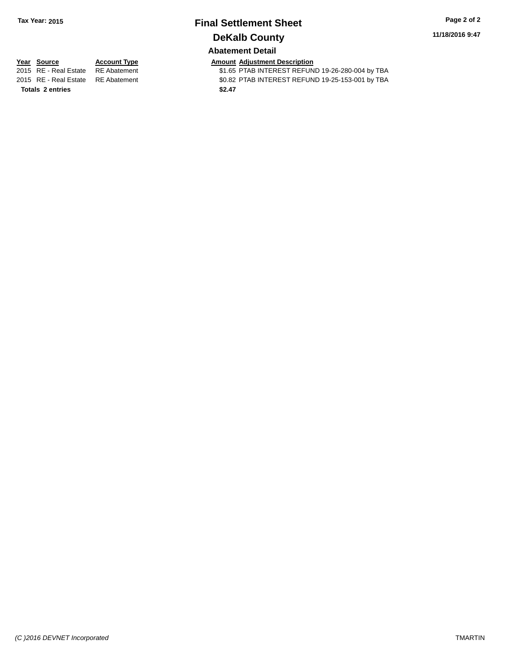**11/18/2016 9:47**

# **Abatement Detail**

**Totals \$2.47 2 entries**

**Year Source Account Type Account Type Amount Adjustment Description**<br>2015 RE - Real Estate RE Abatement **1998 AMOUNTEREST REFUN** \$1.65 PTAB INTEREST REFUND 19-26-280-004 by TBA 2015 RE - Real Estate RE Abatement \$0.82 PTAB INTEREST REFUND 19-25-153-001 by TBA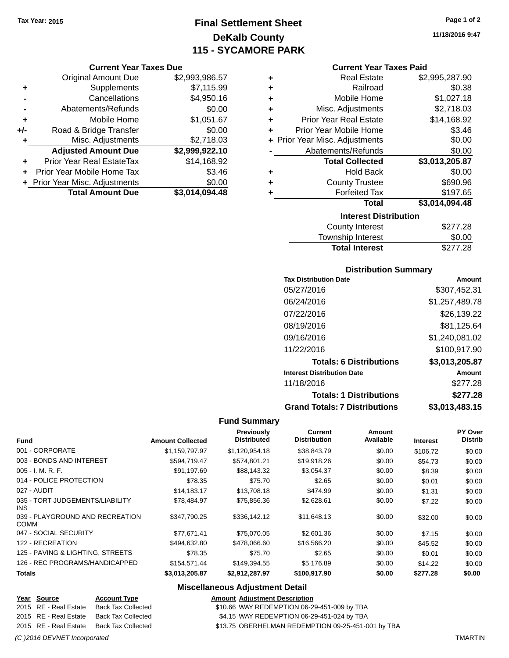# **Final Settlement Sheet Tax Year: 2015 Page 1 of 2 DeKalb County 115 - SYCAMORE PARK**

#### **Current Year Taxes Due**

|     | <b>Original Amount Due</b>     | \$2,993,986.57 |
|-----|--------------------------------|----------------|
| ٠   | Supplements                    | \$7,115.99     |
|     | Cancellations                  | \$4,950.16     |
|     | Abatements/Refunds             | \$0.00         |
| ٠   | Mobile Home                    | \$1,051.67     |
| +/- | Road & Bridge Transfer         | \$0.00         |
| ٠   | Misc. Adjustments              | \$2,718.03     |
|     | <b>Adjusted Amount Due</b>     | \$2,999,922.10 |
|     | Prior Year Real EstateTax      | \$14,168.92    |
|     | Prior Year Mobile Home Tax     | \$3.46         |
|     | + Prior Year Misc. Adjustments | \$0.00         |
|     | <b>Total Amount Due</b>        | \$3,014,094.48 |

| ٠ | <b>Real Estate</b>             | \$2,995,287.90 |
|---|--------------------------------|----------------|
| ٠ | Railroad                       | \$0.38         |
| ٠ | Mobile Home                    | \$1,027.18     |
| ٠ | Misc. Adjustments              | \$2,718.03     |
| ٠ | <b>Prior Year Real Estate</b>  | \$14,168.92    |
| ٠ | Prior Year Mobile Home         | \$3.46         |
|   | + Prior Year Misc. Adjustments | \$0.00         |
|   | Abatements/Refunds             | \$0.00         |
|   | <b>Total Collected</b>         | \$3,013,205.87 |
| ٠ | <b>Hold Back</b>               | \$0.00         |
| ٠ | <b>County Trustee</b>          | \$690.96       |
| ٠ | <b>Forfeited Tax</b>           | \$197.65       |
|   | Total                          | \$3,014,094.48 |
|   |                                |                |
|   | <b>Interest Distribution</b>   |                |

| <b>Total Interest</b> | \$277.28 |
|-----------------------|----------|
| Township Interest     | \$0.00   |
| County Interest       | \$277.28 |

#### **Distribution Summary**

| <b>Tax Distribution Date</b>         | Amount         |
|--------------------------------------|----------------|
| 05/27/2016                           | \$307,452.31   |
| 06/24/2016                           | \$1,257,489.78 |
| 07/22/2016                           | \$26,139.22    |
| 08/19/2016                           | \$81,125.64    |
| 09/16/2016                           | \$1,240,081.02 |
| 11/22/2016                           | \$100,917.90   |
| <b>Totals: 6 Distributions</b>       | \$3,013,205.87 |
| <b>Interest Distribution Date</b>    | Amount         |
| 11/18/2016                           | \$277.28       |
| <b>Totals: 1 Distributions</b>       | \$277.28       |
| <b>Grand Totals: 7 Distributions</b> | \$3,013,483.15 |

#### **Fund Summary**

| <b>Fund</b>                                    | <b>Amount Collected</b> | Previously<br><b>Distributed</b> | Current<br><b>Distribution</b> | Amount<br>Available | <b>Interest</b> | PY Over<br><b>Distrib</b> |
|------------------------------------------------|-------------------------|----------------------------------|--------------------------------|---------------------|-----------------|---------------------------|
| 001 - CORPORATE                                | \$1,159,797.97          | \$1,120,954.18                   | \$38,843.79                    | \$0.00              | \$106.72        | \$0.00                    |
| 003 - BONDS AND INTEREST                       | \$594.719.47            | \$574.801.21                     | \$19,918.26                    | \$0.00              | \$54.73         | \$0.00                    |
| $005 - I. M. R. F.$                            | \$91,197.69             | \$88,143.32                      | \$3,054.37                     | \$0.00              | \$8.39          | \$0.00                    |
| 014 - POLICE PROTECTION                        | \$78.35                 | \$75.70                          | \$2.65                         | \$0.00              | \$0.01          | \$0.00                    |
| 027 - AUDIT                                    | \$14,183.17             | \$13,708.18                      | \$474.99                       | \$0.00              | \$1.31          | \$0.00                    |
| 035 - TORT JUDGEMENTS/LIABILITY<br><b>INS</b>  | \$78.484.97             | \$75,856.36                      | \$2,628.61                     | \$0.00              | \$7.22          | \$0.00                    |
| 039 - PLAYGROUND AND RECREATION<br><b>COMM</b> | \$347.790.25            | \$336,142.12                     | \$11,648.13                    | \$0.00              | \$32.00         | \$0.00                    |
| 047 - SOCIAL SECURITY                          | \$77.671.41             | \$75,070.05                      | \$2,601.36                     | \$0.00              | \$7.15          | \$0.00                    |
| 122 - RECREATION                               | \$494.632.80            | \$478,066,60                     | \$16,566.20                    | \$0.00              | \$45.52         | \$0.00                    |
| 125 - PAVING & LIGHTING, STREETS               | \$78.35                 | \$75.70                          | \$2.65                         | \$0.00              | \$0.01          | \$0.00                    |
| 126 - REC PROGRAMS/HANDICAPPED                 | \$154,571.44            | \$149,394.55                     | \$5,176.89                     | \$0.00              | \$14.22         | \$0.00                    |
| <b>Totals</b>                                  | \$3,013,205.87          | \$2,912,287.97                   | \$100,917.90                   | \$0.00              | \$277.28        | \$0.00                    |

| <u>Year Source</u>    | <b>Account Type</b> | <b>Amount Adiustment Description</b>               |
|-----------------------|---------------------|----------------------------------------------------|
| 2015 RE - Real Estate | Back Tax Collected  | \$10.66 WAY REDEMPTION 06-29-451-009 by TBA        |
| 2015 RE - Real Estate | Back Tax Collected  | \$4.15 WAY REDEMPTION 06-29-451-024 by TBA         |
| 2015 RE - Real Estate | Back Tax Collected  | \$13.75 OBERHELMAN REDEMPTION 09-25-451-001 by TBA |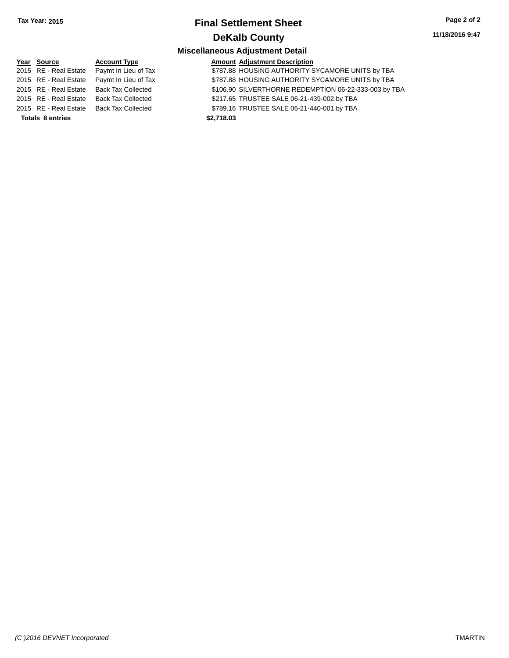#### **11/18/2016 9:47**

| Year Source             | <b>Account Type</b>                        | <b>Amount Adjustment Description</b>                  |
|-------------------------|--------------------------------------------|-------------------------------------------------------|
|                         | 2015 RE - Real Estate Paymt In Lieu of Tax | \$787.88 HOUSING AUTHORITY SYCAMORE UNITS by TBA      |
|                         | 2015 RE - Real Estate Paymt In Lieu of Tax | \$787.88 HOUSING AUTHORITY SYCAMORE UNITS by TBA      |
|                         | 2015 RE - Real Estate Back Tax Collected   | \$106.90 SILVERTHORNE REDEMPTION 06-22-333-003 by TBA |
|                         | 2015 RE - Real Estate Back Tax Collected   | \$217.65 TRUSTEE SALE 06-21-439-002 by TBA            |
|                         | 2015 RE - Real Estate Back Tax Collected   | \$789.16 TRUSTEE SALE 06-21-440-001 by TBA            |
| <b>Totals 8 entries</b> |                                            | \$2,718.03                                            |
|                         |                                            |                                                       |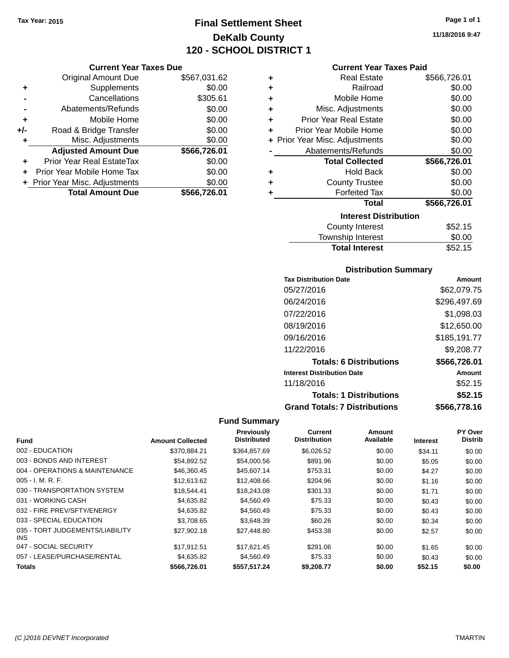# **Final Settlement Sheet Tax Year: 2015 Page 1 of 1 DeKalb County 120 - SCHOOL DISTRICT 1**

#### **Current Year Taxes Due**

|       | <b>Original Amount Due</b>       | \$567,031.62 |
|-------|----------------------------------|--------------|
| ٠     | Supplements                      | \$0.00       |
|       | Cancellations                    | \$305.61     |
|       | Abatements/Refunds               | \$0.00       |
| ٠     | Mobile Home                      | \$0.00       |
| $+/-$ | Road & Bridge Transfer           | \$0.00       |
| ٠     | Misc. Adjustments                | \$0.00       |
|       | <b>Adjusted Amount Due</b>       | \$566,726.01 |
| ٠     | <b>Prior Year Real EstateTax</b> | \$0.00       |
|       | Prior Year Mobile Home Tax       | \$0.00       |
|       | + Prior Year Misc. Adjustments   | \$0.00       |
|       | <b>Total Amount Due</b>          | \$566,726.01 |

| ٠ | <b>Real Estate</b>             | \$566,726.01 |
|---|--------------------------------|--------------|
| ÷ | Railroad                       | \$0.00       |
| ÷ | Mobile Home                    | \$0.00       |
| ٠ | Misc. Adjustments              | \$0.00       |
| ٠ | <b>Prior Year Real Estate</b>  | \$0.00       |
| ٠ | Prior Year Mobile Home         | \$0.00       |
|   | + Prior Year Misc. Adjustments | \$0.00       |
|   | Abatements/Refunds             | \$0.00       |
|   |                                |              |
|   | <b>Total Collected</b>         | \$566,726.01 |
| ٠ | <b>Hold Back</b>               | \$0.00       |
| ٠ | <b>County Trustee</b>          | \$0.00       |
| ٠ | <b>Forfeited Tax</b>           | \$0.00       |
|   | <b>Total</b>                   | \$566,726.01 |
|   | <b>Interest Distribution</b>   |              |
|   | <b>County Interest</b>         | \$52.15      |

| <b>Total Interest</b>    | \$52.15       |
|--------------------------|---------------|
| Township Interest        | \$0.00        |
| <b>COUTTLY IFFICIEST</b> | <b>JUZ.IU</b> |

#### **Distribution Summary**

| <b>Tax Distribution Date</b>         | Amount       |
|--------------------------------------|--------------|
| 05/27/2016                           | \$62,079.75  |
| 06/24/2016                           | \$296,497.69 |
| 07/22/2016                           | \$1,098.03   |
| 08/19/2016                           | \$12,650.00  |
| 09/16/2016                           | \$185,191.77 |
| 11/22/2016                           | \$9,208.77   |
| <b>Totals: 6 Distributions</b>       | \$566,726.01 |
| <b>Interest Distribution Date</b>    | Amount       |
| 11/18/2016                           | \$52.15      |
| <b>Totals: 1 Distributions</b>       | \$52.15      |
| <b>Grand Totals: 7 Distributions</b> | \$566.778.16 |

## **Fund Summary**

<u>each</u>

| <b>Fund</b>                             | <b>Amount Collected</b> | Previously<br><b>Distributed</b> | Current<br><b>Distribution</b> | Amount<br>Available | <b>Interest</b> | <b>PY Over</b><br><b>Distrib</b> |
|-----------------------------------------|-------------------------|----------------------------------|--------------------------------|---------------------|-----------------|----------------------------------|
| 002 - EDUCATION                         | \$370.884.21            | \$364,857.69                     | \$6,026.52                     | \$0.00              | \$34.11         | \$0.00                           |
| 003 - BONDS AND INTEREST                | \$54.892.52             | \$54,000.56                      | \$891.96                       | \$0.00              | \$5.05          | \$0.00                           |
| 004 - OPERATIONS & MAINTENANCE          | \$46,360.45             | \$45,607.14                      | \$753.31                       | \$0.00              | \$4.27          | \$0.00                           |
| $005 - I. M. R. F.$                     | \$12,613.62             | \$12,408.66                      | \$204.96                       | \$0.00              | \$1.16          | \$0.00                           |
| 030 - TRANSPORTATION SYSTEM             | \$18,544.41             | \$18,243.08                      | \$301.33                       | \$0.00              | \$1.71          | \$0.00                           |
| 031 - WORKING CASH                      | \$4,635.82              | \$4,560.49                       | \$75.33                        | \$0.00              | \$0.43          | \$0.00                           |
| 032 - FIRE PREV/SFTY/ENERGY             | \$4,635.82              | \$4,560.49                       | \$75.33                        | \$0.00              | \$0.43          | \$0.00                           |
| 033 - SPECIAL EDUCATION                 | \$3,708.65              | \$3.648.39                       | \$60.26                        | \$0.00              | \$0.34          | \$0.00                           |
| 035 - TORT JUDGEMENTS/LIABILITY<br>INS. | \$27.902.18             | \$27.448.80                      | \$453.38                       | \$0.00              | \$2.57          | \$0.00                           |
| 047 - SOCIAL SECURITY                   | \$17.912.51             | \$17,621.45                      | \$291.06                       | \$0.00              | \$1.65          | \$0.00                           |
| 057 - LEASE/PURCHASE/RENTAL             | \$4,635,82              | \$4,560.49                       | \$75.33                        | \$0.00              | \$0.43          | \$0.00                           |
| <b>Totals</b>                           | \$566,726.01            | \$557,517.24                     | \$9,208.77                     | \$0.00              | \$52.15         | \$0.00                           |

**11/18/2016 9:47**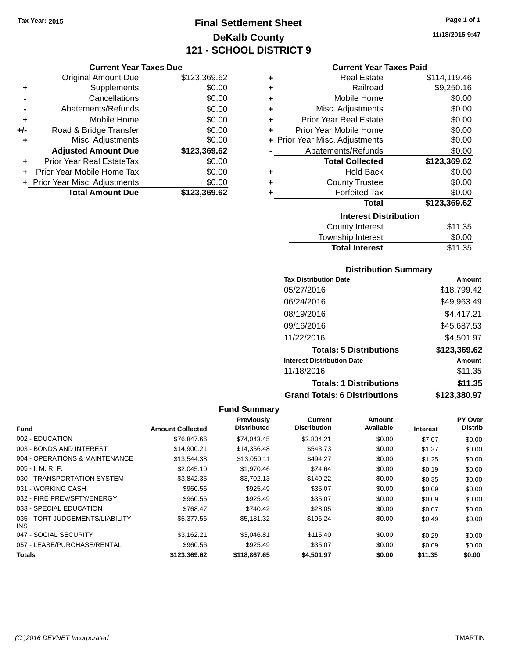# **Final Settlement Sheet Tax Year: 2015 Page 1 of 1 DeKalb County 121 - SCHOOL DISTRICT 9**

**11/18/2016 9:47**

|     | <b>Original Amount Due</b>       | \$123,369.62 |
|-----|----------------------------------|--------------|
| ÷   | Supplements                      | \$0.00       |
|     | Cancellations                    | \$0.00       |
|     | Abatements/Refunds               | \$0.00       |
| ٠   | Mobile Home                      | \$0.00       |
| +/- | Road & Bridge Transfer           | \$0.00       |
| ٠   | Misc. Adjustments                | \$0.00       |
|     | <b>Adjusted Amount Due</b>       | \$123,369.62 |
|     | <b>Prior Year Real EstateTax</b> | \$0.00       |
|     | Prior Year Mobile Home Tax       | \$0.00       |
|     | + Prior Year Misc. Adjustments   | \$0.00       |
|     | <b>Total Amount Due</b>          | \$123.369.62 |

#### **Current Year Taxes Paid**

| ٠ | <b>Real Estate</b>             | \$114,119.46 |
|---|--------------------------------|--------------|
| ÷ | Railroad                       | \$9,250.16   |
| ÷ | Mobile Home                    | \$0.00       |
| ÷ | Misc. Adjustments              | \$0.00       |
| ٠ | <b>Prior Year Real Estate</b>  | \$0.00       |
| ÷ | Prior Year Mobile Home         | \$0.00       |
|   | + Prior Year Misc. Adjustments | \$0.00       |
|   | Abatements/Refunds             | \$0.00       |
|   |                                |              |
|   | <b>Total Collected</b>         | \$123,369.62 |
| ٠ | <b>Hold Back</b>               | \$0.00       |
| ÷ | <b>County Trustee</b>          | \$0.00       |
| ٠ | <b>Forfeited Tax</b>           | \$0.00       |
|   | Total                          | \$123,369.62 |
|   | <b>Interest Distribution</b>   |              |
|   | County Interest                | \$11.35      |

# **Distribution Summary**

**Total Interest** \$11.35

| <b>Tax Distribution Date</b>         | Amount       |
|--------------------------------------|--------------|
| 05/27/2016                           | \$18,799.42  |
| 06/24/2016                           | \$49,963.49  |
| 08/19/2016                           | \$4,417.21   |
| 09/16/2016                           | \$45,687.53  |
| 11/22/2016                           | \$4,501.97   |
| <b>Totals: 5 Distributions</b>       | \$123,369.62 |
| <b>Interest Distribution Date</b>    | Amount       |
| 11/18/2016                           | \$11.35      |
| <b>Totals: 1 Distributions</b>       | \$11.35      |
| <b>Grand Totals: 6 Distributions</b> | \$123,380.97 |

|                                         |                         | Previously         | <b>Current</b>      | Amount    |                 | PY Over        |
|-----------------------------------------|-------------------------|--------------------|---------------------|-----------|-----------------|----------------|
| Fund                                    | <b>Amount Collected</b> | <b>Distributed</b> | <b>Distribution</b> | Available | <b>Interest</b> | <b>Distrib</b> |
| 002 - EDUCATION                         | \$76,847.66             | \$74,043.45        | \$2,804.21          | \$0.00    | \$7.07          | \$0.00         |
| 003 - BONDS AND INTEREST                | \$14,900.21             | \$14,356.48        | \$543.73            | \$0.00    | \$1.37          | \$0.00         |
| 004 - OPERATIONS & MAINTENANCE          | \$13,544.38             | \$13,050.11        | \$494.27            | \$0.00    | \$1.25          | \$0.00         |
| $005 - I. M. R. F.$                     | \$2,045.10              | \$1,970.46         | \$74.64             | \$0.00    | \$0.19          | \$0.00         |
| 030 - TRANSPORTATION SYSTEM             | \$3,842.35              | \$3,702.13         | \$140.22            | \$0.00    | \$0.35          | \$0.00         |
| 031 - WORKING CASH                      | \$960.56                | \$925.49           | \$35.07             | \$0.00    | \$0.09          | \$0.00         |
| 032 - FIRE PREV/SFTY/ENERGY             | \$960.56                | \$925.49           | \$35.07             | \$0.00    | \$0.09          | \$0.00         |
| 033 - SPECIAL EDUCATION                 | \$768.47                | \$740.42           | \$28.05             | \$0.00    | \$0.07          | \$0.00         |
| 035 - TORT JUDGEMENTS/LIABILITY<br>INS. | \$5,377.56              | \$5,181.32         | \$196.24            | \$0.00    | \$0.49          | \$0.00         |
| 047 - SOCIAL SECURITY                   | \$3,162.21              | \$3.046.81         | \$115.40            | \$0.00    | \$0.29          | \$0.00         |
| 057 - LEASE/PURCHASE/RENTAL             | \$960.56                | \$925.49           | \$35.07             | \$0.00    | \$0.09          | \$0.00         |
| <b>Totals</b>                           | \$123.369.62            | \$118,867.65       | \$4.501.97          | \$0.00    | \$11.35         | \$0.00         |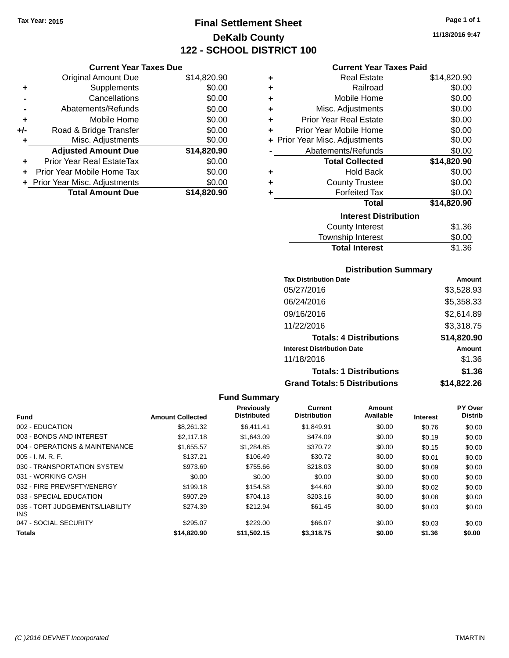# **Final Settlement Sheet Tax Year: 2015 Page 1 of 1 DeKalb County 122 - SCHOOL DISTRICT 100**

**11/18/2016 9:47**

#### **Current Year Taxes Paid**

|     | <b>Current Year Taxes Due</b>  |             |   |                    |
|-----|--------------------------------|-------------|---|--------------------|
|     | <b>Original Amount Due</b>     | \$14,820.90 | ٠ |                    |
| ٠   | <b>Supplements</b>             | \$0.00      | ٠ |                    |
|     | Cancellations                  | \$0.00      | ٠ |                    |
|     | Abatements/Refunds             | \$0.00      | ٠ |                    |
| ٠   | Mobile Home                    | \$0.00      | ÷ | Prio               |
| +/- | Road & Bridge Transfer         | \$0.00      |   | Prior <sup>'</sup> |
| ٠   | Misc. Adjustments              | \$0.00      |   | + Prior Year       |
|     | <b>Adjusted Amount Due</b>     | \$14,820.90 |   | Abi                |
|     | Prior Year Real EstateTax      | \$0.00      |   |                    |
|     | Prior Year Mobile Home Tax     | \$0.00      | ٠ |                    |
|     | + Prior Year Misc. Adjustments | \$0.00      | ٠ |                    |
|     | <b>Total Amount Due</b>        | \$14,820.90 |   |                    |
|     |                                |             |   |                    |

| ٠ | Real Estate                    | \$14,820.90 |
|---|--------------------------------|-------------|
|   | Railroad                       | \$0.00      |
| ٠ |                                |             |
| ÷ | Mobile Home                    | \$0.00      |
| ٠ | Misc. Adjustments              | \$0.00      |
| ÷ | <b>Prior Year Real Estate</b>  | \$0.00      |
| ٠ | Prior Year Mobile Home         | \$0.00      |
|   | + Prior Year Misc. Adjustments | \$0.00      |
|   | Abatements/Refunds             | \$0.00      |
|   | <b>Total Collected</b>         | \$14,820.90 |
| ٠ | <b>Hold Back</b>               | \$0.00      |
| ٠ | <b>County Trustee</b>          | \$0.00      |
| ٠ | <b>Forfeited Tax</b>           | \$0.00      |
|   | <b>Total</b>                   | \$14,820.90 |
|   | <b>Interest Distribution</b>   |             |
|   | <b>County Interest</b>         | \$1.36      |
|   | <b>Township Interest</b>       | \$0.00      |
|   | <b>Total Interest</b>          | \$1.36      |

#### **Distribution Summary**

| <b>Tax Distribution Date</b>         | Amount      |
|--------------------------------------|-------------|
| 05/27/2016                           | \$3,528.93  |
| 06/24/2016                           | \$5,358.33  |
| 09/16/2016                           | \$2,614.89  |
| 11/22/2016                           | \$3,318.75  |
| <b>Totals: 4 Distributions</b>       | \$14,820.90 |
| <b>Interest Distribution Date</b>    | Amount      |
| 11/18/2016                           | \$1.36      |
| <b>Totals: 1 Distributions</b>       | \$1.36      |
| <b>Grand Totals: 5 Distributions</b> | \$14.822.26 |

| <b>Fund</b>                             | <b>Amount Collected</b> | <b>Previously</b><br><b>Distributed</b> | Current<br><b>Distribution</b> | Amount<br>Available | <b>Interest</b> | <b>PY Over</b><br><b>Distrib</b> |
|-----------------------------------------|-------------------------|-----------------------------------------|--------------------------------|---------------------|-----------------|----------------------------------|
| 002 - EDUCATION                         | \$8,261,32              | \$6.411.41                              | \$1,849.91                     | \$0.00              | \$0.76          | \$0.00                           |
| 003 - BONDS AND INTEREST                | \$2,117.18              | \$1,643.09                              | \$474.09                       | \$0.00              | \$0.19          | \$0.00                           |
| 004 - OPERATIONS & MAINTENANCE          | \$1,655.57              | \$1,284.85                              | \$370.72                       | \$0.00              | \$0.15          | \$0.00                           |
| 005 - I. M. R. F.                       | \$137.21                | \$106.49                                | \$30.72                        | \$0.00              | \$0.01          | \$0.00                           |
| 030 - TRANSPORTATION SYSTEM             | \$973.69                | \$755.66                                | \$218.03                       | \$0.00              | \$0.09          | \$0.00                           |
| 031 - WORKING CASH                      | \$0.00                  | \$0.00                                  | \$0.00                         | \$0.00              | \$0.00          | \$0.00                           |
| 032 - FIRE PREV/SFTY/ENERGY             | \$199.18                | \$154.58                                | \$44.60                        | \$0.00              | \$0.02          | \$0.00                           |
| 033 - SPECIAL EDUCATION                 | \$907.29                | \$704.13                                | \$203.16                       | \$0.00              | \$0.08          | \$0.00                           |
| 035 - TORT JUDGEMENTS/LIABILITY<br>INS. | \$274.39                | \$212.94                                | \$61.45                        | \$0.00              | \$0.03          | \$0.00                           |
| 047 - SOCIAL SECURITY                   | \$295.07                | \$229.00                                | \$66.07                        | \$0.00              | \$0.03          | \$0.00                           |
| <b>Totals</b>                           | \$14,820.90             | \$11.502.15                             | \$3,318,75                     | \$0.00              | \$1.36          | \$0.00                           |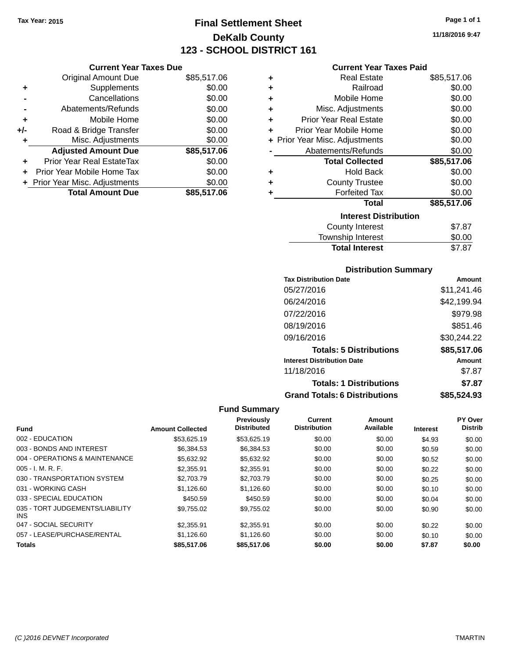# **Final Settlement Sheet Tax Year: 2015 Page 1 of 1 DeKalb County 123 - SCHOOL DISTRICT 161**

**11/18/2016 9:47**

#### **Current Year Taxes Paid**

| \$85,517.06 |
|-------------|
| \$0.00      |
| \$0.00      |
| \$0.00      |
| \$0.00      |
| \$0.00      |
| \$0.00      |
| \$85,517.06 |
| \$0.00      |
| \$0.00      |
| \$0.00      |
| \$85.517.06 |
|             |

| ٠ | <b>Real Estate</b>             | \$85,517.06 |
|---|--------------------------------|-------------|
| ÷ | Railroad                       | \$0.00      |
| ÷ | Mobile Home                    | \$0.00      |
| ٠ | Misc. Adjustments              | \$0.00      |
| ٠ | <b>Prior Year Real Estate</b>  | \$0.00      |
| ٠ | Prior Year Mobile Home         | \$0.00      |
|   | + Prior Year Misc. Adjustments | \$0.00      |
|   | Abatements/Refunds             | \$0.00      |
|   | <b>Total Collected</b>         | \$85,517.06 |
| ٠ | <b>Hold Back</b>               | \$0.00      |
| ٠ | <b>County Trustee</b>          | \$0.00      |
| ٠ | <b>Forfeited Tax</b>           | \$0.00      |
|   | Total                          | \$85,517.06 |
|   | <b>Interest Distribution</b>   |             |
|   | County Interest                | \$7.87      |
|   | <b>Township Interest</b>       | \$0.00      |
|   | <b>Total Interest</b>          | \$7.87      |

#### **Distribution Summary**

| <b>Tax Distribution Date</b>         | Amount      |
|--------------------------------------|-------------|
| 05/27/2016                           | \$11,241.46 |
| 06/24/2016                           | \$42,199.94 |
| 07/22/2016                           | \$979.98    |
| 08/19/2016                           | \$851.46    |
| 09/16/2016                           | \$30,244.22 |
| <b>Totals: 5 Distributions</b>       | \$85,517.06 |
| <b>Interest Distribution Date</b>    | Amount      |
| 11/18/2016                           | \$7.87      |
| <b>Totals: 1 Distributions</b>       | \$7.87      |
| <b>Grand Totals: 6 Distributions</b> | \$85,524.93 |

|                                         |                         | <b>Previously</b>  | Current             | Amount    |                 | <b>PY Over</b> |
|-----------------------------------------|-------------------------|--------------------|---------------------|-----------|-----------------|----------------|
| <b>Fund</b>                             | <b>Amount Collected</b> | <b>Distributed</b> | <b>Distribution</b> | Available | <b>Interest</b> | <b>Distrib</b> |
| 002 - EDUCATION                         | \$53,625.19             | \$53,625.19        | \$0.00              | \$0.00    | \$4.93          | \$0.00         |
| 003 - BONDS AND INTEREST                | \$6.384.53              | \$6,384.53         | \$0.00              | \$0.00    | \$0.59          | \$0.00         |
| 004 - OPERATIONS & MAINTENANCE          | \$5.632.92              | \$5.632.92         | \$0.00              | \$0.00    | \$0.52          | \$0.00         |
| $005 - I. M. R. F.$                     | \$2,355.91              | \$2,355.91         | \$0.00              | \$0.00    | \$0.22          | \$0.00         |
| 030 - TRANSPORTATION SYSTEM             | \$2,703.79              | \$2,703.79         | \$0.00              | \$0.00    | \$0.25          | \$0.00         |
| 031 - WORKING CASH                      | \$1.126.60              | \$1,126.60         | \$0.00              | \$0.00    | \$0.10          | \$0.00         |
| 033 - SPECIAL EDUCATION                 | \$450.59                | \$450.59           | \$0.00              | \$0.00    | \$0.04          | \$0.00         |
| 035 - TORT JUDGEMENTS/LIABILITY<br>INS. | \$9,755.02              | \$9,755.02         | \$0.00              | \$0.00    | \$0.90          | \$0.00         |
| 047 - SOCIAL SECURITY                   | \$2,355.91              | \$2,355.91         | \$0.00              | \$0.00    | \$0.22          | \$0.00         |
| 057 - LEASE/PURCHASE/RENTAL             | \$1.126.60              | \$1.126.60         | \$0.00              | \$0.00    | \$0.10          | \$0.00         |
| <b>Totals</b>                           | \$85,517.06             | \$85,517.06        | \$0.00              | \$0.00    | \$7.87          | \$0.00         |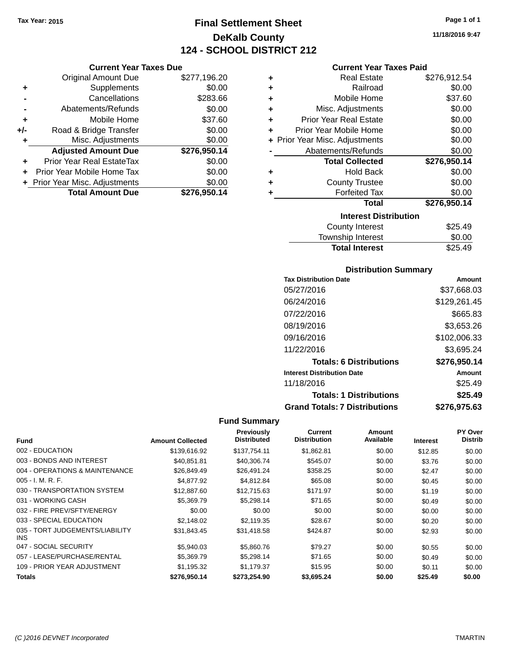**Current Year Taxes Due** Original Amount Due \$277,196.20

**Adjusted Amount Due \$276,950.14**

**Total Amount Due \$276,950.14**

**+** Supplements \$0.00 **-** Cancellations \$283.66 **-** Abatements/Refunds \$0.00 **+** Mobile Home \$37.60 **+/-** Road & Bridge Transfer \$0.00<br> **+** Misc. Adjustments \$0.00

**+** Prior Year Real EstateTax \$0.00 **+** Prior Year Mobile Home Tax \$0.00 **+ Prior Year Misc. Adjustments**  $$0.00$ 

**+** Misc. Adjustments

# **Final Settlement Sheet Tax Year: 2015 Page 1 of 1 DeKalb County 124 - SCHOOL DISTRICT 212**

**11/18/2016 9:47**

#### **Current Year Taxes Paid**

| ٠ | <b>Real Estate</b>             | \$276,912.54 |
|---|--------------------------------|--------------|
| ٠ | Railroad                       | \$0.00       |
| ٠ | Mobile Home                    | \$37.60      |
| ÷ | Misc. Adjustments              | \$0.00       |
| ٠ | <b>Prior Year Real Estate</b>  | \$0.00       |
| ٠ | Prior Year Mobile Home         | \$0.00       |
|   | + Prior Year Misc. Adjustments | \$0.00       |
|   | Abatements/Refunds             | \$0.00       |
|   | <b>Total Collected</b>         | \$276,950.14 |
|   |                                |              |
| ٠ | <b>Hold Back</b>               | \$0.00       |
| ٠ | <b>County Trustee</b>          | \$0.00       |
| ٠ | <b>Forfeited Tax</b>           | \$0.00       |
|   | <b>Total</b>                   | \$276,950.14 |
|   | <b>Interest Distribution</b>   |              |
|   | <b>County Interest</b>         | \$25.49      |

| <b>IOWITOLIID IIIIGIGOL</b> | wu.uu   |
|-----------------------------|---------|
| <b>Total Interest</b>       | \$25.49 |
|                             |         |

#### **Distribution Summary**

| <b>Tax Distribution Date</b>         | Amount       |
|--------------------------------------|--------------|
| 05/27/2016                           | \$37,668.03  |
| 06/24/2016                           | \$129,261.45 |
| 07/22/2016                           | \$665.83     |
| 08/19/2016                           | \$3,653.26   |
| 09/16/2016                           | \$102,006.33 |
| 11/22/2016                           | \$3,695.24   |
| <b>Totals: 6 Distributions</b>       | \$276,950.14 |
| <b>Interest Distribution Date</b>    | Amount       |
| 11/18/2016                           | \$25.49      |
| <b>Totals: 1 Distributions</b>       | \$25.49      |
| <b>Grand Totals: 7 Distributions</b> | \$276,975.63 |

| <b>Fund</b>                             | <b>Amount Collected</b> | <b>Previously</b><br><b>Distributed</b> | <b>Current</b><br><b>Distribution</b> | Amount<br>Available | <b>Interest</b> | PY Over<br><b>Distrib</b> |
|-----------------------------------------|-------------------------|-----------------------------------------|---------------------------------------|---------------------|-----------------|---------------------------|
|                                         |                         |                                         |                                       |                     |                 |                           |
| 002 - EDUCATION                         | \$139,616.92            | \$137,754.11                            | \$1,862.81                            | \$0.00              | \$12.85         | \$0.00                    |
| 003 - BONDS AND INTEREST                | \$40.851.81             | \$40.306.74                             | \$545.07                              | \$0.00              | \$3.76          | \$0.00                    |
| 004 - OPERATIONS & MAINTENANCE          | \$26,849.49             | \$26,491.24                             | \$358.25                              | \$0.00              | \$2.47          | \$0.00                    |
| $005 - I. M. R. F.$                     | \$4,877.92              | \$4,812.84                              | \$65.08                               | \$0.00              | \$0.45          | \$0.00                    |
| 030 - TRANSPORTATION SYSTEM             | \$12,887.60             | \$12,715.63                             | \$171.97                              | \$0.00              | \$1.19          | \$0.00                    |
| 031 - WORKING CASH                      | \$5,369.79              | \$5,298.14                              | \$71.65                               | \$0.00              | \$0.49          | \$0.00                    |
| 032 - FIRE PREV/SFTY/ENERGY             | \$0.00                  | \$0.00                                  | \$0.00                                | \$0.00              | \$0.00          | \$0.00                    |
| 033 - SPECIAL EDUCATION                 | \$2,148.02              | \$2,119.35                              | \$28.67                               | \$0.00              | \$0.20          | \$0.00                    |
| 035 - TORT JUDGEMENTS/LIABILITY<br>INS. | \$31,843.45             | \$31,418.58                             | \$424.87                              | \$0.00              | \$2.93          | \$0.00                    |
| 047 - SOCIAL SECURITY                   | \$5,940.03              | \$5,860.76                              | \$79.27                               | \$0.00              | \$0.55          | \$0.00                    |
| 057 - LEASE/PURCHASE/RENTAL             | \$5.369.79              | \$5.298.14                              | \$71.65                               | \$0.00              | \$0.49          | \$0.00                    |
| 109 - PRIOR YEAR ADJUSTMENT             | \$1,195.32              | \$1,179.37                              | \$15.95                               | \$0.00              | \$0.11          | \$0.00                    |
| Totals                                  | \$276,950.14            | \$273,254.90                            | \$3,695.24                            | \$0.00              | \$25.49         | \$0.00                    |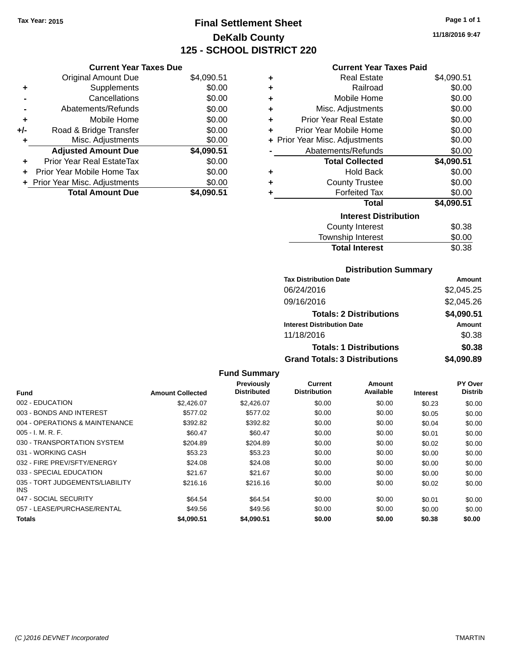# **Final Settlement Sheet Tax Year: 2015 Page 1 of 1 DeKalb County 125 - SCHOOL DISTRICT 220**

**11/18/2016 9:47**

#### **Current Year Taxes Paid**

|     | <b>Current Year Taxes Due</b>    |            |
|-----|----------------------------------|------------|
|     | <b>Original Amount Due</b>       | \$4,090.51 |
| ٠   | Supplements                      | \$0.00     |
|     | Cancellations                    | \$0.00     |
|     | Abatements/Refunds               | \$0.00     |
| ٠   | Mobile Home                      | \$0.00     |
| +/- | Road & Bridge Transfer           | \$0.00     |
| ٠   | Misc. Adjustments                | \$0.00     |
|     | <b>Adjusted Amount Due</b>       | \$4,090.51 |
|     | <b>Prior Year Real EstateTax</b> | \$0.00     |
| ÷   | Prior Year Mobile Home Tax       | \$0.00     |
|     | + Prior Year Misc. Adjustments   | \$0.00     |
|     | <b>Total Amount Due</b>          | \$4.090.51 |

| ٠ | <b>Real Estate</b>             | \$4,090.51 |
|---|--------------------------------|------------|
| ÷ | Railroad                       | \$0.00     |
| ÷ | Mobile Home                    | \$0.00     |
| ÷ | Misc. Adjustments              | \$0.00     |
| ٠ | <b>Prior Year Real Estate</b>  | \$0.00     |
| ٠ | Prior Year Mobile Home         | \$0.00     |
|   | + Prior Year Misc. Adjustments | \$0.00     |
|   | Abatements/Refunds             | \$0.00     |
|   | <b>Total Collected</b>         | \$4,090.51 |
| ٠ | <b>Hold Back</b>               | \$0.00     |
| ٠ | <b>County Trustee</b>          | \$0.00     |
| ٠ | <b>Forfeited Tax</b>           | \$0.00     |
|   | <b>Total</b>                   | \$4,090.51 |
|   | <b>Interest Distribution</b>   |            |
|   | <b>County Interest</b>         | \$0.38     |
|   | <b>Township Interest</b>       | \$0.00     |
|   | <b>Total Interest</b>          | \$0.38     |

#### **Distribution Summary**

| <b>Tax Distribution Date</b>         | Amount     |
|--------------------------------------|------------|
| 06/24/2016                           | \$2,045.25 |
| 09/16/2016                           | \$2,045.26 |
| <b>Totals: 2 Distributions</b>       | \$4,090.51 |
| <b>Interest Distribution Date</b>    | Amount     |
| 11/18/2016                           | \$0.38     |
| <b>Totals: 1 Distributions</b>       | \$0.38     |
| <b>Grand Totals: 3 Distributions</b> | \$4,090.89 |

|                                               |                         | Previously         | <b>Current</b>      | Amount    |                 | PY Over        |
|-----------------------------------------------|-------------------------|--------------------|---------------------|-----------|-----------------|----------------|
| <b>Fund</b>                                   | <b>Amount Collected</b> | <b>Distributed</b> | <b>Distribution</b> | Available | <b>Interest</b> | <b>Distrib</b> |
| 002 - EDUCATION                               | \$2.426.07              | \$2,426.07         | \$0.00              | \$0.00    | \$0.23          | \$0.00         |
| 003 - BONDS AND INTEREST                      | \$577.02                | \$577.02           | \$0.00              | \$0.00    | \$0.05          | \$0.00         |
| 004 - OPERATIONS & MAINTENANCE                | \$392.82                | \$392.82           | \$0.00              | \$0.00    | \$0.04          | \$0.00         |
| $005 - I. M. R. F.$                           | \$60.47                 | \$60.47            | \$0.00              | \$0.00    | \$0.01          | \$0.00         |
| 030 - TRANSPORTATION SYSTEM                   | \$204.89                | \$204.89           | \$0.00              | \$0.00    | \$0.02          | \$0.00         |
| 031 - WORKING CASH                            | \$53.23                 | \$53.23            | \$0.00              | \$0.00    | \$0.00          | \$0.00         |
| 032 - FIRE PREV/SFTY/ENERGY                   | \$24.08                 | \$24.08            | \$0.00              | \$0.00    | \$0.00          | \$0.00         |
| 033 - SPECIAL EDUCATION                       | \$21.67                 | \$21.67            | \$0.00              | \$0.00    | \$0.00          | \$0.00         |
| 035 - TORT JUDGEMENTS/LIABILITY<br><b>INS</b> | \$216.16                | \$216.16           | \$0.00              | \$0.00    | \$0.02          | \$0.00         |
| 047 - SOCIAL SECURITY                         | \$64.54                 | \$64.54            | \$0.00              | \$0.00    | \$0.01          | \$0.00         |
| 057 - LEASE/PURCHASE/RENTAL                   | \$49.56                 | \$49.56            | \$0.00              | \$0.00    | \$0.00          | \$0.00         |
| Totals                                        | \$4.090.51              | \$4.090.51         | \$0.00              | \$0.00    | \$0.38          | \$0.00         |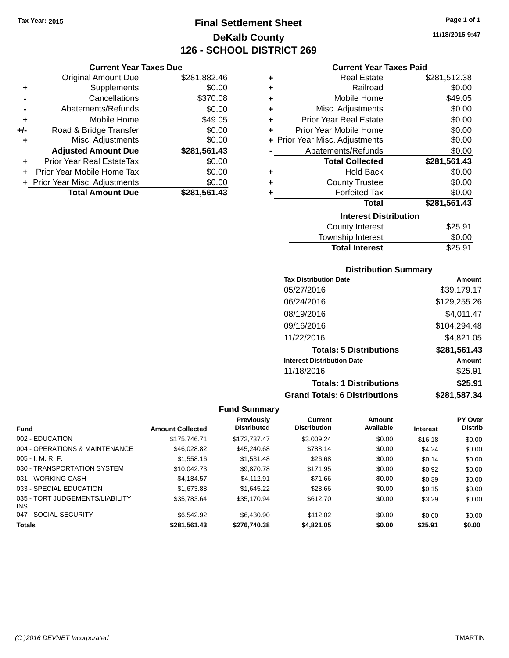**Current Year Taxes Due** Original Amount Due \$281,882.46

**Adjusted Amount Due \$281,561.43**

**Total Amount Due \$281,561.43**

**+** Supplements \$0.00 **-** Cancellations \$370.08 **-** Abatements/Refunds \$0.00 **+** Mobile Home \$49.05 **+/-** Road & Bridge Transfer \$0.00<br> **+** Misc. Adjustments \$0.00

**+** Prior Year Real EstateTax \$0.00 **+** Prior Year Mobile Home Tax \$0.00 **+ Prior Year Misc. Adjustments**  $$0.00$ 

**+** Misc. Adjustments

# **Final Settlement Sheet Tax Year: 2015 Page 1 of 1 DeKalb County 126 - SCHOOL DISTRICT 269**

**11/18/2016 9:47**

#### **Current Year Taxes Paid**

| <b>Real Estate</b>             | \$281,512.38 |
|--------------------------------|--------------|
| Railroad                       | \$0.00       |
| Mobile Home                    | \$49.05      |
| Misc. Adjustments              | \$0.00       |
| <b>Prior Year Real Estate</b>  | \$0.00       |
| Prior Year Mobile Home         | \$0.00       |
| + Prior Year Misc. Adjustments | \$0.00       |
| Abatements/Refunds             | \$0.00       |
| <b>Total Collected</b>         | \$281,561.43 |
| <b>Hold Back</b>               | \$0.00       |
| <b>County Trustee</b>          | \$0.00       |
| <b>Forfeited Tax</b>           | \$0.00       |
| <b>Total</b>                   | \$281,561.43 |
| <b>Interest Distribution</b>   |              |
| <b>County Interest</b>         | \$25.91      |
| <b>Township Interest</b>       | \$0.00       |
|                                |              |

| <b>IVIIIUIIIP IIIWIUU</b> | vv.vv   |
|---------------------------|---------|
| <b>Total Interest</b>     | \$25.91 |
|                           |         |

#### **Distribution Summary**

| <b>Tax Distribution Date</b>         | Amount       |
|--------------------------------------|--------------|
| 05/27/2016                           | \$39,179.17  |
| 06/24/2016                           | \$129,255.26 |
| 08/19/2016                           | \$4,011.47   |
| 09/16/2016                           | \$104,294.48 |
| 11/22/2016                           | \$4.821.05   |
| <b>Totals: 5 Distributions</b>       | \$281,561.43 |
| <b>Interest Distribution Date</b>    | Amount       |
| 11/18/2016                           | \$25.91      |
| <b>Totals: 1 Distributions</b>       | \$25.91      |
| <b>Grand Totals: 6 Distributions</b> | \$281,587.34 |

|                                               | <b>Amount Collected</b> | <b>Previously</b><br><b>Distributed</b> | <b>Current</b><br><b>Distribution</b> | Amount<br>Available |                 | <b>PY Over</b><br><b>Distrib</b> |
|-----------------------------------------------|-------------------------|-----------------------------------------|---------------------------------------|---------------------|-----------------|----------------------------------|
| <b>Fund</b>                                   |                         |                                         |                                       |                     | <b>Interest</b> |                                  |
| 002 - EDUCATION                               | \$175,746.71            | \$172.737.47                            | \$3,009.24                            | \$0.00              | \$16.18         | \$0.00                           |
| 004 - OPERATIONS & MAINTENANCE                | \$46,028.82             | \$45,240.68                             | \$788.14                              | \$0.00              | \$4.24          | \$0.00                           |
| $005 - I. M. R. F.$                           | \$1,558,16              | \$1.531.48                              | \$26.68                               | \$0.00              | \$0.14          | \$0.00                           |
| 030 - TRANSPORTATION SYSTEM                   | \$10,042.73             | \$9,870.78                              | \$171.95                              | \$0.00              | \$0.92          | \$0.00                           |
| 031 - WORKING CASH                            | \$4.184.57              | \$4.112.91                              | \$71.66                               | \$0.00              | \$0.39          | \$0.00                           |
| 033 - SPECIAL EDUCATION                       | \$1,673.88              | \$1,645.22                              | \$28.66                               | \$0.00              | \$0.15          | \$0.00                           |
| 035 - TORT JUDGEMENTS/LIABILITY<br><b>INS</b> | \$35,783.64             | \$35,170.94                             | \$612.70                              | \$0.00              | \$3.29          | \$0.00                           |
| 047 - SOCIAL SECURITY                         | \$6,542.92              | \$6,430.90                              | \$112.02                              | \$0.00              | \$0.60          | \$0.00                           |
| <b>Totals</b>                                 | \$281.561.43            | \$276,740.38                            | \$4,821.05                            | \$0.00              | \$25.91         | \$0.00                           |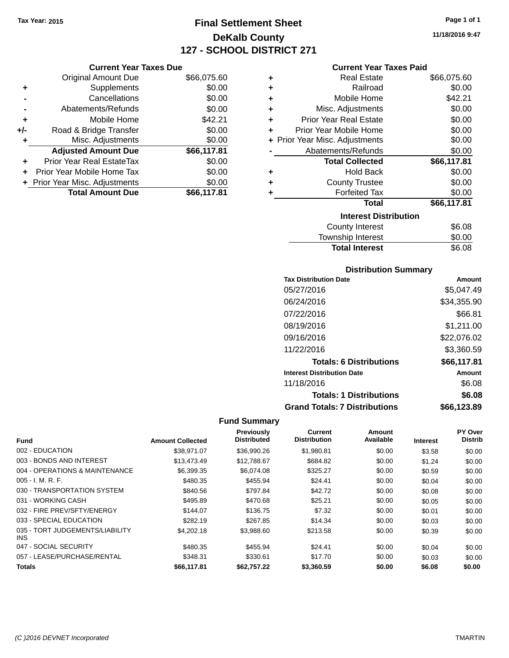# **Final Settlement Sheet Tax Year: 2015 Page 1 of 1 DeKalb County 127 - SCHOOL DISTRICT 271**

**11/18/2016 9:47**

|     | <b>Original Amount Due</b>       | \$66,075.60 |
|-----|----------------------------------|-------------|
| ٠   | Supplements                      | \$0.00      |
|     | Cancellations                    | \$0.00      |
|     | Abatements/Refunds               | \$0.00      |
| ٠   | Mobile Home                      | \$42.21     |
| +/- | Road & Bridge Transfer           | \$0.00      |
| ٠   | Misc. Adjustments                | \$0.00      |
|     | <b>Adjusted Amount Due</b>       | \$66,117.81 |
|     | <b>Prior Year Real EstateTax</b> | \$0.00      |
|     | Prior Year Mobile Home Tax       | \$0.00      |
|     | + Prior Year Misc. Adjustments   | \$0.00      |
|     | <b>Total Amount Due</b>          | \$66,117.81 |

#### **Current Year Taxes Paid**

| ٠ | Real Estate                    | \$66,075.60 |
|---|--------------------------------|-------------|
| ÷ | Railroad                       | \$0.00      |
| ÷ | Mobile Home                    | \$42.21     |
| ٠ | Misc. Adjustments              | \$0.00      |
| ٠ | Prior Year Real Estate         | \$0.00      |
| ٠ | Prior Year Mobile Home         | \$0.00      |
|   | + Prior Year Misc. Adjustments | \$0.00      |
|   | Abatements/Refunds             | \$0.00      |
|   | <b>Total Collected</b>         | \$66,117.81 |
| ٠ | Hold Back                      | \$0.00      |
| ÷ | <b>County Trustee</b>          | \$0.00      |
| ٠ | <b>Forfeited Tax</b>           | \$0.00      |
|   | Total                          | \$66,117.81 |
|   | <b>Interest Distribution</b>   |             |
|   | County Interest                | \$6.08      |
|   | <b>Township Interest</b>       | \$0.00      |
|   | <b>Total Interest</b>          | \$6.08      |

## **Distribution Summary**

| <b>Tax Distribution Date</b>         | Amount      |
|--------------------------------------|-------------|
| 05/27/2016                           | \$5.047.49  |
| 06/24/2016                           | \$34,355.90 |
| 07/22/2016                           | \$66.81     |
| 08/19/2016                           | \$1,211.00  |
| 09/16/2016                           | \$22,076.02 |
| 11/22/2016                           | \$3,360.59  |
| <b>Totals: 6 Distributions</b>       | \$66,117.81 |
| <b>Interest Distribution Date</b>    | Amount      |
| 11/18/2016                           | \$6.08      |
| <b>Totals: 1 Distributions</b>       | \$6.08      |
| <b>Grand Totals: 7 Distributions</b> | \$66.123.89 |

|                                         |                         | Previously         | Current             | <b>Amount</b> |                 | PY Over        |
|-----------------------------------------|-------------------------|--------------------|---------------------|---------------|-----------------|----------------|
| <b>Fund</b>                             | <b>Amount Collected</b> | <b>Distributed</b> | <b>Distribution</b> | Available     | <b>Interest</b> | <b>Distrib</b> |
| 002 - EDUCATION                         | \$38.971.07             | \$36,990.26        | \$1,980.81          | \$0.00        | \$3.58          | \$0.00         |
| 003 - BONDS AND INTEREST                | \$13,473.49             | \$12,788.67        | \$684.82            | \$0.00        | \$1.24          | \$0.00         |
| 004 - OPERATIONS & MAINTENANCE          | \$6,399.35              | \$6,074.08         | \$325.27            | \$0.00        | \$0.59          | \$0.00         |
| $005 - I. M. R. F.$                     | \$480.35                | \$455.94           | \$24.41             | \$0.00        | \$0.04          | \$0.00         |
| 030 - TRANSPORTATION SYSTEM             | \$840.56                | \$797.84           | \$42.72             | \$0.00        | \$0.08          | \$0.00         |
| 031 - WORKING CASH                      | \$495.89                | \$470.68           | \$25.21             | \$0.00        | \$0.05          | \$0.00         |
| 032 - FIRE PREV/SFTY/ENERGY             | \$144.07                | \$136.75           | \$7.32              | \$0.00        | \$0.01          | \$0.00         |
| 033 - SPECIAL EDUCATION                 | \$282.19                | \$267.85           | \$14.34             | \$0.00        | \$0.03          | \$0.00         |
| 035 - TORT JUDGEMENTS/LIABILITY<br>INS. | \$4,202.18              | \$3,988.60         | \$213.58            | \$0.00        | \$0.39          | \$0.00         |
| 047 - SOCIAL SECURITY                   | \$480.35                | \$455.94           | \$24.41             | \$0.00        | \$0.04          | \$0.00         |
| 057 - LEASE/PURCHASE/RENTAL             | \$348.31                | \$330.61           | \$17.70             | \$0.00        | \$0.03          | \$0.00         |
| <b>Totals</b>                           | \$66,117.81             | \$62,757.22        | \$3,360.59          | \$0.00        | \$6.08          | \$0.00         |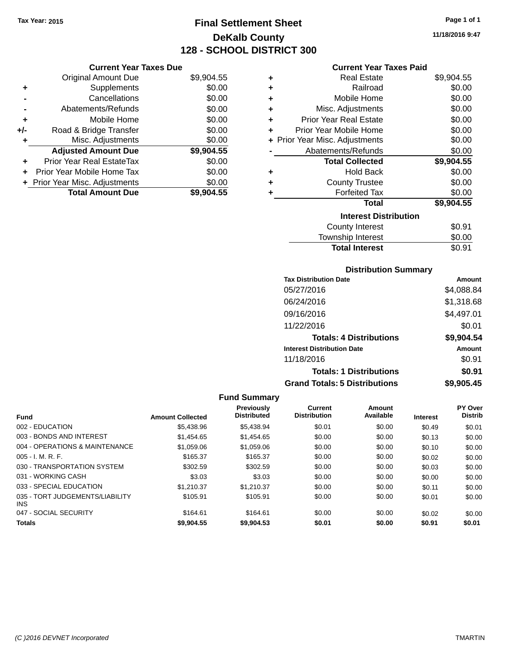**Current Year Taxes Due** Original Amount Due \$9,904.55

**Adjusted Amount Due \$9,904.55**

**Total Amount Due \$9,904.55**

**+** Supplements \$0.00 **-** Cancellations \$0.00 **-** Abatements/Refunds \$0.00 **+** Mobile Home \$0.00 **+/-** Road & Bridge Transfer \$0.00 **+** Misc. Adjustments \$0.00

**+** Prior Year Real EstateTax \$0.00 **+** Prior Year Mobile Home Tax \$0.00 **+ Prior Year Misc. Adjustments**  $$0.00$ 

# **Final Settlement Sheet Tax Year: 2015 Page 1 of 1 DeKalb County 128 - SCHOOL DISTRICT 300**

**11/18/2016 9:47**

#### **Current Year Taxes Paid**

| ٠ | <b>Real Estate</b>             | \$9,904.55 |
|---|--------------------------------|------------|
| ٠ | Railroad                       | \$0.00     |
| ٠ | Mobile Home                    | \$0.00     |
| ÷ | Misc. Adjustments              | \$0.00     |
| ٠ | <b>Prior Year Real Estate</b>  | \$0.00     |
| ٠ | Prior Year Mobile Home         | \$0.00     |
|   | + Prior Year Misc. Adjustments | \$0.00     |
|   | Abatements/Refunds             | \$0.00     |
|   | <b>Total Collected</b>         | \$9,904.55 |
| ٠ | <b>Hold Back</b>               | \$0.00     |
| ٠ | <b>County Trustee</b>          | \$0.00     |
| ٠ | <b>Forfeited Tax</b>           | \$0.00     |
|   | <b>Total</b>                   | \$9,904.55 |
|   | <b>Interest Distribution</b>   |            |
|   | County Interest                | \$0.91     |
|   | Townshin Interest              | ደ0 00      |

# Township Interest  $$0.00$ Total Interest \$0.91

#### **Distribution Summary**

| <b>Tax Distribution Date</b>         | Amount     |
|--------------------------------------|------------|
| 05/27/2016                           | \$4,088.84 |
| 06/24/2016                           | \$1,318.68 |
| 09/16/2016                           | \$4,497.01 |
| 11/22/2016                           | \$0.01     |
| <b>Totals: 4 Distributions</b>       | \$9,904.54 |
| <b>Interest Distribution Date</b>    | Amount     |
| 11/18/2016                           | \$0.91     |
| <b>Totals: 1 Distributions</b>       | \$0.91     |
| <b>Grand Totals: 5 Distributions</b> | \$9,905.45 |

| <b>Fund</b>                             | <b>Amount Collected</b> | <b>Previously</b><br><b>Distributed</b> | Current<br><b>Distribution</b> | Amount<br>Available | <b>Interest</b> | PY Over<br><b>Distrib</b> |
|-----------------------------------------|-------------------------|-----------------------------------------|--------------------------------|---------------------|-----------------|---------------------------|
| 002 - EDUCATION                         | \$5,438.96              | \$5,438.94                              | \$0.01                         | \$0.00              | \$0.49          | \$0.01                    |
| 003 - BONDS AND INTEREST                | \$1,454.65              | \$1,454.65                              | \$0.00                         | \$0.00              | \$0.13          | \$0.00                    |
| 004 - OPERATIONS & MAINTENANCE          | \$1,059.06              | \$1,059.06                              | \$0.00                         | \$0.00              | \$0.10          | \$0.00                    |
| $005 - I. M. R. F.$                     | \$165.37                | \$165.37                                | \$0.00                         | \$0.00              | \$0.02          | \$0.00                    |
| 030 - TRANSPORTATION SYSTEM             | \$302.59                | \$302.59                                | \$0.00                         | \$0.00              | \$0.03          | \$0.00                    |
| 031 - WORKING CASH                      | \$3.03                  | \$3.03                                  | \$0.00                         | \$0.00              | \$0.00          | \$0.00                    |
| 033 - SPECIAL EDUCATION                 | \$1,210,37              | \$1.210.37                              | \$0.00                         | \$0.00              | \$0.11          | \$0.00                    |
| 035 - TORT JUDGEMENTS/LIABILITY<br>INS. | \$105.91                | \$105.91                                | \$0.00                         | \$0.00              | \$0.01          | \$0.00                    |
| 047 - SOCIAL SECURITY                   | \$164.61                | \$164.61                                | \$0.00                         | \$0.00              | \$0.02          | \$0.00                    |
| <b>Totals</b>                           | \$9,904.55              | \$9,904.53                              | \$0.01                         | \$0.00              | \$0.91          | \$0.01                    |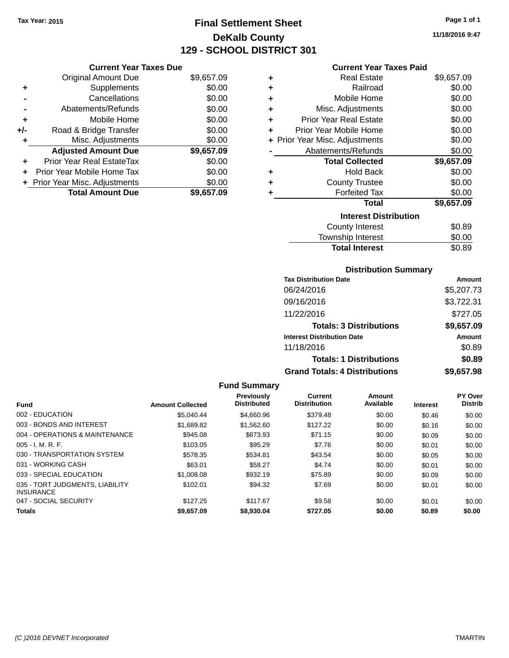# **Final Settlement Sheet Tax Year: 2015 Page 1 of 1 DeKalb County 129 - SCHOOL DISTRICT 301**

**11/18/2016 9:47**

| <b>Current Year Taxes Paid</b> |
|--------------------------------|
|--------------------------------|

|     | <b>Current Year Taxes Due</b>  |            |
|-----|--------------------------------|------------|
|     | <b>Original Amount Due</b>     | \$9,657.09 |
| ٠   | Supplements                    | \$0.00     |
|     | Cancellations                  | \$0.00     |
|     | Abatements/Refunds             | \$0.00     |
| ٠   | Mobile Home                    | \$0.00     |
| +/- | Road & Bridge Transfer         | \$0.00     |
| ٠   | Misc. Adjustments              | \$0.00     |
|     | <b>Adjusted Amount Due</b>     | \$9,657.09 |
| ٠   | Prior Year Real EstateTax      | \$0.00     |
| ÷   | Prior Year Mobile Home Tax     | \$0.00     |
|     | + Prior Year Misc. Adjustments | \$0.00     |
|     | <b>Total Amount Due</b>        | \$9,657.09 |

| ٠ | <b>Real Estate</b>             | \$9,657.09 |
|---|--------------------------------|------------|
| ٠ | Railroad                       | \$0.00     |
| ٠ | Mobile Home                    | \$0.00     |
| ٠ | Misc. Adjustments              | \$0.00     |
| ٠ | <b>Prior Year Real Estate</b>  | \$0.00     |
| ÷ | Prior Year Mobile Home         | \$0.00     |
|   | + Prior Year Misc. Adjustments | \$0.00     |
|   | Abatements/Refunds             | \$0.00     |
|   | <b>Total Collected</b>         | \$9,657.09 |
| ٠ | <b>Hold Back</b>               | \$0.00     |
| ٠ | <b>County Trustee</b>          | \$0.00     |
| ٠ | <b>Forfeited Tax</b>           | \$0.00     |
|   | Total                          | \$9,657.09 |
|   | <b>Interest Distribution</b>   |            |
|   | County Interest                | \$0.89     |
|   | <b>Township Interest</b>       | \$0.00     |
|   | <b>Total Interest</b>          | \$0.89     |

#### **Distribution Summary**

| <b>Tax Distribution Date</b>         | Amount     |
|--------------------------------------|------------|
| 06/24/2016                           | \$5,207.73 |
| 09/16/2016                           | \$3,722.31 |
| 11/22/2016                           | \$727.05   |
| <b>Totals: 3 Distributions</b>       | \$9,657.09 |
| <b>Interest Distribution Date</b>    | Amount     |
| 11/18/2016                           | \$0.89     |
| <b>Totals: 1 Distributions</b>       | \$0.89     |
| <b>Grand Totals: 4 Distributions</b> | \$9,657.98 |

|                                                     |                         | <b>Fund Summary</b>              |                                |                     |                 |                                  |
|-----------------------------------------------------|-------------------------|----------------------------------|--------------------------------|---------------------|-----------------|----------------------------------|
| <b>Fund</b>                                         | <b>Amount Collected</b> | Previously<br><b>Distributed</b> | Current<br><b>Distribution</b> | Amount<br>Available | <b>Interest</b> | <b>PY Over</b><br><b>Distrib</b> |
| 002 - EDUCATION                                     | \$5.040.44              | \$4,660.96                       | \$379.48                       | \$0.00              | \$0.46          | \$0.00                           |
| 003 - BONDS AND INTEREST                            | \$1,689.82              | \$1,562.60                       | \$127.22                       | \$0.00              | \$0.16          | \$0.00                           |
| 004 - OPERATIONS & MAINTENANCE                      | \$945.08                | \$873.93                         | \$71.15                        | \$0.00              | \$0.09          | \$0.00                           |
| 005 - I. M. R. F.                                   | \$103.05                | \$95.29                          | \$7.76                         | \$0.00              | \$0.01          | \$0.00                           |
| 030 - TRANSPORTATION SYSTEM                         | \$578.35                | \$534.81                         | \$43.54                        | \$0.00              | \$0.05          | \$0.00                           |
| 031 - WORKING CASH                                  | \$63.01                 | \$58.27                          | \$4.74                         | \$0.00              | \$0.01          | \$0.00                           |
| 033 - SPECIAL EDUCATION                             | \$1,008.08              | \$932.19                         | \$75.89                        | \$0.00              | \$0.09          | \$0.00                           |
| 035 - TORT JUDGMENTS, LIABILITY<br><b>INSURANCE</b> | \$102.01                | \$94.32                          | \$7.69                         | \$0.00              | \$0.01          | \$0.00                           |
| 047 - SOCIAL SECURITY                               | \$127.25                | \$117.67                         | \$9.58                         | \$0.00              | \$0.01          | \$0.00                           |
| <b>Totals</b>                                       | \$9,657.09              | \$8,930.04                       | \$727.05                       | \$0.00              | \$0.89          | \$0.00                           |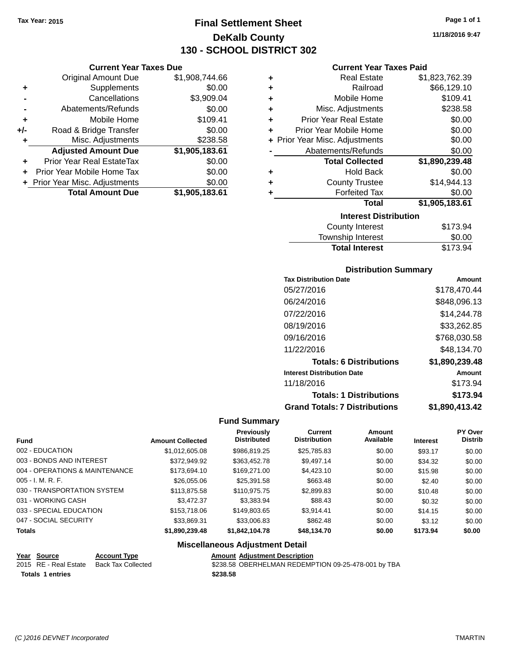# **Final Settlement Sheet Tax Year: 2015 Page 1 of 1 DeKalb County 130 - SCHOOL DISTRICT 302**

#### **Current Year Taxes Due**

|     | <b>Original Amount Due</b>     | \$1,908,744.66 |
|-----|--------------------------------|----------------|
| ٠   | Supplements                    | \$0.00         |
|     | Cancellations                  | \$3,909.04     |
|     | Abatements/Refunds             | \$0.00         |
| ٠   | Mobile Home                    | \$109.41       |
| +/- | Road & Bridge Transfer         | \$0.00         |
| ٠   | Misc. Adjustments              | \$238.58       |
|     | <b>Adjusted Amount Due</b>     | \$1,905,183.61 |
|     | Prior Year Real EstateTax      | \$0.00         |
|     | Prior Year Mobile Home Tax     | \$0.00         |
|     | + Prior Year Misc. Adjustments | \$0.00         |
|     | <b>Total Amount Due</b>        | \$1,905,183.61 |

#### **Current Year Taxes Paid**

| ٠ | <b>Real Estate</b>             | \$1,823,762.39 |  |  |  |  |
|---|--------------------------------|----------------|--|--|--|--|
| ٠ | Railroad                       | \$66,129.10    |  |  |  |  |
| ٠ | Mobile Home                    | \$109.41       |  |  |  |  |
| ٠ | Misc. Adjustments              | \$238.58       |  |  |  |  |
| ٠ | <b>Prior Year Real Estate</b>  | \$0.00         |  |  |  |  |
| ٠ | Prior Year Mobile Home         | \$0.00         |  |  |  |  |
|   | + Prior Year Misc. Adjustments | \$0.00         |  |  |  |  |
|   | Abatements/Refunds             | \$0.00         |  |  |  |  |
|   | <b>Total Collected</b>         | \$1,890,239.48 |  |  |  |  |
| ٠ | <b>Hold Back</b>               | \$0.00         |  |  |  |  |
| ٠ | <b>County Trustee</b>          | \$14,944.13    |  |  |  |  |
| ٠ | <b>Forfeited Tax</b>           | \$0.00         |  |  |  |  |
|   | <b>Total</b>                   | \$1,905,183.61 |  |  |  |  |
|   | <b>Interest Distribution</b>   |                |  |  |  |  |
|   | <b>County Interest</b>         | \$173.94       |  |  |  |  |
|   | Tauwalaha batawaat             | ድል ሰሰ          |  |  |  |  |

| <b>Total Interest</b> | \$173.94 |
|-----------------------|----------|
| Township Interest     | \$0.00   |
| County Interest       | \$173.94 |

#### **Distribution Summary**

| <b>Tax Distribution Date</b>         | Amount         |
|--------------------------------------|----------------|
| 05/27/2016                           | \$178,470.44   |
| 06/24/2016                           | \$848,096.13   |
| 07/22/2016                           | \$14.244.78    |
| 08/19/2016                           | \$33,262.85    |
| 09/16/2016                           | \$768,030.58   |
| 11/22/2016                           | \$48.134.70    |
| <b>Totals: 6 Distributions</b>       | \$1,890,239.48 |
| <b>Interest Distribution Date</b>    | Amount         |
| 11/18/2016                           | \$173.94       |
| <b>Totals: 1 Distributions</b>       | \$173.94       |
| <b>Grand Totals: 7 Distributions</b> | \$1.890.413.42 |

#### **Fund Summary**

|                                |                         | Previously<br><b>Distributed</b> | Current<br><b>Distribution</b> | Amount<br>Available |                 | <b>PY Over</b><br><b>Distrib</b> |
|--------------------------------|-------------------------|----------------------------------|--------------------------------|---------------------|-----------------|----------------------------------|
| <b>Fund</b>                    | <b>Amount Collected</b> |                                  |                                |                     | <b>Interest</b> |                                  |
| 002 - EDUCATION                | \$1,012,605.08          | \$986,819.25                     | \$25,785.83                    | \$0.00              | \$93.17         | \$0.00                           |
| 003 - BONDS AND INTEREST       | \$372,949.92            | \$363,452.78                     | \$9.497.14                     | \$0.00              | \$34.32         | \$0.00                           |
| 004 - OPERATIONS & MAINTENANCE | \$173,694.10            | \$169,271,00                     | \$4,423.10                     | \$0.00              | \$15.98         | \$0.00                           |
| $005 - I. M. R. F.$            | \$26,055.06             | \$25,391.58                      | \$663.48                       | \$0.00              | \$2.40          | \$0.00                           |
| 030 - TRANSPORTATION SYSTEM    | \$113,875.58            | \$110,975.75                     | \$2,899.83                     | \$0.00              | \$10.48         | \$0.00                           |
| 031 - WORKING CASH             | \$3,472.37              | \$3,383.94                       | \$88.43                        | \$0.00              | \$0.32          | \$0.00                           |
| 033 - SPECIAL EDUCATION        | \$153,718.06            | \$149.803.65                     | \$3.914.41                     | \$0.00              | \$14.15         | \$0.00                           |
| 047 - SOCIAL SECURITY          | \$33,869.31             | \$33,006.83                      | \$862.48                       | \$0.00              | \$3.12          | \$0.00                           |
| <b>Totals</b>                  | \$1,890,239.48          | \$1,842,104.78                   | \$48,134.70                    | \$0.00              | \$173.94        | \$0.00                           |

#### **Miscellaneous Adjustment Detail**

# **Year Source Account Type Amount Adjustment Description**

| . | ---------        | .                                        | .        |
|---|------------------|------------------------------------------|----------|
|   |                  | 2015 RE - Real Estate Back Tax Collected | \$238.58 |
|   | Totals 1 entries |                                          | \$238.58 |

\$238.58 OBERHELMAN REDEMPTION 09-25-478-001 by TBA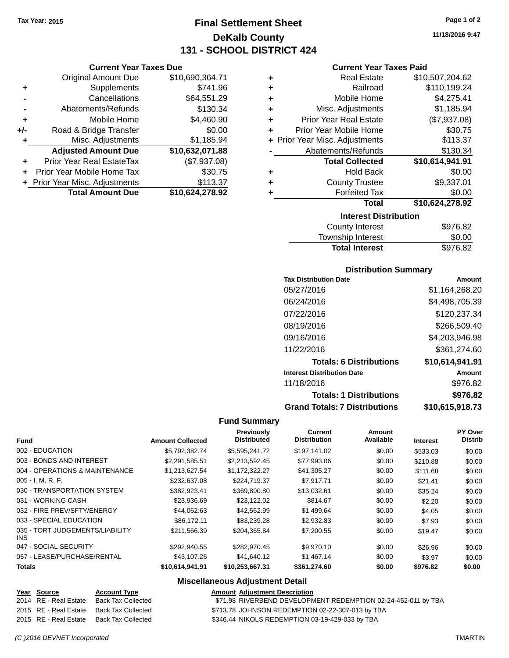**Current Year Taxes Due** Original Amount Due \$10,690,364.71

**Adjusted Amount Due \$10,632,071.88**

**Total Amount Due \$10,624,278.92**

**+** Supplements \$741.96 **-** Cancellations \$64,551.29 **-** Abatements/Refunds \$130.34 **+** Mobile Home \$4,460.90 **+/-** Road & Bridge Transfer \$0.00<br>**+** Misc. Adjustments \$1,185.94

**+** Prior Year Real EstateTax (\$7,937.08) **+** Prior Year Mobile Home Tax \$30.75 **+ Prior Year Misc. Adjustments \$113.37** 

**+** Misc. Adjustments

# **Final Settlement Sheet Tax Year: 2015 Page 1 of 2 DeKalb County 131 - SCHOOL DISTRICT 424**

**11/18/2016 9:47**

#### **Current Year Taxes Paid**

| ٠ | <b>Real Estate</b>             | \$10,507,204.62 |
|---|--------------------------------|-----------------|
| ÷ | Railroad                       | \$110,199.24    |
| ٠ | Mobile Home                    | \$4,275.41      |
| ٠ | Misc. Adjustments              | \$1,185.94      |
| ÷ | <b>Prior Year Real Estate</b>  | (\$7,937.08)    |
| ÷ | Prior Year Mobile Home         | \$30.75         |
|   | + Prior Year Misc. Adjustments | \$113.37        |
|   | Abatements/Refunds             | \$130.34        |
|   | <b>Total Collected</b>         | \$10,614,941.91 |
| ٠ | <b>Hold Back</b>               | \$0.00          |
| ٠ | <b>County Trustee</b>          | \$9,337.01      |
|   | <b>Forfeited Tax</b>           | \$0.00          |
|   | Total                          | \$10,624,278.92 |
|   | <b>Interest Distribution</b>   |                 |
|   | .                              | 0050.00         |

| County Interest       | \$976.82 |
|-----------------------|----------|
| Township Interest     | \$0.00   |
| <b>Total Interest</b> | \$976.82 |

#### **Distribution Summary**

| <b>Tax Distribution Date</b>         | Amount          |
|--------------------------------------|-----------------|
| 05/27/2016                           | \$1,164,268.20  |
| 06/24/2016                           | \$4,498,705.39  |
| 07/22/2016                           | \$120,237.34    |
| 08/19/2016                           | \$266,509.40    |
| 09/16/2016                           | \$4,203,946.98  |
| 11/22/2016                           | \$361,274.60    |
| <b>Totals: 6 Distributions</b>       | \$10,614,941.91 |
| <b>Interest Distribution Date</b>    | <b>Amount</b>   |
| 11/18/2016                           | \$976.82        |
| <b>Totals: 1 Distributions</b>       | \$976.82        |
| <b>Grand Totals: 7 Distributions</b> | \$10,615,918.73 |

#### **Fund Summary**

| <b>Fund</b>                             | <b>Amount Collected</b> | <b>Previously</b><br><b>Distributed</b> | <b>Current</b><br><b>Distribution</b> | Amount<br>Available | <b>Interest</b> | <b>PY Over</b><br><b>Distrib</b> |
|-----------------------------------------|-------------------------|-----------------------------------------|---------------------------------------|---------------------|-----------------|----------------------------------|
| 002 - EDUCATION                         | \$5.792.382.74          | \$5,595,241.72                          | \$197.141.02                          | \$0.00              | \$533.03        | \$0.00                           |
| 003 - BONDS AND INTEREST                | \$2,291,585.51          | \$2,213,592.45                          | \$77,993.06                           | \$0.00              | \$210.88        | \$0.00                           |
| 004 - OPERATIONS & MAINTENANCE          | \$1.213.627.54          | \$1.172.322.27                          | \$41,305.27                           | \$0.00              | \$111.68        | \$0.00                           |
| $005 - I. M. R. F.$                     | \$232,637.08            | \$224.719.37                            | \$7.917.71                            | \$0.00              | \$21.41         | \$0.00                           |
| 030 - TRANSPORTATION SYSTEM             | \$382.923.41            | \$369,890.80                            | \$13,032.61                           | \$0.00              | \$35.24         | \$0.00                           |
| 031 - WORKING CASH                      | \$23,936.69             | \$23,122.02                             | \$814.67                              | \$0.00              | \$2.20          | \$0.00                           |
| 032 - FIRE PREV/SFTY/ENERGY             | \$44.062.63             | \$42,562.99                             | \$1,499.64                            | \$0.00              | \$4.05          | \$0.00                           |
| 033 - SPECIAL EDUCATION                 | \$86,172.11             | \$83,239,28                             | \$2,932.83                            | \$0.00              | \$7.93          | \$0.00                           |
| 035 - TORT JUDGEMENTS/LIABILITY<br>INS. | \$211,566,39            | \$204.365.84                            | \$7,200.55                            | \$0.00              | \$19.47         | \$0.00                           |
| 047 - SOCIAL SECURITY                   | \$292.940.55            | \$282.970.45                            | \$9,970.10                            | \$0.00              | \$26.96         | \$0.00                           |
| 057 - LEASE/PURCHASE/RENTAL             | \$43,107.26             | \$41,640.12                             | \$1,467.14                            | \$0.00              | \$3.97          | \$0.00                           |
| <b>Totals</b>                           | \$10,614,941.91         | \$10,253,667.31                         | \$361,274.60                          | \$0.00              | \$976.82        | \$0.00                           |

| Year Source           | <b>Account Type</b> | <b>Amount Adiustment Description</b>                          |
|-----------------------|---------------------|---------------------------------------------------------------|
| 2014 RE - Real Estate | Back Tax Collected  | \$71.98 RIVERBEND DEVELOPMENT REDEMPTION 02-24-452-011 by TBA |
| 2015 RE - Real Estate | Back Tax Collected  | \$713.78 JOHNSON REDEMPTION 02-22-307-013 by TBA              |
| 2015 RE - Real Estate | Back Tax Collected  | \$346.44 NIKOLS REDEMPTION 03-19-429-033 by TBA               |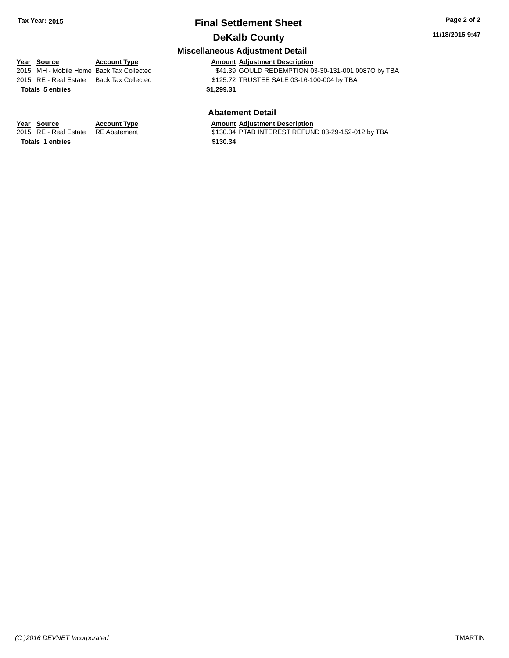#### **11/18/2016 9:47**

## **Miscellaneous Adjustment Detail**

| <u>Year Source</u>      | <b>Account Type</b>                      |            | <b>Amount Adjustment Description</b>                |
|-------------------------|------------------------------------------|------------|-----------------------------------------------------|
|                         | 2015 MH - Mobile Home Back Tax Collected |            | \$41.39 GOULD REDEMPTION 03-30-131-001 0087O by TBA |
|                         | 2015 RE - Real Estate Back Tax Collected |            | \$125.72 TRUSTEE SALE 03-16-100-004 by TBA          |
| <b>Totals 5 entries</b> |                                          | \$1.299.31 |                                                     |
|                         |                                          |            |                                                     |

#### **Abatement Detail**

**Year Source Account Type Account Type Amount Adjustment Description**<br>2015 RE - Real Estate RE Abatement **Account 1** \$130.34 PTAB INTEREST REFUN \$130.34 PTAB INTEREST REFUND 03-29-152-012 by TBA

**Totals \$130.34 1 entries**

*(C )2016 DEVNET Incorporated* TMARTIN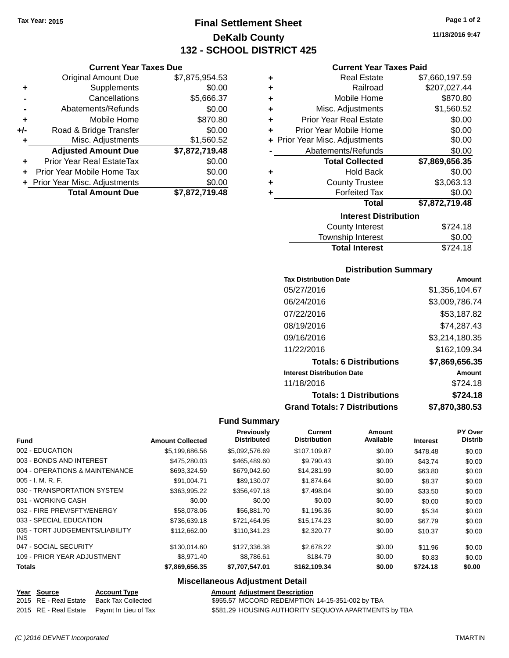**Current Year Taxes Due** Original Amount Due \$7,875,954.53

**Adjusted Amount Due \$7,872,719.48**

**Total Amount Due \$7,872,719.48**

**+** Supplements \$0.00 **-** Cancellations \$5,666.37 **-** Abatements/Refunds \$0.00 **+** Mobile Home \$870.80 **+/-** Road & Bridge Transfer \$0.00 **+** Misc. Adjustments \$1,560.52

**+** Prior Year Real EstateTax \$0.00 **+** Prior Year Mobile Home Tax \$0.00 **+ Prior Year Misc. Adjustments**  $$0.00$ 

# **Final Settlement Sheet Tax Year: 2015 Page 1 of 2 DeKalb County 132 - SCHOOL DISTRICT 425**

**11/18/2016 9:47**

#### **Current Year Taxes Paid**

| ٠ | <b>Real Estate</b>             | \$7,660,197.59 |  |  |  |
|---|--------------------------------|----------------|--|--|--|
| ٠ | Railroad                       | \$207,027.44   |  |  |  |
| ٠ | Mobile Home                    | \$870.80       |  |  |  |
| ٠ | Misc. Adjustments              | \$1,560.52     |  |  |  |
| ٠ | <b>Prior Year Real Estate</b>  | \$0.00         |  |  |  |
| ÷ | Prior Year Mobile Home         | \$0.00         |  |  |  |
|   | + Prior Year Misc. Adjustments | \$0.00         |  |  |  |
|   | Abatements/Refunds             | \$0.00         |  |  |  |
|   | <b>Total Collected</b>         | \$7,869,656.35 |  |  |  |
| ٠ | <b>Hold Back</b>               | \$0.00         |  |  |  |
| ٠ | <b>County Trustee</b>          | \$3,063.13     |  |  |  |
| ٠ | <b>Forfeited Tax</b>           | \$0.00         |  |  |  |
|   | Total                          | \$7,872,719.48 |  |  |  |
|   | <b>Interest Distribution</b>   |                |  |  |  |
|   | <b>County Interest</b>         | \$724.18       |  |  |  |

| <b>Total Interest</b>  | \$724.18 |
|------------------------|----------|
| Township Interest      | \$0.00   |
| <b>County Interest</b> | \$724.18 |

#### **Distribution Summary**

| <b>Tax Distribution Date</b>         | Amount         |
|--------------------------------------|----------------|
| 05/27/2016                           | \$1,356,104.67 |
| 06/24/2016                           | \$3,009,786.74 |
| 07/22/2016                           | \$53,187.82    |
| 08/19/2016                           | \$74,287.43    |
| 09/16/2016                           | \$3,214,180.35 |
| 11/22/2016                           | \$162,109.34   |
| <b>Totals: 6 Distributions</b>       | \$7,869,656.35 |
| <b>Interest Distribution Date</b>    | Amount         |
| 11/18/2016                           | \$724.18       |
| <b>Totals: 1 Distributions</b>       | \$724.18       |
| <b>Grand Totals: 7 Distributions</b> | \$7,870,380.53 |

#### **Fund Summary**

| <b>Fund</b>                             | <b>Amount Collected</b> | Previously<br><b>Distributed</b> | <b>Current</b><br><b>Distribution</b> | Amount<br>Available | <b>Interest</b> | PY Over<br><b>Distrib</b> |
|-----------------------------------------|-------------------------|----------------------------------|---------------------------------------|---------------------|-----------------|---------------------------|
| 002 - EDUCATION                         | \$5,199,686.56          | \$5,092,576.69                   | \$107,109.87                          | \$0.00              | \$478.48        | \$0.00                    |
| 003 - BONDS AND INTEREST                | \$475,280,03            | \$465,489.60                     | \$9.790.43                            | \$0.00              | \$43.74         | \$0.00                    |
| 004 - OPERATIONS & MAINTENANCE          | \$693,324.59            | \$679,042.60                     | \$14,281.99                           | \$0.00              | \$63.80         | \$0.00                    |
| $005 - I. M. R. F.$                     | \$91.004.71             | \$89.130.07                      | \$1,874.64                            | \$0.00              | \$8.37          | \$0.00                    |
| 030 - TRANSPORTATION SYSTEM             | \$363.995.22            | \$356,497.18                     | \$7,498.04                            | \$0.00              | \$33.50         | \$0.00                    |
| 031 - WORKING CASH                      | \$0.00                  | \$0.00                           | \$0.00                                | \$0.00              | \$0.00          | \$0.00                    |
| 032 - FIRE PREV/SFTY/ENERGY             | \$58,078,06             | \$56,881.70                      | \$1,196.36                            | \$0.00              | \$5.34          | \$0.00                    |
| 033 - SPECIAL EDUCATION                 | \$736,639.18            | \$721.464.95                     | \$15,174.23                           | \$0.00              | \$67.79         | \$0.00                    |
| 035 - TORT JUDGEMENTS/LIABILITY<br>INS. | \$112,662,00            | \$110.341.23                     | \$2,320,77                            | \$0.00              | \$10.37         | \$0.00                    |
| 047 - SOCIAL SECURITY                   | \$130,014.60            | \$127,336.38                     | \$2,678.22                            | \$0.00              | \$11.96         | \$0.00                    |
| 109 - PRIOR YEAR ADJUSTMENT             | \$8.971.40              | \$8.786.61                       | \$184.79                              | \$0.00              | \$0.83          | \$0.00                    |
| <b>Totals</b>                           | \$7,869,656.35          | \$7,707,547.01                   | \$162,109.34                          | \$0.00              | \$724.18        | \$0.00                    |

| Year Source | <b>Account Type</b>                        | <b>Amount Adjustment Description</b>                 |
|-------------|--------------------------------------------|------------------------------------------------------|
|             | 2015 RE - Real Estate Back Tax Collected   | \$955.57 MCCORD REDEMPTION 14-15-351-002 by TBA      |
|             | 2015 RE - Real Estate Paymt In Lieu of Tax | \$581.29 HOUSING AUTHORITY SEQUOYA APARTMENTS by TBA |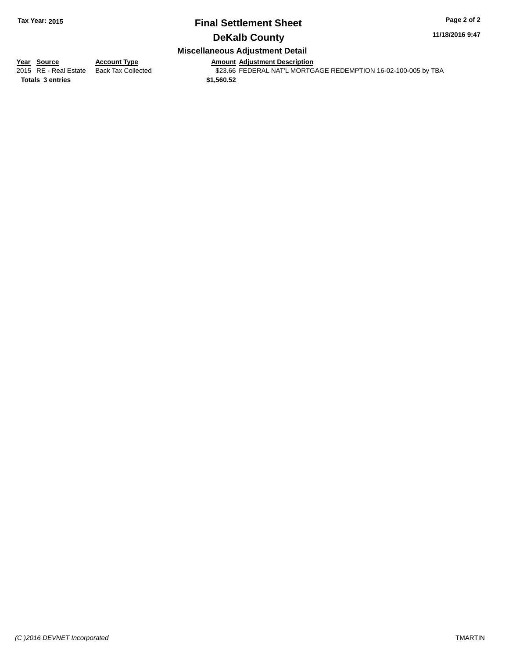#### **11/18/2016 9:47**

## **Miscellaneous Adjustment Detail**

**Year Source Account Type Amount Adjustment Description**<br>2015 RE - Real Estate Back Tax Collected \$23.66 FEDERAL NAT'L MORTG \$23.66 FEDERAL NAT'L MORTGAGE REDEMPTION 16-02-100-005 by TBA

**Totals \$1,560.52 3 entries**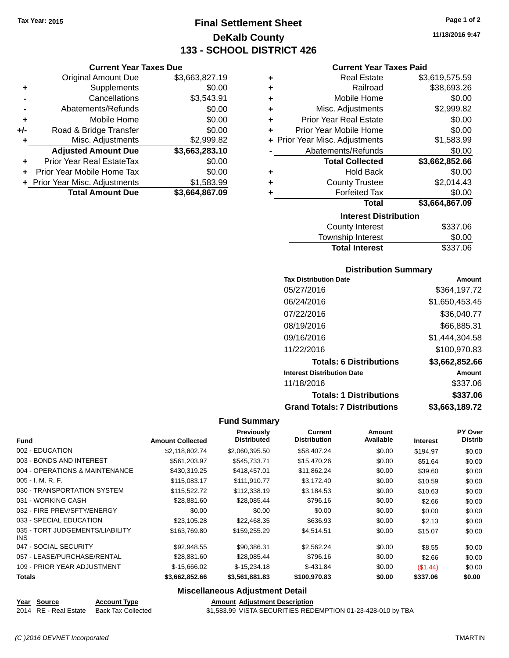**Current Year Taxes Due** Original Amount Due \$3,663,827.19

**Adjusted Amount Due \$3,663,283.10**

**Total Amount Due \$3,664,867.09**

**+** Supplements \$0.00 **-** Cancellations \$3,543.91 **-** Abatements/Refunds \$0.00 **+** Mobile Home \$0.00 **+/-** Road & Bridge Transfer \$0.00 **+** Misc. Adjustments \$2,999.82

**+** Prior Year Real EstateTax \$0.00 **+** Prior Year Mobile Home Tax \$0.00 + Prior Year Misc. Adjustments \$1,583.99

# **Final Settlement Sheet Tax Year: 2015 Page 1 of 2 DeKalb County 133 - SCHOOL DISTRICT 426**

**11/18/2016 9:47**

#### **Current Year Taxes Paid**

| ٠ | <b>Real Estate</b>             | \$3,619,575.59 |
|---|--------------------------------|----------------|
| ÷ | Railroad                       | \$38,693.26    |
| ٠ | Mobile Home                    | \$0.00         |
| ÷ | Misc. Adjustments              | \$2,999.82     |
| ÷ | <b>Prior Year Real Estate</b>  | \$0.00         |
| ٠ | Prior Year Mobile Home         | \$0.00         |
|   | + Prior Year Misc. Adjustments | \$1,583.99     |
|   | Abatements/Refunds             | \$0.00         |
|   | <b>Total Collected</b>         | \$3,662,852.66 |
| ٠ | <b>Hold Back</b>               | \$0.00         |
| ٠ | <b>County Trustee</b>          | \$2,014.43     |
|   | <b>Forfeited Tax</b>           | \$0.00         |
|   | <b>Total</b>                   | \$3,664,867.09 |
|   | <b>Interest Distribution</b>   |                |
|   | County Interest                | \$337 06       |

| <b>County Interest</b>   | \$337.06 |
|--------------------------|----------|
| <b>Township Interest</b> | \$0.00   |
| <b>Total Interest</b>    | \$337.06 |

#### **Distribution Summary**

| <b>Tax Distribution Date</b>         | Amount         |
|--------------------------------------|----------------|
| 05/27/2016                           | \$364.197.72   |
| 06/24/2016                           | \$1,650,453.45 |
| 07/22/2016                           | \$36,040.77    |
| 08/19/2016                           | \$66,885.31    |
| 09/16/2016                           | \$1,444,304.58 |
| 11/22/2016                           | \$100,970.83   |
| <b>Totals: 6 Distributions</b>       | \$3,662,852.66 |
| <b>Interest Distribution Date</b>    | Amount         |
| 11/18/2016                           | \$337.06       |
| <b>Totals: 1 Distributions</b>       | \$337.06       |
| <b>Grand Totals: 7 Distributions</b> | \$3.663.189.72 |

#### **Fund Summary**

| <b>Fund</b>                                   | <b>Amount Collected</b> | <b>Previously</b><br><b>Distributed</b> | <b>Current</b><br><b>Distribution</b> | Amount<br>Available | <b>Interest</b> | PY Over<br><b>Distrib</b> |
|-----------------------------------------------|-------------------------|-----------------------------------------|---------------------------------------|---------------------|-----------------|---------------------------|
| 002 - EDUCATION                               | \$2,118,802.74          | \$2,060,395.50                          | \$58,407.24                           | \$0.00              | \$194.97        | \$0.00                    |
| 003 - BONDS AND INTEREST                      | \$561.203.97            | \$545.733.71                            | \$15,470.26                           | \$0.00              | \$51.64         | \$0.00                    |
| 004 - OPERATIONS & MAINTENANCE                | \$430,319.25            | \$418,457.01                            | \$11,862.24                           | \$0.00              | \$39.60         | \$0.00                    |
| $005 - I. M. R. F.$                           | \$115,083.17            | \$111,910.77                            | \$3,172.40                            | \$0.00              | \$10.59         | \$0.00                    |
| 030 - TRANSPORTATION SYSTEM                   | \$115,522.72            | \$112,338.19                            | \$3,184.53                            | \$0.00              | \$10.63         | \$0.00                    |
| 031 - WORKING CASH                            | \$28,881.60             | \$28,085.44                             | \$796.16                              | \$0.00              | \$2.66          | \$0.00                    |
| 032 - FIRE PREV/SFTY/ENERGY                   | \$0.00                  | \$0.00                                  | \$0.00                                | \$0.00              | \$0.00          | \$0.00                    |
| 033 - SPECIAL EDUCATION                       | \$23,105.28             | \$22.468.35                             | \$636.93                              | \$0.00              | \$2.13          | \$0.00                    |
| 035 - TORT JUDGEMENTS/LIABILITY<br><b>INS</b> | \$163,769.80            | \$159,255.29                            | \$4,514.51                            | \$0.00              | \$15.07         | \$0.00                    |
| 047 - SOCIAL SECURITY                         | \$92,948.55             | \$90,386.31                             | \$2,562.24                            | \$0.00              | \$8.55          | \$0.00                    |
| 057 - LEASE/PURCHASE/RENTAL                   | \$28,881,60             | \$28,085.44                             | \$796.16                              | \$0.00              | \$2.66          | \$0.00                    |
| 109 - PRIOR YEAR ADJUSTMENT                   | \$-15,666.02            | $$-15,234.18$                           | $$-431.84$                            | \$0.00              | (\$1.44)        | \$0.00                    |
| <b>Totals</b>                                 | \$3,662,852.66          | \$3,561,881.83                          | \$100,970.83                          | \$0.00              | \$337.06        | \$0.00                    |

#### **Miscellaneous Adjustment Detail**

#### **Year** Source **Account Type Account Adjustment Description**

2014 RE - Real Estate Back Tax Collected \$1,583.99 VISTA SECURITIES REDEMPTION 01-23-428-010 by TBA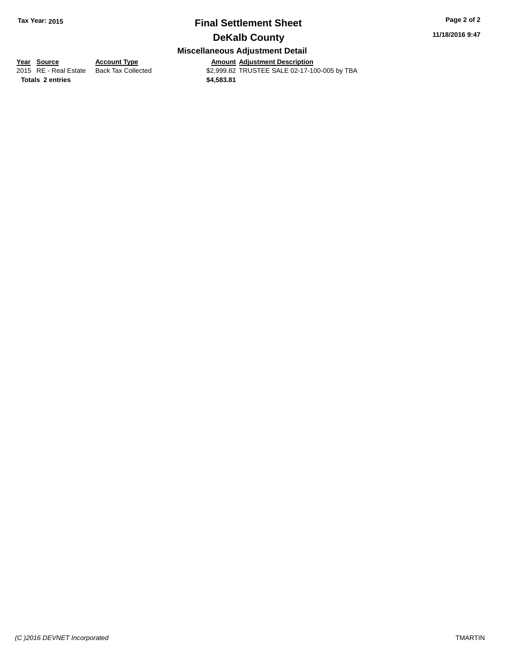**11/18/2016 9:47**

## **Miscellaneous Adjustment Detail**

**<u>Year Source</u> Account Type<br>
2015 RE - Real Estate Back Tax Collected** 

**Totals \$4,583.81 2 entries**

Amount Adjustment Description<br>\$2,999.82 TRUSTEE SALE 02-17-100-005 by TBA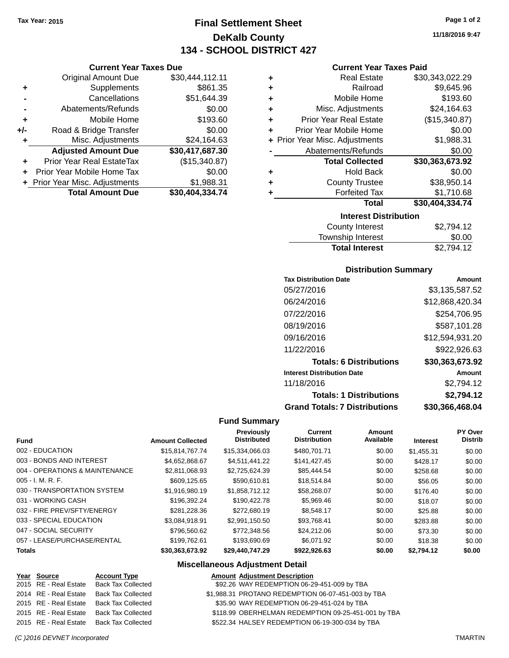# **Final Settlement Sheet Tax Year: 2015 Page 1 of 2 DeKalb County 134 - SCHOOL DISTRICT 427**

**Current Year Taxes Due**

|       | <b>Total Amount Due</b>          | \$30,404,334.74 |
|-------|----------------------------------|-----------------|
|       | + Prior Year Misc. Adjustments   | \$1,988.31      |
|       | Prior Year Mobile Home Tax       | \$0.00          |
|       | <b>Prior Year Real EstateTax</b> | (\$15,340.87)   |
|       | <b>Adjusted Amount Due</b>       | \$30,417,687.30 |
| ٠     | Misc. Adjustments                | \$24,164.63     |
| $+/-$ | Road & Bridge Transfer           | \$0.00          |
| ٠     | Mobile Home                      | \$193.60        |
|       | Abatements/Refunds               | \$0.00          |
|       | Cancellations                    | \$51,644.39     |
| ٠     | Supplements                      | \$861.35        |
|       | <b>Original Amount Due</b>       | \$30,444,112.11 |
|       |                                  |                 |

#### **Current Year Taxes Paid**

|   | <b>Interest Distribution</b>   |                 |
|---|--------------------------------|-----------------|
|   | Total                          | \$30,404,334.74 |
| ٠ | <b>Forfeited Tax</b>           | \$1,710.68      |
| ٠ | <b>County Trustee</b>          | \$38,950.14     |
| ٠ | <b>Hold Back</b>               | \$0.00          |
|   | <b>Total Collected</b>         | \$30,363,673.92 |
|   | Abatements/Refunds             | \$0.00          |
|   | + Prior Year Misc. Adjustments | \$1,988.31      |
| ٠ | Prior Year Mobile Home         | \$0.00          |
| ٠ | <b>Prior Year Real Estate</b>  | (\$15,340.87)   |
| ٠ | Misc. Adjustments              | \$24,164.63     |
| ٠ | Mobile Home                    | \$193.60        |
| ٠ | Railroad                       | \$9,645.96      |
| ٠ | <b>Real Estate</b>             | \$30,343,022.29 |

| \$2,794.12 |
|------------|
| \$0.00     |
| \$2,794.12 |
|            |

#### **Distribution Summary**

| <b>Tax Distribution Date</b>         | Amount          |
|--------------------------------------|-----------------|
| 05/27/2016                           | \$3,135,587.52  |
| 06/24/2016                           | \$12,868,420.34 |
| 07/22/2016                           | \$254,706.95    |
| 08/19/2016                           | \$587,101.28    |
| 09/16/2016                           | \$12,594,931.20 |
| 11/22/2016                           | \$922,926.63    |
| <b>Totals: 6 Distributions</b>       | \$30,363,673.92 |
| <b>Interest Distribution Date</b>    | Amount          |
| 11/18/2016                           | \$2,794.12      |
| <b>Totals: 1 Distributions</b>       | \$2,794.12      |
| <b>Grand Totals: 7 Distributions</b> | \$30.366.468.04 |

#### **Fund Summary**

| <b>Fund</b>                    | <b>Amount Collected</b> | Previously<br><b>Distributed</b> | Current<br><b>Distribution</b> | Amount<br>Available | <b>Interest</b> | <b>PY Over</b><br><b>Distrib</b> |
|--------------------------------|-------------------------|----------------------------------|--------------------------------|---------------------|-----------------|----------------------------------|
| 002 - EDUCATION                | \$15,814,767,74         | \$15,334,066.03                  | \$480,701.71                   | \$0.00              | \$1.455.31      | \$0.00                           |
| 003 - BONDS AND INTEREST       | \$4.652.868.67          | \$4.511.441.22                   | \$141,427.45                   | \$0.00              | \$428.17        | \$0.00                           |
| 004 - OPERATIONS & MAINTENANCE | \$2,811,068.93          | \$2,725,624.39                   | \$85,444.54                    | \$0.00              | \$258.68        | \$0.00                           |
| 005 - I. M. R. F.              | \$609,125.65            | \$590.610.81                     | \$18,514.84                    | \$0.00              | \$56.05         | \$0.00                           |
| 030 - TRANSPORTATION SYSTEM    | \$1.916.980.19          | \$1.858.712.12                   | \$58,268.07                    | \$0.00              | \$176.40        | \$0.00                           |
| 031 - WORKING CASH             | \$196.392.24            | \$190.422.78                     | \$5,969.46                     | \$0.00              | \$18.07         | \$0.00                           |
| 032 - FIRE PREV/SFTY/ENERGY    | \$281.228.36            | \$272,680.19                     | \$8.548.17                     | \$0.00              | \$25.88         | \$0.00                           |
| 033 - SPECIAL EDUCATION        | \$3,084,918.91          | \$2.991.150.50                   | \$93,768.41                    | \$0.00              | \$283.88        | \$0.00                           |
| 047 - SOCIAL SECURITY          | \$796,560.62            | \$772,348.56                     | \$24,212.06                    | \$0.00              | \$73.30         | \$0.00                           |
| 057 - LEASE/PURCHASE/RENTAL    | \$199,762.61            | \$193,690.69                     | \$6.071.92                     | \$0.00              | \$18.38         | \$0.00                           |
| <b>Totals</b>                  | \$30.363.673.92         | \$29.440.747.29                  | \$922,926.63                   | \$0.00              | \$2.794.12      | \$0.00                           |

| Year Source | <b>Account Type</b>                      | <b>Amount Adjustment Description</b>                |
|-------------|------------------------------------------|-----------------------------------------------------|
|             | 2015 RE - Real Estate Back Tax Collected | \$92.26 WAY REDEMPTION 06-29-451-009 by TBA         |
|             | 2014 RE - Real Estate Back Tax Collected | \$1,988.31 PROTANO REDEMPTION 06-07-451-003 by TBA  |
|             | 2015 RE - Real Estate Back Tax Collected | \$35.90 WAY REDEMPTION 06-29-451-024 by TBA         |
|             | 2015 RE - Real Estate Back Tax Collected | \$118.99 OBERHELMAN REDEMPTION 09-25-451-001 by TBA |
|             | 2015 RE - Real Estate Back Tax Collected | \$522.34 HALSEY REDEMPTION 06-19-300-034 by TBA     |
|             |                                          |                                                     |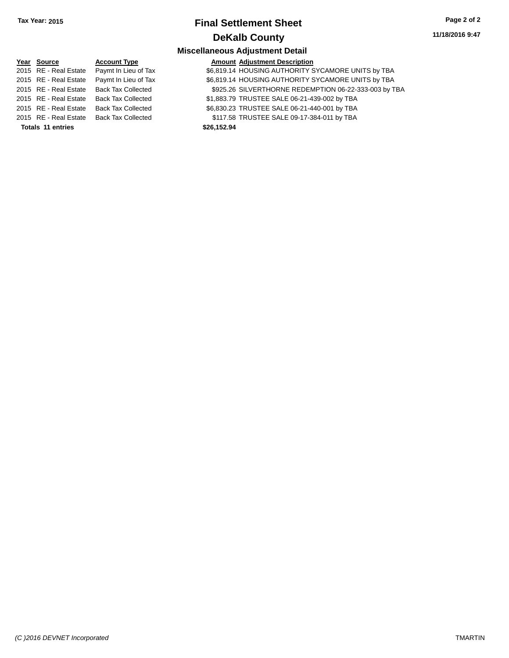**11/18/2016 9:47**

| Year Source              | <b>Account Type</b>       | <b>Amount Adjustment Description</b>                  |  |
|--------------------------|---------------------------|-------------------------------------------------------|--|
| 2015 RE - Real Estate    | Paymt In Lieu of Tax      | \$6,819.14 HOUSING AUTHORITY SYCAMORE UNITS by TBA    |  |
| 2015 RE - Real Estate    | Paymt In Lieu of Tax      | \$6,819.14 HOUSING AUTHORITY SYCAMORE UNITS by TBA    |  |
| 2015 RE - Real Estate    | <b>Back Tax Collected</b> | \$925.26 SILVERTHORNE REDEMPTION 06-22-333-003 by TBA |  |
| 2015 RE - Real Estate    | <b>Back Tax Collected</b> | \$1,883.79 TRUSTEE SALE 06-21-439-002 by TBA          |  |
| 2015 RE - Real Estate    | <b>Back Tax Collected</b> | \$6,830.23 TRUSTEE SALE 06-21-440-001 by TBA          |  |
| 2015 RE - Real Estate    | <b>Back Tax Collected</b> | \$117.58 TRUSTEE SALE 09-17-384-011 by TBA            |  |
| <b>Totals 11 entries</b> |                           | \$26,152.94                                           |  |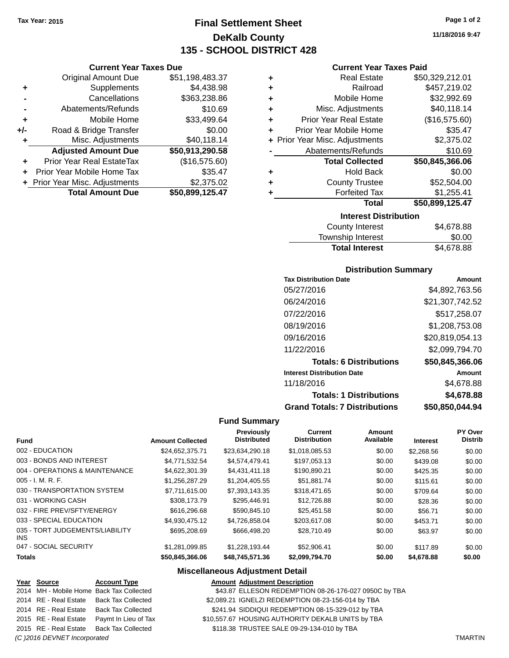**Current Year Taxes Due** Original Amount Due \$51,198,483.37

**Adjusted Amount Due \$50,913,290.58**

**Total Amount Due \$50,899,125.47**

**+** Supplements \$4,438.98 **-** Cancellations \$363,238.86 **-** Abatements/Refunds \$10.69 **+** Mobile Home \$33,499.64 **+/-** Road & Bridge Transfer \$0.00 **+** Misc. Adjustments \$40,118.14

**+** Prior Year Real EstateTax (\$16,575.60) **+** Prior Year Mobile Home Tax \$35.47 **+** Prior Year Misc. Adjustments \$2,375.02

# **Final Settlement Sheet Tax Year: 2015 Page 1 of 2 DeKalb County 135 - SCHOOL DISTRICT 428**

**11/18/2016 9:47**

#### **Current Year Taxes Paid**

| ٠ | <b>Real Estate</b>             | \$50,329,212.01 |  |  |  |  |
|---|--------------------------------|-----------------|--|--|--|--|
| ٠ | Railroad                       | \$457,219.02    |  |  |  |  |
| ٠ | Mobile Home                    | \$32,992.69     |  |  |  |  |
| ٠ | Misc. Adjustments              | \$40,118.14     |  |  |  |  |
| ٠ | <b>Prior Year Real Estate</b>  | (\$16,575.60)   |  |  |  |  |
| ٠ | Prior Year Mobile Home         | \$35.47         |  |  |  |  |
|   | + Prior Year Misc. Adjustments | \$2,375.02      |  |  |  |  |
|   | Abatements/Refunds             | \$10.69         |  |  |  |  |
|   | <b>Total Collected</b>         | \$50,845,366.06 |  |  |  |  |
| ٠ | <b>Hold Back</b>               | \$0.00          |  |  |  |  |
| ٠ | <b>County Trustee</b>          | \$52,504.00     |  |  |  |  |
| ٠ | <b>Forfeited Tax</b>           | \$1,255.41      |  |  |  |  |
|   | <b>Total</b>                   | \$50,899,125.47 |  |  |  |  |
|   | <b>Interest Distribution</b>   |                 |  |  |  |  |

| <b>County Interest</b> | \$4,678.88 |  |  |  |
|------------------------|------------|--|--|--|
| Township Interest      | \$0.00     |  |  |  |
| <b>Total Interest</b>  | \$4,678.88 |  |  |  |

#### **Distribution Summary**

| <b>Tax Distribution Date</b>         | Amount          |
|--------------------------------------|-----------------|
| 05/27/2016                           | \$4,892,763.56  |
| 06/24/2016                           | \$21,307,742.52 |
| 07/22/2016                           | \$517,258.07    |
| 08/19/2016                           | \$1,208,753.08  |
| 09/16/2016                           | \$20,819,054.13 |
| 11/22/2016                           | \$2,099,794.70  |
| <b>Totals: 6 Distributions</b>       | \$50,845,366.06 |
| <b>Interest Distribution Date</b>    | Amount          |
| 11/18/2016                           | \$4,678.88      |
| <b>Totals: 1 Distributions</b>       | \$4,678.88      |
| <b>Grand Totals: 7 Distributions</b> | \$50,850,044.94 |

#### **Fund Summary**

| <b>Fund</b>                             | <b>Amount Collected</b> | Previously<br><b>Distributed</b> | <b>Current</b><br><b>Distribution</b> | Amount<br>Available | <b>Interest</b> | PY Over<br><b>Distrib</b> |
|-----------------------------------------|-------------------------|----------------------------------|---------------------------------------|---------------------|-----------------|---------------------------|
| 002 - EDUCATION                         | \$24,652,375.71         | \$23,634,290.18                  | \$1,018,085.53                        | \$0.00              | \$2,268.56      | \$0.00                    |
| 003 - BONDS AND INTEREST                | \$4.771.532.54          | \$4,574,479.41                   | \$197,053.13                          | \$0.00              | \$439.08        | \$0.00                    |
| 004 - OPERATIONS & MAINTENANCE          | \$4.622,301.39          | \$4,431,411.18                   | \$190,890.21                          | \$0.00              | \$425.35        | \$0.00                    |
| $005 - I. M. R. F.$                     | \$1.256.287.29          | \$1,204,405.55                   | \$51.881.74                           | \$0.00              | \$115.61        | \$0.00                    |
| 030 - TRANSPORTATION SYSTEM             | \$7,711,615.00          | \$7,393,143.35                   | \$318,471.65                          | \$0.00              | \$709.64        | \$0.00                    |
| 031 - WORKING CASH                      | \$308,173.79            | \$295.446.91                     | \$12,726.88                           | \$0.00              | \$28.36         | \$0.00                    |
| 032 - FIRE PREV/SFTY/ENERGY             | \$616,296.68            | \$590,845.10                     | \$25.451.58                           | \$0.00              | \$56.71         | \$0.00                    |
| 033 - SPECIAL EDUCATION                 | \$4.930.475.12          | \$4.726.858.04                   | \$203,617.08                          | \$0.00              | \$453.71        | \$0.00                    |
| 035 - TORT JUDGEMENTS/LIABILITY<br>INS. | \$695,208.69            | \$666,498.20                     | \$28.710.49                           | \$0.00              | \$63.97         | \$0.00                    |
| 047 - SOCIAL SECURITY                   | \$1.281.099.85          | \$1.228.193.44                   | \$52,906.41                           | \$0.00              | \$117.89        | \$0.00                    |
| <b>Totals</b>                           | \$50,845,366.06         | \$48,745,571.36                  | \$2,099,794.70                        | \$0.00              | \$4,678.88      | \$0.00                    |

| Year Source                  | <b>Account Type</b>                        | <b>Amount Adjustment Description</b>                  |                |
|------------------------------|--------------------------------------------|-------------------------------------------------------|----------------|
|                              | 2014 MH - Mobile Home Back Tax Collected   | \$43.87 ELLESON REDEMPTION 08-26-176-027 0950C by TBA |                |
|                              | 2014 RE - Real Estate Back Tax Collected   | \$2,089.21 IGNELZI REDEMPTION 08-23-156-014 by TBA    |                |
| 2014 RE - Real Estate        | Back Tax Collected                         | \$241.94 SIDDIQUI REDEMPTION 08-15-329-012 by TBA     |                |
|                              | 2015 RE - Real Estate Paymt In Lieu of Tax | \$10,557.67 HOUSING AUTHORITY DEKALB UNITS by TBA     |                |
|                              | 2015 RE - Real Estate Back Tax Collected   | \$118.38 TRUSTEE SALE 09-29-134-010 by TBA            |                |
| (C) 2016 DEVNET Incorporated |                                            |                                                       | <b>TMARTIN</b> |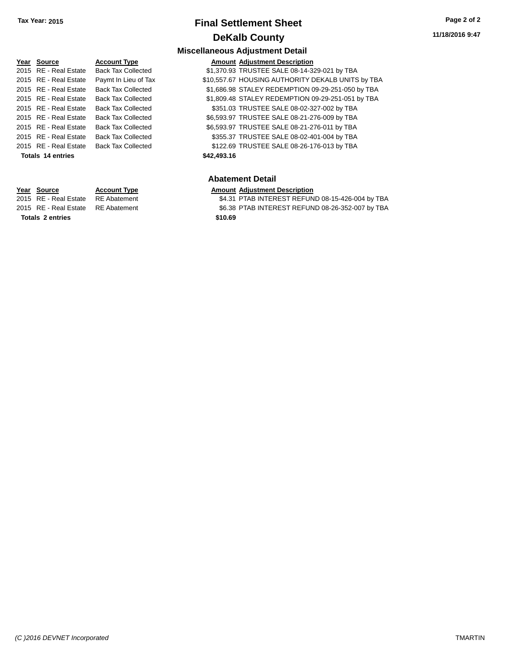**11/18/2016 9:47**

# **Year** Source **Account Type Account Adjustment Description Totals \$42,493.16 14 entries**

**Totals \$10.69 2 entries**

#### **Miscellaneous Adjustment Detail** 2015 RE - Real Estate Back Tax Collected \$1,370.93 TRUSTEE SALE 08-14-329-021 by TBA 2015 RE - Real Estate Paymt In Lieu of Tax \$10,557.67 HOUSING AUTHORITY DEKALB UNITS by TBA 2015 RE - Real Estate Back Tax Collected \$1,686.98 STALEY REDEMPTION 09-29-251-050 by TBA 2015 RE - Real Estate Back Tax Collected \$1,809.48 STALEY REDEMPTION 09-29-251-051 by TBA 2015 RE - Real Estate Back Tax Collected \$351.03 TRUSTEE SALE 08-02-327-002 by TBA 2015 RE - Real Estate Back Tax Collected \$6,593.97 TRUSTEE SALE 08-21-276-009 by TBA 2015 RE - Real Estate Back Tax Collected \$6,593.97 TRUSTEE SALE 08-21-276-011 by TBA 2015 RE - Real Estate Back Tax Collected \$355.37 TRUSTEE SALE 08-02-401-004 by TBA 2015 RE - Real Estate Back Tax Collected \$122.69 TRUSTEE SALE 08-26-176-013 by TBA

#### **Abatement Detail**

#### **Year Source Account Type Amount Adjustment Description**

2015 RE - Real Estate RE Abatement \$4.31 PTAB INTEREST REFUND 08-15-426-004 by TBA 2015 RE - Real Estate RE Abatement \$6.38 PTAB INTEREST REFUND 08-26-352-007 by TBA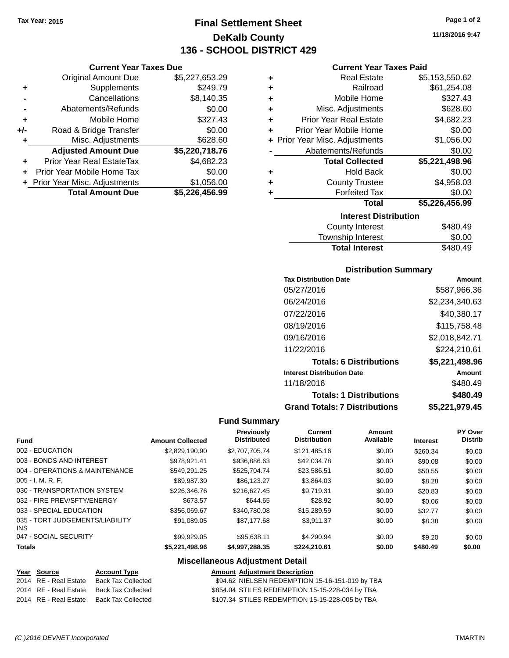# **Final Settlement Sheet Tax Year: 2015 Page 1 of 2 DeKalb County 136 - SCHOOL DISTRICT 429**

#### **Current Year Taxes Due**

|       | <b>Original Amount Due</b>       | \$5,227,653.29 |
|-------|----------------------------------|----------------|
| ٠     | Supplements                      | \$249.79       |
|       | Cancellations                    | \$8,140.35     |
|       | Abatements/Refunds               | \$0.00         |
| ٠     | Mobile Home                      | \$327.43       |
| $+/-$ | Road & Bridge Transfer           | \$0.00         |
| ٠     | Misc. Adjustments                | \$628.60       |
|       | <b>Adjusted Amount Due</b>       | \$5,220,718.76 |
| ÷     | <b>Prior Year Real EstateTax</b> | \$4,682.23     |
|       | Prior Year Mobile Home Tax       | \$0.00         |
|       | + Prior Year Misc. Adjustments   | \$1,056.00     |
|       | <b>Total Amount Due</b>          | \$5,226,456.99 |

#### **Current Year Taxes Paid**

| ٠ | <b>Real Estate</b>             | \$5,153,550.62 |
|---|--------------------------------|----------------|
| ٠ | Railroad                       | \$61,254.08    |
| ٠ | Mobile Home                    | \$327.43       |
| ٠ | Misc. Adjustments              | \$628.60       |
| ٠ | <b>Prior Year Real Estate</b>  | \$4,682.23     |
| ÷ | Prior Year Mobile Home         | \$0.00         |
|   | + Prior Year Misc. Adjustments | \$1,056.00     |
|   | Abatements/Refunds             | \$0.00         |
|   | <b>Total Collected</b>         | \$5,221,498.96 |
| ٠ | <b>Hold Back</b>               | \$0.00         |
| ٠ | <b>County Trustee</b>          | \$4,958.03     |
| ٠ | <b>Forfeited Tax</b>           | \$0.00         |
|   | <b>Total</b>                   | \$5,226,456.99 |
|   |                                |                |
|   | <b>Interest Distribution</b>   |                |

# Township Interest \$0.00<br>
Total Interest \$480.49 **Total Interest**

## **Distribution Summary**

| <b>Tax Distribution Date</b>         | Amount         |
|--------------------------------------|----------------|
| 05/27/2016                           | \$587,966.36   |
| 06/24/2016                           | \$2.234.340.63 |
| 07/22/2016                           | \$40,380.17    |
| 08/19/2016                           | \$115,758.48   |
| 09/16/2016                           | \$2,018,842.71 |
| 11/22/2016                           | \$224,210.61   |
| <b>Totals: 6 Distributions</b>       | \$5,221,498.96 |
| <b>Interest Distribution Date</b>    | Amount         |
| 11/18/2016                           | \$480.49       |
| <b>Totals: 1 Distributions</b>       | \$480.49       |
| <b>Grand Totals: 7 Distributions</b> | \$5,221,979.45 |

## **Fund Summary**

| <b>Fund</b>                             | <b>Amount Collected</b> | <b>Previously</b><br><b>Distributed</b> | Current<br><b>Distribution</b> | Amount<br>Available | <b>Interest</b> | PY Over<br><b>Distrib</b> |
|-----------------------------------------|-------------------------|-----------------------------------------|--------------------------------|---------------------|-----------------|---------------------------|
| 002 - EDUCATION                         | \$2,829,190.90          | \$2,707,705,74                          | \$121.485.16                   | \$0.00              | \$260.34        | \$0.00                    |
| 003 - BONDS AND INTEREST                | \$978.921.41            | \$936,886.63                            | \$42,034.78                    | \$0.00              | \$90.08         | \$0.00                    |
| 004 - OPERATIONS & MAINTENANCE          | \$549.291.25            | \$525,704.74                            | \$23.586.51                    | \$0.00              | \$50.55         | \$0.00                    |
| $005 - I. M. R. F.$                     | \$89,987.30             | \$86.123.27                             | \$3.864.03                     | \$0.00              | \$8.28          | \$0.00                    |
| 030 - TRANSPORTATION SYSTEM             | \$226,346.76            | \$216.627.45                            | \$9.719.31                     | \$0.00              | \$20.83         | \$0.00                    |
| 032 - FIRE PREV/SFTY/ENERGY             | \$673.57                | \$644.65                                | \$28.92                        | \$0.00              | \$0.06          | \$0.00                    |
| 033 - SPECIAL EDUCATION                 | \$356,069.67            | \$340.780.08                            | \$15,289.59                    | \$0.00              | \$32.77         | \$0.00                    |
| 035 - TORT JUDGEMENTS/LIABILITY<br>INS. | \$91.089.05             | \$87.177.68                             | \$3.911.37                     | \$0.00              | \$8.38          | \$0.00                    |
| 047 - SOCIAL SECURITY                   | \$99,929.05             | \$95.638.11                             | \$4.290.94                     | \$0.00              | \$9.20          | \$0.00                    |
| <b>Totals</b>                           | \$5,221,498.96          | \$4,997,288.35                          | \$224.210.61                   | \$0.00              | \$480.49        | \$0.00                    |

| Year Source           | <b>Account Type</b>                      | <b>Amount Adiustment Description</b>            |
|-----------------------|------------------------------------------|-------------------------------------------------|
| 2014 RE - Real Estate | Back Tax Collected                       | \$94.62 NIELSEN REDEMPTION 15-16-151-019 by TBA |
|                       | 2014 RE - Real Estate Back Tax Collected | \$854.04 STILES REDEMPTION 15-15-228-034 by TBA |
|                       | 2014 RE - Real Estate Back Tax Collected | \$107.34 STILES REDEMPTION 15-15-228-005 by TBA |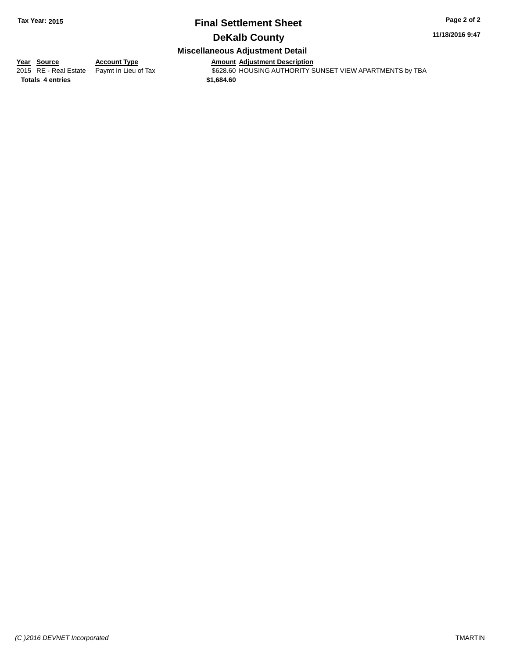#### **11/18/2016 9:47**

## **Miscellaneous Adjustment Detail**

**Year Source Account Type Account Type Amount Adjustment Description**<br>2015 RE - Real Estate Paymt In Lieu of Tax \$628.60 HOUSING AUTHORITY S  $\overline{2628.60}$  HOUSING AUTHORITY SUNSET VIEW APARTMENTS by TBA

**Totals \$1,684.60 4 entries**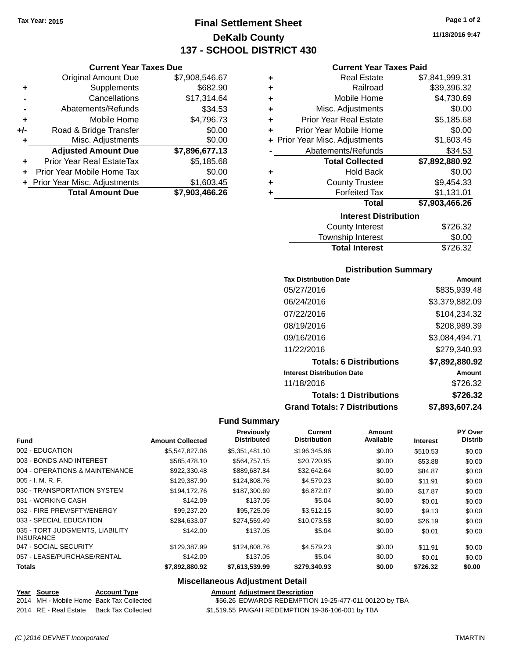**Current Year Taxes Due** Original Amount Due \$7,908,546.67

**Adjusted Amount Due \$7,896,677.13**

**Total Amount Due \$7,903,466.26**

**+** Supplements \$682.90 **-** Cancellations \$17,314.64 **-** Abatements/Refunds \$34.53 **+** Mobile Home \$4,796.73 **+/-** Road & Bridge Transfer \$0.00<br> **+** Misc. Adjustments \$0.00

**+** Prior Year Real EstateTax \$5,185.68 **+** Prior Year Mobile Home Tax \$0.00 **+** Prior Year Misc. Adjustments \$1,603.45

**+** Misc. Adjustments

# **Final Settlement Sheet Tax Year: 2015 Page 1 of 2 DeKalb County 137 - SCHOOL DISTRICT 430**

**11/18/2016 9:47**

#### **Current Year Taxes Paid**

| ٠ | <b>Real Estate</b>             | \$7,841,999.31 |
|---|--------------------------------|----------------|
| ٠ | Railroad                       | \$39,396.32    |
| ٠ | Mobile Home                    | \$4,730.69     |
| ٠ | Misc. Adjustments              | \$0.00         |
| ÷ | <b>Prior Year Real Estate</b>  | \$5,185.68     |
| ٠ | Prior Year Mobile Home         | \$0.00         |
|   | + Prior Year Misc. Adjustments | \$1,603.45     |
|   | Abatements/Refunds             | \$34.53        |
|   | <b>Total Collected</b>         | \$7,892,880.92 |
| ٠ | <b>Hold Back</b>               | \$0.00         |
| ٠ | <b>County Trustee</b>          | \$9,454.33     |
|   | <b>Forfeited Tax</b>           | \$1,131.01     |
|   | <b>Total</b>                   | \$7,903,466.26 |
|   | <b>Interest Distribution</b>   |                |
|   | <b>County Interest</b>         | \$726.32       |

| <b>County Interest</b> | \$726.32 |
|------------------------|----------|
| Township Interest      | \$0.00   |
| <b>Total Interest</b>  | \$726.32 |

#### **Distribution Summary**

| <b>Tax Distribution Date</b>         | Amount         |
|--------------------------------------|----------------|
| 05/27/2016                           | \$835,939.48   |
| 06/24/2016                           | \$3,379,882.09 |
| 07/22/2016                           | \$104,234.32   |
| 08/19/2016                           | \$208,989.39   |
| 09/16/2016                           | \$3,084,494.71 |
| 11/22/2016                           | \$279,340.93   |
| <b>Totals: 6 Distributions</b>       | \$7,892,880.92 |
| <b>Interest Distribution Date</b>    | Amount         |
| 11/18/2016                           | \$726.32       |
| <b>Totals: 1 Distributions</b>       | \$726.32       |
| <b>Grand Totals: 7 Distributions</b> | \$7.893.607.24 |

#### **Fund Summary**

| <b>Fund</b>                                         | <b>Amount Collected</b> | Previously<br><b>Distributed</b> | <b>Current</b><br><b>Distribution</b> | Amount<br>Available | <b>Interest</b> | PY Over<br><b>Distrib</b> |
|-----------------------------------------------------|-------------------------|----------------------------------|---------------------------------------|---------------------|-----------------|---------------------------|
| 002 - EDUCATION                                     | \$5,547,827.06          | \$5,351,481.10                   | \$196,345.96                          | \$0.00              | \$510.53        | \$0.00                    |
| 003 - BONDS AND INTEREST                            | \$585,478.10            | \$564,757.15                     | \$20,720.95                           | \$0.00              | \$53.88         | \$0.00                    |
| 004 - OPERATIONS & MAINTENANCE                      | \$922,330.48            | \$889,687.84                     | \$32,642.64                           | \$0.00              | \$84.87         | \$0.00                    |
| $005 - I. M. R. F.$                                 | \$129,387.99            | \$124,808.76                     | \$4,579.23                            | \$0.00              | \$11.91         | \$0.00                    |
| 030 - TRANSPORTATION SYSTEM                         | \$194.172.76            | \$187,300.69                     | \$6.872.07                            | \$0.00              | \$17.87         | \$0.00                    |
| 031 - WORKING CASH                                  | \$142.09                | \$137.05                         | \$5.04                                | \$0.00              | \$0.01          | \$0.00                    |
| 032 - FIRE PREV/SFTY/ENERGY                         | \$99.237.20             | \$95.725.05                      | \$3,512.15                            | \$0.00              | \$9.13          | \$0.00                    |
| 033 - SPECIAL EDUCATION                             | \$284.633.07            | \$274.559.49                     | \$10.073.58                           | \$0.00              | \$26.19         | \$0.00                    |
| 035 - TORT JUDGMENTS, LIABILITY<br><b>INSURANCE</b> | \$142.09                | \$137.05                         | \$5.04                                | \$0.00              | \$0.01          | \$0.00                    |
| 047 - SOCIAL SECURITY                               | \$129,387.99            | \$124,808.76                     | \$4,579.23                            | \$0.00              | \$11.91         | \$0.00                    |
| 057 - LEASE/PURCHASE/RENTAL                         | \$142.09                | \$137.05                         | \$5.04                                | \$0.00              | \$0.01          | \$0.00                    |
| <b>Totals</b>                                       | \$7,892,880.92          | \$7,613,539.99                   | \$279,340.93                          | \$0.00              | \$726.32        | \$0.00                    |

#### **Miscellaneous Adjustment Detail**

|  | Year Source | <b>Account Type</b> |  | <b>Amount Adiustment Description</b> |
|--|-------------|---------------------|--|--------------------------------------|
|--|-------------|---------------------|--|--------------------------------------|

2014 MH - Mobile Home Back Tax Collected **556.26 EDWARDS REDEMPTION 19-25-477-011 0012O by TBA** 

2014 RE - Real Estate Back Tax Collected \$1,519.55 PAIGAH REDEMPTION 19-36-106-001 by TBA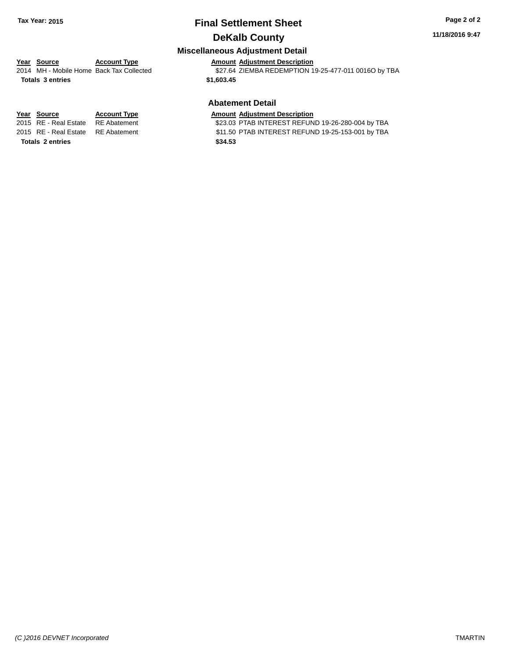#### **11/18/2016 9:47**

## **Miscellaneous Adjustment Detail**

#### **Year** Source **Account Type Account Adjustment Description** 2014 MH - Mobile Home Back Tax Collected \$27.64 ZIEMBA REDEMPTION 19-25-477-011 0016O by TBA

**Totals \$1,603.45 3 entries**

**Totals \$34.53 2 entries**

#### **Abatement Detail**

# **Year Source Account Type Amount Adjustment Description**<br>2015 RE - Real Estate RE Abatement \$23.03 PTAB INTEREST REFUN

\$23.03 PTAB INTEREST REFUND 19-26-280-004 by TBA 2015 RE - Real Estate RE Abatement \$11.50 PTAB INTEREST REFUND 19-25-153-001 by TBA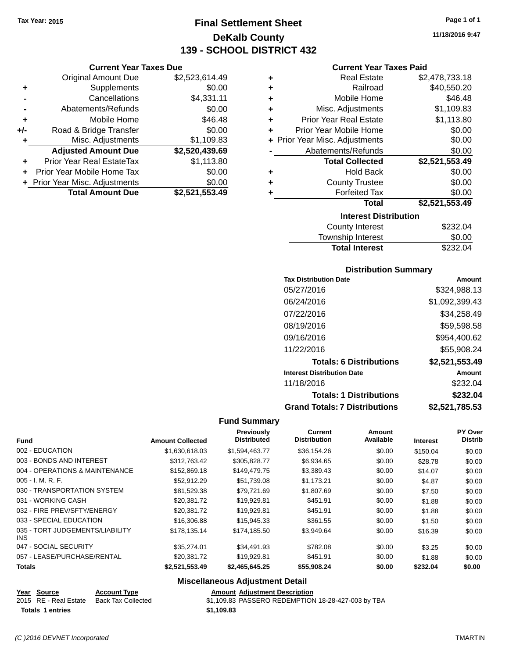**Current Year Taxes Due** Original Amount Due \$2,523,614.49

**Adjusted Amount Due \$2,520,439.69**

**Total Amount Due \$2,521,553.49**

**+** Supplements \$0.00 **-** Cancellations \$4,331.11 **-** Abatements/Refunds \$0.00 **+** Mobile Home \$46.48 **+/-** Road & Bridge Transfer \$0.00<br>**+** Misc. Adjustments \$1,109.83

**+** Prior Year Real EstateTax \$1,113.80 **+** Prior Year Mobile Home Tax \$0.00 **+ Prior Year Misc. Adjustments**  $$0.00$ 

**+** Misc. Adjustments

# **Final Settlement Sheet Tax Year: 2015 Page 1 of 1 DeKalb County 139 - SCHOOL DISTRICT 432**

**11/18/2016 9:47**

#### **Current Year Taxes Paid**

| ٠ | <b>Real Estate</b>             | \$2,478,733.18 |
|---|--------------------------------|----------------|
| ÷ | Railroad                       | \$40,550.20    |
| ٠ | Mobile Home                    | \$46.48        |
| ٠ | Misc. Adjustments              | \$1,109.83     |
| ٠ | <b>Prior Year Real Estate</b>  | \$1,113.80     |
| ٠ | Prior Year Mobile Home         | \$0.00         |
|   | + Prior Year Misc. Adjustments | \$0.00         |
|   | Abatements/Refunds             | \$0.00         |
|   | <b>Total Collected</b>         | \$2,521,553.49 |
| ٠ | <b>Hold Back</b>               | \$0.00         |
| ٠ | <b>County Trustee</b>          | \$0.00         |
| ٠ | <b>Forfeited Tax</b>           | \$0.00         |
|   | <b>Total</b>                   | \$2,521,553.49 |
|   | <b>Interest Distribution</b>   |                |
|   | County Interest                | \$232.04       |

| <b>Total Interest</b> | \$232.04 |
|-----------------------|----------|
| Township Interest     | \$0.00   |
| County Interest       | \$232.04 |

#### **Distribution Summary**

| <b>Tax Distribution Date</b>         | Amount         |
|--------------------------------------|----------------|
| 05/27/2016                           | \$324,988.13   |
| 06/24/2016                           | \$1,092,399.43 |
| 07/22/2016                           | \$34,258.49    |
| 08/19/2016                           | \$59,598.58    |
| 09/16/2016                           | \$954,400.62   |
| 11/22/2016                           | \$55,908.24    |
| <b>Totals: 6 Distributions</b>       | \$2,521,553.49 |
| <b>Interest Distribution Date</b>    | Amount         |
| 11/18/2016                           | \$232.04       |
| <b>Totals: 1 Distributions</b>       | \$232.04       |
| <b>Grand Totals: 7 Distributions</b> | \$2,521,785.53 |

#### **Fund Summary**

| <b>Fund</b>                             | <b>Amount Collected</b> | Previously<br><b>Distributed</b> | Current<br><b>Distribution</b> | Amount<br>Available | <b>Interest</b> | PY Over<br><b>Distrib</b> |
|-----------------------------------------|-------------------------|----------------------------------|--------------------------------|---------------------|-----------------|---------------------------|
| 002 - EDUCATION                         | \$1,630,618.03          | \$1,594,463.77                   | \$36.154.26                    | \$0.00              | \$150.04        | \$0.00                    |
| 003 - BONDS AND INTEREST                | \$312,763.42            | \$305,828.77                     | \$6,934.65                     | \$0.00              | \$28.78         | \$0.00                    |
| 004 - OPERATIONS & MAINTENANCE          | \$152,869.18            | \$149,479.75                     | \$3.389.43                     | \$0.00              | \$14.07         | \$0.00                    |
| $005 - I. M. R. F.$                     | \$52,912.29             | \$51,739.08                      | \$1,173.21                     | \$0.00              | \$4.87          | \$0.00                    |
| 030 - TRANSPORTATION SYSTEM             | \$81.529.38             | \$79.721.69                      | \$1,807.69                     | \$0.00              | \$7.50          | \$0.00                    |
| 031 - WORKING CASH                      | \$20,381.72             | \$19,929.81                      | \$451.91                       | \$0.00              | \$1.88          | \$0.00                    |
| 032 - FIRE PREV/SFTY/ENERGY             | \$20,381.72             | \$19,929.81                      | \$451.91                       | \$0.00              | \$1.88          | \$0.00                    |
| 033 - SPECIAL EDUCATION                 | \$16,306.88             | \$15,945.33                      | \$361.55                       | \$0.00              | \$1.50          | \$0.00                    |
| 035 - TORT JUDGEMENTS/LIABILITY<br>INS. | \$178.135.14            | \$174,185,50                     | \$3.949.64                     | \$0.00              | \$16.39         | \$0.00                    |
| 047 - SOCIAL SECURITY                   | \$35,274.01             | \$34,491.93                      | \$782.08                       | \$0.00              | \$3.25          | \$0.00                    |
| 057 - LEASE/PURCHASE/RENTAL             | \$20.381.72             | \$19,929.81                      | \$451.91                       | \$0.00              | \$1.88          | \$0.00                    |
| <b>Totals</b>                           | \$2,521,553.49          | \$2,465,645.25                   | \$55,908.24                    | \$0.00              | \$232.04        | \$0.00                    |

#### **Miscellaneous Adjustment Detail**

| <b>Amount Adjustment Description</b> |  |
|--------------------------------------|--|
|                                      |  |

2015 RE - Real Estate Back Tax Collected \$1,109.83 PASSERO REDEMPTION 18-28-427-003 by TBA **Totals \$1,109.83 1 entries**

**Year Source Account Type**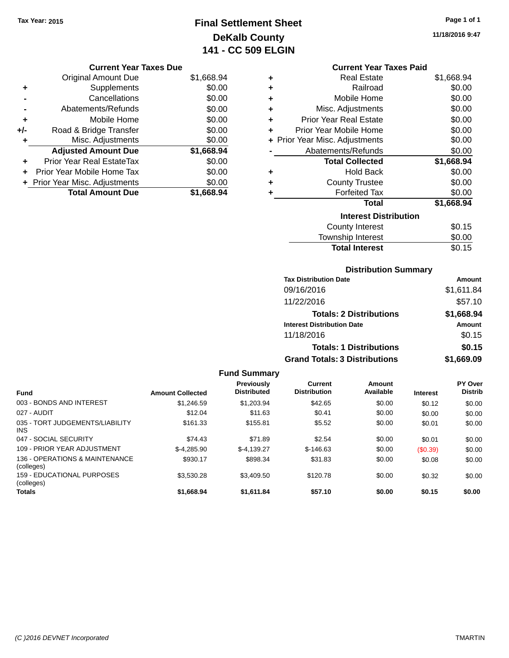# **Final Settlement Sheet Tax Year: 2015 Page 1 of 1 DeKalb County 141 - CC 509 ELGIN**

**11/18/2016 9:47**

#### **Current Year Taxes Due**

|     | <b>Original Amount Due</b>       | \$1,668.94 |
|-----|----------------------------------|------------|
| ٠   | Supplements                      | \$0.00     |
|     | Cancellations                    | \$0.00     |
|     | Abatements/Refunds               | \$0.00     |
| ٠   | Mobile Home                      | \$0.00     |
| +/- | Road & Bridge Transfer           | \$0.00     |
| ٠   | Misc. Adjustments                | \$0.00     |
|     | <b>Adjusted Amount Due</b>       | \$1,668.94 |
| ٠   | <b>Prior Year Real EstateTax</b> | \$0.00     |
|     | Prior Year Mobile Home Tax       | \$0.00     |
|     | + Prior Year Misc. Adjustments   | \$0.00     |
|     | <b>Total Amount Due</b>          | \$1,668.94 |

#### **Current Year Taxes Paid**

| ٠ | <b>Real Estate</b>             | \$1,668.94 |
|---|--------------------------------|------------|
| ٠ | Railroad                       | \$0.00     |
| ٠ | Mobile Home                    | \$0.00     |
| ÷ | Misc. Adjustments              | \$0.00     |
| ٠ | <b>Prior Year Real Estate</b>  | \$0.00     |
| ٠ | <b>Prior Year Mobile Home</b>  | \$0.00     |
|   | + Prior Year Misc. Adjustments | \$0.00     |
|   | Abatements/Refunds             | \$0.00     |
|   |                                |            |
|   | <b>Total Collected</b>         | \$1,668.94 |
| ٠ | <b>Hold Back</b>               | \$0.00     |
| ÷ | <b>County Trustee</b>          | \$0.00     |
| ٠ | <b>Forfeited Tax</b>           | \$0.00     |
|   | <b>Total</b>                   | \$1,668.94 |
|   | <b>Interest Distribution</b>   |            |
|   | County Interest                | \$0.15     |

#### **Distribution Summary**

Total Interest \$0.15

| <b>Tax Distribution Date</b>         | Amount     |
|--------------------------------------|------------|
| 09/16/2016                           | \$1,611.84 |
| 11/22/2016                           | \$57.10    |
| <b>Totals: 2 Distributions</b>       | \$1,668.94 |
| <b>Interest Distribution Date</b>    | Amount     |
| 11/18/2016                           | \$0.15     |
| <b>Totals: 1 Distributions</b>       | \$0.15     |
| <b>Grand Totals: 3 Distributions</b> | \$1,669.09 |

#### **Fund Summary Fund Interest Amount Collected Distributed PY Over Distrib Amount Available Current Distribution Previously** 003 - BONDS AND INTEREST \$1,246.59 \$1,203.94 \$42.65 \$0.00 \$0.12 \$0.00 027 - AUDIT \$12.04 \$11.63 \$0.41 \$0.00 \$0.00 \$0.00 035 - TORT JUDGEMENTS/LIABILITY INS \$161.33 \$155.81 \$5.52 \$0.00 \$0.01 \$0.00 047 - SOCIAL SECURITY 60.00 \$74.43 \$74.43 \$71.89 \$2.54 \$0.00 \$0.01 \$0.00 109 - PRIOR YEAR ADJUSTMENT  $$-4,285.90$   $$-4,139.27$   $$-146.63$   $$0.00$   $$0.39$   $$0.00$ 136 - OPERATIONS & MAINTENANCE (colleges) \$930.17 \$898.34 \$31.83 \$0.00 \$0.08 \$0.00 159 - EDUCATIONAL PURPOSES (colleges) \$3,530.28 \$3,409.50 \$120.78 \$0.00 \$0.32 \$0.00 **Totals \$1,668.94 \$1,611.84 \$57.10 \$0.00 \$0.15 \$0.00**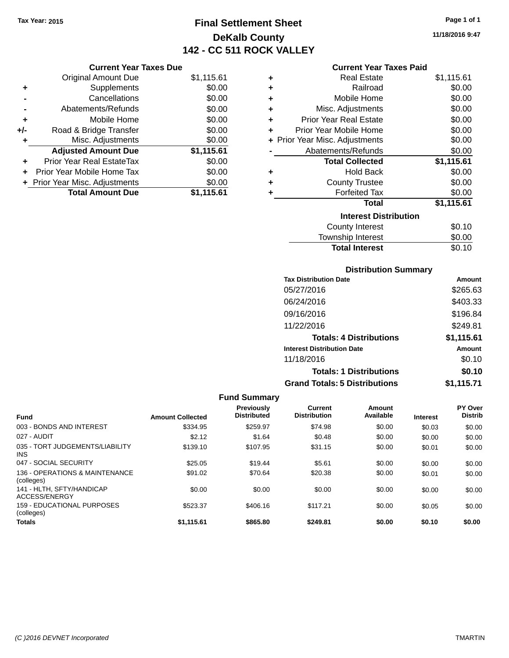## **Final Settlement Sheet Tax Year: 2015 Page 1 of 1 DeKalb County 142 - CC 511 ROCK VALLEY**

#### **Current Year Taxes Paid**

|     | <b>Current Year Taxes Due</b>  |            |  |  |
|-----|--------------------------------|------------|--|--|
|     | <b>Original Amount Due</b>     | \$1,115.61 |  |  |
| ٠   | Supplements                    | \$0.00     |  |  |
|     | Cancellations                  | \$0.00     |  |  |
|     | \$0.00<br>Abatements/Refunds   |            |  |  |
| ٠   | Mobile Home                    | \$0.00     |  |  |
| +/- | Road & Bridge Transfer         | \$0.00     |  |  |
| ٠   | \$0.00<br>Misc. Adjustments    |            |  |  |
|     | <b>Adjusted Amount Due</b>     | \$1,115.61 |  |  |
| ٠   | Prior Year Real EstateTax      | \$0.00     |  |  |
|     | Prior Year Mobile Home Tax     | \$0.00     |  |  |
|     | + Prior Year Misc. Adjustments | \$0.00     |  |  |
|     | <b>Total Amount Due</b>        | \$1,115.61 |  |  |

| ٠                            | <b>Real Estate</b>             | \$1,115.61 |  |
|------------------------------|--------------------------------|------------|--|
| ٠                            | Railroad                       | \$0.00     |  |
| ٠                            | Mobile Home                    | \$0.00     |  |
| ٠                            | Misc. Adjustments              | \$0.00     |  |
| ٠                            | <b>Prior Year Real Estate</b>  | \$0.00     |  |
| ٠                            | Prior Year Mobile Home         | \$0.00     |  |
|                              | + Prior Year Misc. Adjustments | \$0.00     |  |
|                              | Abatements/Refunds             | \$0.00     |  |
|                              | <b>Total Collected</b>         | \$1,115.61 |  |
| ٠                            | Hold Back                      | \$0.00     |  |
| ٠                            | <b>County Trustee</b>          | \$0.00     |  |
| ٠                            | <b>Forfeited Tax</b>           | \$0.00     |  |
|                              | <b>Total</b>                   | \$1,115.61 |  |
| <b>Interest Distribution</b> |                                |            |  |
|                              | <b>County Interest</b>         | \$0.10     |  |
|                              | <b>Township Interest</b>       | \$0.00     |  |
|                              | <b>Total Interest</b>          | \$0.10     |  |

#### **Distribution Summary**

| <b>Tax Distribution Date</b>         | <b>Amount</b> |
|--------------------------------------|---------------|
| 05/27/2016                           | \$265.63      |
| 06/24/2016                           | \$403.33      |
| 09/16/2016                           | \$196.84      |
| 11/22/2016                           | \$249.81      |
| <b>Totals: 4 Distributions</b>       | \$1,115.61    |
| <b>Interest Distribution Date</b>    | Amount        |
| 11/18/2016                           | \$0.10        |
| <b>Totals: 1 Distributions</b>       | \$0.10        |
| <b>Grand Totals: 5 Distributions</b> | \$1,115.71    |

#### **Fund Summary Fund Interest Amount Collected Distributed PY Over Distrib Amount Available Current Distribution Previously** 003 - BONDS AND INTEREST \$334.95 \$259.97 \$74.98 \$0.00 \$0.00 \$0.00 \$0.00 027 - AUDIT \$2.12 \$1.64 \$0.48 \$0.00 \$0.00 \$0.00 035 - TORT JUDGEMENTS/LIABILITY INS \$139.10 \$107.95 \$31.15 \$0.00 \$0.01 \$0.00 047 - SOCIAL SECURITY \$25.05 \$19.44 \$0.00 \$0.00 \$0.00 \$0.00 \$0.00 \$0.00 \$0.00 \$0.00 \$0.00 \$0.00 136 - OPERATIONS & MAINTENANCE (colleges) \$91.02 \$70.64 \$20.38 \$0.00 \$0.01 \$0.00 141 - HLTH, SFTY/HANDICAP ACCESS/ENERGY \$0.00 \$0.00 \$0.00 \$0.00 \$0.00 \$0.00 159 - EDUCATIONAL PURPOSES (colleges) \$523.37 \$406.16 \$117.21 \$0.00 \$0.05 \$0.00 **Totals \$1,115.61 \$865.80 \$249.81 \$0.00 \$0.10 \$0.00**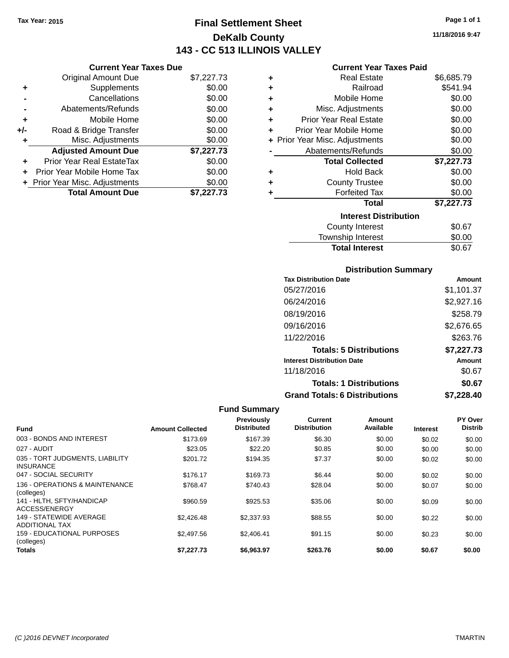### **Final Settlement Sheet Tax Year: 2015 Page 1 of 1 DeKalb County 143 - CC 513 ILLINOIS VALLEY**

**11/18/2016 9:47**

### **Current Year Taxes Paid**

|     | <b>Current Year Taxes Due</b>  |            |
|-----|--------------------------------|------------|
|     | <b>Original Amount Due</b>     | \$7,227.73 |
| ٠   | Supplements                    | \$0.00     |
|     | Cancellations                  | \$0.00     |
|     | Abatements/Refunds             | \$0.00     |
| ٠   | Mobile Home                    | \$0.00     |
| +/- | Road & Bridge Transfer         | \$0.00     |
| ٠   | Misc. Adjustments              | \$0.00     |
|     | <b>Adjusted Amount Due</b>     | \$7,227.73 |
|     | Prior Year Real EstateTax      | \$0.00     |
|     | Prior Year Mobile Home Tax     | \$0.00     |
|     | + Prior Year Misc. Adjustments | \$0.00     |
|     | <b>Total Amount Due</b>        | \$7.227.73 |

| ٠                            | <b>Real Estate</b>             | \$6,685.79 |  |
|------------------------------|--------------------------------|------------|--|
| ÷                            | Railroad                       | \$541.94   |  |
| ٠                            | Mobile Home                    | \$0.00     |  |
| ÷                            | Misc. Adjustments              | \$0.00     |  |
| ٠                            | <b>Prior Year Real Estate</b>  | \$0.00     |  |
| ٠                            | Prior Year Mobile Home         | \$0.00     |  |
|                              | + Prior Year Misc. Adjustments | \$0.00     |  |
|                              | Abatements/Refunds             | \$0.00     |  |
|                              | <b>Total Collected</b>         | \$7,227.73 |  |
| ٠                            | <b>Hold Back</b>               | \$0.00     |  |
| ٠                            | <b>County Trustee</b>          | \$0.00     |  |
| ٠                            | <b>Forfeited Tax</b>           | \$0.00     |  |
|                              | <b>Total</b>                   | \$7,227.73 |  |
| <b>Interest Distribution</b> |                                |            |  |
|                              | County Interest                | \$0.67     |  |
|                              | <b>Township Interest</b>       | \$0.00     |  |
|                              | <b>Total Interest</b>          | \$0.67     |  |

### **Distribution Summary**

| <b>Tax Distribution Date</b>         | Amount     |
|--------------------------------------|------------|
| 05/27/2016                           | \$1,101.37 |
| 06/24/2016                           | \$2,927.16 |
| 08/19/2016                           | \$258.79   |
| 09/16/2016                           | \$2,676.65 |
| 11/22/2016                           | \$263.76   |
| <b>Totals: 5 Distributions</b>       | \$7,227.73 |
| <b>Interest Distribution Date</b>    | Amount     |
| 11/18/2016                           | \$0.67     |
| <b>Totals: 1 Distributions</b>       | \$0.67     |
| <b>Grand Totals: 6 Distributions</b> | \$7.228.40 |

### **Fund Summary**

| <b>Fund</b>                                         | <b>Amount Collected</b> | <b>Previously</b><br><b>Distributed</b> | Current<br><b>Distribution</b> | Amount<br>Available | <b>Interest</b> | PY Over<br><b>Distrib</b> |
|-----------------------------------------------------|-------------------------|-----------------------------------------|--------------------------------|---------------------|-----------------|---------------------------|
| 003 - BONDS AND INTEREST                            | \$173.69                | \$167.39                                | \$6.30                         | \$0.00              | \$0.02          | \$0.00                    |
| 027 - AUDIT                                         | \$23.05                 | \$22.20                                 | \$0.85                         | \$0.00              | \$0.00          | \$0.00                    |
| 035 - TORT JUDGMENTS, LIABILITY<br><b>INSURANCE</b> | \$201.72                | \$194.35                                | \$7.37                         | \$0.00              | \$0.02          | \$0.00                    |
| 047 - SOCIAL SECURITY                               | \$176.17                | \$169.73                                | \$6.44                         | \$0.00              | \$0.02          | \$0.00                    |
| 136 - OPERATIONS & MAINTENANCE<br>(colleges)        | \$768.47                | \$740.43                                | \$28.04                        | \$0.00              | \$0.07          | \$0.00                    |
| 141 - HLTH, SFTY/HANDICAP<br>ACCESS/ENERGY          | \$960.59                | \$925.53                                | \$35.06                        | \$0.00              | \$0.09          | \$0.00                    |
| 149 - STATEWIDE AVERAGE<br>ADDITIONAL TAX           | \$2,426.48              | \$2,337.93                              | \$88.55                        | \$0.00              | \$0.22          | \$0.00                    |
| 159 - EDUCATIONAL PURPOSES<br>(colleges)            | \$2,497.56              | \$2.406.41                              | \$91.15                        | \$0.00              | \$0.23          | \$0.00                    |
| <b>Totals</b>                                       | \$7,227.73              | \$6.963.97                              | \$263.76                       | \$0.00              | \$0.67          | \$0.00                    |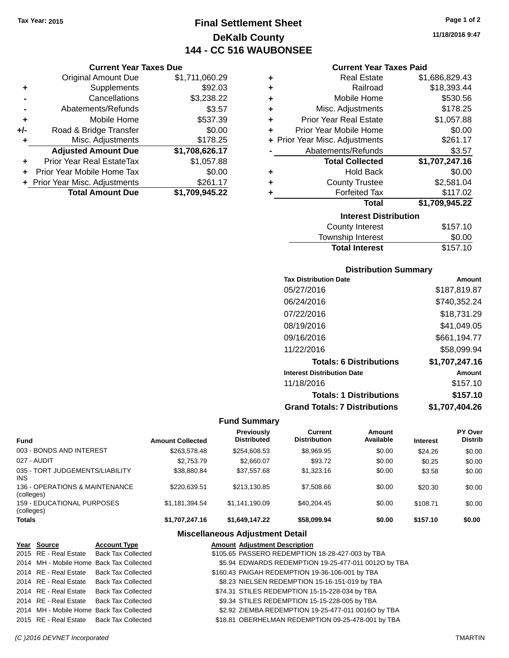### **Final Settlement Sheet Tax Year: 2015 Page 1 of 2 DeKalb County 144 - CC 516 WAUBONSEE**

**11/18/2016 9:47**

|     | <b>Original Amount Due</b>     | \$1,711,060.29 |
|-----|--------------------------------|----------------|
| ٠   | Supplements                    | \$92.03        |
|     | Cancellations                  | \$3,238.22     |
|     | Abatements/Refunds             | \$3.57         |
| ٠   | Mobile Home                    | \$537.39       |
| +/- | Road & Bridge Transfer         | \$0.00         |
| ٠   | Misc. Adjustments              | \$178.25       |
|     | <b>Adjusted Amount Due</b>     | \$1,708,626.17 |
|     | Prior Year Real EstateTax      | \$1,057.88     |
|     | Prior Year Mobile Home Tax     | \$0.00         |
|     | + Prior Year Misc. Adjustments | \$261.17       |
|     | <b>Total Amount Due</b>        | \$1,709,945.22 |

| <b>Current Year Taxes Paid</b> |
|--------------------------------|
|--------------------------------|

| ٠ | <b>Real Estate</b>             | \$1,686,829.43 |
|---|--------------------------------|----------------|
| ÷ | Railroad                       | \$18,393.44    |
| ÷ | Mobile Home                    | \$530.56       |
| ٠ | Misc. Adjustments              | \$178.25       |
| ٠ | <b>Prior Year Real Estate</b>  | \$1,057.88     |
| ÷ | Prior Year Mobile Home         | \$0.00         |
|   | + Prior Year Misc. Adjustments | \$261.17       |
|   | Abatements/Refunds             | \$3.57         |
|   | <b>Total Collected</b>         | \$1,707,247.16 |
| ٠ | <b>Hold Back</b>               | \$0.00         |
| ٠ | <b>County Trustee</b>          | \$2,581.04     |
| ٠ | <b>Forfeited Tax</b>           | \$117.02       |
|   | <b>Total</b>                   | \$1,709,945.22 |
|   | <b>Interest Distribution</b>   |                |
|   | County Interest                | \$157.10       |

| County Interest       | \$157.10 |
|-----------------------|----------|
| Township Interest     | \$0.00   |
| <b>Total Interest</b> | \$157.10 |

### **Distribution Summary**

| <b>Tax Distribution Date</b>         | Amount         |
|--------------------------------------|----------------|
| 05/27/2016                           | \$187,819.87   |
| 06/24/2016                           | \$740,352.24   |
| 07/22/2016                           | \$18,731.29    |
| 08/19/2016                           | \$41,049.05    |
| 09/16/2016                           | \$661,194.77   |
| 11/22/2016                           | \$58,099.94    |
| <b>Totals: 6 Distributions</b>       | \$1,707,247.16 |
| <b>Interest Distribution Date</b>    | Amount         |
| 11/18/2016                           | \$157.10       |
| <b>Totals: 1 Distributions</b>       | \$157.10       |
| <b>Grand Totals: 7 Distributions</b> | \$1.707.404.26 |

### **Fund Summary**

| <b>Fund</b>                                   | <b>Amount Collected</b> | Previously<br><b>Distributed</b> | Current<br><b>Distribution</b> | Amount<br>Available | <b>Interest</b> | <b>PY Over</b><br><b>Distrib</b> |
|-----------------------------------------------|-------------------------|----------------------------------|--------------------------------|---------------------|-----------------|----------------------------------|
| 003 - BONDS AND INTEREST                      | \$263.578.48            | \$254,608.53                     | \$8,969.95                     | \$0.00              | \$24.26         | \$0.00                           |
| 027 - AUDIT                                   | \$2,753,79              | \$2,660.07                       | \$93.72                        | \$0.00              | \$0.25          | \$0.00                           |
| 035 - TORT JUDGEMENTS/LIABILITY<br><b>INS</b> | \$38.880.84             | \$37.557.68                      | \$1,323.16                     | \$0.00              | \$3.58          | \$0.00                           |
| 136 - OPERATIONS & MAINTENANCE<br>(colleges)  | \$220.639.51            | \$213.130.85                     | \$7,508.66                     | \$0.00              | \$20.30         | \$0.00                           |
| 159 - EDUCATIONAL PURPOSES<br>(colleges)      | \$1,181,394.54          | \$1.141.190.09                   | \$40.204.45                    | \$0.00              | \$108.71        | \$0.00                           |
| <b>Totals</b>                                 | \$1,707,247.16          | \$1,649,147.22                   | \$58,099.94                    | \$0.00              | \$157.10        | \$0.00                           |

| Year Source | <b>Account Type</b>                      | <b>Amount Adjustment Description</b>                 |
|-------------|------------------------------------------|------------------------------------------------------|
|             | 2015 RE - Real Estate Back Tax Collected | \$105.65 PASSERO REDEMPTION 18-28-427-003 by TBA     |
|             | 2014 MH - Mobile Home Back Tax Collected | \$5.94 EDWARDS REDEMPTION 19-25-477-011 0012O by TBA |
|             | 2014 RE - Real Estate Back Tax Collected | \$160.43 PAIGAH REDEMPTION 19-36-106-001 by TBA      |
|             | 2014 RE - Real Estate Back Tax Collected | \$8.23 NIELSEN REDEMPTION 15-16-151-019 by TBA       |
|             | 2014 RE - Real Estate Back Tax Collected | \$74.31 STILES REDEMPTION 15-15-228-034 by TBA       |
|             | 2014 RE - Real Estate Back Tax Collected | \$9.34 STILES REDEMPTION 15-15-228-005 by TBA        |
|             | 2014 MH - Mobile Home Back Tax Collected | \$2.92 ZIEMBA REDEMPTION 19-25-477-011 0016O by TBA  |
|             | 2015 RE - Real Estate Back Tax Collected | \$18.81 OBERHELMAN REDEMPTION 09-25-478-001 by TBA   |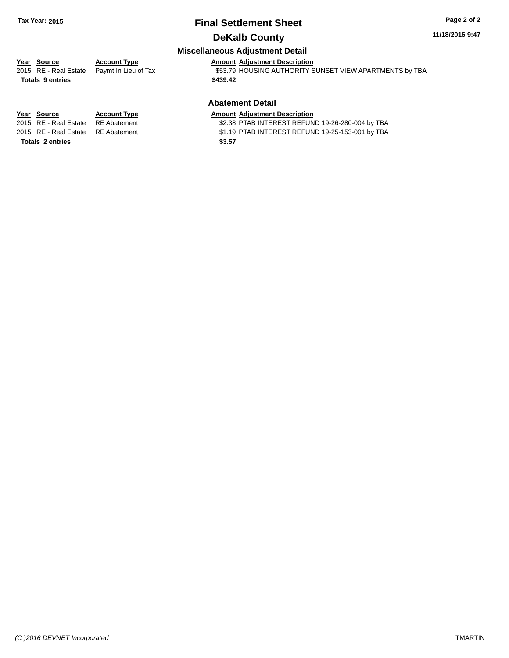### **Final Settlement Sheet Tax Year: 2015 Page 2 of 2 DeKalb County**

#### **11/18/2016 9:47**

### **Miscellaneous Adjustment Detail**

# **Year** Source **Account Type Account Adjustment Description**

**Totals \$439.42 9 entries**

2015 RE - Real Estate Paymt In Lieu of Tax **553.79 HOUSING AUTHORITY SUNSET VIEW APARTMENTS** by TBA

### **Abatement Detail**

\$2.38 PTAB INTEREST REFUND 19-26-280-004 by TBA

2015 RE - Real Estate RE Abatement \$1.19 PTAB INTEREST REFUND 19-25-153-001 by TBA

**Year Source Account Type Amount Adjustment Description**<br>2015 RE - Real Estate RE Abatement \$2.38 PTAB INTEREST REFUN **Totals \$3.57 2 entries**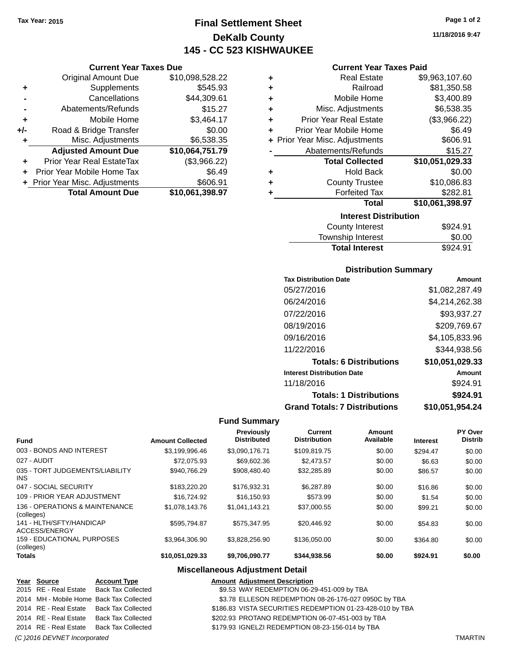**Current Year Taxes Due** Original Amount Due \$10,098,528.22

**Adjusted Amount Due \$10,064,751.79**

**Total Amount Due \$10,061,398.97**

**+** Supplements \$545.93 **-** Cancellations \$44,309.61 **-** Abatements/Refunds \$15.27 **+** Mobile Home \$3,464.17 **+/-** Road & Bridge Transfer \$0.00 **+** Misc. Adjustments \$6,538.35

**+** Prior Year Real EstateTax (\$3,966.22) **+** Prior Year Mobile Home Tax \$6.49 **+** Prior Year Misc. Adjustments \$606.91

### **Final Settlement Sheet Tax Year: 2015 Page 1 of 2 DeKalb County 145 - CC 523 KISHWAUKEE**

**11/18/2016 9:47**

| <b>Current Year Taxes Paid</b> |  |  |  |
|--------------------------------|--|--|--|
|--------------------------------|--|--|--|

|   |                                | 0.00104         |
|---|--------------------------------|-----------------|
|   | <b>Interest Distribution</b>   |                 |
|   | <b>Total</b>                   | \$10,061,398.97 |
| ٠ | <b>Forfeited Tax</b>           | \$282.81        |
| ٠ | <b>County Trustee</b>          | \$10,086.83     |
| ٠ | <b>Hold Back</b>               | \$0.00          |
|   | <b>Total Collected</b>         | \$10,051,029.33 |
|   | Abatements/Refunds             | \$15.27         |
|   | + Prior Year Misc. Adjustments | \$606.91        |
| ÷ | Prior Year Mobile Home         | \$6.49          |
| ÷ | <b>Prior Year Real Estate</b>  | (\$3,966.22)    |
| ÷ | Misc. Adjustments              | \$6,538.35      |
| ÷ | Mobile Home                    | \$3,400.89      |
| ٠ | Railroad                       | \$81,350.58     |
| ٠ | <b>Real Estate</b>             | \$9,963,107.60  |
|   |                                |                 |

| <b>Total Interest</b>  | \$924.91 |
|------------------------|----------|
| Township Interest      | \$0.00   |
| <b>County Interest</b> | \$924.91 |

#### **Distribution Summary**

| <b>Tax Distribution Date</b>         | Amount          |
|--------------------------------------|-----------------|
| 05/27/2016                           | \$1,082,287.49  |
| 06/24/2016                           | \$4,214,262.38  |
| 07/22/2016                           | \$93,937.27     |
| 08/19/2016                           | \$209,769.67    |
| 09/16/2016                           | \$4,105,833.96  |
| 11/22/2016                           | \$344,938.56    |
| <b>Totals: 6 Distributions</b>       | \$10,051,029.33 |
| <b>Interest Distribution Date</b>    | Amount          |
| 11/18/2016                           | \$924.91        |
| <b>Totals: 1 Distributions</b>       | \$924.91        |
| <b>Grand Totals: 7 Distributions</b> | \$10,051,954.24 |

### **Fund Summary**

| Fund                                          | <b>Amount Collected</b> | <b>Previously</b><br><b>Distributed</b> | Current<br><b>Distribution</b> | Amount<br>Available | <b>Interest</b> | PY Over<br><b>Distrib</b> |
|-----------------------------------------------|-------------------------|-----------------------------------------|--------------------------------|---------------------|-----------------|---------------------------|
| 003 - BONDS AND INTEREST                      | \$3.199.996.46          | \$3,090,176,71                          | \$109.819.75                   | \$0.00              | \$294.47        | \$0.00                    |
| 027 - AUDIT                                   | \$72.075.93             | \$69,602.36                             | \$2,473.57                     | \$0.00              | \$6.63          | \$0.00                    |
| 035 - TORT JUDGEMENTS/LIABILITY<br><b>INS</b> | \$940.766.29            | \$908.480.40                            | \$32,285.89                    | \$0.00              | \$86.57         | \$0.00                    |
| 047 - SOCIAL SECURITY                         | \$183,220,20            | \$176.932.31                            | \$6,287.89                     | \$0.00              | \$16.86         | \$0.00                    |
| 109 - PRIOR YEAR ADJUSTMENT                   | \$16,724.92             | \$16,150.93                             | \$573.99                       | \$0.00              | \$1.54          | \$0.00                    |
| 136 - OPERATIONS & MAINTENANCE<br>(colleges)  | \$1,078,143,76          | \$1.041.143.21                          | \$37,000.55                    | \$0.00              | \$99.21         | \$0.00                    |
| 141 - HLTH/SFTY/HANDICAP<br>ACCESS/ENERGY     | \$595.794.87            | \$575,347.95                            | \$20,446.92                    | \$0.00              | \$54.83         | \$0.00                    |
| 159 - EDUCATIONAL PURPOSES<br>(colleges)      | \$3,964,306.90          | \$3,828,256.90                          | \$136,050,00                   | \$0.00              | \$364.80        | \$0.00                    |
| <b>Totals</b>                                 | \$10,051,029.33         | \$9,706,090.77                          | \$344,938.56                   | \$0.00              | \$924.91        | \$0.00                    |

#### **Miscellaneous Adjustment Detail**

#### **Year Source Account Type Amount Adjustment Description** 2015 RE - Real Estate Back Tax Collected \$9.53 WAY REDEMPTION 06-29-451-009 by TBA 2014 MH - Mobile Home Back Tax Collected **63.78 ELLESON REDEMPTION 08-26-176-027 0950C** by TBA 2014 RE - Real Estate Back Tax Collected \$186.83 VISTA SECURITIES REDEMPTION 01-23-428-010 by TBA 2014 RE - Real Estate Back Tax Collected \$202.93 PROTANO REDEMPTION 06-07-451-003 by TBA 2014 RE - Real Estate Back Tax Collected \$179.93 IGNELZI REDEMPTION 08-23-156-014 by TBA

#### *(C )2016 DEVNET Incorporated* TMARTIN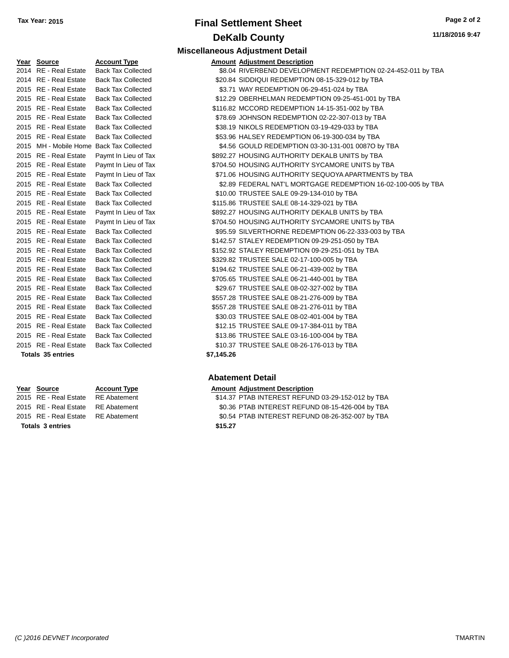### **Final Settlement Sheet Tax Year: 2015 Page 2 of 2 DeKalb County Miscellaneous Adjustment Detail**

|      | ------                              |                           |            |
|------|-------------------------------------|---------------------------|------------|
|      | 2014 RE - Real Estate               | <b>Back Tax Collected</b> | \$8.04     |
|      | 2014 RE - Real Estate               | <b>Back Tax Collected</b> | \$20.84    |
|      | 2015 RE - Real Estate               | <b>Back Tax Collected</b> | \$3.71     |
| 2015 | RE - Real Estate                    | <b>Back Tax Collected</b> | \$12.29    |
|      | 2015 RE - Real Estate               | <b>Back Tax Collected</b> | \$116.82   |
|      | 2015 RE - Real Estate               | <b>Back Tax Collected</b> | \$78.69    |
|      | 2015 RE - Real Estate               | <b>Back Tax Collected</b> | \$38.19    |
| 2015 | RE - Real Estate                    | <b>Back Tax Collected</b> | \$53.96    |
| 2015 | MH - Mobile Home Back Tax Collected |                           | \$4.56     |
| 2015 | RE - Real Estate                    | Paymt In Lieu of Tax      | \$892.27   |
|      | 2015 RE - Real Estate               | Paymt In Lieu of Tax      | \$704.50   |
| 2015 | RE - Real Estate                    | Paymt In Lieu of Tax      | \$71.06    |
|      | 2015 RE - Real Estate               | <b>Back Tax Collected</b> | \$2.89     |
| 2015 | RE - Real Estate                    | <b>Back Tax Collected</b> | \$10.00    |
|      | 2015 RE - Real Estate               | <b>Back Tax Collected</b> | \$115.86   |
|      | 2015 RE - Real Estate               | Paymt In Lieu of Tax      | \$892.27   |
| 2015 | RE - Real Estate                    | Paymt In Lieu of Tax      | \$704.50   |
|      | 2015 RE - Real Estate               | <b>Back Tax Collected</b> | \$95.59    |
|      | 2015 RE - Real Estate               | <b>Back Tax Collected</b> | \$142.57   |
|      | 2015 RE - Real Estate               | <b>Back Tax Collected</b> | \$152.92   |
| 2015 | <b>RE</b> - Real Estate             | <b>Back Tax Collected</b> | \$329.82   |
| 2015 | <b>RE</b> - Real Estate             | <b>Back Tax Collected</b> | \$194.62   |
| 2015 | <b>RE</b> - Real Estate             | <b>Back Tax Collected</b> | \$705.65   |
| 2015 | RE - Real Estate                    | <b>Back Tax Collected</b> | \$29.67    |
|      | 2015 RE - Real Estate               | <b>Back Tax Collected</b> | \$557.28   |
| 2015 | RE - Real Estate                    | <b>Back Tax Collected</b> | \$557.28   |
| 2015 | RE - Real Estate                    | <b>Back Tax Collected</b> | \$30.03    |
|      | 2015 RE - Real Estate               | <b>Back Tax Collected</b> | \$12.15    |
| 2015 | RE - Real Estate                    | <b>Back Tax Collected</b> | \$13.86    |
|      | 2015 RE - Real Estate               | <b>Back Tax Collected</b> | \$10.37    |
|      | <b>Totals 35 entries</b>            |                           | \$7,145.26 |

**Totals \$15.27 3 entries**

| Year Source                              | <b>Account Type</b>       | <b>Amount Adjustment Description</b>                          |
|------------------------------------------|---------------------------|---------------------------------------------------------------|
| 2014 RE - Real Estate                    | <b>Back Tax Collected</b> | \$8.04 RIVERBEND DEVELOPMENT REDEMPTION 02-24-452-011 by TBA  |
| 2014 RE - Real Estate                    | <b>Back Tax Collected</b> | \$20.84 SIDDIQUI REDEMPTION 08-15-329-012 by TBA              |
| 2015 RE - Real Estate                    | <b>Back Tax Collected</b> | \$3.71 WAY REDEMPTION 06-29-451-024 by TBA                    |
| 2015 RE - Real Estate                    | <b>Back Tax Collected</b> | \$12.29 OBERHELMAN REDEMPTION 09-25-451-001 by TBA            |
| 2015 RE - Real Estate                    | <b>Back Tax Collected</b> | \$116.82 MCCORD REDEMPTION 14-15-351-002 by TBA               |
| 2015 RE - Real Estate                    | <b>Back Tax Collected</b> | \$78.69 JOHNSON REDEMPTION 02-22-307-013 by TBA               |
| 2015 RE - Real Estate                    | <b>Back Tax Collected</b> | \$38.19 NIKOLS REDEMPTION 03-19-429-033 by TBA                |
| 2015 RE - Real Estate                    | <b>Back Tax Collected</b> | \$53.96 HALSEY REDEMPTION 06-19-300-034 by TBA                |
| 2015 MH - Mobile Home Back Tax Collected |                           | \$4.56 GOULD REDEMPTION 03-30-131-001 0087O by TBA            |
| 2015 RE - Real Estate                    | Paymt In Lieu of Tax      | \$892.27 HOUSING AUTHORITY DEKALB UNITS by TBA                |
| 2015 RE - Real Estate                    | Paymt In Lieu of Tax      | \$704.50 HOUSING AUTHORITY SYCAMORE UNITS by TBA              |
| 2015 RE - Real Estate                    | Paymt In Lieu of Tax      | \$71.06 HOUSING AUTHORITY SEQUOYA APARTMENTS by TBA           |
| 2015 RE - Real Estate                    | <b>Back Tax Collected</b> | \$2.89 FEDERAL NAT'L MORTGAGE REDEMPTION 16-02-100-005 by TBA |
| 2015 RE - Real Estate                    | <b>Back Tax Collected</b> | \$10.00 TRUSTEE SALE 09-29-134-010 by TBA                     |
| 2015 RE - Real Estate                    | <b>Back Tax Collected</b> | \$115.86 TRUSTEE SALE 08-14-329-021 by TBA                    |
| 2015 RE - Real Estate                    | Paymt In Lieu of Tax      | \$892.27 HOUSING AUTHORITY DEKALB UNITS by TBA                |
| 2015 RE - Real Estate                    | Paymt In Lieu of Tax      | \$704.50 HOUSING AUTHORITY SYCAMORE UNITS by TBA              |
| 2015 RE - Real Estate                    | <b>Back Tax Collected</b> | \$95.59 SILVERTHORNE REDEMPTION 06-22-333-003 by TBA          |
| 2015 RE - Real Estate                    | <b>Back Tax Collected</b> | \$142.57 STALEY REDEMPTION 09-29-251-050 by TBA               |
| 2015 RE - Real Estate                    | <b>Back Tax Collected</b> | \$152.92 STALEY REDEMPTION 09-29-251-051 by TBA               |
| 2015 RE - Real Estate                    | <b>Back Tax Collected</b> | \$329.82 TRUSTEE SALE 02-17-100-005 by TBA                    |
| 2015 RE - Real Estate                    | <b>Back Tax Collected</b> | \$194.62 TRUSTEE SALE 06-21-439-002 by TBA                    |
| 2015 RE - Real Estate                    | <b>Back Tax Collected</b> | \$705.65 TRUSTEE SALE 06-21-440-001 by TBA                    |
| 2015 RE - Real Estate                    | <b>Back Tax Collected</b> | \$29.67 TRUSTEE SALE 08-02-327-002 by TBA                     |
| 2015 RE - Real Estate                    | <b>Back Tax Collected</b> | \$557.28 TRUSTEE SALE 08-21-276-009 by TBA                    |
| 2015 RE - Real Estate                    | <b>Back Tax Collected</b> | \$557.28 TRUSTEE SALE 08-21-276-011 by TBA                    |
| 2015 RE - Real Estate                    | <b>Back Tax Collected</b> | \$30.03 TRUSTEE SALE 08-02-401-004 by TBA                     |
| 2015 RE - Real Estate                    | <b>Back Tax Collected</b> | \$12.15 TRUSTEE SALE 09-17-384-011 by TBA                     |
| 2015 RE - Real Estate                    | <b>Back Tax Collected</b> | \$13.86 TRUSTEE SALE 03-16-100-004 by TBA                     |
| 2015 RE - Real Estate                    | <b>Back Tax Collected</b> | \$10.37 TRUSTEE SALE 08-26-176-013 by TBA                     |
|                                          |                           |                                                               |

### **Abatement Detail**

#### **Year Source Account Type Amount Adjustment Description**

2015 RE - Real Estate RE Abatement \$14.37 PTAB INTEREST REFUND 03-29-152-012 by TBA 2015 RE - Real Estate RE Abatement \$0.36 PTAB INTEREST REFUND 08-15-426-004 by TBA 2015 RE - Real Estate RE Abatement \$0.54 PTAB INTEREST REFUND 08-26-352-007 by TBA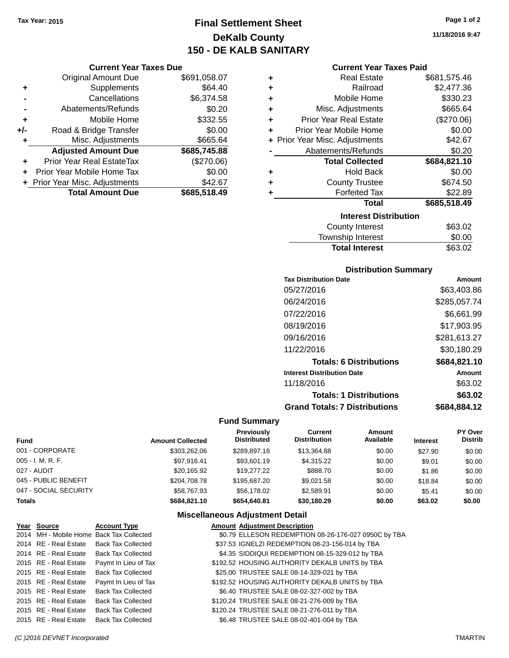## **Final Settlement Sheet Tax Year: 2015 Page 1 of 2 DeKalb County 150 - DE KALB SANITARY**

**11/18/2016 9:47**

### **Current Year Taxes Paid**

|       | <b>Current Year Taxes Due</b>    |              |   |                    |
|-------|----------------------------------|--------------|---|--------------------|
|       | Original Amount Due              | \$691,058.07 | ٠ |                    |
|       | Supplements                      | \$64.40      |   |                    |
|       | Cancellations                    | \$6,374.58   | ٠ |                    |
|       | Abatements/Refunds               | \$0.20       |   | Misc.              |
|       | Mobile Home                      | \$332.55     |   | <b>Prior Yea</b>   |
| $+/-$ | Road & Bridge Transfer           | \$0.00       |   | Prior Year         |
| ٠     | Misc. Adjustments                | \$665.64     |   | + Prior Year Misc. |
|       | <b>Adjusted Amount Due</b>       | \$685,745.88 |   | Abatem             |
|       | <b>Prior Year Real EstateTax</b> | (\$270.06)   |   | Τo                 |
| ÷     | Prior Year Mobile Home Tax       | \$0.00       | ٠ |                    |
|       | + Prior Year Misc. Adjustments   | \$42.67      |   | Cι                 |
|       | <b>Total Amount Due</b>          | \$685,518.49 |   |                    |
|       |                                  |              |   |                    |

| ٠ | Real Estate                    | \$681,575.46 |
|---|--------------------------------|--------------|
| ÷ | Railroad                       | \$2,477.36   |
| ٠ | Mobile Home                    | \$330.23     |
| ٠ | Misc. Adjustments              | \$665.64     |
| ÷ | <b>Prior Year Real Estate</b>  | (\$270.06)   |
| ÷ | Prior Year Mobile Home         | \$0.00       |
|   | + Prior Year Misc. Adjustments | \$42.67      |
|   | Abatements/Refunds             | \$0.20       |
|   | <b>Total Collected</b>         | \$684,821.10 |
| ٠ | <b>Hold Back</b>               | \$0.00       |
| ٠ | <b>County Trustee</b>          | \$674.50     |
| ٠ | <b>Forfeited Tax</b>           | \$22.89      |
|   | <b>Total</b>                   | \$685,518.49 |
|   | <b>Interest Distribution</b>   |              |
|   | <b>County Interest</b>         | \$63.02      |
|   | Township Interest              | \$0.00       |
|   | <b>Total Interest</b>          | \$63.02      |

### **Distribution Summary**

| <b>Tax Distribution Date</b>         | Amount       |
|--------------------------------------|--------------|
| 05/27/2016                           | \$63,403.86  |
| 06/24/2016                           | \$285,057.74 |
| 07/22/2016                           | \$6,661.99   |
| 08/19/2016                           | \$17,903.95  |
| 09/16/2016                           | \$281,613.27 |
| 11/22/2016                           | \$30,180.29  |
| <b>Totals: 6 Distributions</b>       | \$684,821.10 |
| <b>Interest Distribution Date</b>    | Amount       |
| 11/18/2016                           | \$63.02      |
| <b>Totals: 1 Distributions</b>       | \$63.02      |
| <b>Grand Totals: 7 Distributions</b> | \$684,884.12 |

### **Fund Summary**

| <b>Fund</b>           | <b>Amount Collected</b> | Previously<br><b>Distributed</b> | Current<br><b>Distribution</b> | Amount<br>Available | <b>Interest</b> | <b>PY Over</b><br><b>Distrib</b> |
|-----------------------|-------------------------|----------------------------------|--------------------------------|---------------------|-----------------|----------------------------------|
| 001 - CORPORATE       | \$303,262.06            | \$289.897.18                     | \$13,364.88                    | \$0.00              | \$27.90         | \$0.00                           |
| 005 - I. M. R. F.     | \$97.916.41             | \$93,601.19                      | \$4.315.22                     | \$0.00              | \$9.01          | \$0.00                           |
| 027 - AUDIT           | \$20.165.92             | \$19,277,22                      | \$888.70                       | \$0.00              | \$1.86          | \$0.00                           |
| 045 - PUBLIC BENEFIT  | \$204.708.78            | \$195,687,20                     | \$9.021.58                     | \$0.00              | \$18.84         | \$0.00                           |
| 047 - SOCIAL SECURITY | \$58,767.93             | \$56.178.02                      | \$2.589.91                     | \$0.00              | \$5.41          | \$0.00                           |
| Totals                | \$684.821.10            | \$654,640.81                     | \$30,180.29                    | \$0.00              | \$63.02         | \$0.00                           |

| Year Source           | <b>Account Type</b>                        | <b>Amount Adjustment Description</b>                 |
|-----------------------|--------------------------------------------|------------------------------------------------------|
|                       | 2014 MH - Mobile Home Back Tax Collected   | \$0.79 ELLESON REDEMPTION 08-26-176-027 0950C by TBA |
|                       | 2014 RE - Real Estate Back Tax Collected   | \$37.53 IGNELZI REDEMPTION 08-23-156-014 by TBA      |
|                       | 2014 RE - Real Estate Back Tax Collected   | \$4.35 SIDDIQUI REDEMPTION 08-15-329-012 by TBA      |
|                       | 2015 RE - Real Estate Paymt In Lieu of Tax | \$192.52 HOUSING AUTHORITY DEKALB UNITS by TBA       |
| 2015 RE - Real Estate | <b>Back Tax Collected</b>                  | \$25.00 TRUSTEE SALE 08-14-329-021 by TBA            |
|                       | 2015 RE - Real Estate Paymt In Lieu of Tax | \$192.52 HOUSING AUTHORITY DEKALB UNITS by TBA       |
| 2015 RE - Real Estate | <b>Back Tax Collected</b>                  | \$6.40 TRUSTEE SALE 08-02-327-002 by TBA             |
| 2015 RE - Real Estate | <b>Back Tax Collected</b>                  | \$120.24 TRUSTEE SALE 08-21-276-009 by TBA           |
|                       | 2015 RE - Real Estate Back Tax Collected   | \$120.24 TRUSTEE SALE 08-21-276-011 by TBA           |
|                       | 2015 RE - Real Estate Back Tax Collected   | \$6.48 TRUSTEE SALE 08-02-401-004 by TBA             |
|                       |                                            |                                                      |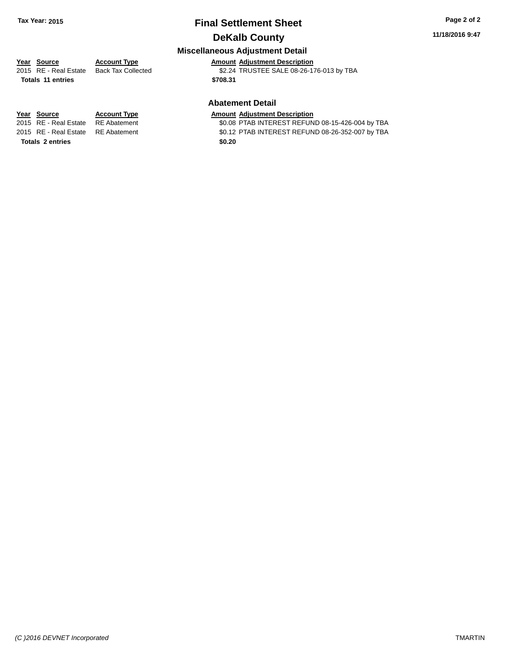### **Final Settlement Sheet Tax Year: 2015 Page 2 of 2 DeKalb County**

### **11/18/2016 9:47**

### **Miscellaneous Adjustment Detail**

## **Year** Source **Account Type Account Adjustment Description**

**Totals \$708.31 11 entries**

2015 RE - Real Estate Back Tax Collected \$2.24 TRUSTEE SALE 08-26-176-013 by TBA

### **Abatement Detail**

\$0.08 PTAB INTEREST REFUND 08-15-426-004 by TBA 2015 RE - Real Estate RE Abatement \$0.12 PTAB INTEREST REFUND 08-26-352-007 by TBA

**Year Source Account Type Amount Adjustment Description**<br>2015 RE - Real Estate RE Abatement **Amount Adjustment Description Totals 2 entries** \$0.20

*(C )2016 DEVNET Incorporated* TMARTIN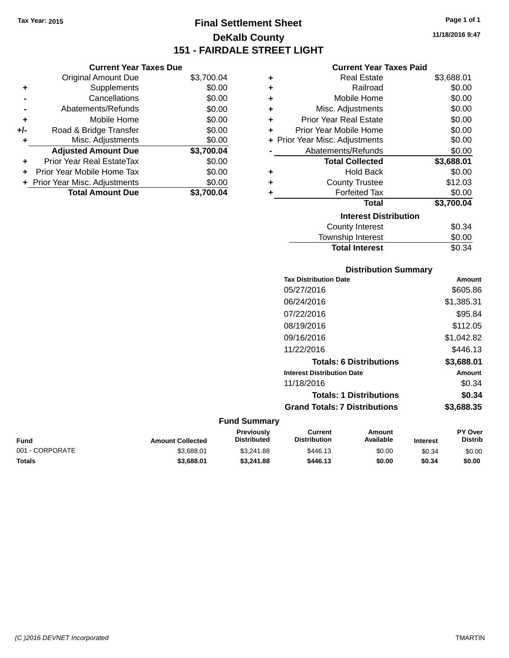**+** Supplements **-** Cancellations **-** Abatements/Refunds **+** Mobile Home **+/-** Road & Bridge Transfer **+** Misc. Adjustments

**+** Prior Year Real EstateTax \$0.00 **+** Prior Year Mobile Home Tax **+** Prior Year Misc. Adjustments

**Current Year Taxes Due**

## **Final Settlement Sheet Tax Year: 2015 Page 1 of 1 DeKalb County 151 - FAIRDALE STREET LIGHT**

**11/18/2016 9:47**

### **Current Year Taxes Paid**

| <b>Original Amount Due</b> | \$3,700.04 | ٠ | <b>Real Estate</b>             | \$3,688.01 |
|----------------------------|------------|---|--------------------------------|------------|
| Supplements                | \$0.00     | ٠ | Railroad                       | \$0.00     |
| Cancellations              | \$0.00     | ÷ | Mobile Home                    | \$0.00     |
| Abatements/Refunds         | \$0.00     | ÷ | Misc. Adjustments              | \$0.00     |
| Mobile Home                | \$0.00     | ÷ | <b>Prior Year Real Estate</b>  | \$0.00     |
| Road & Bridge Transfer     | \$0.00     | ÷ | Prior Year Mobile Home         | \$0.00     |
| Misc. Adjustments          | \$0.00     |   | + Prior Year Misc. Adjustments | \$0.00     |
| <b>Adjusted Amount Due</b> | \$3,700.04 |   | Abatements/Refunds             | \$0.00     |
| rior Year Real EstateTax   | \$0.00     |   | <b>Total Collected</b>         | \$3,688.01 |
| r Year Mobile Home Tax     | \$0.00     | ٠ | <b>Hold Back</b>               | \$0.00     |
| Year Misc. Adjustments     | \$0.00     | ٠ | <b>County Trustee</b>          | \$12.03    |
| <b>Total Amount Due</b>    | \$3,700.04 |   | <b>Forfeited Tax</b>           | \$0.00     |
|                            |            |   | Total                          | \$3,700.04 |
|                            |            |   | <b>Interest Distribution</b>   |            |
|                            |            |   | <b>County Interest</b>         | \$0.34     |
|                            |            |   |                                |            |

### $$0.34$ Township Interest \$0.00 Total Interest \$0.34

| <b>Distribution Summary</b>          |            |
|--------------------------------------|------------|
| <b>Tax Distribution Date</b>         | Amount     |
| 05/27/2016                           | \$605.86   |
| 06/24/2016                           | \$1,385.31 |
| 07/22/2016                           | \$95.84    |
| 08/19/2016                           | \$112.05   |
| 09/16/2016                           | \$1.042.82 |
| 11/22/2016                           | \$446.13   |
| <b>Totals: 6 Distributions</b>       | \$3,688.01 |
| <b>Interest Distribution Date</b>    | Amount     |
| 11/18/2016                           | \$0.34     |
| <b>Totals: 1 Distributions</b>       | \$0.34     |
| <b>Grand Totals: 7 Distributions</b> | \$3,688.35 |

### **Fund Summary**

| Fund            | <b>Amount Collected</b> | Previously<br>Distributed | Current<br><b>Distribution</b> | Amount<br>Available | <b>Interest</b> | <b>PY Over</b><br><b>Distrib</b> |
|-----------------|-------------------------|---------------------------|--------------------------------|---------------------|-----------------|----------------------------------|
| 001 - CORPORATE | \$3.688.01              | \$3.241.88                | \$446.13                       | \$0.00              | \$0.34          | \$0.00                           |
| Totals          | \$3,688.01              | \$3,241.88                | \$446.13                       | \$0.00              | \$0.34          | \$0.00                           |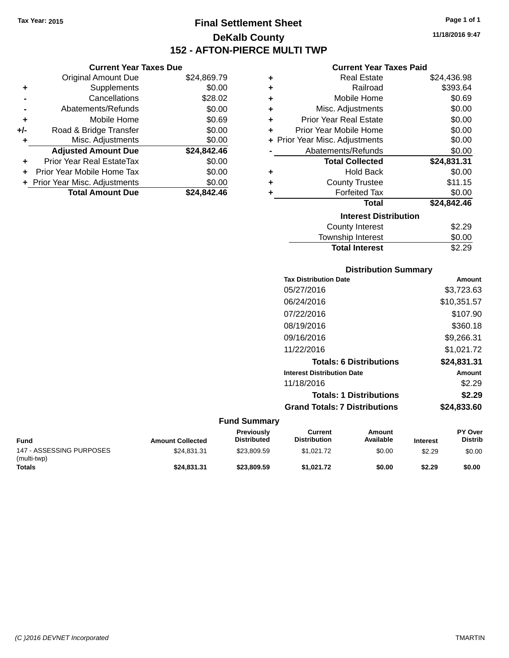### **Final Settlement Sheet Tax Year: 2015 Page 1 of 1 DeKalb County 152 - AFTON-PIERCE MULTI TWP**

**11/18/2016 9:47**

### **Current Year Taxes Paid**

| ٠ | <b>Real Estate</b>             | \$24,436.98 |
|---|--------------------------------|-------------|
| ٠ | Railroad                       | \$393.64    |
| ٠ | Mobile Home                    | \$0.69      |
| ÷ | Misc. Adjustments              | \$0.00      |
| ٠ | <b>Prior Year Real Estate</b>  | \$0.00      |
| ٠ | Prior Year Mobile Home         | \$0.00      |
|   | + Prior Year Misc. Adjustments | \$0.00      |
|   | Abatements/Refunds             | \$0.00      |
|   | <b>Total Collected</b>         | \$24,831.31 |
| ٠ | <b>Hold Back</b>               | \$0.00      |
| ٠ | <b>County Trustee</b>          | \$11.15     |
| ٠ | <b>Forfeited Tax</b>           | \$0.00      |
|   | <b>Total</b>                   | \$24,842.46 |
|   | <b>Interest Distribution</b>   |             |
|   | <b>County Interest</b>         | \$2.29      |
|   | <b>Township Interest</b>       | \$0.00      |

| <b>Distribution Summary</b>          |             |
|--------------------------------------|-------------|
| <b>Tax Distribution Date</b>         | Amount      |
| 05/27/2016                           | \$3,723.63  |
| 06/24/2016                           | \$10,351.57 |
| 07/22/2016                           | \$107.90    |
| 08/19/2016                           | \$360.18    |
| 09/16/2016                           | \$9,266.31  |
| 11/22/2016                           | \$1,021.72  |
| <b>Totals: 6 Distributions</b>       | \$24,831.31 |
| <b>Interest Distribution Date</b>    | Amount      |
| 11/18/2016                           | \$2.29      |
| <b>Totals: 1 Distributions</b>       | \$2.29      |
| <b>Grand Totals: 7 Distributions</b> | \$24.833.60 |

Total Interest \$2.29

### **Fund Summary**

| Fund                                    | <b>Amount Collected</b> | <b>Previously</b><br><b>Distributed</b> | Current<br><b>Distribution</b> | Amount<br>Available | <b>Interest</b> | <b>PY Over</b><br><b>Distrib</b> |
|-----------------------------------------|-------------------------|-----------------------------------------|--------------------------------|---------------------|-----------------|----------------------------------|
| 147 - ASSESSING PURPOSES<br>(multi-twp) | \$24.831.31             | \$23.809.59                             | \$1.021.72                     | \$0.00              | \$2.29          | \$0.00                           |
| <b>Totals</b>                           | \$24,831,31             | \$23,809.59                             | \$1.021.72                     | \$0.00              | \$2.29          | \$0.00                           |

|                | <b>Original Amount Due</b>       | \$24,869.79 |
|----------------|----------------------------------|-------------|
| ٠              | Supplements                      | \$0.00      |
|                | Cancellations                    | \$28.02     |
| $\blacksquare$ | Abatements/Refunds               | \$0.00      |
| ÷              | Mobile Home                      | \$0.69      |
| $+/-$          | Road & Bridge Transfer           | \$0.00      |
| ÷              | Misc. Adjustments                | \$0.00      |
|                | <b>Adjusted Amount Due</b>       | \$24,842.46 |
|                | <b>Prior Year Real EstateTax</b> | \$0.00      |
|                | Prior Year Mobile Home Tax       | \$0.00      |
|                | + Prior Year Misc. Adjustments   | \$0.00      |

| 'ear Misc. Adjustments  | \$0.00      |
|-------------------------|-------------|
| <b>Total Amount Due</b> | \$24,842.46 |

**Current Year Taxes Due**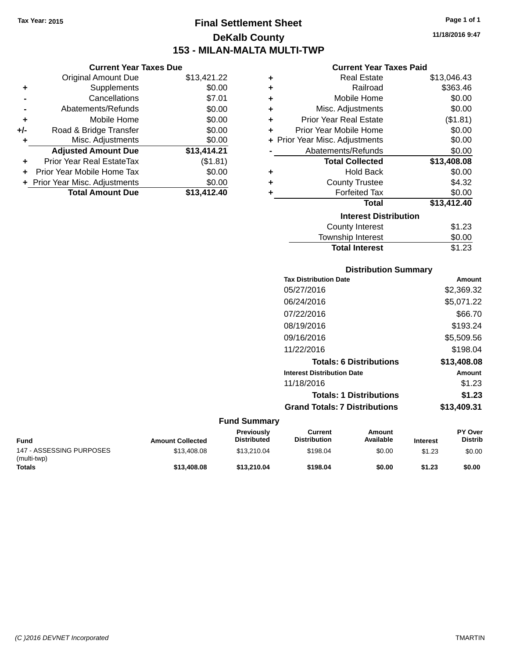### **Final Settlement Sheet Tax Year: 2015 Page 1 of 1 DeKalb County 153 - MILAN-MALTA MULTI-TWP**

**11/18/2016 9:47**

| <b>Current Year Taxes Paid</b> |  |  |  |
|--------------------------------|--|--|--|
|--------------------------------|--|--|--|

| 1.22 | ٠ | <b>Real Estate</b>             | \$13,046.43 |
|------|---|--------------------------------|-------------|
| 0.00 | ٠ | Railroad                       | \$363.46    |
| 7.01 | ÷ | Mobile Home                    | \$0.00      |
| 0.00 | ٠ | Misc. Adjustments              | \$0.00      |
| 0.00 | ÷ | <b>Prior Year Real Estate</b>  | (\$1.81)    |
| 0.00 | ÷ | Prior Year Mobile Home         | \$0.00      |
| 0.00 |   | + Prior Year Misc. Adjustments | \$0.00      |
| 4.21 |   | Abatements/Refunds             | \$0.00      |
| .81) |   | <b>Total Collected</b>         | \$13,408.08 |
| 0.00 | ٠ | <b>Hold Back</b>               | \$0.00      |
| 0.00 | ٠ | <b>County Trustee</b>          | \$4.32      |
| 2.40 | ٠ | <b>Forfeited Tax</b>           | \$0.00      |
|      |   | <b>Total</b>                   | \$13,412.40 |
|      |   | <b>Interest Distribution</b>   |             |
|      |   | <b>County Interest</b>         | \$1.23      |
|      |   |                                | ີ ລ         |

## $$1.23$ <br> $$0.00$ **Township Interest** Total Interest \$1.23

|  | <b>Distribution Summary</b> |  |
|--|-----------------------------|--|
|  |                             |  |

| <b>Tax Distribution Date</b>         | Amount      |
|--------------------------------------|-------------|
| 05/27/2016                           | \$2,369.32  |
| 06/24/2016                           | \$5,071.22  |
| 07/22/2016                           | \$66.70     |
| 08/19/2016                           | \$193.24    |
| 09/16/2016                           | \$5,509.56  |
| 11/22/2016                           | \$198.04    |
| <b>Totals: 6 Distributions</b>       | \$13,408.08 |
| <b>Interest Distribution Date</b>    | Amount      |
| 11/18/2016                           | \$1.23      |
| <b>Totals: 1 Distributions</b>       | \$1.23      |
| <b>Grand Totals: 7 Distributions</b> | \$13,409.31 |
|                                      |             |

#### **Fund Summary**

| Fund                                    | <b>Amount Collected</b> | <b>Previously</b><br><b>Distributed</b> | Current<br><b>Distribution</b> | Amount<br>Available | <b>Interest</b> | <b>PY Over</b><br><b>Distrib</b> |
|-----------------------------------------|-------------------------|-----------------------------------------|--------------------------------|---------------------|-----------------|----------------------------------|
| 147 - ASSESSING PURPOSES<br>(multi-twp) | \$13,408.08             | \$13,210.04                             | \$198.04                       | \$0.00              | \$1.23          | \$0.00                           |
| Totals                                  | \$13,408.08             | \$13,210.04                             | \$198.04                       | \$0.00              | \$1.23          | \$0.00                           |

|     | <b>Original Amount Due</b>       | \$13,421.22 |
|-----|----------------------------------|-------------|
| ٠   | Supplements                      | \$0.00      |
|     | Cancellations                    | \$7.01      |
|     | Abatements/Refunds               | \$0.00      |
| ٠   | Mobile Home                      | \$0.00      |
| +/- | Road & Bridge Transfer           | \$0.00      |
| ٠   | Misc. Adjustments                | \$0.00      |
|     | <b>Adjusted Amount Due</b>       | \$13,414.21 |
| ٠   | <b>Prior Year Real EstateTax</b> | (\$1.81)    |
| ٠   | Prior Year Mobile Home Tax       | \$0.00      |
|     | + Prior Year Misc. Adjustments   | \$0.00      |
|     | <b>Total Amount Due</b>          | \$13,412.40 |

**Current Year Taxes Due**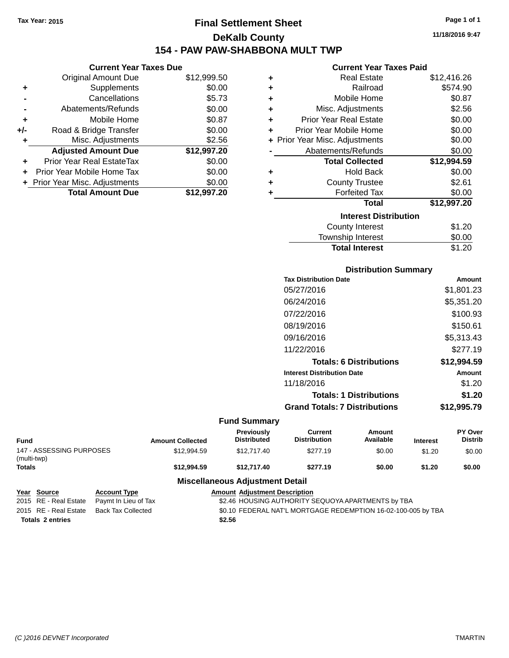### **Final Settlement Sheet Tax Year: 2015 Page 1 of 1 DeKalb County 154 - PAW PAW-SHABBONA MULT TWP**

### **Current Year Taxes Due**

|       | <b>Original Amount Due</b>     | \$12,999.50 |
|-------|--------------------------------|-------------|
| ٠     | Supplements                    | \$0.00      |
|       | Cancellations                  | \$5.73      |
|       | Abatements/Refunds             | \$0.00      |
| ٠     | Mobile Home                    | \$0.87      |
| $+/-$ | Road & Bridge Transfer         | \$0.00      |
| ٠     | Misc. Adjustments              | \$2.56      |
|       | <b>Adjusted Amount Due</b>     | \$12,997.20 |
| ÷     | Prior Year Real EstateTax      | \$0.00      |
|       | Prior Year Mobile Home Tax     | \$0.00      |
|       | + Prior Year Misc. Adjustments | \$0.00      |
|       | <b>Total Amount Due</b>        | \$12.997.20 |

|   | <b>Current Year Taxes Paid</b> |             |
|---|--------------------------------|-------------|
| ٠ | <b>Real Estate</b>             | \$12,416.26 |
| ÷ | Railroad                       | \$574.90    |
| ٠ | Mobile Home                    | \$0.87      |
| ٠ | Misc. Adjustments              | \$2.56      |
| ÷ | <b>Prior Year Real Estate</b>  | \$0.00      |
| ٠ | Prior Year Mobile Home         | \$0.00      |
|   | + Prior Year Misc. Adjustments | \$0.00      |
|   | Abatements/Refunds             | \$0.00      |
|   | <b>Total Collected</b>         | \$12,994.59 |
| ٠ | <b>Hold Back</b>               | \$0.00      |
| ٠ | <b>County Trustee</b>          | \$2.61      |
| ٠ | <b>Forfeited Tax</b>           | \$0.00      |
|   | <b>Total</b>                   | \$12,997.20 |
|   | <b>Interest Distribution</b>   |             |
|   | County Interest                | S1 20       |

| <b>Total Interest</b>  | \$1.20 |
|------------------------|--------|
| Township Interest      | \$0.00 |
| <b>County Interest</b> | \$1.20 |

### **Distribution Summary**

| <b>Tax Distribution Date</b>         | Amount      |
|--------------------------------------|-------------|
| 05/27/2016                           | \$1,801.23  |
| 06/24/2016                           | \$5,351.20  |
| 07/22/2016                           | \$100.93    |
| 08/19/2016                           | \$150.61    |
| 09/16/2016                           | \$5.313.43  |
| 11/22/2016                           | \$277.19    |
| <b>Totals: 6 Distributions</b>       | \$12,994.59 |
| <b>Interest Distribution Date</b>    | Amount      |
| 11/18/2016                           | \$1.20      |
| <b>Totals: 1 Distributions</b>       | \$1.20      |
| <b>Grand Totals: 7 Distributions</b> | \$12,995.79 |
|                                      |             |

### **Fund Summary**

| <b>Fund</b>                             | <b>Amount Collected</b> | <b>Previously</b><br><b>Distributed</b> | Current<br><b>Distribution</b> | Amount<br>Available | <b>Interest</b> | <b>PY Over</b><br><b>Distrib</b> |
|-----------------------------------------|-------------------------|-----------------------------------------|--------------------------------|---------------------|-----------------|----------------------------------|
| 147 - ASSESSING PURPOSES<br>(multi-twp) | \$12.994.59             | \$12,717.40                             | \$277.19                       | \$0.00              | \$1.20          | \$0.00                           |
| <b>Totals</b>                           | \$12,994.59             | \$12.717.40                             | \$277.19                       | \$0.00              | \$1.20          | \$0.00                           |

### **Miscellaneous Adjustment Detail**

| <u>Year Source</u>      | <b>Account Type</b>                      | <b>Amount Adjustment Description</b>                          |
|-------------------------|------------------------------------------|---------------------------------------------------------------|
| 2015 RE - Real Estate   | Pavmt In Lieu of Tax                     | \$2.46 HOUSING AUTHORITY SEQUOYA APARTMENTS by TBA            |
|                         | 2015 RE - Real Estate Back Tax Collected | \$0.10 FEDERAL NAT'L MORTGAGE REDEMPTION 16-02-100-005 by TBA |
| <b>Totals 2 entries</b> |                                          | \$2.56                                                        |

**11/18/2016 9:47**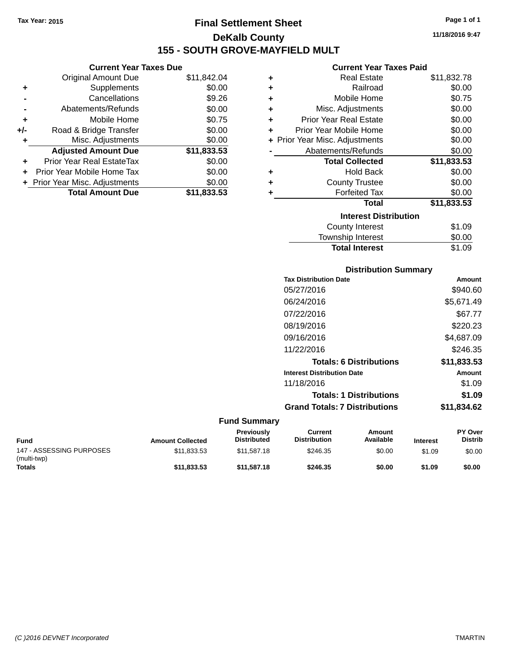**Current Year Taxes Due** Original Amount Due \$11,842.04

**Adjusted Amount Due \$11,833.53**

**Total Amount Due \$11,833.53**

**+** Supplements \$0.00 **-** Cancellations \$9.26 **-** Abatements/Refunds \$0.00 **+** Mobile Home \$0.75 **+/-** Road & Bridge Transfer \$0.00<br> **+** Misc. Adjustments \$0.00

**+** Prior Year Real EstateTax \$0.00 **+** Prior Year Mobile Home Tax \$0.00 **+ Prior Year Misc. Adjustments**  $$0.00$ 

**+** Misc. Adjustments

### **Final Settlement Sheet Tax Year: 2015 Page 1 of 1 DeKalb County 155 - SOUTH GROVE-MAYFIELD MULT**

**11/18/2016 9:47**

#### **Current Year Taxes Paid**

| ٠ | <b>Real Estate</b>             | \$11,832.78 |
|---|--------------------------------|-------------|
| ٠ | Railroad                       | \$0.00      |
| ٠ | Mobile Home                    | \$0.75      |
| ÷ | Misc. Adjustments              | \$0.00      |
| ÷ | <b>Prior Year Real Estate</b>  | \$0.00      |
| ÷ | Prior Year Mobile Home         | \$0.00      |
|   | + Prior Year Misc. Adjustments | \$0.00      |
|   | Abatements/Refunds             | \$0.00      |
|   | <b>Total Collected</b>         | \$11,833.53 |
| ٠ | <b>Hold Back</b>               | \$0.00      |
| ٠ | <b>County Trustee</b>          | \$0.00      |
| ٠ | <b>Forfeited Tax</b>           | \$0.00      |
|   | <b>Total</b>                   | \$11,833.53 |
|   | <b>Interest Distribution</b>   |             |
|   | County Interest                | \$1.09      |
|   | Township Interest              | \$0.00      |

| <b>Distribution Summary</b>          |             |
|--------------------------------------|-------------|
| <b>Tax Distribution Date</b>         | Amount      |
| 05/27/2016                           | \$940.60    |
| 06/24/2016                           | \$5,671.49  |
| 07/22/2016                           | \$67.77     |
| 08/19/2016                           | \$220.23    |
| 09/16/2016                           | \$4,687.09  |
| 11/22/2016                           | \$246.35    |
| <b>Totals: 6 Distributions</b>       | \$11,833.53 |
| <b>Interest Distribution Date</b>    | Amount      |
| 11/18/2016                           | \$1.09      |
| <b>Totals: 1 Distributions</b>       | \$1.09      |
| <b>Grand Totals: 7 Distributions</b> | \$11,834.62 |

**Total Interest** \$1.09

#### **Fund Summary**

| <b>Fund</b>                             | <b>Amount Collected</b> | <b>Previously</b><br><b>Distributed</b> | Current<br><b>Distribution</b> | Amount<br>Available | <b>Interest</b> | <b>PY Over</b><br><b>Distrib</b> |
|-----------------------------------------|-------------------------|-----------------------------------------|--------------------------------|---------------------|-----------------|----------------------------------|
| 147 - ASSESSING PURPOSES<br>(multi-twp) | \$11.833.53             | \$11.587.18                             | \$246.35                       | \$0.00              | \$1.09          | \$0.00                           |
| <b>Totals</b>                           | \$11.833.53             | \$11,587.18                             | \$246.35                       | \$0.00              | \$1.09          | \$0.00                           |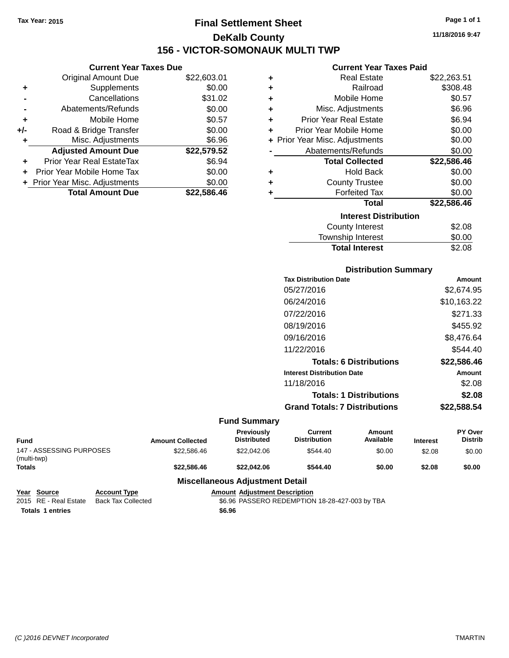### **Final Settlement Sheet Tax Year: 2015 Page 1 of 1 DeKalb County 156 - VICTOR-SOMONAUK MULTI TWP**

**Current Year Taxes Due**

|       | <b>Original Amount Due</b>       | \$22,603.01 |
|-------|----------------------------------|-------------|
| ٠     | Supplements                      | \$0.00      |
|       | Cancellations                    | \$31.02     |
|       | Abatements/Refunds               | \$0.00      |
| ٠     | Mobile Home                      | \$0.57      |
| $+/-$ | Road & Bridge Transfer           | \$0.00      |
| ٠     | Misc. Adjustments                | \$6.96      |
|       | <b>Adjusted Amount Due</b>       | \$22,579.52 |
|       | <b>Prior Year Real EstateTax</b> | \$6.94      |
|       | Prior Year Mobile Home Tax       | \$0.00      |
|       | + Prior Year Misc. Adjustments   | \$0.00      |
|       | <b>Total Amount Due</b>          | \$22,586,46 |

| <b>Current Year Taxes Paid</b> |  |  |  |
|--------------------------------|--|--|--|
|--------------------------------|--|--|--|

| ÷ | Real Estate                   | \$22,263.51 |
|---|-------------------------------|-------------|
| ÷ | Railroad                      | \$308.48    |
| ٠ | Mobile Home                   | \$0.57      |
| ٠ | Misc. Adjustments             | \$6.96      |
| ٠ | <b>Prior Year Real Estate</b> | \$6.94      |
| ٠ | Prior Year Mobile Home        | \$0.00      |
| ÷ | Prior Year Misc. Adjustments  | \$0.00      |
|   | Abatements/Refunds            | \$0.00      |
|   | <b>Total Collected</b>        | \$22,586.46 |
| ٠ | <b>Hold Back</b>              | \$0.00      |
| ٠ | <b>County Trustee</b>         | \$0.00      |
| ٠ | <b>Forfeited Tax</b>          | \$0.00      |
|   | <b>Total</b>                  | \$22,586.46 |
|   | <b>Interest Distribution</b>  |             |
|   | County Interest               | \$2.08      |
|   | <b>Township Interest</b>      | \$0.00      |
|   | <b>Total Interest</b>         | \$2.08      |

| <b>Distribution Summary</b>          |               |
|--------------------------------------|---------------|
| <b>Tax Distribution Date</b>         | Amount        |
| 05/27/2016                           | \$2,674.95    |
| 06/24/2016                           | \$10,163.22   |
| 07/22/2016                           | \$271.33      |
| 08/19/2016                           | \$455.92      |
| 09/16/2016                           | \$8.476.64    |
| 11/22/2016                           | \$544.40      |
| <b>Totals: 6 Distributions</b>       | \$22,586.46   |
| <b>Interest Distribution Date</b>    | <b>Amount</b> |
| 11/18/2016                           | \$2.08        |
| <b>Totals: 1 Distributions</b>       | \$2.08        |
| <b>Grand Totals: 7 Distributions</b> | \$22.588.54   |

### **Fund Summary**

| Fund                                    |                     | <b>Amount Collected</b> | Previously<br><b>Distributed</b>       | Current<br><b>Distribution</b> | <b>Amount</b><br>Available | <b>Interest</b> | <b>PY Over</b><br><b>Distrib</b> |
|-----------------------------------------|---------------------|-------------------------|----------------------------------------|--------------------------------|----------------------------|-----------------|----------------------------------|
| 147 - ASSESSING PURPOSES<br>(multi-twp) |                     | \$22,586.46             | \$22,042.06                            | \$544.40                       | \$0.00                     | \$2.08          | \$0.00                           |
| <b>Totals</b>                           |                     | \$22,586,46             | \$22,042.06                            | \$544.40                       | \$0.00                     | \$2.08          | \$0.00                           |
|                                         |                     |                         | <b>Miscellaneous Adjustment Detail</b> |                                |                            |                 |                                  |
| Year<br><b>Source</b>                   | <b>Account Type</b> |                         | <b>Amount Adiustment Description</b>   |                                |                            |                 |                                  |

2015 RE - Real Estate Back Tax Collected **66.96 PASSERO REDEMPTION 18-28-427-003 by TBA Totals \$6.96 1 entries**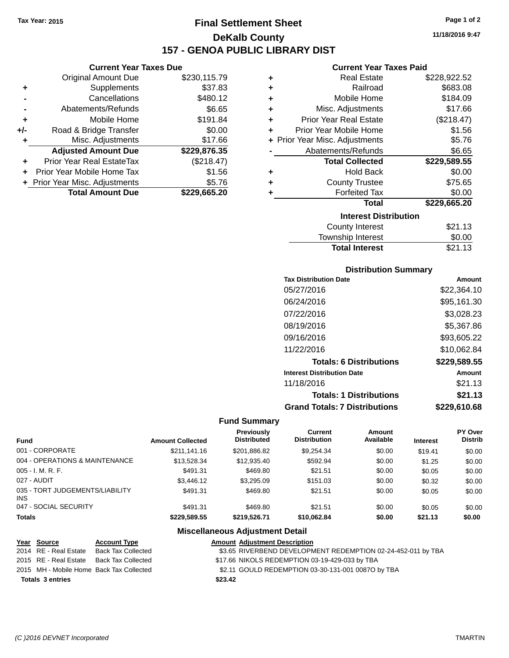### **Final Settlement Sheet Tax Year: 2015 Page 1 of 2 DeKalb County 157 - GENOA PUBLIC LIBRARY DIST**

### **Current Year Taxes Due**

|       | <b>Original Amount Due</b>       | \$230,115.79 |
|-------|----------------------------------|--------------|
| ٠     | Supplements                      | \$37.83      |
|       | Cancellations                    | \$480.12     |
|       | Abatements/Refunds               | \$6.65       |
| ٠     | Mobile Home                      | \$191.84     |
| $+/-$ | Road & Bridge Transfer           | \$0.00       |
| ÷     | Misc. Adjustments                | \$17.66      |
|       | <b>Adjusted Amount Due</b>       | \$229,876.35 |
|       | <b>Prior Year Real EstateTax</b> | (\$218.47)   |
|       | Prior Year Mobile Home Tax       | \$1.56       |
|       | + Prior Year Misc. Adjustments   | \$5.76       |
|       | <b>Total Amount Due</b>          | \$229,665.20 |

### **Current Year Taxes Paid**

| ٠ | <b>Real Estate</b>             | \$228,922.52 |
|---|--------------------------------|--------------|
| ٠ | Railroad                       | \$683.08     |
| ٠ | Mobile Home                    | \$184.09     |
| ٠ | Misc. Adjustments              | \$17.66      |
| ٠ | <b>Prior Year Real Estate</b>  | (\$218.47)   |
| ٠ | Prior Year Mobile Home         | \$1.56       |
|   | + Prior Year Misc. Adjustments | \$5.76       |
|   | Abatements/Refunds             | \$6.65       |
|   | <b>Total Collected</b>         | \$229,589.55 |
| ٠ | <b>Hold Back</b>               | \$0.00       |
| ٠ | <b>County Trustee</b>          | \$75.65      |
| ٠ | <b>Forfeited Tax</b>           | \$0.00       |
|   | <b>Total</b>                   | \$229,665.20 |
|   | <b>Interest Distribution</b>   |              |
|   | <b>County Interest</b>         | \$21.13      |
|   | Townshin Interest              | ፍስ ሰስ        |

| <b>Total Interest</b> | \$21.13 |
|-----------------------|---------|
| Township Interest     | \$0.00  |
| County Interest       | \$21.13 |

### **Distribution Summary**

| <b>Tax Distribution Date</b>         | Amount       |
|--------------------------------------|--------------|
| 05/27/2016                           | \$22.364.10  |
| 06/24/2016                           | \$95,161.30  |
| 07/22/2016                           | \$3,028.23   |
| 08/19/2016                           | \$5,367.86   |
| 09/16/2016                           | \$93,605.22  |
| 11/22/2016                           | \$10,062.84  |
| <b>Totals: 6 Distributions</b>       | \$229,589.55 |
| <b>Interest Distribution Date</b>    | Amount       |
| 11/18/2016                           | \$21.13      |
| <b>Totals: 1 Distributions</b>       | \$21.13      |
| <b>Grand Totals: 7 Distributions</b> | \$229,610.68 |

### **Fund Summary**

| Fund                                    | <b>Amount Collected</b> | <b>Previously</b><br><b>Distributed</b> | Current<br><b>Distribution</b> | Amount<br>Available | <b>Interest</b> | <b>PY Over</b><br><b>Distrib</b> |
|-----------------------------------------|-------------------------|-----------------------------------------|--------------------------------|---------------------|-----------------|----------------------------------|
| 001 - CORPORATE                         | \$211,141.16            | \$201.886.82                            | \$9.254.34                     | \$0.00              | \$19.41         | \$0.00                           |
| 004 - OPERATIONS & MAINTENANCE          | \$13,528.34             | \$12,935.40                             | \$592.94                       | \$0.00              | \$1.25          | \$0.00                           |
| $005 - I. M. R. F.$                     | \$491.31                | \$469.80                                | \$21.51                        | \$0.00              | \$0.05          | \$0.00                           |
| 027 - AUDIT                             | \$3,446.12              | \$3.295.09                              | \$151.03                       | \$0.00              | \$0.32          | \$0.00                           |
| 035 - TORT JUDGEMENTS/LIABILITY<br>INS. | \$491.31                | \$469.80                                | \$21.51                        | \$0.00              | \$0.05          | \$0.00                           |
| 047 - SOCIAL SECURITY                   | \$491.31                | \$469.80                                | \$21.51                        | \$0.00              | \$0.05          | \$0.00                           |
| <b>Totals</b>                           | \$229.589.55            | \$219,526.71                            | \$10,062.84                    | \$0.00              | \$21.13         | \$0.00                           |

### **Miscellaneous Adjustment Detail**

| <u>Year Source</u>                       | <b>Account Type</b>       |         | <b>Amount Adjustment Description</b>                         |
|------------------------------------------|---------------------------|---------|--------------------------------------------------------------|
| 2014 RE - Real Estate                    | <b>Back Tax Collected</b> |         | \$3.65 RIVERBEND DEVELOPMENT REDEMPTION 02-24-452-011 by TBA |
| 2015 RE - Real Estate Back Tax Collected |                           |         | \$17.66 NIKOLS REDEMPTION 03-19-429-033 by TBA               |
| 2015 MH - Mobile Home Back Tax Collected |                           |         | \$2.11 GOULD REDEMPTION 03-30-131-001 0087O by TBA           |
| <b>Totals 3 entries</b>                  |                           | \$23.42 |                                                              |

**11/18/2016 9:47**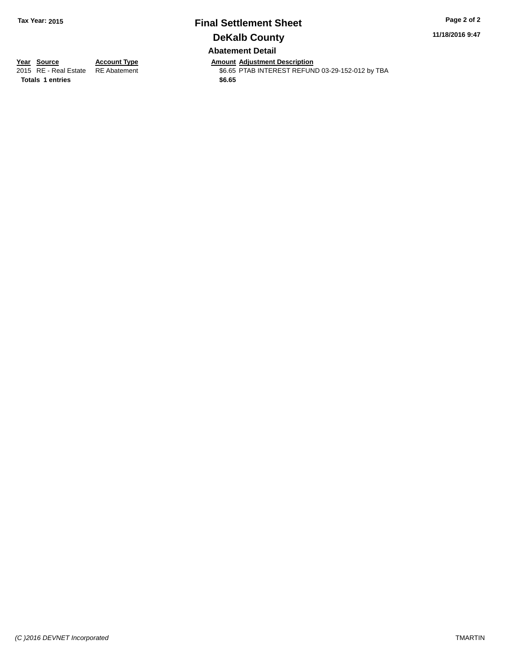### **Final Settlement Sheet Tax Year: 2015 Page 2 of 2 DeKalb County Abatement Detail**

**11/18/2016 9:47**

**Year Source Account Type Amount Adjustment Description** \$6.65 PTAB INTEREST REFUND 03-29-152-012 by TBA

**Totals \$6.65 1 entries**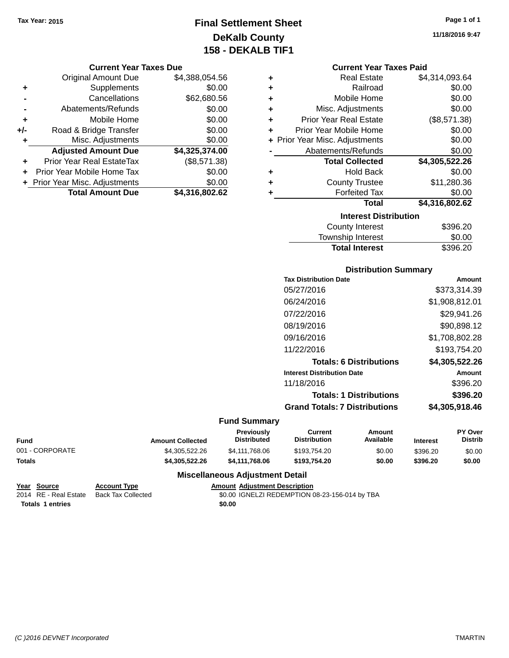### **Final Settlement Sheet Tax Year: 2015 Page 1 of 1 DeKalb County 158 - DEKALB TIF1**

#### **Current Year Taxes Due**

|       | <b>Original Amount Due</b>     | \$4,388,054.56 |
|-------|--------------------------------|----------------|
| ٠     | Supplements                    | \$0.00         |
|       | Cancellations                  | \$62,680.56    |
|       | Abatements/Refunds             | \$0.00         |
| ÷     | Mobile Home                    | \$0.00         |
| $+/-$ | Road & Bridge Transfer         | \$0.00         |
| ٠     | Misc. Adjustments              | \$0.00         |
|       | <b>Adjusted Amount Due</b>     | \$4,325,374.00 |
|       | Prior Year Real EstateTax      | (\$8,571.38)   |
|       | Prior Year Mobile Home Tax     | \$0.00         |
|       | + Prior Year Misc. Adjustments | \$0.00         |
|       | <b>Total Amount Due</b>        | \$4,316,802.62 |

### **Current Year Taxes Paid**

| ٠ | <b>Real Estate</b>             | \$4,314,093.64 |
|---|--------------------------------|----------------|
| ٠ | Railroad                       | \$0.00         |
| ÷ | Mobile Home                    | \$0.00         |
| ٠ | Misc. Adjustments              | \$0.00         |
| ٠ | <b>Prior Year Real Estate</b>  | (\$8,571.38)   |
| ٠ | Prior Year Mobile Home         | \$0.00         |
|   | + Prior Year Misc. Adjustments | \$0.00         |
|   | Abatements/Refunds             | \$0.00         |
|   | <b>Total Collected</b>         | \$4,305,522.26 |
| ٠ | <b>Hold Back</b>               | \$0.00         |
| ٠ | <b>County Trustee</b>          | \$11,280.36    |
| ٠ | <b>Forfeited Tax</b>           | \$0.00         |
|   | Total                          | \$4,316,802.62 |
|   | <b>Interest Distribution</b>   |                |
|   | County Interact                | חר אחרים       |

| County Interest       | \$396.20 |
|-----------------------|----------|
| Township Interest     | \$0.00   |
| <b>Total Interest</b> | \$396.20 |

### **Distribution Summary**

| <b>Tax Distribution Date</b>         | Amount         |
|--------------------------------------|----------------|
| 05/27/2016                           | \$373.314.39   |
| 06/24/2016                           | \$1,908,812.01 |
| 07/22/2016                           | \$29,941.26    |
| 08/19/2016                           | \$90,898.12    |
| 09/16/2016                           | \$1,708,802.28 |
| 11/22/2016                           | \$193,754.20   |
| <b>Totals: 6 Distributions</b>       | \$4,305,522.26 |
| <b>Interest Distribution Date</b>    | Amount         |
| 11/18/2016                           | \$396.20       |
| <b>Totals: 1 Distributions</b>       | \$396.20       |
| <b>Grand Totals: 7 Distributions</b> | \$4.305.918.46 |
|                                      |                |

### **Fund Summary**

| Fund            | <b>Amount Collected</b> | Previously<br>Distributed | Current<br><b>Distribution</b> | Amount<br>Available | <b>Interest</b> | <b>PY Over</b><br><b>Distrib</b> |
|-----------------|-------------------------|---------------------------|--------------------------------|---------------------|-----------------|----------------------------------|
| 001 - CORPORATE | \$4.305.522.26          | \$4,111,768,06            | \$193.754.20                   | \$0.00              | \$396.20        | \$0.00                           |
| Totals          | \$4,305,522,26          | \$4.111.768.06            | \$193.754.20                   | \$0.00              | \$396.20        | \$0.00                           |

```
Year Source Account Type Account Type Amount Adjustment Description<br>2014 RE - Real Estate Back Tax Collected $0.00 IGNELZI REDEMPTION O
                                                              $0.00 IGNELZI REDEMPTION 08-23-156-014 by TBA
 Totals 1 entries $0.00
```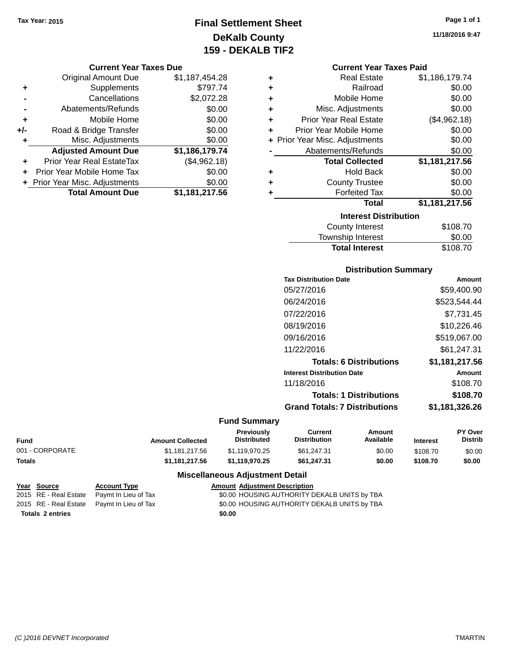### **Final Settlement Sheet Tax Year: 2015 Page 1 of 1 DeKalb County 159 - DEKALB TIF2**

### **Current Year Taxes Due**

|       | <b>Original Amount Due</b>       | \$1,187,454.28 |
|-------|----------------------------------|----------------|
| ٠     | Supplements                      | \$797.74       |
|       | Cancellations                    | \$2,072.28     |
|       | Abatements/Refunds               | \$0.00         |
| ٠     | Mobile Home                      | \$0.00         |
| $+/-$ | Road & Bridge Transfer           | \$0.00         |
| ٠     | Misc. Adjustments                | \$0.00         |
|       | <b>Adjusted Amount Due</b>       | \$1,186,179.74 |
|       | <b>Prior Year Real EstateTax</b> | (\$4,962.18)   |
|       | Prior Year Mobile Home Tax       | \$0.00         |
|       | + Prior Year Misc. Adjustments   | \$0.00         |
|       | <b>Total Amount Due</b>          | \$1,181,217.56 |

#### **Current Year Taxes Paid**

| ٠ | <b>Real Estate</b>             | \$1,186,179.74 |  |  |
|---|--------------------------------|----------------|--|--|
| ٠ | Railroad                       | \$0.00         |  |  |
| ٠ | Mobile Home                    | \$0.00         |  |  |
| ٠ | Misc. Adjustments              | \$0.00         |  |  |
| ٠ | <b>Prior Year Real Estate</b>  | (\$4,962.18)   |  |  |
| ٠ | Prior Year Mobile Home         | \$0.00         |  |  |
|   | + Prior Year Misc. Adjustments | \$0.00         |  |  |
|   | Abatements/Refunds             | \$0.00         |  |  |
|   | <b>Total Collected</b>         | \$1,181,217.56 |  |  |
| ٠ | <b>Hold Back</b>               | \$0.00         |  |  |
| ÷ | <b>County Trustee</b>          | \$0.00         |  |  |
| ٠ | <b>Forfeited Tax</b>           | \$0.00         |  |  |
|   | <b>Total</b>                   | \$1,181,217.56 |  |  |
|   | <b>Interest Distribution</b>   |                |  |  |
|   | <b>County Interest</b>         | \$108.70       |  |  |

### Township Interest \$0.00<br>
Total Interest \$108.70 **Total Interest**

| <b>Distribution Summary</b>          |                |  |  |  |
|--------------------------------------|----------------|--|--|--|
| <b>Tax Distribution Date</b>         | Amount         |  |  |  |
| 05/27/2016                           | \$59.400.90    |  |  |  |
| 06/24/2016                           | \$523,544.44   |  |  |  |
| 07/22/2016                           | \$7.731.45     |  |  |  |
| 08/19/2016                           | \$10,226.46    |  |  |  |
| 09/16/2016                           | \$519,067.00   |  |  |  |
| 11/22/2016                           | \$61,247.31    |  |  |  |
| <b>Totals: 6 Distributions</b>       | \$1,181,217.56 |  |  |  |
| <b>Interest Distribution Date</b>    | Amount         |  |  |  |
| 11/18/2016                           | \$108.70       |  |  |  |
| <b>Totals: 1 Distributions</b>       | \$108.70       |  |  |  |
| <b>Grand Totals: 7 Distributions</b> | \$1,181,326.26 |  |  |  |

### **Fund Summary**

| <b>Fund</b>     | <b>Amount Collected</b> | Previously<br>Distributed | Current<br><b>Distribution</b> | Amount<br>Available | Interest | <b>PY Over</b><br>Distrib |
|-----------------|-------------------------|---------------------------|--------------------------------|---------------------|----------|---------------------------|
| 001 - CORPORATE | \$1.181.217.56          | \$1.119.970.25            | \$61.247.31                    | \$0.00              | \$108.70 | \$0.00                    |
| <b>Totals</b>   | \$1.181.217.56          | \$1.119.970.25            | \$61.247.31                    | \$0.00              | \$108.70 | \$0.00                    |

|                         | <u>Year Source</u> | <b>Account Type</b>                        |        | <b>Amount Adjustment Description</b>         |
|-------------------------|--------------------|--------------------------------------------|--------|----------------------------------------------|
|                         |                    | 2015 RE - Real Estate Paymt In Lieu of Tax |        | \$0.00 HOUSING AUTHORITY DEKALB UNITS by TBA |
|                         |                    | 2015 RE - Real Estate Pavmt In Lieu of Tax |        | \$0.00 HOUSING AUTHORITY DEKALB UNITS by TBA |
| <b>Totals 2 entries</b> |                    |                                            | \$0.00 |                                              |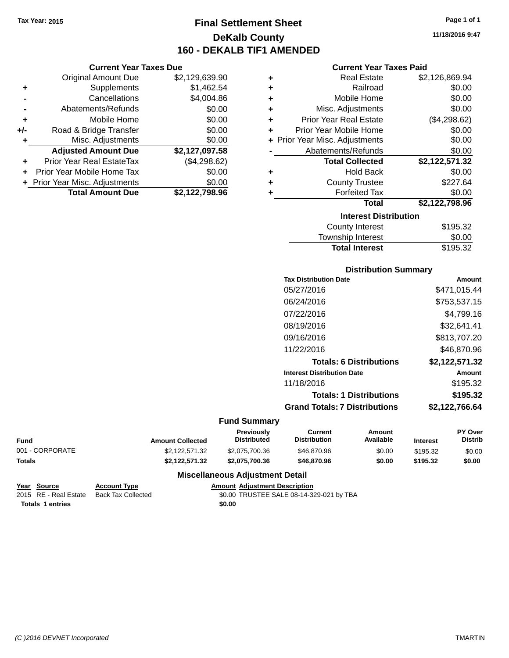**Current Year Taxes Due** Original Amount Due \$2,129,639.90

**Adjusted Amount Due \$2,127,097.58**

**Total Amount Due \$2,122,798.96**

**+** Supplements \$1,462.54 **-** Cancellations \$4,004.86 **-** Abatements/Refunds \$0.00 **+** Mobile Home \$0.00 **+/-** Road & Bridge Transfer \$0.00 **+** Misc. Adjustments \$0.00

**+** Prior Year Real EstateTax (\$4,298.62) **+** Prior Year Mobile Home Tax \$0.00 **+ Prior Year Misc. Adjustments**  $$0.00$ 

### **Final Settlement Sheet Tax Year: 2015 Page 1 of 1 DeKalb County 160 - DEKALB TIF1 AMENDED**

**11/18/2016 9:47**

### **Current Year Taxes Paid**

| ٠ | <b>Real Estate</b>             | \$2,126,869.94 |
|---|--------------------------------|----------------|
| ٠ | Railroad                       | \$0.00         |
| ÷ | Mobile Home                    | \$0.00         |
| ÷ | Misc. Adjustments              | \$0.00         |
| ٠ | <b>Prior Year Real Estate</b>  | (\$4,298.62)   |
| ٠ | Prior Year Mobile Home         | \$0.00         |
|   | + Prior Year Misc. Adjustments | \$0.00         |
|   | Abatements/Refunds             | \$0.00         |
|   | <b>Total Collected</b>         | \$2,122,571.32 |
| ٠ | <b>Hold Back</b>               | \$0.00         |
| ٠ | <b>County Trustee</b>          | \$227.64       |
| ٠ | <b>Forfeited Tax</b>           | \$0.00         |
|   | Total                          | \$2,122,798.96 |
|   | <b>Interest Distribution</b>   |                |
|   | <b>County Interest</b>         | \$195.32       |
|   |                                |                |

| <b>Total Interest</b> | \$195.32 |
|-----------------------|----------|
| Township Interest     | \$0.00   |
| County Interest       | \$195.32 |

### **Distribution Summary**

| <b>Tax Distribution Date</b>         | Amount         |
|--------------------------------------|----------------|
| 05/27/2016                           | \$471,015.44   |
| 06/24/2016                           | \$753,537.15   |
| 07/22/2016                           | \$4.799.16     |
| 08/19/2016                           | \$32,641.41    |
| 09/16/2016                           | \$813,707.20   |
| 11/22/2016                           | \$46,870.96    |
| <b>Totals: 6 Distributions</b>       | \$2,122,571.32 |
| <b>Interest Distribution Date</b>    | Amount         |
| 11/18/2016                           | \$195.32       |
| <b>Totals: 1 Distributions</b>       | \$195.32       |
| <b>Grand Totals: 7 Distributions</b> | \$2,122,766.64 |
|                                      |                |

#### **Fund Summary**

| Fund            | <b>Amount Collected</b> | <b>Previously</b><br><b>Distributed</b> | Current<br><b>Distribution</b> | Amount<br>Available | <b>Interest</b> | <b>PY Over</b><br><b>Distrib</b> |
|-----------------|-------------------------|-----------------------------------------|--------------------------------|---------------------|-----------------|----------------------------------|
| 001 - CORPORATE | \$2.122.571.32          | \$2,075,700,36                          | \$46,870.96                    | \$0.00              | \$195.32        | \$0.00                           |
| Totals          | \$2.122.571.32          | \$2.075.700.36                          | \$46,870.96                    | \$0.00              | \$195.32        | \$0.00                           |

| Year Source      | <b>Account Type</b>                      |        | <b>Amount Adiustment Description</b>     |
|------------------|------------------------------------------|--------|------------------------------------------|
|                  | 2015 RE - Real Estate Back Tax Collected |        | \$0.00 TRUSTEE SALE 08-14-329-021 by TBA |
| Totals 1 entries |                                          | \$0.00 |                                          |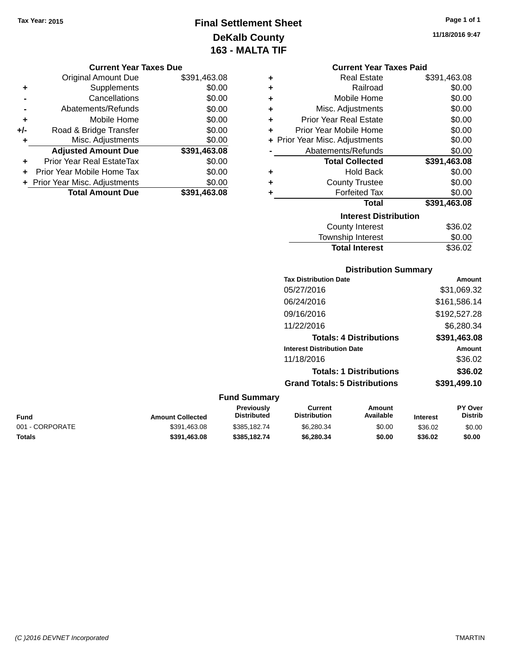### **Final Settlement Sheet Tax Year: 2015 Page 1 of 1 DeKalb County 163 - MALTA TIF**

**11/18/2016 9:47**

| <b>Current Year Taxes Due</b> |  |  |
|-------------------------------|--|--|
|                               |  |  |

|       | <b>Original Amount Due</b>     | \$391,463.08 |
|-------|--------------------------------|--------------|
| ٠     | Supplements                    | \$0.00       |
|       | Cancellations                  | \$0.00       |
|       | Abatements/Refunds             | \$0.00       |
| ÷     | Mobile Home                    | \$0.00       |
| $+/-$ | Road & Bridge Transfer         | \$0.00       |
| ٠     | Misc. Adjustments              | \$0.00       |
|       | <b>Adjusted Amount Due</b>     | \$391,463.08 |
|       | Prior Year Real EstateTax      | \$0.00       |
|       | Prior Year Mobile Home Tax     | \$0.00       |
|       | + Prior Year Misc. Adjustments | \$0.00       |
|       | <b>Total Amount Due</b>        | \$391,463.08 |

|  | <b>Current Year Taxes Paid</b> |              |
|--|--------------------------------|--------------|
|  | Real Estate                    | \$391.463.08 |

| T | ngal Lolal <del>c</del>        | OU.UUT, I GUU |
|---|--------------------------------|---------------|
| ÷ | Railroad                       | \$0.00        |
| ÷ | Mobile Home                    | \$0.00        |
| ÷ | Misc. Adjustments              | \$0.00        |
| ÷ | <b>Prior Year Real Estate</b>  | \$0.00        |
| ÷ | Prior Year Mobile Home         | \$0.00        |
|   | + Prior Year Misc. Adjustments | \$0.00        |
|   | Abatements/Refunds             | \$0.00        |
|   | <b>Total Collected</b>         | \$391,463.08  |
| ÷ | <b>Hold Back</b>               | \$0.00        |
| ÷ | <b>County Trustee</b>          | \$0.00        |
| ٠ | <b>Forfeited Tax</b>           | \$0.00        |
|   | <b>Total</b>                   | \$391,463.08  |
|   | <b>Interest Distribution</b>   |               |
|   | <b>County Interest</b>         | \$36.02       |
|   | <b>Township Interest</b>       | \$0.00        |

# **Distribution Summary Tax Distribution Date Amount**

Total Interest \$36.02

| 05/27/2016                           | \$31,069.32  |
|--------------------------------------|--------------|
| 06/24/2016                           | \$161,586.14 |
| 09/16/2016                           | \$192,527.28 |
| 11/22/2016                           | \$6,280.34   |
| <b>Totals: 4 Distributions</b>       | \$391,463.08 |
| <b>Interest Distribution Date</b>    | Amount       |
| 11/18/2016                           | \$36.02      |
| <b>Totals: 1 Distributions</b>       | \$36.02      |
| <b>Grand Totals: 5 Distributions</b> | \$391,499.10 |

#### **Fund Summary**

| Fund            | <b>Amount Collected</b> | <b>Previously</b><br><b>Distributed</b> | Current<br><b>Distribution</b> | Amount<br>Available | <b>Interest</b> | <b>PY Over</b><br>Distrib |
|-----------------|-------------------------|-----------------------------------------|--------------------------------|---------------------|-----------------|---------------------------|
| 001 - CORPORATE | \$391.463.08            | \$385,182,74                            | \$6,280,34                     | \$0.00              | \$36.02         | \$0.00                    |
| Totals          | \$391,463.08            | \$385.182.74                            | \$6,280,34                     | \$0.00              | \$36.02         | \$0.00                    |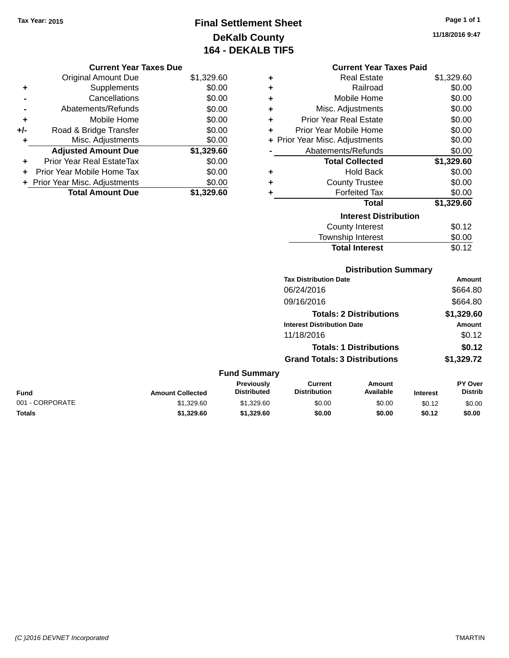## **Final Settlement Sheet Tax Year: 2015 Page 1 of 1 DeKalb County 164 - DEKALB TIF5**

**11/18/2016 9:47**

### **Current Year Taxes Due**

|       | <b>Original Amount Due</b>       | \$1,329.60 |
|-------|----------------------------------|------------|
| ٠     | Supplements                      | \$0.00     |
|       | Cancellations                    | \$0.00     |
|       | Abatements/Refunds               | \$0.00     |
| ÷     | Mobile Home                      | \$0.00     |
| $+/-$ | Road & Bridge Transfer           | \$0.00     |
|       | Misc. Adjustments                | \$0.00     |
|       | <b>Adjusted Amount Due</b>       | \$1,329.60 |
| ÷     | <b>Prior Year Real EstateTax</b> | \$0.00     |
|       | Prior Year Mobile Home Tax       | \$0.00     |
|       | + Prior Year Misc. Adjustments   | \$0.00     |
|       | <b>Total Amount Due</b>          | \$1.329.60 |

### **Current Year Taxes Paid**

| ÷ | Real Estate                    | \$1,329.60 |
|---|--------------------------------|------------|
| ÷ | Railroad                       | \$0.00     |
| ÷ | Mobile Home                    | \$0.00     |
| ٠ | Misc. Adjustments              | \$0.00     |
| ÷ | <b>Prior Year Real Estate</b>  | \$0.00     |
| ٠ | Prior Year Mobile Home         | \$0.00     |
|   | + Prior Year Misc. Adjustments | \$0.00     |
|   | Abatements/Refunds             | \$0.00     |
|   | <b>Total Collected</b>         | \$1,329.60 |
| ٠ | <b>Hold Back</b>               | \$0.00     |
| ÷ | <b>County Trustee</b>          | \$0.00     |
| ٠ | <b>Forfeited Tax</b>           | \$0.00     |
|   | <b>Total</b>                   | \$1,329.60 |
|   | <b>Interest Distribution</b>   |            |
|   | <b>County Interest</b>         | \$0.12     |
|   | <b>Township Interest</b>       | \$0.00     |
|   | <b>Total Interest</b>          | \$0.12     |

### **Distribution Summary**

| <b>Tax Distribution Date</b>         | <b>Amount</b> |
|--------------------------------------|---------------|
| 06/24/2016                           | \$664.80      |
| 09/16/2016                           | \$664.80      |
| <b>Totals: 2 Distributions</b>       | \$1,329.60    |
| <b>Interest Distribution Date</b>    | Amount        |
| 11/18/2016                           | \$0.12        |
| <b>Totals: 1 Distributions</b>       | \$0.12        |
| <b>Grand Totals: 3 Distributions</b> | \$1,329.72    |

#### **Fund Summary**

| Fund            | <b>Amount Collected</b> | <b>Previously</b><br><b>Distributed</b> | Current<br><b>Distribution</b> | Amount<br>Available | <b>Interest</b> | <b>PY Over</b><br><b>Distrib</b> |
|-----------------|-------------------------|-----------------------------------------|--------------------------------|---------------------|-----------------|----------------------------------|
| 001 - CORPORATE | \$1,329.60              | \$1,329.60                              | \$0.00                         | \$0.00              | \$0.12          | \$0.00                           |
| <b>Totals</b>   | \$1.329.60              | \$1,329.60                              | \$0.00                         | \$0.00              | \$0.12          | \$0.00                           |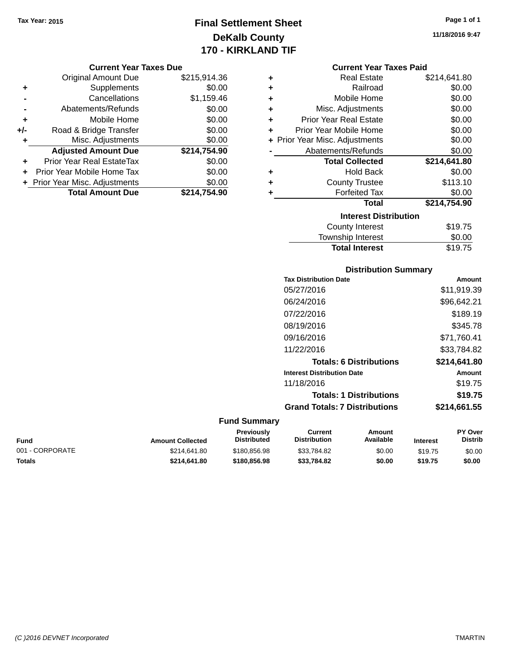## **Final Settlement Sheet Tax Year: 2015 Page 1 of 1 DeKalb County 170 - KIRKLAND TIF**

#### **Current Year Taxes Due**

|       | <b>Original Amount Due</b>       | \$215,914.36 |
|-------|----------------------------------|--------------|
| ٠     | Supplements                      | \$0.00       |
|       | Cancellations                    | \$1,159.46   |
|       | Abatements/Refunds               | \$0.00       |
| ٠     | Mobile Home                      | \$0.00       |
| $+/-$ | Road & Bridge Transfer           | \$0.00       |
| ٠     | Misc. Adjustments                | \$0.00       |
|       | <b>Adjusted Amount Due</b>       | \$214,754.90 |
| ÷     | <b>Prior Year Real EstateTax</b> | \$0.00       |
|       | Prior Year Mobile Home Tax       | \$0.00       |
|       | + Prior Year Misc. Adjustments   | \$0.00       |
|       | <b>Total Amount Due</b>          | \$214,754.90 |

|   | <b>Real Estate</b>             | \$214,641.80 |
|---|--------------------------------|--------------|
| ÷ | Railroad                       | \$0.00       |
| ÷ | Mobile Home                    | \$0.00       |
| ÷ | Misc. Adjustments              | \$0.00       |
| ٠ | <b>Prior Year Real Estate</b>  | \$0.00       |
| ÷ | Prior Year Mobile Home         | \$0.00       |
|   | + Prior Year Misc. Adjustments | \$0.00       |
|   | Abatements/Refunds             | \$0.00       |
|   |                                |              |
|   | <b>Total Collected</b>         | \$214,641.80 |
| ٠ | <b>Hold Back</b>               | \$0.00       |
| ٠ | <b>County Trustee</b>          | \$113.10     |
| ٠ | <b>Forfeited Tax</b>           | \$0.00       |
|   | <b>Total</b>                   | \$214,754.90 |
|   | <b>Interest Distribution</b>   |              |
|   | <b>County Interest</b>         | \$19.75      |

### **Distribution Summary Tax Distribution Date Amount** 05/27/2016 \$11,919.39 06/24/2016 \$96,642.21 07/22/2016 \$189.19 08/19/2016 \$345.78 09/16/2016 \$71,760.41 11/22/2016 \$33,784.82 **Totals: 6 Distributions \$214,641.80 Interest Distribution Date Amount** 11/18/2016 \$19.75 **Totals: 1 Distributions \$19.75 Grand Totals: 7 Distributions \$214,661.55**

Total Interest \$19.75

#### **Fund Summary**

| Fund            | <b>Amount Collected</b> | Previously<br><b>Distributed</b> | Current<br><b>Distribution</b> | Amount<br>Available | <b>Interest</b> | <b>PY Over</b><br><b>Distrib</b> |
|-----------------|-------------------------|----------------------------------|--------------------------------|---------------------|-----------------|----------------------------------|
| 001 - CORPORATE | \$214.641.80            | \$180.856.98                     | \$33.784.82                    | \$0.00              | \$19.75         | \$0.00                           |
| Totals          | \$214.641.80            | \$180,856,98                     | \$33.784.82                    | \$0.00              | \$19.75         | \$0.00                           |

**11/18/2016 9:47**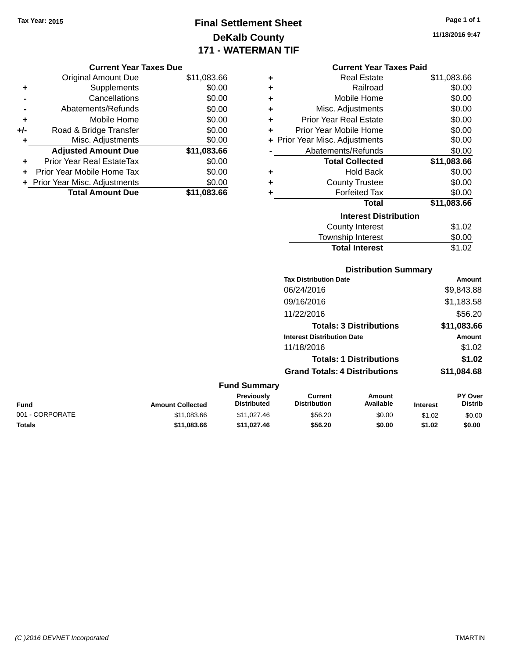**Current Year Taxes Due** Original Amount Due \$11,083.66

**Adjusted Amount Due \$11,083.66**

**Total Amount Due \$11,083.66**

**+** Supplements \$0.00 **-** Cancellations \$0.00 **-** Abatements/Refunds \$0.00 **+** Mobile Home \$0.00 **+/-** Road & Bridge Transfer \$0.00 **+** Misc. Adjustments \$0.00

**+** Prior Year Real EstateTax \$0.00 **+** Prior Year Mobile Home Tax \$0.00 **+ Prior Year Misc. Adjustments**  $$0.00$ 

## **Final Settlement Sheet Tax Year: 2015 Page 1 of 1 DeKalb County 171 - WATERMAN TIF**

**11/18/2016 9:47**

## **Current Year Taxes Paid**

|   | счиент неат талез пани         |             |
|---|--------------------------------|-------------|
| ÷ | <b>Real Estate</b>             | \$11,083.66 |
| ÷ | Railroad                       | \$0.00      |
| ÷ | Mobile Home                    | \$0.00      |
| ÷ | Misc. Adjustments              | \$0.00      |
| ÷ | Prior Year Real Estate         | \$0.00      |
| ÷ | Prior Year Mobile Home         | \$0.00      |
|   | + Prior Year Misc. Adjustments | \$0.00      |
|   | Abatements/Refunds             | \$0.00      |
|   | <b>Total Collected</b>         | \$11,083.66 |
| ٠ | <b>Hold Back</b>               | \$0.00      |
| ٠ | <b>County Trustee</b>          | \$0.00      |
| ٠ | <b>Forfeited Tax</b>           | \$0.00      |
|   | <b>Total</b>                   | \$11,083.66 |
|   | <b>Interest Distribution</b>   |             |
|   | County Interest                | \$1.02      |
|   | <b>Township Interest</b>       | \$0.00      |
|   | <b>Total Interest</b>          | \$1.02      |

|                 |                         |                                  |                                       | <b>Distribution Summary</b>    |                 |                                  |
|-----------------|-------------------------|----------------------------------|---------------------------------------|--------------------------------|-----------------|----------------------------------|
|                 |                         |                                  | <b>Tax Distribution Date</b>          |                                |                 | Amount                           |
|                 |                         |                                  | 06/24/2016                            |                                |                 | \$9,843.88                       |
|                 |                         |                                  | 09/16/2016                            |                                |                 | \$1,183.58                       |
|                 |                         |                                  | 11/22/2016                            |                                |                 | \$56.20                          |
|                 |                         |                                  |                                       | <b>Totals: 3 Distributions</b> |                 | \$11,083.66                      |
|                 |                         |                                  | <b>Interest Distribution Date</b>     |                                |                 | Amount                           |
|                 |                         |                                  | 11/18/2016                            |                                |                 | \$1.02                           |
|                 |                         |                                  |                                       | <b>Totals: 1 Distributions</b> |                 | \$1.02                           |
|                 |                         |                                  | <b>Grand Totals: 4 Distributions</b>  |                                |                 | \$11,084.68                      |
|                 |                         | <b>Fund Summary</b>              |                                       |                                |                 |                                  |
| Fund            | <b>Amount Collected</b> | Previously<br><b>Distributed</b> | <b>Current</b><br><b>Distribution</b> | Amount<br>Available            | <b>Interest</b> | <b>PY Over</b><br><b>Distrib</b> |
| 001 - CORPORATE | \$11,083.66             | \$11,027.46                      | \$56.20                               | \$0.00                         | \$1.02          | \$0.00                           |

**Totals \$11,083.66 \$11,027.46 \$56.20 \$0.00 \$1.02 \$0.00**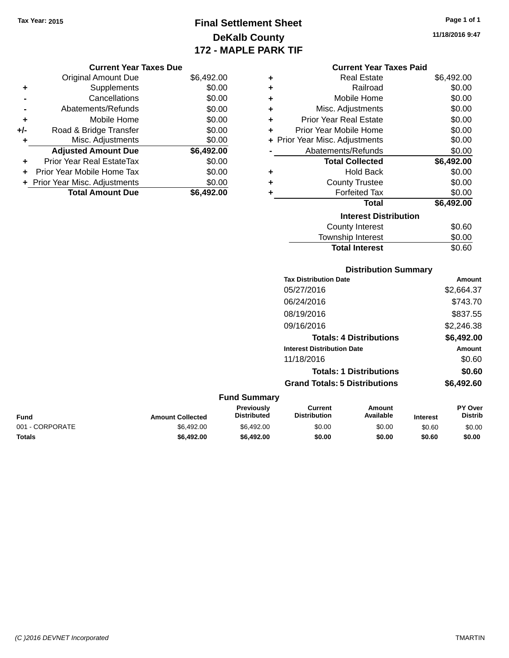## **Final Settlement Sheet Tax Year: 2015 Page 1 of 1 DeKalb County 172 - MAPLE PARK TIF**

**11/18/2016 9:47**

| <b>Current Year Taxes Paid</b> |  |  |  |
|--------------------------------|--|--|--|
|--------------------------------|--|--|--|

| ÷ | <b>Real Estate</b>             | \$6,492.00 |
|---|--------------------------------|------------|
| ÷ | Railroad                       | \$0.00     |
| ÷ | Mobile Home                    | \$0.00     |
| ÷ | Misc. Adjustments              | \$0.00     |
| ÷ | <b>Prior Year Real Estate</b>  | \$0.00     |
| ÷ | Prior Year Mobile Home         | \$0.00     |
|   | + Prior Year Misc. Adjustments | \$0.00     |
|   | Abatements/Refunds             | \$0.00     |
|   | <b>Total Collected</b>         | \$6,492.00 |
| ٠ | <b>Hold Back</b>               | \$0.00     |
| ÷ | <b>County Trustee</b>          | \$0.00     |
| ٠ | <b>Forfeited Tax</b>           | \$0.00     |
|   | <b>Total</b>                   | \$6,492.00 |
|   | <b>Interest Distribution</b>   |            |
|   | County Interest                | \$0.60     |
|   | <b>Township Interest</b>       | \$0.00     |
|   | <b>Total Interest</b>          | \$0.60     |

|     | <b>Current Year Taxes Due</b>  |            |
|-----|--------------------------------|------------|
|     | <b>Original Amount Due</b>     | \$6,492.00 |
|     | Supplements                    | \$0.00     |
|     | Cancellations                  | \$0.00     |
|     | Abatements/Refunds             | \$0.00     |
| ٠   | Mobile Home                    | \$0.00     |
| +/- | Road & Bridge Transfer         | \$0.00     |
| ٠   | Misc. Adjustments              | \$0.00     |
|     | <b>Adjusted Amount Due</b>     | \$6,492.00 |
|     | Prior Year Real EstateTax      | \$0.00     |
|     | Prior Year Mobile Home Tax     | \$0.00     |
|     | + Prior Year Misc. Adjustments | \$0.00     |
|     | <b>Total Amount Due</b>        | \$6.492.00 |

| <b>Distribution Summary</b>          |            |
|--------------------------------------|------------|
| <b>Tax Distribution Date</b>         | Amount     |
| 05/27/2016                           | \$2,664.37 |
| 06/24/2016                           | \$743.70   |
| 08/19/2016                           | \$837.55   |
| 09/16/2016                           | \$2,246.38 |
| <b>Totals: 4 Distributions</b>       | \$6,492.00 |
| <b>Interest Distribution Date</b>    | Amount     |
| 11/18/2016                           | \$0.60     |
| <b>Totals: 1 Distributions</b>       | \$0.60     |
| <b>Grand Totals: 5 Distributions</b> | \$6,492.60 |

### **Fund Summary**

| <b>Fund</b>     | <b>Amount Collected</b> | <b>Previously</b><br><b>Distributed</b> | Current<br><b>Distribution</b> | Amount<br>Available | <b>Interest</b> | <b>PY Over</b><br><b>Distrib</b> |
|-----------------|-------------------------|-----------------------------------------|--------------------------------|---------------------|-----------------|----------------------------------|
| 001 - CORPORATE | \$6.492.00              | \$6,492,00                              | \$0.00                         | \$0.00              | \$0.60          | \$0.00                           |
| <b>Totals</b>   | \$6,492.00              | \$6,492.00                              | \$0.00                         | \$0.00              | \$0.60          | \$0.00                           |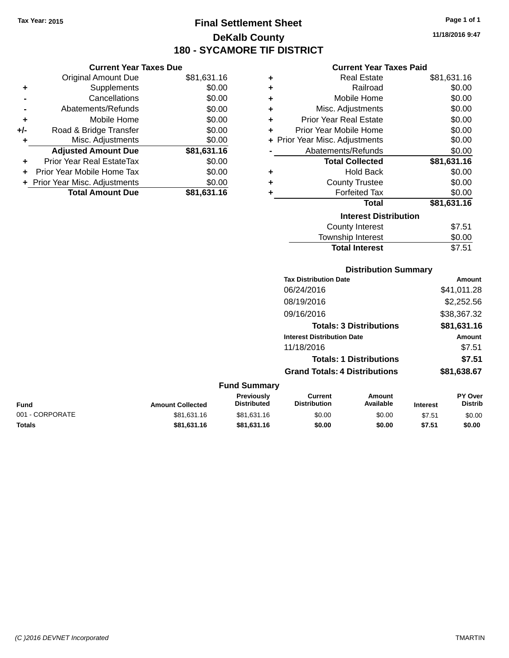### **Final Settlement Sheet Tax Year: 2015 Page 1 of 1 DeKalb County 180 - SYCAMORE TIF DISTRICT**

**11/18/2016 9:47**

|     | <b>Current Year Taxes Due</b>  |             |
|-----|--------------------------------|-------------|
|     | Original Amount Due            | \$81,631.16 |
| ٠   | Supplements                    | \$0.00      |
|     | Cancellations                  | \$0.00      |
|     | Abatements/Refunds             | \$0.00      |
| ٠   | Mobile Home                    | \$0.00      |
| +/- | Road & Bridge Transfer         | \$0.00      |
| ٠   | Misc. Adjustments              | \$0.00      |
|     | <b>Adjusted Amount Due</b>     | \$81,631.16 |
|     | Prior Year Real EstateTax      | \$0.00      |
|     | Prior Year Mobile Home Tax     | \$0.00      |
|     | + Prior Year Misc. Adjustments | \$0.00      |
|     | <b>Total Amount Due</b>        | \$81,631.16 |
|     |                                |             |

### **Current Year Taxes Paid**

| ٠ | Real Estate                    | \$81,631.16 |
|---|--------------------------------|-------------|
| ٠ | Railroad                       | \$0.00      |
| ÷ | Mobile Home                    | \$0.00      |
| ÷ | Misc. Adjustments              | \$0.00      |
| ٠ | Prior Year Real Estate         | \$0.00      |
| ٠ | Prior Year Mobile Home         | \$0.00      |
|   | + Prior Year Misc. Adjustments | \$0.00      |
|   | Abatements/Refunds             | \$0.00      |
|   | <b>Total Collected</b>         | \$81,631.16 |
| ٠ | <b>Hold Back</b>               | \$0.00      |
| ٠ | <b>County Trustee</b>          | \$0.00      |
| ٠ | <b>Forfeited Tax</b>           | \$0.00      |
|   | <b>Total</b>                   | \$81,631.16 |
|   | <b>Interest Distribution</b>   |             |
|   | <b>County Interest</b>         | \$7.51      |
|   | <b>Township Interest</b>       | \$0.00      |
|   | <b>Total Interest</b>          | \$7.51      |

## **Distribution Summary**

| Amount      |
|-------------|
| \$41,011.28 |
| \$2,252.56  |
| \$38,367.32 |
| \$81,631.16 |
| Amount      |
| \$7.51      |
| \$7.51      |
| \$81,638.67 |
|             |

#### **Fund Summary Fund Interest Amount Collected Distributed PY Over Distrib Amount Available Current Distribution Previously** 001 - CORPORATE 60.00 \$81,631.16 \$81,631.16 \$81,631.16 \$0.00 \$0.00 \$7.51 \$0.00 **Totals \$81,631.16 \$81,631.16 \$0.00 \$0.00 \$7.51 \$0.00**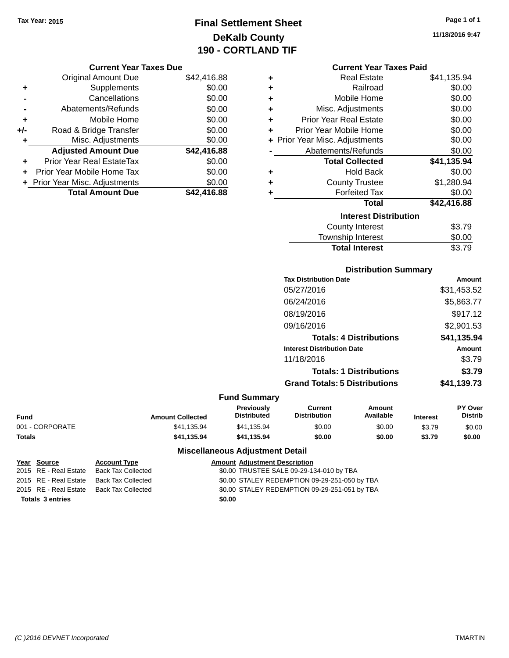## **Final Settlement Sheet Tax Year: 2015 Page 1 of 1 DeKalb County 190 - CORTLAND TIF**

**11/18/2016 9:47**

### **Current Year Taxes Due**

|       | <b>Original Amount Due</b>       | \$42,416.88 |
|-------|----------------------------------|-------------|
| ٠     | Supplements                      | \$0.00      |
|       | Cancellations                    | \$0.00      |
|       | Abatements/Refunds               | \$0.00      |
| ÷     | Mobile Home                      | \$0.00      |
| $+/-$ | Road & Bridge Transfer           | \$0.00      |
| ٠     | Misc. Adjustments                | \$0.00      |
|       | <b>Adjusted Amount Due</b>       | \$42,416.88 |
| ÷     | <b>Prior Year Real EstateTax</b> | \$0.00      |
|       | Prior Year Mobile Home Tax       | \$0.00      |
|       | + Prior Year Misc. Adjustments   | \$0.00      |
|       | <b>Total Amount Due</b>          | \$42,416.88 |

|   | <b>Current Year Taxes Paid</b> |             |  |  |  |
|---|--------------------------------|-------------|--|--|--|
| ٠ | <b>Real Estate</b>             | \$41,135.94 |  |  |  |
| ٠ | Railroad                       | \$0.00      |  |  |  |
| ÷ | Mobile Home                    | \$0.00      |  |  |  |
| ٠ | Misc. Adjustments              | \$0.00      |  |  |  |
| ÷ | <b>Prior Year Real Estate</b>  | \$0.00      |  |  |  |
| ÷ | Prior Year Mobile Home         | \$0.00      |  |  |  |
|   | + Prior Year Misc. Adjustments | \$0.00      |  |  |  |
|   | Abatements/Refunds             | \$0.00      |  |  |  |
|   | <b>Total Collected</b>         | \$41,135.94 |  |  |  |
| ÷ | <b>Hold Back</b>               | \$0.00      |  |  |  |
| ÷ | <b>County Trustee</b>          | \$1,280.94  |  |  |  |
| ÷ | <b>Forfeited Tax</b>           | \$0.00      |  |  |  |
|   | Total                          | \$42,416.88 |  |  |  |
|   | <b>Interest Distribution</b>   |             |  |  |  |
|   | <b>County Interest</b>         | \$3.79      |  |  |  |
|   | <b>Township Interest</b>       | \$0.00      |  |  |  |
|   | <b>Total Interest</b>          | \$3.79      |  |  |  |

### **Distribution Summary**

| <b>Tax Distribution Date</b>         | <b>Amount</b> |
|--------------------------------------|---------------|
| 05/27/2016                           | \$31,453.52   |
| 06/24/2016                           | \$5,863.77    |
| 08/19/2016                           | \$917.12      |
| 09/16/2016                           | \$2,901.53    |
| <b>Totals: 4 Distributions</b>       | \$41,135.94   |
| <b>Interest Distribution Date</b>    | <b>Amount</b> |
| 11/18/2016                           | \$3.79        |
| <b>Totals: 1 Distributions</b>       | \$3.79        |
| <b>Grand Totals: 5 Distributions</b> | \$41,139.73   |

### **Fund Summary**

| <b>Fund</b>     | <b>Amount Collected</b> | <b>Previously</b><br><b>Distributed</b> | Current<br><b>Distribution</b> | Amount<br>Available | <b>Interest</b> | <b>PY Over</b><br><b>Distrib</b> |
|-----------------|-------------------------|-----------------------------------------|--------------------------------|---------------------|-----------------|----------------------------------|
| 001 - CORPORATE | \$41.135.94             | \$41.135.94                             | \$0.00                         | \$0.00              | \$3.79          | \$0.00                           |
| <b>Totals</b>   | \$41.135.94             | \$41.135.94                             | \$0.00                         | \$0.00              | \$3.79          | \$0.00                           |

| <u>Year Source</u>      | <b>Account Type</b> |        | <b>Amount Adjustment Description</b>          |
|-------------------------|---------------------|--------|-----------------------------------------------|
| 2015 RE - Real Estate   | Back Tax Collected  |        | \$0.00 TRUSTEE SALE 09-29-134-010 by TBA      |
| 2015 RE - Real Estate   | Back Tax Collected  |        | \$0.00 STALEY REDEMPTION 09-29-251-050 by TBA |
| 2015 RE - Real Estate   | Back Tax Collected  |        | \$0.00 STALEY REDEMPTION 09-29-251-051 by TBA |
| <b>Totals 3 entries</b> |                     | \$0.00 |                                               |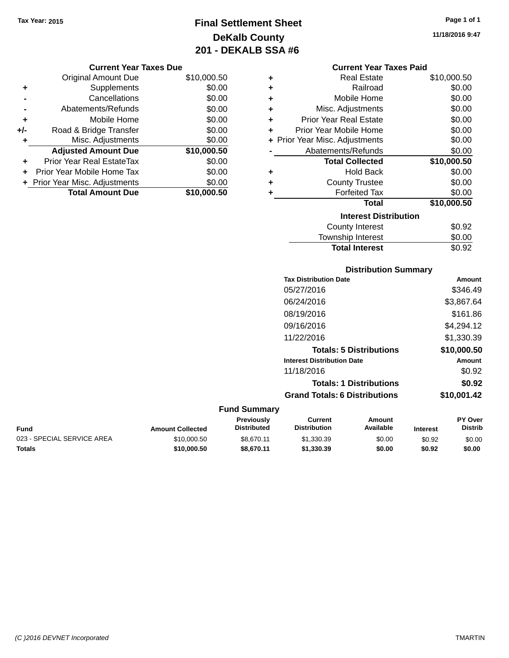## **Final Settlement Sheet Tax Year: 2015 Page 1 of 1 DeKalb County 201 - DEKALB SSA #6**

**11/18/2016 9:47**

### **Current Year Taxes Paid**

| ٠ | <b>Real Estate</b>             | \$10,000.50 |
|---|--------------------------------|-------------|
| ٠ | Railroad                       | \$0.00      |
| ٠ | Mobile Home                    | \$0.00      |
| ٠ | Misc. Adjustments              | \$0.00      |
| ٠ | <b>Prior Year Real Estate</b>  | \$0.00      |
| ٠ | Prior Year Mobile Home         | \$0.00      |
|   | + Prior Year Misc. Adjustments | \$0.00      |
|   | Abatements/Refunds             | \$0.00      |
|   | <b>Total Collected</b>         | \$10,000.50 |
| ٠ | <b>Hold Back</b>               | \$0.00      |
| ٠ | <b>County Trustee</b>          | \$0.00      |
| ٠ | <b>Forfeited Tax</b>           | \$0.00      |
|   | Total                          | \$10,000.50 |
|   | <b>Interest Distribution</b>   |             |
|   | <b>County Interest</b>         | \$0.92      |
|   | Township Interest              | \$0.00      |
|   | <b>Total Interest</b>          | \$0.92      |

|                            |                         |                                         |                                       | <b>Distribution Summary</b>    |                 |                           |
|----------------------------|-------------------------|-----------------------------------------|---------------------------------------|--------------------------------|-----------------|---------------------------|
|                            |                         |                                         | <b>Tax Distribution Date</b>          |                                |                 | <b>Amount</b>             |
|                            |                         |                                         | 05/27/2016                            |                                |                 | \$346.49                  |
|                            |                         |                                         | 06/24/2016                            |                                |                 | \$3,867.64                |
|                            |                         |                                         | 08/19/2016                            |                                |                 | \$161.86                  |
|                            |                         |                                         | 09/16/2016                            |                                |                 | \$4,294.12                |
|                            |                         |                                         | 11/22/2016                            |                                |                 | \$1,330.39                |
|                            |                         |                                         |                                       | <b>Totals: 5 Distributions</b> |                 | \$10,000.50               |
|                            |                         |                                         | <b>Interest Distribution Date</b>     |                                |                 | Amount                    |
|                            |                         |                                         | 11/18/2016                            |                                |                 | \$0.92                    |
|                            |                         |                                         |                                       | <b>Totals: 1 Distributions</b> |                 | \$0.92                    |
|                            |                         |                                         | <b>Grand Totals: 6 Distributions</b>  |                                |                 | \$10,001.42               |
|                            |                         | <b>Fund Summary</b>                     |                                       |                                |                 |                           |
| <b>Fund</b>                | <b>Amount Collected</b> | <b>Previously</b><br><b>Distributed</b> | <b>Current</b><br><b>Distribution</b> | Amount<br>Available            | <b>Interest</b> | PY Over<br><b>Distrib</b> |
| 023 - SPECIAL SERVICE AREA | \$10,000.50             | \$8,670.11                              | \$1,330.39                            | \$0.00                         | \$0.92          | \$0.00                    |

| ιaι<br>ю |  |
|----------|--|

**Totals \$10,000.50 \$8,670.11 \$1,330.39 \$0.00 \$0.92 \$0.00**

**Current Year Taxes Due** Original Amount Due \$10,000.50

**Adjusted Amount Due \$10,000.50**

**Total Amount Due \$10,000.50**

**+** Supplements \$0.00 **-** Cancellations \$0.00 **-** Abatements/Refunds \$0.00 **+** Mobile Home \$0.00 **+/-** Road & Bridge Transfer \$0.00 **+** Misc. Adjustments \$0.00

**+** Prior Year Real EstateTax \$0.00 **+** Prior Year Mobile Home Tax \$0.00 **+ Prior Year Misc. Adjustments**  $$0.00$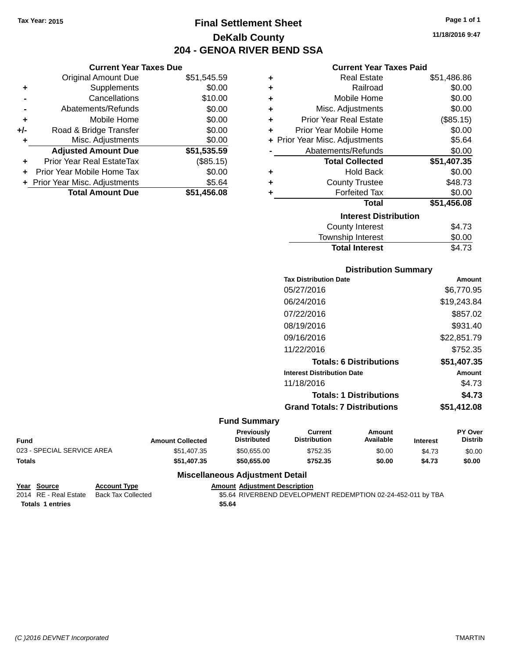**Current Year Taxes Due** Original Amount Due \$51,545.59

**Adjusted Amount Due \$51,535.59**

**Total Amount Due \$51,456.08**

**+** Supplements \$0.00 **-** Cancellations \$10.00 **-** Abatements/Refunds \$0.00 **+** Mobile Home \$0.00 **+/-** Road & Bridge Transfer \$0.00 **+** Misc. Adjustments \$0.00

**+** Prior Year Real EstateTax (\$85.15) **+** Prior Year Mobile Home Tax \$0.00 **+** Prior Year Misc. Adjustments \$5.64

## **Final Settlement Sheet Tax Year: 2015 Page 1 of 1 DeKalb County 204 - GENOA RIVER BEND SSA**

**11/18/2016 9:47**

### **Current Year Taxes Paid**

| ٠ | <b>Real Estate</b>             | \$51,486.86 |
|---|--------------------------------|-------------|
| ٠ | Railroad                       | \$0.00      |
| ٠ | Mobile Home                    | \$0.00      |
| ٠ | Misc. Adjustments              | \$0.00      |
| ÷ | <b>Prior Year Real Estate</b>  | (\$85.15)   |
| ÷ | Prior Year Mobile Home         | \$0.00      |
|   | + Prior Year Misc. Adjustments | \$5.64      |
|   | Abatements/Refunds             | \$0.00      |
|   | <b>Total Collected</b>         | \$51,407.35 |
| ٠ | <b>Hold Back</b>               | \$0.00      |
| ÷ | <b>County Trustee</b>          | \$48.73     |
| ٠ | <b>Forfeited Tax</b>           | \$0.00      |
|   | Total                          | \$51,456.08 |
|   | <b>Interest Distribution</b>   |             |
|   | County Interest                | \$4.73      |
|   | <b>Township Interest</b>       | \$0.00      |
|   | <b>Total Interest</b>          | \$4.73      |

# **Distribution Summary**

| <b>Tax Distribution Date</b>         | Amount      |
|--------------------------------------|-------------|
| 05/27/2016                           | \$6,770.95  |
| 06/24/2016                           | \$19,243.84 |
| 07/22/2016                           | \$857.02    |
| 08/19/2016                           | \$931.40    |
| 09/16/2016                           | \$22,851.79 |
| 11/22/2016                           | \$752.35    |
| <b>Totals: 6 Distributions</b>       | \$51,407.35 |
| <b>Interest Distribution Date</b>    | Amount      |
| 11/18/2016                           | \$4.73      |
| <b>Totals: 1 Distributions</b>       | \$4.73      |
| <b>Grand Totals: 7 Distributions</b> | \$51,412.08 |
|                                      |             |

#### **Fund Summary**

| <b>Fund</b>                | <b>Amount Collected</b> | Previously<br>Distributed | Current<br><b>Distribution</b> | Amount<br>Available | <b>Interest</b> | <b>PY Over</b><br><b>Distrib</b> |
|----------------------------|-------------------------|---------------------------|--------------------------------|---------------------|-----------------|----------------------------------|
| 023 - SPECIAL SERVICE AREA | \$51,407.35             | \$50.655.00               | \$752.35                       | \$0.00              | \$4.73          | \$0.00                           |
| <b>Totals</b>              | \$51.407.35             | \$50.655.00               | \$752.35                       | \$0.00              | \$4.73          | \$0.00                           |

| Year Source             | <b>Account Type</b>                      |        | <b>Amount Adiustment Description</b>                         |
|-------------------------|------------------------------------------|--------|--------------------------------------------------------------|
|                         | 2014 RE - Real Estate Back Tax Collected |        | \$5.64 RIVERBEND DEVELOPMENT REDEMPTION 02-24-452-011 by TBA |
| <b>Totals 1 entries</b> |                                          | \$5.64 |                                                              |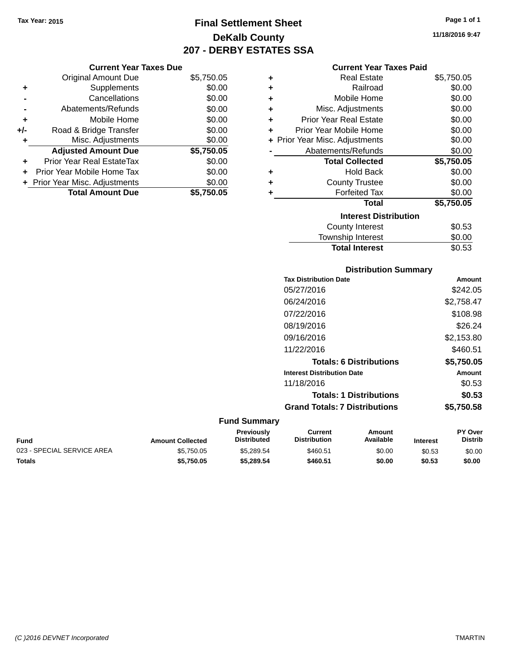**Current Year Taxes Due** Original Amount Due \$5,750.05

**Adjusted Amount Due \$5,750.05**

**Total Amount Due \$5,750.05**

**+** Supplements \$0.00 **-** Cancellations \$0.00 **-** Abatements/Refunds \$0.00 **+** Mobile Home \$0.00 **+/-** Road & Bridge Transfer \$0.00<br> **+** Misc. Adjustments \$0.00

**+** Prior Year Real EstateTax \$0.00 **+** Prior Year Mobile Home Tax \$0.00 **+ Prior Year Misc. Adjustments**  $$0.00$ 

**+** Misc. Adjustments

## **Final Settlement Sheet Tax Year: 2015 Page 1 of 1 DeKalb County 207 - DERBY ESTATES SSA**

### **Current Year Taxes Paid**

| ٠ | Real Estate                    | \$5,750.05 |  |  |  |  |  |
|---|--------------------------------|------------|--|--|--|--|--|
| ٠ | Railroad                       | \$0.00     |  |  |  |  |  |
| ÷ | Mobile Home                    | \$0.00     |  |  |  |  |  |
| ٠ | Misc. Adjustments              | \$0.00     |  |  |  |  |  |
| ٠ | <b>Prior Year Real Estate</b>  | \$0.00     |  |  |  |  |  |
| ٠ | Prior Year Mobile Home         | \$0.00     |  |  |  |  |  |
|   | + Prior Year Misc. Adjustments | \$0.00     |  |  |  |  |  |
|   | Abatements/Refunds             | \$0.00     |  |  |  |  |  |
|   | <b>Total Collected</b>         | \$5,750.05 |  |  |  |  |  |
| ٠ | <b>Hold Back</b>               | \$0.00     |  |  |  |  |  |
| ÷ | <b>County Trustee</b>          | \$0.00     |  |  |  |  |  |
| ٠ | <b>Forfeited Tax</b>           | \$0.00     |  |  |  |  |  |
|   | <b>Total</b>                   | \$5,750.05 |  |  |  |  |  |
|   | <b>Interest Distribution</b>   |            |  |  |  |  |  |
|   | County Interest                | \$0.53     |  |  |  |  |  |
|   | <b>Township Interest</b>       | \$0.00     |  |  |  |  |  |

| <b>Distribution Summary</b>          |            |
|--------------------------------------|------------|
| <b>Tax Distribution Date</b>         | Amount     |
| 05/27/2016                           | \$242.05   |
| 06/24/2016                           | \$2,758.47 |
| 07/22/2016                           | \$108.98   |
| 08/19/2016                           | \$26.24    |
| 09/16/2016                           | \$2,153.80 |
| 11/22/2016                           | \$460.51   |
| <b>Totals: 6 Distributions</b>       | \$5,750.05 |
| <b>Interest Distribution Date</b>    | Amount     |
| 11/18/2016                           | \$0.53     |
| <b>Totals: 1 Distributions</b>       | \$0.53     |
| <b>Grand Totals: 7 Distributions</b> | \$5,750.58 |

Total Interest \$0.53

#### **Fund Summary**

| Fund                       | <b>Amount Collected</b> | <b>Previously</b><br><b>Distributed</b> | Current<br><b>Distribution</b> | Amount<br>Available | <b>Interest</b> | PY Over<br>Distrib |
|----------------------------|-------------------------|-----------------------------------------|--------------------------------|---------------------|-----------------|--------------------|
| 023 - SPECIAL SERVICE AREA | \$5.750.05              | \$5.289.54                              | \$460.51                       | \$0.00              | \$0.53          | \$0.00             |
| Totals                     | \$5,750.05              | \$5.289.54                              | \$460.51                       | \$0.00              | \$0.53          | \$0.00             |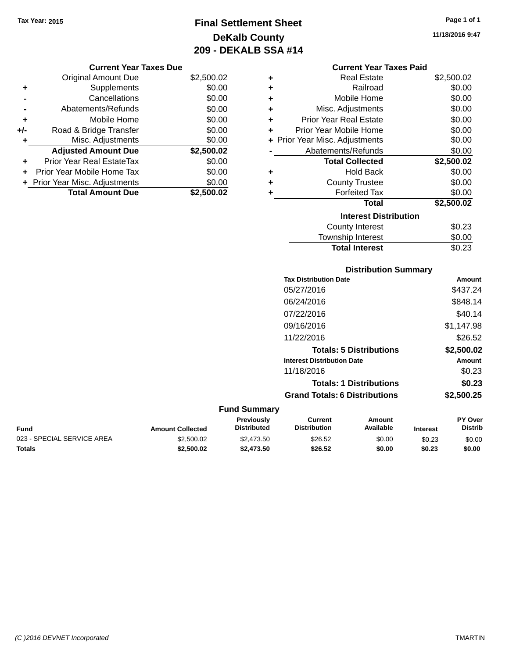## **Final Settlement Sheet Tax Year: 2015 Page 1 of 1 DeKalb County 209 - DEKALB SSA #14**

**11/18/2016 9:47**

|     | <b>Current Year Taxes Due</b>    |            |   |
|-----|----------------------------------|------------|---|
|     | Original Amount Due              | \$2,500.02 |   |
| ٠   | Supplements                      | \$0.00     | ٠ |
|     | Cancellations                    | \$0.00     |   |
|     | Abatements/Refunds               | \$0.00     |   |
|     | Mobile Home                      | \$0.00     |   |
| +/- | Road & Bridge Transfer           | \$0.00     |   |
|     | Misc. Adjustments                | \$0.00     |   |
|     | <b>Adjusted Amount Due</b>       | \$2,500.02 |   |
| ٠   | <b>Prior Year Real EstateTax</b> | \$0.00     |   |
|     | Prior Year Mobile Home Tax       | \$0.00     |   |
|     | + Prior Year Misc. Adjustments   | \$0.00     |   |
|     | <b>Total Amount Due</b>          | \$2,500.02 |   |
|     |                                  |            |   |

| <b>Current Year Taxes Paid</b> |  |  |  |
|--------------------------------|--|--|--|
|--------------------------------|--|--|--|

| ÷ | Real Estate                    | \$2,500.02 |
|---|--------------------------------|------------|
| ٠ | Railroad                       | \$0.00     |
| ٠ | Mobile Home                    | \$0.00     |
| ٠ | Misc. Adjustments              | \$0.00     |
| ٠ | <b>Prior Year Real Estate</b>  | \$0.00     |
| ÷ | Prior Year Mobile Home         | \$0.00     |
|   | + Prior Year Misc. Adjustments | \$0.00     |
|   | Abatements/Refunds             | \$0.00     |
|   | <b>Total Collected</b>         | \$2,500.02 |
| ٠ | <b>Hold Back</b>               | \$0.00     |
| ٠ | <b>County Trustee</b>          | \$0.00     |
| ٠ | <b>Forfeited Tax</b>           | \$0.00     |
|   | Total                          | \$2,500.02 |
|   | <b>Interest Distribution</b>   |            |
|   | County Interest                | \$0.23     |
|   | <b>Township Interest</b>       | \$0.00     |
|   | <b>Total Interest</b>          | \$0.23     |

### **Distribution Summary Tax Distribution Date Amount** 05/27/2016 \$437.24 06/24/2016 \$848.14 07/22/2016 \$40.14 09/16/2016 \$1,147.98 11/22/2016 \$26.52 **Totals: 5 Distributions \$2,500.02 Interest Distribution Date Amount** 11/18/2016 \$0.23 **Totals: 1 Distributions \$0.23 Grand Totals: 6 Distributions \$2,500.25 Fund Summary PY Over Amount Current Previously**

| Fund                       | <b>Amount Collected</b> | Previouslv<br><b>Distributed</b> | Current<br><b>Distribution</b> | Amount<br>Available | <b>Interest</b> | <b>PY Over</b><br>Distrib |
|----------------------------|-------------------------|----------------------------------|--------------------------------|---------------------|-----------------|---------------------------|
| 023 - SPECIAL SERVICE AREA | \$2,500.02              | \$2,473.50                       | \$26.52                        | \$0.00              | \$0.23          | \$0.00                    |
| Totals                     | \$2,500.02              | \$2,473.50                       | \$26.52                        | \$0.00              | \$0.23          | \$0.00                    |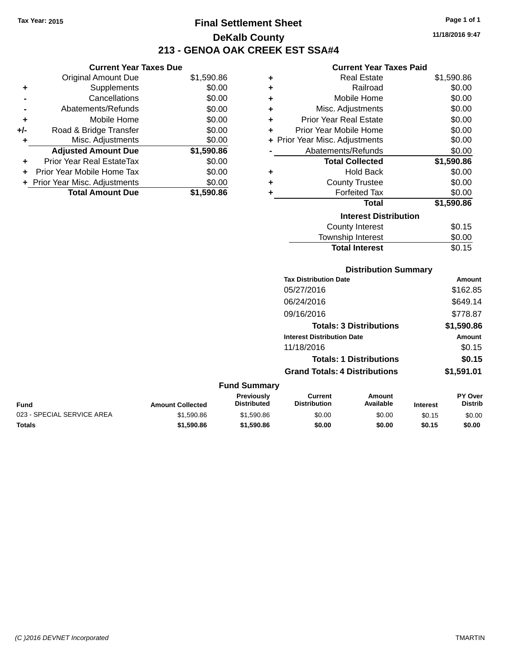**Current Year Taxes Due** Original Amount Due \$1,590.86

**Adjusted Amount Due \$1,590.86**

**Total Amount Due \$1,590.86**

**+** Supplements \$0.00 **-** Cancellations \$0.00 **-** Abatements/Refunds \$0.00 **+** Mobile Home \$0.00 **+/-** Road & Bridge Transfer \$0.00 **+** Misc. Adjustments \$0.00

**+** Prior Year Real EstateTax \$0.00 **+** Prior Year Mobile Home Tax \$0.00 **+ Prior Year Misc. Adjustments**  $$0.00$ 

## **Final Settlement Sheet Tax Year: 2015 Page 1 of 1 DeKalb County 213 - GENOA OAK CREEK EST SSA#4**

### **11/18/2016 9:47**

| <b>Current Year Taxes Paid</b> |  |  |  |
|--------------------------------|--|--|--|
|--------------------------------|--|--|--|

|   | <b>Real Estate</b>             | \$1,590.86 |
|---|--------------------------------|------------|
| ٠ | Railroad                       | \$0.00     |
| ÷ | Mobile Home                    | \$0.00     |
| ÷ | Misc. Adjustments              | \$0.00     |
| ÷ | <b>Prior Year Real Estate</b>  | \$0.00     |
| ÷ | Prior Year Mobile Home         | \$0.00     |
|   | + Prior Year Misc. Adjustments | \$0.00     |
|   | Abatements/Refunds             | \$0.00     |
|   | <b>Total Collected</b>         | \$1,590.86 |
| ٠ | <b>Hold Back</b>               | \$0.00     |
| ٠ | <b>County Trustee</b>          | \$0.00     |
| ٠ | <b>Forfeited Tax</b>           | \$0.00     |
|   | <b>Total</b>                   | \$1,590.86 |
|   | <b>Interest Distribution</b>   |            |
|   | <b>County Interest</b>         | \$0.15     |
|   | <b>Township Interest</b>       | \$0.00     |

|                            |                         |                                  |                                       | <b>Total Interest</b>          |                 | \$0.15                    |
|----------------------------|-------------------------|----------------------------------|---------------------------------------|--------------------------------|-----------------|---------------------------|
|                            |                         |                                  |                                       | <b>Distribution Summary</b>    |                 |                           |
|                            |                         |                                  | <b>Tax Distribution Date</b>          |                                |                 | <b>Amount</b>             |
|                            |                         |                                  | 05/27/2016                            |                                |                 | \$162.85                  |
|                            |                         |                                  | 06/24/2016                            |                                |                 | \$649.14                  |
|                            |                         |                                  | 09/16/2016                            |                                |                 | \$778.87                  |
|                            |                         |                                  |                                       | <b>Totals: 3 Distributions</b> |                 | \$1,590.86                |
|                            |                         |                                  | <b>Interest Distribution Date</b>     |                                |                 | <b>Amount</b>             |
|                            |                         |                                  | 11/18/2016                            |                                |                 | \$0.15                    |
|                            |                         |                                  |                                       | <b>Totals: 1 Distributions</b> |                 | \$0.15                    |
|                            |                         |                                  | <b>Grand Totals: 4 Distributions</b>  |                                |                 | \$1,591.01                |
|                            |                         | <b>Fund Summary</b>              |                                       |                                |                 |                           |
| <b>Fund</b>                | <b>Amount Collected</b> | Previously<br><b>Distributed</b> | <b>Current</b><br><b>Distribution</b> | Amount<br>Available            | <b>Interest</b> | PY Over<br><b>Distrib</b> |
| 023 - SPECIAL SERVICE AREA | \$1,590.86              | \$1,590.86                       | \$0.00                                | \$0.00                         | \$0.15          | \$0.00                    |

**Totals \$1,590.86 \$1,590.86 \$0.00 \$0.00 \$0.15 \$0.00**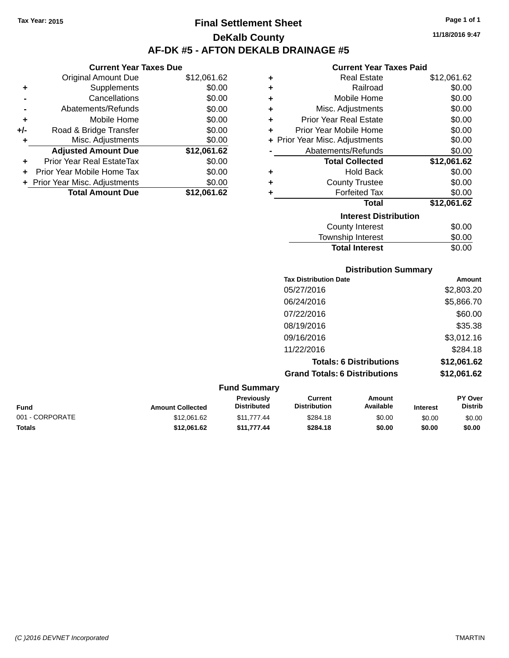### **Final Settlement Sheet Tax Year: 2015 Page 1 of 1 DeKalb County AF-DK #5 - AFTON DEKALB DRAINAGE #5**

**11/18/2016 9:47**

#### **Current Year Taxes Paid**

|     | <b>Current Year Taxes Due</b>  |             |         |
|-----|--------------------------------|-------------|---------|
|     | <b>Original Amount Due</b>     | \$12,061.62 | ٠       |
|     | Supplements                    | \$0.00      | ٠       |
|     | Cancellations                  | \$0.00      | ٠       |
|     | Abatements/Refunds             | \$0.00      |         |
|     | Mobile Home                    | \$0.00      | ٠       |
| +/- | Road & Bridge Transfer         | \$0.00      | ٠       |
|     | Misc. Adjustments              | \$0.00      | + Prior |
|     | <b>Adjusted Amount Due</b>     | \$12,061.62 |         |
|     | Prior Year Real EstateTax      | \$0.00      |         |
|     | Prior Year Mobile Home Tax     | \$0.00      | ٠       |
|     | + Prior Year Misc. Adjustments | \$0.00      |         |
|     | <b>Total Amount Due</b>        | \$12,061.62 |         |
|     |                                |             |         |

|   | Real Estate                    | \$12,061.62 |
|---|--------------------------------|-------------|
| ٠ |                                |             |
| ٠ | Railroad                       | \$0.00      |
| ÷ | Mobile Home                    | \$0.00      |
| ٠ | Misc. Adjustments              | \$0.00      |
| ÷ | <b>Prior Year Real Estate</b>  | \$0.00      |
| ٠ | Prior Year Mobile Home         | \$0.00      |
|   | + Prior Year Misc. Adjustments | \$0.00      |
|   | Abatements/Refunds             | \$0.00      |
|   | <b>Total Collected</b>         | \$12,061.62 |
| ٠ | <b>Hold Back</b>               | \$0.00      |
| ٠ | <b>County Trustee</b>          | \$0.00      |
|   | <b>Forfeited Tax</b>           | \$0.00      |
|   | <b>Total</b>                   | \$12,061.62 |
|   | <b>Interest Distribution</b>   |             |
|   | County Interest                | \$0.00      |
|   | <b>Township Interest</b>       | \$0.00      |
|   | <b>Total Interest</b>          | \$0.00      |

|                     | <b>Distribution Summary</b>          |                                |                |  |
|---------------------|--------------------------------------|--------------------------------|----------------|--|
|                     | <b>Tax Distribution Date</b>         |                                | Amount         |  |
|                     | 05/27/2016                           |                                | \$2,803.20     |  |
|                     | 06/24/2016                           |                                | \$5,866.70     |  |
|                     | 07/22/2016                           |                                | \$60.00        |  |
|                     | 08/19/2016                           |                                | \$35.38        |  |
|                     | 09/16/2016                           |                                | \$3,012.16     |  |
|                     | 11/22/2016                           |                                | \$284.18       |  |
|                     |                                      | <b>Totals: 6 Distributions</b> | \$12,061.62    |  |
|                     | <b>Grand Totals: 6 Distributions</b> |                                | \$12,061.62    |  |
| <b>Fund Summary</b> |                                      |                                |                |  |
| Previously          | Current                              | Amount                         | <b>PY Over</b> |  |

| <b>Amount Collected</b> | <b>Previously</b><br><b>Distributed</b> | Current<br><b>Distribution</b> | Amount<br>Available | <b>Interest</b> | <b>PY Over</b><br><b>Distrib</b> |
|-------------------------|-----------------------------------------|--------------------------------|---------------------|-----------------|----------------------------------|
| \$12,061.62             | \$11,777,44                             | \$284.18                       | \$0.00              | \$0.00          | \$0.00                           |
| \$12.061.62             | \$11.777.44                             | \$284.18                       | \$0.00              | \$0.00          | \$0.00                           |
|                         |                                         |                                |                     |                 |                                  |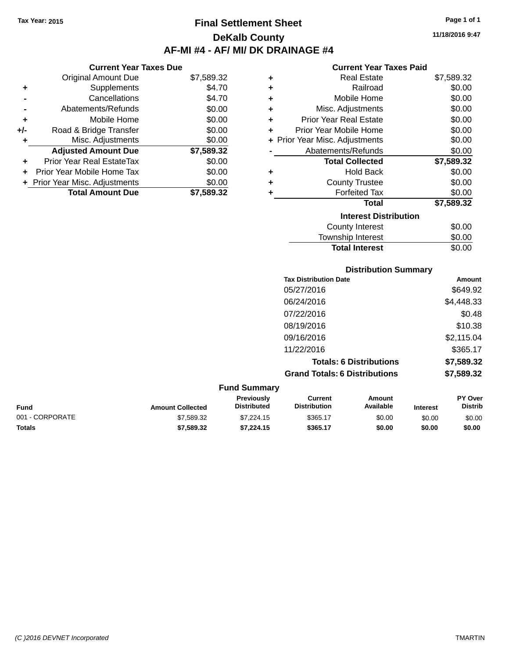### **Final Settlement Sheet Tax Year: 2015 Page 1 of 1 DeKalb County AF-MI #4 - AF/ MI/ DK DRAINAGE #4**

**11/18/2016 9:47**

### **Current Year Taxes Paid**

| <b>Current Year Taxes Due</b> |                                  |            |  |  |
|-------------------------------|----------------------------------|------------|--|--|
|                               | Original Amount Due              | \$7,589.32 |  |  |
| ٠                             | Supplements                      | \$4.70     |  |  |
|                               | Cancellations                    | \$4.70     |  |  |
|                               | Abatements/Refunds               | \$0.00     |  |  |
| ٠                             | Mobile Home                      | \$0.00     |  |  |
| +/-                           | Road & Bridge Transfer           | \$0.00     |  |  |
| ٠                             | Misc. Adjustments                | \$0.00     |  |  |
|                               | <b>Adjusted Amount Due</b>       | \$7,589.32 |  |  |
| ٠                             | <b>Prior Year Real EstateTax</b> | \$0.00     |  |  |
|                               | Prior Year Mobile Home Tax       | \$0.00     |  |  |
|                               | + Prior Year Misc. Adjustments   | \$0.00     |  |  |
|                               | <b>Total Amount Due</b>          | \$7.589.32 |  |  |

| ٠ | Real Estate                    | \$7,589.32 |
|---|--------------------------------|------------|
| ٠ | Railroad                       | \$0.00     |
| ٠ | Mobile Home                    | \$0.00     |
| ٠ | Misc. Adjustments              | \$0.00     |
| ٠ | <b>Prior Year Real Estate</b>  | \$0.00     |
| ٠ | Prior Year Mobile Home         | \$0.00     |
|   | + Prior Year Misc. Adjustments | \$0.00     |
|   | Abatements/Refunds             | \$0.00     |
|   | <b>Total Collected</b>         | \$7,589.32 |
| ٠ | Hold Back                      | \$0.00     |
| ÷ | <b>County Trustee</b>          | \$0.00     |
| ٠ | <b>Forfeited Tax</b>           | \$0.00     |
|   | <b>Total</b>                   | \$7,589.32 |
|   | <b>Interest Distribution</b>   |            |
|   | <b>County Interest</b>         | \$0.00     |
|   | <b>Township Interest</b>       | \$0.00     |
|   | <b>Total Interest</b>          | \$0.00     |

| Amount     |
|------------|
| \$649.92   |
| \$4,448.33 |
| \$0.48     |
| \$10.38    |
| \$2,115.04 |
| \$365.17   |
| \$7,589.32 |
| \$7,589.32 |
|            |

| <b>Fund Summary</b> |                         |                                         |                                |                     |                 |                                  |
|---------------------|-------------------------|-----------------------------------------|--------------------------------|---------------------|-----------------|----------------------------------|
| <b>Fund</b>         | <b>Amount Collected</b> | <b>Previously</b><br><b>Distributed</b> | Current<br><b>Distribution</b> | Amount<br>Available | <b>Interest</b> | <b>PY Over</b><br><b>Distrib</b> |
| 001 - CORPORATE     | \$7.589.32              | \$7.224.15                              | \$365.17                       | \$0.00              | \$0.00          | \$0.00                           |
| <b>Totals</b>       | \$7,589.32              | \$7.224.15                              | \$365.17                       | \$0.00              | \$0.00          | \$0.00                           |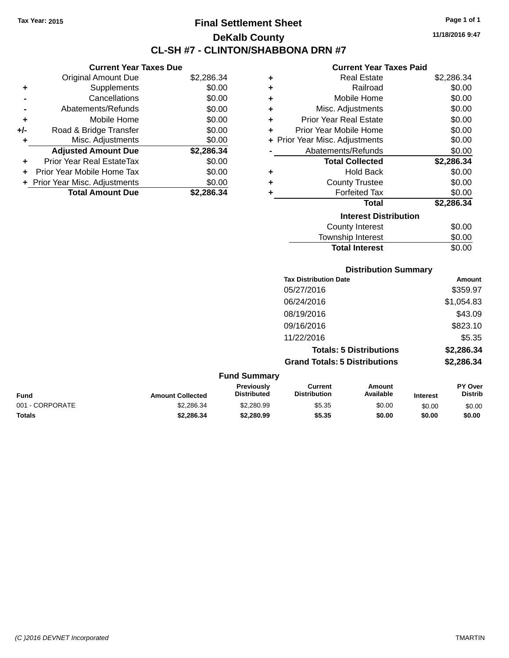### **Final Settlement Sheet Tax Year: 2015 Page 1 of 1 DeKalb County CL-SH #7 - CLINTON/SHABBONA DRN #7**

**11/18/2016 9:47**

#### **Current Year Taxes Paid**

| <b>Current Year Taxes Due</b> |                                |            |   |  |
|-------------------------------|--------------------------------|------------|---|--|
|                               | <b>Original Amount Due</b>     | \$2,286.34 |   |  |
| ٠                             | <b>Supplements</b>             | \$0.00     |   |  |
|                               | Cancellations                  | \$0.00     |   |  |
|                               | Abatements/Refunds             | \$0.00     | ٠ |  |
|                               | Mobile Home                    | \$0.00     | ٠ |  |
| +/-                           | Road & Bridge Transfer         | \$0.00     | ٠ |  |
|                               | Misc. Adjustments              | \$0.00     |   |  |
|                               | <b>Adjusted Amount Due</b>     | \$2,286.34 |   |  |
| ٠                             | Prior Year Real EstateTax      | \$0.00     |   |  |
|                               | Prior Year Mobile Home Tax     | \$0.00     |   |  |
|                               | + Prior Year Misc. Adjustments | \$0.00     | ٠ |  |
|                               | <b>Total Amount Due</b>        | \$2.286.34 |   |  |
|                               |                                |            |   |  |

| ٠ | <b>Real Estate</b>             | \$2,286.34 |
|---|--------------------------------|------------|
| ٠ | Railroad                       | \$0.00     |
| ٠ | Mobile Home                    | \$0.00     |
| ٠ | Misc. Adjustments              | \$0.00     |
| ٠ | Prior Year Real Estate         | \$0.00     |
| ÷ | Prior Year Mobile Home         | \$0.00     |
|   | + Prior Year Misc. Adjustments | \$0.00     |
|   | Abatements/Refunds             | \$0.00     |
|   | <b>Total Collected</b>         | \$2,286.34 |
| ٠ | Hold Back                      | \$0.00     |
| ٠ | <b>County Trustee</b>          | \$0.00     |
| ٠ | <b>Forfeited Tax</b>           | \$0.00     |
|   | <b>Total</b>                   | \$2,286.34 |
|   | <b>Interest Distribution</b>   |            |
|   | <b>County Interest</b>         | \$0.00     |
|   | <b>Township Interest</b>       | \$0.00     |
|   | <b>Total Interest</b>          | \$0.00     |

| <b>Distribution Summary</b>          |            |  |  |  |
|--------------------------------------|------------|--|--|--|
| <b>Tax Distribution Date</b>         | Amount     |  |  |  |
| 05/27/2016                           | \$359.97   |  |  |  |
| 06/24/2016                           | \$1,054.83 |  |  |  |
| 08/19/2016                           | \$43.09    |  |  |  |
| 09/16/2016                           | \$823.10   |  |  |  |
| 11/22/2016                           | \$5.35     |  |  |  |
| <b>Totals: 5 Distributions</b>       | \$2,286.34 |  |  |  |
| <b>Grand Totals: 5 Distributions</b> | \$2,286.34 |  |  |  |

| <b>Fund Summary</b> |                         |                                         |                                |                     |                 |                           |
|---------------------|-------------------------|-----------------------------------------|--------------------------------|---------------------|-----------------|---------------------------|
| Fund                | <b>Amount Collected</b> | <b>Previously</b><br><b>Distributed</b> | Current<br><b>Distribution</b> | Amount<br>Available | <b>Interest</b> | PY Over<br><b>Distrib</b> |
| 001 - CORPORATE     | \$2.286.34              | \$2,280.99                              | \$5.35                         | \$0.00              | \$0.00          | \$0.00                    |
| <b>Totals</b>       | \$2.286.34              | \$2,280.99                              | \$5.35                         | \$0.00              | \$0.00          | \$0.00                    |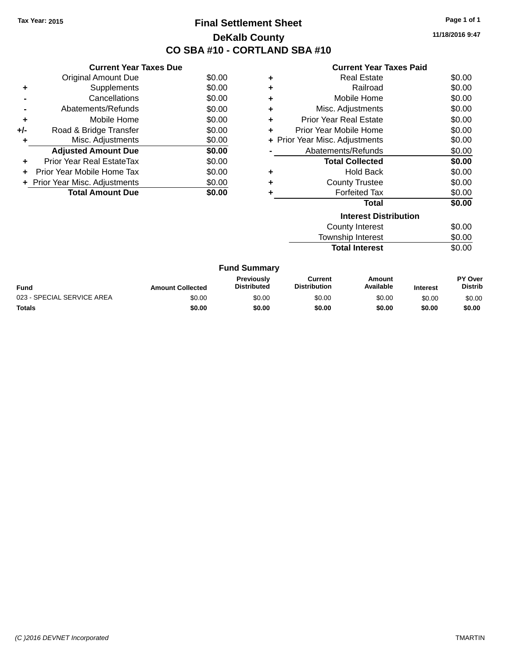### **Final Settlement Sheet Tax Year: 2015 Page 1 of 1 DeKalb County CO SBA #10 - CORTLAND SBA #10**

**11/18/2016 9:47**

|       | <b>Current Year Taxes Paid</b> |
|-------|--------------------------------|
| $\pm$ | <b>Real Estate</b>             |
|       | Railroad                       |

|       | <b>Current Year Taxes Due</b>  |        |
|-------|--------------------------------|--------|
|       | <b>Original Amount Due</b>     | \$0.00 |
| ٠     | Supplements                    | \$0.00 |
|       | Cancellations                  | \$0.00 |
|       | Abatements/Refunds             | \$0.00 |
| ٠     | Mobile Home                    | \$0.00 |
| $+/-$ | Road & Bridge Transfer         | \$0.00 |
|       | Misc. Adjustments              | \$0.00 |
|       | <b>Adjusted Amount Due</b>     | \$0.00 |
| ٠     | Prior Year Real EstateTax      | \$0.00 |
|       | Prior Year Mobile Home Tax     | \$0.00 |
|       | + Prior Year Misc. Adjustments | \$0.00 |
|       | <b>Total Amount Due</b>        | \$0.00 |
|       |                                |        |

| ٠ | <b>Real Estate</b>             | \$0.00 |  |  |  |
|---|--------------------------------|--------|--|--|--|
| ٠ | Railroad                       | \$0.00 |  |  |  |
| ٠ | Mobile Home                    | \$0.00 |  |  |  |
| ٠ | Misc. Adjustments              | \$0.00 |  |  |  |
| ٠ | Prior Year Real Estate         | \$0.00 |  |  |  |
| ٠ | Prior Year Mobile Home         | \$0.00 |  |  |  |
|   | + Prior Year Misc. Adjustments | \$0.00 |  |  |  |
|   | \$0.00<br>Abatements/Refunds   |        |  |  |  |
|   | <b>Total Collected</b>         | \$0.00 |  |  |  |
| ٠ | Hold Back                      | \$0.00 |  |  |  |
| ٠ | <b>County Trustee</b>          | \$0.00 |  |  |  |
| ٠ | <b>Forfeited Tax</b>           | \$0.00 |  |  |  |
|   | Total                          | \$0.00 |  |  |  |
|   | <b>Interest Distribution</b>   |        |  |  |  |
|   | <b>County Interest</b>         | \$0.00 |  |  |  |

Township Interest  $$0.00$ 

|                            |                         | <b>Total Interest</b>                   |                                | \$0.00                     |                 |                                  |  |
|----------------------------|-------------------------|-----------------------------------------|--------------------------------|----------------------------|-----------------|----------------------------------|--|
|                            |                         | <b>Fund Summary</b>                     |                                |                            |                 |                                  |  |
| <b>Fund</b>                | <b>Amount Collected</b> | <b>Previously</b><br><b>Distributed</b> | Current<br><b>Distribution</b> | <b>Amount</b><br>Available | <b>Interest</b> | <b>PY Over</b><br><b>Distrib</b> |  |
| 023 - SPECIAL SERVICE AREA | \$0.00                  | \$0.00                                  | \$0.00                         | \$0.00                     | \$0.00          | \$0.00                           |  |
| <b>Totals</b>              | \$0.00                  | \$0.00                                  | \$0.00                         | \$0.00                     | \$0.00          | \$0.00                           |  |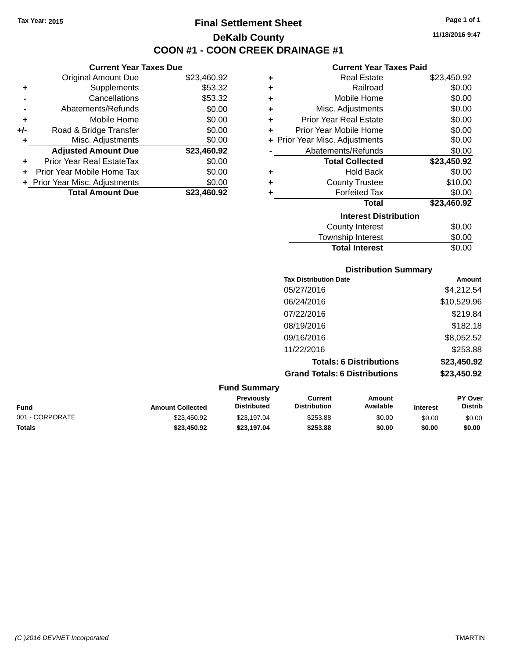**Current Year Taxes Due** Original Amount Due \$23,460.92

**Adjusted Amount Due \$23,460.92**

**Total Amount Due \$23,460.92**

**+** Supplements \$53.32 **-** Cancellations \$53.32 **-** Abatements/Refunds \$0.00 **+** Mobile Home \$0.00 **+/-** Road & Bridge Transfer \$0.00 **+** Misc. Adjustments \$0.00

**+** Prior Year Real EstateTax \$0.00 **+** Prior Year Mobile Home Tax \$0.00 **+ Prior Year Misc. Adjustments**  $$0.00$ 

### **Final Settlement Sheet Tax Year: 2015 Page 1 of 1 DeKalb County COON #1 - COON CREEK DRAINAGE #1**

**11/18/2016 9:47**

#### **Current Year Taxes Paid**

| ٠ | <b>Real Estate</b>             | \$23,450.92 |  |  |  |  |
|---|--------------------------------|-------------|--|--|--|--|
| ٠ | Railroad                       | \$0.00      |  |  |  |  |
| ٠ | Mobile Home                    | \$0.00      |  |  |  |  |
| ٠ | Misc. Adjustments              | \$0.00      |  |  |  |  |
| ٠ | <b>Prior Year Real Estate</b>  | \$0.00      |  |  |  |  |
| ÷ | Prior Year Mobile Home         | \$0.00      |  |  |  |  |
|   | + Prior Year Misc. Adjustments | \$0.00      |  |  |  |  |
|   | Abatements/Refunds             | \$0.00      |  |  |  |  |
|   | <b>Total Collected</b>         | \$23,450.92 |  |  |  |  |
| ٠ | Hold Back                      | \$0.00      |  |  |  |  |
| ٠ | <b>County Trustee</b>          | \$10.00     |  |  |  |  |
| ٠ | <b>Forfeited Tax</b>           | \$0.00      |  |  |  |  |
|   | Total                          | \$23,460.92 |  |  |  |  |
|   | <b>Interest Distribution</b>   |             |  |  |  |  |
|   | <b>County Interest</b>         | \$0.00      |  |  |  |  |
|   | <b>Township Interest</b>       | \$0.00      |  |  |  |  |
|   | <b>Total Interest</b>          | \$0.00      |  |  |  |  |

|                 |                         |                                  | <b>Distribution Summary</b><br><b>Tax Distribution Date</b> |                                |                 |                           |
|-----------------|-------------------------|----------------------------------|-------------------------------------------------------------|--------------------------------|-----------------|---------------------------|
|                 |                         |                                  |                                                             |                                |                 | Amount                    |
|                 |                         |                                  | 05/27/2016                                                  |                                |                 | \$4,212.54                |
|                 |                         |                                  | 06/24/2016                                                  |                                |                 | \$10,529.96               |
|                 |                         |                                  | 07/22/2016                                                  |                                |                 | \$219.84                  |
|                 |                         |                                  | 08/19/2016                                                  |                                |                 | \$182.18                  |
|                 |                         |                                  | 09/16/2016                                                  |                                |                 | \$8,052.52                |
|                 |                         |                                  | 11/22/2016                                                  |                                |                 | \$253.88                  |
|                 |                         |                                  |                                                             | <b>Totals: 6 Distributions</b> |                 | \$23,450.92               |
|                 |                         |                                  | <b>Grand Totals: 6 Distributions</b>                        |                                |                 | \$23,450.92               |
|                 |                         | <b>Fund Summary</b>              |                                                             |                                |                 |                           |
| <b>Fund</b>     | <b>Amount Collected</b> | Previously<br><b>Distributed</b> | <b>Current</b><br><b>Distribution</b>                       | <b>Amount</b><br>Available     | <b>Interest</b> | PY Over<br><b>Distrib</b> |
| 001 - CORPORATE | \$23,450.92             | \$23,197.04                      | \$253.88                                                    | \$0.00                         | \$0.00          | \$0.00                    |

**Totals \$23,450.92 \$23,197.04 \$253.88 \$0.00 \$0.00 \$0.00**

### *(C )2016 DEVNET Incorporated* TMARTIN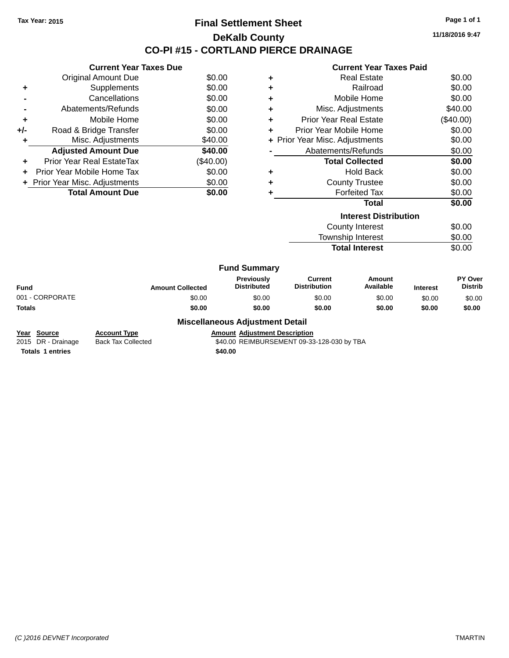### **Final Settlement Sheet Tax Year: 2015 Page 1 of 1 DeKalb County CO-PI #15 - CORTLAND PIERCE DRAINAGE**

**11/18/2016 9:47**

# **Current Year Taxes Paid**

| <b>Current Year Taxes Due</b>  |                                                               |                                        |                     | <b>Current Year Taxes Paid</b> |                                |                              |                 |                |
|--------------------------------|---------------------------------------------------------------|----------------------------------------|---------------------|--------------------------------|--------------------------------|------------------------------|-----------------|----------------|
|                                | <b>Original Amount Due</b>                                    | \$0.00                                 | ٠                   |                                |                                | <b>Real Estate</b>           |                 | \$0.00         |
| ٠                              | <b>Supplements</b>                                            | \$0.00                                 | ٠                   |                                | Railroad                       |                              | \$0.00          |                |
|                                | Cancellations                                                 | \$0.00                                 | ٠                   |                                |                                | Mobile Home                  |                 | \$0.00         |
|                                | Abatements/Refunds                                            | \$0.00                                 | ٠                   |                                |                                | Misc. Adjustments            |                 | \$40.00        |
| ٠                              | Mobile Home                                                   | \$0.00                                 | ٠                   |                                | <b>Prior Year Real Estate</b>  |                              |                 | (\$40.00)      |
| $+/-$                          | Road & Bridge Transfer                                        | \$0.00                                 | ٠                   |                                | Prior Year Mobile Home         |                              |                 | \$0.00         |
| ٠                              | Misc. Adjustments                                             | \$40.00                                |                     |                                | + Prior Year Misc. Adjustments |                              |                 | \$0.00         |
|                                | <b>Adjusted Amount Due</b>                                    | \$40.00                                |                     |                                | Abatements/Refunds             |                              |                 | \$0.00         |
| ٠                              | <b>Prior Year Real EstateTax</b>                              | (\$40.00)                              |                     |                                |                                | <b>Total Collected</b>       |                 | \$0.00         |
|                                | Prior Year Mobile Home Tax<br><b>Hold Back</b><br>\$0.00<br>٠ |                                        |                     |                                | \$0.00                         |                              |                 |                |
| + Prior Year Misc. Adjustments |                                                               | \$0.00                                 | ٠                   |                                | <b>County Trustee</b>          |                              | \$0.00          |                |
|                                | <b>Total Amount Due</b>                                       | \$0.00                                 | ٠                   |                                |                                | <b>Forfeited Tax</b>         |                 | \$0.00         |
|                                |                                                               |                                        |                     |                                |                                | <b>Total</b>                 |                 | \$0.00         |
|                                |                                                               |                                        |                     |                                |                                | <b>Interest Distribution</b> |                 |                |
|                                |                                                               |                                        |                     |                                |                                | <b>County Interest</b>       |                 | \$0.00         |
|                                |                                                               |                                        |                     |                                |                                | Township Interest            |                 | \$0.00         |
|                                |                                                               |                                        |                     |                                |                                | <b>Total Interest</b>        |                 | \$0.00         |
|                                |                                                               |                                        | <b>Fund Summary</b> |                                |                                |                              |                 |                |
|                                |                                                               |                                        | Previously          |                                | Current                        | <b>Amount</b>                |                 | PY Over        |
| <b>Fund</b>                    |                                                               | <b>Amount Collected</b>                | <b>Distributed</b>  |                                | <b>Distribution</b>            | Available                    | <b>Interest</b> | <b>Distrib</b> |
| 001 - CORPORATE                |                                                               | \$0.00                                 | \$0.00              |                                | \$0.00                         | \$0.00                       | \$0.00          | \$0.00         |
| <b>Totals</b>                  |                                                               | \$0.00                                 | \$0.00              |                                | \$0.00                         | \$0.00                       | \$0.00          | \$0.00         |
|                                |                                                               | <b>Miscellaneous Adjustment Detail</b> |                     |                                |                                |                              |                 |                |

**Miscellaneous Adjustment Detail**

**Year Source Account Type Account Type Amount Adjustment Description**<br>2015 DR - Drainage Back Tax Collected **1998** \$40.00 REIMBURSEMENT 09-33 \$40.00 REIMBURSEMENT 09-33-128-030 by TBA

**Totals 1 entries** \$40.00

*(C )2016 DEVNET Incorporated* TMARTIN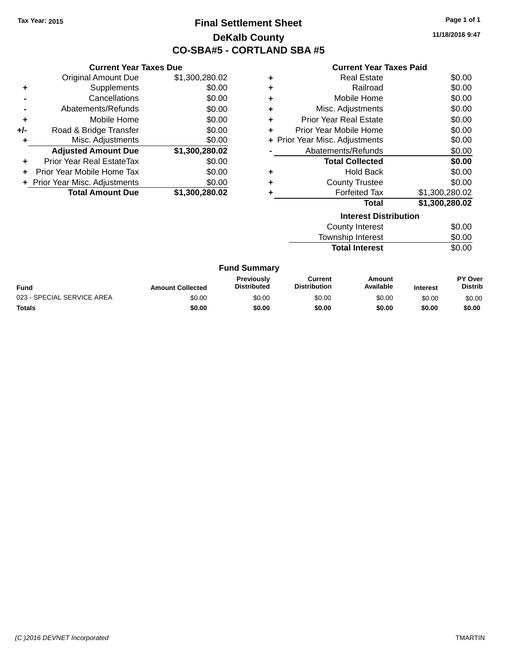### **Final Settlement Sheet Tax Year: 2015 Page 1 of 1 DeKalb County CO-SBA#5 - CORTLAND SBA #5**

**11/18/2016 9:47**

| <b>Current Year Taxes Paid</b> |  |  |
|--------------------------------|--|--|
|--------------------------------|--|--|

|       | <b>Current Year Taxes Due</b>  |                |   |                                | <b>Current Year Taxes Paid</b> |  |
|-------|--------------------------------|----------------|---|--------------------------------|--------------------------------|--|
|       | <b>Original Amount Due</b>     | \$1,300,280.02 | ٠ | <b>Real Estate</b>             | \$0.00                         |  |
| ٠     | Supplements                    | \$0.00         | ٠ | Railroad                       | \$0.00                         |  |
|       | Cancellations                  | \$0.00         | ٠ | Mobile Home                    | \$0.00                         |  |
|       | Abatements/Refunds             | \$0.00         | ٠ | Misc. Adjustments              | \$0.00                         |  |
| ÷     | Mobile Home                    | \$0.00         | ٠ | <b>Prior Year Real Estate</b>  | \$0.00                         |  |
| $+/-$ | Road & Bridge Transfer         | \$0.00         | ٠ | Prior Year Mobile Home         | \$0.00                         |  |
|       | Misc. Adjustments              | \$0.00         |   | + Prior Year Misc. Adjustments | \$0.00                         |  |
|       | <b>Adjusted Amount Due</b>     | \$1,300,280.02 |   | Abatements/Refunds             | \$0.00                         |  |
| ٠     | Prior Year Real EstateTax      | \$0.00         |   | <b>Total Collected</b>         | \$0.00                         |  |
|       | Prior Year Mobile Home Tax     | \$0.00         | ٠ | <b>Hold Back</b>               | \$0.00                         |  |
|       | + Prior Year Misc. Adjustments | \$0.00         | ٠ | <b>County Trustee</b>          | \$0.00                         |  |
|       | Total Amount Due               | \$1,300,280.02 |   | <b>Forfeited Tax</b>           | \$1,300,280.02                 |  |
|       |                                |                |   | Total                          | \$1,300,280.02                 |  |
|       |                                |                |   | <b>Interest Distribution</b>   |                                |  |
|       |                                |                |   | <b>County Interest</b>         | \$0.00                         |  |
|       |                                |                |   | <b>Township Interest</b>       | \$0.00                         |  |
|       |                                |                |   | <b>Total Interest</b>          | \$0.00                         |  |
|       |                                |                |   |                                |                                |  |

| <b>Fund Summary</b>        |                         |                                         |                                |                     |                 |                                  |  |
|----------------------------|-------------------------|-----------------------------------------|--------------------------------|---------------------|-----------------|----------------------------------|--|
| Fund                       | <b>Amount Collected</b> | <b>Previously</b><br><b>Distributed</b> | Current<br><b>Distribution</b> | Amount<br>Available | <b>Interest</b> | <b>PY Over</b><br><b>Distrib</b> |  |
| 023 - SPECIAL SERVICE AREA | \$0.00                  | \$0.00                                  | \$0.00                         | \$0.00              | \$0.00          | \$0.00                           |  |
| Totals                     | \$0.00                  | \$0.00                                  | \$0.00                         | \$0.00              | \$0.00          | \$0.00                           |  |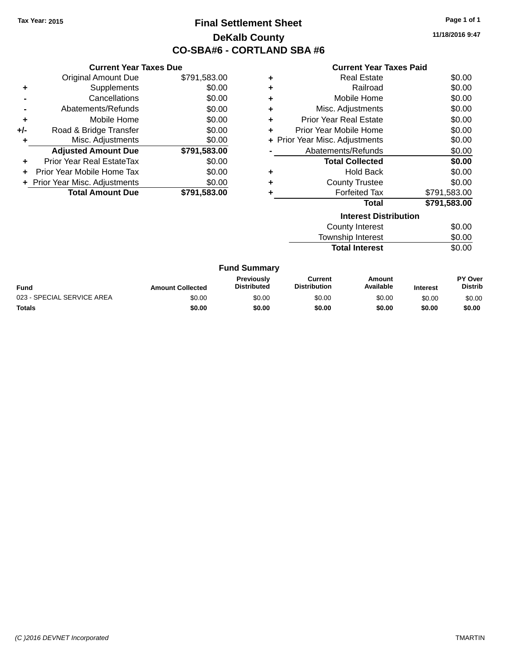## **Final Settlement Sheet Tax Year: 2015 Page 1 of 1 DeKalb County CO-SBA#6 - CORTLAND SBA #6**

**11/18/2016 9:47**

| <b>Current Year Taxes Paid</b> |  |  |  |
|--------------------------------|--|--|--|
|--------------------------------|--|--|--|

|     | <b>Current Year Taxes Due</b>  |              |   |
|-----|--------------------------------|--------------|---|
|     | <b>Original Amount Due</b>     | \$791,583.00 | ٠ |
| ÷   | Supplements                    | \$0.00       | ٠ |
|     | Cancellations                  | \$0.00       | ٠ |
|     | Abatements/Refunds             | \$0.00       |   |
| ٠   | Mobile Home                    | \$0.00       | ٠ |
| +/- | Road & Bridge Transfer         | \$0.00       | ٠ |
|     | Misc. Adjustments              | \$0.00       |   |
|     | <b>Adjusted Amount Due</b>     | \$791,583.00 |   |
|     | Prior Year Real EstateTax      | \$0.00       |   |
|     | Prior Year Mobile Home Tax     | \$0.00       |   |
|     | + Prior Year Misc. Adjustments | \$0.00       | ٠ |
|     | <b>Total Amount Due</b>        | \$791,583.00 |   |
|     |                                |              |   |

|   | <b>Interest Distribution</b>   |              |
|---|--------------------------------|--------------|
|   | Total                          | \$791,583.00 |
|   | <b>Forfeited Tax</b>           | \$791,583.00 |
| ٠ | <b>County Trustee</b>          | \$0.00       |
| ٠ | <b>Hold Back</b>               | \$0.00       |
|   | <b>Total Collected</b>         | \$0.00       |
|   | Abatements/Refunds             | \$0.00       |
|   | + Prior Year Misc. Adjustments | \$0.00       |
| ٠ | Prior Year Mobile Home         | \$0.00       |
| ٠ | <b>Prior Year Real Estate</b>  | \$0.00       |
| ٠ | Misc. Adjustments              | \$0.00       |
| ٠ | Mobile Home                    | \$0.00       |
| ÷ | Railroad                       | \$0.00       |
| ٠ | Real Estate                    | \$0.00       |
|   |                                |              |

| <u>MICICSL DISLINUMULI</u> |        |
|----------------------------|--------|
| <b>County Interest</b>     | \$0.00 |
| Township Interest          | \$0.00 |
| <b>Total Interest</b>      | \$0.00 |
|                            |        |

|  | <b>Fund Summary</b> |
|--|---------------------|
|--|---------------------|

| <b>Fund</b>                | <b>Amount Collected</b> | <b>Previously</b><br><b>Distributed</b> | Current<br><b>Distribution</b> | Amount<br>Available | <b>Interest</b> | PY Over<br>Distrib |
|----------------------------|-------------------------|-----------------------------------------|--------------------------------|---------------------|-----------------|--------------------|
| 023 - SPECIAL SERVICE AREA | \$0.00                  | \$0.00                                  | \$0.00                         | \$0.00              | \$0.00          | \$0.00             |
| Totals                     | \$0.00                  | \$0.00                                  | \$0.00                         | \$0.00              | \$0.00          | \$0.00             |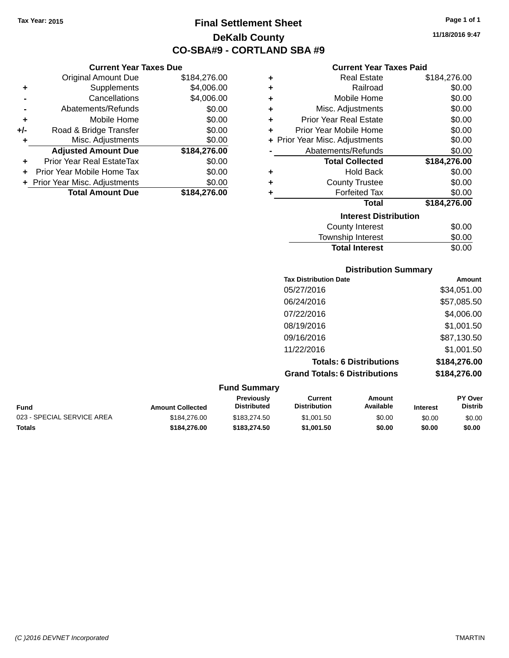**Current Year Taxes Due** Original Amount Due \$184,276.00

**Adjusted Amount Due \$184,276.00**

**Total Amount Due \$184,276.00**

**+** Supplements \$4,006.00 **-** Cancellations \$4,006.00 **-** Abatements/Refunds \$0.00 **+** Mobile Home \$0.00 **+/-** Road & Bridge Transfer \$0.00 **+** Misc. Adjustments \$0.00

**+** Prior Year Real EstateTax \$0.00 **+** Prior Year Mobile Home Tax \$0.00 **+ Prior Year Misc. Adjustments**  $$0.00$ 

## **Final Settlement Sheet Tax Year: 2015 Page 1 of 1 DeKalb County CO-SBA#9 - CORTLAND SBA #9**

**11/18/2016 9:47**

### **Current Year Taxes Paid**

| ÷ | <b>Real Estate</b>                                                                                              | \$184,276.00 |
|---|-----------------------------------------------------------------------------------------------------------------|--------------|
| ٠ | Railroad                                                                                                        | \$0.00       |
| ÷ | Mobile Home                                                                                                     | \$0.00       |
| ÷ | Misc. Adjustments                                                                                               | \$0.00       |
| ٠ | <b>Prior Year Real Estate</b>                                                                                   | \$0.00       |
| ÷ | Prior Year Mobile Home                                                                                          | \$0.00       |
|   | + Prior Year Misc. Adjustments                                                                                  | \$0.00       |
|   | Abatements/Refunds                                                                                              | \$0.00       |
|   | <b>Total Collected</b>                                                                                          | \$184,276.00 |
| ٠ | <b>Hold Back</b>                                                                                                | \$0.00       |
| ٠ | <b>County Trustee</b>                                                                                           | \$0.00       |
| ٠ | <b>Forfeited Tax</b>                                                                                            | \$0.00       |
|   | <b>Total</b>                                                                                                    | \$184,276.00 |
|   | <b>Interest Distribution</b>                                                                                    |              |
|   | <b>County Interest</b>                                                                                          | \$0.00       |
|   | The contract of the contract of the contract of the contract of the contract of the contract of the contract of | ີົົົ         |

| \$0.00 |
|--------|
| \$0.00 |
| \$0.00 |
|        |

| <b>Tax Distribution Date</b>         | <b>Amount</b> |
|--------------------------------------|---------------|
| 05/27/2016                           | \$34,051.00   |
| 06/24/2016                           | \$57,085.50   |
| 07/22/2016                           | \$4,006.00    |
| 08/19/2016                           | \$1,001.50    |
| 09/16/2016                           | \$87,130.50   |
| 11/22/2016                           | \$1,001.50    |
| <b>Totals: 6 Distributions</b>       | \$184,276.00  |
| <b>Grand Totals: 6 Distributions</b> | \$184,276.00  |

|                            |                         | <b>Fund Summary</b>                     |                                |                     |                 |                                  |
|----------------------------|-------------------------|-----------------------------------------|--------------------------------|---------------------|-----------------|----------------------------------|
| Fund                       | <b>Amount Collected</b> | <b>Previously</b><br><b>Distributed</b> | Current<br><b>Distribution</b> | Amount<br>Available | <b>Interest</b> | <b>PY Over</b><br><b>Distrib</b> |
| 023 - SPECIAL SERVICE AREA | \$184,276,00            | \$183.274.50                            | \$1,001.50                     | \$0.00              | \$0.00          | \$0.00                           |
| Totals                     | \$184.276.00            | \$183,274.50                            | \$1,001.50                     | \$0.00              | \$0.00          | \$0.00                           |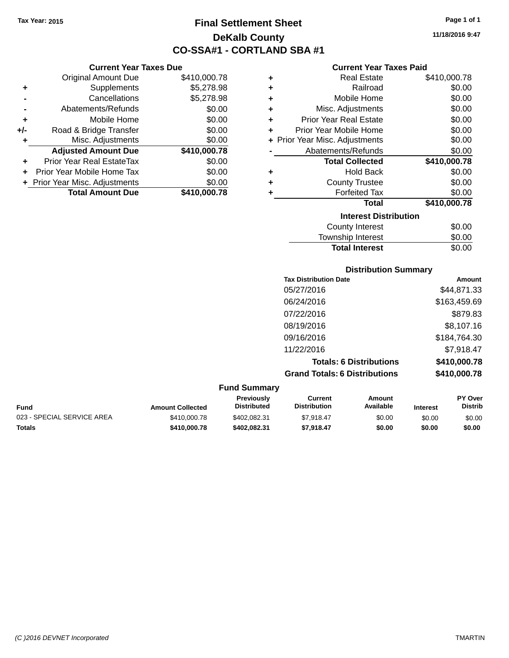**Current Year Taxes Due** Original Amount Due \$410,000.78

**Adjusted Amount Due \$410,000.78**

**Total Amount Due \$410,000.78**

**+** Supplements \$5,278.98 **-** Cancellations \$5,278.98 **-** Abatements/Refunds \$0.00 **+** Mobile Home \$0.00 **+/-** Road & Bridge Transfer \$0.00 **+** Misc. Adjustments \$0.00

**+** Prior Year Real EstateTax \$0.00 **+** Prior Year Mobile Home Tax \$0.00 **+ Prior Year Misc. Adjustments**  $$0.00$ 

## **Final Settlement Sheet Tax Year: 2015 Page 1 of 1 DeKalb County CO-SSA#1 - CORTLAND SBA #1**

**11/18/2016 9:47**

#### **Current Year Taxes Paid**

| ٠ | <b>Real Estate</b>             | \$410,000.78 |
|---|--------------------------------|--------------|
| ÷ | Railroad                       | \$0.00       |
| ٠ | Mobile Home                    | \$0.00       |
| ٠ | Misc. Adjustments              | \$0.00       |
| ٠ | <b>Prior Year Real Estate</b>  | \$0.00       |
| ÷ | Prior Year Mobile Home         | \$0.00       |
|   | + Prior Year Misc. Adjustments | \$0.00       |
|   | Abatements/Refunds             | \$0.00       |
|   | <b>Total Collected</b>         | \$410,000.78 |
| ÷ | <b>Hold Back</b>               | \$0.00       |
| ÷ | <b>County Trustee</b>          | \$0.00       |
| ٠ | <b>Forfeited Tax</b>           | \$0.00       |
|   | <b>Total</b>                   | \$410,000.78 |
|   | <b>Interest Distribution</b>   |              |
|   | <b>County Interest</b>         | \$0.00       |
|   | The contract of the second     | mn nn        |

# Township Interest \$0.00 **Total Interest** \$0.00

| <b>Tax Distribution Date</b>         | <b>Amount</b> |
|--------------------------------------|---------------|
| 05/27/2016                           | \$44,871.33   |
| 06/24/2016                           | \$163,459.69  |
| 07/22/2016                           | \$879.83      |
| 08/19/2016                           | \$8,107.16    |
| 09/16/2016                           | \$184,764.30  |
| 11/22/2016                           | \$7,918.47    |
| <b>Totals: 6 Distributions</b>       | \$410,000.78  |
| <b>Grand Totals: 6 Distributions</b> | \$410,000.78  |

|                            |                         | <b>Fund Summary</b>                     |                                |                     |                 |                                  |
|----------------------------|-------------------------|-----------------------------------------|--------------------------------|---------------------|-----------------|----------------------------------|
| Fund                       | <b>Amount Collected</b> | <b>Previously</b><br><b>Distributed</b> | Current<br><b>Distribution</b> | Amount<br>Available | <b>Interest</b> | <b>PY Over</b><br><b>Distrib</b> |
| 023 - SPECIAL SERVICE AREA | \$410,000.78            | \$402.082.31                            | \$7.918.47                     | \$0.00              | \$0.00          | \$0.00                           |
| Totals                     | \$410,000.78            | \$402.082.31                            | \$7.918.47                     | \$0.00              | \$0.00          | \$0.00                           |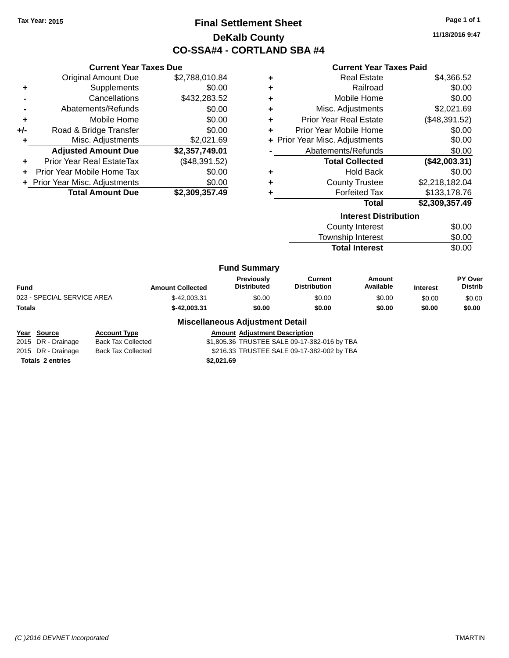**Current Year Taxes Due** Original Amount Due \$2,788,010.84

**Adjusted Amount Due \$2,357,749.01**

**Total Amount Due \$2,309,357.49**

**+** Supplements \$0.00 **-** Cancellations \$432,283.52 **-** Abatements/Refunds \$0.00 **+** Mobile Home \$0.00 **+/-** Road & Bridge Transfer \$0.00 **+** Misc. Adjustments \$2,021.69

**+** Prior Year Real EstateTax (\$48,391.52) **+** Prior Year Mobile Home Tax \$0.00 **+** Prior Year Misc. Adjustments  $$0.00$ 

### **Final Settlement Sheet Tax Year: 2015 Page 1 of 1 DeKalb County CO-SSA#4 - CORTLAND SBA #4**

**11/18/2016 9:47**

|    | <b>Current Year Taxes Paid</b> |               |
|----|--------------------------------|---------------|
| Ŧ. | <b>Real Estate</b>             | \$4,366.52    |
| Ŧ. | Railroad                       | \$0.00        |
| ÷. | Mobile Home                    | \$0.00        |
| ÷. | Misc. Adjustments              | \$2,021.69    |
| ÷. | <b>Prior Year Real Estate</b>  | (\$48,391.52) |
| ÷  | Prior Year Mobile Home         | \$0.00        |
|    | + Prior Year Misc. Adjustments | \$0.00        |
|    | Abatements/Refunds             | \$0.00        |
|    | <b>Total Collected</b>         | (\$42 003 31) |

|   | .                     | $1 + 1 = 1$    |
|---|-----------------------|----------------|
| ٠ | <b>Hold Back</b>      | \$0.00         |
| ٠ | <b>County Trustee</b> | \$2,218,182.04 |
| ٠ | <b>Forfeited Tax</b>  | \$133,178.76   |
|   | Total                 | \$2.309.357.49 |

| <b>Interest Distribution</b> |        |
|------------------------------|--------|
| County Interest              | \$0.00 |
| Township Interest            | \$0.00 |
| <b>Total Interest</b>        | \$0.00 |
|                              |        |

|  | Fund Summary |  |
|--|--------------|--|
|--|--------------|--|

|                            |                         | .                                |                                |                     |                 |                                  |
|----------------------------|-------------------------|----------------------------------|--------------------------------|---------------------|-----------------|----------------------------------|
| Fund                       | <b>Amount Collected</b> | Previously<br><b>Distributed</b> | Current<br><b>Distribution</b> | Amount<br>Available | <b>Interest</b> | <b>PY Over</b><br><b>Distrib</b> |
| 023 - SPECIAL SERVICE AREA | \$-42,003.31            | \$0.00                           | \$0.00                         | \$0.00              | \$0.00          | \$0.00                           |
| Totals                     | \$-42.003.31            | \$0.00                           | \$0.00                         | \$0.00              | \$0.00          | \$0.00                           |
|                            |                         |                                  |                                |                     |                 |                                  |

#### **Miscellaneous Adjustment Detail**

**Year Source Account Type Amount Adjustment Description** 2015 DR - Drainage Back Tax Collected \$1,805.36 TRUSTEE SALE 09-17-382-016 by TBA 2015 DR - Drainage Back Tax Collected \$216.33 TRUSTEE SALE 09-17-382-002 by TBA **Totals \$2,021.69 2 entries**

*(C )2016 DEVNET Incorporated* TMARTIN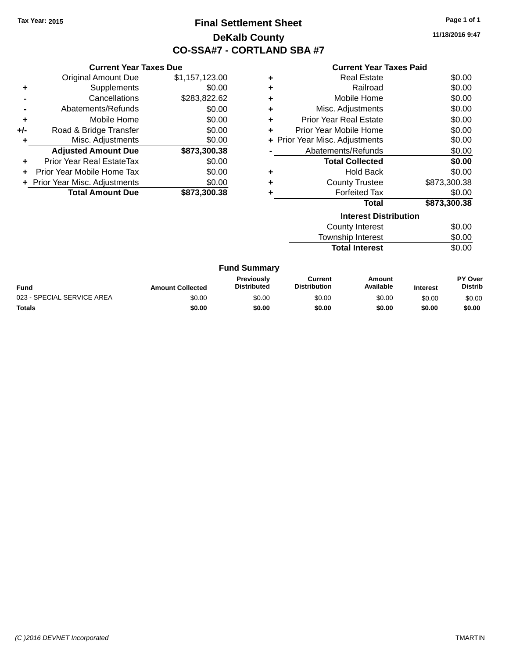## **Final Settlement Sheet Tax Year: 2015 Page 1 of 1 DeKalb County CO-SSA#7 - CORTLAND SBA #7**

**11/18/2016 9:47**

#### **Current Year Taxes Paid**

| <b>Current Yea</b>           |   |                | <b>Current Year Taxes Due</b>    |       |
|------------------------------|---|----------------|----------------------------------|-------|
| <b>Real Esta</b>             | ٠ | \$1,157,123.00 | Original Amount Due              |       |
| Railroa                      | ٠ | \$0.00         | Supplements                      | ÷     |
| Mobile Hon                   | ٠ | \$283,822.62   | Cancellations                    |       |
| Misc. Adjustmen              | ٠ | \$0.00         | Abatements/Refunds               |       |
| <b>Prior Year Real Esta</b>  | ٠ | \$0.00         | Mobile Home                      | ÷     |
| Prior Year Mobile Hon        | ٠ | \$0.00         | Road & Bridge Transfer           | $+/-$ |
| + Prior Year Misc. Adjustmen |   | \$0.00         | Misc. Adjustments                | ٠     |
| Abatements/Refun             |   | \$873,300.38   | <b>Adjusted Amount Due</b>       |       |
| <b>Total Collecte</b>        |   | \$0.00         | <b>Prior Year Real EstateTax</b> | ÷     |
| Hold Ba                      | ÷ | \$0.00         | Prior Year Mobile Home Tax       | ÷.    |
| <b>County Truste</b>         | ٠ | \$0.00         | + Prior Year Misc. Adjustments   |       |
| <b>Forfeited Ta</b>          |   | \$873,300.38   | <b>Total Amount Due</b>          |       |
| Tot                          |   |                |                                  |       |
| <b>Interest</b> D            |   |                |                                  |       |
| <b>County Intere</b>         |   |                |                                  |       |

|   | ويملك بطاواته والمفارق والمتحافظ |              |
|---|----------------------------------|--------------|
|   | <b>Total</b>                     | \$873,300.38 |
|   | <b>Forfeited Tax</b>             | \$0.00       |
| ٠ | <b>County Trustee</b>            | \$873,300.38 |
|   | Hold Back                        | \$0.00       |
|   | <b>Total Collected</b>           | \$0.00       |
|   | Abatements/Refunds               | \$0.00       |
|   | + Prior Year Misc. Adjustments   | \$0.00       |
| ÷ | Prior Year Mobile Home           | \$0.00       |
| ٠ | <b>Prior Year Real Estate</b>    | \$0.00       |
| ٠ | Misc. Adjustments                | \$0.00       |
| ÷ | Mobile Home                      | \$0.00       |
| ÷ | Railroad                         | \$0.00       |
|   | <b>Real Estate</b>               | \$0.00       |

| Interest Distribution |  |  |
|-----------------------|--|--|
| \$0.00                |  |  |
| \$0.00                |  |  |
| \$0.00                |  |  |
|                       |  |  |

#### **Fund Summary**

| <b>Fund</b>                | <b>Amount Collected</b> | <b>Previously</b><br><b>Distributed</b> | Current<br><b>Distribution</b> | Amount<br>Available | <b>Interest</b> | PY Over<br><b>Distrib</b> |
|----------------------------|-------------------------|-----------------------------------------|--------------------------------|---------------------|-----------------|---------------------------|
| 023 - SPECIAL SERVICE AREA | \$0.00                  | \$0.00                                  | \$0.00                         | \$0.00              | \$0.00          | \$0.00                    |
| Totals                     | \$0.00                  | \$0.00                                  | \$0.00                         | \$0.00              | \$0.00          | \$0.00                    |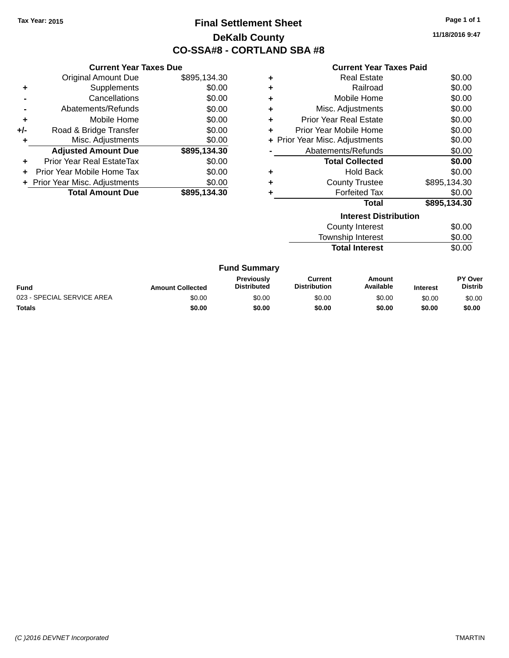## **Final Settlement Sheet Tax Year: 2015 Page 1 of 1 DeKalb County CO-SSA#8 - CORTLAND SBA #8**

**11/18/2016 9:47**

#### **Current Year Taxes Paid**

|     | <b>Current Year Taxes Due</b>  |              |  |  |  |  |
|-----|--------------------------------|--------------|--|--|--|--|
|     | <b>Original Amount Due</b>     | \$895,134.30 |  |  |  |  |
| ٠   | Supplements                    | \$0.00       |  |  |  |  |
|     | Cancellations                  | \$0.00       |  |  |  |  |
|     | Abatements/Refunds             | \$0.00       |  |  |  |  |
| ٠   | Mobile Home                    | \$0.00       |  |  |  |  |
| +/- | Road & Bridge Transfer         | \$0.00       |  |  |  |  |
| ٠   | Misc. Adjustments              | \$0.00       |  |  |  |  |
|     | <b>Adjusted Amount Due</b>     | \$895,134.30 |  |  |  |  |
| ÷   | Prior Year Real EstateTax      | \$0.00       |  |  |  |  |
| ÷   | Prior Year Mobile Home Tax     | \$0.00       |  |  |  |  |
|     | + Prior Year Misc. Adjustments | \$0.00       |  |  |  |  |
|     | <b>Total Amount Due</b>        | \$895.134.30 |  |  |  |  |

|   | <b>Total</b>                   | \$895,134.30 |
|---|--------------------------------|--------------|
|   | <b>Forfeited Tax</b>           | \$0.00       |
| ÷ | <b>County Trustee</b>          | \$895,134.30 |
| ٠ | <b>Hold Back</b>               | \$0.00       |
|   | <b>Total Collected</b>         | \$0.00       |
|   | Abatements/Refunds             | \$0.00       |
|   | + Prior Year Misc. Adjustments | \$0.00       |
| ٠ | Prior Year Mobile Home         | \$0.00       |
| ٠ | <b>Prior Year Real Estate</b>  | \$0.00       |
| ٠ | Misc. Adjustments              | \$0.00       |
| ÷ | Mobile Home                    | \$0.00       |
| ٠ | Railroad                       | \$0.00       |
|   | <b>Real Estate</b>             | \$0.00       |

| <b>Interest Distribution</b> |        |
|------------------------------|--------|
| County Interest              | \$0.00 |
| Township Interest            | \$0.00 |
| <b>Total Interest</b>        | \$0.00 |

#### **Fund Summary**

| <b>Fund</b>                | <b>Amount Collected</b> | <b>Previously</b><br><b>Distributed</b> | Current<br><b>Distribution</b> | Amount<br>Available | <b>Interest</b> | <b>PY Over</b><br><b>Distrib</b> |
|----------------------------|-------------------------|-----------------------------------------|--------------------------------|---------------------|-----------------|----------------------------------|
| 023 - SPECIAL SERVICE AREA | \$0.00                  | \$0.00                                  | \$0.00                         | \$0.00              | \$0.00          | \$0.00                           |
| <b>Totals</b>              | \$0.00                  | \$0.00                                  | \$0.00                         | \$0.00              | \$0.00          | \$0.00                           |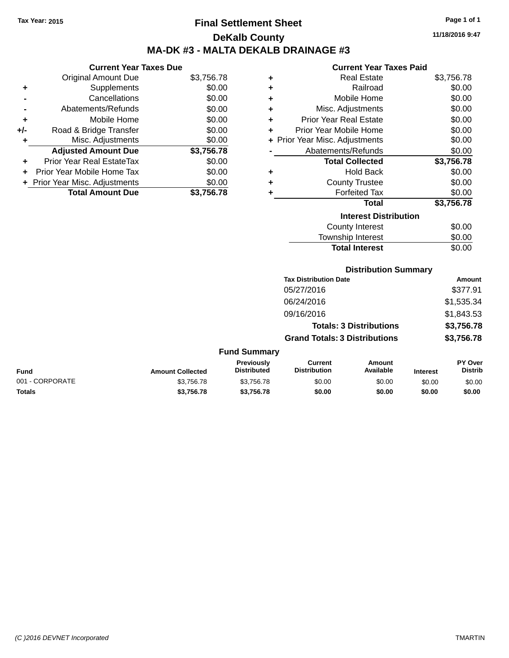## **Final Settlement Sheet Tax Year: 2015 Page 1 of 1 DeKalb County MA-DK #3 - MALTA DEKALB DRAINAGE #3**

**Current Year Taxes Due**

|       | <b>Original Amount Due</b>     | \$3,756.78 |
|-------|--------------------------------|------------|
| ٠     | Supplements                    | \$0.00     |
|       | Cancellations                  | \$0.00     |
|       | Abatements/Refunds             | \$0.00     |
| ٠     | Mobile Home                    | \$0.00     |
| $+/-$ | Road & Bridge Transfer         | \$0.00     |
| ٠     | Misc. Adjustments              | \$0.00     |
|       | <b>Adjusted Amount Due</b>     | \$3,756.78 |
|       | Prior Year Real EstateTax      | \$0.00     |
|       | Prior Year Mobile Home Tax     | \$0.00     |
|       | + Prior Year Misc. Adjustments | \$0.00     |
|       | <b>Total Amount Due</b>        | \$3,756.78 |

#### **Current Year Taxes Paid**

| ٠ | Real Estate                    | \$3,756.78 |
|---|--------------------------------|------------|
| ÷ | Railroad                       | \$0.00     |
| ٠ | Mobile Home                    | \$0.00     |
| ٠ | Misc. Adjustments              | \$0.00     |
| ÷ | Prior Year Real Estate         | \$0.00     |
| ٠ | Prior Year Mobile Home         | \$0.00     |
|   | + Prior Year Misc. Adjustments | \$0.00     |
|   | Abatements/Refunds             | \$0.00     |
|   | <b>Total Collected</b>         | \$3,756.78 |
| ٠ | <b>Hold Back</b>               | \$0.00     |
| ÷ | <b>County Trustee</b>          | \$0.00     |
| ٠ | <b>Forfeited Tax</b>           | \$0.00     |
|   | Total                          | \$3,756.78 |
|   | <b>Interest Distribution</b>   |            |
|   | <b>County Interest</b>         | \$0.00     |
|   | <b>Township Interest</b>       | \$0.00     |
|   | <b>Total Interest</b>          | \$0.00     |

| Dietribution Summary |  |
|----------------------|--|
|                      |  |
|                      |  |

| PISUIDUUDII JUIIIIIIII V             |            |
|--------------------------------------|------------|
| <b>Tax Distribution Date</b>         | Amount     |
| 05/27/2016                           | \$377.91   |
| 06/24/2016                           | \$1,535.34 |
| 09/16/2016                           | \$1,843.53 |
| <b>Totals: 3 Distributions</b>       | \$3,756.78 |
| <b>Grand Totals: 3 Distributions</b> | \$3,756.78 |
|                                      |            |

### **Fund Summary**

| <b>Fund</b>     | <b>Amount Collected</b> | <b>Previously</b><br><b>Distributed</b> | Current<br><b>Distribution</b> | Amount<br>Available | <b>Interest</b> | <b>PY Over</b><br>Distrib |
|-----------------|-------------------------|-----------------------------------------|--------------------------------|---------------------|-----------------|---------------------------|
| 001 - CORPORATE | \$3,756,78              | \$3.756.78                              | \$0.00                         | \$0.00              | \$0.00          | \$0.00                    |
| <b>Totals</b>   | \$3,756,78              | \$3.756.78                              | \$0.00                         | \$0.00              | \$0.00          | \$0.00                    |

**11/18/2016 9:47**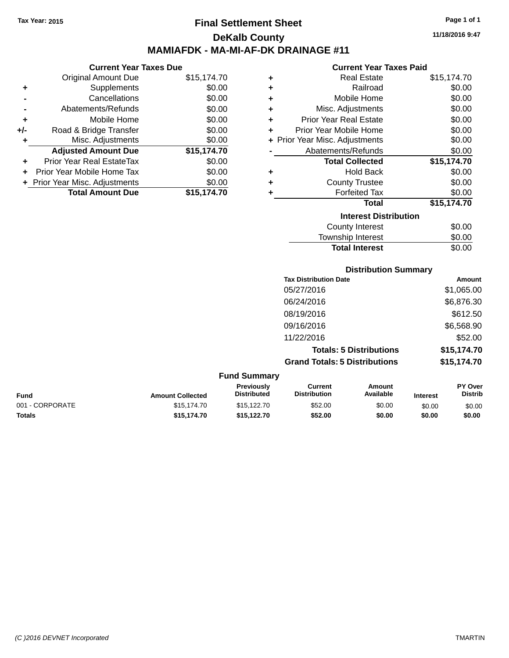### **Final Settlement Sheet Tax Year: 2015 Page 1 of 1 DeKalb County MAMIAFDK - MA-MI-AF-DK DRAINAGE #11**

**11/18/2016 9:47**

#### **Current Year Taxes Paid**

|     | <b>Current Year Taxes Due</b>  |             |
|-----|--------------------------------|-------------|
|     | <b>Original Amount Due</b>     | \$15,174.70 |
| ٠   | Supplements                    | \$0.00      |
|     | Cancellations                  | \$0.00      |
|     | Abatements/Refunds             | \$0.00      |
| ٠   | Mobile Home                    | \$0.00      |
| +/- | Road & Bridge Transfer         | \$0.00      |
| ٠   | Misc. Adjustments              | \$0.00      |
|     | <b>Adjusted Amount Due</b>     | \$15,174.70 |
| ٠   | Prior Year Real EstateTax      | \$0.00      |
|     | Prior Year Mobile Home Tax     | \$0.00      |
|     | + Prior Year Misc. Adjustments | \$0.00      |
|     | <b>Total Amount Due</b>        | \$15.174.70 |

| ٠ | <b>Real Estate</b>             | \$15,174.70 |  |  |  |  |  |
|---|--------------------------------|-------------|--|--|--|--|--|
| ÷ | Railroad                       | \$0.00      |  |  |  |  |  |
| ٠ | Mobile Home                    | \$0.00      |  |  |  |  |  |
| ÷ | Misc. Adjustments              | \$0.00      |  |  |  |  |  |
| ÷ | <b>Prior Year Real Estate</b>  | \$0.00      |  |  |  |  |  |
| ÷ | Prior Year Mobile Home         | \$0.00      |  |  |  |  |  |
|   | + Prior Year Misc. Adjustments | \$0.00      |  |  |  |  |  |
|   | Abatements/Refunds             | \$0.00      |  |  |  |  |  |
|   | <b>Total Collected</b>         | \$15,174.70 |  |  |  |  |  |
| ٠ | <b>Hold Back</b>               | \$0.00      |  |  |  |  |  |
| ٠ | <b>County Trustee</b>          | \$0.00      |  |  |  |  |  |
| ٠ | <b>Forfeited Tax</b>           | \$0.00      |  |  |  |  |  |
|   | <b>Total</b>                   | \$15,174.70 |  |  |  |  |  |
|   | <b>Interest Distribution</b>   |             |  |  |  |  |  |
|   | County Interest                | \$0.00      |  |  |  |  |  |
|   | <b>Township Interest</b>       | \$0.00      |  |  |  |  |  |
|   | <b>Total Interest</b>          | \$0.00      |  |  |  |  |  |

**Distribution Summary Tax Distribution Date Amount** 05/27/2016 \$1,065.00 06/24/2016 \$6,876.30 08/19/2016 \$612.50 09/16/2016 \$6,568.90 11/22/2016 \$52.00

**Totals: 5 Distributions \$15,174.70 Grand Totals: 5 Distributions \$15,174.70**

| <b>Fund Summary</b>     |                                         |                                |                     |                 |                                  |  |
|-------------------------|-----------------------------------------|--------------------------------|---------------------|-----------------|----------------------------------|--|
| <b>Amount Collected</b> | <b>Previously</b><br><b>Distributed</b> | Current<br><b>Distribution</b> | Amount<br>Available | <b>Interest</b> | <b>PY Over</b><br><b>Distrib</b> |  |
| \$15,174.70             | \$15,122.70                             | \$52.00                        | \$0.00              | \$0.00          | \$0.00                           |  |
| \$15,174.70             | \$15.122.70                             | \$52.00                        | \$0.00              | \$0.00          | \$0.00                           |  |
|                         |                                         |                                |                     |                 |                                  |  |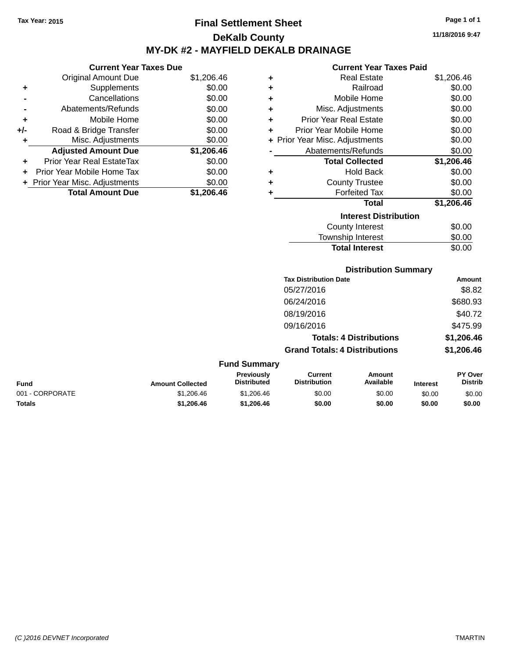## **Final Settlement Sheet Tax Year: 2015 Page 1 of 1 DeKalb County MY-DK #2 - MAYFIELD DEKALB DRAINAGE**

**Current Year Taxes Due**

|       | <b>Original Amount Due</b>       | \$1,206.46 |
|-------|----------------------------------|------------|
| ٠     | Supplements                      | \$0.00     |
|       | Cancellations                    | \$0.00     |
|       | Abatements/Refunds               | \$0.00     |
| ٠     | Mobile Home                      | \$0.00     |
| $+/-$ | Road & Bridge Transfer           | \$0.00     |
| ٠     | Misc. Adjustments                | \$0.00     |
|       | <b>Adjusted Amount Due</b>       | \$1,206.46 |
|       | <b>Prior Year Real EstateTax</b> | \$0.00     |
|       | Prior Year Mobile Home Tax       | \$0.00     |
|       | + Prior Year Misc. Adjustments   | \$0.00     |
|       | <b>Total Amount Due</b>          | \$1.206.46 |

#### **Current Year Taxes Paid**

| ÷ | <b>Real Estate</b>            | \$1,206.46 |  |  |  |  |  |
|---|-------------------------------|------------|--|--|--|--|--|
| ÷ | Railroad                      | \$0.00     |  |  |  |  |  |
| ٠ | Mobile Home                   | \$0.00     |  |  |  |  |  |
| ÷ | Misc. Adjustments             | \$0.00     |  |  |  |  |  |
| ٠ | <b>Prior Year Real Estate</b> | \$0.00     |  |  |  |  |  |
| ٠ | Prior Year Mobile Home        | \$0.00     |  |  |  |  |  |
| ÷ | Prior Year Misc. Adjustments  | \$0.00     |  |  |  |  |  |
|   | Abatements/Refunds            | \$0.00     |  |  |  |  |  |
|   | <b>Total Collected</b>        | \$1,206.46 |  |  |  |  |  |
| ٠ | <b>Hold Back</b>              | \$0.00     |  |  |  |  |  |
| ٠ | <b>County Trustee</b>         | \$0.00     |  |  |  |  |  |
| ٠ | <b>Forfeited Tax</b>          | \$0.00     |  |  |  |  |  |
|   | Total                         | \$1,206.46 |  |  |  |  |  |
|   | <b>Interest Distribution</b>  |            |  |  |  |  |  |
|   | County Interest               | \$0.00     |  |  |  |  |  |
|   | <b>Township Interest</b>      | \$0.00     |  |  |  |  |  |
|   | <b>Total Interest</b>         | \$0.00     |  |  |  |  |  |

| <b>Tax Distribution Date</b>         | Amount     |
|--------------------------------------|------------|
| 05/27/2016                           | \$8.82     |
| 06/24/2016                           | \$680.93   |
| 08/19/2016                           | \$40.72    |
| 09/16/2016                           | \$475.99   |
| <b>Totals: 4 Distributions</b>       | \$1,206.46 |
| <b>Grand Totals: 4 Distributions</b> | \$1,206.46 |

| <b>Fund Summary</b> |                         |                                         |                                |                     |                 |                           |
|---------------------|-------------------------|-----------------------------------------|--------------------------------|---------------------|-----------------|---------------------------|
| <b>Fund</b>         | <b>Amount Collected</b> | <b>Previously</b><br><b>Distributed</b> | Current<br><b>Distribution</b> | Amount<br>Available | <b>Interest</b> | PY Over<br><b>Distrib</b> |
| 001 - CORPORATE     | \$1,206.46              | \$1,206.46                              | \$0.00                         | \$0.00              | \$0.00          | \$0.00                    |
| <b>Totals</b>       | \$1,206,46              | \$1,206,46                              | \$0.00                         | \$0.00              | \$0.00          | \$0.00                    |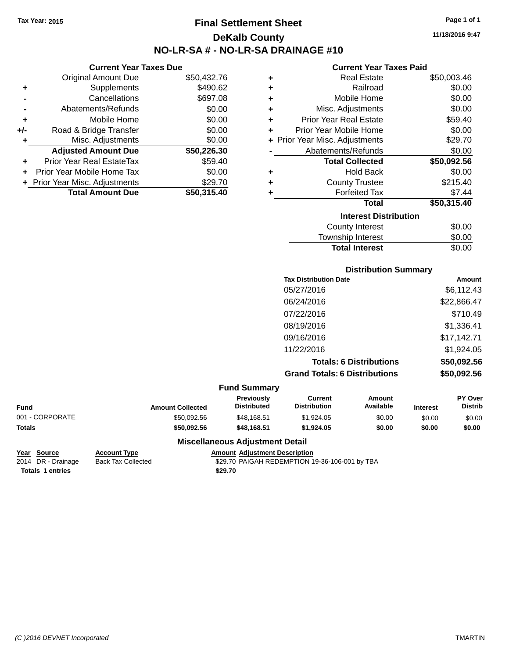### **Final Settlement Sheet Tax Year: 2015 Page 1 of 1 DeKalb County NO-LR-SA # - NO-LR-SA DRAINAGE #10**

**11/18/2016 9:47**

#### **Current Year Taxes Paid**

| ٠ | <b>Real Estate</b>             | \$50,003.46 |
|---|--------------------------------|-------------|
| ٠ | Railroad                       | \$0.00      |
| ٠ | Mobile Home                    | \$0.00      |
| ٠ | Misc. Adjustments              | \$0.00      |
| ٠ | <b>Prior Year Real Estate</b>  | \$59.40     |
| ٠ | Prior Year Mobile Home         | \$0.00      |
|   | + Prior Year Misc. Adjustments | \$29.70     |
|   | Abatements/Refunds             | \$0.00      |
|   | <b>Total Collected</b>         | \$50,092.56 |
| ٠ | <b>Hold Back</b>               | \$0.00      |
| ٠ | <b>County Trustee</b>          | \$215.40    |
| ٠ | <b>Forfeited Tax</b>           | \$7.44      |
|   | Total                          | \$50,315.40 |
|   | <b>Interest Distribution</b>   |             |
|   | <b>County Interest</b>         | \$0.00      |
|   | Township Interest              | \$0.00      |
|   | <b>Total Interest</b>          | \$0.00      |

|                 |                         |                                  |                                       | <b>Distribution Summary</b>    |                 |                           |
|-----------------|-------------------------|----------------------------------|---------------------------------------|--------------------------------|-----------------|---------------------------|
|                 |                         |                                  | <b>Tax Distribution Date</b>          |                                |                 | Amount                    |
|                 |                         |                                  | 05/27/2016                            |                                |                 | \$6,112.43                |
|                 |                         |                                  | 06/24/2016                            |                                |                 | \$22,866.47               |
|                 |                         |                                  | 07/22/2016                            |                                |                 | \$710.49                  |
|                 |                         |                                  | 08/19/2016                            |                                |                 | \$1,336.41                |
|                 |                         |                                  | 09/16/2016                            |                                |                 | \$17,142.71               |
|                 |                         |                                  | 11/22/2016                            |                                |                 | \$1,924.05                |
|                 |                         |                                  |                                       | <b>Totals: 6 Distributions</b> |                 | \$50,092.56               |
|                 |                         |                                  | <b>Grand Totals: 6 Distributions</b>  |                                |                 | \$50,092.56               |
|                 |                         | <b>Fund Summary</b>              |                                       |                                |                 |                           |
| <b>Fund</b>     | <b>Amount Collected</b> | Previously<br><b>Distributed</b> | <b>Current</b><br><b>Distribution</b> | <b>Amount</b><br>Available     | <b>Interest</b> | PY Over<br><b>Distrib</b> |
| 001 - CORPORATE | \$50,092.56             | \$48,168.51                      | \$1,924.05                            | \$0.00                         | \$0.00          | \$0.00                    |
| <b>Totals</b>   | \$50,092.56             | \$48,168.51                      | \$1,924.05                            | \$0.00                         | \$0.00          | \$0.00                    |

### **Miscellaneous Adjustment Detail**

**Totals 1 entries** \$29.70

**Current Year Taxes Due** Original Amount Due \$50,432.76

**Adjusted Amount Due \$50,226.30**

**Total Amount Due \$50,315.40**

**+** Supplements \$490.62 **-** Cancellations \$697.08 **-** Abatements/Refunds \$0.00 **+** Mobile Home \$0.00 **+/-** Road & Bridge Transfer \$0.00 **+** Misc. Adjustments \$0.00

**+** Prior Year Real EstateTax \$59.40 **+** Prior Year Mobile Home Tax \$0.00 **+** Prior Year Misc. Adjustments \$29.70

**Year Source Account Type Amount Adjustment Description** \$29.70 PAIGAH REDEMPTION 19-36-106-001 by TBA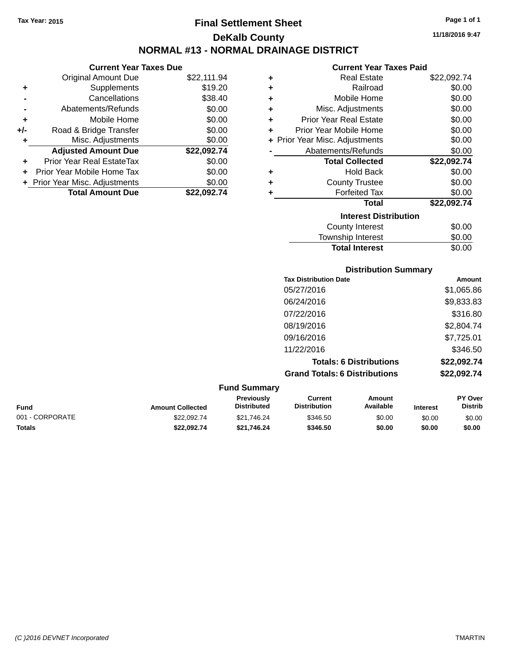**Original Amount Due** 

**Adjusted Amount Due** 

**Total Amount Due** 

**+** Supplements **-** Cancellations **-** Abatements/Refunds  $+$  Mobile Home **+/-** Road & Bridge Transfer **+** Misc. Adjustments

**+** Prior Year Real EstateTax \$0.00 **+** Prior Year Mobile Home Tax **+** Prior Year Misc. Adjustments

## **Final Settlement Sheet Tax Year: 2015 Page 1 of 1 DeKalb County NORMAL #13 - NORMAL DRAINAGE DISTRICT**

**11/18/2016 9:47**

### **Current Year Taxes Paid**

| <b>Current Year Taxes Due</b> |             |           | <b>Current Year Taxes Paid</b> |             |  |
|-------------------------------|-------------|-----------|--------------------------------|-------------|--|
| ่<br>เl Amount Due            | \$22,111.94 | ٠         | <b>Real Estate</b>             | \$22,092.74 |  |
| Supplements                   | \$19.20     | ٠         | Railroad                       | \$0.00      |  |
| Cancellations                 | \$38.40     | ٠         | Mobile Home                    | \$0.00      |  |
| าents/Refunds                 | \$0.00      | ÷         | Misc. Adjustments              | \$0.00      |  |
| Mobile Home                   | \$0.00      | $\ddot{}$ | <b>Prior Year Real Estate</b>  | \$0.00      |  |
| ridge Transfer                | \$0.00      | ÷         | Prior Year Mobile Home         | \$0.00      |  |
| . Adjustments                 | \$0.00      |           | + Prior Year Misc. Adjustments | \$0.00      |  |
| <b>Amount Due</b>             | \$22,092.74 |           | Abatements/Refunds             | \$0.00      |  |
| leal EstateTax≀               | \$0.00      |           | <b>Total Collected</b>         | \$22,092.74 |  |
| bile Home Tax                 | \$0.00      | ÷         | <b>Hold Back</b>               | \$0.00      |  |
| . Adjustments                 | \$0.00      | ٠         | <b>County Trustee</b>          | \$0.00      |  |
| <b>Amount Due</b>             | \$22,092.74 |           | <b>Forfeited Tax</b>           | \$0.00      |  |
|                               |             |           | Total                          | \$22,092.74 |  |
|                               |             |           | <b>Interest Distribution</b>   |             |  |
|                               |             |           |                                | $\cdots$    |  |

| \$0.00 |
|--------|
| \$0.00 |
| \$0.00 |
|        |

| <b>Tax Distribution Date</b>         | <b>Amount</b> |
|--------------------------------------|---------------|
| 05/27/2016                           | \$1,065.86    |
| 06/24/2016                           | \$9,833.83    |
| 07/22/2016                           | \$316.80      |
| 08/19/2016                           | \$2,804.74    |
| 09/16/2016                           | \$7,725.01    |
| 11/22/2016                           | \$346.50      |
| <b>Totals: 6 Distributions</b>       | \$22,092.74   |
| <b>Grand Totals: 6 Distributions</b> | \$22,092.74   |

| <b>Fund Summary</b> |                         |                                         |                                |                     |                 |                                  |
|---------------------|-------------------------|-----------------------------------------|--------------------------------|---------------------|-----------------|----------------------------------|
| <b>Fund</b>         | <b>Amount Collected</b> | <b>Previously</b><br><b>Distributed</b> | Current<br><b>Distribution</b> | Amount<br>Available | <b>Interest</b> | <b>PY Over</b><br><b>Distrib</b> |
| 001 - CORPORATE     | \$22.092.74             | \$21.746.24                             | \$346.50                       | \$0.00              | \$0.00          | \$0.00                           |
| <b>Totals</b>       | \$22.092.74             | \$21.746.24                             | \$346.50                       | \$0.00              | \$0.00          | \$0.00                           |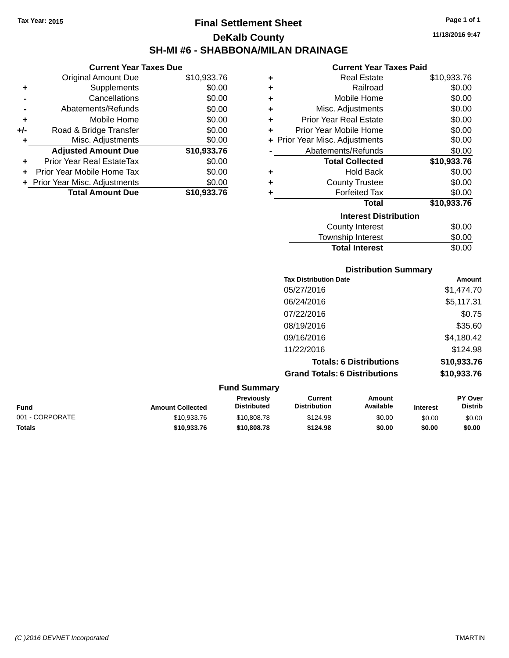### **Final Settlement Sheet Tax Year: 2015 Page 1 of 1 DeKalb County SH-MI #6 - SHABBONA/MILAN DRAINAGE**

**11/18/2016 9:47**

#### **Current Year Taxes Paid**

|     | <b>Current Year Taxes Due</b>  |             |
|-----|--------------------------------|-------------|
|     | <b>Original Amount Due</b>     | \$10,933.76 |
| ٠   | Supplements                    | \$0.00      |
|     | Cancellations                  | \$0.00      |
|     | Abatements/Refunds             | \$0.00      |
| ٠   | Mobile Home                    | \$0.00      |
| +/- | Road & Bridge Transfer         | \$0.00      |
| ٠   | Misc. Adjustments              | \$0.00      |
|     | <b>Adjusted Amount Due</b>     | \$10,933.76 |
| ٠   | Prior Year Real EstateTax      | \$0.00      |
| ٠   | Prior Year Mobile Home Tax     | \$0.00      |
|     | + Prior Year Misc. Adjustments | \$0.00      |
|     | <b>Total Amount Due</b>        | \$10,933.76 |

| ٠ | <b>Real Estate</b>             | \$10,933.76 |
|---|--------------------------------|-------------|
| ÷ | Railroad                       | \$0.00      |
| ÷ | Mobile Home                    | \$0.00      |
| ÷ | Misc. Adjustments              | \$0.00      |
| ÷ | <b>Prior Year Real Estate</b>  | \$0.00      |
| ٠ | Prior Year Mobile Home         | \$0.00      |
|   | + Prior Year Misc. Adjustments | \$0.00      |
|   | Abatements/Refunds             | \$0.00      |
|   | <b>Total Collected</b>         | \$10,933.76 |
| ٠ | <b>Hold Back</b>               | \$0.00      |
| ٠ | <b>County Trustee</b>          | \$0.00      |
| ٠ | <b>Forfeited Tax</b>           | \$0.00      |
|   | <b>Total</b>                   | \$10,933.76 |
|   | <b>Interest Distribution</b>   |             |
|   | <b>County Interest</b>         | \$0.00      |
|   | Township Interest              | \$0.00      |
|   | <b>Total Interest</b>          | \$0.00      |

|                  |                                  |                                       | <b>Distribution Summary</b>    |         |                                  |
|------------------|----------------------------------|---------------------------------------|--------------------------------|---------|----------------------------------|
|                  |                                  | <b>Tax Distribution Date</b>          |                                |         | <b>Amount</b>                    |
|                  |                                  | 05/27/2016                            |                                |         | \$1,474.70                       |
|                  |                                  | 06/24/2016                            |                                |         | \$5,117.31                       |
|                  |                                  | 07/22/2016                            |                                |         | \$0.75                           |
|                  |                                  | 08/19/2016                            |                                |         | \$35.60                          |
|                  |                                  | 09/16/2016                            |                                |         | \$4,180.42                       |
|                  |                                  | 11/22/2016                            |                                |         | \$124.98                         |
|                  |                                  |                                       | <b>Totals: 6 Distributions</b> |         | \$10,933.76                      |
|                  |                                  | <b>Grand Totals: 6 Distributions</b>  |                                |         | \$10,933.76                      |
|                  | <b>Fund Summary</b>              |                                       |                                |         |                                  |
| Amount Colloctod | Previously<br><b>Distributed</b> | <b>Current</b><br><b>Distribution</b> | Amount<br>Available            | Intract | <b>PY Over</b><br><b>Distrib</b> |

| <b>Fund</b>     | <b>Amount Collected</b> | <b>Previously</b><br><b>Distributed</b> | Current<br><b>Distribution</b> | Amount<br>Available | <b>Interest</b> | <b>PY Over</b><br><b>Distrib</b> |
|-----------------|-------------------------|-----------------------------------------|--------------------------------|---------------------|-----------------|----------------------------------|
| 001 - CORPORATE | \$10.933.76             | \$10,808.78                             | \$124.98                       | \$0.00              | \$0.00          | \$0.00                           |
| Totals          | \$10.933.76             | \$10,808,78                             | \$124.98                       | \$0.00              | \$0.00          | \$0.00                           |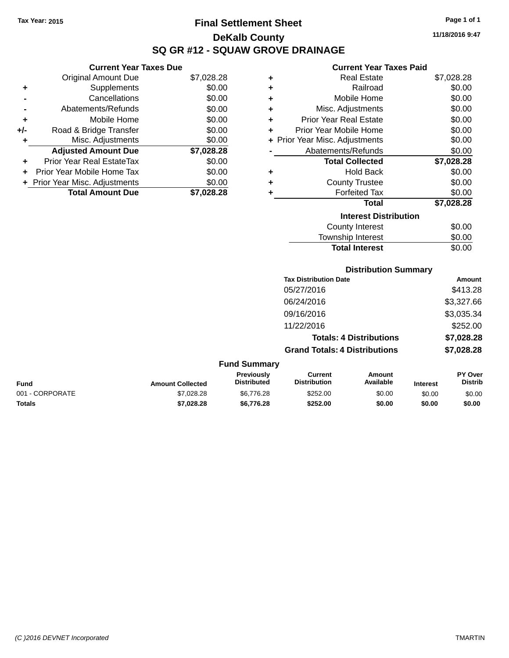## **Final Settlement Sheet Tax Year: 2015 Page 1 of 1 DeKalb County SQ GR #12 - SQUAW GROVE DRAINAGE**

**11/18/2016 9:47**

#### **Current Year Taxes Paid**

|     | <b>Current Year Taxes Due</b>  |            |
|-----|--------------------------------|------------|
|     | <b>Original Amount Due</b>     | \$7,028.28 |
| ٠   | Supplements                    | \$0.00     |
|     | Cancellations                  | \$0.00     |
|     | Abatements/Refunds             | \$0.00     |
| ٠   | Mobile Home                    | \$0.00     |
| +/- | Road & Bridge Transfer         | \$0.00     |
| ٠   | Misc. Adjustments              | \$0.00     |
|     | <b>Adjusted Amount Due</b>     | \$7,028.28 |
|     | Prior Year Real EstateTax      | \$0.00     |
| ٠   | Prior Year Mobile Home Tax     | \$0.00     |
|     |                                |            |
|     | + Prior Year Misc. Adjustments | \$0.00     |

| ٠ | <b>Real Estate</b>             | \$7,028.28 |
|---|--------------------------------|------------|
| ٠ | Railroad                       | \$0.00     |
| ٠ | Mobile Home                    | \$0.00     |
| ÷ | Misc. Adjustments              | \$0.00     |
| ٠ | <b>Prior Year Real Estate</b>  | \$0.00     |
| ٠ | Prior Year Mobile Home         | \$0.00     |
|   | + Prior Year Misc. Adjustments | \$0.00     |
|   | Abatements/Refunds             | \$0.00     |
|   | <b>Total Collected</b>         | \$7,028.28 |
| ٠ | <b>Hold Back</b>               | \$0.00     |
| ٠ | <b>County Trustee</b>          | \$0.00     |
| ٠ | <b>Forfeited Tax</b>           | \$0.00     |
|   | <b>Total</b>                   | \$7,028.28 |
|   | <b>Interest Distribution</b>   |            |
|   | <b>County Interest</b>         | \$0.00     |
|   | <b>Township Interest</b>       | \$0.00     |
|   | <b>Total Interest</b>          | \$0.00     |

### **Distribution Summary**

| <b>Tax Distribution Date</b>         | Amount     |
|--------------------------------------|------------|
| 05/27/2016                           | \$413.28   |
| 06/24/2016                           | \$3,327.66 |
| 09/16/2016                           | \$3,035.34 |
| 11/22/2016                           | \$252.00   |
| <b>Totals: 4 Distributions</b>       | \$7,028.28 |
| <b>Grand Totals: 4 Distributions</b> | \$7,028.28 |
|                                      |            |

#### **Fund Summary Fund Interest Amount Collected Distributed PY Over Distrib Amount Available Current Distribution Previously** 001 - CORPORATE 60.00 \$7,028.28 \$6,776.28 \$252.00 \$0.00 \$0.00 \$0.00 \$0.00 **Totals \$7,028.28 \$6,776.28 \$252.00 \$0.00 \$0.00 \$0.00**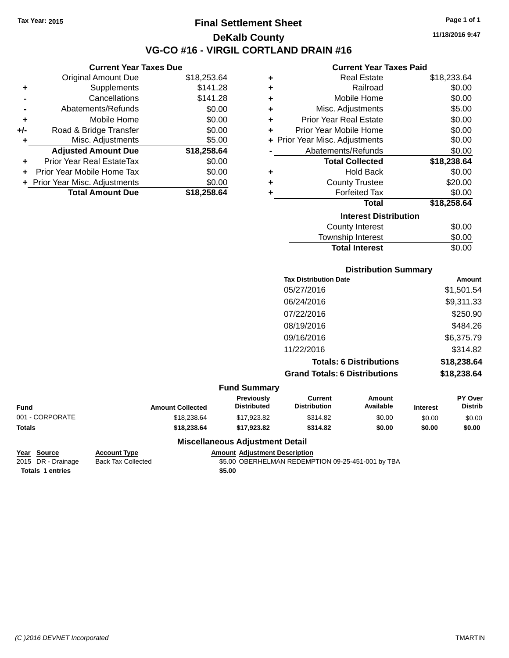### **Final Settlement Sheet Tax Year: 2015 Page 1 of 1 DeKalb County VG-CO #16 - VIRGIL CORTLAND DRAIN #16**

**11/18/2016 9:47**

#### **Current Year Taxes Paid**

|     | <b>Current Year Taxes Due</b>  |             |  |  |  |
|-----|--------------------------------|-------------|--|--|--|
|     | Original Amount Due            | \$18,253.64 |  |  |  |
| ٠   | Supplements                    | \$141.28    |  |  |  |
|     | Cancellations                  | \$141.28    |  |  |  |
|     | Abatements/Refunds             | \$0.00      |  |  |  |
| ٠   | Mobile Home                    | \$0.00      |  |  |  |
| +/- | Road & Bridge Transfer         | \$0.00      |  |  |  |
| ٠   | Misc. Adjustments              | \$5.00      |  |  |  |
|     | <b>Adjusted Amount Due</b>     | \$18,258.64 |  |  |  |
| ٠   | Prior Year Real EstateTax      | \$0.00      |  |  |  |
| ٠   | Prior Year Mobile Home Tax     | \$0.00      |  |  |  |
|     | + Prior Year Misc. Adjustments | \$0.00      |  |  |  |
|     | <b>Total Amount Due</b>        | \$18,258.64 |  |  |  |

| ٠ | Real Estate                    | \$18,233.64 |
|---|--------------------------------|-------------|
| ÷ | Railroad                       | \$0.00      |
| ٠ | Mobile Home                    | \$0.00      |
| ÷ | Misc. Adjustments              | \$5.00      |
| ٠ | <b>Prior Year Real Estate</b>  | \$0.00      |
| ٠ | Prior Year Mobile Home         | \$0.00      |
|   | + Prior Year Misc. Adjustments | \$0.00      |
|   | Abatements/Refunds             | \$0.00      |
|   | <b>Total Collected</b>         | \$18,238.64 |
| ٠ | <b>Hold Back</b>               | \$0.00      |
| ٠ | <b>County Trustee</b>          | \$20.00     |
| ٠ | <b>Forfeited Tax</b>           | \$0.00      |
|   | <b>Total</b>                   | \$18,258.64 |
|   | <b>Interest Distribution</b>   |             |
|   | <b>County Interest</b>         | \$0.00      |
|   | <b>Township Interest</b>       | \$0.00      |
|   | <b>Total Interest</b>          | \$0.00      |

|                 |                         |                                  |                                       | <b>Distribution Summary</b>    |                 |                           |
|-----------------|-------------------------|----------------------------------|---------------------------------------|--------------------------------|-----------------|---------------------------|
|                 |                         |                                  | <b>Tax Distribution Date</b>          |                                |                 | Amount                    |
|                 |                         |                                  | 05/27/2016                            |                                |                 | \$1,501.54                |
|                 |                         |                                  | 06/24/2016                            |                                |                 | \$9,311.33                |
|                 |                         |                                  | 07/22/2016                            |                                |                 | \$250.90                  |
|                 |                         |                                  | 08/19/2016                            |                                |                 | \$484.26                  |
|                 |                         |                                  | 09/16/2016                            |                                |                 | \$6,375.79                |
|                 |                         |                                  | 11/22/2016                            |                                |                 | \$314.82                  |
|                 |                         |                                  |                                       | <b>Totals: 6 Distributions</b> |                 | \$18,238.64               |
|                 |                         |                                  | <b>Grand Totals: 6 Distributions</b>  |                                |                 | \$18,238.64               |
|                 |                         | <b>Fund Summary</b>              |                                       |                                |                 |                           |
| <b>Fund</b>     | <b>Amount Collected</b> | Previously<br><b>Distributed</b> | <b>Current</b><br><b>Distribution</b> | <b>Amount</b><br>Available     | <b>Interest</b> | PY Over<br><b>Distrib</b> |
| 001 - CORPORATE | \$18,238.64             | \$17,923.82                      | \$314.82                              | \$0.00                         | \$0.00          | \$0.00                    |
| <b>Totals</b>   | \$18,238.64             | \$17,923.82                      | \$314.82                              | \$0.00                         | \$0.00          | \$0.00                    |

### **Miscellaneous Adjustment Detail**

**Year Source Account Type Amount Adjustment Description**

\$5.00 OBERHELMAN REDEMPTION 09-25-451-001 by TBA **Totals 1 entries** \$5.00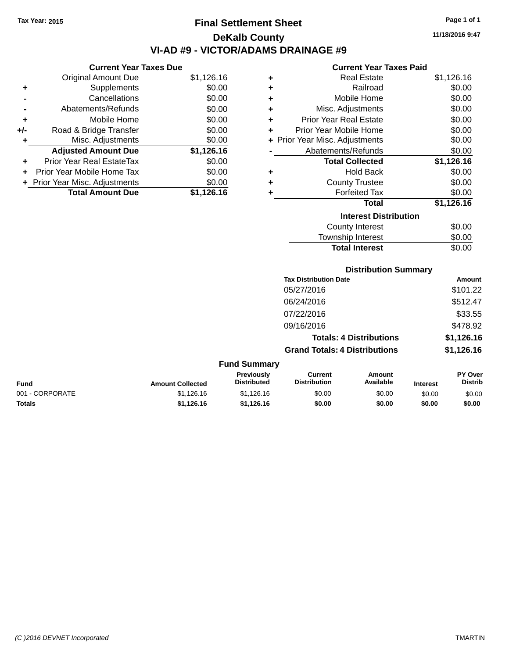## **Final Settlement Sheet Tax Year: 2015 Page 1 of 1 DeKalb County VI-AD #9 - VICTOR/ADAMS DRAINAGE #9**

**11/18/2016 9:47**

#### **Current Year Taxes Paid**

|     | <b>Current Year Taxes Due</b>  |            |  |  |  |
|-----|--------------------------------|------------|--|--|--|
|     | <b>Original Amount Due</b>     | \$1,126.16 |  |  |  |
| ٠   | Supplements                    | \$0.00     |  |  |  |
|     | Cancellations                  | \$0.00     |  |  |  |
|     | Abatements/Refunds             | \$0.00     |  |  |  |
| ٠   | Mobile Home                    | \$0.00     |  |  |  |
| +/- | Road & Bridge Transfer         | \$0.00     |  |  |  |
| ٠   | Misc. Adjustments              | \$0.00     |  |  |  |
|     | <b>Adjusted Amount Due</b>     | \$1,126.16 |  |  |  |
| ÷   | Prior Year Real EstateTax      | \$0.00     |  |  |  |
| ٠   | Prior Year Mobile Home Tax     | \$0.00     |  |  |  |
|     | + Prior Year Misc. Adjustments | \$0.00     |  |  |  |
|     | <b>Total Amount Due</b>        | \$1.126.16 |  |  |  |
|     |                                |            |  |  |  |

| ٠ | Real Estate                    | \$1,126.16 |
|---|--------------------------------|------------|
| ٠ | Railroad                       | \$0.00     |
| ٠ | Mobile Home                    | \$0.00     |
| ٠ | Misc. Adjustments              | \$0.00     |
| ٠ | Prior Year Real Estate         | \$0.00     |
| ٠ | Prior Year Mobile Home         | \$0.00     |
|   | + Prior Year Misc. Adjustments | \$0.00     |
|   | Abatements/Refunds             | \$0.00     |
|   | <b>Total Collected</b>         | \$1,126.16 |
| ٠ | Hold Back                      | \$0.00     |
| ٠ | <b>County Trustee</b>          | \$0.00     |
| ٠ | <b>Forfeited Tax</b>           | \$0.00     |
|   | Total                          | \$1,126.16 |
|   | <b>Interest Distribution</b>   |            |
|   | <b>County Interest</b>         | \$0.00     |
|   | <b>Township Interest</b>       | \$0.00     |
|   | <b>Total Interest</b>          | \$0.00     |

### **Distribution Summary**

| <b>Tax Distribution Date</b>         | Amount     |
|--------------------------------------|------------|
| 05/27/2016                           | \$101.22   |
| 06/24/2016                           | \$512.47   |
| 07/22/2016                           | \$33.55    |
| 09/16/2016                           | \$478.92   |
| <b>Totals: 4 Distributions</b>       | \$1,126.16 |
| <b>Grand Totals: 4 Distributions</b> | \$1,126.16 |

#### **Fund Summary Fund Interest Amount Collected Distributed PY Over Distrib Amount Available Current Distribution Previously** 001 - CORPORATE 60.00 \$1,126.16 \$1,126.16 \$1,126.16 \$0.00 \$0.00 \$0.00 \$0.00 \$0.00 **Totals \$1,126.16 \$1,126.16 \$0.00 \$0.00 \$0.00 \$0.00**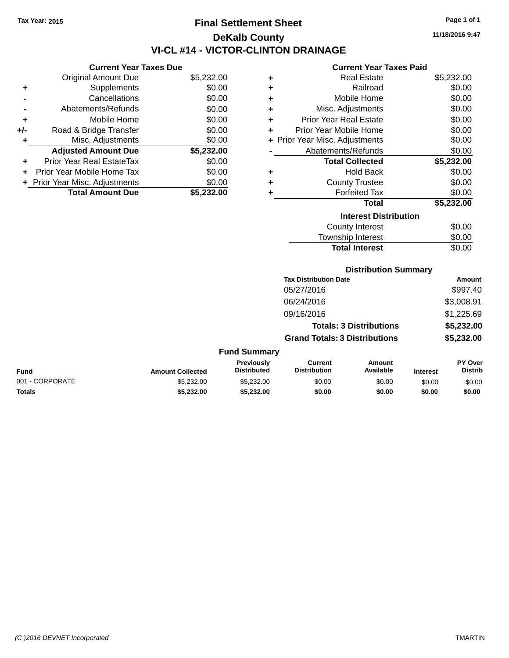## **Final Settlement Sheet Tax Year: 2015 Page 1 of 1 DeKalb County VI-CL #14 - VICTOR-CLINTON DRAINAGE**

**11/18/2016 9:47**

#### **Current Year Taxes Paid**

|     | <b>Current Year Taxes Due</b>  |            |  |  |  |
|-----|--------------------------------|------------|--|--|--|
|     | <b>Original Amount Due</b>     | \$5,232.00 |  |  |  |
| ٠   | Supplements                    | \$0.00     |  |  |  |
|     | Cancellations                  | \$0.00     |  |  |  |
|     | Abatements/Refunds             | \$0.00     |  |  |  |
| ٠   | Mobile Home                    | \$0.00     |  |  |  |
| +/- | Road & Bridge Transfer         | \$0.00     |  |  |  |
| ٠   | Misc. Adjustments              | \$0.00     |  |  |  |
|     | <b>Adjusted Amount Due</b>     | \$5,232.00 |  |  |  |
|     | Prior Year Real EstateTax      | \$0.00     |  |  |  |
|     | Prior Year Mobile Home Tax     | \$0.00     |  |  |  |
|     | + Prior Year Misc. Adjustments | \$0.00     |  |  |  |
|     | <b>Total Amount Due</b>        | \$5.232.00 |  |  |  |

| ٠                            | <b>Real Estate</b>             | \$5,232.00 |  |  |  |
|------------------------------|--------------------------------|------------|--|--|--|
| ٠                            | Railroad                       | \$0.00     |  |  |  |
| ٠                            | Mobile Home                    | \$0.00     |  |  |  |
| ÷                            | Misc. Adjustments              | \$0.00     |  |  |  |
| ٠                            | <b>Prior Year Real Estate</b>  | \$0.00     |  |  |  |
| ٠                            | Prior Year Mobile Home         | \$0.00     |  |  |  |
|                              | + Prior Year Misc. Adjustments | \$0.00     |  |  |  |
|                              | Abatements/Refunds             | \$0.00     |  |  |  |
|                              | <b>Total Collected</b>         | \$5,232.00 |  |  |  |
| ٠                            | <b>Hold Back</b>               | \$0.00     |  |  |  |
| ٠                            | <b>County Trustee</b>          | \$0.00     |  |  |  |
| ٠                            | <b>Forfeited Tax</b>           | \$0.00     |  |  |  |
|                              | <b>Total</b>                   | \$5,232.00 |  |  |  |
| <b>Interest Distribution</b> |                                |            |  |  |  |
|                              | <b>County Interest</b>         | \$0.00     |  |  |  |
|                              | <b>Township Interest</b>       | \$0.00     |  |  |  |
|                              | <b>Total Interest</b>          | \$0.00     |  |  |  |

### **Distribution Summary**

| Amount     |
|------------|
| \$997.40   |
| \$3,008.91 |
| \$1,225.69 |
| \$5,232.00 |
| \$5,232.00 |
|            |

### **Fund Summary**

| Fund            | <b>Amount Collected</b> | <b>Previously</b><br><b>Distributed</b> | Current<br><b>Distribution</b> | Amount<br><b>Available</b> | <b>Interest</b> | PY Over<br>Distrib |
|-----------------|-------------------------|-----------------------------------------|--------------------------------|----------------------------|-----------------|--------------------|
| 001 - CORPORATE | \$5,232,00              | \$5,232,00                              | \$0.00                         | \$0.00                     | \$0.00          | \$0.00             |
| Totals          | \$5,232.00              | \$5.232.00                              | \$0.00                         | \$0.00                     | \$0.00          | \$0.00             |